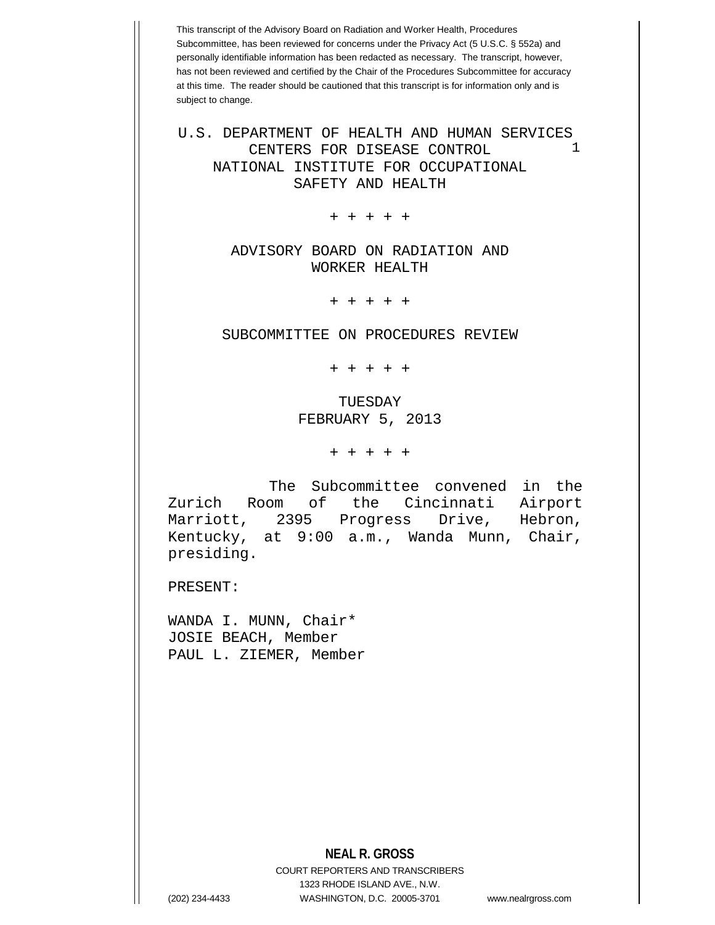This transcript of the Advisory Board on Radiation and Worker Health, Procedures Subcommittee, has been reviewed for concerns under the Privacy Act (5 U.S.C. § 552a) and personally identifiable information has been redacted as necessary. The transcript, however, has not been reviewed and certified by the Chair of the Procedures Subcommittee for accuracy at this time. The reader should be cautioned that this transcript is for information only and is subject to change.

1 U.S. DEPARTMENT OF HEALTH AND HUMAN SERVICES CENTERS FOR DISEASE CONTROL NATIONAL INSTITUTE FOR OCCUPATIONAL SAFETY AND HEALTH

+ + + + +

## ADVISORY BOARD ON RADIATION AND WORKER HEALTH

+ + + + +

SUBCOMMITTEE ON PROCEDURES REVIEW

+ + + + +

## TUESDAY FEBRUARY 5, 2013

+ + + + +

The Subcommittee convened in the Zurich Room of the Cincinnati Airport<br>Marriott, 2395 Progress Drive, Hebron, Progress Drive, Hebron, Kentucky, at 9:00 a.m., Wanda Munn, Chair, presiding.

PRESENT:

WANDA I. MUNN, Chair\* JOSIE BEACH, Member PAUL L. ZIEMER, Member

## **NEAL R. GROSS**

COURT REPORTERS AND TRANSCRIBERS 1323 RHODE ISLAND AVE., N.W. (202) 234-4433 WASHINGTON, D.C. 20005-3701 www.nealrgross.com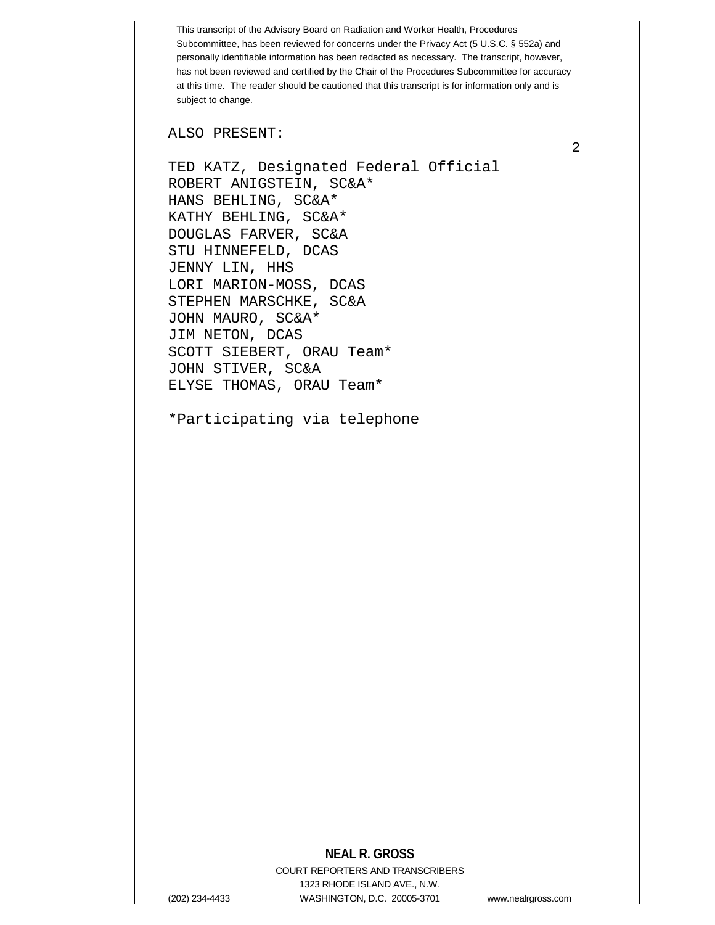This transcript of the Advisory Board on Radiation and Worker Health, Procedures Subcommittee, has been reviewed for concerns under the Privacy Act (5 U.S.C. § 552a) and personally identifiable information has been redacted as necessary. The transcript, however, has not been reviewed and certified by the Chair of the Procedures Subcommittee for accuracy at this time. The reader should be cautioned that this transcript is for information only and is subject to change.

ALSO PRESENT:

TED KATZ, Designated Federal Official ROBERT ANIGSTEIN, SC&A\* HANS BEHLING, SC&A\* KATHY BEHLING, SC&A\* DOUGLAS FARVER, SC&A STU HINNEFELD, DCAS JENNY LIN, HHS LORI MARION-MOSS, DCAS STEPHEN MARSCHKE, SC&A JOHN MAURO, SC&A\* JIM NETON, DCAS SCOTT SIEBERT, ORAU Team\* JOHN STIVER, SC&A ELYSE THOMAS, ORAU Team\*

\*Participating via telephone

## **NEAL R. GROSS**

COURT REPORTERS AND TRANSCRIBERS 1323 RHODE ISLAND AVE., N.W. (202) 234-4433 WASHINGTON, D.C. 20005-3701 www.nealrgross.com

2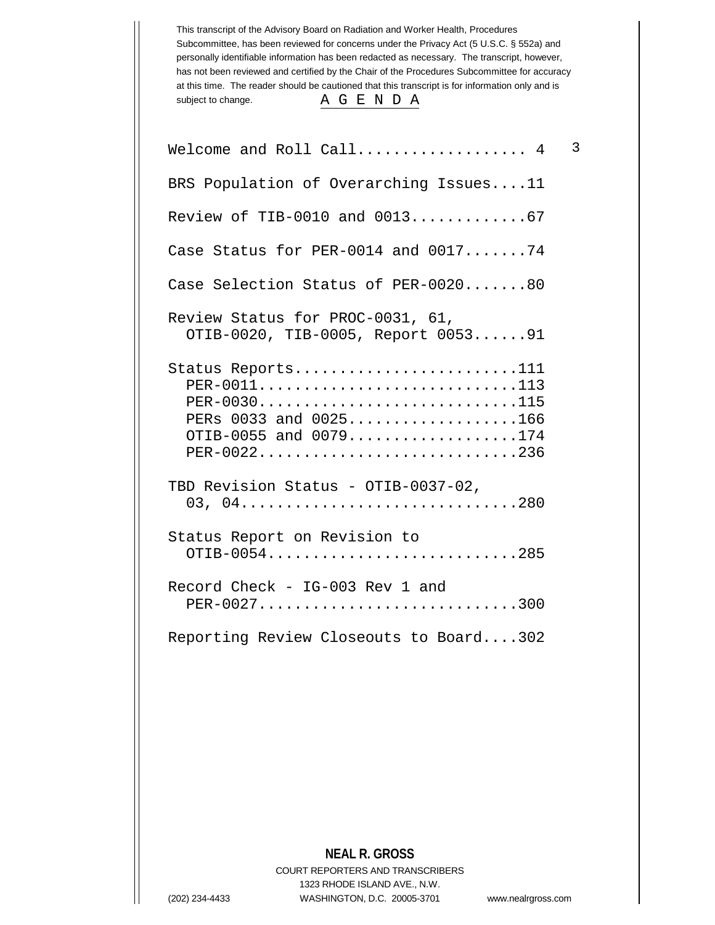This transcript of the Advisory Board on Radiation and Worker Health, Procedures Subcommittee, has been reviewed for concerns under the Privacy Act (5 U.S.C. § 552a) and personally identifiable information has been redacted as necessary. The transcript, however, has not been reviewed and certified by the Chair of the Procedures Subcommittee for accuracy at this time. The reader should be cautioned that this transcript is for information only and is subject to change. A G E N D A

| Welcome and Roll Call $4$                                                                                        | 3 |
|------------------------------------------------------------------------------------------------------------------|---|
| BRS Population of Overarching Issues11                                                                           |   |
| Review of TIB-0010 and 001367                                                                                    |   |
| Case Status for PER-0014 and $001774$                                                                            |   |
| Case Selection Status of PER-002080                                                                              |   |
| Review Status for PROC-0031, 61,<br>OTIB-0020, TIB-0005, Report 005391                                           |   |
| Status Reports111<br>PER-0011113<br>PER-0030115<br>PERs 0033 and 0025166<br>OTIB-0055 and 0079174<br>PER-0022236 |   |
| TBD Revision Status - OTIB-0037-02,<br>03, 04280                                                                 |   |
| Status Report on Revision to<br>OTIB-0054285                                                                     |   |
| Record Check - IG-003 Rev 1 and<br>PER-0027300                                                                   |   |
| Reporting Review Closeouts to Board302                                                                           |   |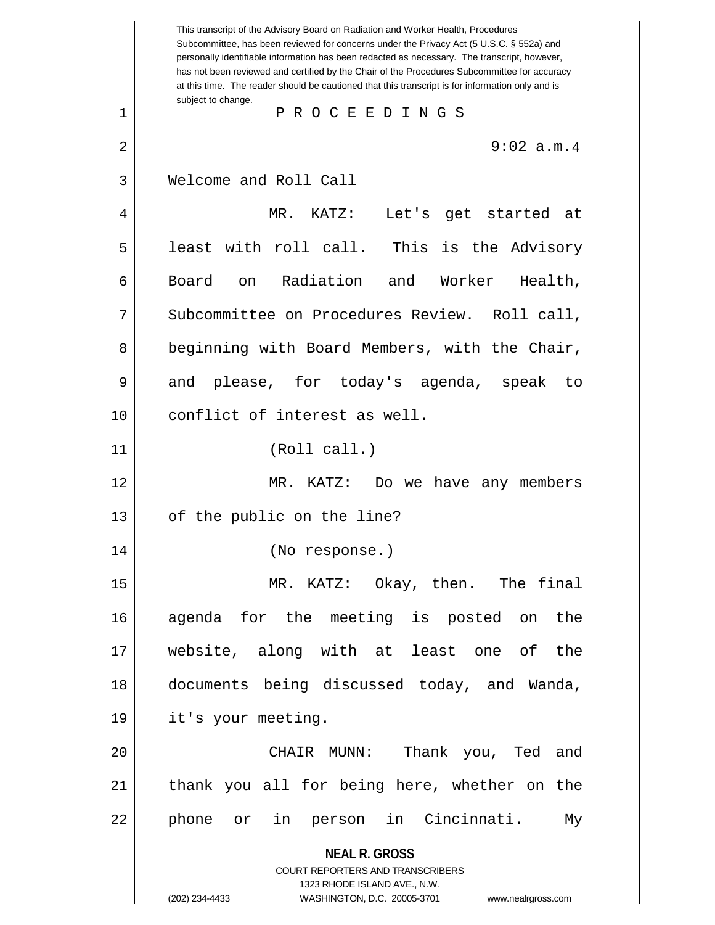**NEAL R. GROSS** COURT REPORTERS AND TRANSCRIBERS 1323 RHODE ISLAND AVE., N.W. (202) 234-4433 WASHINGTON, D.C. 20005-3701 www.nealrgross.com This transcript of the Advisory Board on Radiation and Worker Health, Procedures Subcommittee, has been reviewed for concerns under the Privacy Act (5 U.S.C. § 552a) and personally identifiable information has been redacted as necessary. The transcript, however, has not been reviewed and certified by the Chair of the Procedures Subcommittee for accuracy at this time. The reader should be cautioned that this transcript is for information only and is subject to change. 2 || 9:02 a.m.4 1 P R O C E E D I N G S 3 Welcome and Roll Call 4 MR. KATZ: Let's get started at  $5$  | least with roll call. This is the Advisory 6 || Board on Radiation and Worker Health, 7 | Subcommittee on Procedures Review. Roll call, 8 | beginning with Board Members, with the Chair, 9 and please, for today's agenda, speak to 10 conflict of interest as well. 11 || (Roll call.) 12 MR. KATZ: Do we have any members 13 || of the public on the line? 14 (No response.) 15 MR. KATZ: Okay, then. The final 16 agenda for the meeting is posted on the 17 website, along with at least one of the 18 documents being discussed today, and Wanda, 19 it's your meeting. 20 CHAIR MUNN: Thank you, Ted and 21 || thank you all for being here, whether on the 22 || phone or in person in Cincinnati. My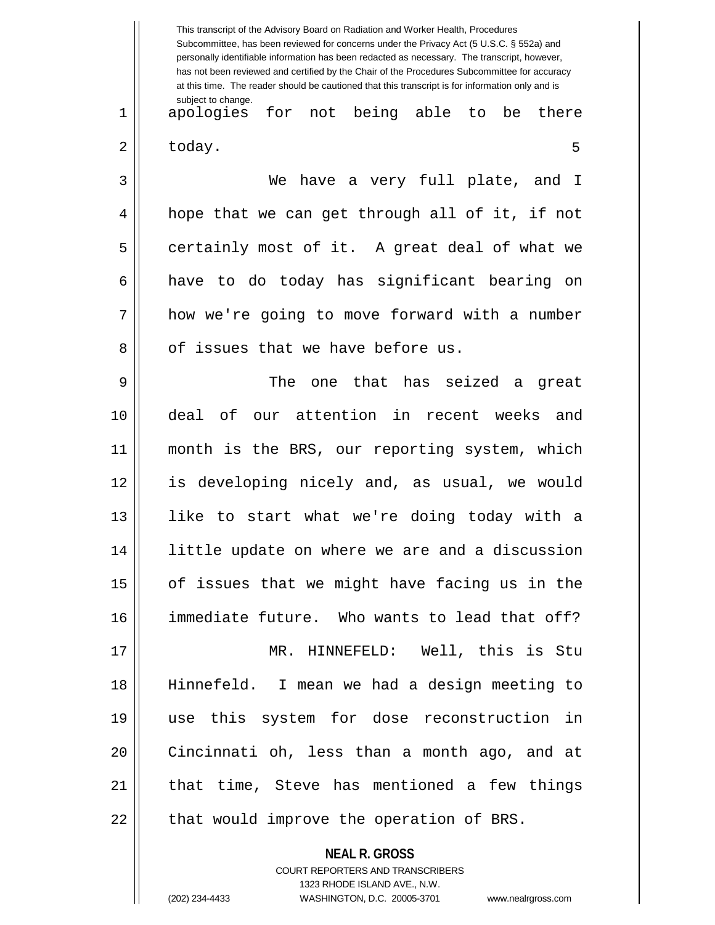This transcript of the Advisory Board on Radiation and Worker Health, Procedures Subcommittee, has been reviewed for concerns under the Privacy Act (5 U.S.C. § 552a) and personally identifiable information has been redacted as necessary. The transcript, however, has not been reviewed and certified by the Chair of the Procedures Subcommittee for accuracy at this time. The reader should be cautioned that this transcript is for information only and is subject to change. 5 1 apologies for not being able to be there  $2 \parallel$  today. 3 We have a very full plate, and I 4 || hope that we can get through all of it, if not 5 certainly most of it. A great deal of what we 6 || have to do today has significant bearing on 7 | how we're going to move forward with a number 8 || of issues that we have before us. 9 The one that has seized a great 10 deal of our attention in recent weeks and 11 month is the BRS, our reporting system, which 12 is developing nicely and, as usual, we would 13 like to start what we're doing today with a 14 little update on where we are and a discussion  $15$  | of issues that we might have facing us in the 16 immediate future. Who wants to lead that off? 17 MR. HINNEFELD: Well, this is Stu 18 Hinnefeld. I mean we had a design meeting to 19 use this system for dose reconstruction in 20 Cincinnati oh, less than a month ago, and at  $21$  | that time, Steve has mentioned a few things  $22$  || that would improve the operation of BRS.

> COURT REPORTERS AND TRANSCRIBERS 1323 RHODE ISLAND AVE., N.W. (202) 234-4433 WASHINGTON, D.C. 20005-3701 www.nealrgross.com

**NEAL R. GROSS**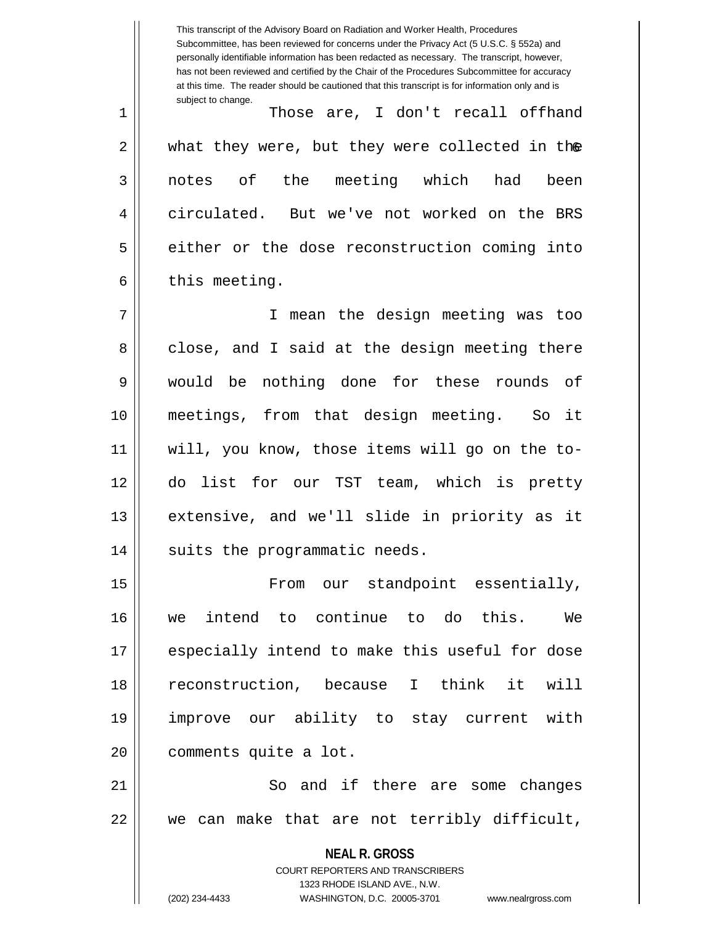This transcript of the Advisory Board on Radiation and Worker Health, Procedures Subcommittee, has been reviewed for concerns under the Privacy Act (5 U.S.C. § 552a) and personally identifiable information has been redacted as necessary. The transcript, however, has not been reviewed and certified by the Chair of the Procedures Subcommittee for accuracy at this time. The reader should be cautioned that this transcript is for information only and is subject to change. 2 || what they were, but they were collected in th**e** 1 Those are, I don't recall offhand 3 || notes of the meeting which had been 4 circulated. But we've not worked on the BRS 5 | either or the dose reconstruction coming into  $6 \parallel$  this meeting. 7 I mean the design meeting was too 8 close, and I said at the design meeting there 9 would be nothing done for these rounds of 10 meetings, from that design meeting. So it 11 will, you know, those items will go on the to-12 do list for our TST team, which is pretty 13 extensive, and we'll slide in priority as it 14 || suits the programmatic needs. 15 || From our standpoint essentially, 16 we intend to continue to do this. We 17 especially intend to make this useful for dose 18 reconstruction, because I think it will 19 improve our ability to stay current with 20 | comments quite a lot.

21 || So and if there are some changes 22 we can make that are not terribly difficult,

> **NEAL R. GROSS** COURT REPORTERS AND TRANSCRIBERS 1323 RHODE ISLAND AVE., N.W. (202) 234-4433 WASHINGTON, D.C. 20005-3701 www.nealrgross.com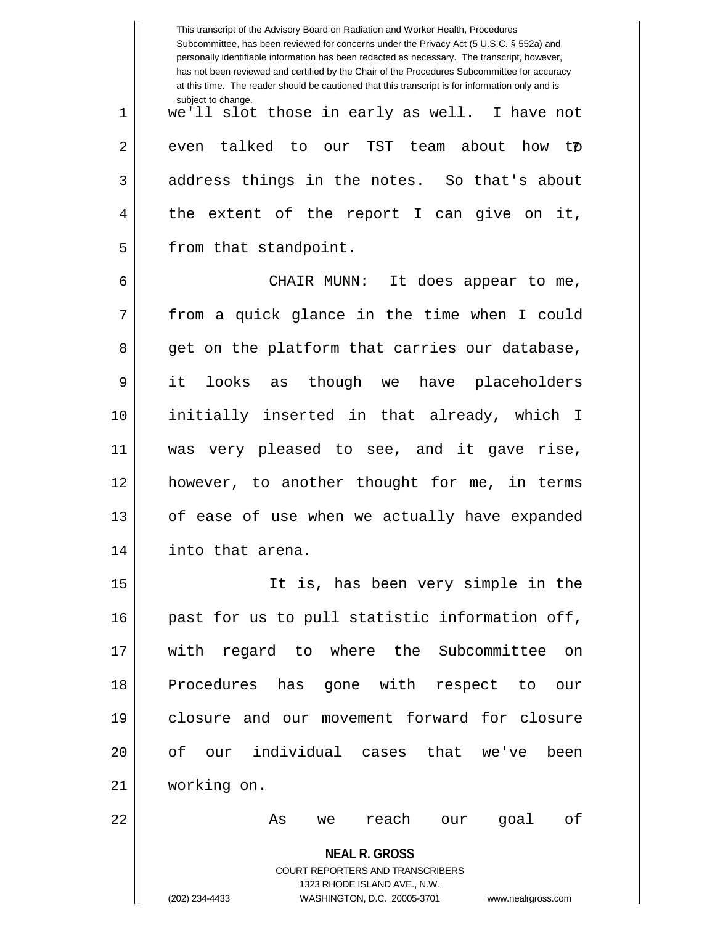|    | This transcript of the Advisory Board on Radiation and Worker Health, Procedures<br>Subcommittee, has been reviewed for concerns under the Privacy Act (5 U.S.C. § 552a) and<br>personally identifiable information has been redacted as necessary. The transcript, however,<br>has not been reviewed and certified by the Chair of the Procedures Subcommittee for accuracy<br>at this time. The reader should be cautioned that this transcript is for information only and is |
|----|----------------------------------------------------------------------------------------------------------------------------------------------------------------------------------------------------------------------------------------------------------------------------------------------------------------------------------------------------------------------------------------------------------------------------------------------------------------------------------|
| 1  | subject to change.<br>we'll slot those in early as well. I have not                                                                                                                                                                                                                                                                                                                                                                                                              |
| 2  | even talked to our TST team about how tø                                                                                                                                                                                                                                                                                                                                                                                                                                         |
| 3  | address things in the notes. So that's about                                                                                                                                                                                                                                                                                                                                                                                                                                     |
| 4  | the extent of the report I can give on it,                                                                                                                                                                                                                                                                                                                                                                                                                                       |
| 5  | from that standpoint.                                                                                                                                                                                                                                                                                                                                                                                                                                                            |
| 6  | CHAIR MUNN: It does appear to me,                                                                                                                                                                                                                                                                                                                                                                                                                                                |
| 7  | from a quick glance in the time when I could                                                                                                                                                                                                                                                                                                                                                                                                                                     |
| 8  | get on the platform that carries our database,                                                                                                                                                                                                                                                                                                                                                                                                                                   |
| 9  | it<br>though we<br>looks<br>have placeholders<br>as                                                                                                                                                                                                                                                                                                                                                                                                                              |
| 10 | initially inserted in that already, which I                                                                                                                                                                                                                                                                                                                                                                                                                                      |
| 11 | was very pleased to see, and it gave rise,                                                                                                                                                                                                                                                                                                                                                                                                                                       |
| 12 | however, to another thought for me, in terms                                                                                                                                                                                                                                                                                                                                                                                                                                     |
| 13 | of ease of use when we actually have expanded                                                                                                                                                                                                                                                                                                                                                                                                                                    |
| 14 | into that arena.                                                                                                                                                                                                                                                                                                                                                                                                                                                                 |
| 15 | It is, has been very simple in the                                                                                                                                                                                                                                                                                                                                                                                                                                               |
| 16 | past for us to pull statistic information off,                                                                                                                                                                                                                                                                                                                                                                                                                                   |
| 17 | with regard to where the Subcommittee on                                                                                                                                                                                                                                                                                                                                                                                                                                         |
| 18 | Procedures has gone with respect to<br>our                                                                                                                                                                                                                                                                                                                                                                                                                                       |
| 19 | closure and our movement forward for closure                                                                                                                                                                                                                                                                                                                                                                                                                                     |
| 20 | our individual cases that we've<br>of<br>been                                                                                                                                                                                                                                                                                                                                                                                                                                    |
| 21 | working on.                                                                                                                                                                                                                                                                                                                                                                                                                                                                      |
| 22 | reach our<br>goal<br>оf<br>As<br>we                                                                                                                                                                                                                                                                                                                                                                                                                                              |
|    | <b>NEAL R. GROSS</b>                                                                                                                                                                                                                                                                                                                                                                                                                                                             |
|    | COURT REPORTERS AND TRANSCRIBERS                                                                                                                                                                                                                                                                                                                                                                                                                                                 |
|    | 1323 RHODE ISLAND AVE., N.W.<br>(202) 234-4433<br>WASHINGTON, D.C. 20005-3701<br>www.nealrgross.com                                                                                                                                                                                                                                                                                                                                                                              |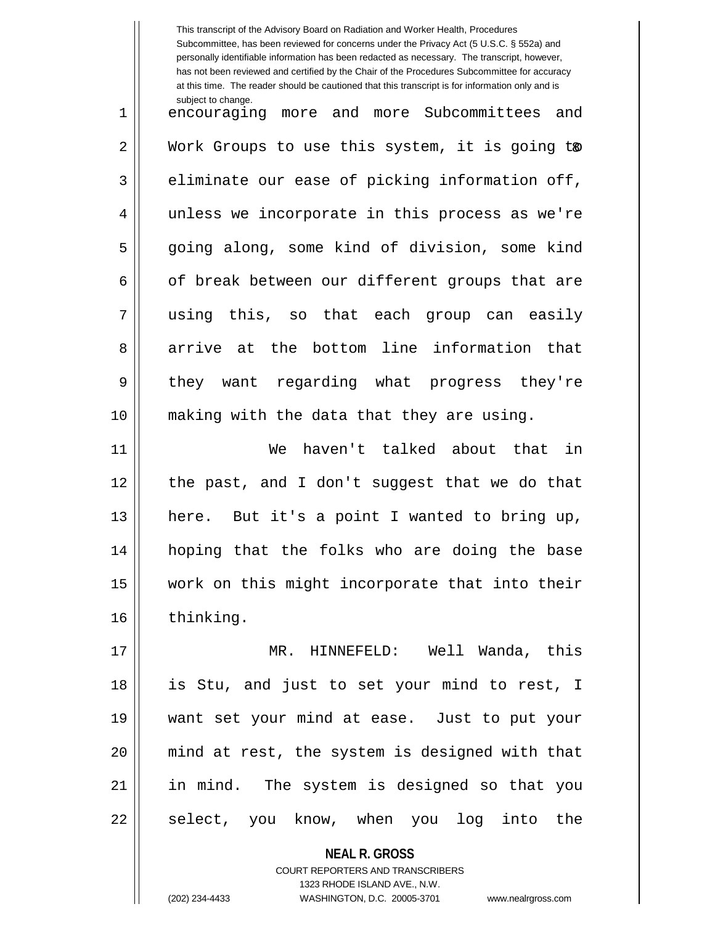This transcript of the Advisory Board on Radiation and Worker Health, Procedures Subcommittee, has been reviewed for concerns under the Privacy Act (5 U.S.C. § 552a) and personally identifiable information has been redacted as necessary. The transcript, however, has not been reviewed and certified by the Chair of the Procedures Subcommittee for accuracy at this time. The reader should be cautioned that this transcript is for information only and is subject to change. 2 || Work Groups to use this system, it is going t® 1 || encouraging more and more Subcommittees and  $3 \parallel$  eliminate our ease of picking information off, 4 unless we incorporate in this process as we're 5 going along, some kind of division, some kind  $6 \parallel$  of break between our different groups that are 7 using this, so that each group can easily 8 arrive at the bottom line information that 9 || they want regarding what progress they're 10 making with the data that they are using. 11 We haven't talked about that in 12 the past, and I don't suggest that we do that 13  $\parallel$  here. But it's a point I wanted to bring up, 14 hoping that the folks who are doing the base 15 work on this might incorporate that into their 16 | thinking. 17 MR. HINNEFELD: Well Wanda, this 18 is Stu, and just to set your mind to rest, I 19 want set your mind at ease. Just to put your 20 mind at rest, the system is designed with that 21 in mind. The system is designed so that you 22 || select, you know, when you log into the

> COURT REPORTERS AND TRANSCRIBERS 1323 RHODE ISLAND AVE., N.W.

**NEAL R. GROSS**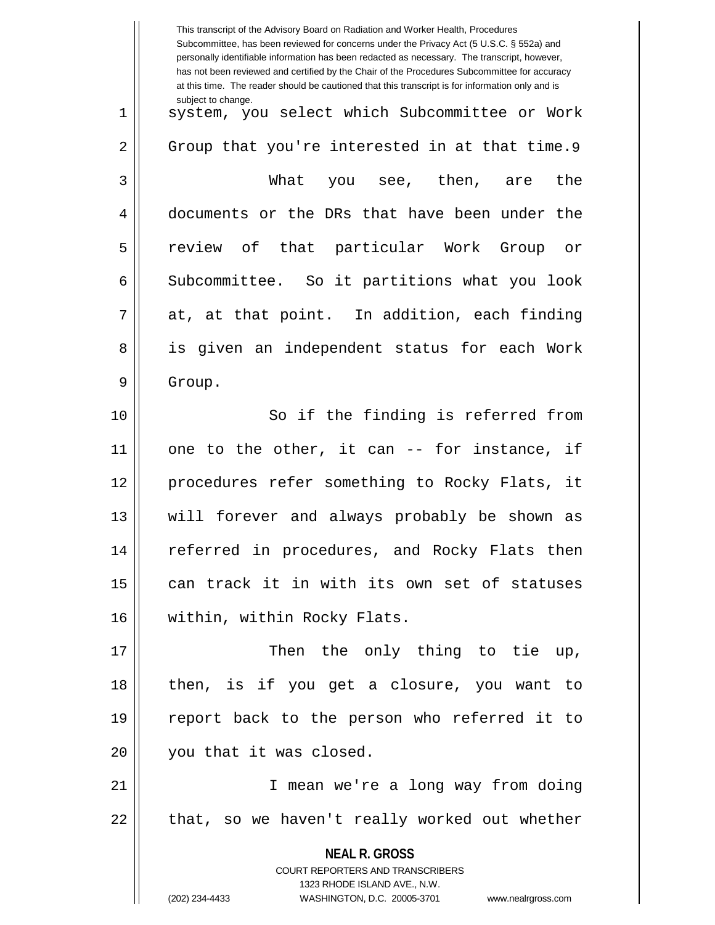|    | This transcript of the Advisory Board on Radiation and Worker Health, Procedures<br>Subcommittee, has been reviewed for concerns under the Privacy Act (5 U.S.C. § 552a) and<br>personally identifiable information has been redacted as necessary. The transcript, however,<br>has not been reviewed and certified by the Chair of the Procedures Subcommittee for accuracy<br>at this time. The reader should be cautioned that this transcript is for information only and is |
|----|----------------------------------------------------------------------------------------------------------------------------------------------------------------------------------------------------------------------------------------------------------------------------------------------------------------------------------------------------------------------------------------------------------------------------------------------------------------------------------|
| 1  | subject to change.<br>system, you select which Subcommittee or Work                                                                                                                                                                                                                                                                                                                                                                                                              |
| 2  | Group that you're interested in at that time.9                                                                                                                                                                                                                                                                                                                                                                                                                                   |
| 3  | What you see, then, are<br>the                                                                                                                                                                                                                                                                                                                                                                                                                                                   |
| 4  | documents or the DRs that have been under the                                                                                                                                                                                                                                                                                                                                                                                                                                    |
| 5  | review of that particular Work Group or                                                                                                                                                                                                                                                                                                                                                                                                                                          |
| 6  | Subcommittee. So it partitions what you look                                                                                                                                                                                                                                                                                                                                                                                                                                     |
| 7  | at, at that point. In addition, each finding                                                                                                                                                                                                                                                                                                                                                                                                                                     |
| 8  | is given an independent status for each Work                                                                                                                                                                                                                                                                                                                                                                                                                                     |
| 9  | Group.                                                                                                                                                                                                                                                                                                                                                                                                                                                                           |
| 10 | So if the finding is referred from                                                                                                                                                                                                                                                                                                                                                                                                                                               |
| 11 | one to the other, it can -- for instance, if                                                                                                                                                                                                                                                                                                                                                                                                                                     |
| 12 | procedures refer something to Rocky Flats,<br>it                                                                                                                                                                                                                                                                                                                                                                                                                                 |
| 13 | will forever and always probably be shown as                                                                                                                                                                                                                                                                                                                                                                                                                                     |
| 14 | referred in procedures, and Rocky Flats then                                                                                                                                                                                                                                                                                                                                                                                                                                     |
| 15 | can track it in with its own set of statuses                                                                                                                                                                                                                                                                                                                                                                                                                                     |
| 16 | within, within Rocky Flats.                                                                                                                                                                                                                                                                                                                                                                                                                                                      |
| 17 | Then the only thing to tie up,                                                                                                                                                                                                                                                                                                                                                                                                                                                   |
| 18 | then, is if you get a closure, you want to                                                                                                                                                                                                                                                                                                                                                                                                                                       |
| 19 | report back to the person who referred it to                                                                                                                                                                                                                                                                                                                                                                                                                                     |
| 20 | you that it was closed.                                                                                                                                                                                                                                                                                                                                                                                                                                                          |
| 21 | I mean we're a long way from doing                                                                                                                                                                                                                                                                                                                                                                                                                                               |
| 22 | that, so we haven't really worked out whether                                                                                                                                                                                                                                                                                                                                                                                                                                    |
|    | <b>NEAL R. GROSS</b><br>COURT REPORTERS AND TRANSCRIBERS<br>1323 RHODE ISLAND AVE., N.W.<br>(202) 234-4433<br>WASHINGTON, D.C. 20005-3701<br>www.nealrgross.com                                                                                                                                                                                                                                                                                                                  |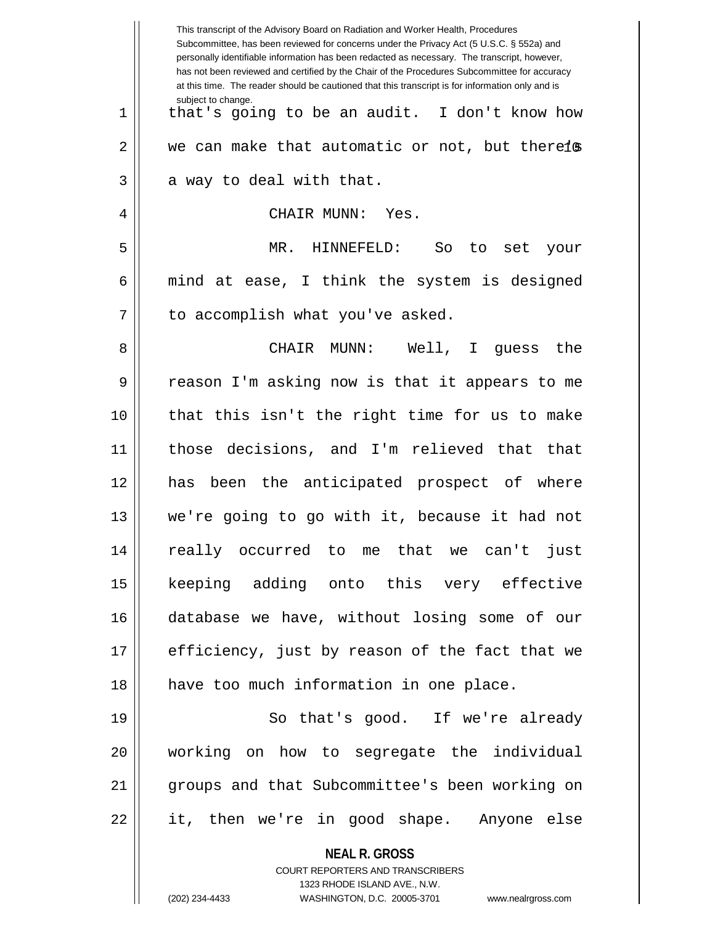|    | This transcript of the Advisory Board on Radiation and Worker Health, Procedures<br>Subcommittee, has been reviewed for concerns under the Privacy Act (5 U.S.C. § 552a) and<br>personally identifiable information has been redacted as necessary. The transcript, however,<br>has not been reviewed and certified by the Chair of the Procedures Subcommittee for accuracy<br>at this time. The reader should be cautioned that this transcript is for information only and is |
|----|----------------------------------------------------------------------------------------------------------------------------------------------------------------------------------------------------------------------------------------------------------------------------------------------------------------------------------------------------------------------------------------------------------------------------------------------------------------------------------|
| 1  | subject to change.<br>that's going to be an audit. I don't know how                                                                                                                                                                                                                                                                                                                                                                                                              |
| 2  | we can make that automatic or not, but therels                                                                                                                                                                                                                                                                                                                                                                                                                                   |
| 3  | a way to deal with that.                                                                                                                                                                                                                                                                                                                                                                                                                                                         |
| 4  | CHAIR MUNN: Yes.                                                                                                                                                                                                                                                                                                                                                                                                                                                                 |
| 5  | MR. HINNEFELD:<br>So<br>to set<br>your                                                                                                                                                                                                                                                                                                                                                                                                                                           |
| 6  | mind at ease, I think the system is designed                                                                                                                                                                                                                                                                                                                                                                                                                                     |
| 7  | to accomplish what you've asked.                                                                                                                                                                                                                                                                                                                                                                                                                                                 |
| 8  | CHAIR MUNN:<br>Well, I guess<br>the                                                                                                                                                                                                                                                                                                                                                                                                                                              |
| 9  | reason I'm asking now is that it appears to me                                                                                                                                                                                                                                                                                                                                                                                                                                   |
| 10 | that this isn't the right time for us to make                                                                                                                                                                                                                                                                                                                                                                                                                                    |
| 11 | those decisions, and I'm relieved that that                                                                                                                                                                                                                                                                                                                                                                                                                                      |
| 12 | has been the anticipated prospect of where                                                                                                                                                                                                                                                                                                                                                                                                                                       |
| 13 | we're going to go with it, because it had not                                                                                                                                                                                                                                                                                                                                                                                                                                    |
| 14 | really occurred to me that we can't just                                                                                                                                                                                                                                                                                                                                                                                                                                         |
| 15 | keeping adding onto this very effective                                                                                                                                                                                                                                                                                                                                                                                                                                          |
| 16 | database we have, without losing some of our                                                                                                                                                                                                                                                                                                                                                                                                                                     |
| 17 | efficiency, just by reason of the fact that we                                                                                                                                                                                                                                                                                                                                                                                                                                   |
| 18 | have too much information in one place.                                                                                                                                                                                                                                                                                                                                                                                                                                          |
| 19 | So that's good. If we're already                                                                                                                                                                                                                                                                                                                                                                                                                                                 |
| 20 | working on how to segregate the individual                                                                                                                                                                                                                                                                                                                                                                                                                                       |
| 21 | groups and that Subcommittee's been working on                                                                                                                                                                                                                                                                                                                                                                                                                                   |
| 22 | it, then we're in good shape. Anyone else                                                                                                                                                                                                                                                                                                                                                                                                                                        |
|    | <b>NEAL R. GROSS</b><br><b>COURT REPORTERS AND TRANSCRIBERS</b>                                                                                                                                                                                                                                                                                                                                                                                                                  |
|    | 1323 RHODE ISLAND AVE., N.W.                                                                                                                                                                                                                                                                                                                                                                                                                                                     |
|    | (202) 234-4433<br>WASHINGTON, D.C. 20005-3701 www.nealrgross.com                                                                                                                                                                                                                                                                                                                                                                                                                 |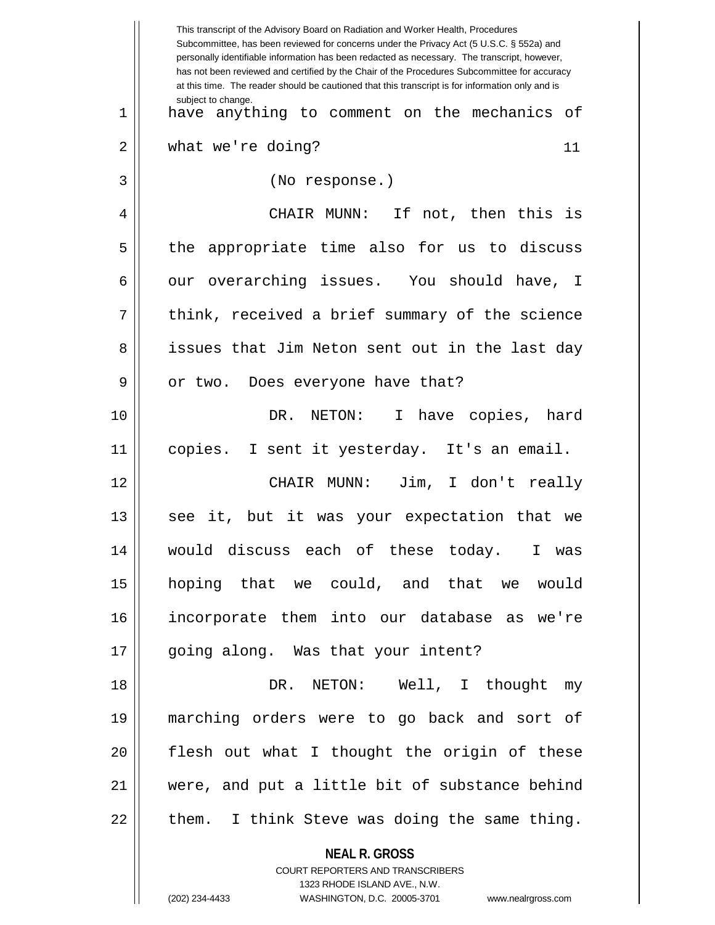**NEAL R. GROSS** COURT REPORTERS AND TRANSCRIBERS This transcript of the Advisory Board on Radiation and Worker Health, Procedures Subcommittee, has been reviewed for concerns under the Privacy Act (5 U.S.C. § 552a) and personally identifiable information has been redacted as necessary. The transcript, however, has not been reviewed and certified by the Chair of the Procedures Subcommittee for accuracy at this time. The reader should be cautioned that this transcript is for information only and is subject to change. 11 1 have anything to comment on the mechanics of 2 | what we're doing? 3 (No response.) 4 CHAIR MUNN: If not, then this is 5 || the appropriate time also for us to discuss 6 | our overarching issues. You should have, I  $7 \parallel$  think, received a brief summary of the science 8 || issues that Jim Neton sent out in the last day  $9 \parallel$  or two. Does everyone have that? 10 DR. NETON: I have copies, hard 11 copies. I sent it yesterday. It's an email. 12 CHAIR MUNN: Jim, I don't really 13 || see it, but it was your expectation that we 14 would discuss each of these today. I was 15 hoping that we could, and that we would 16 incorporate them into our database as we're 17 || going along. Was that your intent? 18 DR. NETON: Well, I thought my 19 marching orders were to go back and sort of 20 || flesh out what I thought the origin of these 21 were, and put a little bit of substance behind  $22$  || them. I think Steve was doing the same thing.

1323 RHODE ISLAND AVE., N.W.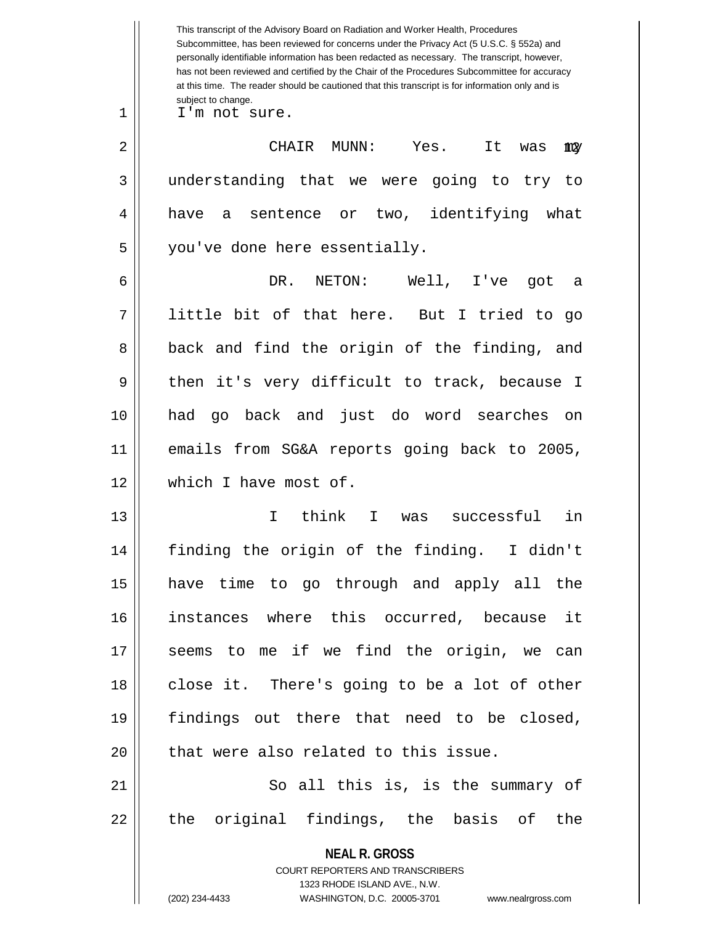|    | This transcript of the Advisory Board on Radiation and Worker Health, Procedures<br>Subcommittee, has been reviewed for concerns under the Privacy Act (5 U.S.C. § 552a) and<br>personally identifiable information has been redacted as necessary. The transcript, however,<br>has not been reviewed and certified by the Chair of the Procedures Subcommittee for accuracy<br>at this time. The reader should be cautioned that this transcript is for information only and is |
|----|----------------------------------------------------------------------------------------------------------------------------------------------------------------------------------------------------------------------------------------------------------------------------------------------------------------------------------------------------------------------------------------------------------------------------------------------------------------------------------|
| 1  | subject to change.<br>I'm not sure.                                                                                                                                                                                                                                                                                                                                                                                                                                              |
| 2  | CHAIR<br>MUNN:<br>Yes.<br>It<br>was<br>my                                                                                                                                                                                                                                                                                                                                                                                                                                        |
| 3  | understanding that we were going to try<br>to                                                                                                                                                                                                                                                                                                                                                                                                                                    |
| 4  | two, identifying what<br>have<br>a sentence or                                                                                                                                                                                                                                                                                                                                                                                                                                   |
| 5  | you've done here essentially.                                                                                                                                                                                                                                                                                                                                                                                                                                                    |
| 6  | DR.<br>NETON:<br>Well, I've<br>qot<br>а                                                                                                                                                                                                                                                                                                                                                                                                                                          |
| 7  | little bit of that here. But I tried to go                                                                                                                                                                                                                                                                                                                                                                                                                                       |
| 8  | back and find the origin of the finding, and                                                                                                                                                                                                                                                                                                                                                                                                                                     |
| 9  | then it's very difficult to track, because I                                                                                                                                                                                                                                                                                                                                                                                                                                     |
| 10 | had go back and just do word searches<br>on on                                                                                                                                                                                                                                                                                                                                                                                                                                   |
| 11 | emails from SG&A reports going back to 2005,                                                                                                                                                                                                                                                                                                                                                                                                                                     |
| 12 | which I have most of.                                                                                                                                                                                                                                                                                                                                                                                                                                                            |
| 13 | think<br>successful<br>in<br>T<br>I.<br>was                                                                                                                                                                                                                                                                                                                                                                                                                                      |
| 14 | finding the origin of the finding. I didn't                                                                                                                                                                                                                                                                                                                                                                                                                                      |
| 15 | have time to go through and apply all the                                                                                                                                                                                                                                                                                                                                                                                                                                        |
| 16 | instances where this occurred, because it                                                                                                                                                                                                                                                                                                                                                                                                                                        |
| 17 | seems to me if we find the origin, we can                                                                                                                                                                                                                                                                                                                                                                                                                                        |
| 18 | close it. There's going to be a lot of other                                                                                                                                                                                                                                                                                                                                                                                                                                     |
| 19 | findings out there that need to be closed,                                                                                                                                                                                                                                                                                                                                                                                                                                       |
| 20 | that were also related to this issue.                                                                                                                                                                                                                                                                                                                                                                                                                                            |
| 21 | So all this is, is the summary of                                                                                                                                                                                                                                                                                                                                                                                                                                                |
| 22 | the original findings, the basis of the                                                                                                                                                                                                                                                                                                                                                                                                                                          |
|    | <b>NEAL R. GROSS</b><br>COURT REPORTERS AND TRANSCRIBERS<br>1323 RHODE ISLAND AVE., N.W.<br>(202) 234-4433<br>WASHINGTON, D.C. 20005-3701<br>www.nealrgross.com                                                                                                                                                                                                                                                                                                                  |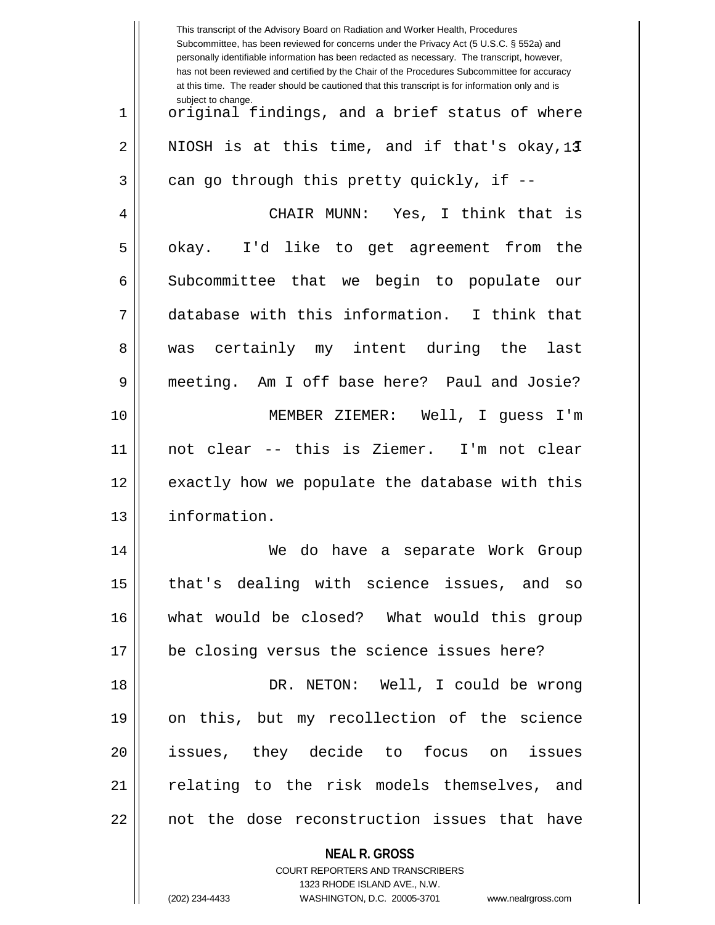|    | This transcript of the Advisory Board on Radiation and Worker Health, Procedures<br>Subcommittee, has been reviewed for concerns under the Privacy Act (5 U.S.C. § 552a) and<br>personally identifiable information has been redacted as necessary. The transcript, however,<br>has not been reviewed and certified by the Chair of the Procedures Subcommittee for accuracy<br>at this time. The reader should be cautioned that this transcript is for information only and is |
|----|----------------------------------------------------------------------------------------------------------------------------------------------------------------------------------------------------------------------------------------------------------------------------------------------------------------------------------------------------------------------------------------------------------------------------------------------------------------------------------|
| 1  | subject to change.<br>original findings, and a brief status of where                                                                                                                                                                                                                                                                                                                                                                                                             |
| 2  | NIOSH is at this time, and if that's okay, 13                                                                                                                                                                                                                                                                                                                                                                                                                                    |
| 3  | can go through this pretty quickly, if --                                                                                                                                                                                                                                                                                                                                                                                                                                        |
| 4  | CHAIR MUNN: Yes, I think that is                                                                                                                                                                                                                                                                                                                                                                                                                                                 |
| 5  | okay. I'd like to get agreement from the                                                                                                                                                                                                                                                                                                                                                                                                                                         |
| 6  | Subcommittee that we begin to populate<br>our                                                                                                                                                                                                                                                                                                                                                                                                                                    |
| 7  | database with this information. I think that                                                                                                                                                                                                                                                                                                                                                                                                                                     |
| 8  | was certainly my intent during the<br>last                                                                                                                                                                                                                                                                                                                                                                                                                                       |
| 9  | meeting. Am I off base here? Paul and Josie?                                                                                                                                                                                                                                                                                                                                                                                                                                     |
| 10 | MEMBER ZIEMER: Well, I quess I'm                                                                                                                                                                                                                                                                                                                                                                                                                                                 |
| 11 | not clear -- this is Ziemer. I'm not clear                                                                                                                                                                                                                                                                                                                                                                                                                                       |
| 12 | exactly how we populate the database with this                                                                                                                                                                                                                                                                                                                                                                                                                                   |
| 13 | information.                                                                                                                                                                                                                                                                                                                                                                                                                                                                     |
| 14 | We do have a separate Work Group                                                                                                                                                                                                                                                                                                                                                                                                                                                 |
| 15 | that's dealing with science issues, and so                                                                                                                                                                                                                                                                                                                                                                                                                                       |
| 16 | what would be closed? What would this group                                                                                                                                                                                                                                                                                                                                                                                                                                      |
| 17 | be closing versus the science issues here?                                                                                                                                                                                                                                                                                                                                                                                                                                       |
| 18 | DR. NETON: Well, I could be wrong                                                                                                                                                                                                                                                                                                                                                                                                                                                |
| 19 | on this, but my recollection of the science                                                                                                                                                                                                                                                                                                                                                                                                                                      |
| 20 | issues, they decide to focus on issues                                                                                                                                                                                                                                                                                                                                                                                                                                           |
| 21 | relating to the risk models themselves, and                                                                                                                                                                                                                                                                                                                                                                                                                                      |
| 22 | not the dose reconstruction issues that have                                                                                                                                                                                                                                                                                                                                                                                                                                     |
|    | <b>NEAL R. GROSS</b>                                                                                                                                                                                                                                                                                                                                                                                                                                                             |
|    | COURT REPORTERS AND TRANSCRIBERS                                                                                                                                                                                                                                                                                                                                                                                                                                                 |
|    | 1323 RHODE ISLAND AVE., N.W.<br>(202) 234-4433<br>WASHINGTON, D.C. 20005-3701<br>www.nealrgross.com                                                                                                                                                                                                                                                                                                                                                                              |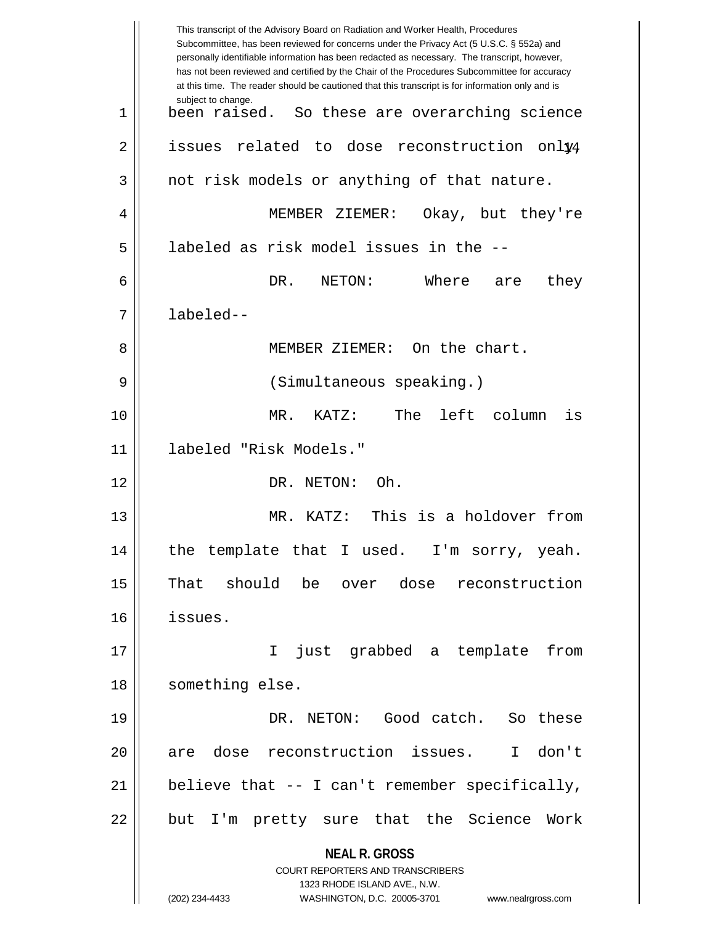**NEAL R. GROSS** COURT REPORTERS AND TRANSCRIBERS 1323 RHODE ISLAND AVE., N.W. (202) 234-4433 WASHINGTON, D.C. 20005-3701 www.nealrgross.com This transcript of the Advisory Board on Radiation and Worker Health, Procedures Subcommittee, has been reviewed for concerns under the Privacy Act (5 U.S.C. § 552a) and personally identifiable information has been redacted as necessary. The transcript, however, has not been reviewed and certified by the Chair of the Procedures Subcommittee for accuracy at this time. The reader should be cautioned that this transcript is for information only and is subject to change. 2 || issues related to dose reconstruction only4 1 been raised. So these are overarching science  $3 \parallel$  not risk models or anything of that nature. 4 MEMBER ZIEMER: Okay, but they're 5 | labeled as risk model issues in the --6 DR. NETON: Where are they 7 labeled-- 8 MEMBER ZIEMER: On the chart. 9 (Simultaneous speaking.) 10 MR. KATZ: The left column is 11 labeled "Risk Models." 12 DR. NETON: Oh. 13 MR. KATZ: This is a holdover from 14 || the template that I used. I'm sorry, yeah. 15 That should be over dose reconstruction 16 issues. 17 I just grabbed a template from 18 || something else. 19 DR. NETON: Good catch. So these 20 || are dose reconstruction issues. I don't 21  $\parallel$  believe that -- I can't remember specifically, 22 || but I'm pretty sure that the Science Work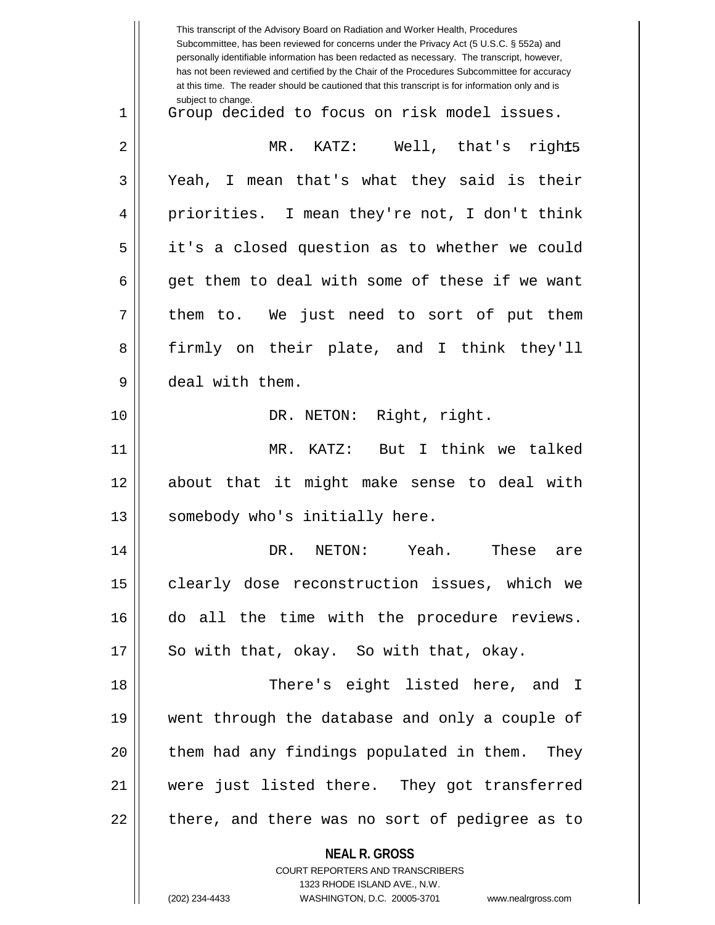|    | This transcript of the Advisory Board on Radiation and Worker Health, Procedures<br>Subcommittee, has been reviewed for concerns under the Privacy Act (5 U.S.C. § 552a) and<br>personally identifiable information has been redacted as necessary. The transcript, however,<br>has not been reviewed and certified by the Chair of the Procedures Subcommittee for accuracy<br>at this time. The reader should be cautioned that this transcript is for information only and is |
|----|----------------------------------------------------------------------------------------------------------------------------------------------------------------------------------------------------------------------------------------------------------------------------------------------------------------------------------------------------------------------------------------------------------------------------------------------------------------------------------|
| 1  | subject to change.<br>Group decided to focus on risk model issues.                                                                                                                                                                                                                                                                                                                                                                                                               |
| 2  | KATZ: Well, that's right5<br>MR.                                                                                                                                                                                                                                                                                                                                                                                                                                                 |
| 3  | Yeah, I mean that's what they said is their                                                                                                                                                                                                                                                                                                                                                                                                                                      |
| 4  | priorities. I mean they're not, I don't think                                                                                                                                                                                                                                                                                                                                                                                                                                    |
| 5  | it's a closed question as to whether we could                                                                                                                                                                                                                                                                                                                                                                                                                                    |
| 6  | get them to deal with some of these if we want                                                                                                                                                                                                                                                                                                                                                                                                                                   |
| 7  | them to. We just need to sort of put them                                                                                                                                                                                                                                                                                                                                                                                                                                        |
| 8  | firmly on their plate, and I think they'll                                                                                                                                                                                                                                                                                                                                                                                                                                       |
| 9  | deal with them.                                                                                                                                                                                                                                                                                                                                                                                                                                                                  |
| 10 | DR. NETON: Right, right.                                                                                                                                                                                                                                                                                                                                                                                                                                                         |
| 11 | MR. KATZ: But I think we talked                                                                                                                                                                                                                                                                                                                                                                                                                                                  |
| 12 | about that it might make sense to deal with                                                                                                                                                                                                                                                                                                                                                                                                                                      |
| 13 | somebody who's initially here.                                                                                                                                                                                                                                                                                                                                                                                                                                                   |
| 14 | DR. NETON: Yeah. These are                                                                                                                                                                                                                                                                                                                                                                                                                                                       |
| 15 | clearly dose reconstruction issues, which we                                                                                                                                                                                                                                                                                                                                                                                                                                     |
| 16 | do all the time with the procedure reviews.                                                                                                                                                                                                                                                                                                                                                                                                                                      |
| 17 | So with that, okay. So with that, okay.                                                                                                                                                                                                                                                                                                                                                                                                                                          |
| 18 | There's eight listed here, and I                                                                                                                                                                                                                                                                                                                                                                                                                                                 |
| 19 | went through the database and only a couple of                                                                                                                                                                                                                                                                                                                                                                                                                                   |
| 20 | them had any findings populated in them. They                                                                                                                                                                                                                                                                                                                                                                                                                                    |
| 21 | were just listed there. They got transferred                                                                                                                                                                                                                                                                                                                                                                                                                                     |
| 22 | there, and there was no sort of pedigree as to                                                                                                                                                                                                                                                                                                                                                                                                                                   |
|    | <b>NEAL R. GROSS</b><br>COURT REPORTERS AND TRANSCRIBERS<br>1323 RHODE ISLAND AVE., N.W.<br>(202) 234-4433<br>WASHINGTON, D.C. 20005-3701<br>www.nealrgross.com                                                                                                                                                                                                                                                                                                                  |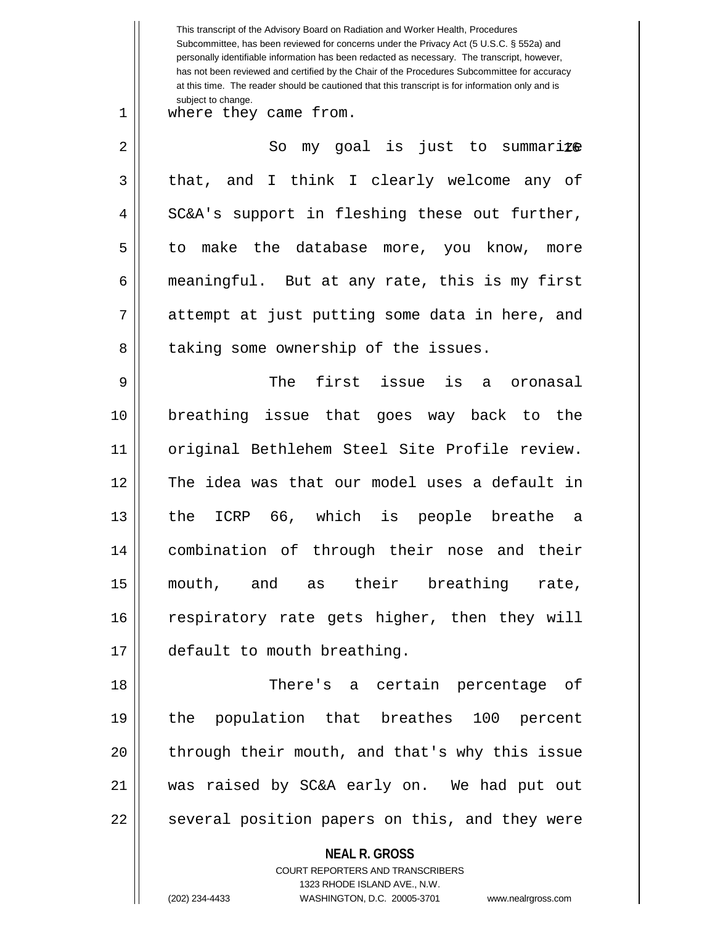**NEAL R. GROSS** This transcript of the Advisory Board on Radiation and Worker Health, Procedures Subcommittee, has been reviewed for concerns under the Privacy Act (5 U.S.C. § 552a) and personally identifiable information has been redacted as necessary. The transcript, however, has not been reviewed and certified by the Chair of the Procedures Subcommittee for accuracy at this time. The reader should be cautioned that this transcript is for information only and is subject to change. 16 2 So my goal is just to summarize 1 || where they came from.  $3 \parallel$  that, and I think I clearly welcome any of  $4 \parallel$  SC&A's support in fleshing these out further, 5 to make the database more, you know, more 6 | meaningful. But at any rate, this is my first 7 || attempt at just putting some data in here, and 8 | taking some ownership of the issues. 9 The first issue is a oronasal 10 breathing issue that goes way back to the 11 original Bethlehem Steel Site Profile review. 12 The idea was that our model uses a default in 13 the ICRP 66, which is people breathe a 14 combination of through their nose and their 15 mouth, and as their breathing rate, 16 || respiratory rate gets higher, then they will 17 default to mouth breathing. 18 There's a certain percentage of 19 the population that breathes 100 percent 20 || through their mouth, and that's why this issue 21 was raised by SC&A early on. We had put out 22 || several position papers on this, and they were

> COURT REPORTERS AND TRANSCRIBERS 1323 RHODE ISLAND AVE., N.W.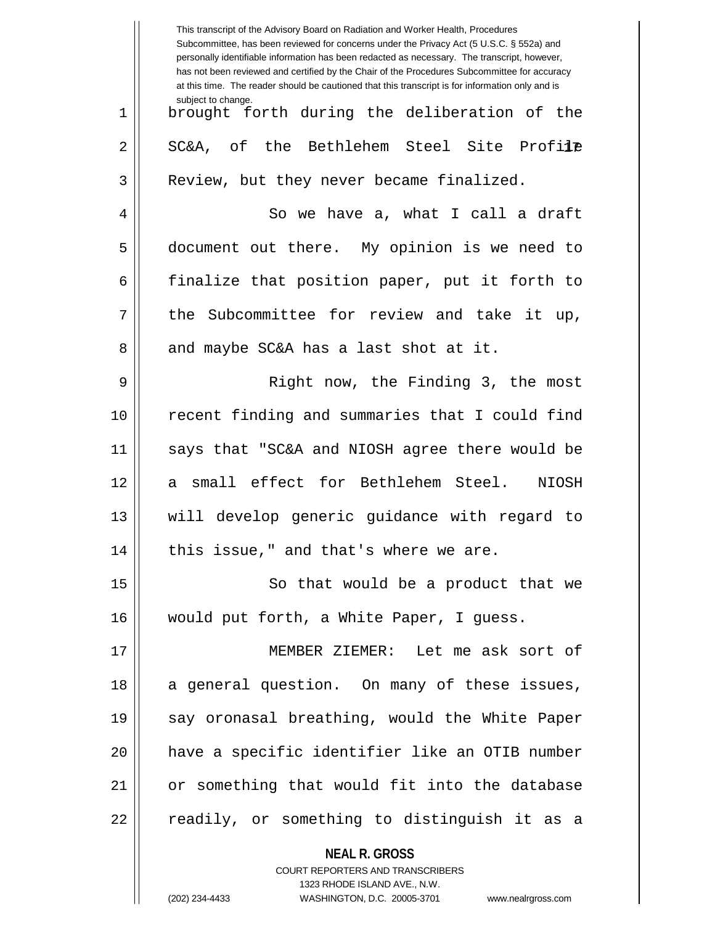|    | This transcript of the Advisory Board on Radiation and Worker Health, Procedures<br>Subcommittee, has been reviewed for concerns under the Privacy Act (5 U.S.C. § 552a) and<br>personally identifiable information has been redacted as necessary. The transcript, however,<br>has not been reviewed and certified by the Chair of the Procedures Subcommittee for accuracy<br>at this time. The reader should be cautioned that this transcript is for information only and is |
|----|----------------------------------------------------------------------------------------------------------------------------------------------------------------------------------------------------------------------------------------------------------------------------------------------------------------------------------------------------------------------------------------------------------------------------------------------------------------------------------|
| 1  | subject to change.<br>brought forth during the deliberation of the                                                                                                                                                                                                                                                                                                                                                                                                               |
| 2  | SC&A, of the Bethlehem Steel Site Profile                                                                                                                                                                                                                                                                                                                                                                                                                                        |
| 3  | Review, but they never became finalized.                                                                                                                                                                                                                                                                                                                                                                                                                                         |
| 4  | So we have a, what I call a draft                                                                                                                                                                                                                                                                                                                                                                                                                                                |
| 5  | document out there. My opinion is we need to                                                                                                                                                                                                                                                                                                                                                                                                                                     |
| 6  | finalize that position paper, put it forth to                                                                                                                                                                                                                                                                                                                                                                                                                                    |
| 7  | the Subcommittee for review and take it up,                                                                                                                                                                                                                                                                                                                                                                                                                                      |
| 8  | and maybe SC&A has a last shot at it.                                                                                                                                                                                                                                                                                                                                                                                                                                            |
| 9  | Right now, the Finding 3, the most                                                                                                                                                                                                                                                                                                                                                                                                                                               |
| 10 | recent finding and summaries that I could find                                                                                                                                                                                                                                                                                                                                                                                                                                   |
| 11 | says that "SC&A and NIOSH agree there would be                                                                                                                                                                                                                                                                                                                                                                                                                                   |
| 12 | a small effect for Bethlehem Steel.<br>NIOSH                                                                                                                                                                                                                                                                                                                                                                                                                                     |
| 13 | will develop generic guidance with regard to                                                                                                                                                                                                                                                                                                                                                                                                                                     |
| 14 | this issue," and that's where we are.                                                                                                                                                                                                                                                                                                                                                                                                                                            |
| 15 | So that would be a product that we                                                                                                                                                                                                                                                                                                                                                                                                                                               |
| 16 | would put forth, a White Paper, I guess.                                                                                                                                                                                                                                                                                                                                                                                                                                         |
| 17 | MEMBER ZIEMER: Let me ask sort of                                                                                                                                                                                                                                                                                                                                                                                                                                                |
| 18 | a general question. On many of these issues,                                                                                                                                                                                                                                                                                                                                                                                                                                     |
| 19 | say oronasal breathing, would the White Paper                                                                                                                                                                                                                                                                                                                                                                                                                                    |
| 20 | have a specific identifier like an OTIB number                                                                                                                                                                                                                                                                                                                                                                                                                                   |
| 21 | or something that would fit into the database                                                                                                                                                                                                                                                                                                                                                                                                                                    |
| 22 | readily, or something to distinguish it as a                                                                                                                                                                                                                                                                                                                                                                                                                                     |
|    | <b>NEAL R. GROSS</b><br>COURT REPORTERS AND TRANSCRIBERS                                                                                                                                                                                                                                                                                                                                                                                                                         |

1323 RHODE ISLAND AVE., N.W.

 $\mathop{\text{||}}$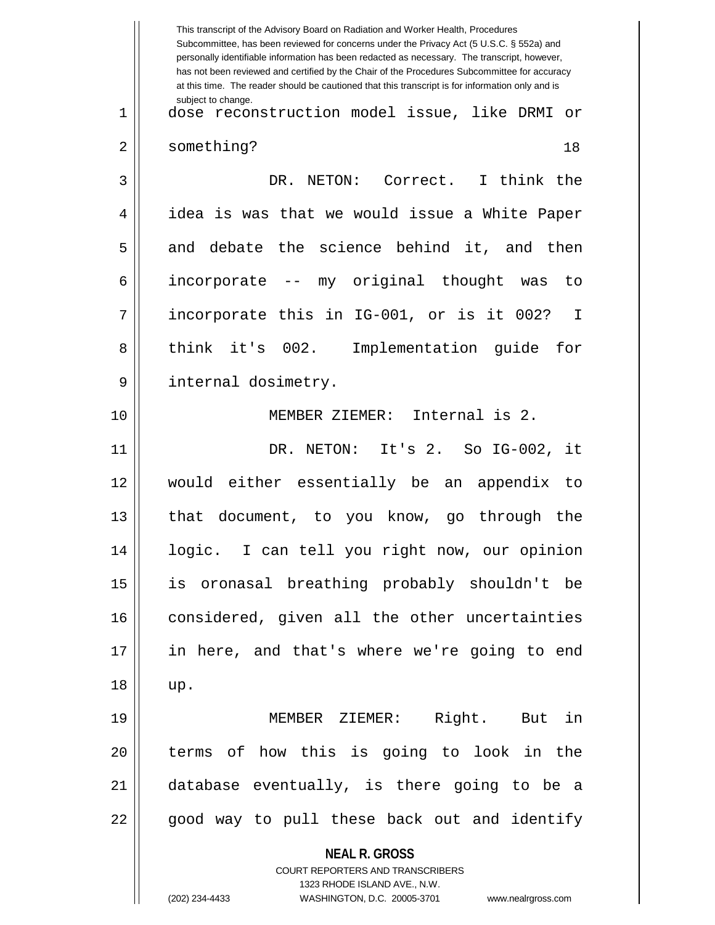|             | This transcript of the Advisory Board on Radiation and Worker Health, Procedures<br>Subcommittee, has been reviewed for concerns under the Privacy Act (5 U.S.C. § 552a) and<br>personally identifiable information has been redacted as necessary. The transcript, however,<br>has not been reviewed and certified by the Chair of the Procedures Subcommittee for accuracy<br>at this time. The reader should be cautioned that this transcript is for information only and is |
|-------------|----------------------------------------------------------------------------------------------------------------------------------------------------------------------------------------------------------------------------------------------------------------------------------------------------------------------------------------------------------------------------------------------------------------------------------------------------------------------------------|
| $\mathbf 1$ | subject to change.<br>dose reconstruction model issue, like DRMI<br>or                                                                                                                                                                                                                                                                                                                                                                                                           |
| 2           | something?<br>18                                                                                                                                                                                                                                                                                                                                                                                                                                                                 |
| 3           | DR. NETON: Correct. I think the                                                                                                                                                                                                                                                                                                                                                                                                                                                  |
| 4           | idea is was that we would issue a White Paper                                                                                                                                                                                                                                                                                                                                                                                                                                    |
| 5           | and debate the science behind it, and then                                                                                                                                                                                                                                                                                                                                                                                                                                       |
| 6           | incorporate -- my original thought was<br>to                                                                                                                                                                                                                                                                                                                                                                                                                                     |
| 7           | incorporate this in IG-001, or is it 002?<br>I                                                                                                                                                                                                                                                                                                                                                                                                                                   |
| 8           | think it's 002. Implementation guide<br>for                                                                                                                                                                                                                                                                                                                                                                                                                                      |
| 9           | internal dosimetry.                                                                                                                                                                                                                                                                                                                                                                                                                                                              |
| 10          | MEMBER ZIEMER: Internal is 2.                                                                                                                                                                                                                                                                                                                                                                                                                                                    |
| 11          | DR. NETON: It's 2. So IG-002, it                                                                                                                                                                                                                                                                                                                                                                                                                                                 |
| 12          | would either essentially be an appendix to                                                                                                                                                                                                                                                                                                                                                                                                                                       |
| 13          | document, to you know, go through the<br>that                                                                                                                                                                                                                                                                                                                                                                                                                                    |
| 14          | logic. I can tell you right now, our opinion                                                                                                                                                                                                                                                                                                                                                                                                                                     |
| 15          | is oronasal breathing probably shouldn't be                                                                                                                                                                                                                                                                                                                                                                                                                                      |
| 16          | considered, given all the other uncertainties                                                                                                                                                                                                                                                                                                                                                                                                                                    |
| 17          | in here, and that's where we're going to end                                                                                                                                                                                                                                                                                                                                                                                                                                     |
| 18          | up.                                                                                                                                                                                                                                                                                                                                                                                                                                                                              |
| 19          | MEMBER ZIEMER: Right. But in                                                                                                                                                                                                                                                                                                                                                                                                                                                     |
| 20          | terms of how this is going to look in the                                                                                                                                                                                                                                                                                                                                                                                                                                        |
| 21          | database eventually, is there going to be a                                                                                                                                                                                                                                                                                                                                                                                                                                      |
| 22          | good way to pull these back out and identify                                                                                                                                                                                                                                                                                                                                                                                                                                     |
|             | <b>NEAL R. GROSS</b><br>COURT REPORTERS AND TRANSCRIBERS<br>1323 RHODE ISLAND AVE., N.W.<br>(202) 234-4433<br>WASHINGTON, D.C. 20005-3701<br>www.nealrgross.com                                                                                                                                                                                                                                                                                                                  |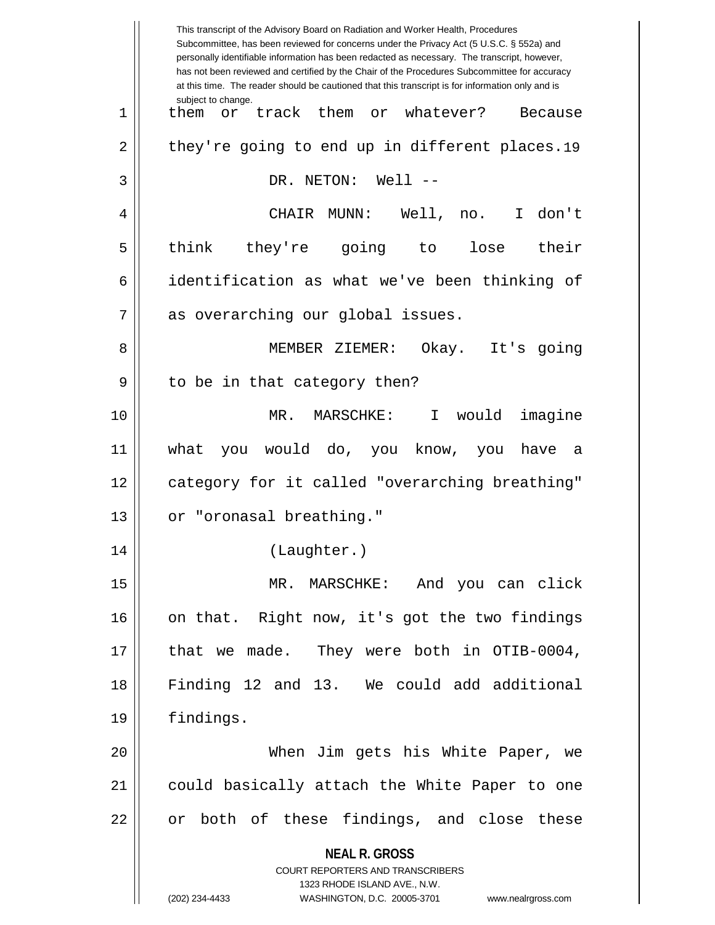**NEAL R. GROSS** COURT REPORTERS AND TRANSCRIBERS 1323 RHODE ISLAND AVE., N.W. (202) 234-4433 WASHINGTON, D.C. 20005-3701 www.nealrgross.com This transcript of the Advisory Board on Radiation and Worker Health, Procedures Subcommittee, has been reviewed for concerns under the Privacy Act (5 U.S.C. § 552a) and personally identifiable information has been redacted as necessary. The transcript, however, has not been reviewed and certified by the Chair of the Procedures Subcommittee for accuracy at this time. The reader should be cautioned that this transcript is for information only and is subject to change. 2 || they're going to end up in different places.19 1 || them or track them or whatever? Because 3 DR. NETON: Well -- 4 CHAIR MUNN: Well, no. I don't 5 || think they're going to lose their 6 | identification as what we've been thinking of 7 || as overarching our global issues. 8 || MEMBER ZIEMER: Okay. It's qoinq  $9 \parallel$  to be in that category then? 10 MR. MARSCHKE: I would imagine 11 what you would do, you know, you have a 12 || category for it called "overarching breathing" 13 || or "oronasal breathing." 14 (Laughter.) 15 MR. MARSCHKE: And you can click 16 || on that. Right now, it's got the two findings 17 || that we made. They were both in OTIB-0004, 18 Finding 12 and 13. We could add additional 19 findings. 20 When Jim gets his White Paper, we 21 could basically attach the White Paper to one  $22$  || or both of these findings, and close these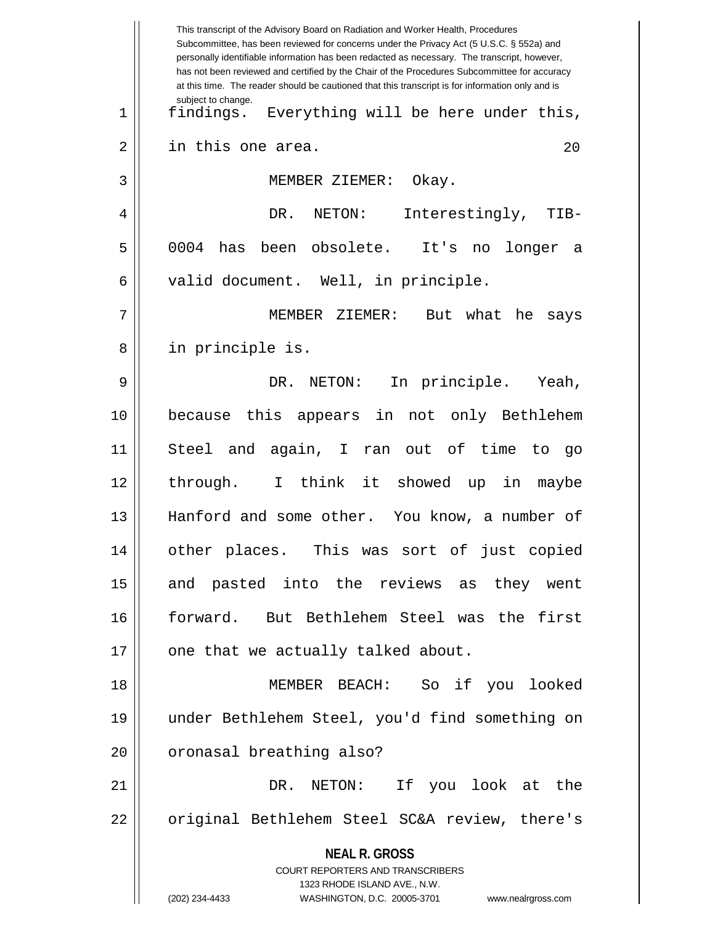|    | This transcript of the Advisory Board on Radiation and Worker Health, Procedures<br>Subcommittee, has been reviewed for concerns under the Privacy Act (5 U.S.C. § 552a) and<br>personally identifiable information has been redacted as necessary. The transcript, however,<br>has not been reviewed and certified by the Chair of the Procedures Subcommittee for accuracy<br>at this time. The reader should be cautioned that this transcript is for information only and is |
|----|----------------------------------------------------------------------------------------------------------------------------------------------------------------------------------------------------------------------------------------------------------------------------------------------------------------------------------------------------------------------------------------------------------------------------------------------------------------------------------|
| 1  | subject to change.<br>Everything will be here under this,<br>findings.                                                                                                                                                                                                                                                                                                                                                                                                           |
| 2  | in this one area.<br>20                                                                                                                                                                                                                                                                                                                                                                                                                                                          |
| 3  | MEMBER ZIEMER:<br>Okay.                                                                                                                                                                                                                                                                                                                                                                                                                                                          |
| 4  | Interestingly,<br>DR.<br>NETON:<br>TIB-                                                                                                                                                                                                                                                                                                                                                                                                                                          |
| 5  | obsolete.<br>0004<br>been<br>It's<br>has<br>longer<br>no<br>a                                                                                                                                                                                                                                                                                                                                                                                                                    |
| 6  | valid document. Well, in principle.                                                                                                                                                                                                                                                                                                                                                                                                                                              |
| 7  | MEMBER ZIEMER:<br>But what he<br>says                                                                                                                                                                                                                                                                                                                                                                                                                                            |
| 8  | in principle is.                                                                                                                                                                                                                                                                                                                                                                                                                                                                 |
| 9  | In principle. Yeah,<br>NETON:<br>DR.                                                                                                                                                                                                                                                                                                                                                                                                                                             |
| 10 | because this appears in not only Bethlehem                                                                                                                                                                                                                                                                                                                                                                                                                                       |
| 11 | and again, I ran out of time<br>Steel<br>to<br>go                                                                                                                                                                                                                                                                                                                                                                                                                                |
| 12 | I think it showed up in<br>through.<br>maybe                                                                                                                                                                                                                                                                                                                                                                                                                                     |
| 13 | Hanford and some other. You know, a number of                                                                                                                                                                                                                                                                                                                                                                                                                                    |
| 14 | other places. This was sort of just copied                                                                                                                                                                                                                                                                                                                                                                                                                                       |
| 15 | and pasted into the reviews as they went                                                                                                                                                                                                                                                                                                                                                                                                                                         |
| 16 | forward. But Bethlehem Steel was the first                                                                                                                                                                                                                                                                                                                                                                                                                                       |
| 17 | one that we actually talked about.                                                                                                                                                                                                                                                                                                                                                                                                                                               |
| 18 | MEMBER BEACH: So if you looked                                                                                                                                                                                                                                                                                                                                                                                                                                                   |
| 19 | under Bethlehem Steel, you'd find something on                                                                                                                                                                                                                                                                                                                                                                                                                                   |
| 20 | oronasal breathing also?                                                                                                                                                                                                                                                                                                                                                                                                                                                         |
| 21 | DR. NETON: If you look at the                                                                                                                                                                                                                                                                                                                                                                                                                                                    |
| 22 | original Bethlehem Steel SC&A review, there's                                                                                                                                                                                                                                                                                                                                                                                                                                    |
|    | <b>NEAL R. GROSS</b><br>COURT REPORTERS AND TRANSCRIBERS<br>1323 RHODE ISLAND AVE., N.W.<br>(202) 234-4433<br>WASHINGTON, D.C. 20005-3701<br>www.nealrgross.com                                                                                                                                                                                                                                                                                                                  |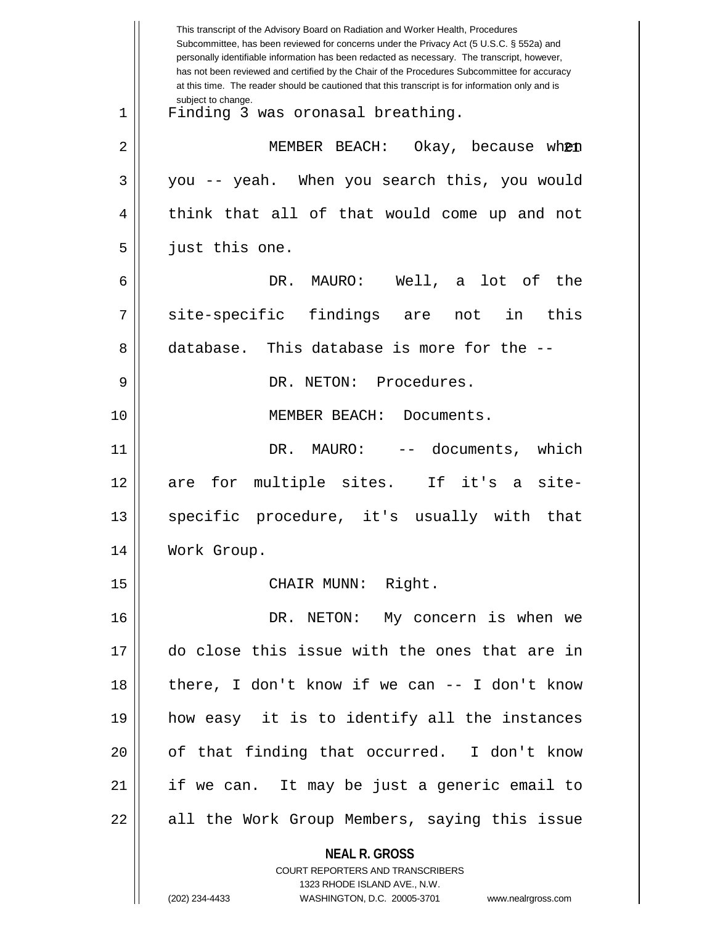|    | This transcript of the Advisory Board on Radiation and Worker Health, Procedures<br>Subcommittee, has been reviewed for concerns under the Privacy Act (5 U.S.C. § 552a) and<br>personally identifiable information has been redacted as necessary. The transcript, however,<br>has not been reviewed and certified by the Chair of the Procedures Subcommittee for accuracy<br>at this time. The reader should be cautioned that this transcript is for information only and is |
|----|----------------------------------------------------------------------------------------------------------------------------------------------------------------------------------------------------------------------------------------------------------------------------------------------------------------------------------------------------------------------------------------------------------------------------------------------------------------------------------|
| 1  | subject to change.<br>Finding 3 was oronasal breathing.                                                                                                                                                                                                                                                                                                                                                                                                                          |
| 2  | MEMBER BEACH:<br>Okay, because wh <b>@n</b>                                                                                                                                                                                                                                                                                                                                                                                                                                      |
| 3  | you -- yeah. When you search this, you would                                                                                                                                                                                                                                                                                                                                                                                                                                     |
| 4  | think that all of that would come up and not                                                                                                                                                                                                                                                                                                                                                                                                                                     |
| 5  | just this one.                                                                                                                                                                                                                                                                                                                                                                                                                                                                   |
| 6  | DR. MAURO: Well, a lot of<br>the                                                                                                                                                                                                                                                                                                                                                                                                                                                 |
| 7  | site-specific findings are not in<br>this                                                                                                                                                                                                                                                                                                                                                                                                                                        |
| 8  | database. This database is more for the --                                                                                                                                                                                                                                                                                                                                                                                                                                       |
| 9  | DR. NETON: Procedures.                                                                                                                                                                                                                                                                                                                                                                                                                                                           |
| 10 | MEMBER BEACH:<br>Documents.                                                                                                                                                                                                                                                                                                                                                                                                                                                      |
| 11 | DR. MAURO:<br>-- documents,<br>which                                                                                                                                                                                                                                                                                                                                                                                                                                             |
| 12 | multiple sites. If it's a site-<br>are for                                                                                                                                                                                                                                                                                                                                                                                                                                       |
| 13 | specific procedure, it's usually with<br>that                                                                                                                                                                                                                                                                                                                                                                                                                                    |
| 14 | Work Group.                                                                                                                                                                                                                                                                                                                                                                                                                                                                      |
| 15 | CHAIR MUNN: Right.                                                                                                                                                                                                                                                                                                                                                                                                                                                               |
| 16 | DR. NETON: My concern is when we                                                                                                                                                                                                                                                                                                                                                                                                                                                 |
| 17 | do close this issue with the ones that are in                                                                                                                                                                                                                                                                                                                                                                                                                                    |
| 18 | there, I don't know if we can $-$ - I don't know                                                                                                                                                                                                                                                                                                                                                                                                                                 |
| 19 | how easy it is to identify all the instances                                                                                                                                                                                                                                                                                                                                                                                                                                     |
| 20 | of that finding that occurred. I don't know                                                                                                                                                                                                                                                                                                                                                                                                                                      |
| 21 | if we can. It may be just a generic email to                                                                                                                                                                                                                                                                                                                                                                                                                                     |
| 22 | all the Work Group Members, saying this issue                                                                                                                                                                                                                                                                                                                                                                                                                                    |
|    | <b>NEAL R. GROSS</b><br><b>COURT REPORTERS AND TRANSCRIBERS</b><br>1323 RHODE ISLAND AVE., N.W.                                                                                                                                                                                                                                                                                                                                                                                  |
|    | (202) 234-4433<br>WASHINGTON, D.C. 20005-3701<br>www.nealrgross.com                                                                                                                                                                                                                                                                                                                                                                                                              |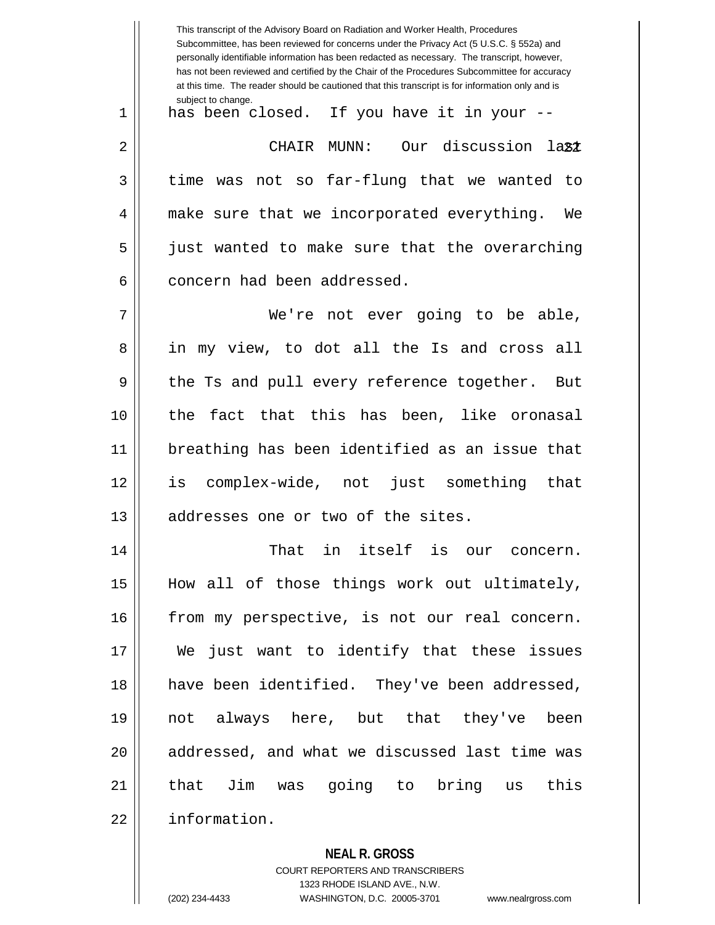This transcript of the Advisory Board on Radiation and Worker Health, Procedures Subcommittee, has been reviewed for concerns under the Privacy Act (5 U.S.C. § 552a) and personally identifiable information has been redacted as necessary. The transcript, however, has not been reviewed and certified by the Chair of the Procedures Subcommittee for accuracy at this time. The reader should be cautioned that this transcript is for information only and is subject to change. 22 2 CHAIR MUNN: Our discussion last 1 || has been closed. If you have it in your -- $3 \parallel$  time was not so far-flung that we wanted to 4 make sure that we incorporated everything. We 5 just wanted to make sure that the overarching 6 concern had been addressed. 7 We're not ever going to be able, 8 || in my view, to dot all the Is and cross all 9 || the Ts and pull every reference together. But 10 the fact that this has been, like oronasal 11 breathing has been identified as an issue that 12 is complex-wide, not just something that 13 || addresses one or two of the sites. 14 That in itself is our concern. 15 How all of those things work out ultimately, 16 | from my perspective, is not our real concern. 17 We just want to identify that these issues 18 || have been identified. They've been addressed, 19 not always here, but that they've been 20 || addressed, and what we discussed last time was 21 that Jim was going to bring us this 22 information.

**NEAL R. GROSS**

COURT REPORTERS AND TRANSCRIBERS 1323 RHODE ISLAND AVE., N.W. (202) 234-4433 WASHINGTON, D.C. 20005-3701 www.nealrgross.com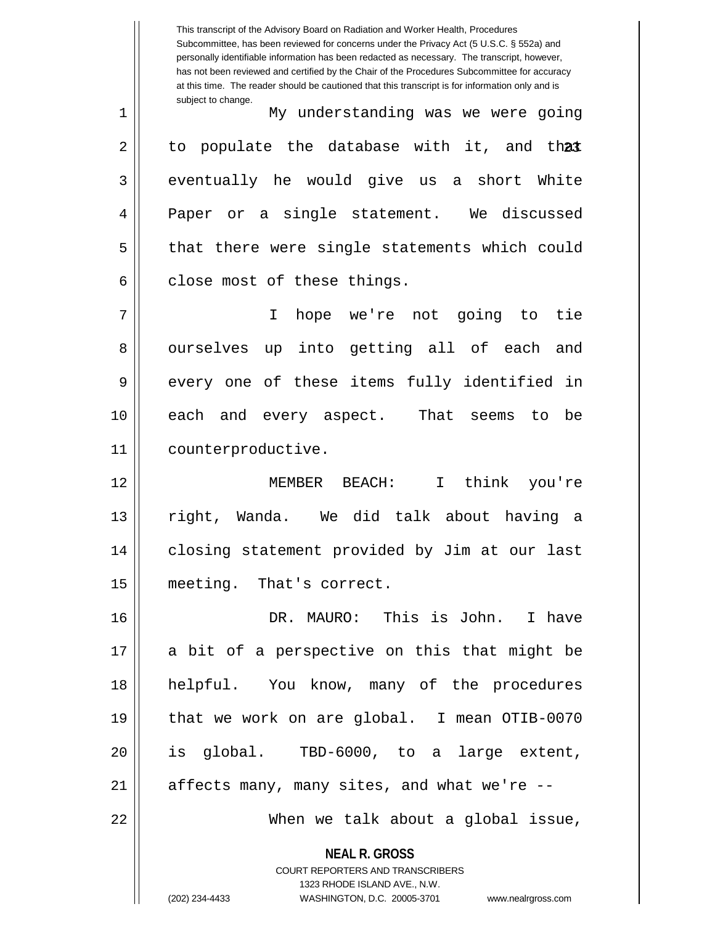**NEAL R. GROSS** COURT REPORTERS AND TRANSCRIBERS 1323 RHODE ISLAND AVE., N.W. This transcript of the Advisory Board on Radiation and Worker Health, Procedures Subcommittee, has been reviewed for concerns under the Privacy Act (5 U.S.C. § 552a) and personally identifiable information has been redacted as necessary. The transcript, however, has not been reviewed and certified by the Chair of the Procedures Subcommittee for accuracy at this time. The reader should be cautioned that this transcript is for information only and is subject to change. 2 || to populate the database with it, and th**at** 1 My understanding was we were going  $3 \parallel$  eventually he would give us a short White 4 Paper or a single statement. We discussed 5 || that there were single statements which could  $6 \parallel$  close most of these things. 7 I hope we're not going to tie 8 || ourselves up into getting all of each and 9 every one of these items fully identified in 10 each and every aspect. That seems to be 11 counterproductive. 12 MEMBER BEACH: I think you're 13 right, Wanda. We did talk about having a 14 closing statement provided by Jim at our last 15 meeting. That's correct. 16 DR. MAURO: This is John. I have 17 || a bit of a perspective on this that might be 18 helpful. You know, many of the procedures 19 that we work on are global. I mean OTIB-0070 20 is global. TBD-6000, to a large extent,  $21$  | affects many, many sites, and what we're  $-$ 22 When we talk about a global issue,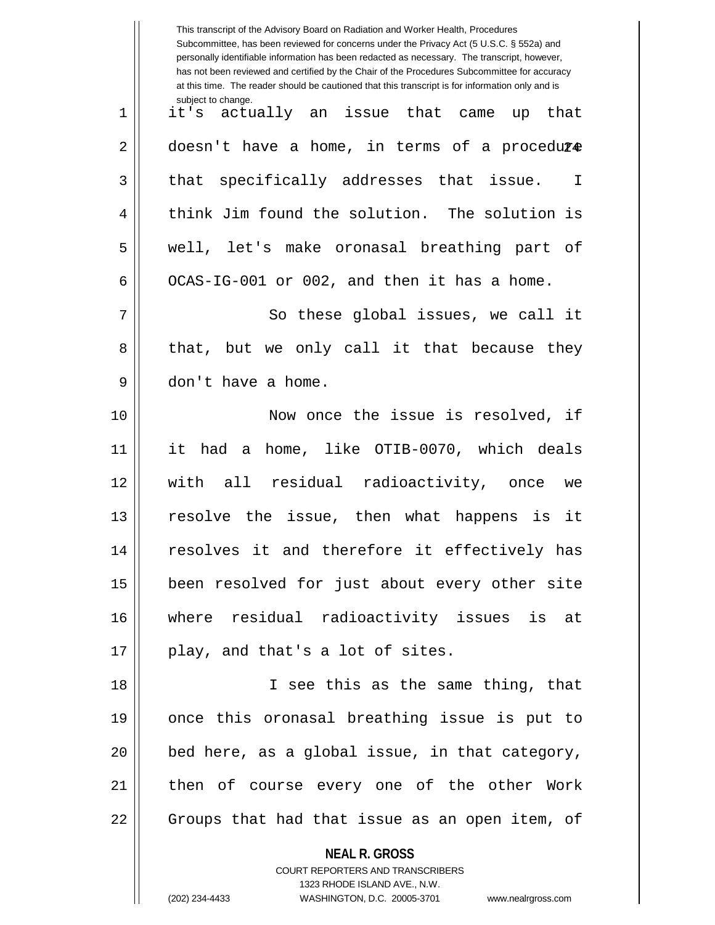|    | This transcript of the Advisory Board on Radiation and Worker Health, Procedures<br>Subcommittee, has been reviewed for concerns under the Privacy Act (5 U.S.C. § 552a) and<br>personally identifiable information has been redacted as necessary. The transcript, however,<br>has not been reviewed and certified by the Chair of the Procedures Subcommittee for accuracy<br>at this time. The reader should be cautioned that this transcript is for information only and is |
|----|----------------------------------------------------------------------------------------------------------------------------------------------------------------------------------------------------------------------------------------------------------------------------------------------------------------------------------------------------------------------------------------------------------------------------------------------------------------------------------|
| 1  | subject to change.<br>it's actually an issue that came up that                                                                                                                                                                                                                                                                                                                                                                                                                   |
| 2  | doesn't have a home, in terms of a procedure                                                                                                                                                                                                                                                                                                                                                                                                                                     |
| 3  | that specifically addresses that issue. I                                                                                                                                                                                                                                                                                                                                                                                                                                        |
| 4  | think Jim found the solution. The solution is                                                                                                                                                                                                                                                                                                                                                                                                                                    |
| 5  | well, let's make oronasal breathing part of                                                                                                                                                                                                                                                                                                                                                                                                                                      |
| 6  | OCAS-IG-001 or 002, and then it has a home.                                                                                                                                                                                                                                                                                                                                                                                                                                      |
| 7  | So these global issues, we call it                                                                                                                                                                                                                                                                                                                                                                                                                                               |
| 8  | that, but we only call it that because they                                                                                                                                                                                                                                                                                                                                                                                                                                      |
| 9  | don't have a home.                                                                                                                                                                                                                                                                                                                                                                                                                                                               |
| 10 | Now once the issue is resolved, if                                                                                                                                                                                                                                                                                                                                                                                                                                               |
| 11 | it had a home, like OTIB-0070, which deals                                                                                                                                                                                                                                                                                                                                                                                                                                       |
| 12 | with all residual radioactivity, once<br>we                                                                                                                                                                                                                                                                                                                                                                                                                                      |
| 13 | resolve the issue, then what happens is it                                                                                                                                                                                                                                                                                                                                                                                                                                       |
| 14 | resolves it and therefore it effectively has                                                                                                                                                                                                                                                                                                                                                                                                                                     |
| 15 | been resolved for just about every other site                                                                                                                                                                                                                                                                                                                                                                                                                                    |
| 16 | where residual radioactivity issues is at                                                                                                                                                                                                                                                                                                                                                                                                                                        |
| 17 | play, and that's a lot of sites.                                                                                                                                                                                                                                                                                                                                                                                                                                                 |
| 18 | I see this as the same thing, that                                                                                                                                                                                                                                                                                                                                                                                                                                               |
| 19 | once this oronasal breathing issue is put to                                                                                                                                                                                                                                                                                                                                                                                                                                     |
| 20 | bed here, as a global issue, in that category,                                                                                                                                                                                                                                                                                                                                                                                                                                   |
| 21 | then of course every one of the other Work                                                                                                                                                                                                                                                                                                                                                                                                                                       |
| 22 | Groups that had that issue as an open item, of                                                                                                                                                                                                                                                                                                                                                                                                                                   |
|    | <b>NEAL R. GROSS</b><br>COURT REPORTERS AND TRANSCRIBERS<br>1323 RHODE ISLAND AVE., N.W.<br>(202) 234-4433<br>WASHINGTON, D.C. 20005-3701<br>www.nealrgross.com                                                                                                                                                                                                                                                                                                                  |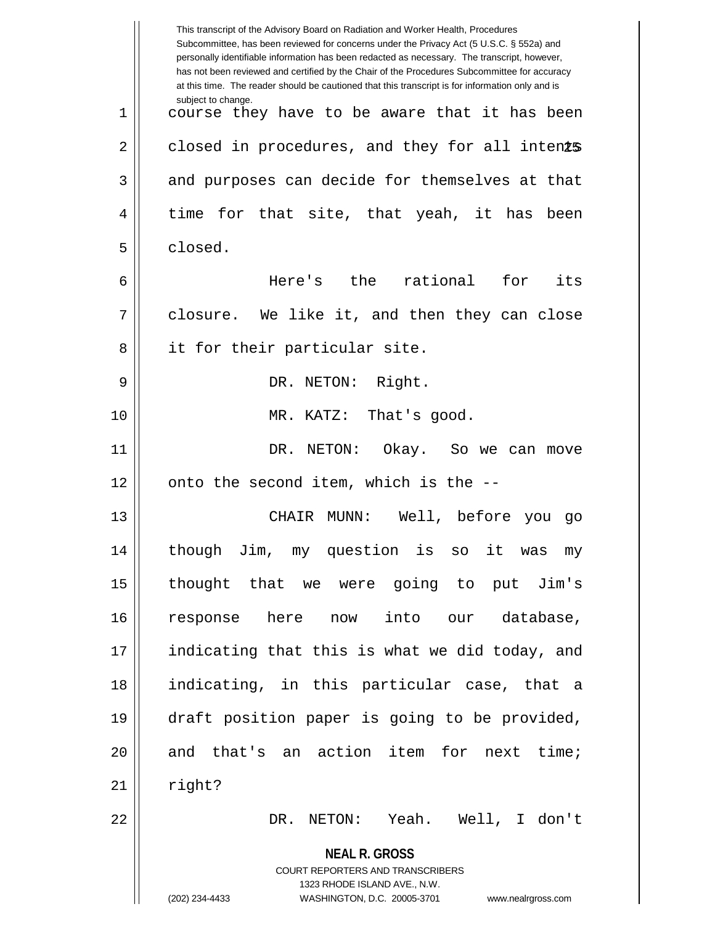|                | This transcript of the Advisory Board on Radiation and Worker Health, Procedures<br>Subcommittee, has been reviewed for concerns under the Privacy Act (5 U.S.C. § 552a) and<br>personally identifiable information has been redacted as necessary. The transcript, however,<br>has not been reviewed and certified by the Chair of the Procedures Subcommittee for accuracy<br>at this time. The reader should be cautioned that this transcript is for information only and is |
|----------------|----------------------------------------------------------------------------------------------------------------------------------------------------------------------------------------------------------------------------------------------------------------------------------------------------------------------------------------------------------------------------------------------------------------------------------------------------------------------------------|
| $\mathbf 1$    | subject to change.<br>course they have to be aware that it has been                                                                                                                                                                                                                                                                                                                                                                                                              |
| $\overline{2}$ | closed in procedures, and they for all intents                                                                                                                                                                                                                                                                                                                                                                                                                                   |
| 3              | and purposes can decide for themselves at that                                                                                                                                                                                                                                                                                                                                                                                                                                   |
| 4              | time for that site, that yeah, it has<br>been                                                                                                                                                                                                                                                                                                                                                                                                                                    |
| 5              | closed.                                                                                                                                                                                                                                                                                                                                                                                                                                                                          |
| 6              | Here's the<br>rational<br>for<br>its                                                                                                                                                                                                                                                                                                                                                                                                                                             |
| 7              | closure. We like it, and then they can close                                                                                                                                                                                                                                                                                                                                                                                                                                     |
| 8              | it for their particular site.                                                                                                                                                                                                                                                                                                                                                                                                                                                    |
| 9              | DR. NETON: Right.                                                                                                                                                                                                                                                                                                                                                                                                                                                                |
| 10             | MR. KATZ:<br>That's good.                                                                                                                                                                                                                                                                                                                                                                                                                                                        |
| 11             | DR. NETON:<br>Okay. So we can move                                                                                                                                                                                                                                                                                                                                                                                                                                               |
| 12             | onto the second item, which is the --                                                                                                                                                                                                                                                                                                                                                                                                                                            |
| 13             | Well, before you go<br>CHAIR<br>MUNN:                                                                                                                                                                                                                                                                                                                                                                                                                                            |
| 14             | though Jim, my question is<br>it was<br>SO<br>my                                                                                                                                                                                                                                                                                                                                                                                                                                 |
| 15             | thought that we were going to put Jim's                                                                                                                                                                                                                                                                                                                                                                                                                                          |
| 16             | into our<br>database,<br>here<br>response<br>now                                                                                                                                                                                                                                                                                                                                                                                                                                 |
| 17             | indicating that this is what we did today, and                                                                                                                                                                                                                                                                                                                                                                                                                                   |
| 18             | indicating, in this particular case, that a                                                                                                                                                                                                                                                                                                                                                                                                                                      |
| 19             | draft position paper is going to be provided,                                                                                                                                                                                                                                                                                                                                                                                                                                    |
| 20             | and that's an action item for next time;                                                                                                                                                                                                                                                                                                                                                                                                                                         |
| 21             | right?                                                                                                                                                                                                                                                                                                                                                                                                                                                                           |
| 22             | NETON: Yeah. Well, I don't<br>DR.                                                                                                                                                                                                                                                                                                                                                                                                                                                |
|                | <b>NEAL R. GROSS</b>                                                                                                                                                                                                                                                                                                                                                                                                                                                             |
|                | COURT REPORTERS AND TRANSCRIBERS                                                                                                                                                                                                                                                                                                                                                                                                                                                 |
|                | 1323 RHODE ISLAND AVE., N.W.<br>(202) 234-4433<br>WASHINGTON, D.C. 20005-3701<br>www.nealrgross.com                                                                                                                                                                                                                                                                                                                                                                              |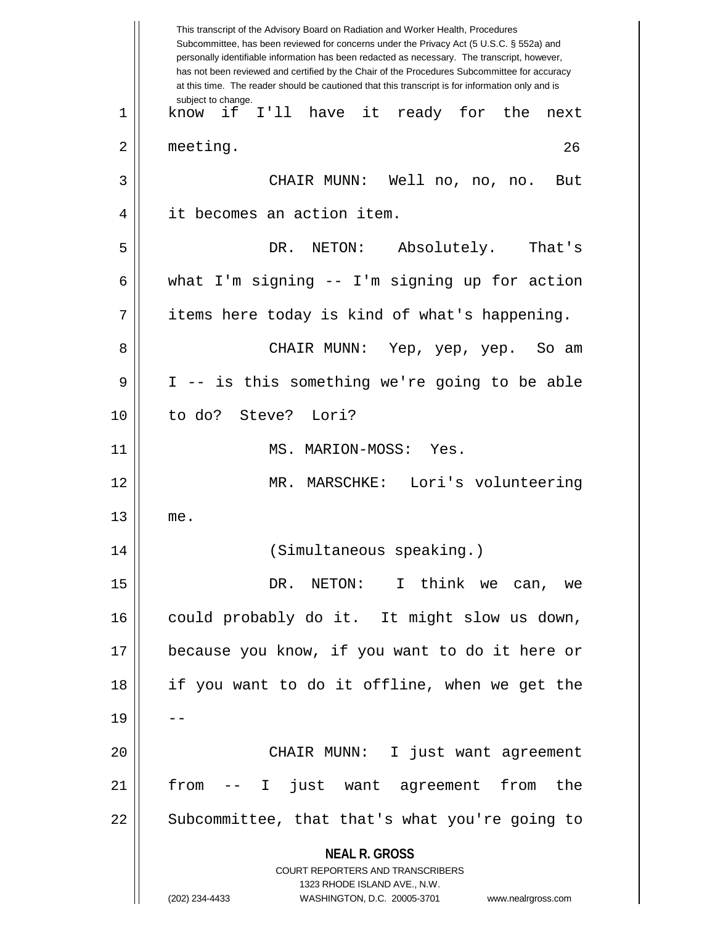|    | This transcript of the Advisory Board on Radiation and Worker Health, Procedures<br>Subcommittee, has been reviewed for concerns under the Privacy Act (5 U.S.C. § 552a) and<br>personally identifiable information has been redacted as necessary. The transcript, however,<br>has not been reviewed and certified by the Chair of the Procedures Subcommittee for accuracy<br>at this time. The reader should be cautioned that this transcript is for information only and is |
|----|----------------------------------------------------------------------------------------------------------------------------------------------------------------------------------------------------------------------------------------------------------------------------------------------------------------------------------------------------------------------------------------------------------------------------------------------------------------------------------|
| 1  | subject to change.<br>I'll have it ready for the<br>if<br>know<br>next                                                                                                                                                                                                                                                                                                                                                                                                           |
| 2  | meeting.<br>26                                                                                                                                                                                                                                                                                                                                                                                                                                                                   |
| 3  | CHAIR MUNN: Well no, no,<br>But<br>no.                                                                                                                                                                                                                                                                                                                                                                                                                                           |
| 4  | it becomes an action item.                                                                                                                                                                                                                                                                                                                                                                                                                                                       |
| 5  | DR. NETON:<br>Absolutely. That's                                                                                                                                                                                                                                                                                                                                                                                                                                                 |
| 6  | what I'm signing -- I'm signing up for action                                                                                                                                                                                                                                                                                                                                                                                                                                    |
| 7  | items here today is kind of what's happening.                                                                                                                                                                                                                                                                                                                                                                                                                                    |
| 8  | CHAIR MUNN: Yep, yep, yep. So am                                                                                                                                                                                                                                                                                                                                                                                                                                                 |
| 9  | I -- is this something we're going to be able                                                                                                                                                                                                                                                                                                                                                                                                                                    |
| 10 | to do? Steve? Lori?                                                                                                                                                                                                                                                                                                                                                                                                                                                              |
| 11 | MS. MARION-MOSS: Yes.                                                                                                                                                                                                                                                                                                                                                                                                                                                            |
| 12 | MR. MARSCHKE: Lori's volunteering                                                                                                                                                                                                                                                                                                                                                                                                                                                |
| 13 | me.                                                                                                                                                                                                                                                                                                                                                                                                                                                                              |
| 14 | (Simultaneous speaking.)                                                                                                                                                                                                                                                                                                                                                                                                                                                         |
| 15 | DR. NETON: I think we can, we                                                                                                                                                                                                                                                                                                                                                                                                                                                    |
| 16 | could probably do it. It might slow us down,                                                                                                                                                                                                                                                                                                                                                                                                                                     |
| 17 | because you know, if you want to do it here or                                                                                                                                                                                                                                                                                                                                                                                                                                   |
| 18 | if you want to do it offline, when we get the                                                                                                                                                                                                                                                                                                                                                                                                                                    |
| 19 |                                                                                                                                                                                                                                                                                                                                                                                                                                                                                  |
| 20 | CHAIR MUNN: I just want agreement                                                                                                                                                                                                                                                                                                                                                                                                                                                |
| 21 | from<br>just want agreement from the<br>$\mathbf{I}$                                                                                                                                                                                                                                                                                                                                                                                                                             |
| 22 | Subcommittee, that that's what you're going to                                                                                                                                                                                                                                                                                                                                                                                                                                   |
|    | <b>NEAL R. GROSS</b><br><b>COURT REPORTERS AND TRANSCRIBERS</b><br>1323 RHODE ISLAND AVE., N.W.<br>WASHINGTON, D.C. 20005-3701<br>(202) 234-4433<br>www.nealrgross.com                                                                                                                                                                                                                                                                                                           |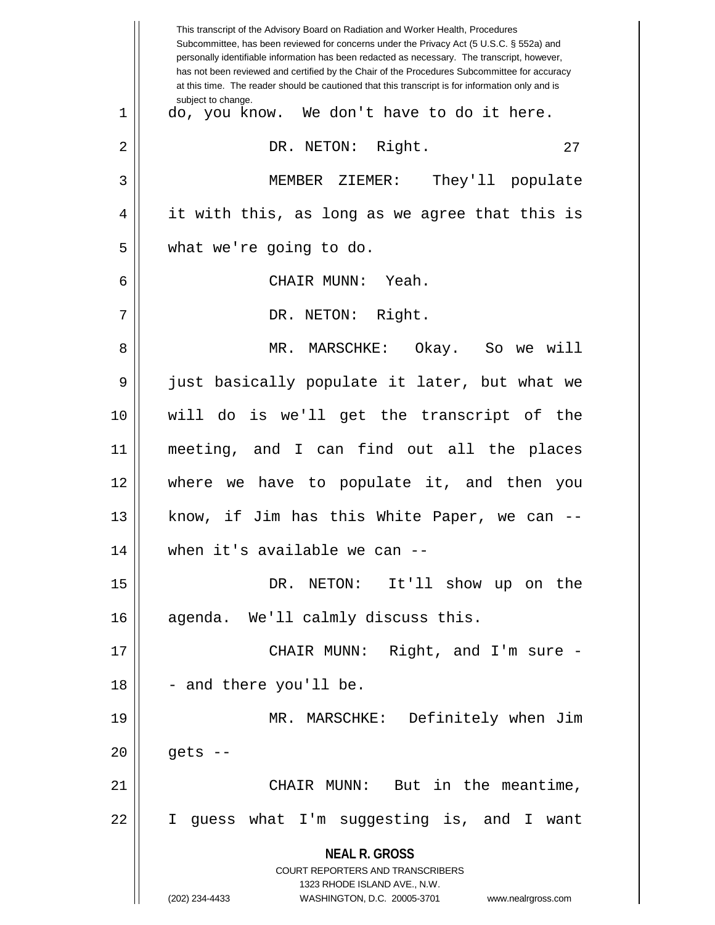|    | This transcript of the Advisory Board on Radiation and Worker Health, Procedures<br>Subcommittee, has been reviewed for concerns under the Privacy Act (5 U.S.C. § 552a) and<br>personally identifiable information has been redacted as necessary. The transcript, however,<br>has not been reviewed and certified by the Chair of the Procedures Subcommittee for accuracy<br>at this time. The reader should be cautioned that this transcript is for information only and is |
|----|----------------------------------------------------------------------------------------------------------------------------------------------------------------------------------------------------------------------------------------------------------------------------------------------------------------------------------------------------------------------------------------------------------------------------------------------------------------------------------|
| 1  | subject to change.<br>do, you know. We don't have to do it here.                                                                                                                                                                                                                                                                                                                                                                                                                 |
| 2  | DR. NETON: Right.<br>27                                                                                                                                                                                                                                                                                                                                                                                                                                                          |
| 3  | MEMBER ZIEMER: They'll populate                                                                                                                                                                                                                                                                                                                                                                                                                                                  |
| 4  | it with this, as long as we agree that this is                                                                                                                                                                                                                                                                                                                                                                                                                                   |
| 5  | what we're going to do.                                                                                                                                                                                                                                                                                                                                                                                                                                                          |
| 6  | CHAIR MUNN: Yeah.                                                                                                                                                                                                                                                                                                                                                                                                                                                                |
| 7  | DR. NETON: Right.                                                                                                                                                                                                                                                                                                                                                                                                                                                                |
| 8  | MR. MARSCHKE: Okay. So we will                                                                                                                                                                                                                                                                                                                                                                                                                                                   |
| 9  | just basically populate it later, but what we                                                                                                                                                                                                                                                                                                                                                                                                                                    |
| 10 | will do is we'll get the transcript of the                                                                                                                                                                                                                                                                                                                                                                                                                                       |
| 11 | meeting, and I can find out all the places                                                                                                                                                                                                                                                                                                                                                                                                                                       |
| 12 | where we have to populate it, and then you                                                                                                                                                                                                                                                                                                                                                                                                                                       |
| 13 | know, if Jim has this White Paper, we can --                                                                                                                                                                                                                                                                                                                                                                                                                                     |
| 14 | when it's available we can $-$                                                                                                                                                                                                                                                                                                                                                                                                                                                   |
| 15 | DR. NETON: It'll show up on the                                                                                                                                                                                                                                                                                                                                                                                                                                                  |
| 16 | agenda. We'll calmly discuss this.                                                                                                                                                                                                                                                                                                                                                                                                                                               |
| 17 | CHAIR MUNN: Right, and I'm sure -                                                                                                                                                                                                                                                                                                                                                                                                                                                |
| 18 | - and there you'll be.                                                                                                                                                                                                                                                                                                                                                                                                                                                           |
| 19 | MR. MARSCHKE: Definitely when Jim                                                                                                                                                                                                                                                                                                                                                                                                                                                |
| 20 | gets --                                                                                                                                                                                                                                                                                                                                                                                                                                                                          |
| 21 | CHAIR MUNN: But in the meantime,                                                                                                                                                                                                                                                                                                                                                                                                                                                 |
| 22 | I guess what I'm suggesting is, and I want                                                                                                                                                                                                                                                                                                                                                                                                                                       |
|    | <b>NEAL R. GROSS</b>                                                                                                                                                                                                                                                                                                                                                                                                                                                             |
|    | <b>COURT REPORTERS AND TRANSCRIBERS</b><br>1323 RHODE ISLAND AVE., N.W.                                                                                                                                                                                                                                                                                                                                                                                                          |
|    | (202) 234-4433<br>WASHINGTON, D.C. 20005-3701<br>www.nealrgross.com                                                                                                                                                                                                                                                                                                                                                                                                              |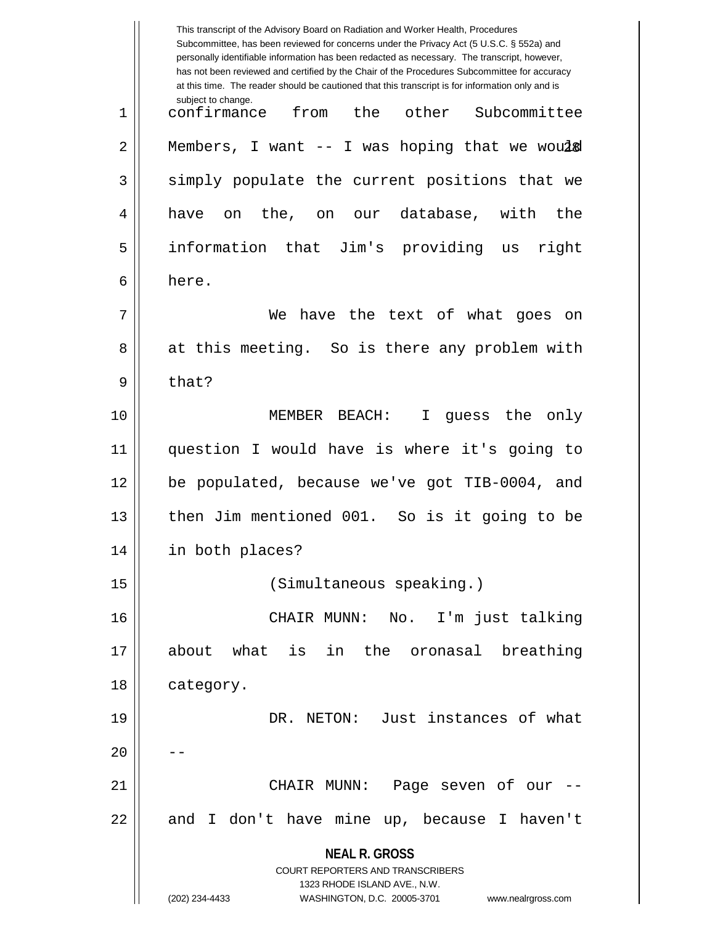|    | This transcript of the Advisory Board on Radiation and Worker Health, Procedures<br>Subcommittee, has been reviewed for concerns under the Privacy Act (5 U.S.C. § 552a) and<br>personally identifiable information has been redacted as necessary. The transcript, however,<br>has not been reviewed and certified by the Chair of the Procedures Subcommittee for accuracy<br>at this time. The reader should be cautioned that this transcript is for information only and is |
|----|----------------------------------------------------------------------------------------------------------------------------------------------------------------------------------------------------------------------------------------------------------------------------------------------------------------------------------------------------------------------------------------------------------------------------------------------------------------------------------|
| 1  | subject to change.<br>confirmance<br>from<br>the<br>other<br>Subcommittee                                                                                                                                                                                                                                                                                                                                                                                                        |
| 2  | Members, I want $-$ - I was hoping that we woul&                                                                                                                                                                                                                                                                                                                                                                                                                                 |
| 3  | simply populate the current positions that we                                                                                                                                                                                                                                                                                                                                                                                                                                    |
| 4  | the, on<br>our database,<br>with<br>the<br>have<br>on                                                                                                                                                                                                                                                                                                                                                                                                                            |
| 5  | information that Jim's providing us<br>right                                                                                                                                                                                                                                                                                                                                                                                                                                     |
| 6  | here.                                                                                                                                                                                                                                                                                                                                                                                                                                                                            |
| 7  | have the text of what<br>We<br>goes<br>on                                                                                                                                                                                                                                                                                                                                                                                                                                        |
| 8  | at this meeting. So is there any problem with                                                                                                                                                                                                                                                                                                                                                                                                                                    |
| 9  | that?                                                                                                                                                                                                                                                                                                                                                                                                                                                                            |
| 10 | guess the<br>MEMBER BEACH:<br>only<br>I.                                                                                                                                                                                                                                                                                                                                                                                                                                         |
| 11 | question I would have is where it's going to                                                                                                                                                                                                                                                                                                                                                                                                                                     |
| 12 | be populated, because we've got TIB-0004, and                                                                                                                                                                                                                                                                                                                                                                                                                                    |
| 13 | then Jim mentioned 001. So is it going to be                                                                                                                                                                                                                                                                                                                                                                                                                                     |
| 14 | in both places?                                                                                                                                                                                                                                                                                                                                                                                                                                                                  |
| 15 | (Simultaneous speaking.)                                                                                                                                                                                                                                                                                                                                                                                                                                                         |
| 16 | CHAIR MUNN: No. I'm just talking                                                                                                                                                                                                                                                                                                                                                                                                                                                 |
| 17 | is in the oronasal breathing<br>about what                                                                                                                                                                                                                                                                                                                                                                                                                                       |
| 18 | category.                                                                                                                                                                                                                                                                                                                                                                                                                                                                        |
| 19 | DR. NETON: Just instances of what                                                                                                                                                                                                                                                                                                                                                                                                                                                |
| 20 |                                                                                                                                                                                                                                                                                                                                                                                                                                                                                  |
| 21 | CHAIR MUNN: Page seven of our --                                                                                                                                                                                                                                                                                                                                                                                                                                                 |
| 22 | and I don't have mine up, because I haven't                                                                                                                                                                                                                                                                                                                                                                                                                                      |
|    | <b>NEAL R. GROSS</b>                                                                                                                                                                                                                                                                                                                                                                                                                                                             |
|    | <b>COURT REPORTERS AND TRANSCRIBERS</b><br>1323 RHODE ISLAND AVE., N.W.                                                                                                                                                                                                                                                                                                                                                                                                          |
|    | (202) 234-4433<br>WASHINGTON, D.C. 20005-3701<br>www.nealrgross.com                                                                                                                                                                                                                                                                                                                                                                                                              |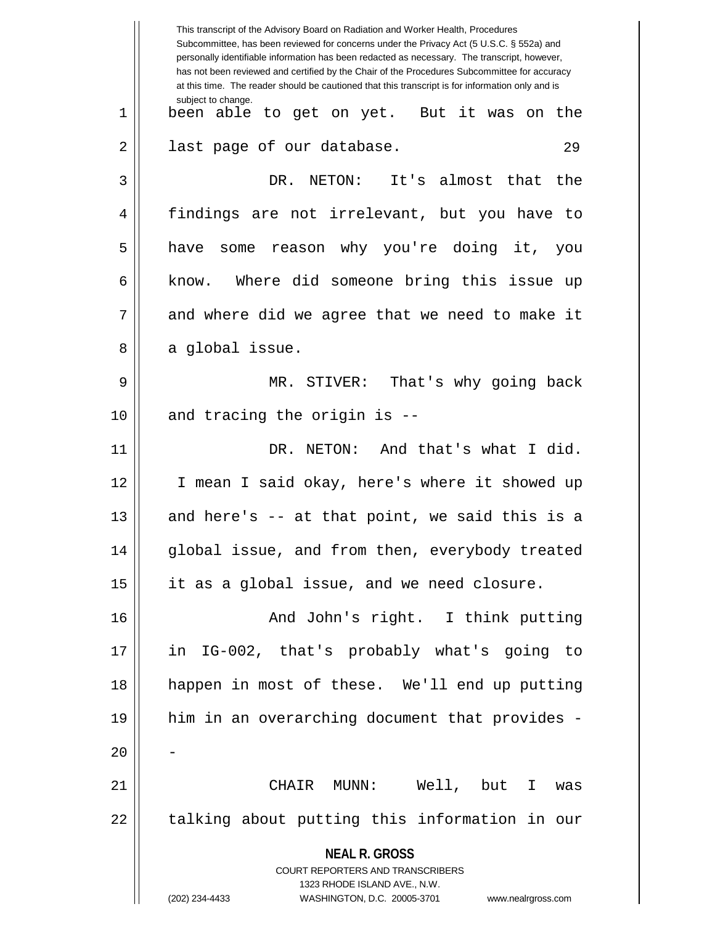|    | This transcript of the Advisory Board on Radiation and Worker Health, Procedures<br>Subcommittee, has been reviewed for concerns under the Privacy Act (5 U.S.C. § 552a) and<br>personally identifiable information has been redacted as necessary. The transcript, however,<br>has not been reviewed and certified by the Chair of the Procedures Subcommittee for accuracy<br>at this time. The reader should be cautioned that this transcript is for information only and is |
|----|----------------------------------------------------------------------------------------------------------------------------------------------------------------------------------------------------------------------------------------------------------------------------------------------------------------------------------------------------------------------------------------------------------------------------------------------------------------------------------|
| 1  | subject to change.<br>been able to get on yet. But it was on the                                                                                                                                                                                                                                                                                                                                                                                                                 |
| 2  | last page of our database.<br>29                                                                                                                                                                                                                                                                                                                                                                                                                                                 |
| 3  | DR. NETON: It's almost that the                                                                                                                                                                                                                                                                                                                                                                                                                                                  |
| 4  | findings are not irrelevant, but you have to                                                                                                                                                                                                                                                                                                                                                                                                                                     |
| 5  | have some reason why you're doing it, you                                                                                                                                                                                                                                                                                                                                                                                                                                        |
| 6  | know. Where did someone bring this issue up                                                                                                                                                                                                                                                                                                                                                                                                                                      |
| 7  | and where did we agree that we need to make it                                                                                                                                                                                                                                                                                                                                                                                                                                   |
| 8  | a global issue.                                                                                                                                                                                                                                                                                                                                                                                                                                                                  |
| 9  | MR. STIVER: That's why going back                                                                                                                                                                                                                                                                                                                                                                                                                                                |
| 10 | and tracing the origin is --                                                                                                                                                                                                                                                                                                                                                                                                                                                     |
| 11 | DR. NETON: And that's what I did.                                                                                                                                                                                                                                                                                                                                                                                                                                                |
| 12 | I mean I said okay, here's where it showed up                                                                                                                                                                                                                                                                                                                                                                                                                                    |
| 13 | and here's -- at that point, we said this is a                                                                                                                                                                                                                                                                                                                                                                                                                                   |
| 14 | global issue, and from then, everybody treated                                                                                                                                                                                                                                                                                                                                                                                                                                   |
| 15 | it as a global issue, and we need closure.                                                                                                                                                                                                                                                                                                                                                                                                                                       |
| 16 | And John's right. I think putting                                                                                                                                                                                                                                                                                                                                                                                                                                                |
| 17 | in IG-002, that's probably what's going to                                                                                                                                                                                                                                                                                                                                                                                                                                       |
| 18 | happen in most of these. We'll end up putting                                                                                                                                                                                                                                                                                                                                                                                                                                    |
| 19 | him in an overarching document that provides -                                                                                                                                                                                                                                                                                                                                                                                                                                   |
| 20 |                                                                                                                                                                                                                                                                                                                                                                                                                                                                                  |
| 21 | CHAIR MUNN: Well, but I<br>was                                                                                                                                                                                                                                                                                                                                                                                                                                                   |
| 22 | talking about putting this information in our                                                                                                                                                                                                                                                                                                                                                                                                                                    |
|    | <b>NEAL R. GROSS</b><br><b>COURT REPORTERS AND TRANSCRIBERS</b>                                                                                                                                                                                                                                                                                                                                                                                                                  |
|    | 1323 RHODE ISLAND AVE., N.W.<br>(202) 234-4433<br>WASHINGTON, D.C. 20005-3701 www.nealrgross.com                                                                                                                                                                                                                                                                                                                                                                                 |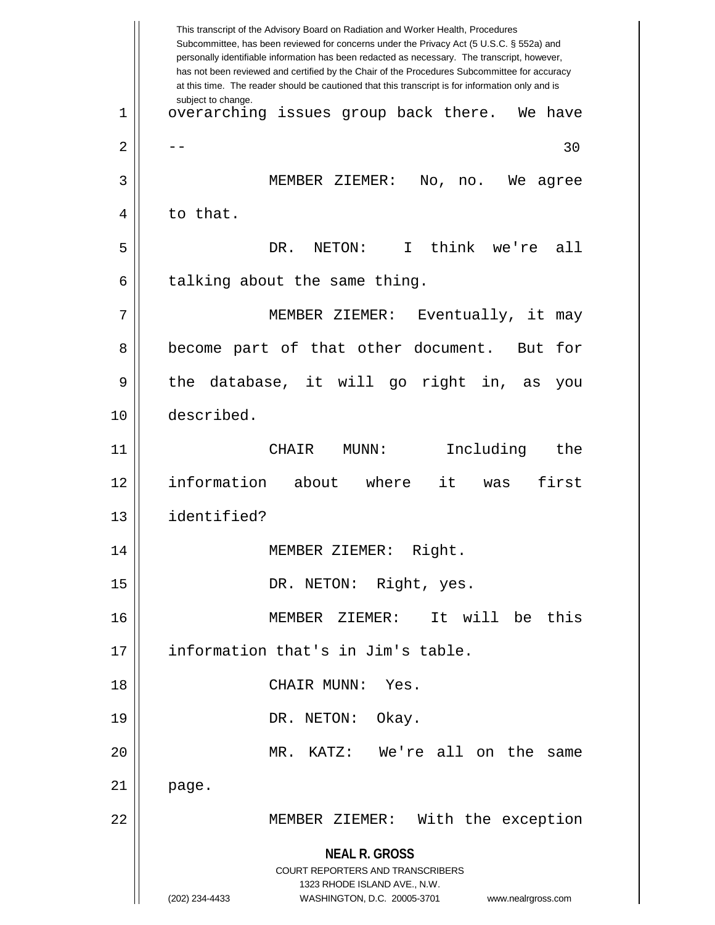**NEAL R. GROSS** COURT REPORTERS AND TRANSCRIBERS 1323 RHODE ISLAND AVE., N.W. (202) 234-4433 WASHINGTON, D.C. 20005-3701 www.nealrgross.com This transcript of the Advisory Board on Radiation and Worker Health, Procedures Subcommittee, has been reviewed for concerns under the Privacy Act (5 U.S.C. § 552a) and personally identifiable information has been redacted as necessary. The transcript, however, has not been reviewed and certified by the Chair of the Procedures Subcommittee for accuracy at this time. The reader should be cautioned that this transcript is for information only and is subject to change. 30 1 || overarching issues group back there. We have  $2 \parallel - -$ 3 MEMBER ZIEMER: No, no. We agree 4 || to that. 5 DR. NETON: I think we're all  $6$  || talking about the same thing. 7 || MEMBER ZIEMER: Eventually, it may 8 || become part of that other document. But for 9 the database, it will go right in, as you 10 described. 11 CHAIR MUNN: Including the 12 information about where it was first 13 identified? 14 MEMBER ZIEMER: Right. 15 || DR. NETON: Right, yes. 16 MEMBER ZIEMER: It will be this 17 || information that's in Jim's table. 18 CHAIR MUNN: Yes. 19 || DR. NETON: Okay. 20 MR. KATZ: We're all on the same  $21 \parallel$  page. 22 MEMBER ZIEMER: With the exception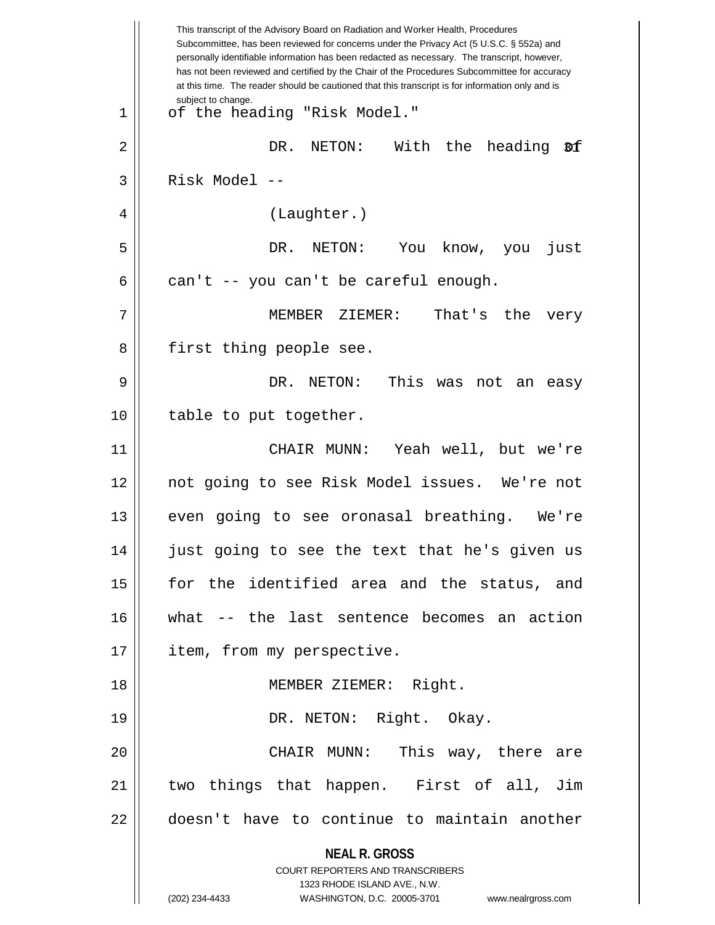| This transcript of the Advisory Board on Radiation and Worker Health, Procedures<br>Subcommittee, has been reviewed for concerns under the Privacy Act (5 U.S.C. § 552a) and<br>personally identifiable information has been redacted as necessary. The transcript, however,<br>has not been reviewed and certified by the Chair of the Procedures Subcommittee for accuracy<br>at this time. The reader should be cautioned that this transcript is for information only and is |
|----------------------------------------------------------------------------------------------------------------------------------------------------------------------------------------------------------------------------------------------------------------------------------------------------------------------------------------------------------------------------------------------------------------------------------------------------------------------------------|
| subject to change.<br>of the heading "Risk Model."                                                                                                                                                                                                                                                                                                                                                                                                                               |
| DR.<br>NETON:<br>With<br>the<br>heading<br>ØÍ                                                                                                                                                                                                                                                                                                                                                                                                                                    |
| Risk Model --                                                                                                                                                                                                                                                                                                                                                                                                                                                                    |
| (Laughter.)                                                                                                                                                                                                                                                                                                                                                                                                                                                                      |
| DR.<br>NETON:<br>You<br>just<br>know, you                                                                                                                                                                                                                                                                                                                                                                                                                                        |
| can't -- you can't be careful enough.                                                                                                                                                                                                                                                                                                                                                                                                                                            |
| MEMBER ZIEMER:<br>That's the<br>very                                                                                                                                                                                                                                                                                                                                                                                                                                             |
| first thing people see.                                                                                                                                                                                                                                                                                                                                                                                                                                                          |
| This<br>DR.<br>NETON:<br>was<br>not<br>an<br>easy                                                                                                                                                                                                                                                                                                                                                                                                                                |
| table to put together.                                                                                                                                                                                                                                                                                                                                                                                                                                                           |
| Yeah well, but we're<br>CHAIR MUNN:                                                                                                                                                                                                                                                                                                                                                                                                                                              |
| not going to see Risk Model issues. We're not                                                                                                                                                                                                                                                                                                                                                                                                                                    |
| even going to see oronasal breathing.<br>We're                                                                                                                                                                                                                                                                                                                                                                                                                                   |
| just going to see the text that he's given us                                                                                                                                                                                                                                                                                                                                                                                                                                    |
| for the identified area and the status, and                                                                                                                                                                                                                                                                                                                                                                                                                                      |
| what -- the last sentence becomes an action                                                                                                                                                                                                                                                                                                                                                                                                                                      |
| item, from my perspective.                                                                                                                                                                                                                                                                                                                                                                                                                                                       |
| MEMBER ZIEMER: Right.                                                                                                                                                                                                                                                                                                                                                                                                                                                            |
| DR. NETON: Right. Okay.                                                                                                                                                                                                                                                                                                                                                                                                                                                          |
| CHAIR MUNN: This way, there are                                                                                                                                                                                                                                                                                                                                                                                                                                                  |
| two things that happen. First of all, Jim                                                                                                                                                                                                                                                                                                                                                                                                                                        |
| doesn't have to continue to maintain another                                                                                                                                                                                                                                                                                                                                                                                                                                     |
| <b>NEAL R. GROSS</b><br>COURT REPORTERS AND TRANSCRIBERS<br>1323 RHODE ISLAND AVE., N.W.<br>(202) 234-4433<br>WASHINGTON, D.C. 20005-3701 www.nealrgross.com                                                                                                                                                                                                                                                                                                                     |
|                                                                                                                                                                                                                                                                                                                                                                                                                                                                                  |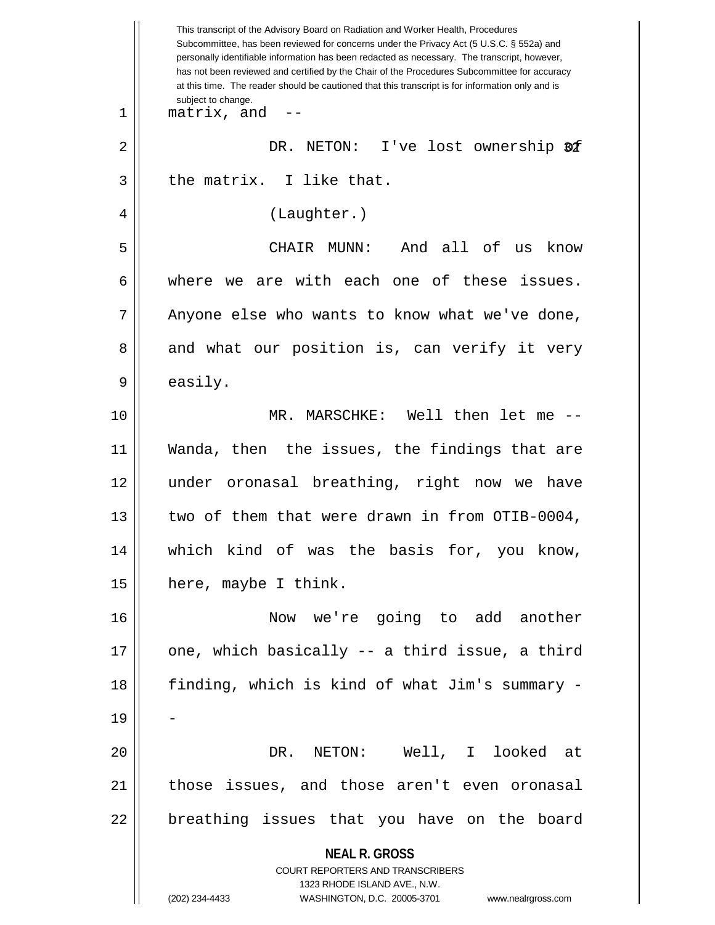**NEAL R. GROSS** COURT REPORTERS AND TRANSCRIBERS 1323 RHODE ISLAND AVE., N.W. (202) 234-4433 WASHINGTON, D.C. 20005-3701 www.nealrgross.com This transcript of the Advisory Board on Radiation and Worker Health, Procedures Subcommittee, has been reviewed for concerns under the Privacy Act (5 U.S.C. § 552a) and personally identifiable information has been redacted as necessary. The transcript, however, has not been reviewed and certified by the Chair of the Procedures Subcommittee for accuracy at this time. The reader should be cautioned that this transcript is for information only and is subject to change. 32 2 DR. NETON: I've lost ownership of  $1 \parallel$  matrix, and  $-$ 3 || the matrix. I like that. 4 | (Laughter.) 5 CHAIR MUNN: And all of us know  $6 \parallel$  where we are with each one of these issues.  $7 \parallel$  Anyone else who wants to know what we've done, 8 and what our position is, can verify it very  $9 \parallel$  easily. 10 MR. MARSCHKE: Well then let me -- 11 Wanda, then the issues, the findings that are 12 under oronasal breathing, right now we have 13 || two of them that were drawn in from OTIB-0004, 14 which kind of was the basis for, you know, 15 | here, maybe I think. 16 Now we're going to add another  $17$  || one, which basically -- a third issue, a third 18 finding, which is kind of what Jim's summary - 19 20 DR. NETON: Well, I looked at 21 || those issues, and those aren't even oronasal 22 || breathing issues that you have on the board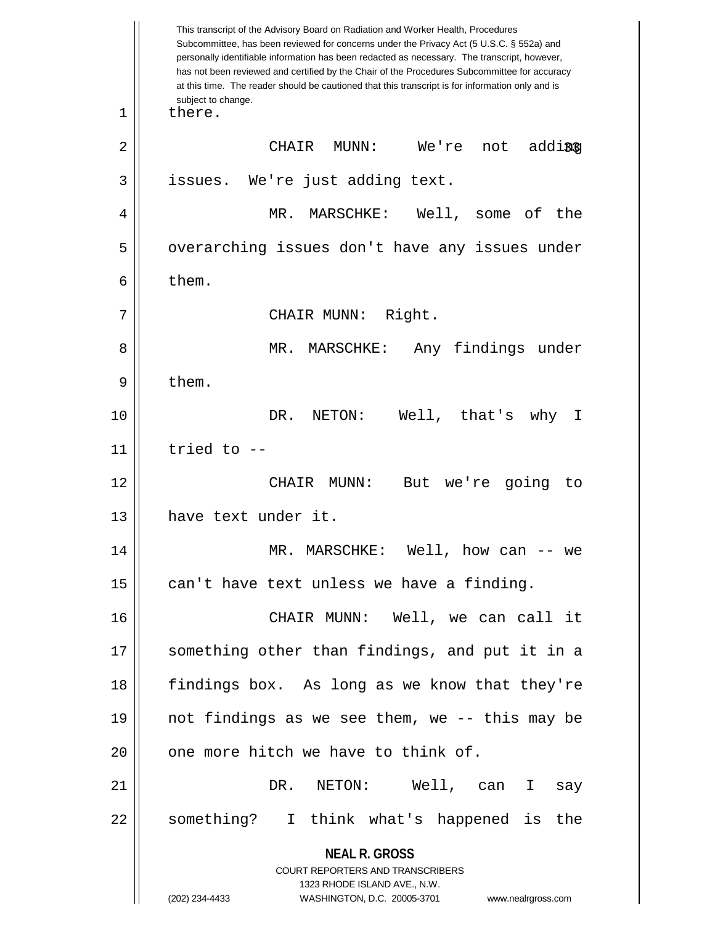**NEAL R. GROSS** COURT REPORTERS AND TRANSCRIBERS 1323 RHODE ISLAND AVE., N.W. (202) 234-4433 WASHINGTON, D.C. 20005-3701 www.nealrgross.com This transcript of the Advisory Board on Radiation and Worker Health, Procedures Subcommittee, has been reviewed for concerns under the Privacy Act (5 U.S.C. § 552a) and personally identifiable information has been redacted as necessary. The transcript, however, has not been reviewed and certified by the Chair of the Procedures Subcommittee for accuracy at this time. The reader should be cautioned that this transcript is for information only and is subject to change. adding 1 | there. 2 CHAIR MUNN: We're not adding  $3$  | issues. We're just adding text. 4 MR. MARSCHKE: Well, some of the 5 || overarching issues don't have any issues under  $6 \parallel$  them. 7 || CHAIR MUNN: Right. 8 MR. MARSCHKE: Any findings under  $9 \parallel$  them. 10 DR. NETON: Well, that's why I  $11$  | tried to  $-$ 12 || CHAIR MUNN: But we're going to 13 | have text under it. 14 MR. MARSCHKE: Well, how can -- we  $15$  | can't have text unless we have a finding. 16 CHAIR MUNN: Well, we can call it 17 || something other than findings, and put it in a 18 findings box. As long as we know that they're 19 not findings as we see them, we -- this may be  $20$  | one more hitch we have to think of. 21 DR. NETON: Well, can I say 22 || something? I think what's happened is the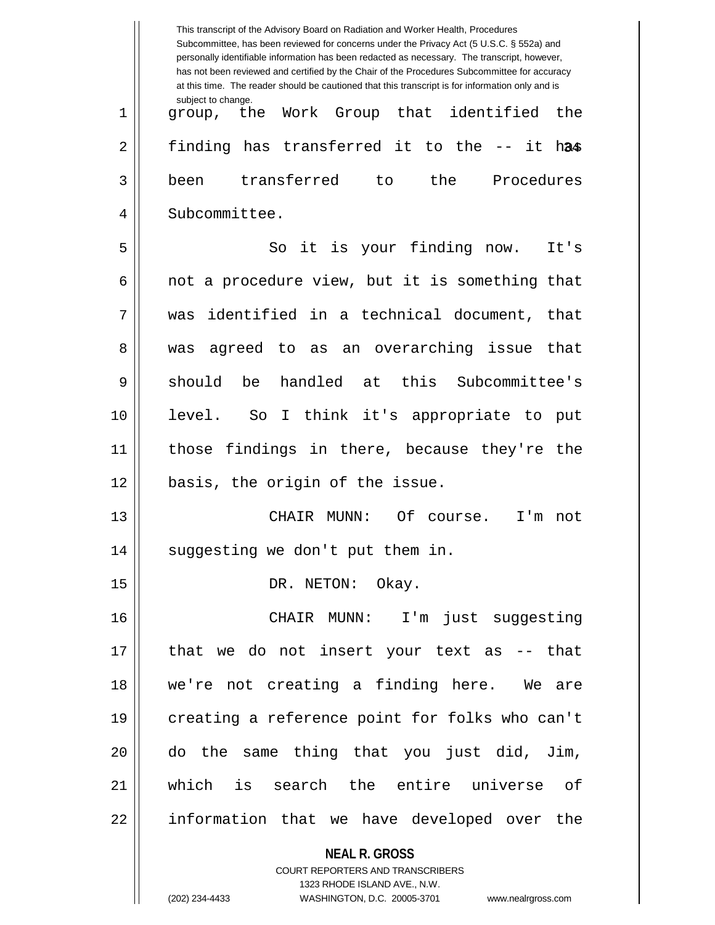|    | This transcript of the Advisory Board on Radiation and Worker Health, Procedures<br>Subcommittee, has been reviewed for concerns under the Privacy Act (5 U.S.C. § 552a) and<br>personally identifiable information has been redacted as necessary. The transcript, however,<br>has not been reviewed and certified by the Chair of the Procedures Subcommittee for accuracy<br>at this time. The reader should be cautioned that this transcript is for information only and is |
|----|----------------------------------------------------------------------------------------------------------------------------------------------------------------------------------------------------------------------------------------------------------------------------------------------------------------------------------------------------------------------------------------------------------------------------------------------------------------------------------|
| 1  | subject to change.<br>Work Group that identified<br>the<br>group, the                                                                                                                                                                                                                                                                                                                                                                                                            |
| 2  | finding has transferred it to the -- it has                                                                                                                                                                                                                                                                                                                                                                                                                                      |
| 3  | transferred<br>the<br>Procedures<br>been<br>to                                                                                                                                                                                                                                                                                                                                                                                                                                   |
| 4  | Subcommittee.                                                                                                                                                                                                                                                                                                                                                                                                                                                                    |
| 5  | So it is your finding now.<br>It's                                                                                                                                                                                                                                                                                                                                                                                                                                               |
| 6  | not a procedure view, but it is something that                                                                                                                                                                                                                                                                                                                                                                                                                                   |
| 7  | identified in a technical document, that<br>was                                                                                                                                                                                                                                                                                                                                                                                                                                  |
| 8  | agreed to as an overarching issue<br>that<br>was                                                                                                                                                                                                                                                                                                                                                                                                                                 |
| 9  | handled at this Subcommittee's<br>should<br>be                                                                                                                                                                                                                                                                                                                                                                                                                                   |
| 10 | I think it's appropriate to put<br>level.<br>So                                                                                                                                                                                                                                                                                                                                                                                                                                  |
| 11 | those findings in there, because they're the                                                                                                                                                                                                                                                                                                                                                                                                                                     |
| 12 | basis, the origin of the issue.                                                                                                                                                                                                                                                                                                                                                                                                                                                  |
| 13 | CHAIR MUNN:<br>Of<br>I'm<br>course.<br>not                                                                                                                                                                                                                                                                                                                                                                                                                                       |
| 14 | suggesting we don't put them in.                                                                                                                                                                                                                                                                                                                                                                                                                                                 |
| 15 | DR. NETON: Okay.                                                                                                                                                                                                                                                                                                                                                                                                                                                                 |
| 16 | CHAIR MUNN: I'm just suggesting                                                                                                                                                                                                                                                                                                                                                                                                                                                  |
| 17 | that we do not insert your text as -- that                                                                                                                                                                                                                                                                                                                                                                                                                                       |
| 18 | we're not creating a finding here. We are                                                                                                                                                                                                                                                                                                                                                                                                                                        |
| 19 | creating a reference point for folks who can't                                                                                                                                                                                                                                                                                                                                                                                                                                   |
| 20 | do the same thing that you just did, Jim,                                                                                                                                                                                                                                                                                                                                                                                                                                        |
| 21 | which is search the entire universe of                                                                                                                                                                                                                                                                                                                                                                                                                                           |
| 22 | information that we have developed over the                                                                                                                                                                                                                                                                                                                                                                                                                                      |
|    | <b>NEAL R. GROSS</b><br>COURT REPORTERS AND TRANSCRIBERS                                                                                                                                                                                                                                                                                                                                                                                                                         |
|    | 1323 RHODE ISLAND AVE., N.W.<br>(202) 234-4433<br>WASHINGTON, D.C. 20005-3701<br>www.nealrgross.com                                                                                                                                                                                                                                                                                                                                                                              |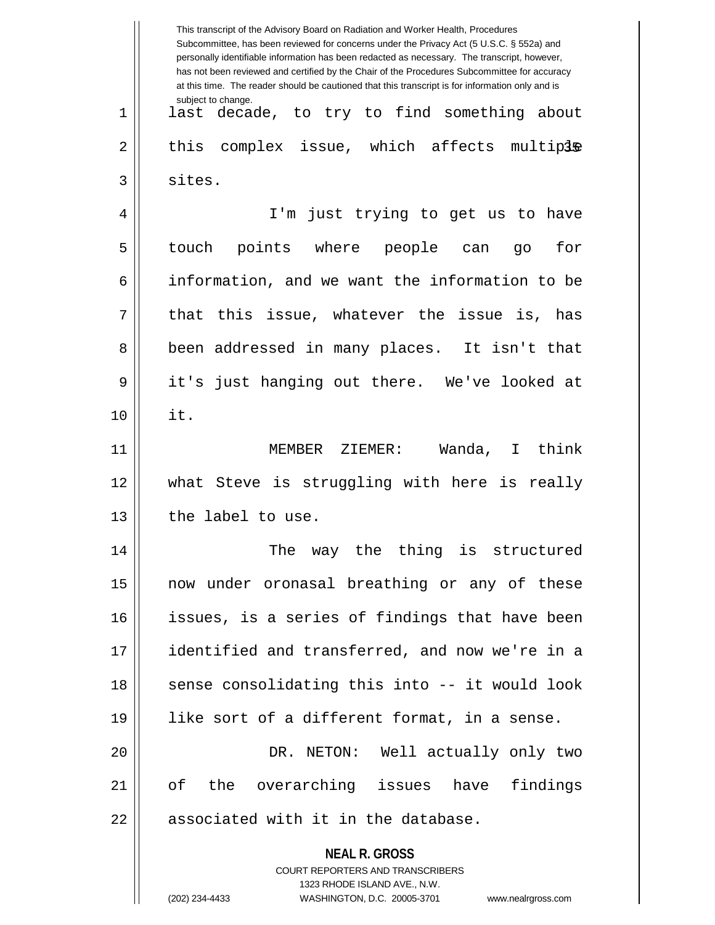|    | This transcript of the Advisory Board on Radiation and Worker Health, Procedures<br>Subcommittee, has been reviewed for concerns under the Privacy Act (5 U.S.C. § 552a) and<br>personally identifiable information has been redacted as necessary. The transcript, however,<br>has not been reviewed and certified by the Chair of the Procedures Subcommittee for accuracy<br>at this time. The reader should be cautioned that this transcript is for information only and is |
|----|----------------------------------------------------------------------------------------------------------------------------------------------------------------------------------------------------------------------------------------------------------------------------------------------------------------------------------------------------------------------------------------------------------------------------------------------------------------------------------|
| 1  | subject to change.<br>last decade, to try to find something about                                                                                                                                                                                                                                                                                                                                                                                                                |
| 2  | complex issue, which affects multiple<br>this                                                                                                                                                                                                                                                                                                                                                                                                                                    |
| 3  | sites.                                                                                                                                                                                                                                                                                                                                                                                                                                                                           |
| 4  | I'm just trying to get us to have                                                                                                                                                                                                                                                                                                                                                                                                                                                |
| 5  | touch points where people can<br>for<br>go                                                                                                                                                                                                                                                                                                                                                                                                                                       |
| 6  | information, and we want the information to be                                                                                                                                                                                                                                                                                                                                                                                                                                   |
| 7  | that this issue, whatever the issue is,<br>has                                                                                                                                                                                                                                                                                                                                                                                                                                   |
| 8  | been addressed in many places. It isn't that                                                                                                                                                                                                                                                                                                                                                                                                                                     |
| 9  | it's just hanging out there. We've looked at                                                                                                                                                                                                                                                                                                                                                                                                                                     |
| 10 | it.                                                                                                                                                                                                                                                                                                                                                                                                                                                                              |
| 11 | Wanda,<br>I think<br>MEMBER ZIEMER:                                                                                                                                                                                                                                                                                                                                                                                                                                              |
| 12 | what Steve is struggling with here is really                                                                                                                                                                                                                                                                                                                                                                                                                                     |
| 13 | the label to use.                                                                                                                                                                                                                                                                                                                                                                                                                                                                |
| 14 | The way the thing is structured                                                                                                                                                                                                                                                                                                                                                                                                                                                  |
| 15 | now under oronasal breathing or any of these                                                                                                                                                                                                                                                                                                                                                                                                                                     |
| 16 | issues, is a series of findings that have been                                                                                                                                                                                                                                                                                                                                                                                                                                   |
| 17 | identified and transferred, and now we're in a                                                                                                                                                                                                                                                                                                                                                                                                                                   |
| 18 | sense consolidating this into -- it would look                                                                                                                                                                                                                                                                                                                                                                                                                                   |
| 19 | like sort of a different format, in a sense.                                                                                                                                                                                                                                                                                                                                                                                                                                     |
| 20 | DR. NETON: Well actually only two                                                                                                                                                                                                                                                                                                                                                                                                                                                |
| 21 | findings<br>of the overarching issues have                                                                                                                                                                                                                                                                                                                                                                                                                                       |
| 22 | associated with it in the database.                                                                                                                                                                                                                                                                                                                                                                                                                                              |
|    | <b>NEAL R. GROSS</b><br><b>COURT REPORTERS AND TRANSCRIBERS</b><br>1323 RHODE ISLAND AVE., N.W.<br>(202) 234-4433<br>WASHINGTON, D.C. 20005-3701<br>www.nealrgross.com                                                                                                                                                                                                                                                                                                           |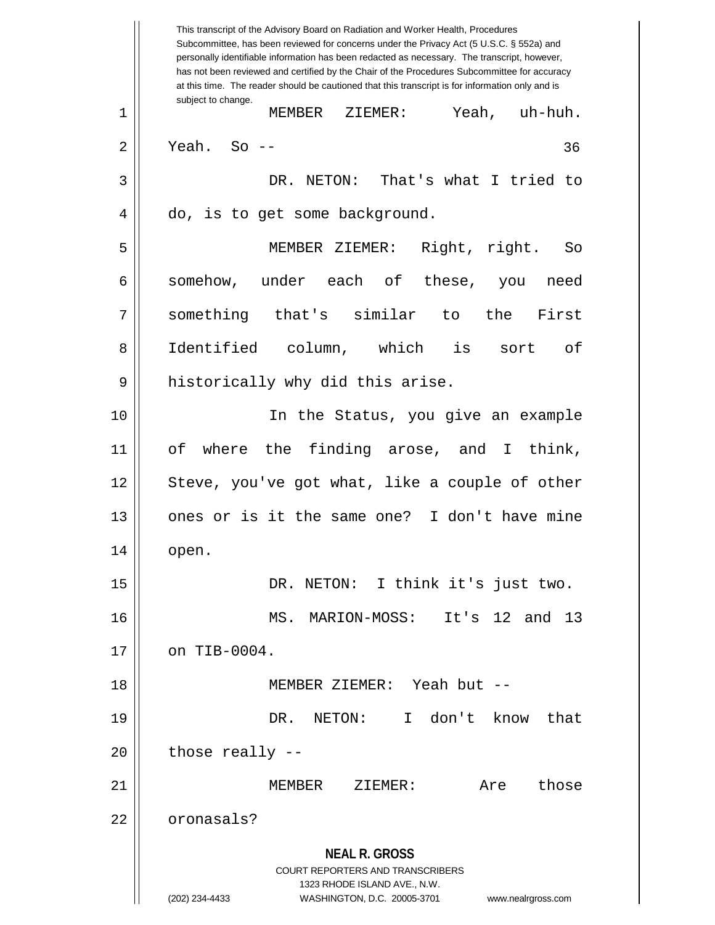**NEAL R. GROSS** COURT REPORTERS AND TRANSCRIBERS 1323 RHODE ISLAND AVE., N.W. (202) 234-4433 WASHINGTON, D.C. 20005-3701 www.nealrgross.com This transcript of the Advisory Board on Radiation and Worker Health, Procedures Subcommittee, has been reviewed for concerns under the Privacy Act (5 U.S.C. § 552a) and personally identifiable information has been redacted as necessary. The transcript, however, has not been reviewed and certified by the Chair of the Procedures Subcommittee for accuracy at this time. The reader should be cautioned that this transcript is for information only and is subject to change. 36 1 MEMBER ZIEMER: Yeah, uh-huh.  $2 \parallel$  Yeah. So --3 DR. NETON: That's what I tried to 4 | do, is to get some background. 5 MEMBER ZIEMER: Right, right. So 6 || somehow, under each of these, you need 7 something that's similar to the First 8 Identified column, which is sort of  $9 \parallel$  historically why did this arise. 10 || In the Status, you give an example 11 of where the finding arose, and I think, 12 || Steve, you've got what, like a couple of other 13 || ones or is it the same one? I don't have mine  $14 \parallel$  open. 15 || DR. NETON: I think it's just two. 16 MS. MARION-MOSS: It's 12 and 13  $17$  | on TIB-0004. 18 MEMBER ZIEMER: Yeah but -- 19 DR. NETON: I don't know that  $20$  || those really  $-$ 21 MEMBER ZIEMER: Are those 22 | oronasals?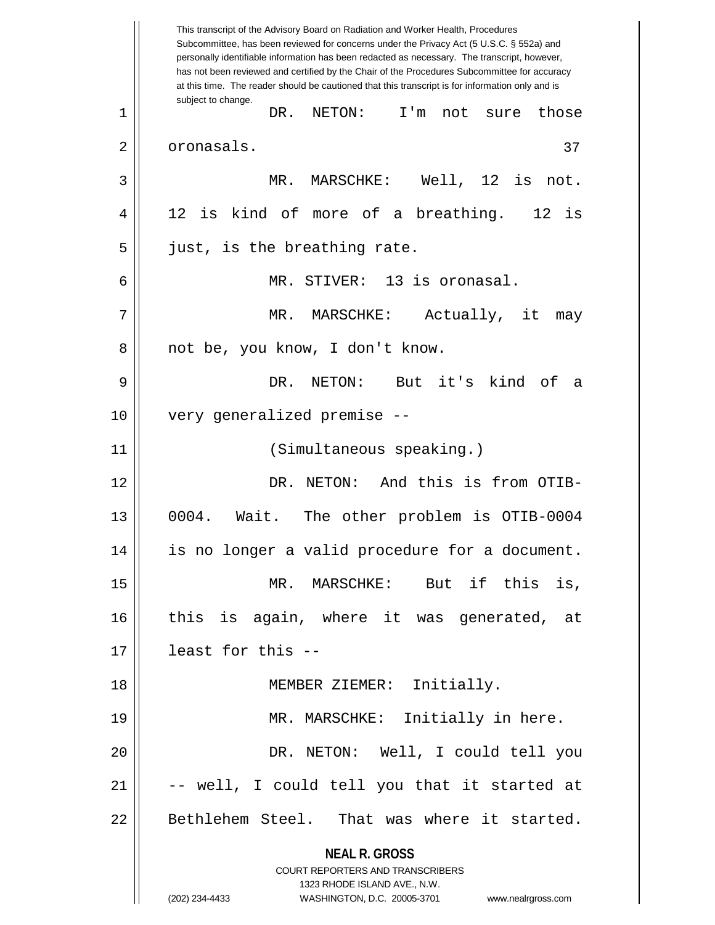**NEAL R. GROSS** COURT REPORTERS AND TRANSCRIBERS 1323 RHODE ISLAND AVE., N.W. (202) 234-4433 WASHINGTON, D.C. 20005-3701 www.nealrgross.com This transcript of the Advisory Board on Radiation and Worker Health, Procedures Subcommittee, has been reviewed for concerns under the Privacy Act (5 U.S.C. § 552a) and personally identifiable information has been redacted as necessary. The transcript, however, has not been reviewed and certified by the Chair of the Procedures Subcommittee for accuracy at this time. The reader should be cautioned that this transcript is for information only and is subject to change. 37 1 || DR. NETON: I'm not sure those 2 | oronasals. 3 MR. MARSCHKE: Well, 12 is not. 4 || 12 is kind of more of a breathing. 12 is 5 || just, is the breathing rate. 6 MR. STIVER: 13 is oronasal. 7 MR. MARSCHKE: Actually, it may 8 || not be, you know, I don't know. 9 DR. NETON: But it's kind of a 10 very generalized premise -- 11 (Simultaneous speaking.) 12 DR. NETON: And this is from OTIB-13 0004. Wait. The other problem is OTIB-0004 14 is no longer a valid procedure for a document. 15 MR. MARSCHKE: But if this is, 16 this is again, where it was generated, at 17 least for this -- 18 || **MEMBER ZIEMER:** Initially. 19 || MR. MARSCHKE: Initially in here. 20 DR. NETON: Well, I could tell you  $21$   $\vert$  -- well, I could tell you that it started at 22 || Bethlehem Steel. That was where it started.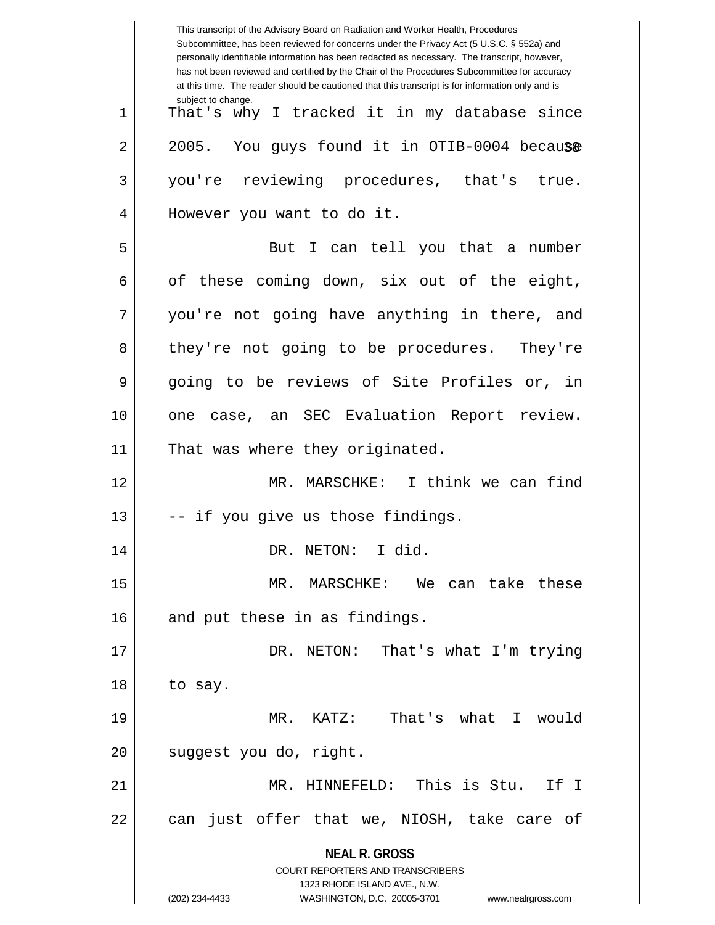**NEAL R. GROSS** COURT REPORTERS AND TRANSCRIBERS 1323 RHODE ISLAND AVE., N.W. (202) 234-4433 WASHINGTON, D.C. 20005-3701 www.nealrgross.com This transcript of the Advisory Board on Radiation and Worker Health, Procedures Subcommittee, has been reviewed for concerns under the Privacy Act (5 U.S.C. § 552a) and personally identifiable information has been redacted as necessary. The transcript, however, has not been reviewed and certified by the Chair of the Procedures Subcommittee for accuracy at this time. The reader should be cautioned that this transcript is for information only and is subject to change. 2 || 2005. You guys found it in OTIB-0004 because 1 || That's why I tracked it in my database since 3 you're reviewing procedures, that's true. 4 || However you want to do it. 5 || But I can tell you that a number  $6 \parallel$  of these coming down, six out of the eight, 7 || you're not going have anything in there, and 8 they're not going to be procedures. They're 9 || going to be reviews of Site Profiles or, in 10 || one case, an SEC Evaluation Report review. 11 || That was where they originated. 12 MR. MARSCHKE: I think we can find  $13$   $\parallel$  -- if you give us those findings. 14 || DR. NETON: I did. 15 MR. MARSCHKE: We can take these  $16$  | and put these in as findings. 17 DR. NETON: That's what I'm trying  $18$  || to say. 19 MR. KATZ: That's what I would 20 || suggest you do, right. 21 MR. HINNEFELD: This is Stu. If I  $22$  || can just offer that we, NIOSH, take care of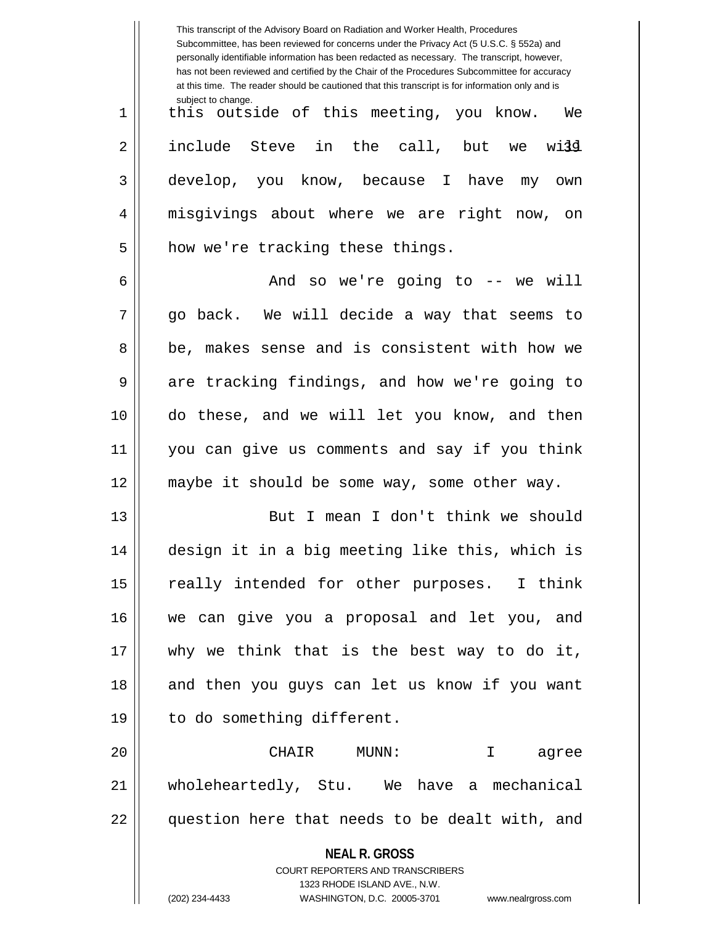|    | This transcript of the Advisory Board on Radiation and Worker Health, Procedures<br>Subcommittee, has been reviewed for concerns under the Privacy Act (5 U.S.C. § 552a) and<br>personally identifiable information has been redacted as necessary. The transcript, however,<br>has not been reviewed and certified by the Chair of the Procedures Subcommittee for accuracy<br>at this time. The reader should be cautioned that this transcript is for information only and is |
|----|----------------------------------------------------------------------------------------------------------------------------------------------------------------------------------------------------------------------------------------------------------------------------------------------------------------------------------------------------------------------------------------------------------------------------------------------------------------------------------|
| 1  | subject to change.<br>this outside of this meeting, you know.<br>We                                                                                                                                                                                                                                                                                                                                                                                                              |
| 2  | include Steve in the call, but<br>wijg<br>we                                                                                                                                                                                                                                                                                                                                                                                                                                     |
| 3  | develop, you know, because I have my<br>own                                                                                                                                                                                                                                                                                                                                                                                                                                      |
| 4  | misgivings about where we are right<br>now,<br>on                                                                                                                                                                                                                                                                                                                                                                                                                                |
| 5  | how we're tracking these things.                                                                                                                                                                                                                                                                                                                                                                                                                                                 |
| 6  | And so we're going to -- we will                                                                                                                                                                                                                                                                                                                                                                                                                                                 |
| 7  | go back. We will decide a way that seems to                                                                                                                                                                                                                                                                                                                                                                                                                                      |
| 8  | be, makes sense and is consistent with how we                                                                                                                                                                                                                                                                                                                                                                                                                                    |
| 9  | are tracking findings, and how we're going to                                                                                                                                                                                                                                                                                                                                                                                                                                    |
| 10 | do these, and we will let you know, and then                                                                                                                                                                                                                                                                                                                                                                                                                                     |
| 11 | you can give us comments and say if you think                                                                                                                                                                                                                                                                                                                                                                                                                                    |
| 12 | maybe it should be some way, some other way.                                                                                                                                                                                                                                                                                                                                                                                                                                     |
| 13 | But I mean I don't think we should                                                                                                                                                                                                                                                                                                                                                                                                                                               |
| 14 | design it in a big meeting like this, which is                                                                                                                                                                                                                                                                                                                                                                                                                                   |
| 15 | really intended for other purposes. I think                                                                                                                                                                                                                                                                                                                                                                                                                                      |
| 16 | we can give you a proposal and let you, and                                                                                                                                                                                                                                                                                                                                                                                                                                      |
| 17 | why we think that is the best way to do it,                                                                                                                                                                                                                                                                                                                                                                                                                                      |
| 18 | and then you guys can let us know if you want                                                                                                                                                                                                                                                                                                                                                                                                                                    |
| 19 | to do something different.                                                                                                                                                                                                                                                                                                                                                                                                                                                       |
| 20 | CHAIR<br>MUNN:<br>$\mathbf{I}$<br>agree                                                                                                                                                                                                                                                                                                                                                                                                                                          |
| 21 | wholeheartedly, Stu. We have a mechanical                                                                                                                                                                                                                                                                                                                                                                                                                                        |
| 22 | question here that needs to be dealt with, and                                                                                                                                                                                                                                                                                                                                                                                                                                   |
|    | <b>NEAL R. GROSS</b>                                                                                                                                                                                                                                                                                                                                                                                                                                                             |
|    | COURT REPORTERS AND TRANSCRIBERS<br>1323 RHODE ISLAND AVE., N.W.                                                                                                                                                                                                                                                                                                                                                                                                                 |
|    | (202) 234-4433<br>WASHINGTON, D.C. 20005-3701<br>www.nealrgross.com                                                                                                                                                                                                                                                                                                                                                                                                              |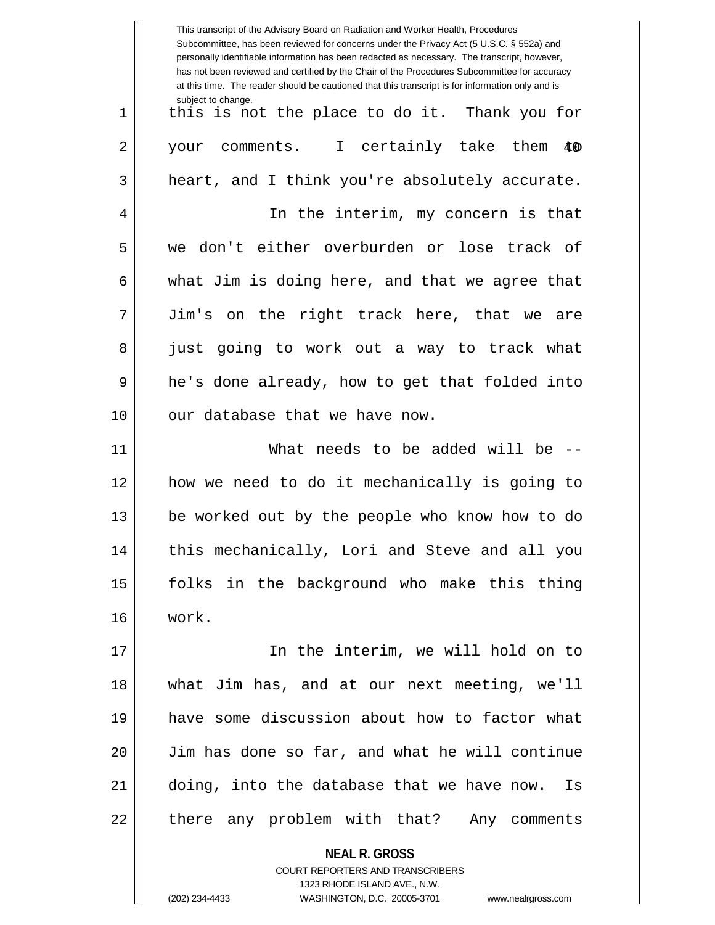This transcript of the Advisory Board on Radiation and Worker Health, Procedures Subcommittee, has been reviewed for concerns under the Privacy Act (5 U.S.C. § 552a) and personally identifiable information has been redacted as necessary. The transcript, however, has not been reviewed and certified by the Chair of the Procedures Subcommittee for accuracy at this time. The reader should be cautioned that this transcript is for information only and is subject to change. 2 || your comments. I certainly take them \$0 1 || this is not the place to do it. Thank you for  $3 \parallel$  heart, and I think you're absolutely accurate. 4 || In the interim, my concern is that 5 we don't either overburden or lose track of 6 what Jim is doing here, and that we agree that 7 Jim's on the right track here, that we are 8 || just going to work out a way to track what 9 || he's done already, how to get that folded into  $10$  || our database that we have now. 11 What needs to be added will be -- 12 how we need to do it mechanically is going to 13 be worked out by the people who know how to do 14 || this mechanically, Lori and Steve and all you 15 folks in the background who make this thing 16 work. 17 In the interim, we will hold on to 18 what Jim has, and at our next meeting, we'll 19 have some discussion about how to factor what 20 Jim has done so far, and what he will continue 21 doing, into the database that we have now. Is 22 || there any problem with that? Any comments

> **NEAL R. GROSS** COURT REPORTERS AND TRANSCRIBERS 1323 RHODE ISLAND AVE., N.W. (202) 234-4433 WASHINGTON, D.C. 20005-3701 www.nealrgross.com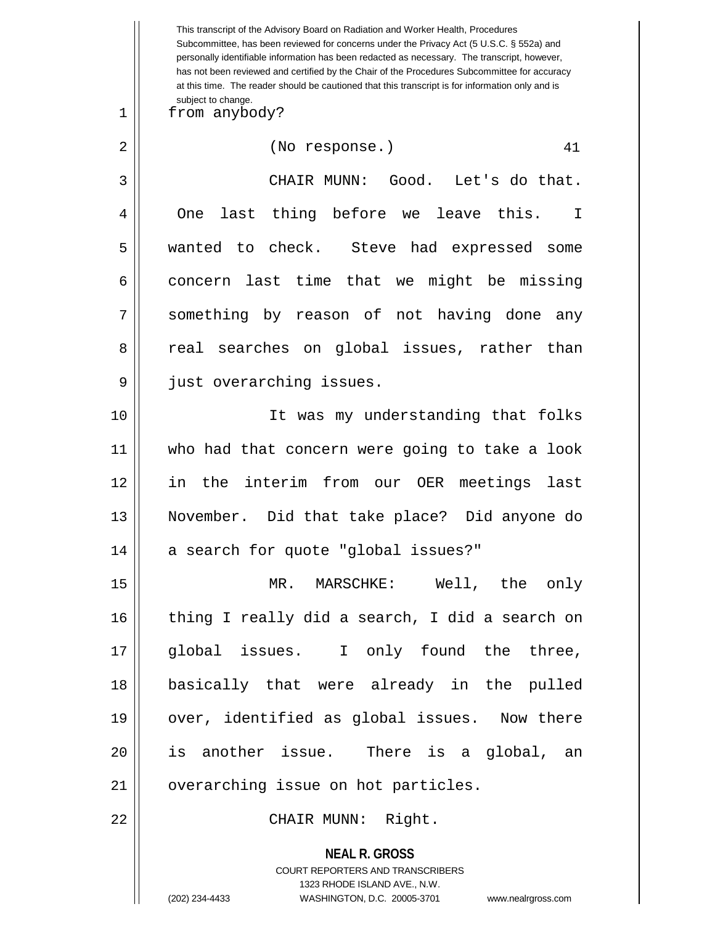**NEAL R. GROSS** COURT REPORTERS AND TRANSCRIBERS 1323 RHODE ISLAND AVE., N.W. This transcript of the Advisory Board on Radiation and Worker Health, Procedures Subcommittee, has been reviewed for concerns under the Privacy Act (5 U.S.C. § 552a) and personally identifiable information has been redacted as necessary. The transcript, however, has not been reviewed and certified by the Chair of the Procedures Subcommittee for accuracy at this time. The reader should be cautioned that this transcript is for information only and is subject to change. 41 1 from anybody? 2 || (No response.) 3 CHAIR MUNN: Good. Let's do that. 4 || One last thing before we leave this. I 5 wanted to check. Steve had expressed some  $6 \parallel$  concern last time that we might be missing 7 Something by reason of not having done any 8 || real searches on global issues, rather than 9 || just overarching issues. 10 It was my understanding that folks 11 who had that concern were going to take a look 12 in the interim from our OER meetings last 13 November. Did that take place? Did anyone do 14 || a search for quote "global issues?" 15 MR. MARSCHKE: Well, the only 16 || thing I really did a search, I did a search on 17 global issues. I only found the three, 18 basically that were already in the pulled 19 || over, identified as global issues. Now there 20 is another issue. There is a global, an 21 || overarching issue on hot particles. 22 CHAIR MUNN: Right.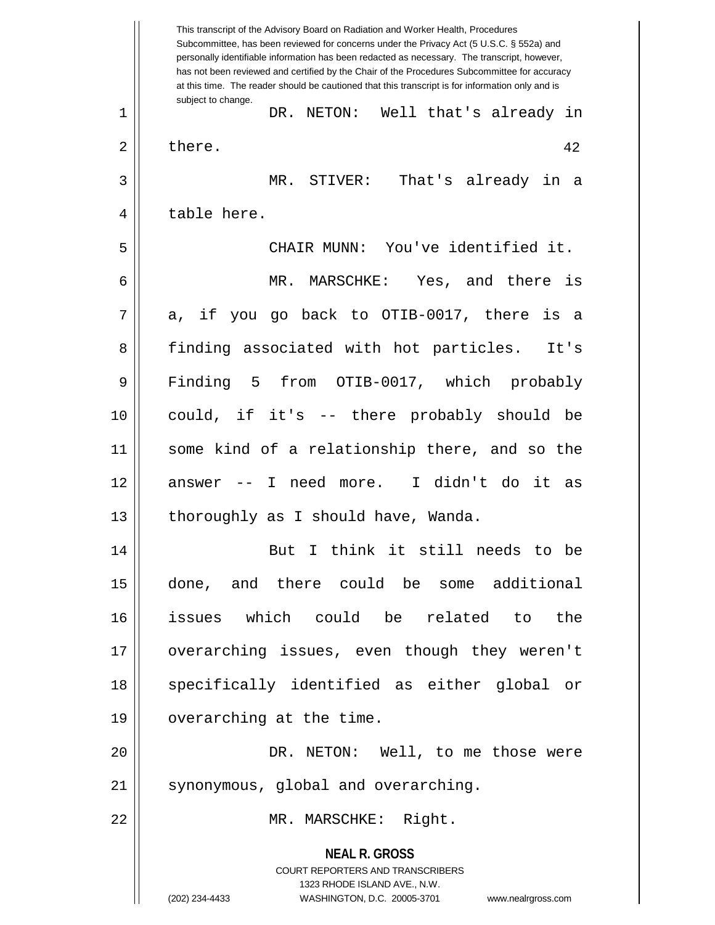**NEAL R. GROSS** COURT REPORTERS AND TRANSCRIBERS 1323 RHODE ISLAND AVE., N.W. (202) 234-4433 WASHINGTON, D.C. 20005-3701 www.nealrgross.com This transcript of the Advisory Board on Radiation and Worker Health, Procedures Subcommittee, has been reviewed for concerns under the Privacy Act (5 U.S.C. § 552a) and personally identifiable information has been redacted as necessary. The transcript, however, has not been reviewed and certified by the Chair of the Procedures Subcommittee for accuracy at this time. The reader should be cautioned that this transcript is for information only and is subject to change. 42 1 DR. NETON: Well that's already in  $2 \parallel$  there. 3 MR. STIVER: That's already in a 4 || table here. 5 CHAIR MUNN: You've identified it. 6 MR. MARSCHKE: Yes, and there is  $7 \parallel$  a, if you go back to OTIB-0017, there is a 8 finding associated with hot particles. It's 9 Finding 5 from OTIB-0017, which probably 10 could, if it's -- there probably should be 11 some kind of a relationship there, and so the 12 answer -- I need more. I didn't do it as 13 | thoroughly as I should have, Wanda. 14 || But I think it still needs to be 15 done, and there could be some additional 16 issues which could be related to the 17 overarching issues, even though they weren't 18 || specifically identified as either global or 19 | overarching at the time. 20 DR. NETON: Well, to me those were 21 | synonymous, global and overarching. 22 MR. MARSCHKE: Right.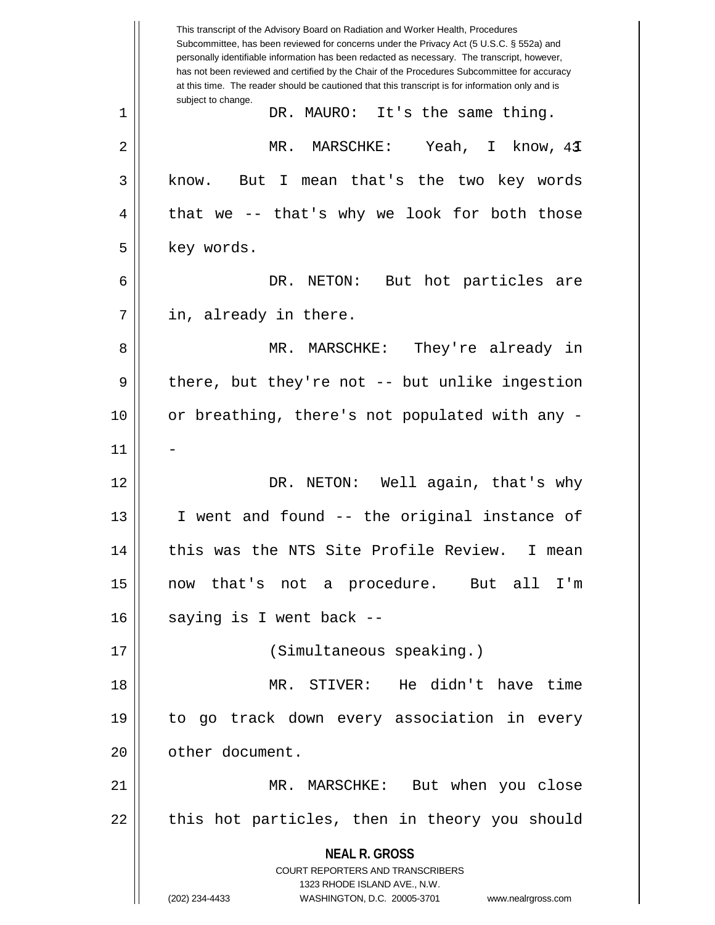**NEAL R. GROSS** COURT REPORTERS AND TRANSCRIBERS 1323 RHODE ISLAND AVE., N.W. (202) 234-4433 WASHINGTON, D.C. 20005-3701 www.nealrgross.com This transcript of the Advisory Board on Radiation and Worker Health, Procedures Subcommittee, has been reviewed for concerns under the Privacy Act (5 U.S.C. § 552a) and personally identifiable information has been redacted as necessary. The transcript, however, has not been reviewed and certified by the Chair of the Procedures Subcommittee for accuracy at this time. The reader should be cautioned that this transcript is for information only and is subject to change. 43 2 MR. MARSCHKE: Yeah, I know, I 1 DR. MAURO: It's the same thing. 3 || know. But I mean that's the two key words  $4 \parallel$  that we -- that's why we look for both those  $5 \parallel$  key words. 6 DR. NETON: But hot particles are  $7 \parallel$  in, already in there. 8 MR. MARSCHKE: They're already in  $9 \parallel$  there, but they're not -- but unlike ingestion 10 or breathing, there's not populated with any -  $11$ 12 DR. NETON: Well again, that's why 13 || I went and found -- the original instance of 14 || this was the NTS Site Profile Review. I mean 15 now that's not a procedure. But all I'm  $16$  || saying is I went back --17 (Simultaneous speaking.) 18 MR. STIVER: He didn't have time 19 to go track down every association in every 20 | cther document. 21 MR. MARSCHKE: But when you close  $22$  || this hot particles, then in theory you should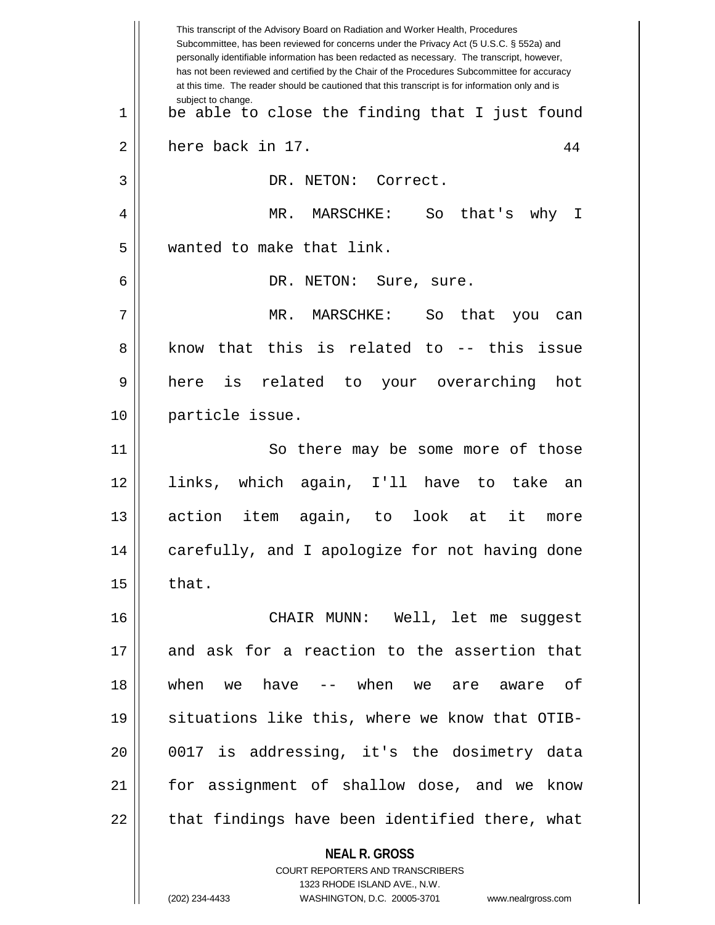**NEAL R. GROSS** COURT REPORTERS AND TRANSCRIBERS 1323 RHODE ISLAND AVE., N.W. This transcript of the Advisory Board on Radiation and Worker Health, Procedures Subcommittee, has been reviewed for concerns under the Privacy Act (5 U.S.C. § 552a) and personally identifiable information has been redacted as necessary. The transcript, however, has not been reviewed and certified by the Chair of the Procedures Subcommittee for accuracy at this time. The reader should be cautioned that this transcript is for information only and is subject to change. 44  $1 \parallel$  be able to close the finding that I just found  $2 \parallel$  here back in 17. 3 || DR. NETON: Correct. 4 MR. MARSCHKE: So that's why I 5 wanted to make that link. 6 DR. NETON: Sure, sure. 7 MR. MARSCHKE: So that you can 8 know that this is related to -- this issue 9 here is related to your overarching hot 10 particle issue. 11 || So there may be some more of those 12 links, which again, I'll have to take an 13 action item again, to look at it more 14 || carefully, and I apologize for not having done  $15$  | that. 16 CHAIR MUNN: Well, let me suggest 17 and ask for a reaction to the assertion that 18 when we have -- when we are aware of 19 || situations like this, where we know that OTIB-20 0017 is addressing, it's the dosimetry data 21 for assignment of shallow dose, and we know  $22$   $\parallel$  that findings have been identified there, what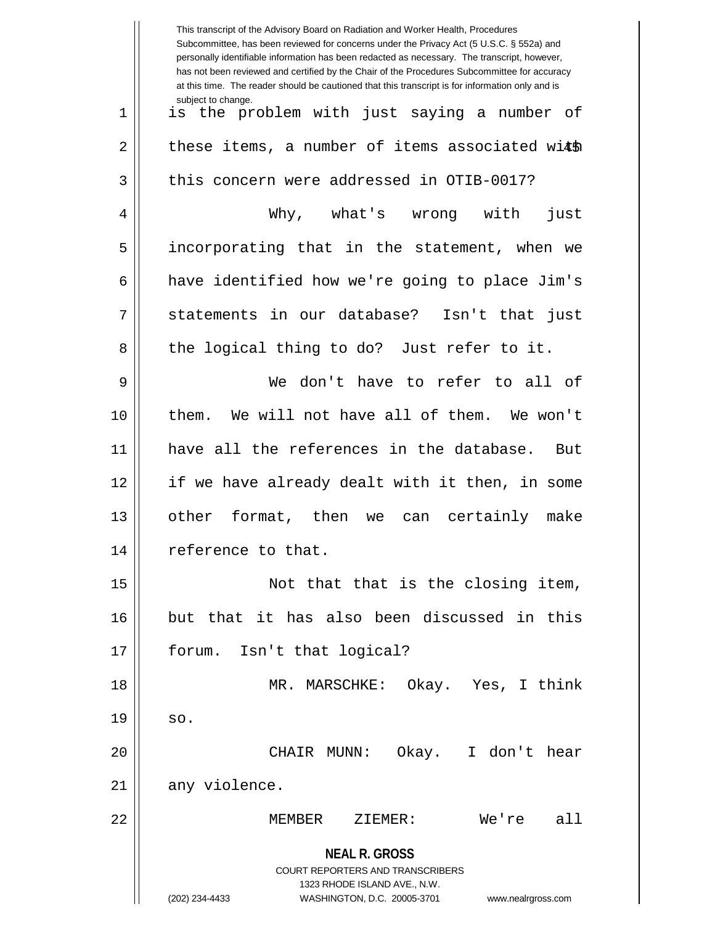|    | This transcript of the Advisory Board on Radiation and Worker Health, Procedures<br>Subcommittee, has been reviewed for concerns under the Privacy Act (5 U.S.C. § 552a) and<br>personally identifiable information has been redacted as necessary. The transcript, however,<br>has not been reviewed and certified by the Chair of the Procedures Subcommittee for accuracy<br>at this time. The reader should be cautioned that this transcript is for information only and is |
|----|----------------------------------------------------------------------------------------------------------------------------------------------------------------------------------------------------------------------------------------------------------------------------------------------------------------------------------------------------------------------------------------------------------------------------------------------------------------------------------|
| 1  | subject to change.<br>is the problem with just saying a number of                                                                                                                                                                                                                                                                                                                                                                                                                |
| 2  | these items, a number of items associated with                                                                                                                                                                                                                                                                                                                                                                                                                                   |
| 3  | this concern were addressed in OTIB-0017?                                                                                                                                                                                                                                                                                                                                                                                                                                        |
| 4  | Why, what's wrong with<br>just                                                                                                                                                                                                                                                                                                                                                                                                                                                   |
| 5  | incorporating that in the statement, when we                                                                                                                                                                                                                                                                                                                                                                                                                                     |
| 6  | have identified how we're going to place Jim's                                                                                                                                                                                                                                                                                                                                                                                                                                   |
| 7  | statements in our database? Isn't that just                                                                                                                                                                                                                                                                                                                                                                                                                                      |
| 8  | the logical thing to do? Just refer to it.                                                                                                                                                                                                                                                                                                                                                                                                                                       |
| 9  | don't have to refer to all of<br>We                                                                                                                                                                                                                                                                                                                                                                                                                                              |
| 10 | them. We will not have all of them. We won't                                                                                                                                                                                                                                                                                                                                                                                                                                     |
| 11 | have all the references in the database.<br>But                                                                                                                                                                                                                                                                                                                                                                                                                                  |
| 12 | if we have already dealt with it then, in some                                                                                                                                                                                                                                                                                                                                                                                                                                   |
| 13 | other format, then we can certainly make                                                                                                                                                                                                                                                                                                                                                                                                                                         |
| 14 | reference to that.                                                                                                                                                                                                                                                                                                                                                                                                                                                               |
| 15 | Not that that is the closing item,                                                                                                                                                                                                                                                                                                                                                                                                                                               |
| 16 | but that it has also been discussed in this                                                                                                                                                                                                                                                                                                                                                                                                                                      |
| 17 | forum. Isn't that logical?                                                                                                                                                                                                                                                                                                                                                                                                                                                       |
| 18 | MR. MARSCHKE: Okay. Yes, I think                                                                                                                                                                                                                                                                                                                                                                                                                                                 |
| 19 | SO.                                                                                                                                                                                                                                                                                                                                                                                                                                                                              |
| 20 | CHAIR MUNN: Okay. I don't hear                                                                                                                                                                                                                                                                                                                                                                                                                                                   |
| 21 | any violence.                                                                                                                                                                                                                                                                                                                                                                                                                                                                    |
| 22 | We're all<br>MEMBER ZIEMER:                                                                                                                                                                                                                                                                                                                                                                                                                                                      |
|    | <b>NEAL R. GROSS</b><br>COURT REPORTERS AND TRANSCRIBERS<br>1323 RHODE ISLAND AVE., N.W.<br>(202) 234-4433<br>WASHINGTON, D.C. 20005-3701<br>www.nealrgross.com                                                                                                                                                                                                                                                                                                                  |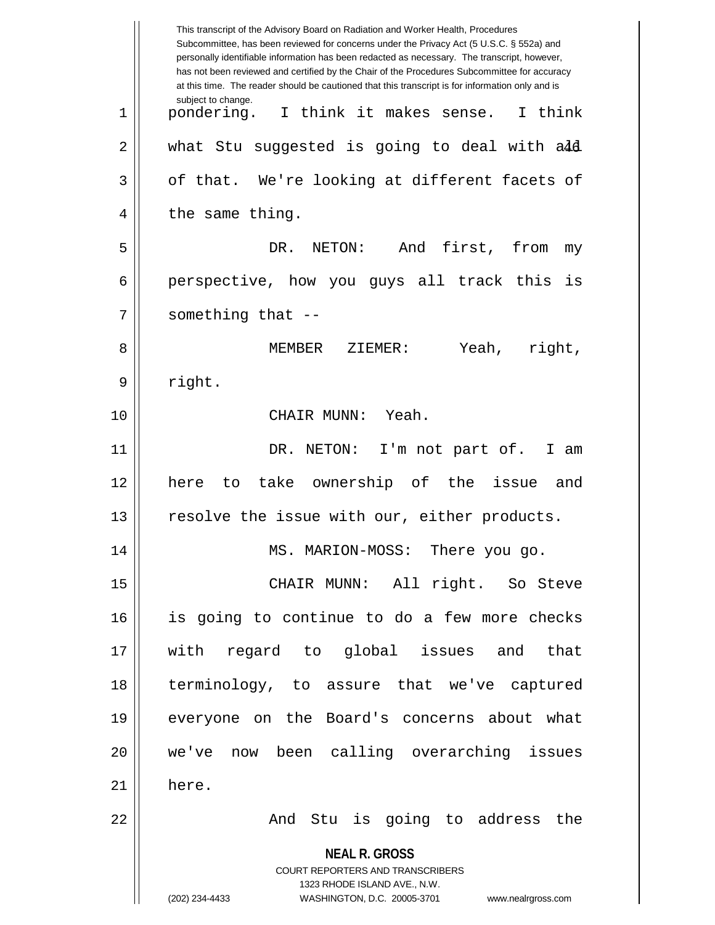|             | This transcript of the Advisory Board on Radiation and Worker Health, Procedures<br>Subcommittee, has been reviewed for concerns under the Privacy Act (5 U.S.C. § 552a) and<br>personally identifiable information has been redacted as necessary. The transcript, however,<br>has not been reviewed and certified by the Chair of the Procedures Subcommittee for accuracy<br>at this time. The reader should be cautioned that this transcript is for information only and is |
|-------------|----------------------------------------------------------------------------------------------------------------------------------------------------------------------------------------------------------------------------------------------------------------------------------------------------------------------------------------------------------------------------------------------------------------------------------------------------------------------------------|
| $\mathbf 1$ | subject to change.<br>pondering.<br>I think it makes sense.<br>I think                                                                                                                                                                                                                                                                                                                                                                                                           |
| 2           | what Stu suggested is going to deal with a4d                                                                                                                                                                                                                                                                                                                                                                                                                                     |
| 3           | of that. We're looking at different facets of                                                                                                                                                                                                                                                                                                                                                                                                                                    |
| 4           | the same thing.                                                                                                                                                                                                                                                                                                                                                                                                                                                                  |
| 5           | NETON:<br>And<br>first, from<br>DR.<br>my                                                                                                                                                                                                                                                                                                                                                                                                                                        |
| 6           | perspective, how you guys all track this is                                                                                                                                                                                                                                                                                                                                                                                                                                      |
| 7           | something that --                                                                                                                                                                                                                                                                                                                                                                                                                                                                |
| 8           | right,<br>MEMBER<br>Yeah,<br>ZIEMER:                                                                                                                                                                                                                                                                                                                                                                                                                                             |
| 9           | right.                                                                                                                                                                                                                                                                                                                                                                                                                                                                           |
| 10          | CHAIR MUNN:<br>Yeah.                                                                                                                                                                                                                                                                                                                                                                                                                                                             |
| 11          | DR. NETON:<br>I'm not part of.<br>I am                                                                                                                                                                                                                                                                                                                                                                                                                                           |
| 12          | take ownership of the issue<br>here<br>to<br>and                                                                                                                                                                                                                                                                                                                                                                                                                                 |
| 13          | resolve the issue with our, either products.                                                                                                                                                                                                                                                                                                                                                                                                                                     |
| 14          | MS. MARION-MOSS:<br>There you go.                                                                                                                                                                                                                                                                                                                                                                                                                                                |
| 15          | CHAIR MUNN: All right. So Steve                                                                                                                                                                                                                                                                                                                                                                                                                                                  |
| 16          | is going to continue to do a few more checks                                                                                                                                                                                                                                                                                                                                                                                                                                     |
| 17          | with regard to global issues and that                                                                                                                                                                                                                                                                                                                                                                                                                                            |
| 18          | terminology, to assure that we've captured                                                                                                                                                                                                                                                                                                                                                                                                                                       |
| 19          | everyone on the Board's concerns about what                                                                                                                                                                                                                                                                                                                                                                                                                                      |
| 20          | we've now been calling overarching issues                                                                                                                                                                                                                                                                                                                                                                                                                                        |
| 21          | here.                                                                                                                                                                                                                                                                                                                                                                                                                                                                            |
| 22          | And Stu is going to address the                                                                                                                                                                                                                                                                                                                                                                                                                                                  |
|             | <b>NEAL R. GROSS</b><br><b>COURT REPORTERS AND TRANSCRIBERS</b><br>1323 RHODE ISLAND AVE., N.W.                                                                                                                                                                                                                                                                                                                                                                                  |
|             | (202) 234-4433<br>WASHINGTON, D.C. 20005-3701<br>www.nealrgross.com                                                                                                                                                                                                                                                                                                                                                                                                              |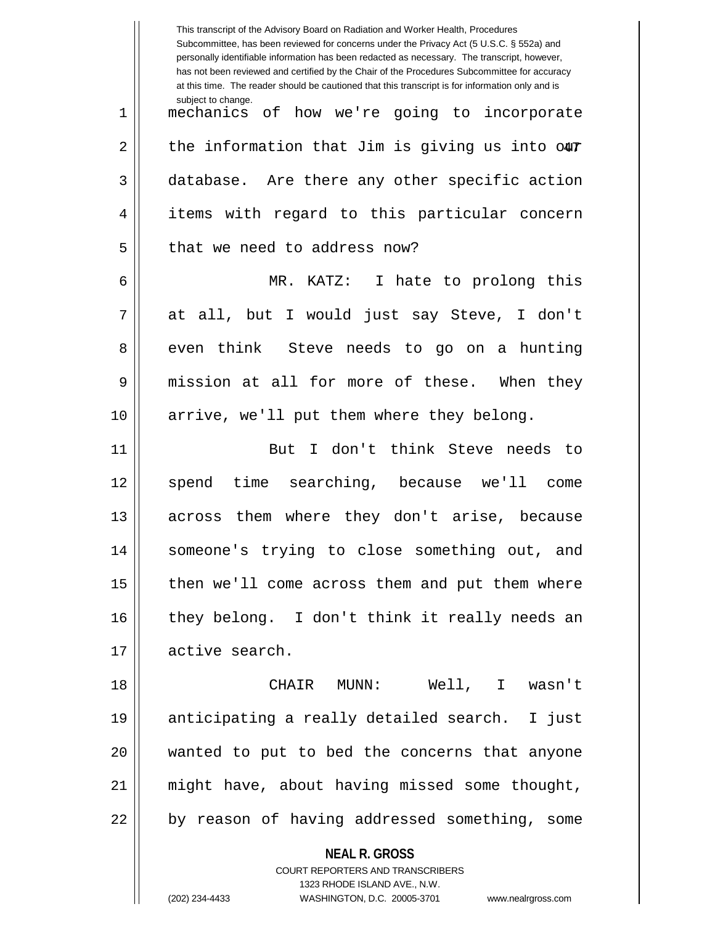|    | This transcript of the Advisory Board on Radiation and Worker Health, Procedures<br>Subcommittee, has been reviewed for concerns under the Privacy Act (5 U.S.C. § 552a) and<br>personally identifiable information has been redacted as necessary. The transcript, however,<br>has not been reviewed and certified by the Chair of the Procedures Subcommittee for accuracy<br>at this time. The reader should be cautioned that this transcript is for information only and is |
|----|----------------------------------------------------------------------------------------------------------------------------------------------------------------------------------------------------------------------------------------------------------------------------------------------------------------------------------------------------------------------------------------------------------------------------------------------------------------------------------|
| 1  | subject to change.<br>mechanics of how we're going to incorporate                                                                                                                                                                                                                                                                                                                                                                                                                |
| 2  | the information that Jim is giving us into our                                                                                                                                                                                                                                                                                                                                                                                                                                   |
| 3  | database. Are there any other specific action                                                                                                                                                                                                                                                                                                                                                                                                                                    |
| 4  | items with regard to this particular concern                                                                                                                                                                                                                                                                                                                                                                                                                                     |
| 5  | that we need to address now?                                                                                                                                                                                                                                                                                                                                                                                                                                                     |
| 6  | MR. KATZ:<br>I hate to prolong this                                                                                                                                                                                                                                                                                                                                                                                                                                              |
| 7  | at all, but I would just say Steve, I don't                                                                                                                                                                                                                                                                                                                                                                                                                                      |
| 8  | even think Steve needs to go on a hunting                                                                                                                                                                                                                                                                                                                                                                                                                                        |
| 9  | mission at all for more of these. When they                                                                                                                                                                                                                                                                                                                                                                                                                                      |
| 10 | arrive, we'll put them where they belong.                                                                                                                                                                                                                                                                                                                                                                                                                                        |
| 11 | But I don't think Steve needs<br>- to                                                                                                                                                                                                                                                                                                                                                                                                                                            |
| 12 | time searching, because we'll<br>spend<br>come                                                                                                                                                                                                                                                                                                                                                                                                                                   |
| 13 | across them where they don't arise, because                                                                                                                                                                                                                                                                                                                                                                                                                                      |
| 14 | someone's trying to close something out, and                                                                                                                                                                                                                                                                                                                                                                                                                                     |
| 15 | then we'll come across them and put them where                                                                                                                                                                                                                                                                                                                                                                                                                                   |
| 16 | they belong. I don't think it really needs an                                                                                                                                                                                                                                                                                                                                                                                                                                    |
| 17 | active search.                                                                                                                                                                                                                                                                                                                                                                                                                                                                   |
| 18 | CHAIR MUNN: Well, I wasn't                                                                                                                                                                                                                                                                                                                                                                                                                                                       |
| 19 | anticipating a really detailed search. I just                                                                                                                                                                                                                                                                                                                                                                                                                                    |
| 20 | wanted to put to bed the concerns that anyone                                                                                                                                                                                                                                                                                                                                                                                                                                    |
| 21 | might have, about having missed some thought,                                                                                                                                                                                                                                                                                                                                                                                                                                    |
| 22 | by reason of having addressed something, some                                                                                                                                                                                                                                                                                                                                                                                                                                    |
|    | <b>NEAL R. GROSS</b><br>COURT REPORTERS AND TRANSCRIBERS                                                                                                                                                                                                                                                                                                                                                                                                                         |

1323 RHODE ISLAND AVE., N.W.

 $\begin{array}{c} \hline \end{array}$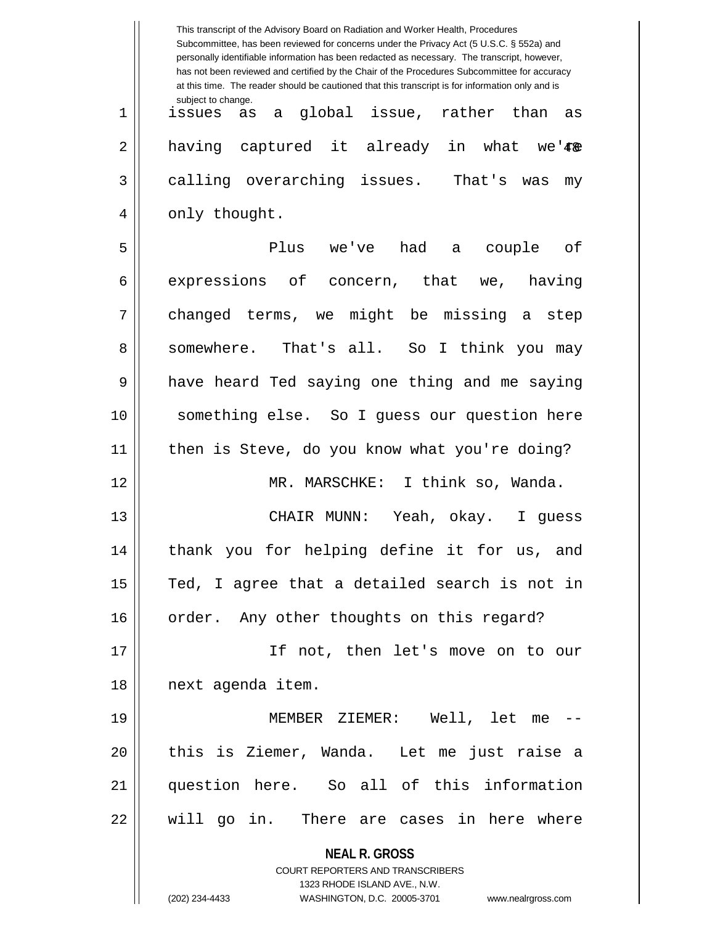|    | This transcript of the Advisory Board on Radiation and Worker Health, Procedures<br>Subcommittee, has been reviewed for concerns under the Privacy Act (5 U.S.C. § 552a) and<br>personally identifiable information has been redacted as necessary. The transcript, however,<br>has not been reviewed and certified by the Chair of the Procedures Subcommittee for accuracy<br>at this time. The reader should be cautioned that this transcript is for information only and is |
|----|----------------------------------------------------------------------------------------------------------------------------------------------------------------------------------------------------------------------------------------------------------------------------------------------------------------------------------------------------------------------------------------------------------------------------------------------------------------------------------|
| 1  | subject to change.<br>global issue, rather than<br>issues<br>as<br>as<br>а                                                                                                                                                                                                                                                                                                                                                                                                       |
| 2  | having captured it already in what<br>we'#&                                                                                                                                                                                                                                                                                                                                                                                                                                      |
| 3  | calling overarching issues. That's was<br>my                                                                                                                                                                                                                                                                                                                                                                                                                                     |
| 4  | only thought.                                                                                                                                                                                                                                                                                                                                                                                                                                                                    |
| 5  | Plus we've had a couple of                                                                                                                                                                                                                                                                                                                                                                                                                                                       |
| 6  | expressions of concern, that we,<br>having                                                                                                                                                                                                                                                                                                                                                                                                                                       |
| 7  | changed terms, we might be missing a step                                                                                                                                                                                                                                                                                                                                                                                                                                        |
| 8  | somewhere. That's all. So I think you may                                                                                                                                                                                                                                                                                                                                                                                                                                        |
| 9  | have heard Ted saying one thing and me saying                                                                                                                                                                                                                                                                                                                                                                                                                                    |
| 10 | something else. So I guess our question here                                                                                                                                                                                                                                                                                                                                                                                                                                     |
| 11 | then is Steve, do you know what you're doing?                                                                                                                                                                                                                                                                                                                                                                                                                                    |
| 12 | I think so, Wanda.<br>MR. MARSCHKE:                                                                                                                                                                                                                                                                                                                                                                                                                                              |
| 13 | Yeah, okay.<br>CHAIR MUNN:<br>I guess                                                                                                                                                                                                                                                                                                                                                                                                                                            |
| 14 | thank you for helping define it for us, and                                                                                                                                                                                                                                                                                                                                                                                                                                      |
| 15 | Ted, I agree that a detailed search is not in                                                                                                                                                                                                                                                                                                                                                                                                                                    |
| 16 | order. Any other thoughts on this regard?                                                                                                                                                                                                                                                                                                                                                                                                                                        |
| 17 | If not, then let's move on to our                                                                                                                                                                                                                                                                                                                                                                                                                                                |
| 18 | next agenda item.                                                                                                                                                                                                                                                                                                                                                                                                                                                                |
| 19 | MEMBER ZIEMER: Well, let me --                                                                                                                                                                                                                                                                                                                                                                                                                                                   |
| 20 | this is Ziemer, Wanda. Let me just raise a                                                                                                                                                                                                                                                                                                                                                                                                                                       |
| 21 | question here. So all of this information                                                                                                                                                                                                                                                                                                                                                                                                                                        |
| 22 | will go in. There are cases in here where                                                                                                                                                                                                                                                                                                                                                                                                                                        |
|    | <b>NEAL R. GROSS</b>                                                                                                                                                                                                                                                                                                                                                                                                                                                             |
|    | COURT REPORTERS AND TRANSCRIBERS<br>1323 RHODE ISLAND AVE., N.W.                                                                                                                                                                                                                                                                                                                                                                                                                 |
|    | (202) 234-4433<br>WASHINGTON, D.C. 20005-3701<br>www.nealrgross.com                                                                                                                                                                                                                                                                                                                                                                                                              |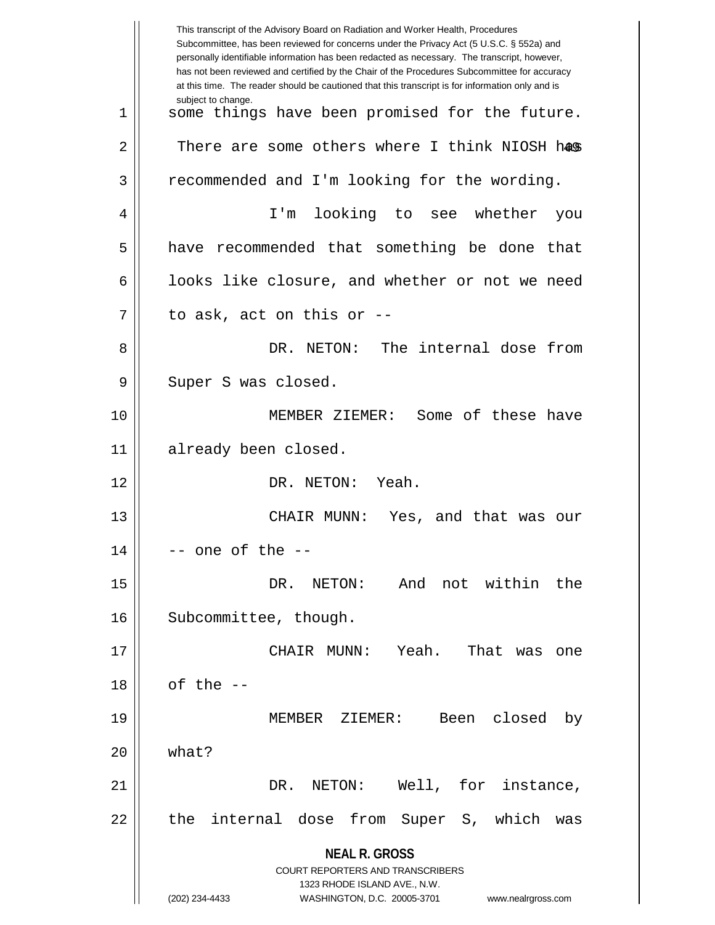|    | This transcript of the Advisory Board on Radiation and Worker Health, Procedures<br>Subcommittee, has been reviewed for concerns under the Privacy Act (5 U.S.C. § 552a) and<br>personally identifiable information has been redacted as necessary. The transcript, however,<br>has not been reviewed and certified by the Chair of the Procedures Subcommittee for accuracy<br>at this time. The reader should be cautioned that this transcript is for information only and is |
|----|----------------------------------------------------------------------------------------------------------------------------------------------------------------------------------------------------------------------------------------------------------------------------------------------------------------------------------------------------------------------------------------------------------------------------------------------------------------------------------|
| 1  | subject to change.<br>some things have been promised for the future.                                                                                                                                                                                                                                                                                                                                                                                                             |
| 2  | There are some others where I think NIOSH has                                                                                                                                                                                                                                                                                                                                                                                                                                    |
| 3  | recommended and I'm looking for the wording.                                                                                                                                                                                                                                                                                                                                                                                                                                     |
| 4  | looking to see whether<br>I'm<br>you                                                                                                                                                                                                                                                                                                                                                                                                                                             |
| 5  | have recommended that something be done<br>that                                                                                                                                                                                                                                                                                                                                                                                                                                  |
| 6  | looks like closure, and whether or not we need                                                                                                                                                                                                                                                                                                                                                                                                                                   |
| 7  | to ask, act on this or --                                                                                                                                                                                                                                                                                                                                                                                                                                                        |
| 8  | DR. NETON: The internal dose from                                                                                                                                                                                                                                                                                                                                                                                                                                                |
| 9  | Super S was closed.                                                                                                                                                                                                                                                                                                                                                                                                                                                              |
| 10 | MEMBER ZIEMER: Some of these have                                                                                                                                                                                                                                                                                                                                                                                                                                                |
| 11 | already been closed.                                                                                                                                                                                                                                                                                                                                                                                                                                                             |
| 12 | DR. NETON: Yeah.                                                                                                                                                                                                                                                                                                                                                                                                                                                                 |
| 13 | Yes, and that was our<br>CHAIR MUNN:                                                                                                                                                                                                                                                                                                                                                                                                                                             |
| 14 | -- one of the --                                                                                                                                                                                                                                                                                                                                                                                                                                                                 |
| 15 | And not within the<br>DR.<br>NETON:                                                                                                                                                                                                                                                                                                                                                                                                                                              |
| 16 | Subcommittee, though.                                                                                                                                                                                                                                                                                                                                                                                                                                                            |
| 17 | Yeah.<br>CHAIR MUNN:<br>That was<br>one                                                                                                                                                                                                                                                                                                                                                                                                                                          |
| 18 | of the $-$                                                                                                                                                                                                                                                                                                                                                                                                                                                                       |
| 19 | MEMBER ZIEMER: Been closed<br>by                                                                                                                                                                                                                                                                                                                                                                                                                                                 |
| 20 | what?                                                                                                                                                                                                                                                                                                                                                                                                                                                                            |
| 21 | Well, for instance,<br>DR. NETON:                                                                                                                                                                                                                                                                                                                                                                                                                                                |
| 22 | the internal dose from Super S, which<br>was                                                                                                                                                                                                                                                                                                                                                                                                                                     |
|    | <b>NEAL R. GROSS</b>                                                                                                                                                                                                                                                                                                                                                                                                                                                             |
|    | COURT REPORTERS AND TRANSCRIBERS                                                                                                                                                                                                                                                                                                                                                                                                                                                 |
|    | 1323 RHODE ISLAND AVE., N.W.<br>(202) 234-4433<br>WASHINGTON, D.C. 20005-3701<br>www.nealrgross.com                                                                                                                                                                                                                                                                                                                                                                              |
|    |                                                                                                                                                                                                                                                                                                                                                                                                                                                                                  |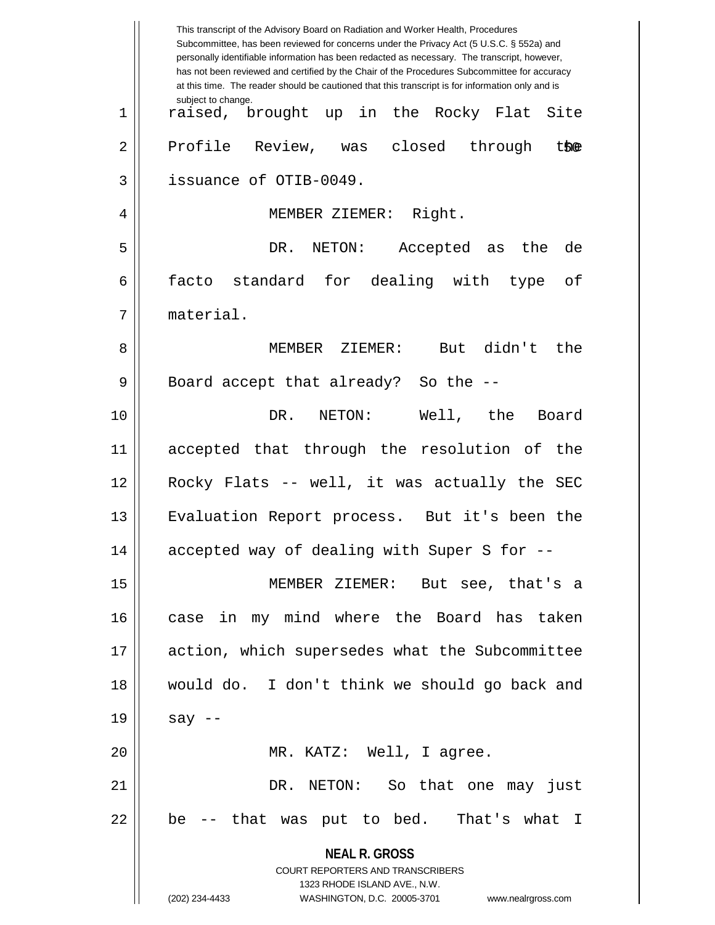|             | This transcript of the Advisory Board on Radiation and Worker Health, Procedures<br>Subcommittee, has been reviewed for concerns under the Privacy Act (5 U.S.C. § 552a) and<br>personally identifiable information has been redacted as necessary. The transcript, however,<br>has not been reviewed and certified by the Chair of the Procedures Subcommittee for accuracy<br>at this time. The reader should be cautioned that this transcript is for information only and is |
|-------------|----------------------------------------------------------------------------------------------------------------------------------------------------------------------------------------------------------------------------------------------------------------------------------------------------------------------------------------------------------------------------------------------------------------------------------------------------------------------------------|
| $\mathbf 1$ | subject to change.<br>raised, brought up in the Rocky Flat Site                                                                                                                                                                                                                                                                                                                                                                                                                  |
| 2           | Profile Review, was closed through<br>the                                                                                                                                                                                                                                                                                                                                                                                                                                        |
| 3           | issuance of OTIB-0049.                                                                                                                                                                                                                                                                                                                                                                                                                                                           |
| 4           | MEMBER ZIEMER: Right.                                                                                                                                                                                                                                                                                                                                                                                                                                                            |
| 5           | DR.<br>NETON:<br>Accepted as<br>the<br>de                                                                                                                                                                                                                                                                                                                                                                                                                                        |
| 6           | facto standard for dealing with type<br>оf                                                                                                                                                                                                                                                                                                                                                                                                                                       |
| 7           | material.                                                                                                                                                                                                                                                                                                                                                                                                                                                                        |
| 8           | didn't<br>MEMBER ZIEMER:<br>the<br>But                                                                                                                                                                                                                                                                                                                                                                                                                                           |
| 9           | Board accept that already? So the --                                                                                                                                                                                                                                                                                                                                                                                                                                             |
| 10          | Well, the<br>DR.<br>NETON:<br>Board                                                                                                                                                                                                                                                                                                                                                                                                                                              |
| 11          | accepted that through the resolution of the                                                                                                                                                                                                                                                                                                                                                                                                                                      |
| 12          | Rocky Flats -- well, it was actually the SEC                                                                                                                                                                                                                                                                                                                                                                                                                                     |
| 13          | Evaluation Report process. But it's been the                                                                                                                                                                                                                                                                                                                                                                                                                                     |
| 14          | accepted way of dealing with Super S for --                                                                                                                                                                                                                                                                                                                                                                                                                                      |
| 15          | MEMBER ZIEMER: But see, that's a                                                                                                                                                                                                                                                                                                                                                                                                                                                 |
| 16          | case in my mind where the Board has taken                                                                                                                                                                                                                                                                                                                                                                                                                                        |
| 17          | action, which supersedes what the Subcommittee                                                                                                                                                                                                                                                                                                                                                                                                                                   |
| 18          | would do. I don't think we should go back and                                                                                                                                                                                                                                                                                                                                                                                                                                    |
| 19          | say $--$                                                                                                                                                                                                                                                                                                                                                                                                                                                                         |
| 20          | MR. KATZ: Well, I agree.                                                                                                                                                                                                                                                                                                                                                                                                                                                         |
| 21          | DR. NETON: So that one may just                                                                                                                                                                                                                                                                                                                                                                                                                                                  |
| 22          | be -- that was put to bed. That's what I                                                                                                                                                                                                                                                                                                                                                                                                                                         |
|             | <b>NEAL R. GROSS</b><br><b>COURT REPORTERS AND TRANSCRIBERS</b><br>1323 RHODE ISLAND AVE., N.W.                                                                                                                                                                                                                                                                                                                                                                                  |
|             | (202) 234-4433<br>WASHINGTON, D.C. 20005-3701 www.nealrgross.com                                                                                                                                                                                                                                                                                                                                                                                                                 |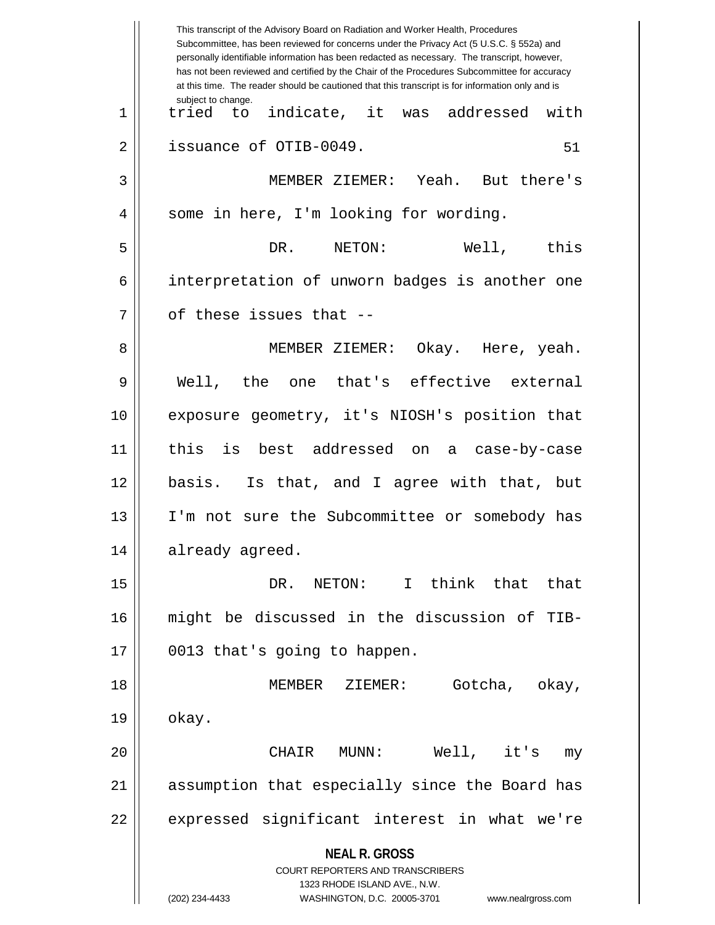|    | This transcript of the Advisory Board on Radiation and Worker Health, Procedures<br>Subcommittee, has been reviewed for concerns under the Privacy Act (5 U.S.C. § 552a) and<br>personally identifiable information has been redacted as necessary. The transcript, however,<br>has not been reviewed and certified by the Chair of the Procedures Subcommittee for accuracy<br>at this time. The reader should be cautioned that this transcript is for information only and is |
|----|----------------------------------------------------------------------------------------------------------------------------------------------------------------------------------------------------------------------------------------------------------------------------------------------------------------------------------------------------------------------------------------------------------------------------------------------------------------------------------|
| 1  | subject to change.<br>indicate, it was addressed<br>with<br>tried to                                                                                                                                                                                                                                                                                                                                                                                                             |
| 2  | issuance of OTIB-0049.<br>51                                                                                                                                                                                                                                                                                                                                                                                                                                                     |
| 3  | MEMBER ZIEMER: Yeah. But there's                                                                                                                                                                                                                                                                                                                                                                                                                                                 |
| 4  | some in here, I'm looking for wording.                                                                                                                                                                                                                                                                                                                                                                                                                                           |
| 5  | Well, this<br>DR. NETON:                                                                                                                                                                                                                                                                                                                                                                                                                                                         |
| 6  | interpretation of unworn badges is another one                                                                                                                                                                                                                                                                                                                                                                                                                                   |
| 7  | of these issues that --                                                                                                                                                                                                                                                                                                                                                                                                                                                          |
| 8  | MEMBER ZIEMER: Okay. Here, yeah.                                                                                                                                                                                                                                                                                                                                                                                                                                                 |
| 9  | Well, the one that's effective external                                                                                                                                                                                                                                                                                                                                                                                                                                          |
| 10 | exposure geometry, it's NIOSH's position that                                                                                                                                                                                                                                                                                                                                                                                                                                    |
| 11 | this<br>is best addressed on a case-by-case                                                                                                                                                                                                                                                                                                                                                                                                                                      |
| 12 | basis. Is that, and I agree with that, but                                                                                                                                                                                                                                                                                                                                                                                                                                       |
| 13 | I'm not sure the Subcommittee or somebody has                                                                                                                                                                                                                                                                                                                                                                                                                                    |
| 14 | already agreed.                                                                                                                                                                                                                                                                                                                                                                                                                                                                  |
| 15 | think that that<br>DR. NETON: I                                                                                                                                                                                                                                                                                                                                                                                                                                                  |
| 16 | might be discussed in the discussion of TIB-                                                                                                                                                                                                                                                                                                                                                                                                                                     |
| 17 | 0013 that's going to happen.                                                                                                                                                                                                                                                                                                                                                                                                                                                     |
| 18 | Gotcha, okay,<br>MEMBER ZIEMER:                                                                                                                                                                                                                                                                                                                                                                                                                                                  |
| 19 | okay.                                                                                                                                                                                                                                                                                                                                                                                                                                                                            |
| 20 | $Well,$ it's<br>CHAIR<br>MUNN :<br>my                                                                                                                                                                                                                                                                                                                                                                                                                                            |
| 21 | assumption that especially since the Board has                                                                                                                                                                                                                                                                                                                                                                                                                                   |
| 22 | expressed significant interest in what we're                                                                                                                                                                                                                                                                                                                                                                                                                                     |
|    | <b>NEAL R. GROSS</b><br><b>COURT REPORTERS AND TRANSCRIBERS</b><br>1323 RHODE ISLAND AVE., N.W.<br>(202) 234-4433<br>WASHINGTON, D.C. 20005-3701<br>www.nealrgross.com                                                                                                                                                                                                                                                                                                           |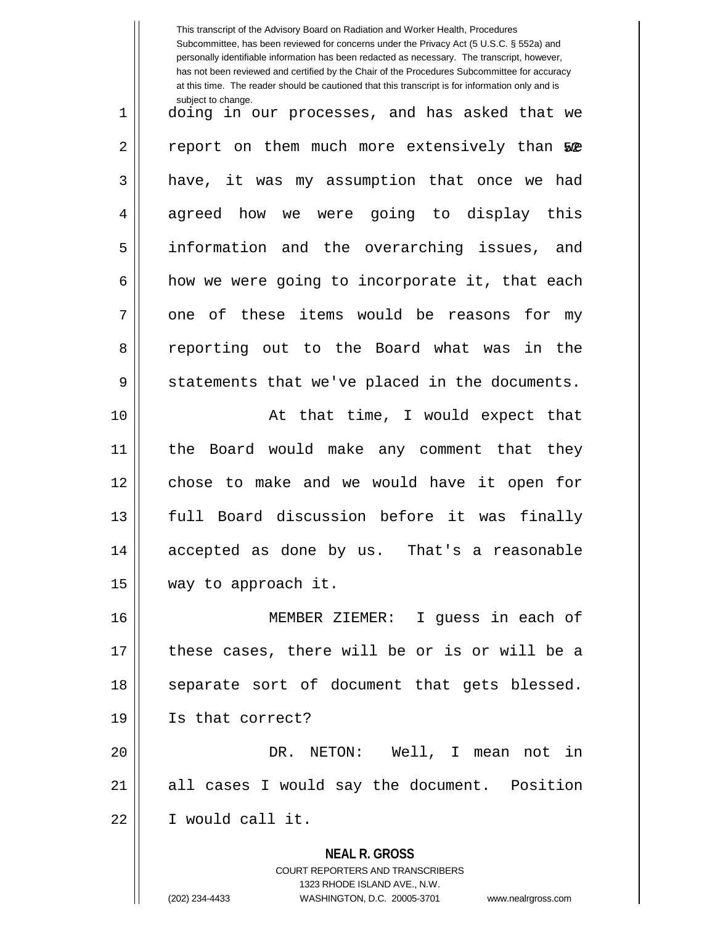**NEAL R. GROSS** COURT REPORTERS AND TRANSCRIBERS This transcript of the Advisory Board on Radiation and Worker Health, Procedures Subcommittee, has been reviewed for concerns under the Privacy Act (5 U.S.C. § 552a) and personally identifiable information has been redacted as necessary. The transcript, however, has not been reviewed and certified by the Chair of the Procedures Subcommittee for accuracy at this time. The reader should be cautioned that this transcript is for information only and is subject to change. 2 || report on them much more extensively than 50<del>2</del> 1 || doing in our processes, and has asked that we 3 || have, it was my assumption that once we had 4 agreed how we were going to display this 5 information and the overarching issues, and  $6 \parallel$  how we were going to incorporate it, that each  $7 \parallel$  one of these items would be reasons for my 8 Teporting out to the Board what was in the  $9 \parallel$  statements that we've placed in the documents. 10 || At that time, I would expect that 11 the Board would make any comment that they 12 || chose to make and we would have it open for 13 || full Board discussion before it was finally 14 accepted as done by us. That's a reasonable 15 way to approach it. 16 MEMBER ZIEMER: I guess in each of 17 || these cases, there will be or is or will be a 18 || separate sort of document that gets blessed. 19 Is that correct? 20 DR. NETON: Well, I mean not in 21 || all cases I would say the document. Position 22 I would call it.

1323 RHODE ISLAND AVE., N.W.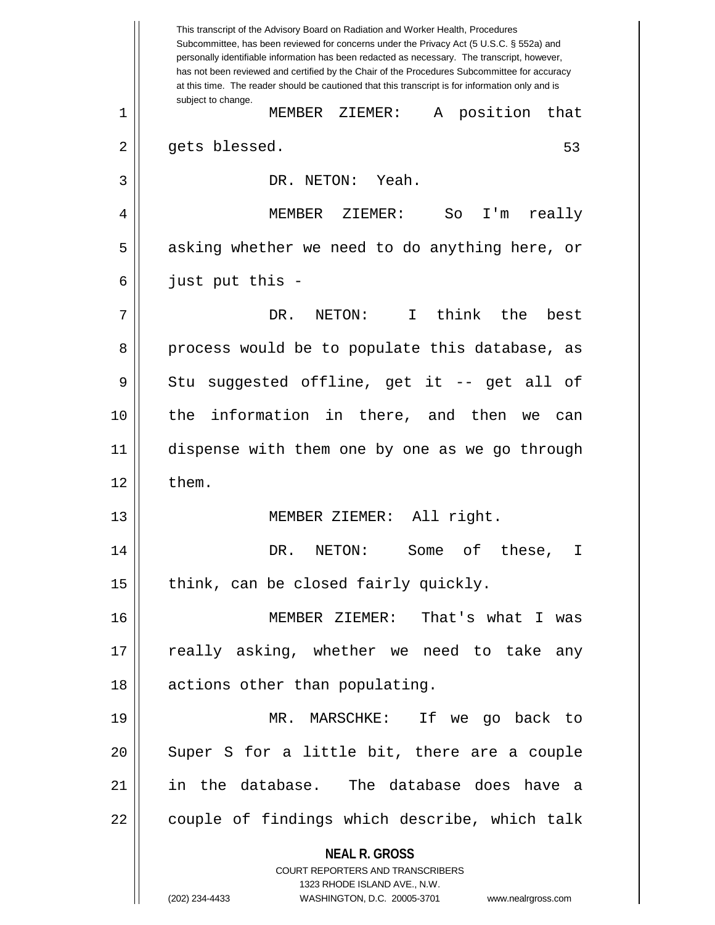**NEAL R. GROSS** COURT REPORTERS AND TRANSCRIBERS 1323 RHODE ISLAND AVE., N.W. (202) 234-4433 WASHINGTON, D.C. 20005-3701 www.nealrgross.com This transcript of the Advisory Board on Radiation and Worker Health, Procedures Subcommittee, has been reviewed for concerns under the Privacy Act (5 U.S.C. § 552a) and personally identifiable information has been redacted as necessary. The transcript, however, has not been reviewed and certified by the Chair of the Procedures Subcommittee for accuracy at this time. The reader should be cautioned that this transcript is for information only and is subject to change. 53 1 MEMBER ZIEMER: A position that 2 || gets blessed. 3 || DR. NETON: Yeah. 4 MEMBER ZIEMER: So I'm really  $5 \parallel$  asking whether we need to do anything here, or  $6 \parallel$  just put this -7 DR. NETON: I think the best 8 process would be to populate this database, as  $9 \parallel$  Stu suggested offline, get it -- get all of 10 the information in there, and then we can 11 dispense with them one by one as we go through  $12 \parallel$  them. 13 MEMBER ZIEMER: All right. 14 DR. NETON: Some of these, I 15  $\parallel$  think, can be closed fairly quickly. 16 MEMBER ZIEMER: That's what I was 17 || really asking, whether we need to take any 18 || actions other than populating. 19 MR. MARSCHKE: If we go back to  $20$   $\parallel$  Super S for a little bit, there are a couple 21 in the database. The database does have a 22 || couple of findings which describe, which talk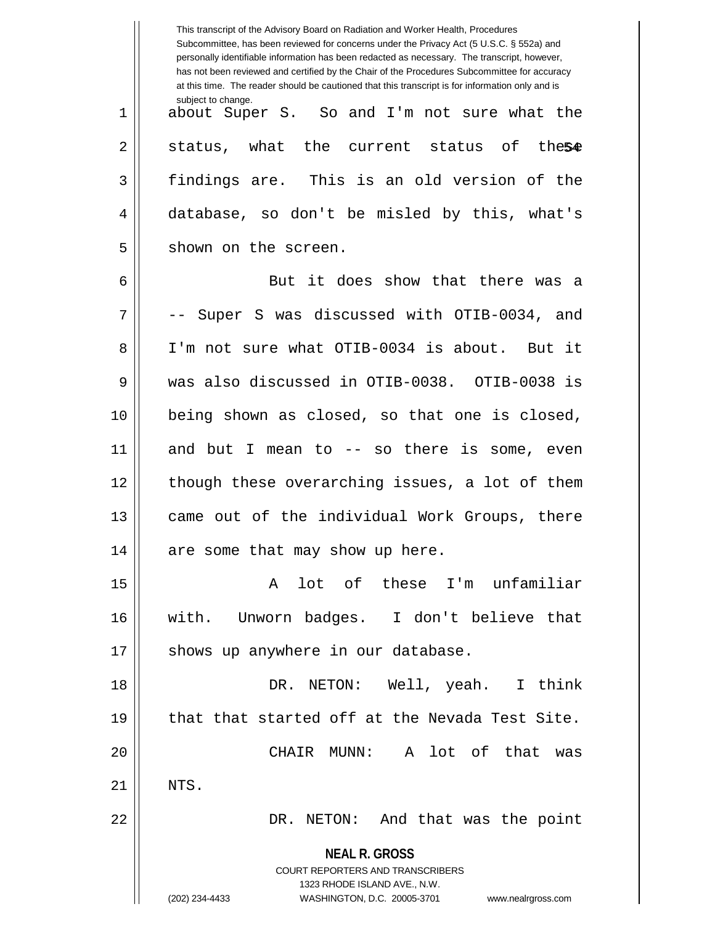|    | This transcript of the Advisory Board on Radiation and Worker Health, Procedures<br>Subcommittee, has been reviewed for concerns under the Privacy Act (5 U.S.C. § 552a) and<br>personally identifiable information has been redacted as necessary. The transcript, however,<br>has not been reviewed and certified by the Chair of the Procedures Subcommittee for accuracy<br>at this time. The reader should be cautioned that this transcript is for information only and is |
|----|----------------------------------------------------------------------------------------------------------------------------------------------------------------------------------------------------------------------------------------------------------------------------------------------------------------------------------------------------------------------------------------------------------------------------------------------------------------------------------|
| 1  | subject to change.<br>about Super S. So and I'm not sure what the                                                                                                                                                                                                                                                                                                                                                                                                                |
| 2  | status, what the current status of these                                                                                                                                                                                                                                                                                                                                                                                                                                         |
| 3  | findings are. This is an old version of the                                                                                                                                                                                                                                                                                                                                                                                                                                      |
| 4  | database, so don't be misled by this, what's                                                                                                                                                                                                                                                                                                                                                                                                                                     |
| 5  | shown on the screen.                                                                                                                                                                                                                                                                                                                                                                                                                                                             |
| 6  | But it does show that there was a                                                                                                                                                                                                                                                                                                                                                                                                                                                |
| 7  | Super S was discussed with OTIB-0034, and                                                                                                                                                                                                                                                                                                                                                                                                                                        |
| 8  | I'm not sure what OTIB-0034 is about. But it                                                                                                                                                                                                                                                                                                                                                                                                                                     |
| 9  | was also discussed in OTIB-0038. OTIB-0038 is                                                                                                                                                                                                                                                                                                                                                                                                                                    |
| 10 | being shown as closed, so that one is closed,                                                                                                                                                                                                                                                                                                                                                                                                                                    |
| 11 | and but I mean to -- so there is some, even                                                                                                                                                                                                                                                                                                                                                                                                                                      |
| 12 | though these overarching issues, a lot of them                                                                                                                                                                                                                                                                                                                                                                                                                                   |
| 13 | came out of the individual Work Groups, there                                                                                                                                                                                                                                                                                                                                                                                                                                    |
| 14 | are some that may show up here.                                                                                                                                                                                                                                                                                                                                                                                                                                                  |
| 15 | A lot of these I'm unfamiliar                                                                                                                                                                                                                                                                                                                                                                                                                                                    |
| 16 | with. Unworn badges. I don't believe that                                                                                                                                                                                                                                                                                                                                                                                                                                        |
| 17 | shows up anywhere in our database.                                                                                                                                                                                                                                                                                                                                                                                                                                               |
| 18 | DR. NETON: Well, yeah. I think                                                                                                                                                                                                                                                                                                                                                                                                                                                   |
| 19 | that that started off at the Nevada Test Site.                                                                                                                                                                                                                                                                                                                                                                                                                                   |
| 20 | CHAIR MUNN: A lot of that was                                                                                                                                                                                                                                                                                                                                                                                                                                                    |
| 21 | NTS.                                                                                                                                                                                                                                                                                                                                                                                                                                                                             |
| 22 | DR. NETON: And that was the point                                                                                                                                                                                                                                                                                                                                                                                                                                                |
|    | <b>NEAL R. GROSS</b>                                                                                                                                                                                                                                                                                                                                                                                                                                                             |
|    | <b>COURT REPORTERS AND TRANSCRIBERS</b><br>1323 RHODE ISLAND AVE., N.W.                                                                                                                                                                                                                                                                                                                                                                                                          |
|    | (202) 234-4433<br>WASHINGTON, D.C. 20005-3701<br>www.nealrgross.com                                                                                                                                                                                                                                                                                                                                                                                                              |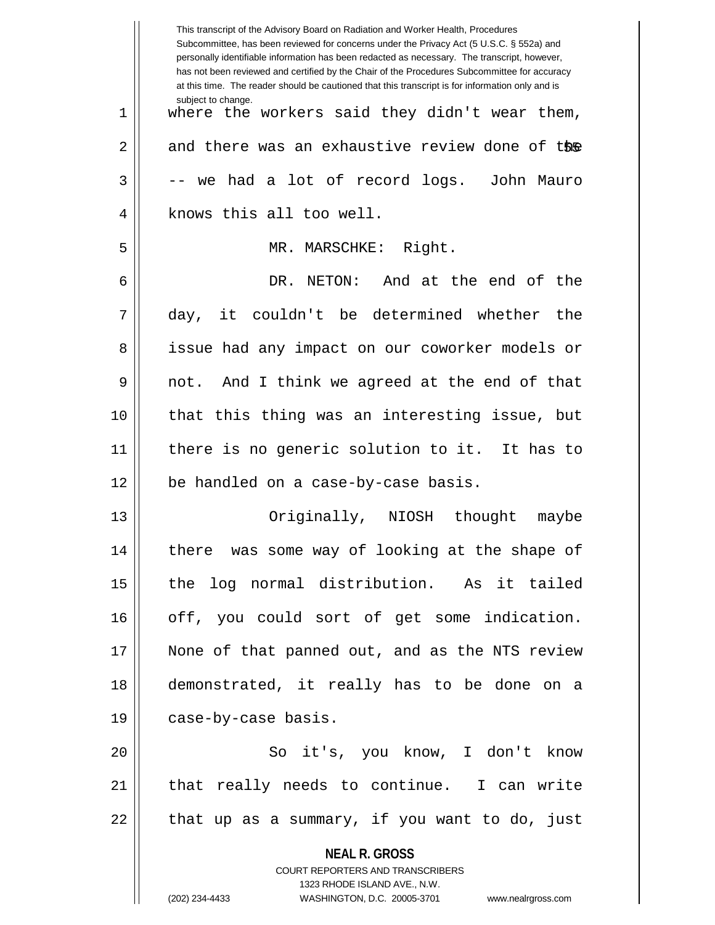|    | This transcript of the Advisory Board on Radiation and Worker Health, Procedures<br>Subcommittee, has been reviewed for concerns under the Privacy Act (5 U.S.C. § 552a) and<br>personally identifiable information has been redacted as necessary. The transcript, however,<br>has not been reviewed and certified by the Chair of the Procedures Subcommittee for accuracy<br>at this time. The reader should be cautioned that this transcript is for information only and is |
|----|----------------------------------------------------------------------------------------------------------------------------------------------------------------------------------------------------------------------------------------------------------------------------------------------------------------------------------------------------------------------------------------------------------------------------------------------------------------------------------|
| 1  | subject to change.<br>where the workers said they didn't wear them,                                                                                                                                                                                                                                                                                                                                                                                                              |
| 2  | and there was an exhaustive review done of the                                                                                                                                                                                                                                                                                                                                                                                                                                   |
| 3  | -- we had a lot of record logs. John Mauro                                                                                                                                                                                                                                                                                                                                                                                                                                       |
| 4  | knows this all too well.                                                                                                                                                                                                                                                                                                                                                                                                                                                         |
| 5  | MR. MARSCHKE: Right.                                                                                                                                                                                                                                                                                                                                                                                                                                                             |
| 6  | DR. NETON: And at the end of the                                                                                                                                                                                                                                                                                                                                                                                                                                                 |
| 7  | day, it couldn't be determined whether the                                                                                                                                                                                                                                                                                                                                                                                                                                       |
| 8  | issue had any impact on our coworker models or                                                                                                                                                                                                                                                                                                                                                                                                                                   |
| 9  | not. And I think we agreed at the end of that                                                                                                                                                                                                                                                                                                                                                                                                                                    |
| 10 | that this thing was an interesting issue, but                                                                                                                                                                                                                                                                                                                                                                                                                                    |
| 11 | there is no generic solution to it. It has to                                                                                                                                                                                                                                                                                                                                                                                                                                    |
| 12 | be handled on a case-by-case basis.                                                                                                                                                                                                                                                                                                                                                                                                                                              |
| 13 | Originally, NIOSH thought<br>maybe                                                                                                                                                                                                                                                                                                                                                                                                                                               |
| 14 | there was some way of looking at the shape of                                                                                                                                                                                                                                                                                                                                                                                                                                    |
| 15 | the log normal distribution. As it tailed                                                                                                                                                                                                                                                                                                                                                                                                                                        |
| 16 | off, you could sort of get some indication.                                                                                                                                                                                                                                                                                                                                                                                                                                      |
| 17 | None of that panned out, and as the NTS review                                                                                                                                                                                                                                                                                                                                                                                                                                   |
| 18 | demonstrated, it really has to be done on a                                                                                                                                                                                                                                                                                                                                                                                                                                      |
| 19 | case-by-case basis.                                                                                                                                                                                                                                                                                                                                                                                                                                                              |
| 20 | So it's, you know, I don't know                                                                                                                                                                                                                                                                                                                                                                                                                                                  |
| 21 | that really needs to continue. I can write                                                                                                                                                                                                                                                                                                                                                                                                                                       |
| 22 | that up as a summary, if you want to do, just                                                                                                                                                                                                                                                                                                                                                                                                                                    |
|    | <b>NEAL R. GROSS</b>                                                                                                                                                                                                                                                                                                                                                                                                                                                             |
|    | <b>COURT REPORTERS AND TRANSCRIBERS</b>                                                                                                                                                                                                                                                                                                                                                                                                                                          |
|    | 1323 RHODE ISLAND AVE., N.W.<br>(202) 234-4433<br>WASHINGTON, D.C. 20005-3701<br>www.nealrgross.com                                                                                                                                                                                                                                                                                                                                                                              |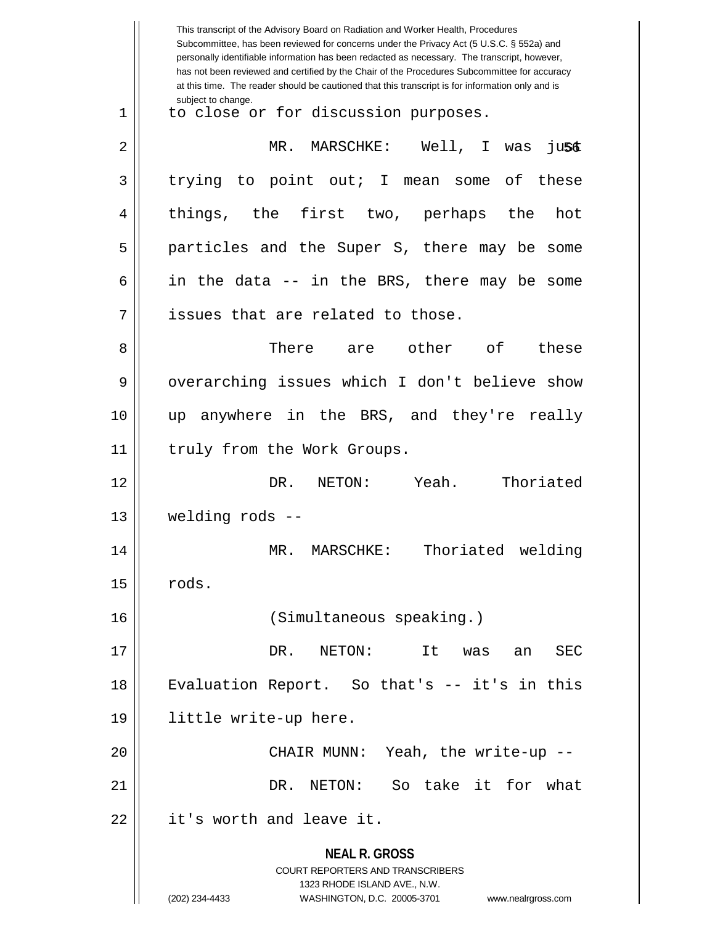|    | This transcript of the Advisory Board on Radiation and Worker Health, Procedures<br>Subcommittee, has been reviewed for concerns under the Privacy Act (5 U.S.C. § 552a) and<br>personally identifiable information has been redacted as necessary. The transcript, however,<br>has not been reviewed and certified by the Chair of the Procedures Subcommittee for accuracy<br>at this time. The reader should be cautioned that this transcript is for information only and is |
|----|----------------------------------------------------------------------------------------------------------------------------------------------------------------------------------------------------------------------------------------------------------------------------------------------------------------------------------------------------------------------------------------------------------------------------------------------------------------------------------|
| 1  | subject to change.<br>to close or for discussion purposes.                                                                                                                                                                                                                                                                                                                                                                                                                       |
| 2  | MR. MARSCHKE: Well, I was<br><b>JUSC</b>                                                                                                                                                                                                                                                                                                                                                                                                                                         |
| 3  | trying to point out; I mean some of these                                                                                                                                                                                                                                                                                                                                                                                                                                        |
| 4  | things, the first two, perhaps the<br>hot                                                                                                                                                                                                                                                                                                                                                                                                                                        |
| 5  | particles and the Super S, there may be some                                                                                                                                                                                                                                                                                                                                                                                                                                     |
| 6  | in the data -- in the BRS, there may be some                                                                                                                                                                                                                                                                                                                                                                                                                                     |
| 7  | issues that are related to those.                                                                                                                                                                                                                                                                                                                                                                                                                                                |
| 8  | There are<br>other of<br>these                                                                                                                                                                                                                                                                                                                                                                                                                                                   |
| 9  | overarching issues which I don't believe show                                                                                                                                                                                                                                                                                                                                                                                                                                    |
| 10 | anywhere in the BRS, and they're really<br>up                                                                                                                                                                                                                                                                                                                                                                                                                                    |
| 11 | truly from the Work Groups.                                                                                                                                                                                                                                                                                                                                                                                                                                                      |
| 12 | Yeah.<br>Thoriated<br>DR.<br>NETON:                                                                                                                                                                                                                                                                                                                                                                                                                                              |
| 13 | welding rods --                                                                                                                                                                                                                                                                                                                                                                                                                                                                  |
| 14 | welding<br>$MR$ .<br>MARSCHKE:<br>Thoriated                                                                                                                                                                                                                                                                                                                                                                                                                                      |
| 15 | rods.                                                                                                                                                                                                                                                                                                                                                                                                                                                                            |
| 16 | (Simultaneous speaking.)                                                                                                                                                                                                                                                                                                                                                                                                                                                         |
| 17 | DR.<br>It<br>NETON:<br>SEC<br>was<br>an                                                                                                                                                                                                                                                                                                                                                                                                                                          |
| 18 | Evaluation Report. So that's -- it's in this                                                                                                                                                                                                                                                                                                                                                                                                                                     |
| 19 | little write-up here.                                                                                                                                                                                                                                                                                                                                                                                                                                                            |
| 20 | CHAIR MUNN: Yeah, the write-up --                                                                                                                                                                                                                                                                                                                                                                                                                                                |
| 21 | So take it for what<br>DR. NETON:                                                                                                                                                                                                                                                                                                                                                                                                                                                |
| 22 | it's worth and leave it.                                                                                                                                                                                                                                                                                                                                                                                                                                                         |
|    | <b>NEAL R. GROSS</b><br><b>COURT REPORTERS AND TRANSCRIBERS</b><br>1323 RHODE ISLAND AVE., N.W.<br>(202) 234-4433<br>WASHINGTON, D.C. 20005-3701<br>www.nealrgross.com                                                                                                                                                                                                                                                                                                           |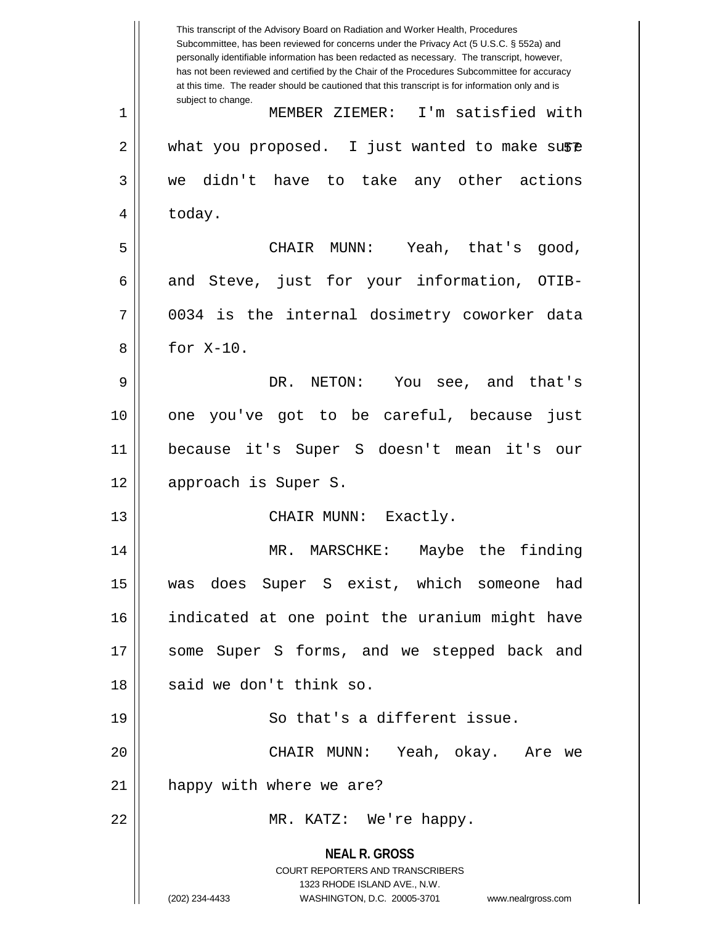**NEAL R. GROSS** COURT REPORTERS AND TRANSCRIBERS 1323 RHODE ISLAND AVE., N.W. (202) 234-4433 WASHINGTON, D.C. 20005-3701 www.nealrgross.com This transcript of the Advisory Board on Radiation and Worker Health, Procedures Subcommittee, has been reviewed for concerns under the Privacy Act (5 U.S.C. § 552a) and personally identifiable information has been redacted as necessary. The transcript, however, has not been reviewed and certified by the Chair of the Procedures Subcommittee for accuracy at this time. The reader should be cautioned that this transcript is for information only and is subject to change. 2 || what you proposed. I just wanted to make su\$@ 1 MEMBER ZIEMER: I'm satisfied with  $3 \parallel$  we didn't have to take any other actions  $4 \parallel$  today. 5 CHAIR MUNN: Yeah, that's good, 6 and Steve, just for your information, OTIB- $7 \parallel$  0034 is the internal dosimetry coworker data 8 || for X-10. 9 DR. NETON: You see, and that's 10 one you've got to be careful, because just 11 because it's Super S doesn't mean it's our 12 || approach is Super S. 13 || CHAIR MUNN: Exactly. 14 || MR. MARSCHKE: Maybe the finding 15 was does Super S exist, which someone had 16 indicated at one point the uranium might have 17 || some Super S forms, and we stepped back and 18 || said we don't think so. 19 || So that's a different issue. 20 CHAIR MUNN: Yeah, okay. Are we 21 | happy with where we are? 22 MR. KATZ: We're happy.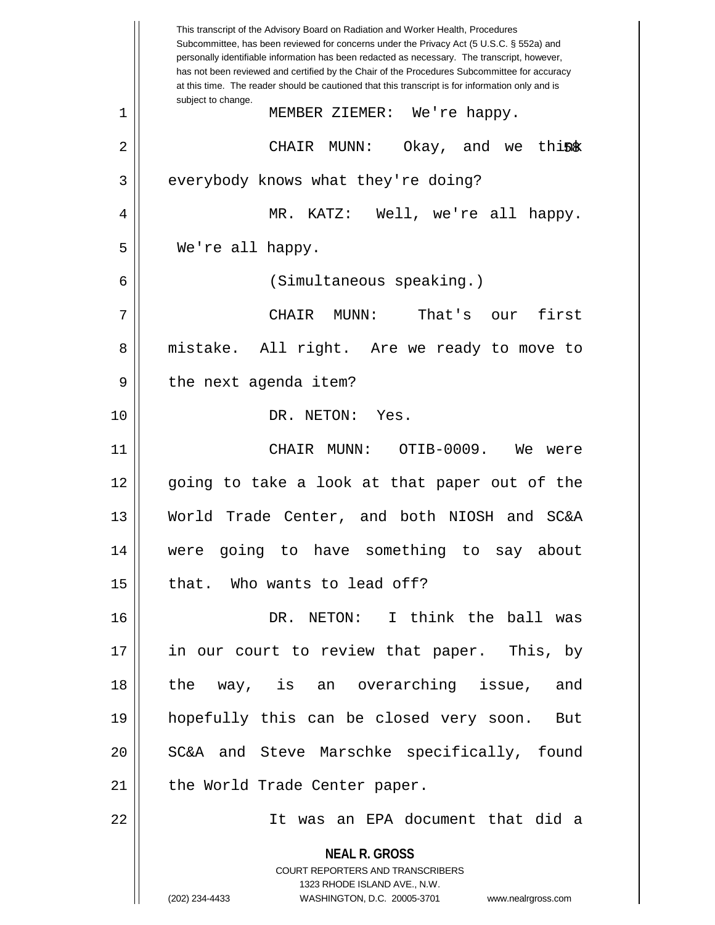|                | This transcript of the Advisory Board on Radiation and Worker Health, Procedures<br>Subcommittee, has been reviewed for concerns under the Privacy Act (5 U.S.C. § 552a) and<br>personally identifiable information has been redacted as necessary. The transcript, however,<br>has not been reviewed and certified by the Chair of the Procedures Subcommittee for accuracy<br>at this time. The reader should be cautioned that this transcript is for information only and is |
|----------------|----------------------------------------------------------------------------------------------------------------------------------------------------------------------------------------------------------------------------------------------------------------------------------------------------------------------------------------------------------------------------------------------------------------------------------------------------------------------------------|
| $\mathbf 1$    | subject to change.<br>MEMBER ZIEMER: We're happy.                                                                                                                                                                                                                                                                                                                                                                                                                                |
| $\overline{2}$ | Okay, and we think<br>CHAIR<br>MUNN :                                                                                                                                                                                                                                                                                                                                                                                                                                            |
| 3              | everybody knows what they're doing?                                                                                                                                                                                                                                                                                                                                                                                                                                              |
| 4              | MR. KATZ: Well, we're all happy.                                                                                                                                                                                                                                                                                                                                                                                                                                                 |
| 5              | We're all happy.                                                                                                                                                                                                                                                                                                                                                                                                                                                                 |
| 6              | (Simultaneous speaking.)                                                                                                                                                                                                                                                                                                                                                                                                                                                         |
| 7              | first<br>MUNN:<br>That's<br>CHAIR<br>our                                                                                                                                                                                                                                                                                                                                                                                                                                         |
| 8              | mistake. All right. Are we ready to move to                                                                                                                                                                                                                                                                                                                                                                                                                                      |
| 9              | the next agenda item?                                                                                                                                                                                                                                                                                                                                                                                                                                                            |
| 10             | DR. NETON: Yes.                                                                                                                                                                                                                                                                                                                                                                                                                                                                  |
| 11             | OTIB-0009.<br>CHAIR MUNN:<br>We<br>were                                                                                                                                                                                                                                                                                                                                                                                                                                          |
| 12             | going to take a look at that paper out of the                                                                                                                                                                                                                                                                                                                                                                                                                                    |
| 13             | World Trade Center, and both NIOSH and SC&A                                                                                                                                                                                                                                                                                                                                                                                                                                      |
| 14             | were going to have something to say about                                                                                                                                                                                                                                                                                                                                                                                                                                        |
| 15             | that. Who wants to lead off?                                                                                                                                                                                                                                                                                                                                                                                                                                                     |
| 16             | DR. NETON: I think the ball was                                                                                                                                                                                                                                                                                                                                                                                                                                                  |
| 17             | in our court to review that paper. This, by                                                                                                                                                                                                                                                                                                                                                                                                                                      |
| 18             | the way, is an overarching issue, and                                                                                                                                                                                                                                                                                                                                                                                                                                            |
| 19             | hopefully this can be closed very soon. But                                                                                                                                                                                                                                                                                                                                                                                                                                      |
| 20             | SC&A and Steve Marschke specifically, found                                                                                                                                                                                                                                                                                                                                                                                                                                      |
| 21             | the World Trade Center paper.                                                                                                                                                                                                                                                                                                                                                                                                                                                    |
| 22             | It was an EPA document that did a                                                                                                                                                                                                                                                                                                                                                                                                                                                |
|                | <b>NEAL R. GROSS</b><br><b>COURT REPORTERS AND TRANSCRIBERS</b><br>1323 RHODE ISLAND AVE., N.W.<br>(202) 234-4433<br>WASHINGTON, D.C. 20005-3701<br>www.nealrgross.com                                                                                                                                                                                                                                                                                                           |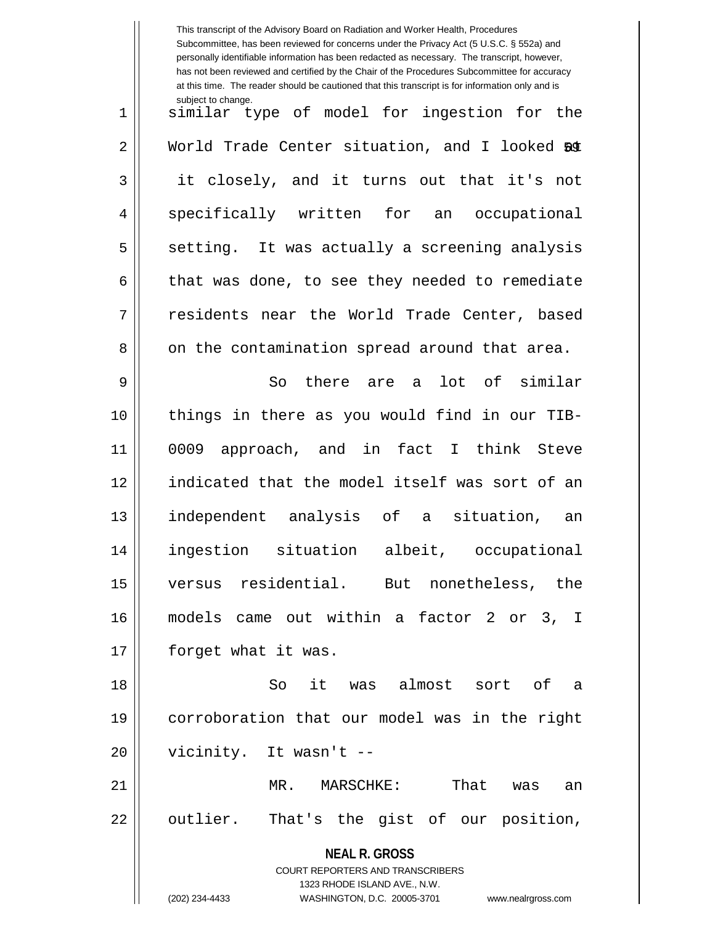|    | This transcript of the Advisory Board on Radiation and Worker Health, Procedures<br>Subcommittee, has been reviewed for concerns under the Privacy Act (5 U.S.C. § 552a) and<br>personally identifiable information has been redacted as necessary. The transcript, however,<br>has not been reviewed and certified by the Chair of the Procedures Subcommittee for accuracy<br>at this time. The reader should be cautioned that this transcript is for information only and is |
|----|----------------------------------------------------------------------------------------------------------------------------------------------------------------------------------------------------------------------------------------------------------------------------------------------------------------------------------------------------------------------------------------------------------------------------------------------------------------------------------|
| 1  | subject to change.<br>similar type of model for ingestion for the                                                                                                                                                                                                                                                                                                                                                                                                                |
| 2  | World Trade Center situation, and I looked 50                                                                                                                                                                                                                                                                                                                                                                                                                                    |
| 3  | it closely, and it turns out that it's not                                                                                                                                                                                                                                                                                                                                                                                                                                       |
| 4  | specifically written for<br>occupational<br>an                                                                                                                                                                                                                                                                                                                                                                                                                                   |
| 5  | setting. It was actually a screening analysis                                                                                                                                                                                                                                                                                                                                                                                                                                    |
| 6  | that was done, to see they needed to remediate                                                                                                                                                                                                                                                                                                                                                                                                                                   |
| 7  | residents near the World Trade Center, based                                                                                                                                                                                                                                                                                                                                                                                                                                     |
| 8  | on the contamination spread around that area.                                                                                                                                                                                                                                                                                                                                                                                                                                    |
| 9  | there are a lot of similar<br>So                                                                                                                                                                                                                                                                                                                                                                                                                                                 |
| 10 | things in there as you would find in our TIB-                                                                                                                                                                                                                                                                                                                                                                                                                                    |
| 11 | approach, and in fact I think Steve<br>0009                                                                                                                                                                                                                                                                                                                                                                                                                                      |
| 12 | indicated that the model itself was sort of an                                                                                                                                                                                                                                                                                                                                                                                                                                   |
| 13 | independent analysis of<br>situation,<br>a<br>an                                                                                                                                                                                                                                                                                                                                                                                                                                 |
| 14 | albeit, occupational<br>ingestion situation                                                                                                                                                                                                                                                                                                                                                                                                                                      |
| 15 | versus residential. But nonetheless, the                                                                                                                                                                                                                                                                                                                                                                                                                                         |
| 16 | models came out within a factor 2 or 3, I                                                                                                                                                                                                                                                                                                                                                                                                                                        |
| 17 | forget what it was.                                                                                                                                                                                                                                                                                                                                                                                                                                                              |
| 18 | it was almost sort<br>So<br>of a                                                                                                                                                                                                                                                                                                                                                                                                                                                 |
| 19 | corroboration that our model was in the right                                                                                                                                                                                                                                                                                                                                                                                                                                    |
| 20 | vicinity. It wasn't --                                                                                                                                                                                                                                                                                                                                                                                                                                                           |
| 21 | That<br>MR. MARSCHKE:<br>was<br>an                                                                                                                                                                                                                                                                                                                                                                                                                                               |
| 22 | outlier. That's the gist of our position,                                                                                                                                                                                                                                                                                                                                                                                                                                        |
|    | <b>NEAL R. GROSS</b><br>COURT REPORTERS AND TRANSCRIBERS<br>1323 RHODE ISLAND AVE., N.W.                                                                                                                                                                                                                                                                                                                                                                                         |
|    | (202) 234-4433<br>WASHINGTON, D.C. 20005-3701<br>www.nealrgross.com                                                                                                                                                                                                                                                                                                                                                                                                              |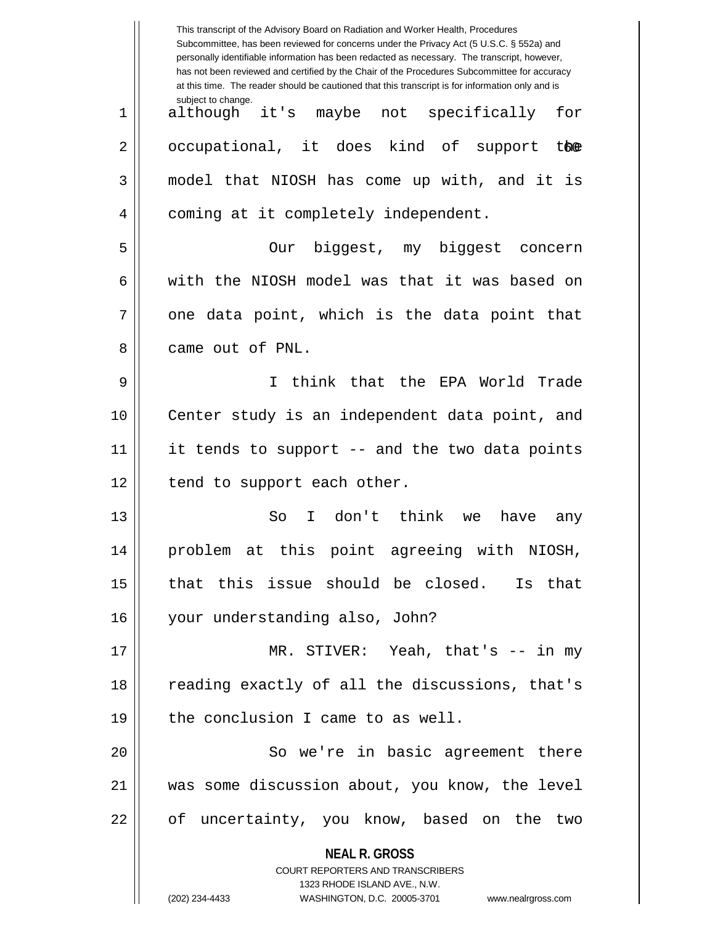|    | This transcript of the Advisory Board on Radiation and Worker Health, Procedures<br>Subcommittee, has been reviewed for concerns under the Privacy Act (5 U.S.C. § 552a) and<br>personally identifiable information has been redacted as necessary. The transcript, however,<br>has not been reviewed and certified by the Chair of the Procedures Subcommittee for accuracy<br>at this time. The reader should be cautioned that this transcript is for information only and is |
|----|----------------------------------------------------------------------------------------------------------------------------------------------------------------------------------------------------------------------------------------------------------------------------------------------------------------------------------------------------------------------------------------------------------------------------------------------------------------------------------|
| 1  | subject to change.<br>although it's maybe not specifically<br>for                                                                                                                                                                                                                                                                                                                                                                                                                |
| 2  | occupational, it does kind of support the                                                                                                                                                                                                                                                                                                                                                                                                                                        |
| 3  | model that NIOSH has come up with, and it is                                                                                                                                                                                                                                                                                                                                                                                                                                     |
| 4  | coming at it completely independent.                                                                                                                                                                                                                                                                                                                                                                                                                                             |
| 5  | biggest, my biggest concern<br>Our                                                                                                                                                                                                                                                                                                                                                                                                                                               |
| 6  | with the NIOSH model was that it was based on                                                                                                                                                                                                                                                                                                                                                                                                                                    |
| 7  | one data point, which is the data point that                                                                                                                                                                                                                                                                                                                                                                                                                                     |
| 8  | came out of PNL.                                                                                                                                                                                                                                                                                                                                                                                                                                                                 |
| 9  | I think that the EPA World Trade                                                                                                                                                                                                                                                                                                                                                                                                                                                 |
| 10 | Center study is an independent data point, and                                                                                                                                                                                                                                                                                                                                                                                                                                   |
| 11 | it tends to support -- and the two data points                                                                                                                                                                                                                                                                                                                                                                                                                                   |
| 12 | tend to support each other.                                                                                                                                                                                                                                                                                                                                                                                                                                                      |
| 13 | don't think<br>So<br>I.<br>have<br>we<br>any                                                                                                                                                                                                                                                                                                                                                                                                                                     |
| 14 | problem at this point agreeing with NIOSH,                                                                                                                                                                                                                                                                                                                                                                                                                                       |
| 15 | that this issue should be closed. Is that                                                                                                                                                                                                                                                                                                                                                                                                                                        |
| 16 | your understanding also, John?                                                                                                                                                                                                                                                                                                                                                                                                                                                   |
| 17 | MR. STIVER: Yeah, that's $--$ in my                                                                                                                                                                                                                                                                                                                                                                                                                                              |
| 18 | reading exactly of all the discussions, that's                                                                                                                                                                                                                                                                                                                                                                                                                                   |
| 19 | the conclusion I came to as well.                                                                                                                                                                                                                                                                                                                                                                                                                                                |
| 20 | So we're in basic agreement there                                                                                                                                                                                                                                                                                                                                                                                                                                                |
| 21 | was some discussion about, you know, the level                                                                                                                                                                                                                                                                                                                                                                                                                                   |
| 22 | of uncertainty, you know, based on the two                                                                                                                                                                                                                                                                                                                                                                                                                                       |
|    | <b>NEAL R. GROSS</b><br>COURT REPORTERS AND TRANSCRIBERS                                                                                                                                                                                                                                                                                                                                                                                                                         |
|    | 1323 RHODE ISLAND AVE., N.W.                                                                                                                                                                                                                                                                                                                                                                                                                                                     |
|    | (202) 234-4433<br>WASHINGTON, D.C. 20005-3701<br>www.nealrgross.com                                                                                                                                                                                                                                                                                                                                                                                                              |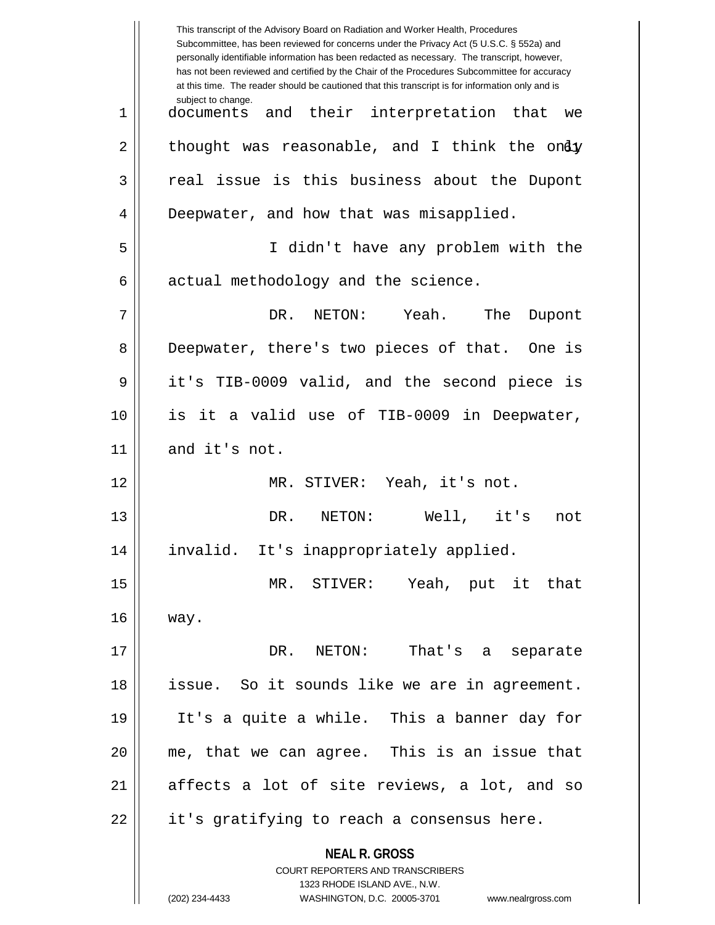|    | This transcript of the Advisory Board on Radiation and Worker Health, Procedures<br>Subcommittee, has been reviewed for concerns under the Privacy Act (5 U.S.C. § 552a) and<br>personally identifiable information has been redacted as necessary. The transcript, however,<br>has not been reviewed and certified by the Chair of the Procedures Subcommittee for accuracy<br>at this time. The reader should be cautioned that this transcript is for information only and is |
|----|----------------------------------------------------------------------------------------------------------------------------------------------------------------------------------------------------------------------------------------------------------------------------------------------------------------------------------------------------------------------------------------------------------------------------------------------------------------------------------|
| 1  | subject to change.<br>their interpretation that<br>and<br>documents<br>we                                                                                                                                                                                                                                                                                                                                                                                                        |
| 2  | thought was reasonable, and I think the ondy                                                                                                                                                                                                                                                                                                                                                                                                                                     |
| 3  | real issue is this business about the Dupont                                                                                                                                                                                                                                                                                                                                                                                                                                     |
| 4  | Deepwater, and how that was misapplied.                                                                                                                                                                                                                                                                                                                                                                                                                                          |
| 5  | I didn't have any problem with the                                                                                                                                                                                                                                                                                                                                                                                                                                               |
| 6  | actual methodology and the science.                                                                                                                                                                                                                                                                                                                                                                                                                                              |
| 7  | Yeah.<br>DR.<br>NETON:<br>The<br>Dupont                                                                                                                                                                                                                                                                                                                                                                                                                                          |
| 8  | Deepwater, there's two pieces of that. One is                                                                                                                                                                                                                                                                                                                                                                                                                                    |
| 9  | it's TIB-0009 valid, and the second piece is                                                                                                                                                                                                                                                                                                                                                                                                                                     |
| 10 | is it a valid use of TIB-0009 in Deepwater,                                                                                                                                                                                                                                                                                                                                                                                                                                      |
| 11 | and it's not.                                                                                                                                                                                                                                                                                                                                                                                                                                                                    |
| 12 | MR. STIVER: Yeah, it's not.                                                                                                                                                                                                                                                                                                                                                                                                                                                      |
| 13 | Well, it's<br>DR.<br>NETON:<br>not                                                                                                                                                                                                                                                                                                                                                                                                                                               |
| 14 | invalid. It's inappropriately applied.                                                                                                                                                                                                                                                                                                                                                                                                                                           |
| 15 | MR. STIVER: Yeah, put it that                                                                                                                                                                                                                                                                                                                                                                                                                                                    |
| 16 | way.                                                                                                                                                                                                                                                                                                                                                                                                                                                                             |
| 17 | DR. NETON:<br>That's a separate                                                                                                                                                                                                                                                                                                                                                                                                                                                  |
| 18 | issue. So it sounds like we are in agreement.                                                                                                                                                                                                                                                                                                                                                                                                                                    |
| 19 | It's a quite a while. This a banner day for                                                                                                                                                                                                                                                                                                                                                                                                                                      |
| 20 | me, that we can agree. This is an issue that                                                                                                                                                                                                                                                                                                                                                                                                                                     |
| 21 | affects a lot of site reviews, a lot, and so                                                                                                                                                                                                                                                                                                                                                                                                                                     |
| 22 | it's gratifying to reach a consensus here.                                                                                                                                                                                                                                                                                                                                                                                                                                       |
|    | <b>NEAL R. GROSS</b><br><b>COURT REPORTERS AND TRANSCRIBERS</b><br>1323 RHODE ISLAND AVE., N.W.                                                                                                                                                                                                                                                                                                                                                                                  |
|    | (202) 234-4433<br>WASHINGTON, D.C. 20005-3701<br>www.nealrgross.com                                                                                                                                                                                                                                                                                                                                                                                                              |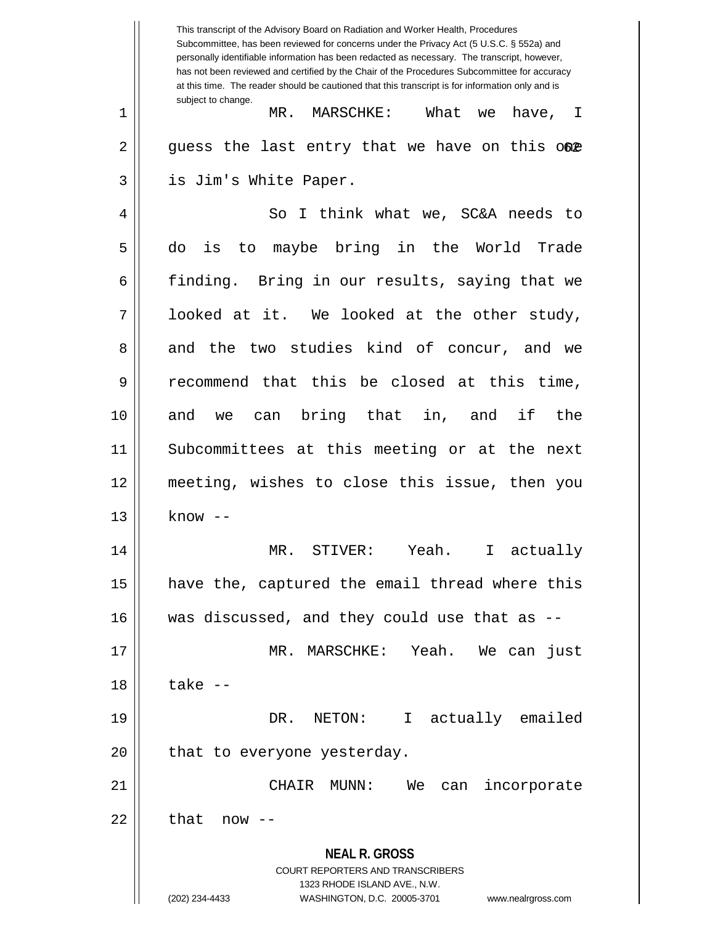**NEAL R. GROSS** COURT REPORTERS AND TRANSCRIBERS 1323 RHODE ISLAND AVE., N.W. (202) 234-4433 WASHINGTON, D.C. 20005-3701 www.nealrgross.com This transcript of the Advisory Board on Radiation and Worker Health, Procedures Subcommittee, has been reviewed for concerns under the Privacy Act (5 U.S.C. § 552a) and personally identifiable information has been redacted as necessary. The transcript, however, has not been reviewed and certified by the Chair of the Procedures Subcommittee for accuracy at this time. The reader should be cautioned that this transcript is for information only and is subject to change.  $2 \parallel$  guess the last entry that we have on this o $@p$ 1 MR. MARSCHKE: What we have, I 3 is Jim's White Paper. 4 So I think what we, SC&A needs to 5 do is to maybe bring in the World Trade 6 finding. Bring in our results, saying that we  $7 \parallel$  looked at it. We looked at the other study, 8 and the two studies kind of concur, and we 9 recommend that this be closed at this time, 10 and we can bring that in, and if the 11 Subcommittees at this meeting or at the next 12 meeting, wishes to close this issue, then you  $13 \parallel$  know  $-$ 14 MR. STIVER: Yeah. I actually 15 have the, captured the email thread where this  $16$  || was discussed, and they could use that as  $-$ 17 MR. MARSCHKE: Yeah. We can just  $18 \parallel$  take  $-$ 19 DR. NETON: I actually emailed  $20$  | that to everyone yesterday. 21 CHAIR MUNN: We can incorporate 22 || that now --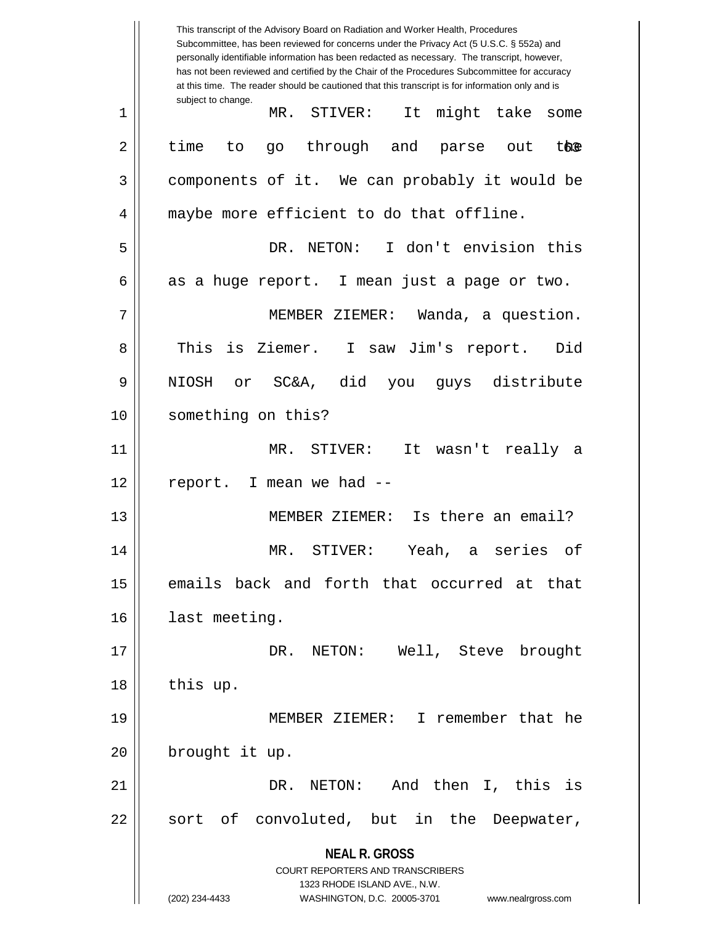**NEAL R. GROSS** COURT REPORTERS AND TRANSCRIBERS 1323 RHODE ISLAND AVE., N.W. (202) 234-4433 WASHINGTON, D.C. 20005-3701 www.nealrgross.com This transcript of the Advisory Board on Radiation and Worker Health, Procedures Subcommittee, has been reviewed for concerns under the Privacy Act (5 U.S.C. § 552a) and personally identifiable information has been redacted as necessary. The transcript, however, has not been reviewed and certified by the Chair of the Procedures Subcommittee for accuracy at this time. The reader should be cautioned that this transcript is for information only and is subject to change. the 1 MR. STIVER: It might take some  $2 \parallel$  time to go through and parse out 3 || components of it. We can probably it would be 4 || maybe more efficient to do that offline. 5 DR. NETON: I don't envision this  $6 \parallel$  as a huge report. I mean just a page or two. 7 MEMBER ZIEMER: Wanda, a question. 8 || This is Ziemer. I saw Jim's report. Did 9 NIOSH or SC&A, did you guys distribute 10 || something on this? 11 MR. STIVER: It wasn't really a  $12$  | report. I mean we had  $-$ 13 MEMBER ZIEMER: Is there an email? 14 MR. STIVER: Yeah, a series of 15 emails back and forth that occurred at that 16 | last meeting. 17 DR. NETON: Well, Steve brought 18 | this up. 19 MEMBER ZIEMER: I remember that he 20 | brought it up. 21 DR. NETON: And then I, this is  $22 \parallel$  sort of convoluted, but in the Deepwater,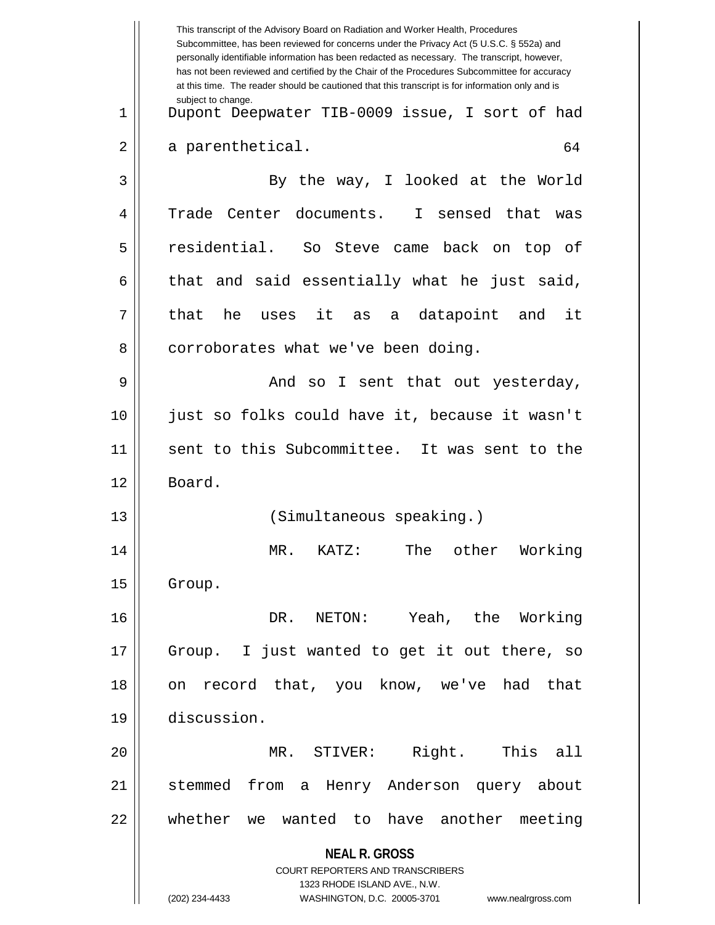|    | This transcript of the Advisory Board on Radiation and Worker Health, Procedures<br>Subcommittee, has been reviewed for concerns under the Privacy Act (5 U.S.C. § 552a) and<br>personally identifiable information has been redacted as necessary. The transcript, however,<br>has not been reviewed and certified by the Chair of the Procedures Subcommittee for accuracy<br>at this time. The reader should be cautioned that this transcript is for information only and is |
|----|----------------------------------------------------------------------------------------------------------------------------------------------------------------------------------------------------------------------------------------------------------------------------------------------------------------------------------------------------------------------------------------------------------------------------------------------------------------------------------|
| 1  | subject to change.<br>Dupont Deepwater TIB-0009 issue, I sort of had                                                                                                                                                                                                                                                                                                                                                                                                             |
| 2  | a parenthetical.<br>64                                                                                                                                                                                                                                                                                                                                                                                                                                                           |
| 3  | By the way, I looked at the World                                                                                                                                                                                                                                                                                                                                                                                                                                                |
| 4  | Trade Center documents. I sensed that<br>was                                                                                                                                                                                                                                                                                                                                                                                                                                     |
| 5  | residential.<br>So Steve came back on top of                                                                                                                                                                                                                                                                                                                                                                                                                                     |
| 6  | that and said essentially what he just said,                                                                                                                                                                                                                                                                                                                                                                                                                                     |
| 7  | that<br>he uses<br>it<br>as a datapoint and it                                                                                                                                                                                                                                                                                                                                                                                                                                   |
| 8  | corroborates what we've been doing.                                                                                                                                                                                                                                                                                                                                                                                                                                              |
| 9  | And so I sent that out yesterday,                                                                                                                                                                                                                                                                                                                                                                                                                                                |
| 10 | just so folks could have it, because it wasn't                                                                                                                                                                                                                                                                                                                                                                                                                                   |
| 11 | sent to this Subcommittee. It was sent to the                                                                                                                                                                                                                                                                                                                                                                                                                                    |
| 12 | Board.                                                                                                                                                                                                                                                                                                                                                                                                                                                                           |
| 13 | (Simultaneous speaking.)                                                                                                                                                                                                                                                                                                                                                                                                                                                         |
| 14 | MR.<br>Working<br>KATZ:<br>The<br>other                                                                                                                                                                                                                                                                                                                                                                                                                                          |
| 15 | Group.                                                                                                                                                                                                                                                                                                                                                                                                                                                                           |
| 16 | Yeah, the Working<br>DR. NETON:                                                                                                                                                                                                                                                                                                                                                                                                                                                  |
| 17 | I just wanted to get it out there, so<br>Group.                                                                                                                                                                                                                                                                                                                                                                                                                                  |
| 18 | record that, you know, we've had that<br>on                                                                                                                                                                                                                                                                                                                                                                                                                                      |
| 19 | discussion.                                                                                                                                                                                                                                                                                                                                                                                                                                                                      |
| 20 | MR. STIVER: Right. This all                                                                                                                                                                                                                                                                                                                                                                                                                                                      |
| 21 | from a Henry Anderson query about<br>stemmed                                                                                                                                                                                                                                                                                                                                                                                                                                     |
| 22 | whether we wanted to have another meeting                                                                                                                                                                                                                                                                                                                                                                                                                                        |
|    | <b>NEAL R. GROSS</b><br><b>COURT REPORTERS AND TRANSCRIBERS</b><br>1323 RHODE ISLAND AVE., N.W.<br>(202) 234-4433<br>WASHINGTON, D.C. 20005-3701                                                                                                                                                                                                                                                                                                                                 |
|    | www.nealrgross.com                                                                                                                                                                                                                                                                                                                                                                                                                                                               |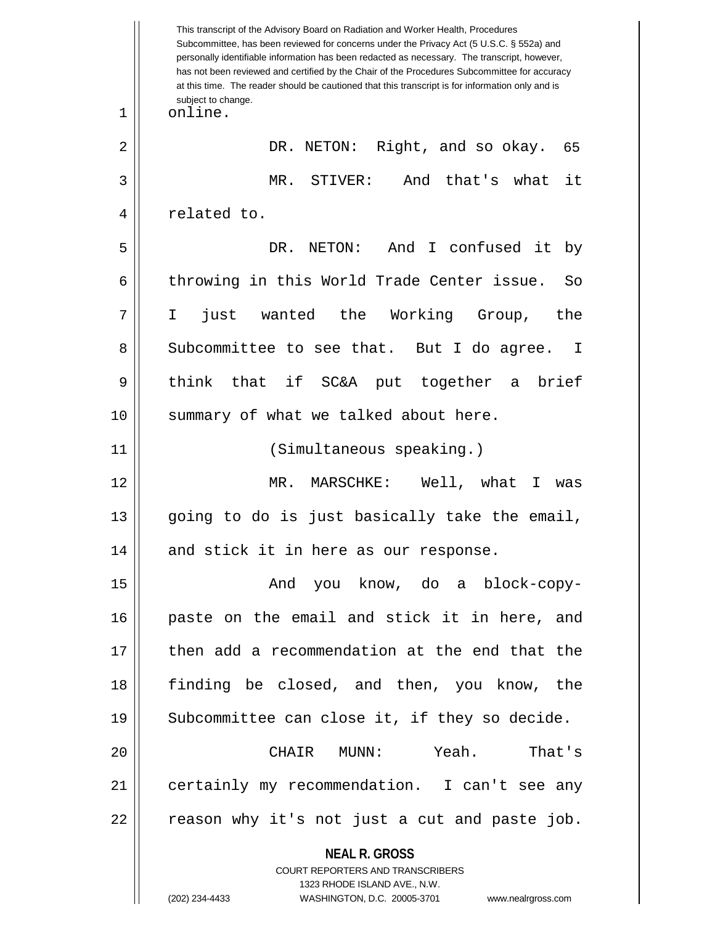**NEAL R. GROSS** COURT REPORTERS AND TRANSCRIBERS 1323 RHODE ISLAND AVE., N.W. This transcript of the Advisory Board on Radiation and Worker Health, Procedures Subcommittee, has been reviewed for concerns under the Privacy Act (5 U.S.C. § 552a) and personally identifiable information has been redacted as necessary. The transcript, however, has not been reviewed and certified by the Chair of the Procedures Subcommittee for accuracy at this time. The reader should be cautioned that this transcript is for information only and is subject to change. 65 1 | online. 2 || DR. NETON: Right, and so okay. 3 MR. STIVER: And that's what it 4 || related to. 5 DR. NETON: And I confused it by 6 throwing in this World Trade Center issue. So 7 I just wanted the Working Group, the 8 Subcommittee to see that. But I do agree. I 9 || think that if SC&A put together a brief 10 || summary of what we talked about here. 11 (Simultaneous speaking.) 12 MR. MARSCHKE: Well, what I was 13 || going to do is just basically take the email, 14 || and stick it in here as our response. 15 And you know, do a block-copy-16 paste on the email and stick it in here, and 17 || then add a recommendation at the end that the 18 finding be closed, and then, you know, the 19  $\parallel$  Subcommittee can close it, if they so decide. 20 CHAIR MUNN: Yeah. That's 21 certainly my recommendation. I can't see any  $22 \parallel$  reason why it's not just a cut and paste job.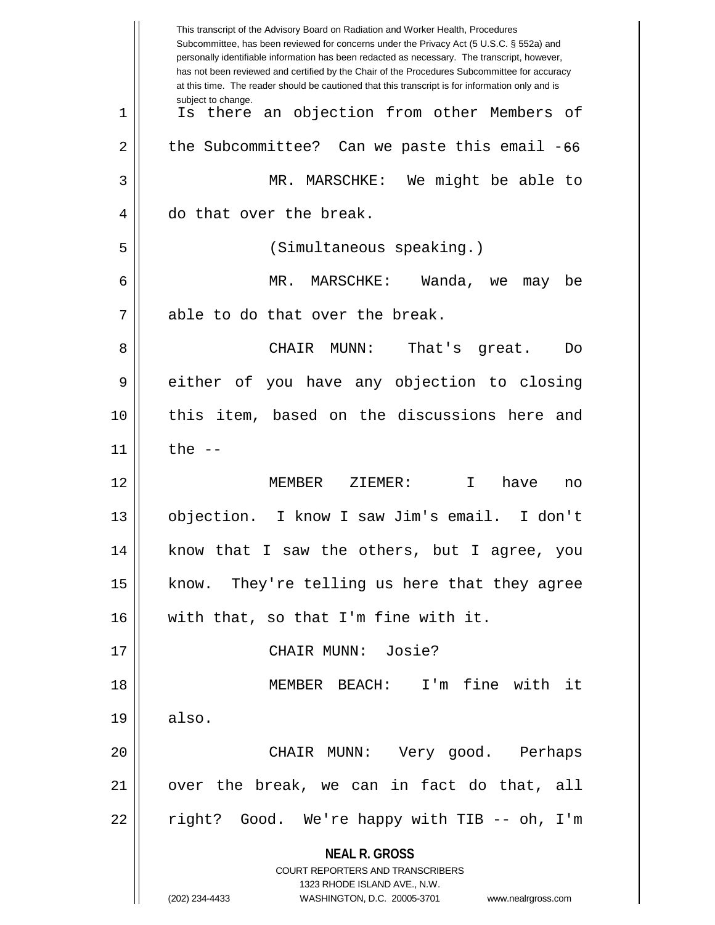|    | This transcript of the Advisory Board on Radiation and Worker Health, Procedures<br>Subcommittee, has been reviewed for concerns under the Privacy Act (5 U.S.C. § 552a) and<br>personally identifiable information has been redacted as necessary. The transcript, however,<br>has not been reviewed and certified by the Chair of the Procedures Subcommittee for accuracy<br>at this time. The reader should be cautioned that this transcript is for information only and is |
|----|----------------------------------------------------------------------------------------------------------------------------------------------------------------------------------------------------------------------------------------------------------------------------------------------------------------------------------------------------------------------------------------------------------------------------------------------------------------------------------|
| 1  | subject to change.<br>an objection from other Members of<br>Is there                                                                                                                                                                                                                                                                                                                                                                                                             |
| 2  | the Subcommittee? Can we paste this email -66                                                                                                                                                                                                                                                                                                                                                                                                                                    |
| 3  | MR. MARSCHKE: We might be able to                                                                                                                                                                                                                                                                                                                                                                                                                                                |
| 4  | do that over the break.                                                                                                                                                                                                                                                                                                                                                                                                                                                          |
| 5  | (Simultaneous speaking.)                                                                                                                                                                                                                                                                                                                                                                                                                                                         |
| 6  | MR.<br>MARSCHKE:<br>Wanda, we<br>may<br>be                                                                                                                                                                                                                                                                                                                                                                                                                                       |
| 7  | able to do that over the break.                                                                                                                                                                                                                                                                                                                                                                                                                                                  |
| 8  | CHAIR<br>MUNN:<br>That's great.<br>Do                                                                                                                                                                                                                                                                                                                                                                                                                                            |
| 9  | you have any objection to closing<br>either of                                                                                                                                                                                                                                                                                                                                                                                                                                   |
| 10 | this item, based on the discussions here<br>and                                                                                                                                                                                                                                                                                                                                                                                                                                  |
| 11 | the $-$                                                                                                                                                                                                                                                                                                                                                                                                                                                                          |
| 12 | MEMBER<br>ZIEMER:<br>I.<br>have<br>no                                                                                                                                                                                                                                                                                                                                                                                                                                            |
| 13 | objection.<br>I know I saw Jim's email.<br>I don't                                                                                                                                                                                                                                                                                                                                                                                                                               |
| 14 | know that I saw the others, but I agree, you                                                                                                                                                                                                                                                                                                                                                                                                                                     |
| 15 | know. They're telling us here that they agree                                                                                                                                                                                                                                                                                                                                                                                                                                    |
| 16 | with that, so that I'm fine with it.                                                                                                                                                                                                                                                                                                                                                                                                                                             |
| 17 | CHAIR MUNN: Josie?                                                                                                                                                                                                                                                                                                                                                                                                                                                               |
| 18 | MEMBER BEACH: I'm fine with it                                                                                                                                                                                                                                                                                                                                                                                                                                                   |
| 19 | also.                                                                                                                                                                                                                                                                                                                                                                                                                                                                            |
| 20 | CHAIR MUNN: Very good. Perhaps                                                                                                                                                                                                                                                                                                                                                                                                                                                   |
| 21 | over the break, we can in fact do that, all                                                                                                                                                                                                                                                                                                                                                                                                                                      |
| 22 | right? Good. We're happy with TIB -- oh, I'm                                                                                                                                                                                                                                                                                                                                                                                                                                     |
|    | <b>NEAL R. GROSS</b><br><b>COURT REPORTERS AND TRANSCRIBERS</b><br>1323 RHODE ISLAND AVE., N.W.<br>(202) 234-4433<br>WASHINGTON, D.C. 20005-3701 www.nealrgross.com                                                                                                                                                                                                                                                                                                              |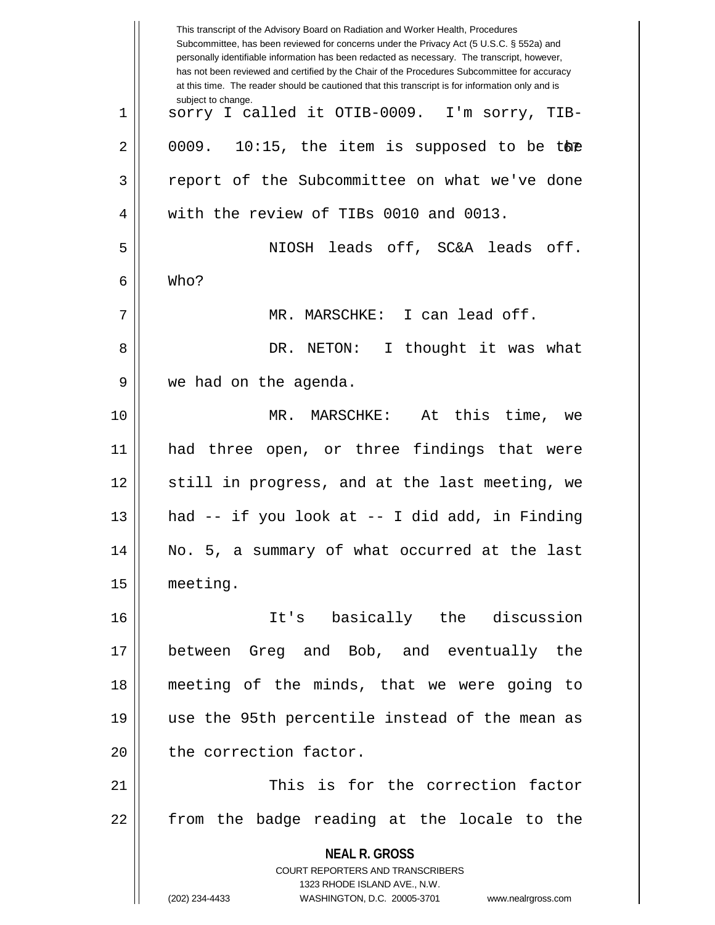|    | This transcript of the Advisory Board on Radiation and Worker Health, Procedures<br>Subcommittee, has been reviewed for concerns under the Privacy Act (5 U.S.C. § 552a) and<br>personally identifiable information has been redacted as necessary. The transcript, however,<br>has not been reviewed and certified by the Chair of the Procedures Subcommittee for accuracy<br>at this time. The reader should be cautioned that this transcript is for information only and is |
|----|----------------------------------------------------------------------------------------------------------------------------------------------------------------------------------------------------------------------------------------------------------------------------------------------------------------------------------------------------------------------------------------------------------------------------------------------------------------------------------|
| 1  | subject to change.<br>sorry I called it OTIB-0009. I'm sorry, TIB-                                                                                                                                                                                                                                                                                                                                                                                                               |
| 2  | 10:15, the item is supposed to be the<br>0009.                                                                                                                                                                                                                                                                                                                                                                                                                                   |
| 3  | report of the Subcommittee on what we've done                                                                                                                                                                                                                                                                                                                                                                                                                                    |
| 4  | with the review of TIBs 0010 and 0013.                                                                                                                                                                                                                                                                                                                                                                                                                                           |
| 5  | NIOSH leads off, SC&A leads off.                                                                                                                                                                                                                                                                                                                                                                                                                                                 |
| 6  | Who?                                                                                                                                                                                                                                                                                                                                                                                                                                                                             |
| 7  | MR. MARSCHKE: I can lead off.                                                                                                                                                                                                                                                                                                                                                                                                                                                    |
| 8  | I thought it was what<br>DR. NETON:                                                                                                                                                                                                                                                                                                                                                                                                                                              |
| 9  | we had on the agenda.                                                                                                                                                                                                                                                                                                                                                                                                                                                            |
| 10 | MR. MARSCHKE: At this time, we                                                                                                                                                                                                                                                                                                                                                                                                                                                   |
| 11 | had three open, or three findings that were                                                                                                                                                                                                                                                                                                                                                                                                                                      |
| 12 | still in progress, and at the last meeting, we                                                                                                                                                                                                                                                                                                                                                                                                                                   |
| 13 | had -- if you look at -- I did add, in Finding                                                                                                                                                                                                                                                                                                                                                                                                                                   |
| 14 | No. 5, a summary of what occurred at the last                                                                                                                                                                                                                                                                                                                                                                                                                                    |
| 15 | meeting.                                                                                                                                                                                                                                                                                                                                                                                                                                                                         |
| 16 | It's basically the discussion                                                                                                                                                                                                                                                                                                                                                                                                                                                    |
| 17 | between Greg and Bob, and eventually the                                                                                                                                                                                                                                                                                                                                                                                                                                         |
| 18 | meeting of the minds, that we were going to                                                                                                                                                                                                                                                                                                                                                                                                                                      |
| 19 | use the 95th percentile instead of the mean as                                                                                                                                                                                                                                                                                                                                                                                                                                   |
| 20 | the correction factor.                                                                                                                                                                                                                                                                                                                                                                                                                                                           |
| 21 | This is for the correction factor                                                                                                                                                                                                                                                                                                                                                                                                                                                |
| 22 | from the badge reading at the locale to the                                                                                                                                                                                                                                                                                                                                                                                                                                      |
|    | <b>NEAL R. GROSS</b><br><b>COURT REPORTERS AND TRANSCRIBERS</b><br>1323 RHODE ISLAND AVE., N.W.<br>(202) 234-4433<br>WASHINGTON, D.C. 20005-3701<br>www.nealrgross.com                                                                                                                                                                                                                                                                                                           |
|    |                                                                                                                                                                                                                                                                                                                                                                                                                                                                                  |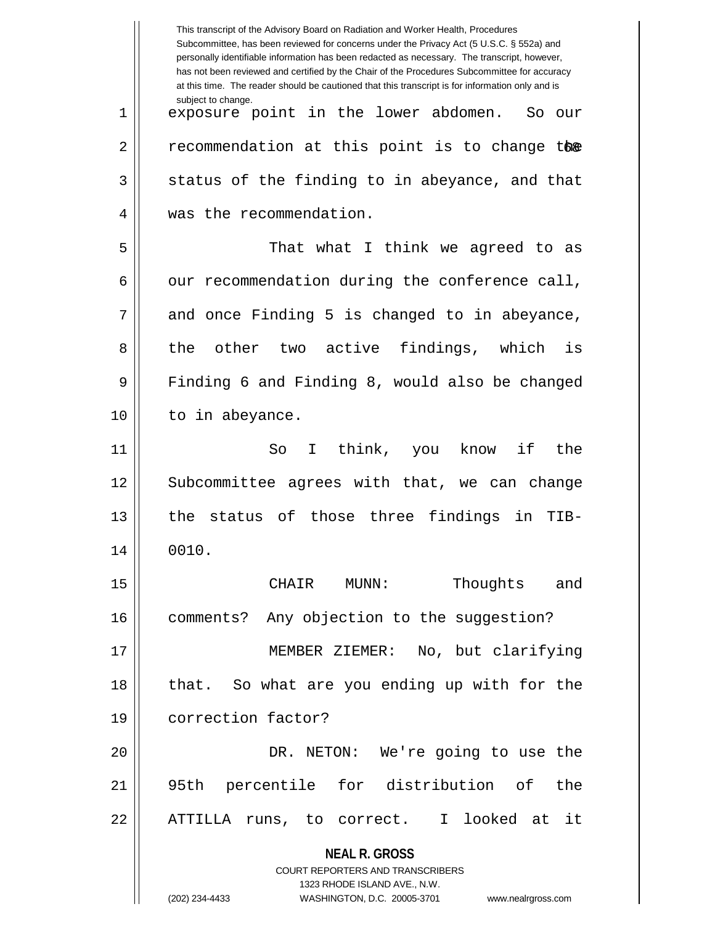|    | This transcript of the Advisory Board on Radiation and Worker Health, Procedures<br>Subcommittee, has been reviewed for concerns under the Privacy Act (5 U.S.C. § 552a) and<br>personally identifiable information has been redacted as necessary. The transcript, however,<br>has not been reviewed and certified by the Chair of the Procedures Subcommittee for accuracy<br>at this time. The reader should be cautioned that this transcript is for information only and is |
|----|----------------------------------------------------------------------------------------------------------------------------------------------------------------------------------------------------------------------------------------------------------------------------------------------------------------------------------------------------------------------------------------------------------------------------------------------------------------------------------|
| 1  | subject to change.<br>exposure point in the lower abdomen.<br>So our                                                                                                                                                                                                                                                                                                                                                                                                             |
| 2  | recommendation at this point is to change the                                                                                                                                                                                                                                                                                                                                                                                                                                    |
| 3  | status of the finding to in abeyance, and that                                                                                                                                                                                                                                                                                                                                                                                                                                   |
| 4  | was the recommendation.                                                                                                                                                                                                                                                                                                                                                                                                                                                          |
| 5  | That what I think we agreed to as                                                                                                                                                                                                                                                                                                                                                                                                                                                |
| 6  | our recommendation during the conference call,                                                                                                                                                                                                                                                                                                                                                                                                                                   |
| 7  | and once Finding 5 is changed to in abeyance,                                                                                                                                                                                                                                                                                                                                                                                                                                    |
| 8  | the other two active findings, which is                                                                                                                                                                                                                                                                                                                                                                                                                                          |
| 9  | Finding 6 and Finding 8, would also be changed                                                                                                                                                                                                                                                                                                                                                                                                                                   |
| 10 | to in abeyance.                                                                                                                                                                                                                                                                                                                                                                                                                                                                  |
| 11 | I think, you know if<br>the<br>So                                                                                                                                                                                                                                                                                                                                                                                                                                                |
| 12 | Subcommittee agrees with that, we can change                                                                                                                                                                                                                                                                                                                                                                                                                                     |
| 13 | the status of those three findings in<br>TIB-                                                                                                                                                                                                                                                                                                                                                                                                                                    |
| 14 | 0010.                                                                                                                                                                                                                                                                                                                                                                                                                                                                            |
| 15 | Thoughts and<br>CHAIR MUNN:                                                                                                                                                                                                                                                                                                                                                                                                                                                      |
| 16 | comments? Any objection to the suggestion?                                                                                                                                                                                                                                                                                                                                                                                                                                       |
| 17 | MEMBER ZIEMER: No, but clarifying                                                                                                                                                                                                                                                                                                                                                                                                                                                |
| 18 | that. So what are you ending up with for the                                                                                                                                                                                                                                                                                                                                                                                                                                     |
| 19 | correction factor?                                                                                                                                                                                                                                                                                                                                                                                                                                                               |
| 20 | DR. NETON: We're going to use the                                                                                                                                                                                                                                                                                                                                                                                                                                                |
| 21 | 95th percentile for distribution of the                                                                                                                                                                                                                                                                                                                                                                                                                                          |
| 22 | ATTILLA runs, to correct. I looked at it                                                                                                                                                                                                                                                                                                                                                                                                                                         |
|    | <b>NEAL R. GROSS</b>                                                                                                                                                                                                                                                                                                                                                                                                                                                             |
|    | COURT REPORTERS AND TRANSCRIBERS<br>1323 RHODE ISLAND AVE., N.W.                                                                                                                                                                                                                                                                                                                                                                                                                 |
|    | (202) 234-4433<br>WASHINGTON, D.C. 20005-3701<br>www.nealrgross.com                                                                                                                                                                                                                                                                                                                                                                                                              |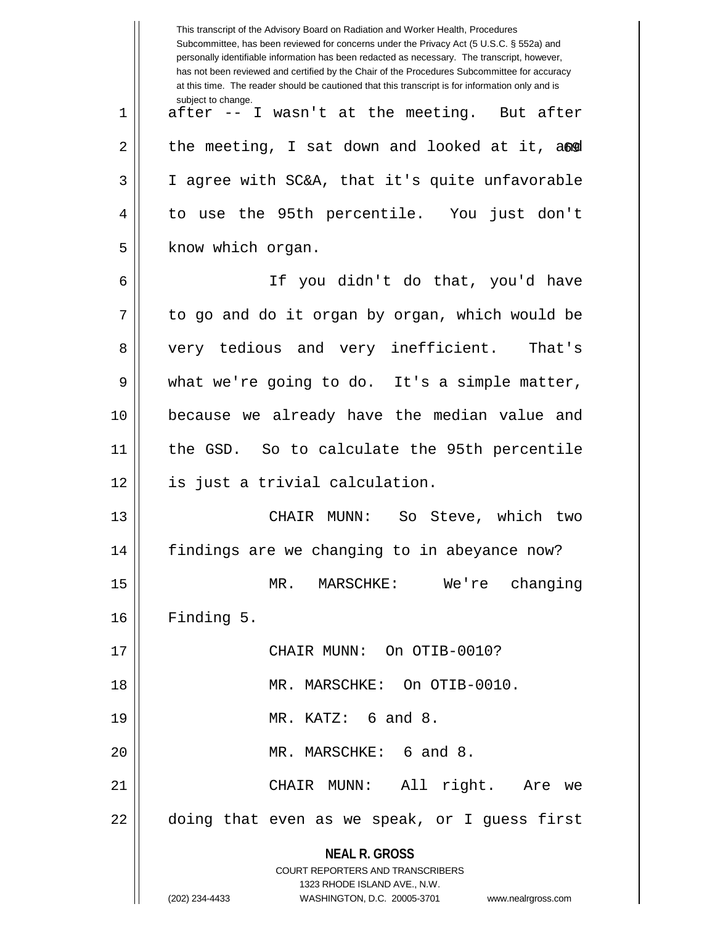|    | This transcript of the Advisory Board on Radiation and Worker Health, Procedures<br>Subcommittee, has been reviewed for concerns under the Privacy Act (5 U.S.C. § 552a) and<br>personally identifiable information has been redacted as necessary. The transcript, however,<br>has not been reviewed and certified by the Chair of the Procedures Subcommittee for accuracy<br>at this time. The reader should be cautioned that this transcript is for information only and is |
|----|----------------------------------------------------------------------------------------------------------------------------------------------------------------------------------------------------------------------------------------------------------------------------------------------------------------------------------------------------------------------------------------------------------------------------------------------------------------------------------|
| 1  | subject to change.<br>after -- I wasn't at the meeting. But after                                                                                                                                                                                                                                                                                                                                                                                                                |
| 2  | the meeting, I sat down and looked at it, and                                                                                                                                                                                                                                                                                                                                                                                                                                    |
| 3  | I agree with SC&A, that it's quite unfavorable                                                                                                                                                                                                                                                                                                                                                                                                                                   |
| 4  | to use the 95th percentile. You just don't                                                                                                                                                                                                                                                                                                                                                                                                                                       |
| 5  | know which organ.                                                                                                                                                                                                                                                                                                                                                                                                                                                                |
| 6  | If you didn't do that, you'd have                                                                                                                                                                                                                                                                                                                                                                                                                                                |
| 7  | to go and do it organ by organ, which would be                                                                                                                                                                                                                                                                                                                                                                                                                                   |
| 8  | very tedious and very inefficient.<br>That's                                                                                                                                                                                                                                                                                                                                                                                                                                     |
| 9  | what we're going to do. It's a simple matter,                                                                                                                                                                                                                                                                                                                                                                                                                                    |
| 10 | because we already have the median value and                                                                                                                                                                                                                                                                                                                                                                                                                                     |
| 11 | the GSD. So to calculate the 95th percentile                                                                                                                                                                                                                                                                                                                                                                                                                                     |
| 12 | is just a trivial calculation.                                                                                                                                                                                                                                                                                                                                                                                                                                                   |
| 13 | CHAIR MUNN: So Steve, which two                                                                                                                                                                                                                                                                                                                                                                                                                                                  |
| 14 | findings are we changing to in abeyance now?                                                                                                                                                                                                                                                                                                                                                                                                                                     |
| 15 | MARSCHKE: We're changing<br>MR.                                                                                                                                                                                                                                                                                                                                                                                                                                                  |
| 16 | Finding 5.                                                                                                                                                                                                                                                                                                                                                                                                                                                                       |
| 17 | CHAIR MUNN: On OTIB-0010?                                                                                                                                                                                                                                                                                                                                                                                                                                                        |
| 18 | MR. MARSCHKE: On OTIB-0010.                                                                                                                                                                                                                                                                                                                                                                                                                                                      |
| 19 | MR. KATZ: 6 and 8.                                                                                                                                                                                                                                                                                                                                                                                                                                                               |
| 20 | MR. MARSCHKE: 6 and 8.                                                                                                                                                                                                                                                                                                                                                                                                                                                           |
| 21 | All right. Are we<br>CHAIR MUNN:                                                                                                                                                                                                                                                                                                                                                                                                                                                 |
| 22 | doing that even as we speak, or I guess first                                                                                                                                                                                                                                                                                                                                                                                                                                    |
|    | <b>NEAL R. GROSS</b><br><b>COURT REPORTERS AND TRANSCRIBERS</b><br>1323 RHODE ISLAND AVE., N.W.                                                                                                                                                                                                                                                                                                                                                                                  |
|    | (202) 234-4433<br>WASHINGTON, D.C. 20005-3701 www.nealrgross.com                                                                                                                                                                                                                                                                                                                                                                                                                 |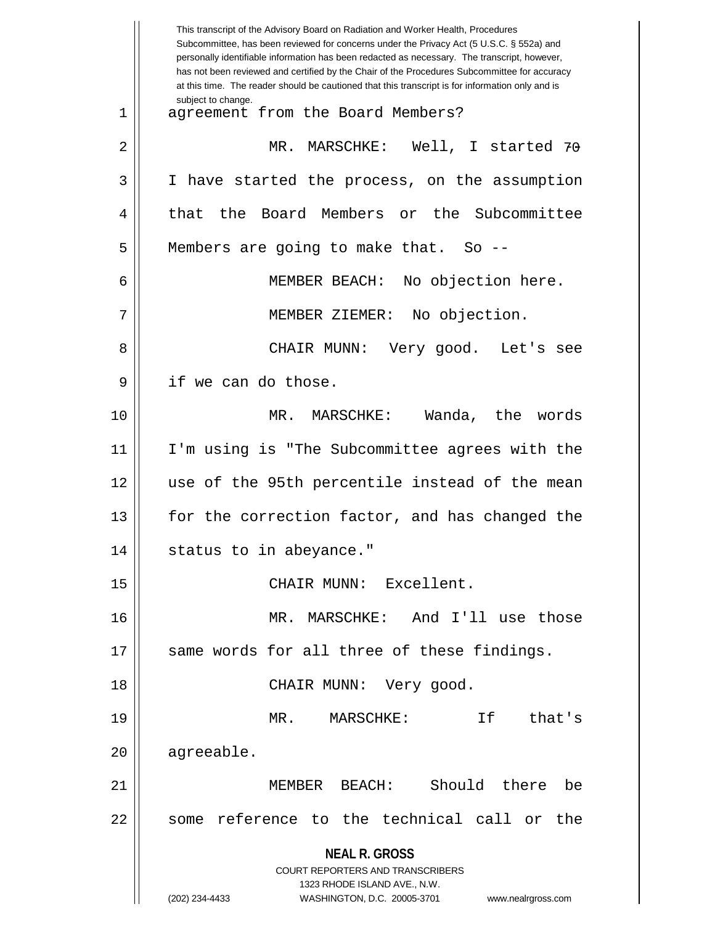| MR. MARSCHKE: Well, I started 70<br>I have started the process, on the assumption<br>Board Members or the Subcommittee |
|------------------------------------------------------------------------------------------------------------------------|
|                                                                                                                        |
|                                                                                                                        |
|                                                                                                                        |
|                                                                                                                        |
|                                                                                                                        |
| No objection here.                                                                                                     |
| No objection.                                                                                                          |
| CHAIR MUNN: Very good. Let's see                                                                                       |
|                                                                                                                        |
| Wanda, the words                                                                                                       |
| I'm using is "The Subcommittee agrees with the                                                                         |
| use of the 95th percentile instead of the mean                                                                         |
| for the correction factor, and has changed the                                                                         |
|                                                                                                                        |
|                                                                                                                        |
| MR. MARSCHKE: And I'll use those                                                                                       |
| same words for all three of these findings.                                                                            |
|                                                                                                                        |
| that's                                                                                                                 |
|                                                                                                                        |
| Should there<br>be                                                                                                     |
| some reference to the technical call or the                                                                            |
|                                                                                                                        |
|                                                                                                                        |
|                                                                                                                        |
|                                                                                                                        |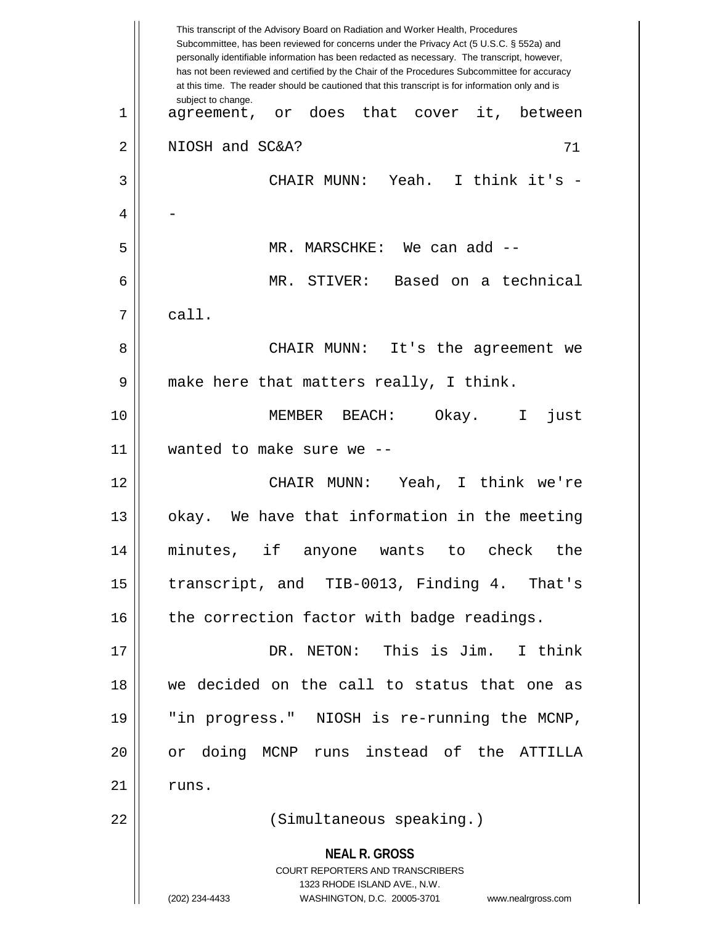**NEAL R. GROSS** COURT REPORTERS AND TRANSCRIBERS 1323 RHODE ISLAND AVE., N.W. (202) 234-4433 WASHINGTON, D.C. 20005-3701 www.nealrgross.com This transcript of the Advisory Board on Radiation and Worker Health, Procedures Subcommittee, has been reviewed for concerns under the Privacy Act (5 U.S.C. § 552a) and personally identifiable information has been redacted as necessary. The transcript, however, has not been reviewed and certified by the Chair of the Procedures Subcommittee for accuracy at this time. The reader should be cautioned that this transcript is for information only and is subject to change. 71 1 || agreement, or does that cover it, between 2 || NIOSH and SC&A? 3 CHAIR MUNN: Yeah. I think it's -  $\overline{4}$ 5 MR. MARSCHKE: We can add -- 6 MR. STIVER: Based on a technical  $7 \parallel$  call. 8 CHAIR MUNN: It's the agreement we 9 || make here that matters really, I think. 10 MEMBER BEACH: Okay. I just 11 wanted to make sure we -- 12 CHAIR MUNN: Yeah, I think we're 13 || okay. We have that information in the meeting 14 minutes, if anyone wants to check the 15 || transcript, and TIB-0013, Finding 4. That's  $16$  | the correction factor with badge readings. 17 DR. NETON: This is Jim. I think 18 we decided on the call to status that one as 19 "in progress." NIOSH is re-running the MCNP, 20 or doing MCNP runs instead of the ATTILLA  $21$   $\parallel$  runs. 22 (Simultaneous speaking.)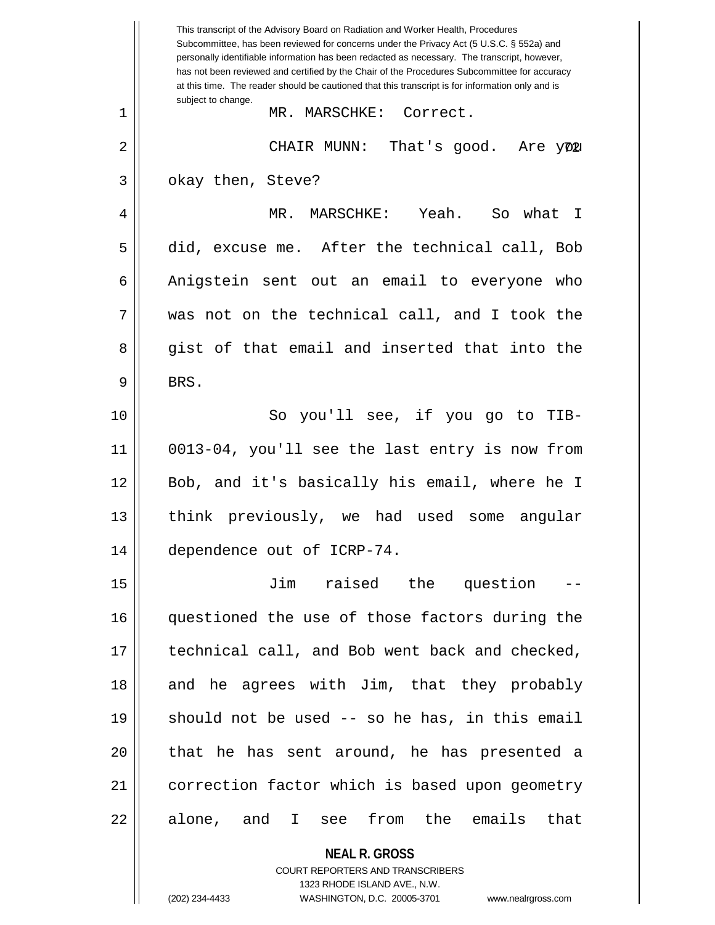|    | This transcript of the Advisory Board on Radiation and Worker Health, Procedures<br>Subcommittee, has been reviewed for concerns under the Privacy Act (5 U.S.C. § 552a) and<br>personally identifiable information has been redacted as necessary. The transcript, however,<br>has not been reviewed and certified by the Chair of the Procedures Subcommittee for accuracy<br>at this time. The reader should be cautioned that this transcript is for information only and is |
|----|----------------------------------------------------------------------------------------------------------------------------------------------------------------------------------------------------------------------------------------------------------------------------------------------------------------------------------------------------------------------------------------------------------------------------------------------------------------------------------|
| 1  | subject to change.<br>MR. MARSCHKE: Correct.                                                                                                                                                                                                                                                                                                                                                                                                                                     |
| 2  | CHAIR MUNN:<br>That's good. Are you                                                                                                                                                                                                                                                                                                                                                                                                                                              |
| 3  | okay then, Steve?                                                                                                                                                                                                                                                                                                                                                                                                                                                                |
| 4  | MR. MARSCHKE: Yeah. So what I                                                                                                                                                                                                                                                                                                                                                                                                                                                    |
| 5  | did, excuse me. After the technical call, Bob                                                                                                                                                                                                                                                                                                                                                                                                                                    |
| 6  | Anigstein sent out an email to everyone who                                                                                                                                                                                                                                                                                                                                                                                                                                      |
| 7  | was not on the technical call, and I took the                                                                                                                                                                                                                                                                                                                                                                                                                                    |
| 8  | gist of that email and inserted that into the                                                                                                                                                                                                                                                                                                                                                                                                                                    |
| 9  | BRS.                                                                                                                                                                                                                                                                                                                                                                                                                                                                             |
| 10 | So you'll see, if you go to TIB-                                                                                                                                                                                                                                                                                                                                                                                                                                                 |
| 11 | 0013-04, you'll see the last entry is now from                                                                                                                                                                                                                                                                                                                                                                                                                                   |
| 12 | Bob, and it's basically his email, where he I                                                                                                                                                                                                                                                                                                                                                                                                                                    |
| 13 | think previously, we had used some<br>angular                                                                                                                                                                                                                                                                                                                                                                                                                                    |
| 14 | dependence out of ICRP-74.                                                                                                                                                                                                                                                                                                                                                                                                                                                       |
| 15 | raised the question<br>Jim                                                                                                                                                                                                                                                                                                                                                                                                                                                       |
| 16 | questioned the use of those factors during the                                                                                                                                                                                                                                                                                                                                                                                                                                   |
| 17 | technical call, and Bob went back and checked,                                                                                                                                                                                                                                                                                                                                                                                                                                   |
| 18 | and he agrees with Jim, that they probably                                                                                                                                                                                                                                                                                                                                                                                                                                       |
| 19 | should not be used -- so he has, in this email                                                                                                                                                                                                                                                                                                                                                                                                                                   |
| 20 | that he has sent around, he has presented a                                                                                                                                                                                                                                                                                                                                                                                                                                      |
| 21 | correction factor which is based upon geometry                                                                                                                                                                                                                                                                                                                                                                                                                                   |
| 22 | alone, and I see from the emails that                                                                                                                                                                                                                                                                                                                                                                                                                                            |
|    | <b>NEAL R. GROSS</b>                                                                                                                                                                                                                                                                                                                                                                                                                                                             |

COURT REPORTERS AND TRANSCRIBERS 1323 RHODE ISLAND AVE., N.W.

 $\mathsf{II}$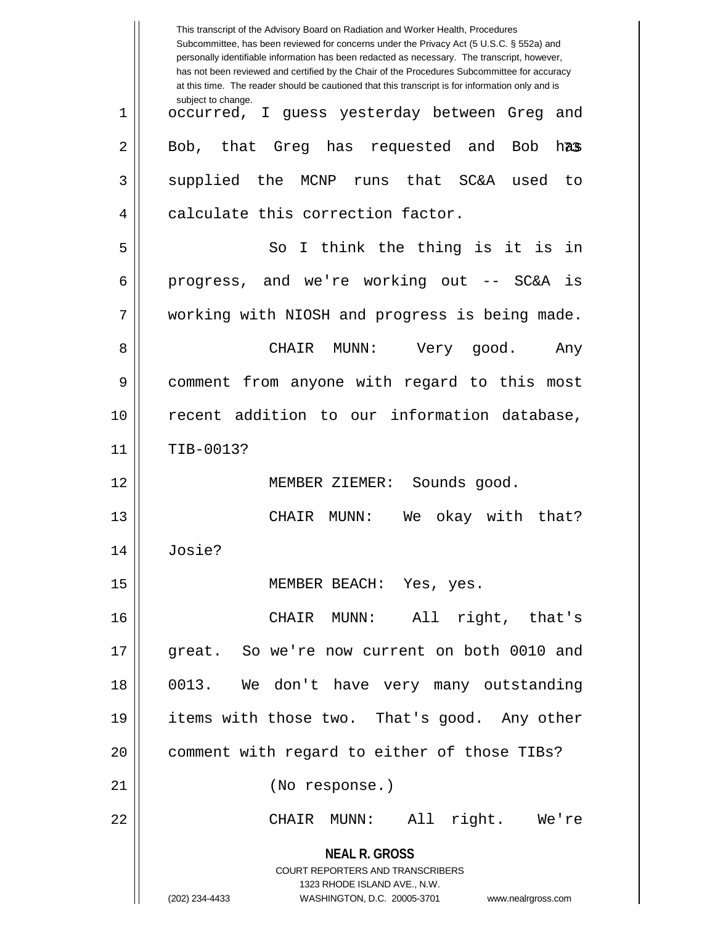|    | This transcript of the Advisory Board on Radiation and Worker Health, Procedures<br>Subcommittee, has been reviewed for concerns under the Privacy Act (5 U.S.C. § 552a) and<br>personally identifiable information has been redacted as necessary. The transcript, however,<br>has not been reviewed and certified by the Chair of the Procedures Subcommittee for accuracy<br>at this time. The reader should be cautioned that this transcript is for information only and is |
|----|----------------------------------------------------------------------------------------------------------------------------------------------------------------------------------------------------------------------------------------------------------------------------------------------------------------------------------------------------------------------------------------------------------------------------------------------------------------------------------|
| 1  | subject to change.<br>occurred, I guess yesterday between Greg<br>and                                                                                                                                                                                                                                                                                                                                                                                                            |
| 2  | that<br>Greg has<br>Bob,<br>requested and<br>Bob<br>has                                                                                                                                                                                                                                                                                                                                                                                                                          |
| 3  | supplied the<br>MCNP<br>runs that SC&A<br>used<br>to                                                                                                                                                                                                                                                                                                                                                                                                                             |
| 4  | calculate this correction factor.                                                                                                                                                                                                                                                                                                                                                                                                                                                |
| 5  | I think the thing is it is in<br>So                                                                                                                                                                                                                                                                                                                                                                                                                                              |
| 6  | progress, and we're working out -- SC&A<br>is                                                                                                                                                                                                                                                                                                                                                                                                                                    |
| 7  | working with NIOSH and progress is being made.                                                                                                                                                                                                                                                                                                                                                                                                                                   |
| 8  | MUNN:<br>CHAIR<br>Very good.<br>Any                                                                                                                                                                                                                                                                                                                                                                                                                                              |
| 9  | comment from anyone with regard to this most                                                                                                                                                                                                                                                                                                                                                                                                                                     |
| 10 | recent addition to our information database,                                                                                                                                                                                                                                                                                                                                                                                                                                     |
| 11 | TIB-0013?                                                                                                                                                                                                                                                                                                                                                                                                                                                                        |
| 12 | Sounds good.<br>MEMBER ZIEMER:                                                                                                                                                                                                                                                                                                                                                                                                                                                   |
| 13 | okay with that?<br>CHAIR<br>MUNN:<br>We                                                                                                                                                                                                                                                                                                                                                                                                                                          |
| 14 | Josie?                                                                                                                                                                                                                                                                                                                                                                                                                                                                           |
| 15 | MEMBER BEACH: Yes, yes.                                                                                                                                                                                                                                                                                                                                                                                                                                                          |
| 16 | CHAIR MUNN: All right, that's                                                                                                                                                                                                                                                                                                                                                                                                                                                    |
| 17 | great. So we're now current on both 0010 and                                                                                                                                                                                                                                                                                                                                                                                                                                     |
| 18 | 0013. We don't have very many outstanding                                                                                                                                                                                                                                                                                                                                                                                                                                        |
| 19 | items with those two. That's good. Any other                                                                                                                                                                                                                                                                                                                                                                                                                                     |
| 20 | comment with regard to either of those TIBs?                                                                                                                                                                                                                                                                                                                                                                                                                                     |
| 21 | (No response.)                                                                                                                                                                                                                                                                                                                                                                                                                                                                   |
| 22 | CHAIR MUNN: All right. We're                                                                                                                                                                                                                                                                                                                                                                                                                                                     |
|    | <b>NEAL R. GROSS</b><br><b>COURT REPORTERS AND TRANSCRIBERS</b><br>1323 RHODE ISLAND AVE., N.W.<br>(202) 234-4433<br>WASHINGTON, D.C. 20005-3701<br>www.nealrgross.com                                                                                                                                                                                                                                                                                                           |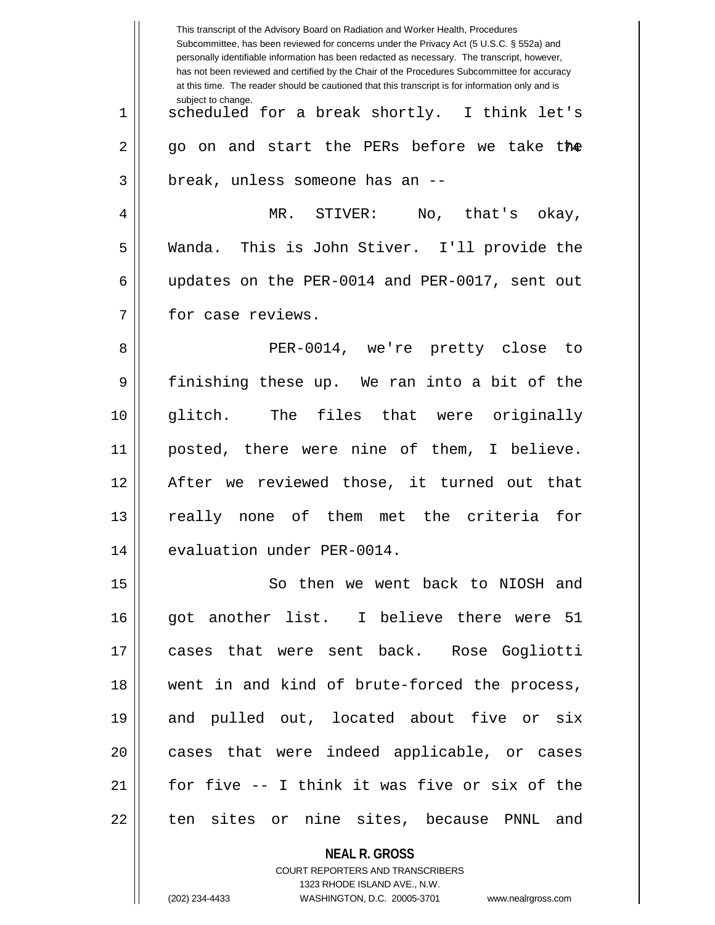This transcript of the Advisory Board on Radiation and Worker Health, Procedures Subcommittee, has been reviewed for concerns under the Privacy Act (5 U.S.C. § 552a) and personally identifiable information has been redacted as necessary. The transcript, however, has not been reviewed and certified by the Chair of the Procedures Subcommittee for accuracy at this time. The reader should be cautioned that this transcript is for information only and is subject to change. 74 2 go on and start the PERs before we take the 1 || scheduled for a break shortly. I think let's  $3$  || break, unless someone has an  $-$ 4 MR. STIVER: No, that's okay, 5 Wanda. This is John Stiver. I'll provide the 6 updates on the PER-0014 and PER-0017, sent out 7 | for case reviews. 8 PER-0014, we're pretty close to 9 finishing these up. We ran into a bit of the 10 glitch. The files that were originally 11 posted, there were nine of them, I believe. 12 After we reviewed those, it turned out that 13 really none of them met the criteria for 14 | evaluation under PER-0014. 15 || So then we went back to NIOSH and 16 got another list. I believe there were 51 17 cases that were sent back. Rose Gogliotti 18 went in and kind of brute-forced the process, 19 and pulled out, located about five or six 20 || cases that were indeed applicable, or cases 21  $\parallel$  for five  $-$  I think it was five or six of the 22 || ten sites or nine sites, because PNNL and

> **NEAL R. GROSS** COURT REPORTERS AND TRANSCRIBERS 1323 RHODE ISLAND AVE., N.W.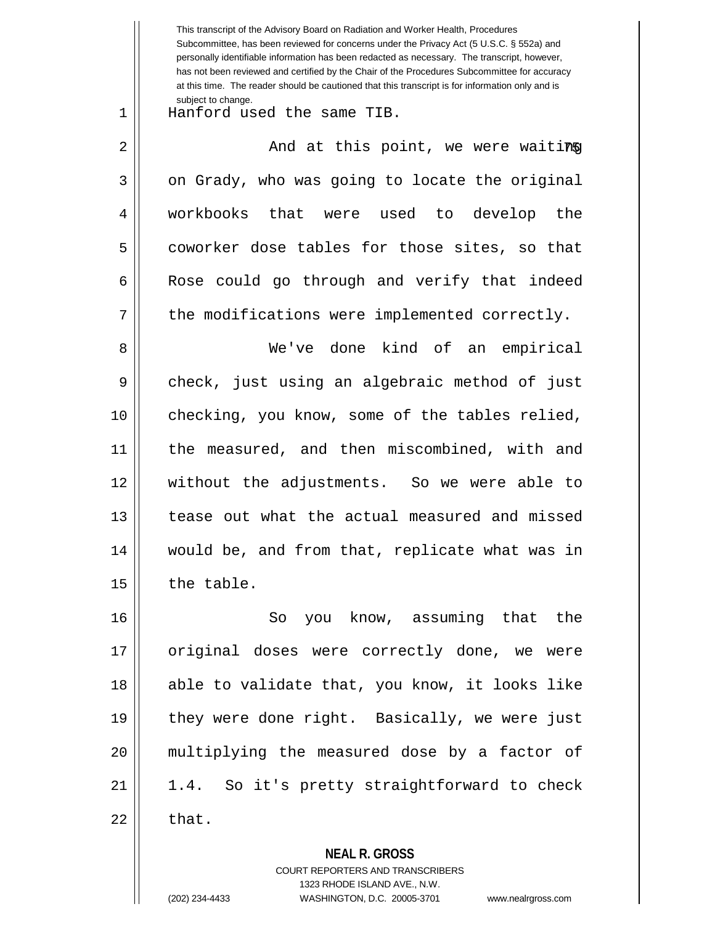**NEAL R. GROSS** This transcript of the Advisory Board on Radiation and Worker Health, Procedures Subcommittee, has been reviewed for concerns under the Privacy Act (5 U.S.C. § 552a) and personally identifiable information has been redacted as necessary. The transcript, however, has not been reviewed and certified by the Chair of the Procedures Subcommittee for accuracy at this time. The reader should be cautioned that this transcript is for information only and is subject to change. 75 2 And at this point, we were waiting 1 Hanford used the same TIB.  $3 \parallel$  on Grady, who was going to locate the original 4 workbooks that were used to develop the 5 coworker dose tables for those sites, so that  $6 \parallel$  Rose could go through and verify that indeed  $7 \parallel$  the modifications were implemented correctly. 8 We've done kind of an empirical 9 check, just using an algebraic method of just 10 checking, you know, some of the tables relied, 11 || the measured, and then miscombined, with and 12 without the adjustments. So we were able to 13 || tease out what the actual measured and missed 14 would be, and from that, replicate what was in  $15$  | the table. 16 So you know, assuming that the 17 || original doses were correctly done, we were 18 || able to validate that, you know, it looks like 19 || they were done right. Basically, we were just 20 multiplying the measured dose by a factor of  $21 \parallel 1.4$ . So it's pretty straightforward to check  $22 \parallel$  that.

> COURT REPORTERS AND TRANSCRIBERS 1323 RHODE ISLAND AVE., N.W.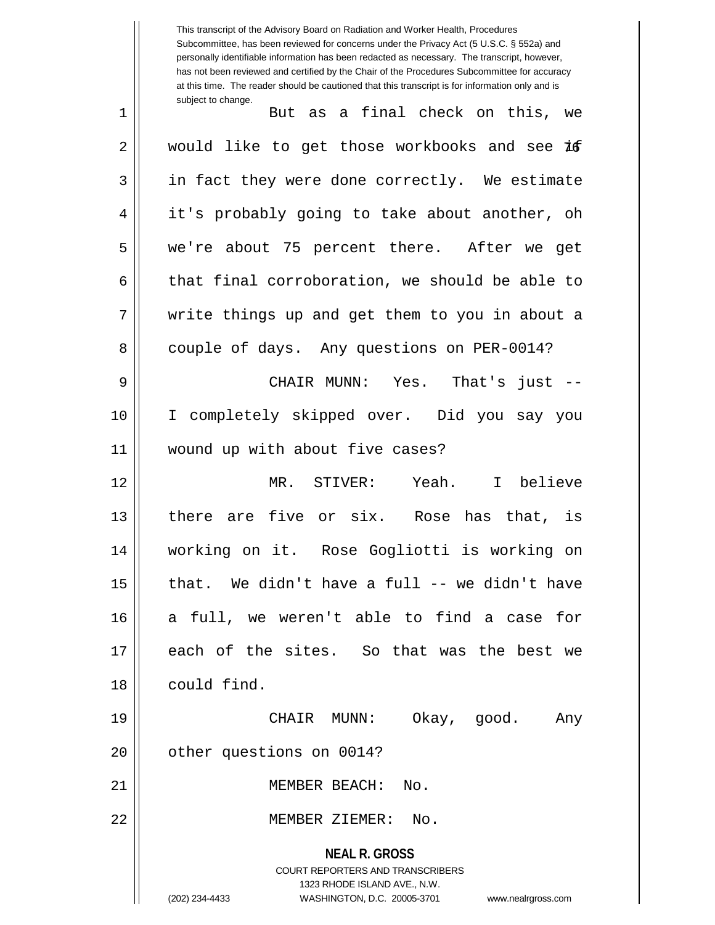This transcript of the Advisory Board on Radiation and Worker Health, Procedures Subcommittee, has been reviewed for concerns under the Privacy Act (5 U.S.C. § 552a) and personally identifiable information has been redacted as necessary. The transcript, however, has not been reviewed and certified by the Chair of the Procedures Subcommittee for accuracy at this time. The reader should be cautioned that this transcript is for information only and is subject to change. 1 But as a final check on this, we

2 || would like to get those workbooks and see **if** 3 || in fact they were done correctly. We estimate 4 || it's probably going to take about another, oh 5 we're about 75 percent there. After we get  $6 \parallel$  that final corroboration, we should be able to 7 write things up and get them to you in about a 8 | couple of days. Any questions on PER-0014?

9 CHAIR MUNN: Yes. That's just -- 10 I completely skipped over. Did you say you 11 wound up with about five cases?

 MR. STIVER: Yeah. I believe there are five or six. Rose has that, is working on it. Rose Gogliotti is working on | that. We didn't have a full -- we didn't have a full, we weren't able to find a case for each of the sites. So that was the best we could find.

19 CHAIR MUNN: Okay, good. Any 20 | other questions on 0014?

21 || **MEMBER BEACH:** No.

22 MEMBER ZIEMER: No.

**NEAL R. GROSS** COURT REPORTERS AND TRANSCRIBERS 1323 RHODE ISLAND AVE., N.W. (202) 234-4433 WASHINGTON, D.C. 20005-3701 www.nealrgross.com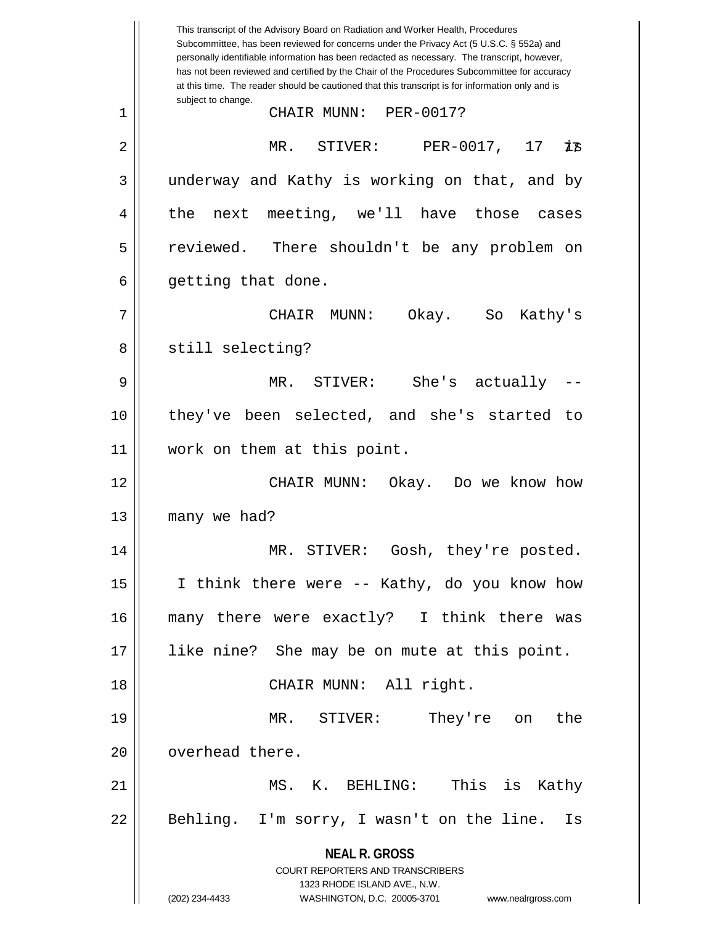**NEAL R. GROSS** COURT REPORTERS AND TRANSCRIBERS 1323 RHODE ISLAND AVE., N.W. (202) 234-4433 WASHINGTON, D.C. 20005-3701 www.nealrgross.com This transcript of the Advisory Board on Radiation and Worker Health, Procedures Subcommittee, has been reviewed for concerns under the Privacy Act (5 U.S.C. § 552a) and personally identifiable information has been redacted as necessary. The transcript, however, has not been reviewed and certified by the Chair of the Procedures Subcommittee for accuracy at this time. The reader should be cautioned that this transcript is for information only and is subject to change. 73 1 CHAIR MUNN: PER-0017? 2 || MR. STIVER: PER-0017, 17  $3 \parallel$  underway and Kathy is working on that, and by 4 the next meeting, we'll have those cases 5 || reviewed. There shouldn't be any problem on  $6 \parallel$  getting that done. 7 CHAIR MUNN: Okay. So Kathy's 8 || still selecting? 9 MR. STIVER: She's actually -- 10 they've been selected, and she's started to 11 work on them at this point. 12 CHAIR MUNN: Okay. Do we know how 13 | many we had? 14 MR. STIVER: Gosh, they're posted. 15 || I think there were -- Kathy, do you know how 16 many there were exactly? I think there was 17 like nine? She may be on mute at this point. 18 || CHAIR MUNN: All right. 19 MR. STIVER: They're on the 20 **b** overhead there. 21 MS. K. BEHLING: This is Kathy 22 || Behling. I'm sorry, I wasn't on the line. Is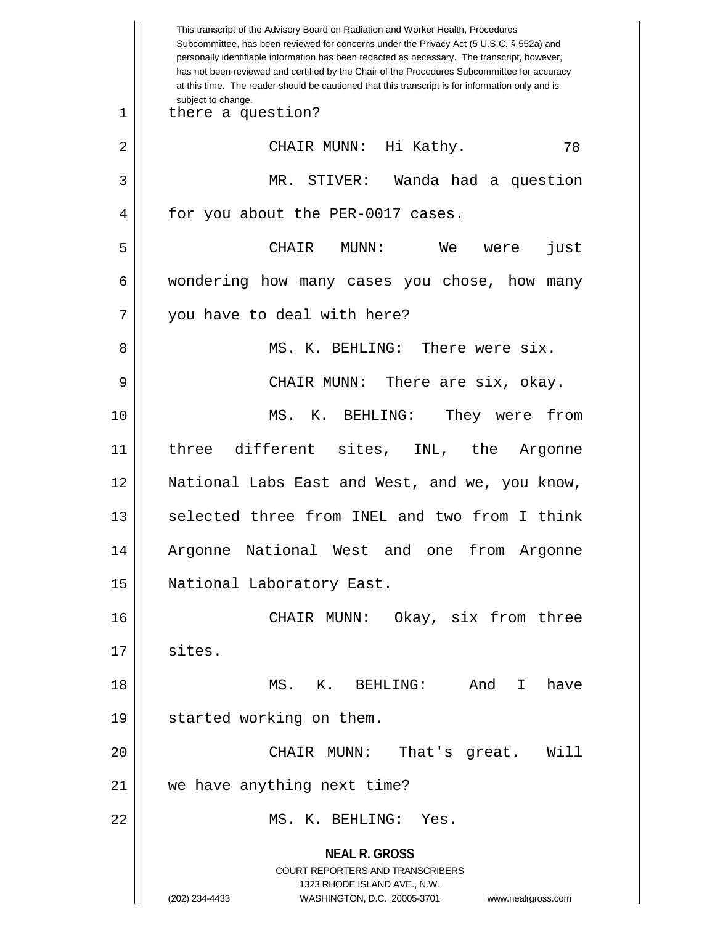**NEAL R. GROSS** COURT REPORTERS AND TRANSCRIBERS 1323 RHODE ISLAND AVE., N.W. (202) 234-4433 WASHINGTON, D.C. 20005-3701 www.nealrgross.com This transcript of the Advisory Board on Radiation and Worker Health, Procedures Subcommittee, has been reviewed for concerns under the Privacy Act (5 U.S.C. § 552a) and personally identifiable information has been redacted as necessary. The transcript, however, has not been reviewed and certified by the Chair of the Procedures Subcommittee for accuracy at this time. The reader should be cautioned that this transcript is for information only and is subject to change. 78 1 || there a question? 2 CHAIR MUNN: Hi Kathy. 3 MR. STIVER: Wanda had a question 4 || for you about the PER-0017 cases. 5 CHAIR MUNN: We were just 6 wondering how many cases you chose, how many 7 || you have to deal with here? 8 MS. K. BEHLING: There were six. 9 CHAIR MUNN: There are six, okay. 10 MS. K. BEHLING: They were from 11 three different sites, INL, the Argonne 12 National Labs East and West, and we, you know, 13 || selected three from INEL and two from I think 14 Argonne National West and one from Argonne 15 | National Laboratory East. 16 CHAIR MUNN: Okay, six from three 17 || sites. 18 MS. K. BEHLING: And I have 19 started working on them. 20 CHAIR MUNN: That's great. Will 21 | we have anything next time? 22 MS. K. BEHLING: Yes.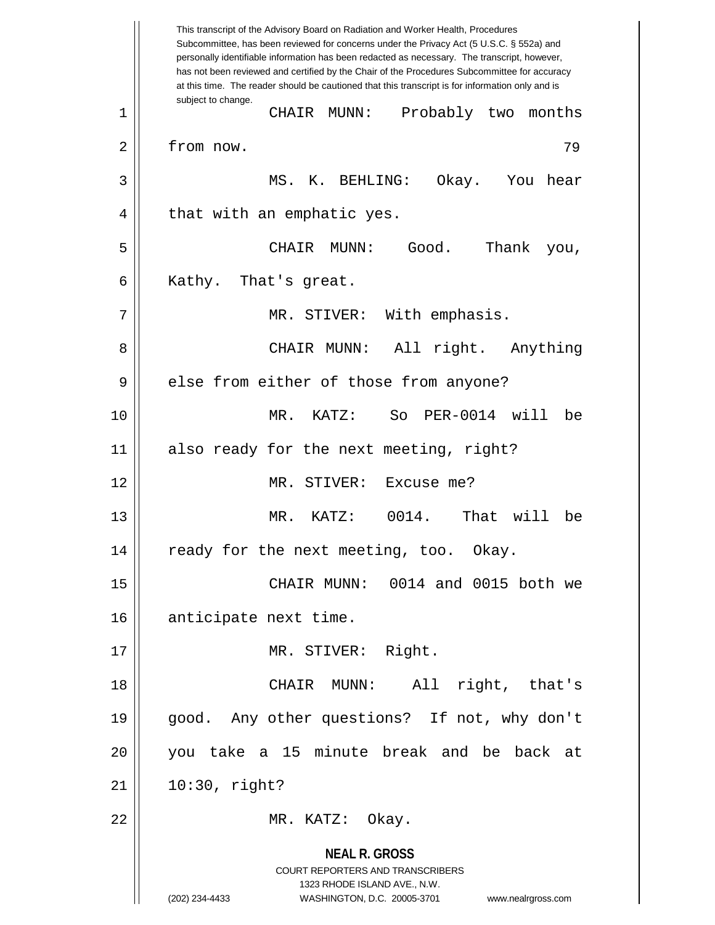**NEAL R. GROSS** COURT REPORTERS AND TRANSCRIBERS 1323 RHODE ISLAND AVE., N.W. (202) 234-4433 WASHINGTON, D.C. 20005-3701 www.nealrgross.com This transcript of the Advisory Board on Radiation and Worker Health, Procedures Subcommittee, has been reviewed for concerns under the Privacy Act (5 U.S.C. § 552a) and personally identifiable information has been redacted as necessary. The transcript, however, has not been reviewed and certified by the Chair of the Procedures Subcommittee for accuracy at this time. The reader should be cautioned that this transcript is for information only and is subject to change. 79 1 CHAIR MUNN: Probably two months 2 | from now. 3 MS. K. BEHLING: Okay. You hear  $4 \parallel$  that with an emphatic yes. 5 CHAIR MUNN: Good. Thank you,  $6 \parallel$  Kathy. That's great. 7 || MR. STIVER: With emphasis. 8 CHAIR MUNN: All right. Anything 9 || else from either of those from anyone? 10 MR. KATZ: So PER-0014 will be 11 || also ready for the next meeting, right? 12 MR. STIVER: Excuse me? 13 MR. KATZ: 0014. That will be 14 || ready for the next meeting, too. Okay. 15 CHAIR MUNN: 0014 and 0015 both we 16 | anticipate next time. 17 MR. STIVER: Right. 18 CHAIR MUNN: All right, that's 19 good. Any other questions? If not, why don't 20 you take a 15 minute break and be back at  $21$  | 10:30, right? 22 || MR. KATZ: Okay.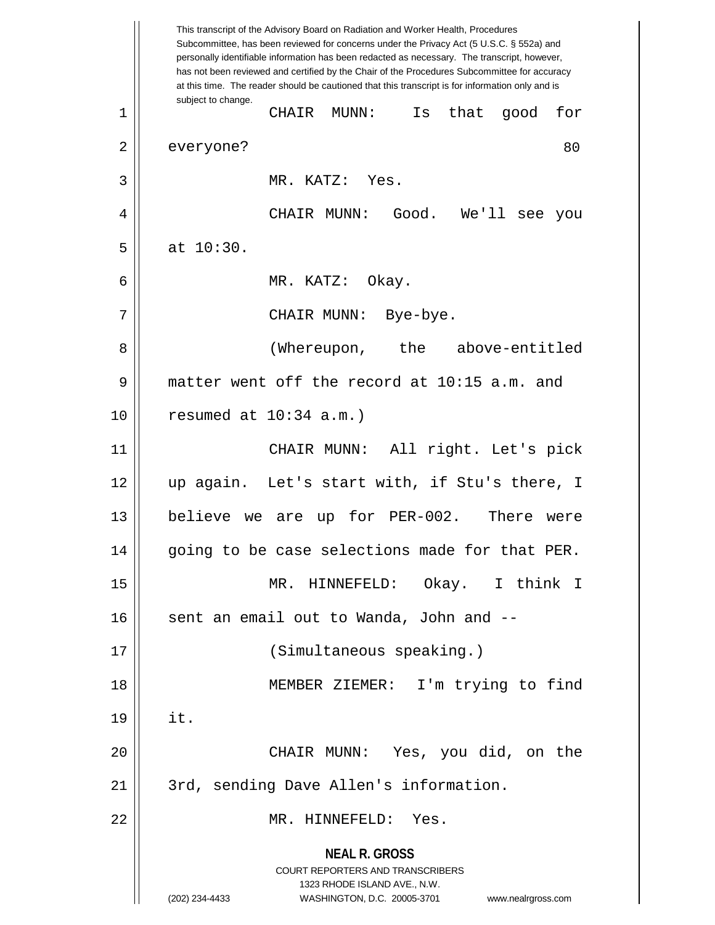**NEAL R. GROSS** COURT REPORTERS AND TRANSCRIBERS 1323 RHODE ISLAND AVE., N.W. (202) 234-4433 WASHINGTON, D.C. 20005-3701 www.nealrgross.com This transcript of the Advisory Board on Radiation and Worker Health, Procedures Subcommittee, has been reviewed for concerns under the Privacy Act (5 U.S.C. § 552a) and personally identifiable information has been redacted as necessary. The transcript, however, has not been reviewed and certified by the Chair of the Procedures Subcommittee for accuracy at this time. The reader should be cautioned that this transcript is for information only and is subject to change. 80 1 CHAIR MUNN: Is that good for 2 | everyone? 3 MR. KATZ: Yes. 4 CHAIR MUNN: Good. We'll see you  $5 \parallel$  at  $10:30$ . 6 MR. KATZ: Okay. 7 CHAIR MUNN: Bye-bye. 8 || (Whereupon, the above-entitled 9 matter went off the record at 10:15 a.m. and 10 resumed at 10:34 a.m.) 11 CHAIR MUNN: All right. Let's pick 12 up again. Let's start with, if Stu's there, I 13 || believe we are up for PER-002. There were 14 || going to be case selections made for that PER. 15 MR. HINNEFELD: Okay. I think I  $16$  sent an email out to Wanda, John and  $-$ 17 || (Simultaneous speaking.) 18 MEMBER ZIEMER: I'm trying to find  $19 \parallel \text{it.}$ 20 CHAIR MUNN: Yes, you did, on the 21 || 3rd, sending Dave Allen's information. 22 MR. HINNEFELD: Yes.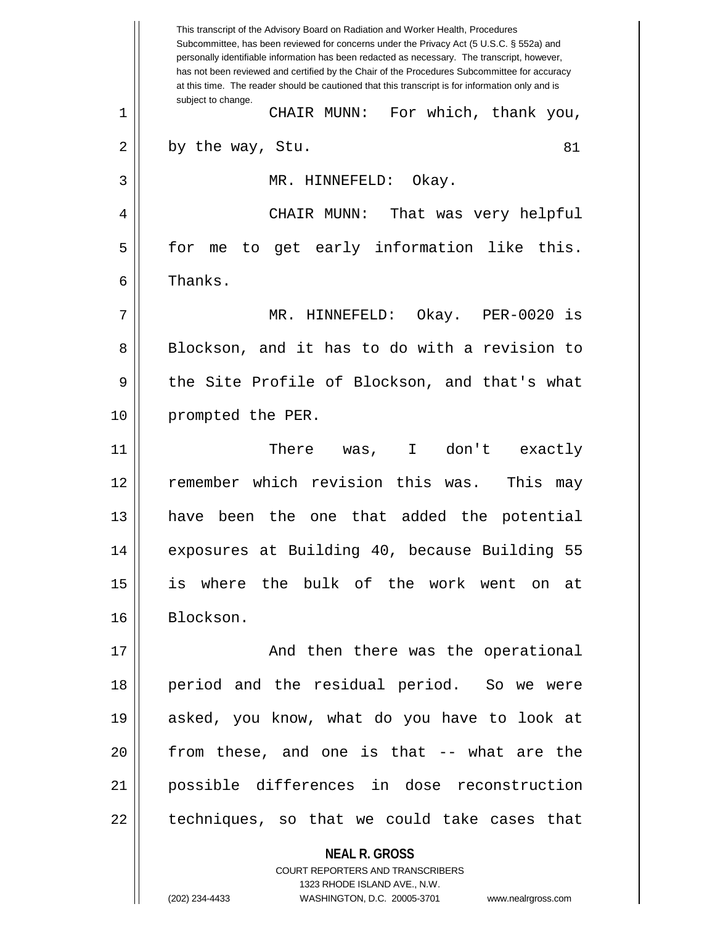**NEAL R. GROSS** COURT REPORTERS AND TRANSCRIBERS This transcript of the Advisory Board on Radiation and Worker Health, Procedures Subcommittee, has been reviewed for concerns under the Privacy Act (5 U.S.C. § 552a) and personally identifiable information has been redacted as necessary. The transcript, however, has not been reviewed and certified by the Chair of the Procedures Subcommittee for accuracy at this time. The reader should be cautioned that this transcript is for information only and is subject to change. 81 1 CHAIR MUNN: For which, thank you,  $2 \parallel$  by the way, Stu. 3 MR. HINNEFELD: Okay. 4 CHAIR MUNN: That was very helpful  $5 \parallel$  for me to get early information like this. 6 l Thanks. 7 MR. HINNEFELD: Okay. PER-0020 is 8 Blockson, and it has to do with a revision to 9 || the Site Profile of Blockson, and that's what 10 || prompted the PER. 11 There was, I don't exactly 12 || remember which revision this was. This may 13 have been the one that added the potential 14 exposures at Building 40, because Building 55 15 is where the bulk of the work went on at 16 Blockson. 17 || And then there was the operational 18 period and the residual period. So we were 19 asked, you know, what do you have to look at 20 from these, and one is that -- what are the 21 possible differences in dose reconstruction  $22$  || techniques, so that we could take cases that

1323 RHODE ISLAND AVE., N.W.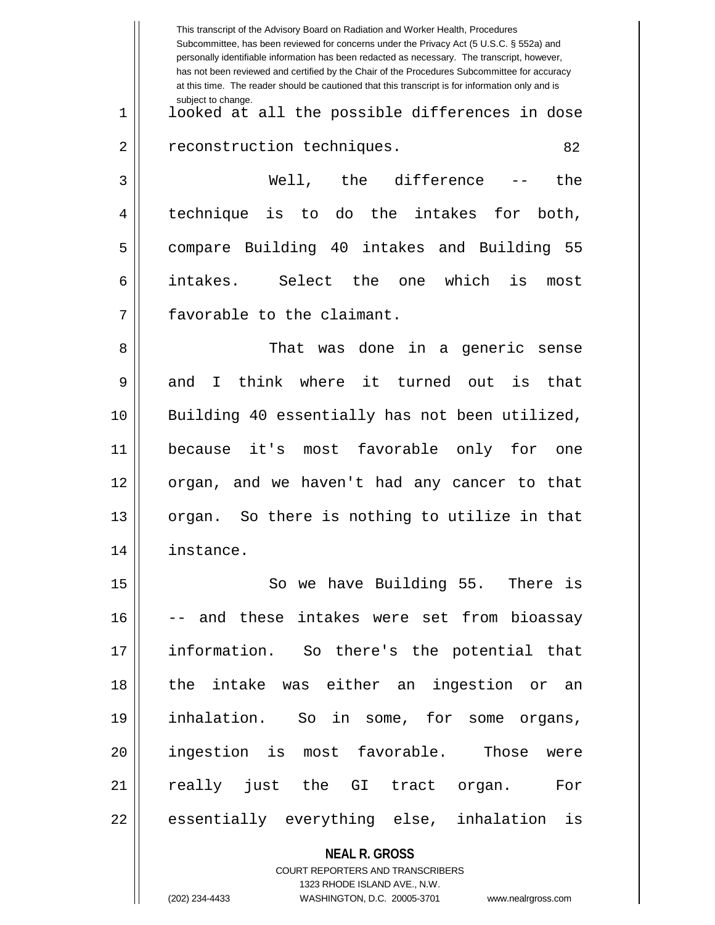|    | This transcript of the Advisory Board on Radiation and Worker Health, Procedures<br>Subcommittee, has been reviewed for concerns under the Privacy Act (5 U.S.C. § 552a) and<br>personally identifiable information has been redacted as necessary. The transcript, however,<br>has not been reviewed and certified by the Chair of the Procedures Subcommittee for accuracy<br>at this time. The reader should be cautioned that this transcript is for information only and is |
|----|----------------------------------------------------------------------------------------------------------------------------------------------------------------------------------------------------------------------------------------------------------------------------------------------------------------------------------------------------------------------------------------------------------------------------------------------------------------------------------|
| 1  | subject to change.<br>looked at all the possible differences in dose                                                                                                                                                                                                                                                                                                                                                                                                             |
| 2  | reconstruction techniques.<br>82                                                                                                                                                                                                                                                                                                                                                                                                                                                 |
| 3  | Well, the difference<br>the                                                                                                                                                                                                                                                                                                                                                                                                                                                      |
| 4  | do the intakes<br>technique<br>is<br>for<br>to<br>both,                                                                                                                                                                                                                                                                                                                                                                                                                          |
| 5  | compare Building 40 intakes and Building 55                                                                                                                                                                                                                                                                                                                                                                                                                                      |
| 6  | intakes.<br>Select the<br>which<br>is<br>one<br>most                                                                                                                                                                                                                                                                                                                                                                                                                             |
| 7  | favorable to the claimant.                                                                                                                                                                                                                                                                                                                                                                                                                                                       |
| 8  | That was done in a<br>generic<br>sense                                                                                                                                                                                                                                                                                                                                                                                                                                           |
| 9  | think<br>where<br>it turned out<br>and<br>is<br>that<br>I.                                                                                                                                                                                                                                                                                                                                                                                                                       |
| 10 | Building 40 essentially has not been utilized,                                                                                                                                                                                                                                                                                                                                                                                                                                   |
| 11 | most favorable<br>it's<br>only for<br>because<br>one                                                                                                                                                                                                                                                                                                                                                                                                                             |
| 12 | organ, and we haven't had any cancer to that                                                                                                                                                                                                                                                                                                                                                                                                                                     |
| 13 | So there is nothing to utilize in that<br>organ.                                                                                                                                                                                                                                                                                                                                                                                                                                 |
| 14 | instance.                                                                                                                                                                                                                                                                                                                                                                                                                                                                        |
| 15 | So we have Building 55. There is                                                                                                                                                                                                                                                                                                                                                                                                                                                 |
| 16 | -- and these intakes were set from bioassay                                                                                                                                                                                                                                                                                                                                                                                                                                      |
| 17 | information. So there's the potential that                                                                                                                                                                                                                                                                                                                                                                                                                                       |
| 18 | the intake was either an ingestion or an                                                                                                                                                                                                                                                                                                                                                                                                                                         |
| 19 | inhalation. So in some, for some organs,                                                                                                                                                                                                                                                                                                                                                                                                                                         |
| 20 | ingestion is most favorable. Those were                                                                                                                                                                                                                                                                                                                                                                                                                                          |
| 21 | really just the GI tract organ. For                                                                                                                                                                                                                                                                                                                                                                                                                                              |
| 22 | essentially everything else, inhalation is                                                                                                                                                                                                                                                                                                                                                                                                                                       |
|    | <b>NEAL R. GROSS</b><br>COURT REPORTERS AND TRANSCRIBERS                                                                                                                                                                                                                                                                                                                                                                                                                         |

1323 RHODE ISLAND AVE., N.W.

 $\prod$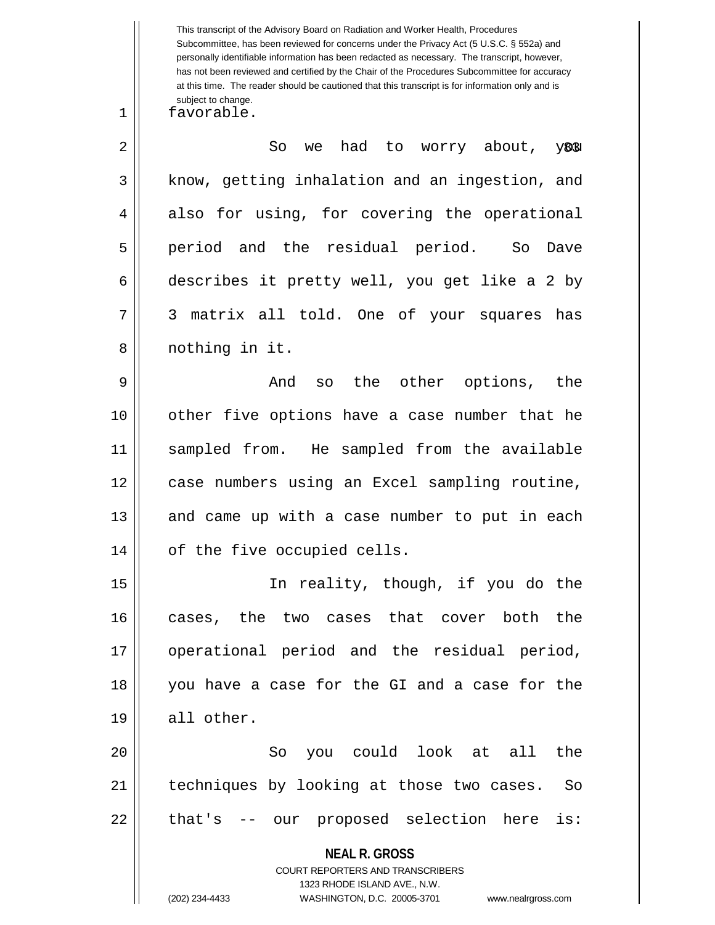This transcript of the Advisory Board on Radiation and Worker Health, Procedures Subcommittee, has been reviewed for concerns under the Privacy Act (5 U.S.C. § 552a) and personally identifiable information has been redacted as necessary. The transcript, however, has not been reviewed and certified by the Chair of the Procedures Subcommittee for accuracy at this time. The reader should be cautioned that this transcript is for information only and is subject to change.

1 favorable.

y81  $2 \parallel$  So we had to worry about,  $3 \parallel$  know, getting inhalation and an ingestion, and  $4 \parallel$  also for using, for covering the operational 5 period and the residual period. So Dave 6 describes it pretty well, you get like a 2 by 7 3 matrix all told. One of your squares has 8 || nothing in it.

 And so the other options, the other five options have a case number that he sampled from. He sampled from the available case numbers using an Excel sampling routine, and came up with a case number to put in each 14 || of the five occupied cells.

 In reality, though, if you do the cases, the two cases that cover both the operational period and the residual period, you have a case for the GI and a case for the  $19 \parallel$  all other.

20 So you could look at all the 21 || techniques by looking at those two cases. So 22 || that's -- our proposed selection here is:

> **NEAL R. GROSS** COURT REPORTERS AND TRANSCRIBERS 1323 RHODE ISLAND AVE., N.W. (202) 234-4433 WASHINGTON, D.C. 20005-3701 www.nealrgross.com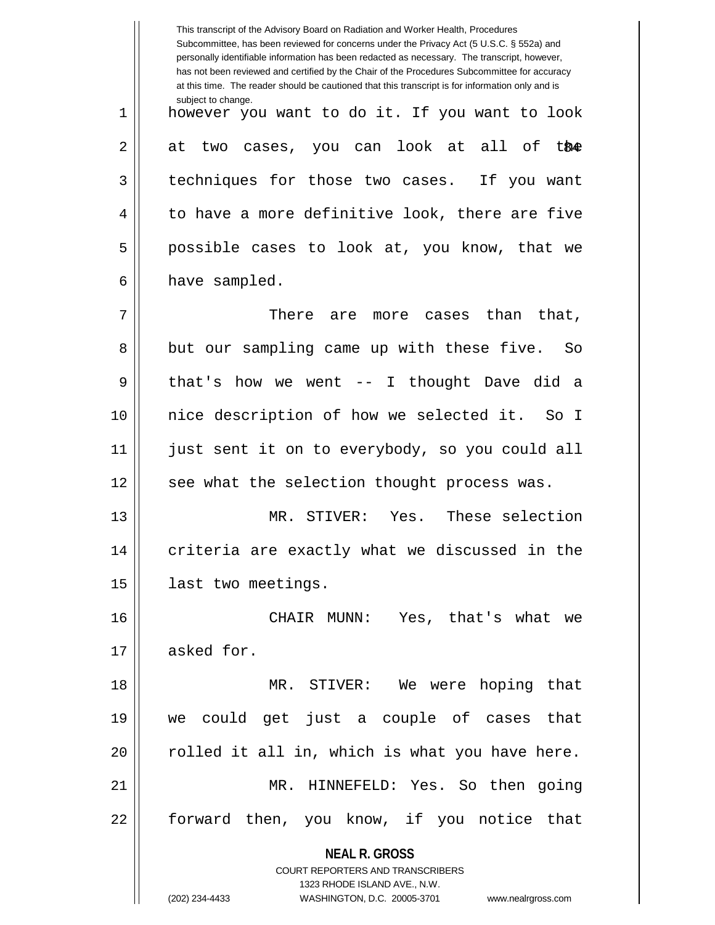**NEAL R. GROSS** COURT REPORTERS AND TRANSCRIBERS 1323 RHODE ISLAND AVE., N.W. This transcript of the Advisory Board on Radiation and Worker Health, Procedures Subcommittee, has been reviewed for concerns under the Privacy Act (5 U.S.C. § 552a) and personally identifiable information has been redacted as necessary. The transcript, however, has not been reviewed and certified by the Chair of the Procedures Subcommittee for accuracy at this time. The reader should be cautioned that this transcript is for information only and is subject to change. 2|| at two cases, you can look at all of t&<del>@</del> 1 however you want to do it. If you want to look 3 techniques for those two cases. If you want  $4 \parallel$  to have a more definitive look, there are five 5 || possible cases to look at, you know, that we  $6 \parallel$  have sampled.  $7 \parallel$  There are more cases than that, 8 but our sampling came up with these five. So 9 || that's how we went -- I thought Dave did a 10 nice description of how we selected it. So I 11 just sent it on to everybody, so you could all 12 || see what the selection thought process was. 13 MR. STIVER: Yes. These selection  $14$   $\parallel$  criteria are exactly what we discussed in the 15 | last two meetings. 16 CHAIR MUNN: Yes, that's what we 17 asked for. 18 MR. STIVER: We were hoping that 19 we could get just a couple of cases that  $20$   $\parallel$  rolled it all in, which is what you have here. 21 MR. HINNEFELD: Yes. So then going 22 || forward then, you know, if you notice that

<sup>(202) 234-4433</sup> WASHINGTON, D.C. 20005-3701 www.nealrgross.com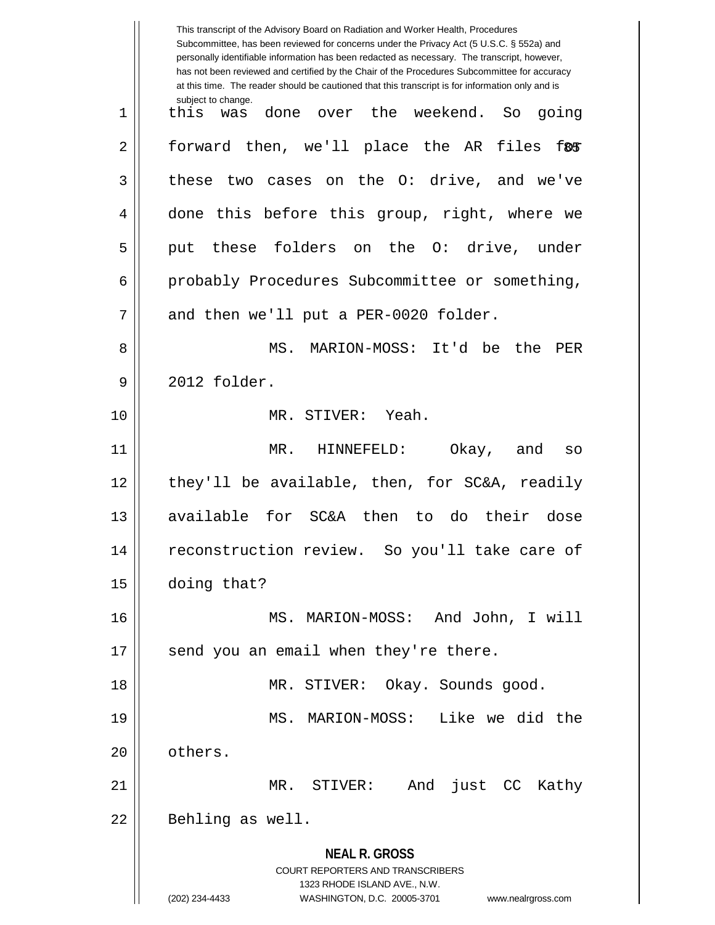**NEAL R. GROSS** COURT REPORTERS AND TRANSCRIBERS 1323 RHODE ISLAND AVE., N.W. (202) 234-4433 WASHINGTON, D.C. 20005-3701 www.nealrgross.com This transcript of the Advisory Board on Radiation and Worker Health, Procedures Subcommittee, has been reviewed for concerns under the Privacy Act (5 U.S.C. § 552a) and personally identifiable information has been redacted as necessary. The transcript, however, has not been reviewed and certified by the Chair of the Procedures Subcommittee for accuracy at this time. The reader should be cautioned that this transcript is for information only and is subject to change. 2|| forward then, we'll place the AR files f $\texttt{\$s$}$ 1 this was done over the weekend. So going  $3 \parallel$  these two cases on the O: drive, and we've 4 done this before this group, right, where we 5 || put these folders on the O: drive, under 6 probably Procedures Subcommittee or something,  $7 \parallel$  and then we'll put a PER-0020 folder. 8 MS. MARION-MOSS: It'd be the PER 9 2012 folder. 10 MR. STIVER: Yeah. 11 MR. HINNEFELD: Okay, and so  $12$  || they'll be available, then, for SC&A, readily 13 available for SC&A then to do their dose 14 reconstruction review. So you'll take care of 15 doing that? 16 MS. MARION-MOSS: And John, I will 17 || send you an email when they're there. 18 || MR. STIVER: Okay. Sounds good. 19 MS. MARION-MOSS: Like we did the 20 l others. 21 MR. STIVER: And just CC Kathy 22 || Behling as well.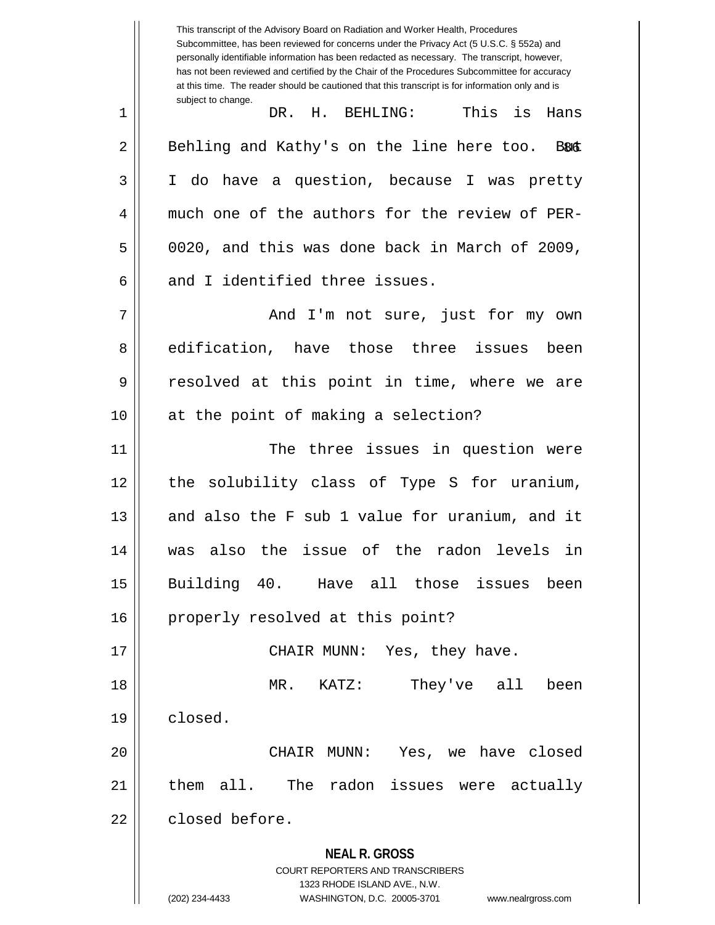**NEAL R. GROSS** COURT REPORTERS AND TRANSCRIBERS 1323 RHODE ISLAND AVE., N.W. (202) 234-4433 WASHINGTON, D.C. 20005-3701 www.nealrgross.com This transcript of the Advisory Board on Radiation and Worker Health, Procedures Subcommittee, has been reviewed for concerns under the Privacy Act (5 U.S.C. § 552a) and personally identifiable information has been redacted as necessary. The transcript, however, has not been reviewed and certified by the Chair of the Procedures Subcommittee for accuracy at this time. The reader should be cautioned that this transcript is for information only and is subject to change. **B&&** 1 DR. H. BEHLING: This is Hans  $2 \parallel$  Behling and Kathy's on the line here too. 3 I do have a question, because I was pretty 4 much one of the authors for the review of PER- $5 \parallel$  0020, and this was done back in March of 2009, 6 and I identified three issues. 7 And I'm not sure, just for my own 8 edification, have those three issues been 9 || resolved at this point in time, where we are 10 || at the point of making a selection? 11 || The three issues in question were 12 the solubility class of Type S for uranium,  $13$  and also the F sub 1 value for uranium, and it 14 was also the issue of the radon levels in 15 Building 40. Have all those issues been 16 || properly resolved at this point? 17 CHAIR MUNN: Yes, they have. 18 MR. KATZ: They've all been 19 closed. 20 CHAIR MUNN: Yes, we have closed 21 || them all. The radon issues were actually 22 declosed before.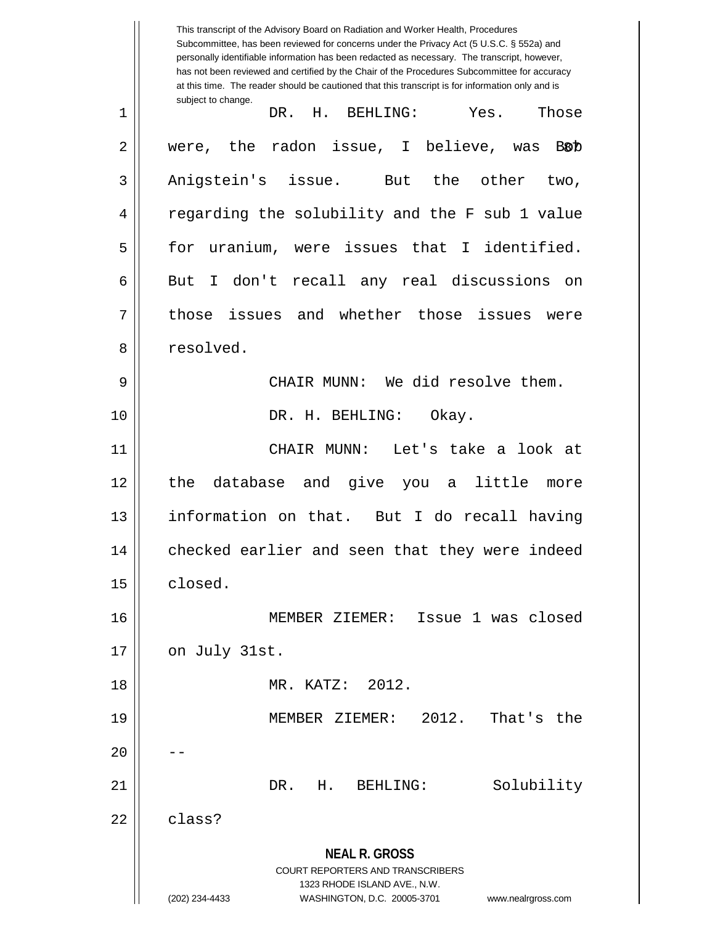**NEAL R. GROSS** COURT REPORTERS AND TRANSCRIBERS 1323 RHODE ISLAND AVE., N.W. (202) 234-4433 WASHINGTON, D.C. 20005-3701 www.nealrgross.com This transcript of the Advisory Board on Radiation and Worker Health, Procedures Subcommittee, has been reviewed for concerns under the Privacy Act (5 U.S.C. § 552a) and personally identifiable information has been redacted as necessary. The transcript, however, has not been reviewed and certified by the Chair of the Procedures Subcommittee for accuracy at this time. The reader should be cautioned that this transcript is for information only and is subject to change. B8D 1 DR. H. BEHLING: Yes. Those  $2 \parallel$  were, the radon issue, I believe, was 3 || Anigstein's issue. But the other two, 4 || regarding the solubility and the F sub 1 value 5 for uranium, were issues that I identified. 6 || But I don't recall any real discussions on 7 || those issues and whether those issues were 8 | resolved. 9 CHAIR MUNN: We did resolve them. 10 DR. H. BEHLING: Okay. 11 CHAIR MUNN: Let's take a look at 12 the database and give you a little more 13 information on that. But I do recall having 14 || checked earlier and seen that they were indeed 15 | closed. 16 MEMBER ZIEMER: Issue 1 was closed  $17 \parallel$  on July 31st. 18 MR. KATZ: 2012. 19 MEMBER ZIEMER: 2012. That's the  $20$ 21 DR. H. BEHLING: Solubility  $22 \parallel$  class?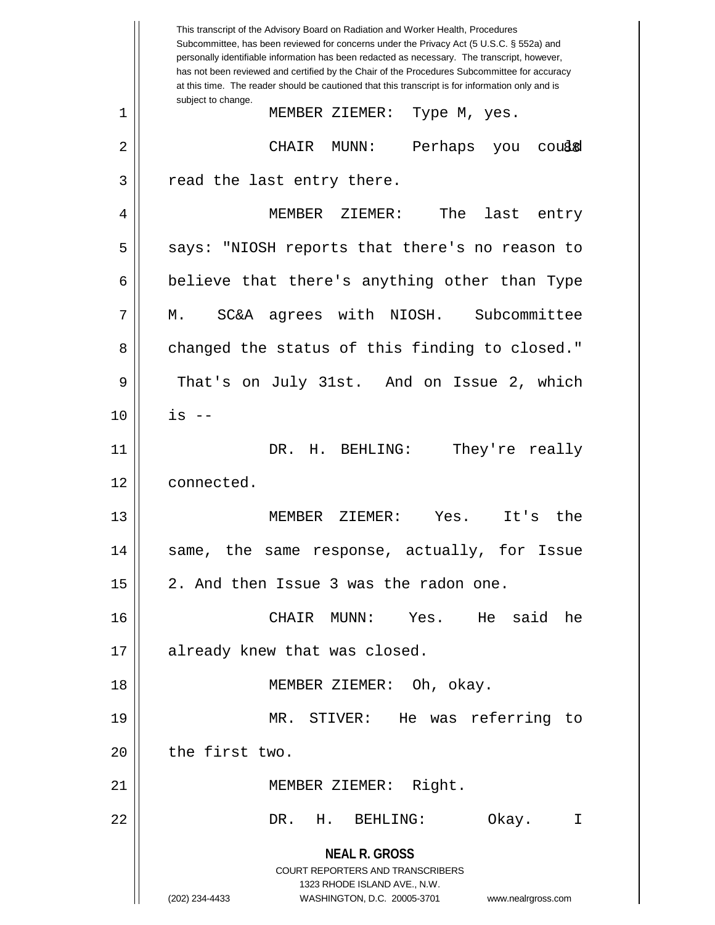**NEAL R. GROSS** COURT REPORTERS AND TRANSCRIBERS 1323 RHODE ISLAND AVE., N.W. (202) 234-4433 WASHINGTON, D.C. 20005-3701 www.nealrgross.com This transcript of the Advisory Board on Radiation and Worker Health, Procedures Subcommittee, has been reviewed for concerns under the Privacy Act (5 U.S.C. § 552a) and personally identifiable information has been redacted as necessary. The transcript, however, has not been reviewed and certified by the Chair of the Procedures Subcommittee for accuracy at this time. The reader should be cautioned that this transcript is for information only and is subject to change. coussel 1 || MEMBER ZIEMER: Type M, yes. 2 CHAIR MUNN: Perhaps you could  $3$  || read the last entry there. 4 MEMBER ZIEMER: The last entry 5 || says: "NIOSH reports that there's no reason to  $6 \parallel$  believe that there's anything other than Type 7 M. SC&A agrees with NIOSH. Subcommittee 8 changed the status of this finding to closed." 9 || That's on July 31st. And on Issue 2, which  $10 \parallel$  is  $-$ 11 DR. H. BEHLING: They're really 12 connected. 13 MEMBER ZIEMER: Yes. It's the 14 || same, the same response, actually, for Issue  $15$  | 2. And then Issue 3 was the radon one. 16 CHAIR MUNN: Yes. He said he 17 || already knew that was closed. 18 MEMBER ZIEMER: Oh, okay. 19 MR. STIVER: He was referring to  $20$  | the first two. 21 || MEMBER ZIEMER: Right. 22 DR. H. BEHLING: Okay. I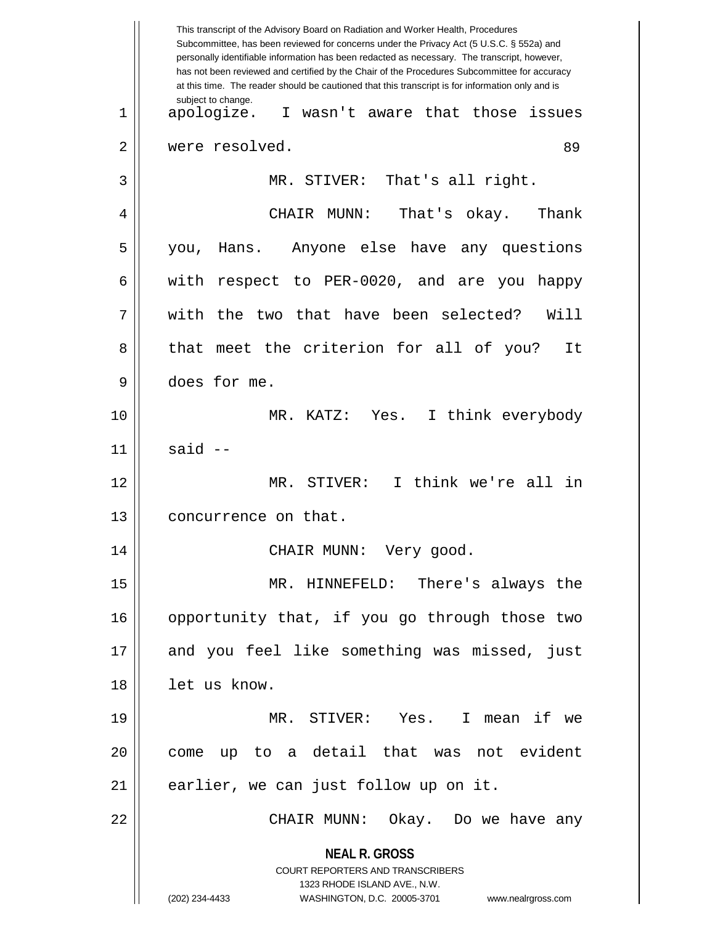**NEAL R. GROSS** COURT REPORTERS AND TRANSCRIBERS 1323 RHODE ISLAND AVE., N.W. (202) 234-4433 WASHINGTON, D.C. 20005-3701 www.nealrgross.com This transcript of the Advisory Board on Radiation and Worker Health, Procedures Subcommittee, has been reviewed for concerns under the Privacy Act (5 U.S.C. § 552a) and personally identifiable information has been redacted as necessary. The transcript, however, has not been reviewed and certified by the Chair of the Procedures Subcommittee for accuracy at this time. The reader should be cautioned that this transcript is for information only and is subject to change. 89 1 apologize. I wasn't aware that those issues 2 | were resolved. 3 || MR. STIVER: That's all right. 4 CHAIR MUNN: That's okay. Thank 5 you, Hans. Anyone else have any questions  $6 \parallel$  with respect to PER-0020, and are you happy 7 with the two that have been selected? Will 8 || that meet the criterion for all of you? It 9 does for me. 10 MR. KATZ: Yes. I think everybody  $11$  said  $-$ 12 MR. STIVER: I think we're all in 13 | concurrence on that. 14 CHAIR MUNN: Very good. 15 MR. HINNEFELD: There's always the 16 || opportunity that, if you go through those two 17 || and you feel like something was missed, just 18 || let us know. 19 MR. STIVER: Yes. I mean if we 20 || come up to a detail that was not evident  $21$  || earlier, we can just follow up on it. 22 CHAIR MUNN: Okay. Do we have any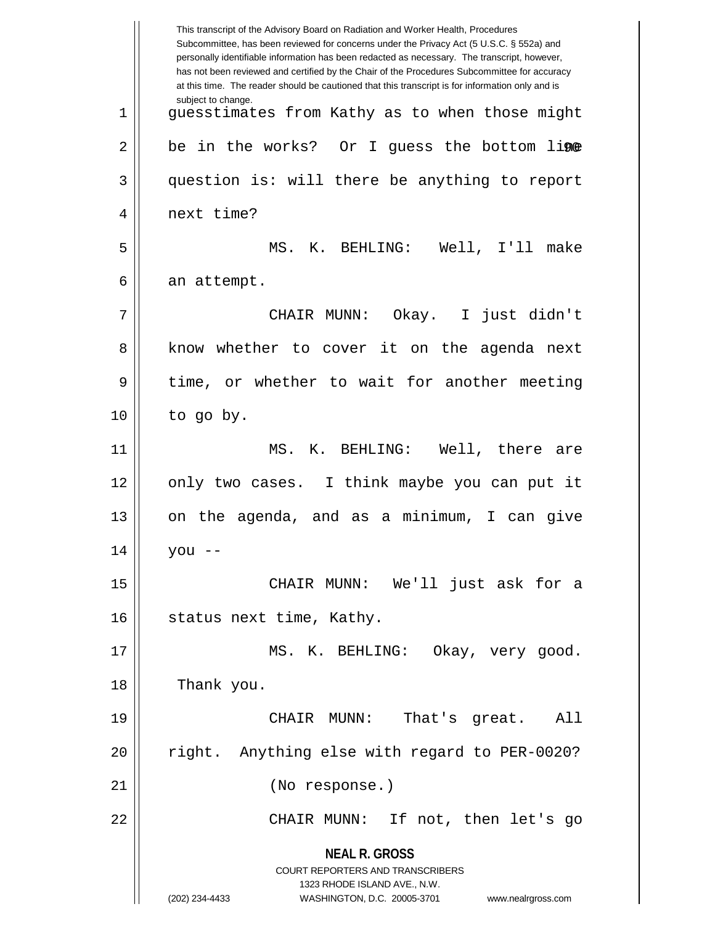**NEAL R. GROSS** COURT REPORTERS AND TRANSCRIBERS 1323 RHODE ISLAND AVE., N.W. (202) 234-4433 WASHINGTON, D.C. 20005-3701 www.nealrgross.com This transcript of the Advisory Board on Radiation and Worker Health, Procedures Subcommittee, has been reviewed for concerns under the Privacy Act (5 U.S.C. § 552a) and personally identifiable information has been redacted as necessary. The transcript, however, has not been reviewed and certified by the Chair of the Procedures Subcommittee for accuracy at this time. The reader should be cautioned that this transcript is for information only and is subject to change. 2 || be in the works? Or I guess the bottom li**ne** 1 || quesstimates from Kathy as to when those might 3 || question is: will there be anything to report 4 || next time? 5 MS. K. BEHLING: Well, I'll make  $6 \parallel$  an attempt. 7 CHAIR MUNN: Okay. I just didn't 8 || know whether to cover it on the agenda next 9 || time, or whether to wait for another meeting  $10$  | to go by. 11 MS. K. BEHLING: Well, there are 12 || only two cases. I think maybe you can put it 13 on the agenda, and as a minimum, I can give  $14 \parallel$  you --15 CHAIR MUNN: We'll just ask for a 16 | status next time, Kathy. 17 || MS. K. BEHLING: Okay, very good. 18 Thank you. 19 CHAIR MUNN: That's great. All 20 || right. Anything else with regard to PER-0020? 21 (No response.) 22 CHAIR MUNN: If not, then let's go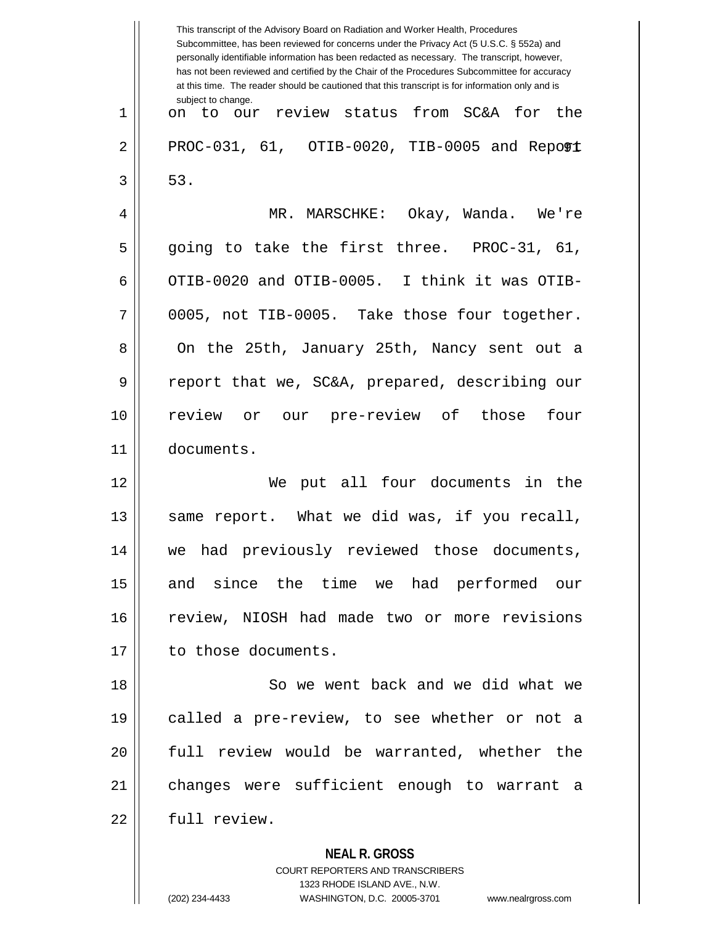**NEAL R. GROSS** COURT REPORTERS AND TRANSCRIBERS 1323 RHODE ISLAND AVE., N.W. This transcript of the Advisory Board on Radiation and Worker Health, Procedures Subcommittee, has been reviewed for concerns under the Privacy Act (5 U.S.C. § 552a) and personally identifiable information has been redacted as necessary. The transcript, however, has not been reviewed and certified by the Chair of the Procedures Subcommittee for accuracy at this time. The reader should be cautioned that this transcript is for information only and is subject to change. 91 2 PROC-031, 61, OTIB-0020, TIB-0005 and Report 1 || on to our review status from SC&A for the  $3 \parallel 53$ . 4 MR. MARSCHKE: Okay, Wanda. We're  $5 \parallel$  going to take the first three. PROC-31, 61, 6  $\parallel$  OTIB-0020 and OTIB-0005. I think it was OTIB- $7 \parallel 0005$ , not TIB-0005. Take those four together. 8 On the 25th, January 25th, Nancy sent out a 9 || report that we, SC&A, prepared, describing our 10 review or our pre-review of those four 11 documents. 12 We put all four documents in the 13 || same report. What we did was, if you recall, 14 we had previously reviewed those documents, 15 || and since the time we had performed our 16 || review, NIOSH had made two or more revisions 17 | to those documents. 18 So we went back and we did what we 19 called a pre-review, to see whether or not a 20 full review would be warranted, whether the 21 changes were sufficient enough to warrant a 22 full review.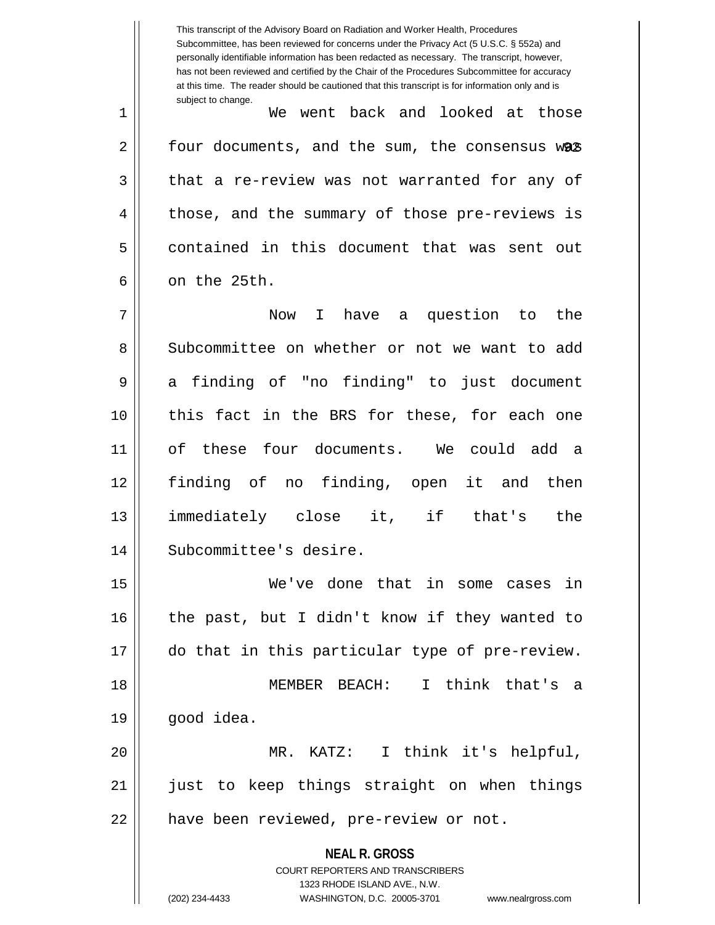**NEAL R. GROSS** COURT REPORTERS AND TRANSCRIBERS 1323 RHODE ISLAND AVE., N.W. (202) 234-4433 WASHINGTON, D.C. 20005-3701 www.nealrgross.com This transcript of the Advisory Board on Radiation and Worker Health, Procedures Subcommittee, has been reviewed for concerns under the Privacy Act (5 U.S.C. § 552a) and personally identifiable information has been redacted as necessary. The transcript, however, has not been reviewed and certified by the Chair of the Procedures Subcommittee for accuracy at this time. The reader should be cautioned that this transcript is for information only and is subject to change. 2 || four documents, and the sum, the consensus w**as** 1 We went back and looked at those  $3 \parallel$  that a re-review was not warranted for any of 4 || those, and the summary of those pre-reviews is 5 contained in this document that was sent out  $6 \parallel$  on the 25th. 7 Now I have a question to the 8 Subcommittee on whether or not we want to add 9 a finding of "no finding" to just document 10 this fact in the BRS for these, for each one 11 of these four documents. We could add a 12 finding of no finding, open it and then 13 immediately close it, if that's the 14 || Subcommittee's desire. 15 We've done that in some cases in  $16$  | the past, but I didn't know if they wanted to 17 || do that in this particular type of pre-review. 18 MEMBER BEACH: I think that's a 19 good idea. 20 MR. KATZ: I think it's helpful, 21 || just to keep things straight on when things 22 | have been reviewed, pre-review or not.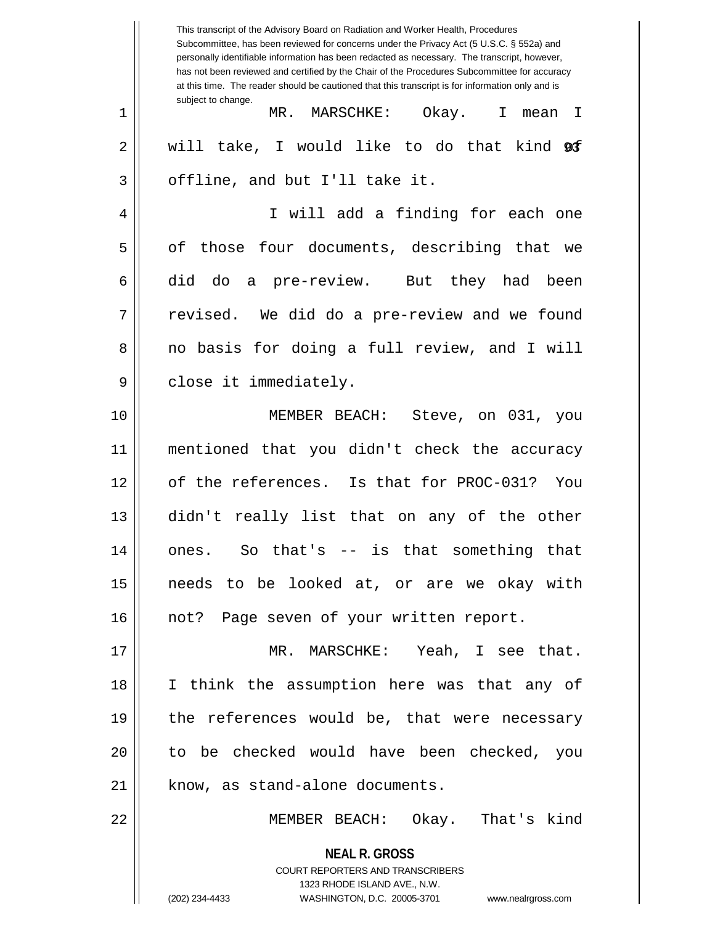**NEAL R. GROSS** COURT REPORTERS AND TRANSCRIBERS 1323 RHODE ISLAND AVE., N.W. (202) 234-4433 WASHINGTON, D.C. 20005-3701 www.nealrgross.com This transcript of the Advisory Board on Radiation and Worker Health, Procedures Subcommittee, has been reviewed for concerns under the Privacy Act (5 U.S.C. § 552a) and personally identifiable information has been redacted as necessary. The transcript, however, has not been reviewed and certified by the Chair of the Procedures Subcommittee for accuracy at this time. The reader should be cautioned that this transcript is for information only and is subject to change. 2|| will take, I would like to do that kind **@f** 1 MR. MARSCHKE: Okay. I mean I  $3 \parallel$  offline, and but I'll take it. 4 || I will add a finding for each one 5 || of those four documents, describing that we  $6 \parallel$  did do a pre-review. But they had been  $7 \parallel$  revised. We did do a pre-review and we found 8 || no basis for doing a full review, and I will 9 || close it immediately. 10 MEMBER BEACH: Steve, on 031, you 11 mentioned that you didn't check the accuracy 12 of the references. Is that for PROC-031? You 13 didn't really list that on any of the other 14 ones. So that's -- is that something that 15 needs to be looked at, or are we okay with 16 || not? Page seven of your written report. 17 MR. MARSCHKE: Yeah, I see that. 18 I think the assumption here was that any of 19 || the references would be, that were necessary 20 to be checked would have been checked, you  $21$  | know, as stand-alone documents. 22 || MEMBER BEACH: Okay. That's kind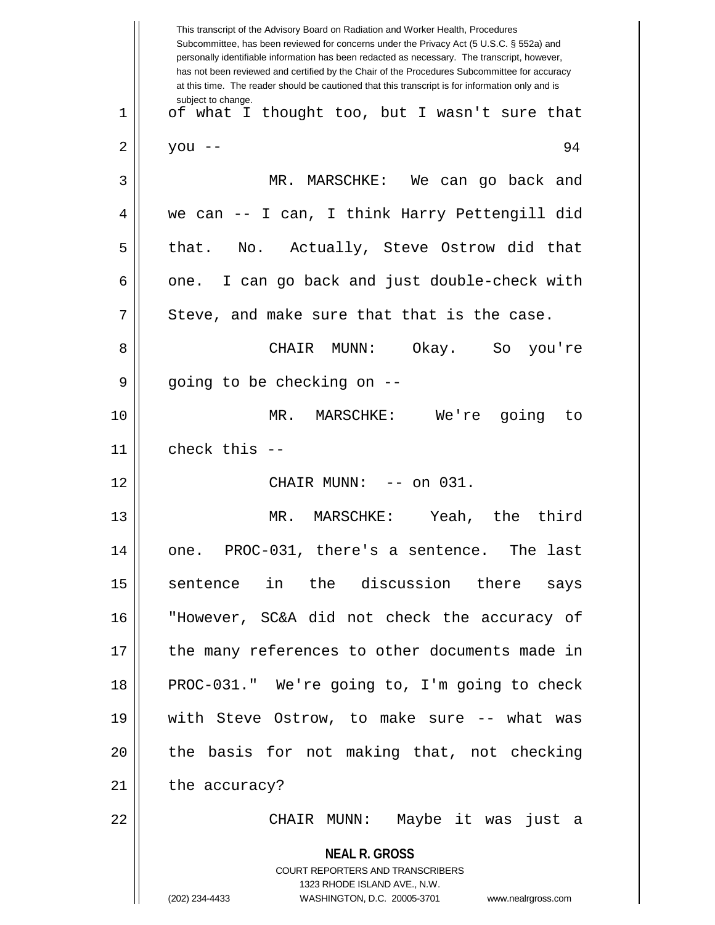|              | This transcript of the Advisory Board on Radiation and Worker Health, Procedures<br>Subcommittee, has been reviewed for concerns under the Privacy Act (5 U.S.C. § 552a) and<br>personally identifiable information has been redacted as necessary. The transcript, however,<br>has not been reviewed and certified by the Chair of the Procedures Subcommittee for accuracy<br>at this time. The reader should be cautioned that this transcript is for information only and is |
|--------------|----------------------------------------------------------------------------------------------------------------------------------------------------------------------------------------------------------------------------------------------------------------------------------------------------------------------------------------------------------------------------------------------------------------------------------------------------------------------------------|
| $\mathbf{1}$ | subject to change.<br>of what I thought too, but I wasn't sure that                                                                                                                                                                                                                                                                                                                                                                                                              |
| 2            | 94<br>you --                                                                                                                                                                                                                                                                                                                                                                                                                                                                     |
| 3            | MR. MARSCHKE: We can go back and                                                                                                                                                                                                                                                                                                                                                                                                                                                 |
| 4            | we can -- I can, I think Harry Pettengill did                                                                                                                                                                                                                                                                                                                                                                                                                                    |
| 5            | that. No. Actually, Steve Ostrow did that                                                                                                                                                                                                                                                                                                                                                                                                                                        |
| 6            | I can go back and just double-check with<br>one.                                                                                                                                                                                                                                                                                                                                                                                                                                 |
| 7            | Steve, and make sure that that is the case.                                                                                                                                                                                                                                                                                                                                                                                                                                      |
| 8            | CHAIR<br>MUNN:<br>Okay. So<br>you're                                                                                                                                                                                                                                                                                                                                                                                                                                             |
| 9            | going to be checking on --                                                                                                                                                                                                                                                                                                                                                                                                                                                       |
| 10           | MR.<br>MARSCHKE: We're going<br>to                                                                                                                                                                                                                                                                                                                                                                                                                                               |
| 11           | check this $-$                                                                                                                                                                                                                                                                                                                                                                                                                                                                   |
| 12           | CHAIR MUNN:<br>$--$ on 031.                                                                                                                                                                                                                                                                                                                                                                                                                                                      |
| 13           | third<br>Yeah, the<br>MR.<br>MARSCHKE:                                                                                                                                                                                                                                                                                                                                                                                                                                           |
| 14           | one. PROC-031, there's a sentence. The last                                                                                                                                                                                                                                                                                                                                                                                                                                      |
| 15           | sentence in the discussion there says                                                                                                                                                                                                                                                                                                                                                                                                                                            |
| 16           | "However, SC&A did not check the accuracy of                                                                                                                                                                                                                                                                                                                                                                                                                                     |
| 17           | the many references to other documents made in                                                                                                                                                                                                                                                                                                                                                                                                                                   |
| 18           | PROC-031." We're going to, I'm going to check                                                                                                                                                                                                                                                                                                                                                                                                                                    |
| 19           | with Steve Ostrow, to make sure -- what was                                                                                                                                                                                                                                                                                                                                                                                                                                      |
| 20           | the basis for not making that, not checking                                                                                                                                                                                                                                                                                                                                                                                                                                      |
| 21           | the accuracy?                                                                                                                                                                                                                                                                                                                                                                                                                                                                    |
| 22           | CHAIR MUNN: Maybe it was just a                                                                                                                                                                                                                                                                                                                                                                                                                                                  |
|              | <b>NEAL R. GROSS</b><br>COURT REPORTERS AND TRANSCRIBERS<br>1323 RHODE ISLAND AVE., N.W.<br>(202) 234-4433<br>WASHINGTON, D.C. 20005-3701 www.nealrgross.com                                                                                                                                                                                                                                                                                                                     |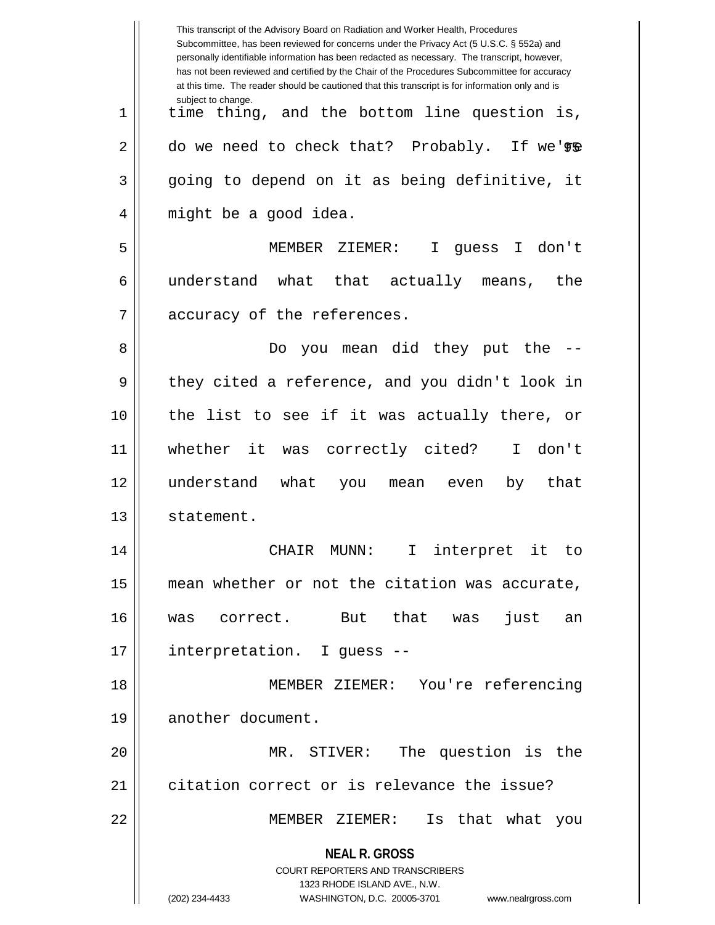|    | This transcript of the Advisory Board on Radiation and Worker Health, Procedures<br>Subcommittee, has been reviewed for concerns under the Privacy Act (5 U.S.C. § 552a) and<br>personally identifiable information has been redacted as necessary. The transcript, however,<br>has not been reviewed and certified by the Chair of the Procedures Subcommittee for accuracy<br>at this time. The reader should be cautioned that this transcript is for information only and is |
|----|----------------------------------------------------------------------------------------------------------------------------------------------------------------------------------------------------------------------------------------------------------------------------------------------------------------------------------------------------------------------------------------------------------------------------------------------------------------------------------|
| 1  | subject to change.<br>time thing, and the bottom line question is,                                                                                                                                                                                                                                                                                                                                                                                                               |
| 2  | do we need to check that? Probably. If we're                                                                                                                                                                                                                                                                                                                                                                                                                                     |
| 3  | going to depend on it as being definitive, it                                                                                                                                                                                                                                                                                                                                                                                                                                    |
| 4  | might be a good idea.                                                                                                                                                                                                                                                                                                                                                                                                                                                            |
| 5  | MEMBER ZIEMER:<br>guess I don't<br>$\mathbf I$                                                                                                                                                                                                                                                                                                                                                                                                                                   |
| 6  | understand what that actually means,<br>the                                                                                                                                                                                                                                                                                                                                                                                                                                      |
| 7  | accuracy of the references.                                                                                                                                                                                                                                                                                                                                                                                                                                                      |
| 8  | you mean did they put the<br>Do.                                                                                                                                                                                                                                                                                                                                                                                                                                                 |
| 9  | they cited a reference, and you didn't look in                                                                                                                                                                                                                                                                                                                                                                                                                                   |
| 10 | the list to see if it was actually there, or                                                                                                                                                                                                                                                                                                                                                                                                                                     |
| 11 | whether it was correctly cited? I<br>don't                                                                                                                                                                                                                                                                                                                                                                                                                                       |
| 12 | understand what<br>that<br>by<br>you mean<br>even                                                                                                                                                                                                                                                                                                                                                                                                                                |
| 13 | statement.                                                                                                                                                                                                                                                                                                                                                                                                                                                                       |
| 14 | I interpret it to<br>CHAIR MUNN:                                                                                                                                                                                                                                                                                                                                                                                                                                                 |
| 15 | mean whether or not the citation was accurate,                                                                                                                                                                                                                                                                                                                                                                                                                                   |
| 16 | But that<br>just<br>was correct.<br>was<br>an                                                                                                                                                                                                                                                                                                                                                                                                                                    |
| 17 | interpretation. I guess --                                                                                                                                                                                                                                                                                                                                                                                                                                                       |
| 18 | MEMBER ZIEMER: You're referencing                                                                                                                                                                                                                                                                                                                                                                                                                                                |
| 19 | another document.                                                                                                                                                                                                                                                                                                                                                                                                                                                                |
| 20 | MR. STIVER: The question is the                                                                                                                                                                                                                                                                                                                                                                                                                                                  |
| 21 | citation correct or is relevance the issue?                                                                                                                                                                                                                                                                                                                                                                                                                                      |
| 22 | MEMBER ZIEMER:<br>Is that what you                                                                                                                                                                                                                                                                                                                                                                                                                                               |
|    | <b>NEAL R. GROSS</b><br>COURT REPORTERS AND TRANSCRIBERS<br>1323 RHODE ISLAND AVE., N.W.<br>(202) 234-4433<br>WASHINGTON, D.C. 20005-3701<br>www.nealrgross.com                                                                                                                                                                                                                                                                                                                  |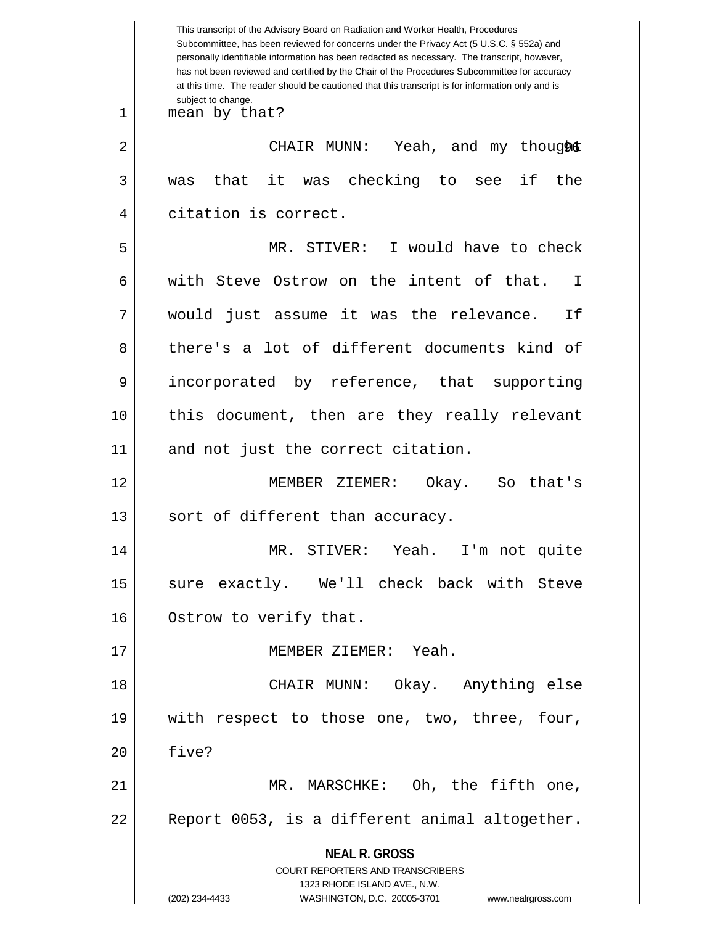**NEAL R. GROSS** COURT REPORTERS AND TRANSCRIBERS 1323 RHODE ISLAND AVE., N.W. (202) 234-4433 WASHINGTON, D.C. 20005-3701 www.nealrgross.com This transcript of the Advisory Board on Radiation and Worker Health, Procedures Subcommittee, has been reviewed for concerns under the Privacy Act (5 U.S.C. § 552a) and personally identifiable information has been redacted as necessary. The transcript, however, has not been reviewed and certified by the Chair of the Procedures Subcommittee for accuracy at this time. The reader should be cautioned that this transcript is for information only and is subject to change. 96 2 CHAIR MUNN: Yeah, and my thought 1 || mean by that?  $3 \parallel$  was that it was checking to see if the 4 citation is correct. 5 MR. STIVER: I would have to check 6 Weith Steve Ostrow on the intent of that. I 7 would just assume it was the relevance. If 8 there's a lot of different documents kind of 9 incorporated by reference, that supporting 10 this document, then are they really relevant 11 || and not just the correct citation. 12 MEMBER ZIEMER: Okay. So that's 13 || sort of different than accuracy. 14 MR. STIVER: Yeah. I'm not quite 15 || sure exactly. We'll check back with Steve 16 | Ostrow to verify that. 17 MEMBER ZIEMER: Yeah. 18 CHAIR MUNN: Okay. Anything else 19 with respect to those one, two, three, four, 20 five? 21 MR. MARSCHKE: Oh, the fifth one, 22 || Report 0053, is a different animal altogether.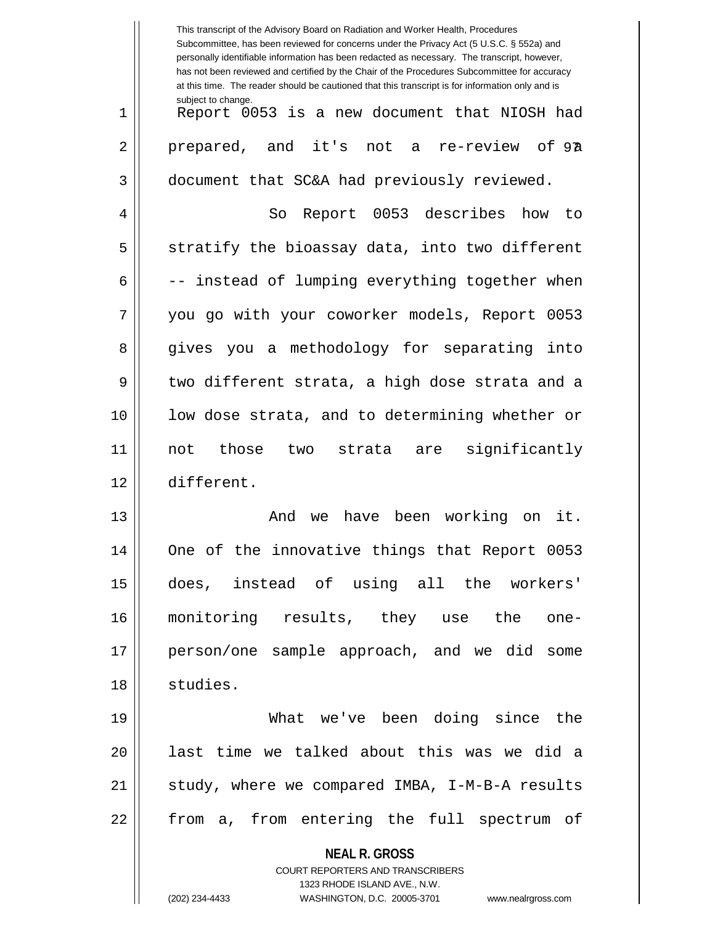|    | This transcript of the Advisory Board on Radiation and Worker Health, Procedures<br>Subcommittee, has been reviewed for concerns under the Privacy Act (5 U.S.C. § 552a) and<br>personally identifiable information has been redacted as necessary. The transcript, however,<br>has not been reviewed and certified by the Chair of the Procedures Subcommittee for accuracy<br>at this time. The reader should be cautioned that this transcript is for information only and is |
|----|----------------------------------------------------------------------------------------------------------------------------------------------------------------------------------------------------------------------------------------------------------------------------------------------------------------------------------------------------------------------------------------------------------------------------------------------------------------------------------|
| 1  | subject to change.<br>Report 0053 is a new document that NIOSH had                                                                                                                                                                                                                                                                                                                                                                                                               |
| 2  | prepared, and it's not a re-review of 97                                                                                                                                                                                                                                                                                                                                                                                                                                         |
| 3  | document that SC&A had previously reviewed.                                                                                                                                                                                                                                                                                                                                                                                                                                      |
| 4  | Report 0053 describes<br>So<br>how<br>to                                                                                                                                                                                                                                                                                                                                                                                                                                         |
| 5  | stratify the bioassay data, into two different                                                                                                                                                                                                                                                                                                                                                                                                                                   |
| 6  | -- instead of lumping everything together when                                                                                                                                                                                                                                                                                                                                                                                                                                   |
| 7  | you go with your coworker models, Report 0053                                                                                                                                                                                                                                                                                                                                                                                                                                    |
| 8  | gives you a methodology for separating<br>into                                                                                                                                                                                                                                                                                                                                                                                                                                   |
| 9  | two different strata, a high dose strata and a                                                                                                                                                                                                                                                                                                                                                                                                                                   |
| 10 | low dose strata, and to determining whether or                                                                                                                                                                                                                                                                                                                                                                                                                                   |
| 11 | significantly<br>those<br>not<br>two<br>strata are                                                                                                                                                                                                                                                                                                                                                                                                                               |
| 12 | different.                                                                                                                                                                                                                                                                                                                                                                                                                                                                       |
| 13 | we have been working<br>it.<br>And<br>on                                                                                                                                                                                                                                                                                                                                                                                                                                         |
| 14 | One of the innovative things that Report 0053                                                                                                                                                                                                                                                                                                                                                                                                                                    |
| 15 | does, instead of using all the workers'                                                                                                                                                                                                                                                                                                                                                                                                                                          |
| 16 | monitoring results, they use the<br>one-                                                                                                                                                                                                                                                                                                                                                                                                                                         |
| 17 | person/one sample approach, and we did some                                                                                                                                                                                                                                                                                                                                                                                                                                      |
| 18 | studies.                                                                                                                                                                                                                                                                                                                                                                                                                                                                         |
| 19 | What we've been doing since the                                                                                                                                                                                                                                                                                                                                                                                                                                                  |
| 20 | last time we talked about this was we did a                                                                                                                                                                                                                                                                                                                                                                                                                                      |
| 21 | study, where we compared IMBA, I-M-B-A results                                                                                                                                                                                                                                                                                                                                                                                                                                   |
| 22 | from a, from entering the full spectrum of                                                                                                                                                                                                                                                                                                                                                                                                                                       |
|    | <b>NEAL R. GROSS</b>                                                                                                                                                                                                                                                                                                                                                                                                                                                             |
|    | <b>COURT REPORTERS AND TRANSCRIBERS</b><br>1323 RHODE ISLAND AVE., N.W.                                                                                                                                                                                                                                                                                                                                                                                                          |
|    | (202) 234-4433<br>WASHINGTON, D.C. 20005-3701<br>www.nealrgross.com                                                                                                                                                                                                                                                                                                                                                                                                              |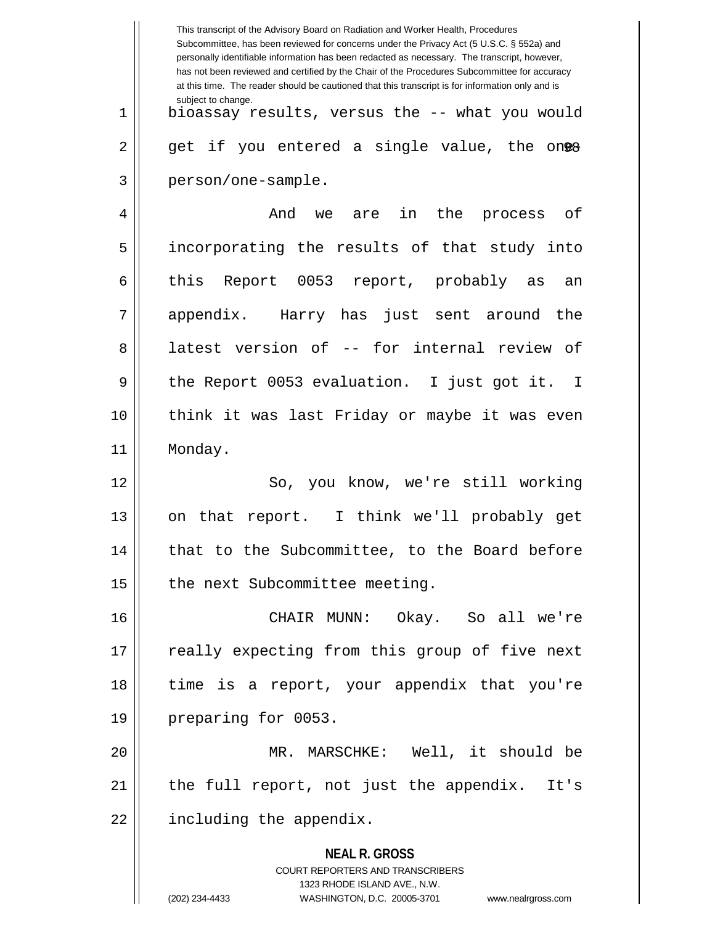**NEAL R. GROSS** COURT REPORTERS AND TRANSCRIBERS 1323 RHODE ISLAND AVE., N.W. (202) 234-4433 WASHINGTON, D.C. 20005-3701 www.nealrgross.com This transcript of the Advisory Board on Radiation and Worker Health, Procedures Subcommittee, has been reviewed for concerns under the Privacy Act (5 U.S.C. § 552a) and personally identifiable information has been redacted as necessary. The transcript, however, has not been reviewed and certified by the Chair of the Procedures Subcommittee for accuracy at this time. The reader should be cautioned that this transcript is for information only and is subject to change.  $2 \parallel$  get if you entered a single value, the on<del>@8</del> 1 bioassay results, versus the -- what you would 3 person/one-sample. 4 And we are in the process of 5 incorporating the results of that study into 6 this Report 0053 report, probably as an 7 appendix. Harry has just sent around the 8 || latest version of -- for internal review of 9 deeport 0053 evaluation. I just got it. I 10 think it was last Friday or maybe it was even 11 | Monday. 12 || So, you know, we're still working 13 || on that report. I think we'll probably get 14 || that to the Subcommittee, to the Board before  $15$  | the next Subcommittee meeting. 16 CHAIR MUNN: Okay. So all we're 17 || really expecting from this group of five next 18 time is a report, your appendix that you're 19 || preparing for 0053. 20 MR. MARSCHKE: Well, it should be 21 the full report, not just the appendix. It's  $22$  || including the appendix.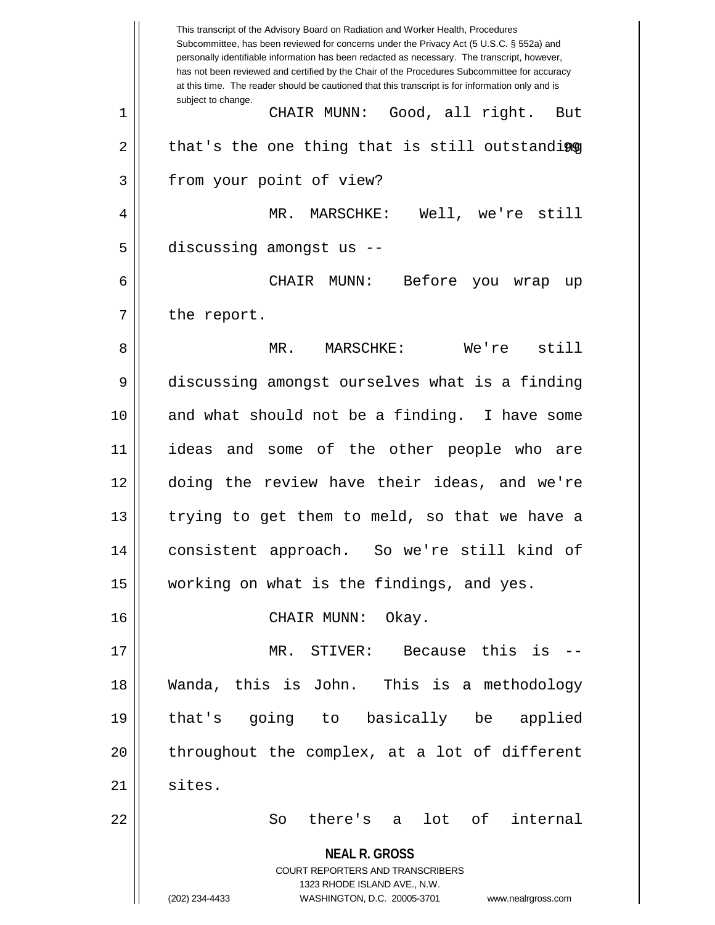**NEAL R. GROSS** COURT REPORTERS AND TRANSCRIBERS 1323 RHODE ISLAND AVE., N.W. (202) 234-4433 WASHINGTON, D.C. 20005-3701 www.nealrgross.com This transcript of the Advisory Board on Radiation and Worker Health, Procedures Subcommittee, has been reviewed for concerns under the Privacy Act (5 U.S.C. § 552a) and personally identifiable information has been redacted as necessary. The transcript, however, has not been reviewed and certified by the Chair of the Procedures Subcommittee for accuracy at this time. The reader should be cautioned that this transcript is for information only and is subject to change. 2 || that's the one thing that is still outstandi**ng** 1 CHAIR MUNN: Good, all right. But 3 | from your point of view? 4 MR. MARSCHKE: Well, we're still  $5$  || discussing amongst us --6 CHAIR MUNN: Before you wrap up  $7 \parallel$  the report. 8 MR. MARSCHKE: We're still 9 discussing amongst ourselves what is a finding 10 and what should not be a finding. I have some 11 ideas and some of the other people who are 12 doing the review have their ideas, and we're 13 || trying to get them to meld, so that we have a 14 consistent approach. So we're still kind of 15 working on what is the findings, and yes. 16 CHAIR MUNN: Okay. 17 MR. STIVER: Because this is -- 18 Wanda, this is John. This is a methodology 19 that's going to basically be applied 20 || throughout the complex, at a lot of different  $21 \parallel$  sites. 22 So there's a lot of internal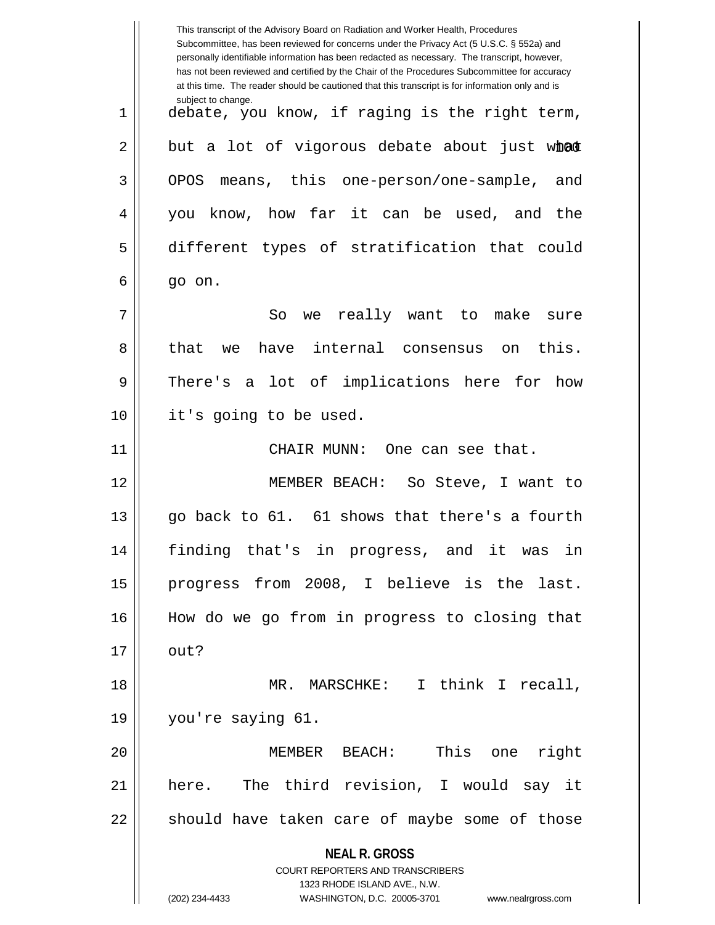**NEAL R. GROSS** COURT REPORTERS AND TRANSCRIBERS 1323 RHODE ISLAND AVE., N.W. (202) 234-4433 WASHINGTON, D.C. 20005-3701 www.nealrgross.com This transcript of the Advisory Board on Radiation and Worker Health, Procedures Subcommittee, has been reviewed for concerns under the Privacy Act (5 U.S.C. § 552a) and personally identifiable information has been redacted as necessary. The transcript, however, has not been reviewed and certified by the Chair of the Procedures Subcommittee for accuracy at this time. The reader should be cautioned that this transcript is for information only and is subject to change. 2 || but a lot of vigorous debate about just w**hat** 1 debate, you know, if raging is the right term, 3 OPOS means, this one-person/one-sample, and 4 you know, how far it can be used, and the 5 different types of stratification that could  $6 \parallel$  go on. 7 So we really want to make sure 8 || that we have internal consensus on this. 9 There's a lot of implications here for how 10 it's going to be used. 11 CHAIR MUNN: One can see that. 12 MEMBER BEACH: So Steve, I want to  $13$  || qo back to 61. 61 shows that there's a fourth 14 finding that's in progress, and it was in 15 progress from 2008, I believe is the last. 16 How do we go from in progress to closing that  $17 \parallel$  out? 18 MR. MARSCHKE: I think I recall, 19 you're saying 61. 20 MEMBER BEACH: This one right 21 here. The third revision, I would say it  $22$  should have taken care of maybe some of those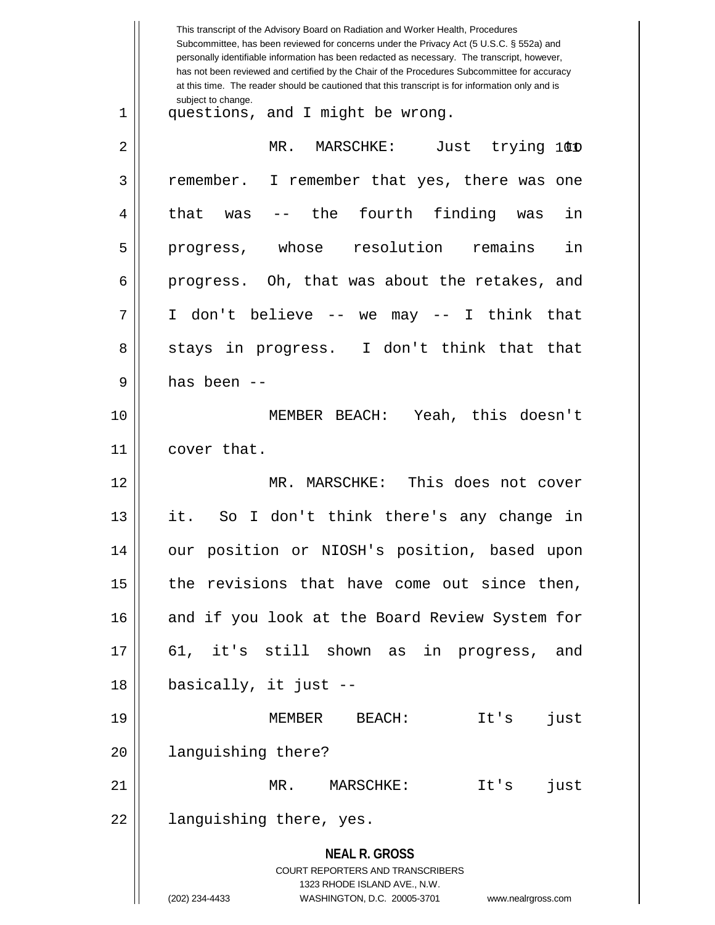|    | This transcript of the Advisory Board on Radiation and Worker Health, Procedures<br>Subcommittee, has been reviewed for concerns under the Privacy Act (5 U.S.C. § 552a) and<br>personally identifiable information has been redacted as necessary. The transcript, however,<br>has not been reviewed and certified by the Chair of the Procedures Subcommittee for accuracy<br>at this time. The reader should be cautioned that this transcript is for information only and is |
|----|----------------------------------------------------------------------------------------------------------------------------------------------------------------------------------------------------------------------------------------------------------------------------------------------------------------------------------------------------------------------------------------------------------------------------------------------------------------------------------|
| 1  | subject to change.<br>questions, and I might be wrong.                                                                                                                                                                                                                                                                                                                                                                                                                           |
| 2  | MR.<br>Just trying 100<br>MARSCHKE:                                                                                                                                                                                                                                                                                                                                                                                                                                              |
| 3  | remember.<br>I remember that yes, there was one                                                                                                                                                                                                                                                                                                                                                                                                                                  |
| 4  | fourth finding<br>the<br>in<br>that<br>was<br>was                                                                                                                                                                                                                                                                                                                                                                                                                                |
| 5  | whose<br>resolution<br>in<br>remains<br>progress,                                                                                                                                                                                                                                                                                                                                                                                                                                |
| 6  | progress. Oh, that was about the retakes, and                                                                                                                                                                                                                                                                                                                                                                                                                                    |
| 7  | don't believe -- we<br>may -- I think that<br>T.                                                                                                                                                                                                                                                                                                                                                                                                                                 |
| 8  | stays in progress. I don't think that that                                                                                                                                                                                                                                                                                                                                                                                                                                       |
| 9  | has been --                                                                                                                                                                                                                                                                                                                                                                                                                                                                      |
| 10 | MEMBER BEACH: Yeah, this doesn't                                                                                                                                                                                                                                                                                                                                                                                                                                                 |
| 11 | cover that.                                                                                                                                                                                                                                                                                                                                                                                                                                                                      |
| 12 | This does not cover<br>MR.<br>MARSCHKE:                                                                                                                                                                                                                                                                                                                                                                                                                                          |
| 13 | it.<br>I don't think there's any change<br>So<br>in                                                                                                                                                                                                                                                                                                                                                                                                                              |
| 14 | our position or NIOSH's position, based upon                                                                                                                                                                                                                                                                                                                                                                                                                                     |
| 15 | the revisions that have come out since then,                                                                                                                                                                                                                                                                                                                                                                                                                                     |
| 16 | and if you look at the Board Review System for                                                                                                                                                                                                                                                                                                                                                                                                                                   |
| 17 | 61, it's still shown as in progress, and                                                                                                                                                                                                                                                                                                                                                                                                                                         |
| 18 | basically, it just --                                                                                                                                                                                                                                                                                                                                                                                                                                                            |
| 19 | MEMBER BEACH:<br>It's<br>just                                                                                                                                                                                                                                                                                                                                                                                                                                                    |
| 20 | languishing there?                                                                                                                                                                                                                                                                                                                                                                                                                                                               |
| 21 | MR. MARSCHKE:<br>It's<br>just                                                                                                                                                                                                                                                                                                                                                                                                                                                    |
| 22 | languishing there, yes.                                                                                                                                                                                                                                                                                                                                                                                                                                                          |
|    | <b>NEAL R. GROSS</b><br>COURT REPORTERS AND TRANSCRIBERS<br>1323 RHODE ISLAND AVE., N.W.<br>(202) 234-4433<br>WASHINGTON, D.C. 20005-3701<br>www.nealrgross.com                                                                                                                                                                                                                                                                                                                  |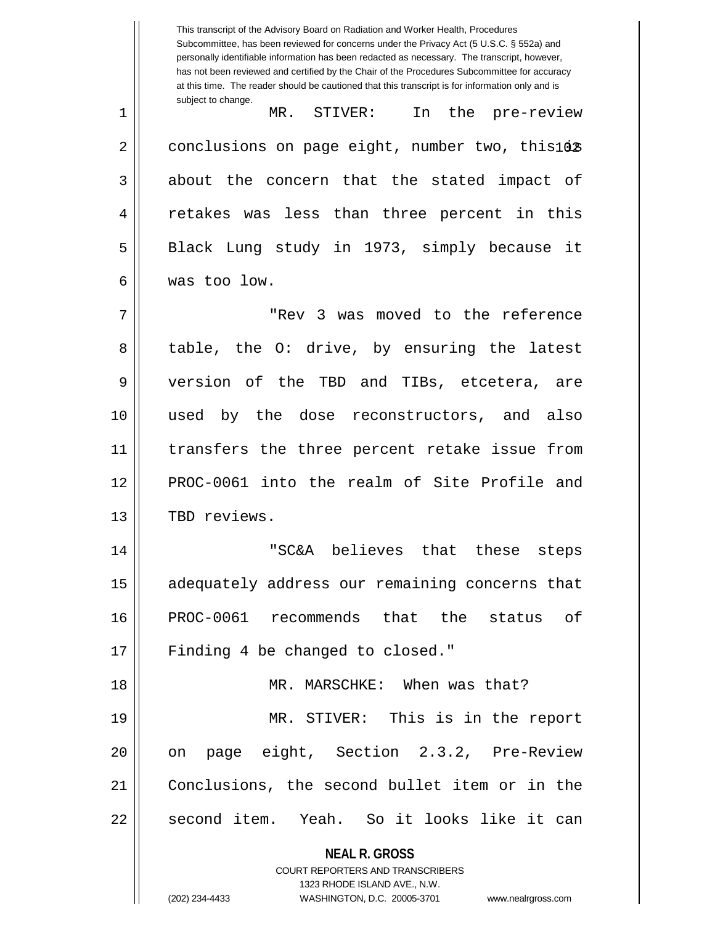**NEAL R. GROSS** COURT REPORTERS AND TRANSCRIBERS 1323 RHODE ISLAND AVE., N.W. This transcript of the Advisory Board on Radiation and Worker Health, Procedures Subcommittee, has been reviewed for concerns under the Privacy Act (5 U.S.C. § 552a) and personally identifiable information has been redacted as necessary. The transcript, however, has not been reviewed and certified by the Chair of the Procedures Subcommittee for accuracy at this time. The reader should be cautioned that this transcript is for information only and is subject to change.  $2 \parallel$  conclusions on page eight, number two, this  $10 \text{\%}$ 1 MR. STIVER: In the pre-review  $3 \parallel$  about the concern that the stated impact of 4 || retakes was less than three percent in this 5 || Black Lung study in 1973, simply because it 6 was too low. 7 "Rev 3 was moved to the reference 8 table, the O: drive, by ensuring the latest 9 version of the TBD and TIBs, etcetera, are 10 used by the dose reconstructors, and also 11 transfers the three percent retake issue from 12 PROC-0061 into the realm of Site Profile and 13 || TBD reviews. 14 "SC&A believes that these steps 15 || adequately address our remaining concerns that 16 PROC-0061 recommends that the status of 17 || Finding 4 be changed to closed." 18 MR. MARSCHKE: When was that? 19 MR. STIVER: This is in the report 20 || on page eight, Section 2.3.2, Pre-Review 21 Conclusions, the second bullet item or in the 22 || second item. Yeah. So it looks like it can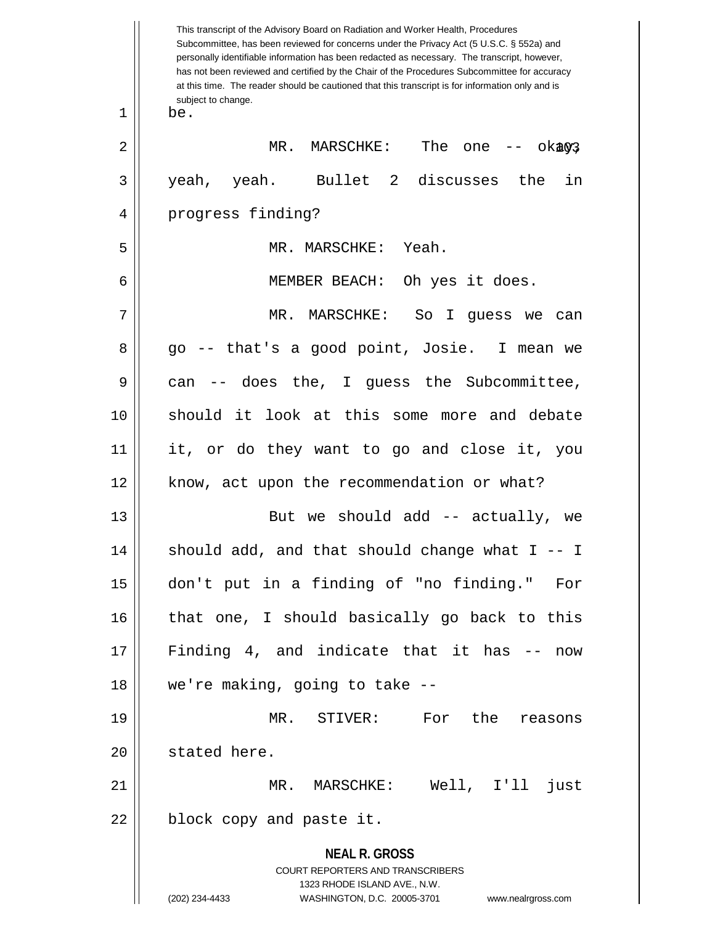| This transcript of the Advisory Board on Radiation and Worker Health, Procedures<br>Subcommittee, has been reviewed for concerns under the Privacy Act (5 U.S.C. § 552a) and<br>personally identifiable information has been redacted as necessary. The transcript, however,<br>has not been reviewed and certified by the Chair of the Procedures Subcommittee for accuracy<br>at this time. The reader should be cautioned that this transcript is for information only and is |
|----------------------------------------------------------------------------------------------------------------------------------------------------------------------------------------------------------------------------------------------------------------------------------------------------------------------------------------------------------------------------------------------------------------------------------------------------------------------------------|
| subject to change.<br>be.                                                                                                                                                                                                                                                                                                                                                                                                                                                        |
| MR. MARSCHKE:<br>The one $-$ ok $303$                                                                                                                                                                                                                                                                                                                                                                                                                                            |
| yeah, yeah. Bullet 2 discusses the<br>in                                                                                                                                                                                                                                                                                                                                                                                                                                         |
| progress finding?                                                                                                                                                                                                                                                                                                                                                                                                                                                                |
| MR. MARSCHKE: Yeah.                                                                                                                                                                                                                                                                                                                                                                                                                                                              |
| MEMBER BEACH: Oh yes it does.                                                                                                                                                                                                                                                                                                                                                                                                                                                    |
| MR. MARSCHKE: So I guess we can                                                                                                                                                                                                                                                                                                                                                                                                                                                  |
| go -- that's a good point, Josie. I mean we                                                                                                                                                                                                                                                                                                                                                                                                                                      |
| -- does the, I guess the Subcommittee,<br>can                                                                                                                                                                                                                                                                                                                                                                                                                                    |
| should it look at this some more and debate                                                                                                                                                                                                                                                                                                                                                                                                                                      |
| it, or do they want to go and close it, you                                                                                                                                                                                                                                                                                                                                                                                                                                      |
| know, act upon the recommendation or what?                                                                                                                                                                                                                                                                                                                                                                                                                                       |
| But we should add -- actually, we                                                                                                                                                                                                                                                                                                                                                                                                                                                |
| should add, and that should change what $I - I$                                                                                                                                                                                                                                                                                                                                                                                                                                  |
| don't put in a finding of "no finding." For                                                                                                                                                                                                                                                                                                                                                                                                                                      |
| that one, I should basically go back to this                                                                                                                                                                                                                                                                                                                                                                                                                                     |
| Finding 4, and indicate that it has --<br>now                                                                                                                                                                                                                                                                                                                                                                                                                                    |
| we're making, going to take --                                                                                                                                                                                                                                                                                                                                                                                                                                                   |
| MR. STIVER: For the reasons                                                                                                                                                                                                                                                                                                                                                                                                                                                      |
| stated here.                                                                                                                                                                                                                                                                                                                                                                                                                                                                     |
| MR. MARSCHKE: Well, I'll just                                                                                                                                                                                                                                                                                                                                                                                                                                                    |
| block copy and paste it.                                                                                                                                                                                                                                                                                                                                                                                                                                                         |
| <b>NEAL R. GROSS</b><br>COURT REPORTERS AND TRANSCRIBERS<br>1323 RHODE ISLAND AVE., N.W.<br>(202) 234-4433<br>WASHINGTON, D.C. 20005-3701 www.nealrgross.com                                                                                                                                                                                                                                                                                                                     |
|                                                                                                                                                                                                                                                                                                                                                                                                                                                                                  |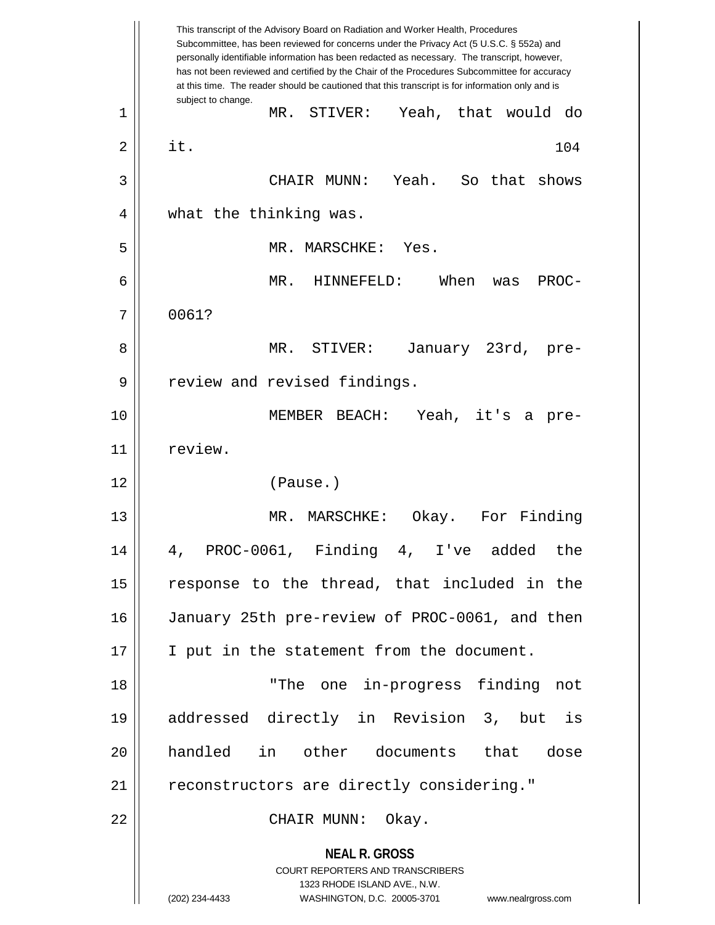**NEAL R. GROSS** COURT REPORTERS AND TRANSCRIBERS 1323 RHODE ISLAND AVE., N.W. (202) 234-4433 WASHINGTON, D.C. 20005-3701 www.nealrgross.com This transcript of the Advisory Board on Radiation and Worker Health, Procedures Subcommittee, has been reviewed for concerns under the Privacy Act (5 U.S.C. § 552a) and personally identifiable information has been redacted as necessary. The transcript, however, has not been reviewed and certified by the Chair of the Procedures Subcommittee for accuracy at this time. The reader should be cautioned that this transcript is for information only and is subject to change. 104 1 MR. STIVER: Yeah, that would do  $2 \parallel$  it. 3 CHAIR MUNN: Yeah. So that shows 4 || what the thinking was. 5 MR. MARSCHKE: Yes. 6 MR. HINNEFELD: When was PROC-7 0061? 8 MR. STIVER: January 23rd, pre-9 || review and revised findings. 10 MEMBER BEACH: Yeah, it's a pre-11 | review. 12 (Pause.) 13 MR. MARSCHKE: Okay. For Finding 14 4, PROC-0061, Finding 4, I've added the 15 || response to the thread, that included in the 16 January 25th pre-review of PROC-0061, and then 17 || I put in the statement from the document. 18 "The one in-progress finding not 19 addressed directly in Revision 3, but is 20 handled in other documents that dose 21 | reconstructors are directly considering." 22 CHAIR MUNN: Okay.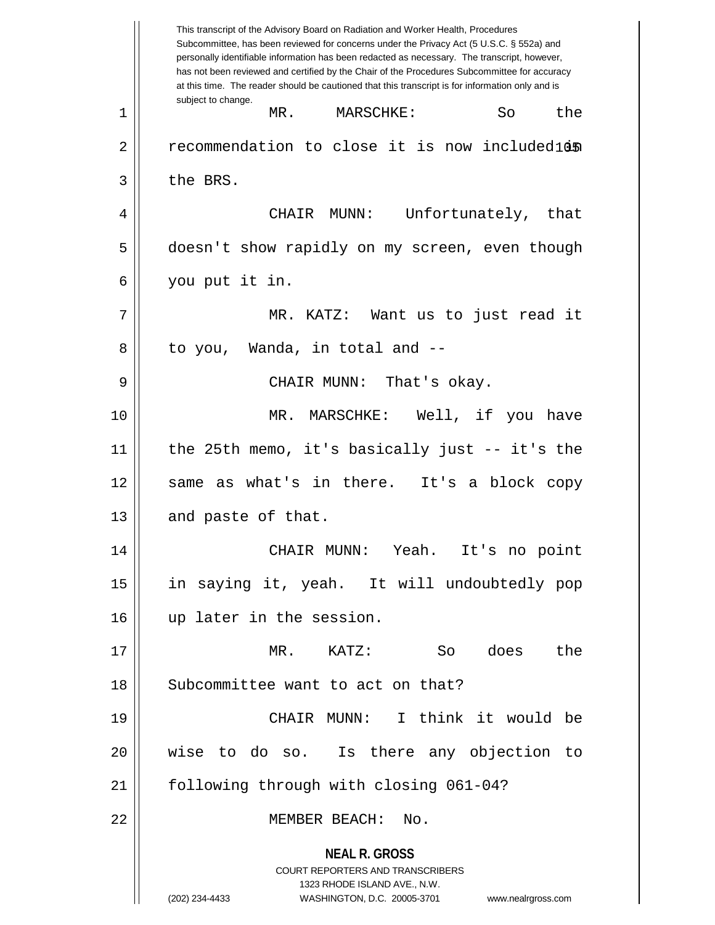**NEAL R. GROSS** COURT REPORTERS AND TRANSCRIBERS 1323 RHODE ISLAND AVE., N.W. (202) 234-4433 WASHINGTON, D.C. 20005-3701 www.nealrgross.com This transcript of the Advisory Board on Radiation and Worker Health, Procedures Subcommittee, has been reviewed for concerns under the Privacy Act (5 U.S.C. § 552a) and personally identifiable information has been redacted as necessary. The transcript, however, has not been reviewed and certified by the Chair of the Procedures Subcommittee for accuracy at this time. The reader should be cautioned that this transcript is for information only and is subject to change. 2 || recommendation to close it is now included105 | 1 MR. MARSCHKE: So the  $3 \parallel$  the BRS. 4 CHAIR MUNN: Unfortunately, that 5 doesn't show rapidly on my screen, even though 6 you put it in. 7 MR. KATZ: Want us to just read it 8 || to you, Wanda, in total and --9 CHAIR MUNN: That's okay. 10 MR. MARSCHKE: Well, if you have 11 the 25th memo, it's basically just -- it's the 12 same as what's in there. It's a block copy  $13$  | and paste of that. 14 CHAIR MUNN: Yeah. It's no point 15 in saying it, yeah. It will undoubtedly pop 16 up later in the session. 17 MR. KATZ: So does the 18 || Subcommittee want to act on that? 19 CHAIR MUNN: I think it would be 20 wise to do so. Is there any objection to 21 | following through with closing 061-04? 22 MEMBER BEACH: No.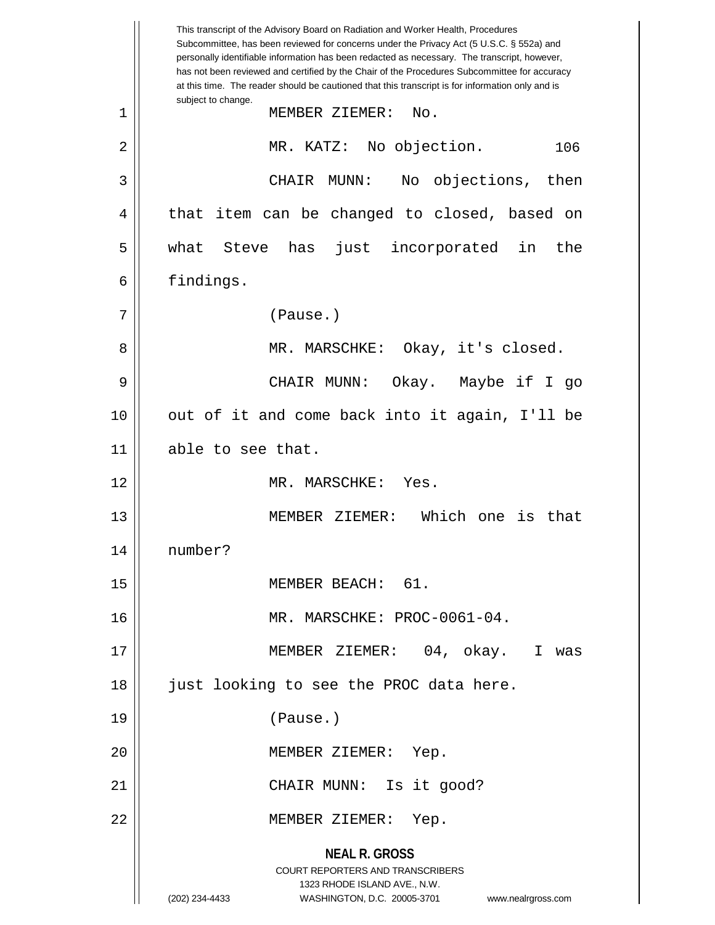**NEAL R. GROSS** COURT REPORTERS AND TRANSCRIBERS 1323 RHODE ISLAND AVE., N.W. (202) 234-4433 WASHINGTON, D.C. 20005-3701 www.nealrgross.com This transcript of the Advisory Board on Radiation and Worker Health, Procedures Subcommittee, has been reviewed for concerns under the Privacy Act (5 U.S.C. § 552a) and personally identifiable information has been redacted as necessary. The transcript, however, has not been reviewed and certified by the Chair of the Procedures Subcommittee for accuracy at this time. The reader should be cautioned that this transcript is for information only and is subject to change. 106 1 MEMBER ZIEMER: No. 2 | MR. KATZ: No objection. 3 CHAIR MUNN: No objections, then 4 || that item can be changed to closed, based on 5 what Steve has just incorporated in the 6 | findings. 7 (Pause.) 8 MR. MARSCHKE: Okay, it's closed. 9 CHAIR MUNN: Okay. Maybe if I go 10 || out of it and come back into it again, I'll be 11 able to see that. 12 MR. MARSCHKE: Yes. 13 MEMBER ZIEMER: Which one is that 14 number? 15 || MEMBER BEACH: 61. 16 MR. MARSCHKE: PROC-0061-04. 17 MEMBER ZIEMER: 04, okay. I was 18 || just looking to see the PROC data here. 19 (Pause.) 20 || MEMBER ZIEMER: Yep. 21 || CHAIR MUNN: Is it good? 22 MEMBER ZIEMER: Yep.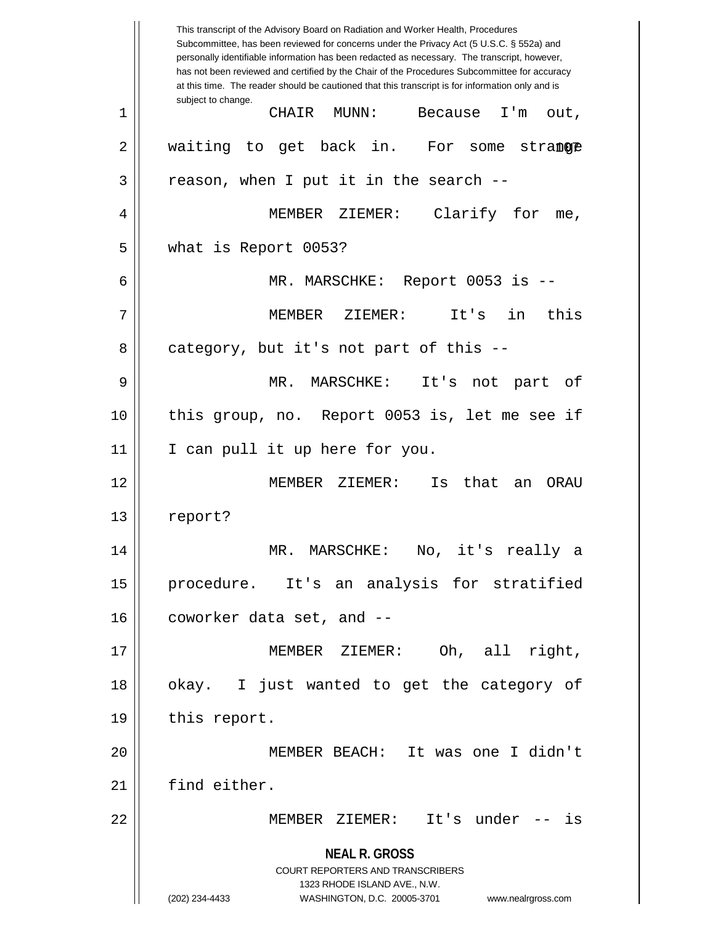**NEAL R. GROSS** COURT REPORTERS AND TRANSCRIBERS 1323 RHODE ISLAND AVE., N.W. (202) 234-4433 WASHINGTON, D.C. 20005-3701 www.nealrgross.com This transcript of the Advisory Board on Radiation and Worker Health, Procedures Subcommittee, has been reviewed for concerns under the Privacy Act (5 U.S.C. § 552a) and personally identifiable information has been redacted as necessary. The transcript, however, has not been reviewed and certified by the Chair of the Procedures Subcommittee for accuracy at this time. The reader should be cautioned that this transcript is for information only and is subject to change. stranore 1 CHAIR MUNN: Because I'm out,  $2 \parallel$  waiting to get back in. For some  $3 \parallel$  reason, when I put it in the search --4 MEMBER ZIEMER: Clarify for me, 5 what is Report 0053? 6 MR. MARSCHKE: Report 0053 is -- 7 MEMBER ZIEMER: It's in this  $8 \parallel$  category, but it's not part of this --9 MR. MARSCHKE: It's not part of 10 || this group, no. Report 0053 is, let me see if 11 || I can pull it up here for you. 12 MEMBER ZIEMER: Is that an ORAU 13 | report? 14 MR. MARSCHKE: No, it's really a 15 procedure. It's an analysis for stratified 16 || coworker data set, and --17 MEMBER ZIEMER: Oh, all right, 18 || okay. I just wanted to get the category of 19 | this report. 20 MEMBER BEACH: It was one I didn't 21 find either. 22 MEMBER ZIEMER: It's under -- is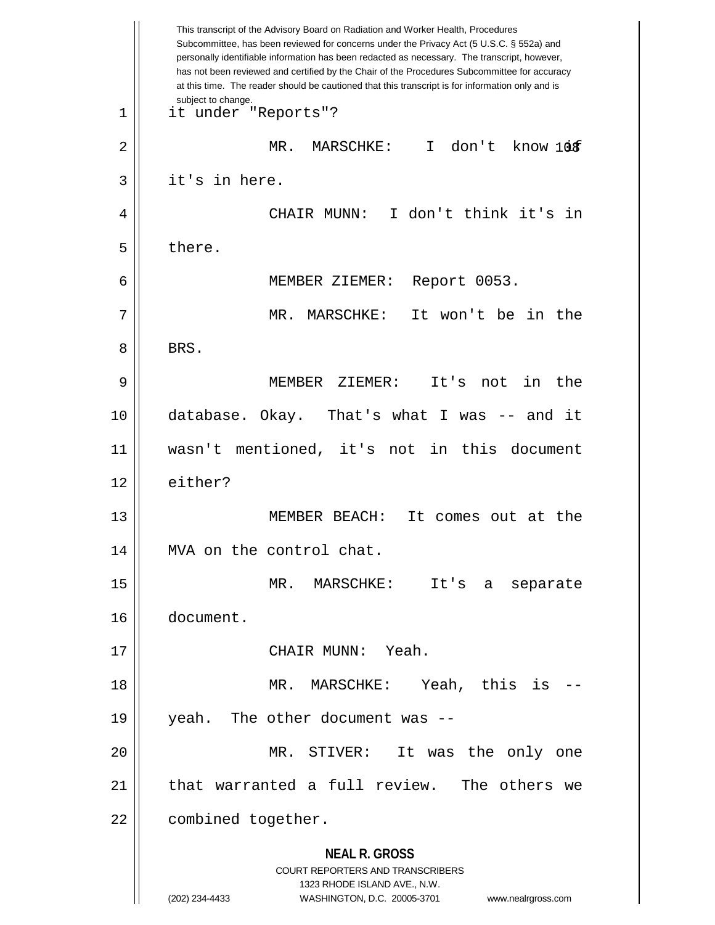|    | This transcript of the Advisory Board on Radiation and Worker Health, Procedures<br>Subcommittee, has been reviewed for concerns under the Privacy Act (5 U.S.C. § 552a) and<br>personally identifiable information has been redacted as necessary. The transcript, however,<br>has not been reviewed and certified by the Chair of the Procedures Subcommittee for accuracy<br>at this time. The reader should be cautioned that this transcript is for information only and is |
|----|----------------------------------------------------------------------------------------------------------------------------------------------------------------------------------------------------------------------------------------------------------------------------------------------------------------------------------------------------------------------------------------------------------------------------------------------------------------------------------|
| 1  | subject to change.<br>it under "Reports"?                                                                                                                                                                                                                                                                                                                                                                                                                                        |
| 2  | $\mathsf{T}$<br>don't know 10f<br>MR.<br>MARSCHKE:                                                                                                                                                                                                                                                                                                                                                                                                                               |
| 3  | it's in here.                                                                                                                                                                                                                                                                                                                                                                                                                                                                    |
| 4  | I don't think it's<br>in<br>CHAIR MUNN:                                                                                                                                                                                                                                                                                                                                                                                                                                          |
| 5  | there.                                                                                                                                                                                                                                                                                                                                                                                                                                                                           |
| 6  | Report 0053.<br>MEMBER ZIEMER:                                                                                                                                                                                                                                                                                                                                                                                                                                                   |
| 7  | It won't be in the<br>MR. MARSCHKE:                                                                                                                                                                                                                                                                                                                                                                                                                                              |
| 8  | BRS.                                                                                                                                                                                                                                                                                                                                                                                                                                                                             |
| 9  | in<br>MEMBER ZIEMER:<br>It's<br>the<br>not                                                                                                                                                                                                                                                                                                                                                                                                                                       |
| 10 | database. Okay. That's what I was -- and it                                                                                                                                                                                                                                                                                                                                                                                                                                      |
| 11 | wasn't mentioned, it's not in this document                                                                                                                                                                                                                                                                                                                                                                                                                                      |
| 12 | either?                                                                                                                                                                                                                                                                                                                                                                                                                                                                          |
| 13 | MEMBER BEACH:<br>It comes out at the                                                                                                                                                                                                                                                                                                                                                                                                                                             |
| 14 | MVA on the control chat.                                                                                                                                                                                                                                                                                                                                                                                                                                                         |
| 15 | MR. MARSCHKE: It's<br>separate<br>a                                                                                                                                                                                                                                                                                                                                                                                                                                              |
| 16 | document.                                                                                                                                                                                                                                                                                                                                                                                                                                                                        |
| 17 | CHAIR MUNN: Yeah.                                                                                                                                                                                                                                                                                                                                                                                                                                                                |
| 18 | MR. MARSCHKE: Yeah, this is                                                                                                                                                                                                                                                                                                                                                                                                                                                      |
| 19 | yeah. The other document was --                                                                                                                                                                                                                                                                                                                                                                                                                                                  |
| 20 | MR. STIVER: It was the only one                                                                                                                                                                                                                                                                                                                                                                                                                                                  |
| 21 | that warranted a full review. The others we                                                                                                                                                                                                                                                                                                                                                                                                                                      |
| 22 | combined together.                                                                                                                                                                                                                                                                                                                                                                                                                                                               |
|    | <b>NEAL R. GROSS</b><br><b>COURT REPORTERS AND TRANSCRIBERS</b><br>1323 RHODE ISLAND AVE., N.W.<br>(202) 234-4433<br>WASHINGTON, D.C. 20005-3701<br>www.nealrgross.com                                                                                                                                                                                                                                                                                                           |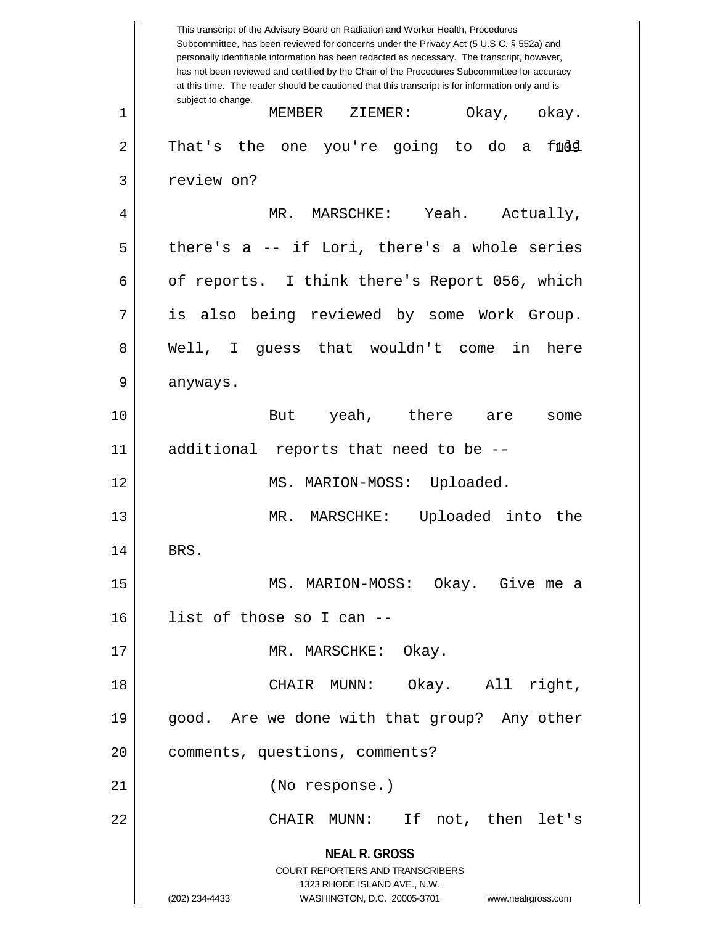**NEAL R. GROSS** COURT REPORTERS AND TRANSCRIBERS 1323 RHODE ISLAND AVE., N.W. (202) 234-4433 WASHINGTON, D.C. 20005-3701 www.nealrgross.com This transcript of the Advisory Board on Radiation and Worker Health, Procedures Subcommittee, has been reviewed for concerns under the Privacy Act (5 U.S.C. § 552a) and personally identifiable information has been redacted as necessary. The transcript, however, has not been reviewed and certified by the Chair of the Procedures Subcommittee for accuracy at this time. The reader should be cautioned that this transcript is for information only and is subject to change. fudd 1 MEMBER ZIEMER: Okay, okay.  $2 \parallel$  That's the one you're going to do a 3 | review on? 4 MR. MARSCHKE: Yeah. Actually,  $5 \parallel$  there's a -- if Lori, there's a whole series 6 | of reports. I think there's Report 056, which 7 || is also being reviewed by some Work Group. 8 Well, I guess that wouldn't come in here  $9 \parallel$  anyways. 10 But yeah, there are some 11 additional reports that need to be -- 12 || MS. MARION-MOSS: Uploaded. 13 MR. MARSCHKE: Uploaded into the 14 || BRS. 15 MS. MARION-MOSS: Okay. Give me a 16 list of those so I can -- 17 || MR. MARSCHKE: Okay. 18 CHAIR MUNN: Okay. All right, 19 || good. Are we done with that group? Any other 20 | comments, questions, comments? 21 (No response.) 22 CHAIR MUNN: If not, then let's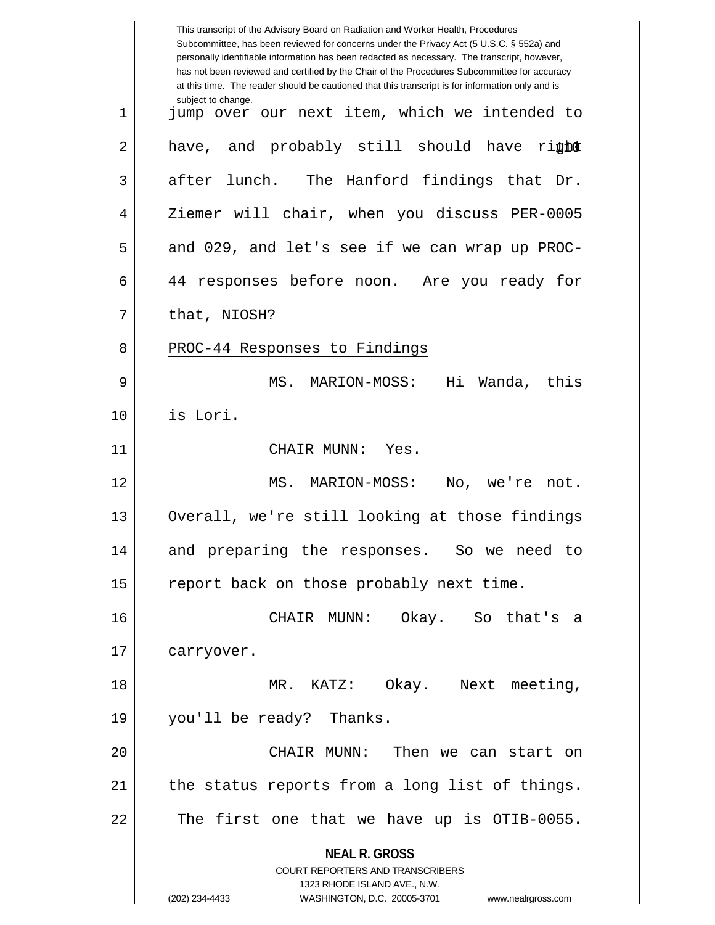**NEAL R. GROSS** COURT REPORTERS AND TRANSCRIBERS 1323 RHODE ISLAND AVE., N.W. (202) 234-4433 WASHINGTON, D.C. 20005-3701 www.nealrgross.com This transcript of the Advisory Board on Radiation and Worker Health, Procedures Subcommittee, has been reviewed for concerns under the Privacy Act (5 U.S.C. § 552a) and personally identifiable information has been redacted as necessary. The transcript, however, has not been reviewed and certified by the Chair of the Procedures Subcommittee for accuracy at this time. The reader should be cautioned that this transcript is for information only and is subject to change. 2|| have, and probably still should have ri**ght** 1 || jump over our next item, which we intended to  $3 \parallel$  after lunch. The Hanford findings that Dr. 4 || Ziemer will chair, when you discuss PER-0005  $5 \parallel$  and 029, and let's see if we can wrap up PROC-6 44 responses before noon. Are you ready for  $7 \parallel$  that, NIOSH? 8 || PROC-44 Responses to Findings 9 MS. MARION-MOSS: Hi Wanda, this 10 is Lori. 11 || CHAIR MUNN: Yes. 12 MS. MARION-MOSS: No, we're not. 13 || Overall, we're still looking at those findings 14 and preparing the responses. So we need to 15 || report back on those probably next time. 16 CHAIR MUNN: Okay. So that's a 17 | carryover. 18 MR. KATZ: Okay. Next meeting, 19 you'll be ready? Thanks. 20 CHAIR MUNN: Then we can start on  $21$  | the status reports from a long list of things.  $22$   $\parallel$  The first one that we have up is OTIB-0055.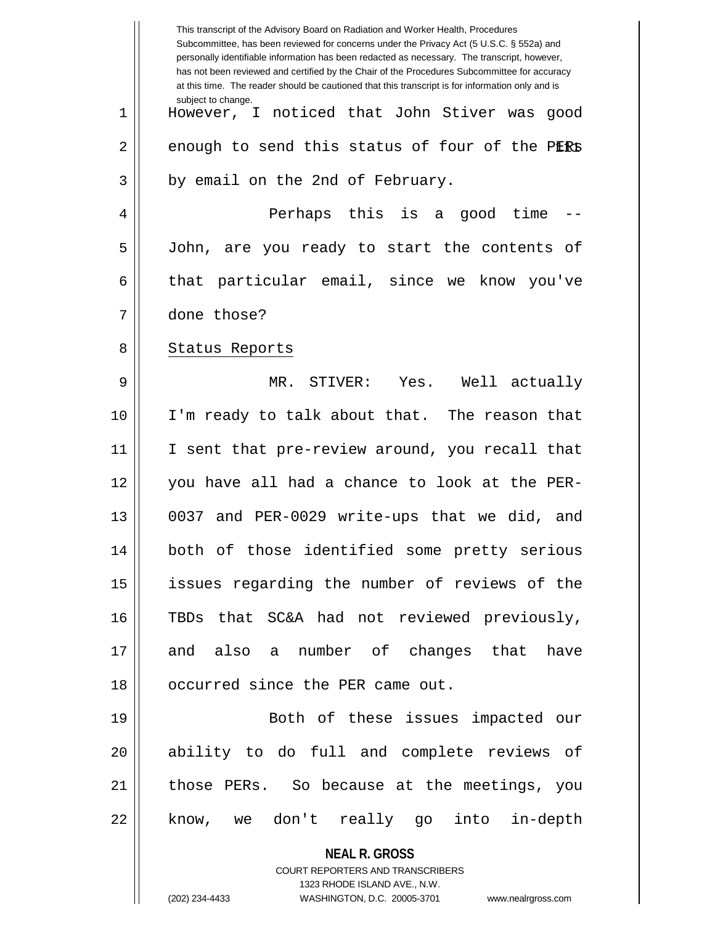|    | This transcript of the Advisory Board on Radiation and Worker Health, Procedures<br>Subcommittee, has been reviewed for concerns under the Privacy Act (5 U.S.C. § 552a) and<br>personally identifiable information has been redacted as necessary. The transcript, however,<br>has not been reviewed and certified by the Chair of the Procedures Subcommittee for accuracy<br>at this time. The reader should be cautioned that this transcript is for information only and is |
|----|----------------------------------------------------------------------------------------------------------------------------------------------------------------------------------------------------------------------------------------------------------------------------------------------------------------------------------------------------------------------------------------------------------------------------------------------------------------------------------|
| 1  | subject to change.<br>However, I noticed that John Stiver was<br>good                                                                                                                                                                                                                                                                                                                                                                                                            |
| 2  | enough to send this status of four of the PERS                                                                                                                                                                                                                                                                                                                                                                                                                                   |
| 3  | by email on the 2nd of February.                                                                                                                                                                                                                                                                                                                                                                                                                                                 |
| 4  | Perhaps this is a good time                                                                                                                                                                                                                                                                                                                                                                                                                                                      |
| 5  | John, are you ready to start the contents of                                                                                                                                                                                                                                                                                                                                                                                                                                     |
| 6  | particular email, since we know you've<br>that                                                                                                                                                                                                                                                                                                                                                                                                                                   |
| 7  | done those?                                                                                                                                                                                                                                                                                                                                                                                                                                                                      |
| 8  | Status Reports                                                                                                                                                                                                                                                                                                                                                                                                                                                                   |
| 9  | MR. STIVER: Yes. Well actually                                                                                                                                                                                                                                                                                                                                                                                                                                                   |
| 10 | I'm ready to talk about that. The reason that                                                                                                                                                                                                                                                                                                                                                                                                                                    |
| 11 | I sent that pre-review around, you recall that                                                                                                                                                                                                                                                                                                                                                                                                                                   |
| 12 | you have all had a chance to look at the PER-                                                                                                                                                                                                                                                                                                                                                                                                                                    |
| 13 | 0037 and PER-0029 write-ups that we did, and                                                                                                                                                                                                                                                                                                                                                                                                                                     |
| 14 | both of those identified some pretty serious                                                                                                                                                                                                                                                                                                                                                                                                                                     |
| 15 | issues regarding the number of reviews of the                                                                                                                                                                                                                                                                                                                                                                                                                                    |
| 16 | TBDs that SC&A had not reviewed previously,                                                                                                                                                                                                                                                                                                                                                                                                                                      |
| 17 | and also a number of changes that have                                                                                                                                                                                                                                                                                                                                                                                                                                           |
| 18 | occurred since the PER came out.                                                                                                                                                                                                                                                                                                                                                                                                                                                 |
| 19 | Both of these issues impacted our                                                                                                                                                                                                                                                                                                                                                                                                                                                |
| 20 | ability to do full and complete reviews of                                                                                                                                                                                                                                                                                                                                                                                                                                       |
| 21 | those PERs. So because at the meetings, you                                                                                                                                                                                                                                                                                                                                                                                                                                      |
| 22 | know, we don't really go into in-depth                                                                                                                                                                                                                                                                                                                                                                                                                                           |
|    | <b>NEAL R. GROSS</b><br>COURT REPORTERS AND TRANSCRIBERS<br>1323 RHODE ISLAND AVE., N.W.<br>(202) 234-4433<br>WASHINGTON, D.C. 20005-3701<br>www.nealrgross.com                                                                                                                                                                                                                                                                                                                  |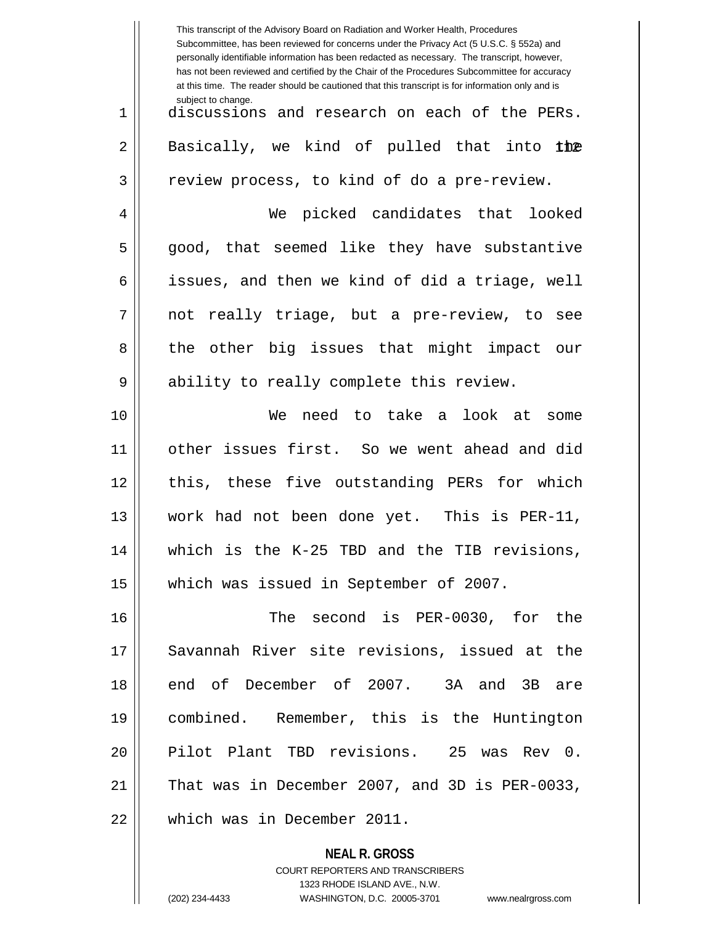|    | This transcript of the Advisory Board on Radiation and Worker Health, Procedures<br>Subcommittee, has been reviewed for concerns under the Privacy Act (5 U.S.C. § 552a) and<br>personally identifiable information has been redacted as necessary. The transcript, however,<br>has not been reviewed and certified by the Chair of the Procedures Subcommittee for accuracy<br>at this time. The reader should be cautioned that this transcript is for information only and is |
|----|----------------------------------------------------------------------------------------------------------------------------------------------------------------------------------------------------------------------------------------------------------------------------------------------------------------------------------------------------------------------------------------------------------------------------------------------------------------------------------|
| 1  | subject to change.<br>discussions and research on each of the PERs.                                                                                                                                                                                                                                                                                                                                                                                                              |
| 2  | Basically, we kind of pulled that into the                                                                                                                                                                                                                                                                                                                                                                                                                                       |
| 3  | review process, to kind of do a pre-review.                                                                                                                                                                                                                                                                                                                                                                                                                                      |
| 4  | We picked candidates that looked                                                                                                                                                                                                                                                                                                                                                                                                                                                 |
| 5  | good, that seemed like they have substantive                                                                                                                                                                                                                                                                                                                                                                                                                                     |
| 6  | issues, and then we kind of did a triage, well                                                                                                                                                                                                                                                                                                                                                                                                                                   |
| 7  | not really triage, but a pre-review, to see                                                                                                                                                                                                                                                                                                                                                                                                                                      |
| 8  | the other big issues that might impact our                                                                                                                                                                                                                                                                                                                                                                                                                                       |
| 9  | ability to really complete this review.                                                                                                                                                                                                                                                                                                                                                                                                                                          |
| 10 | need to take a look at some<br>We                                                                                                                                                                                                                                                                                                                                                                                                                                                |
| 11 | other issues first. So we went ahead and did                                                                                                                                                                                                                                                                                                                                                                                                                                     |
| 12 | this, these five outstanding PERs for which                                                                                                                                                                                                                                                                                                                                                                                                                                      |
| 13 | work had not been done yet. This is PER-11,                                                                                                                                                                                                                                                                                                                                                                                                                                      |
| 14 | which is the K-25 TBD and the TIB revisions,                                                                                                                                                                                                                                                                                                                                                                                                                                     |
| 15 | which was issued in September of 2007.                                                                                                                                                                                                                                                                                                                                                                                                                                           |
| 16 | The second is PER-0030, for the                                                                                                                                                                                                                                                                                                                                                                                                                                                  |
| 17 | Savannah River site revisions, issued at the                                                                                                                                                                                                                                                                                                                                                                                                                                     |
| 18 | end of December of 2007. 3A and 3B are                                                                                                                                                                                                                                                                                                                                                                                                                                           |
| 19 | combined. Remember, this is the Huntington                                                                                                                                                                                                                                                                                                                                                                                                                                       |
| 20 | Pilot Plant TBD revisions. 25 was Rev 0.                                                                                                                                                                                                                                                                                                                                                                                                                                         |
| 21 | That was in December 2007, and 3D is PER-0033,                                                                                                                                                                                                                                                                                                                                                                                                                                   |
| 22 | which was in December 2011.                                                                                                                                                                                                                                                                                                                                                                                                                                                      |
|    | <b>NEAL R. GROSS</b>                                                                                                                                                                                                                                                                                                                                                                                                                                                             |

COURT REPORTERS AND TRANSCRIBERS 1323 RHODE ISLAND AVE., N.W. (202) 234-4433 WASHINGTON, D.C. 20005-3701 www.nealrgross.com

 $\mathsf{I}$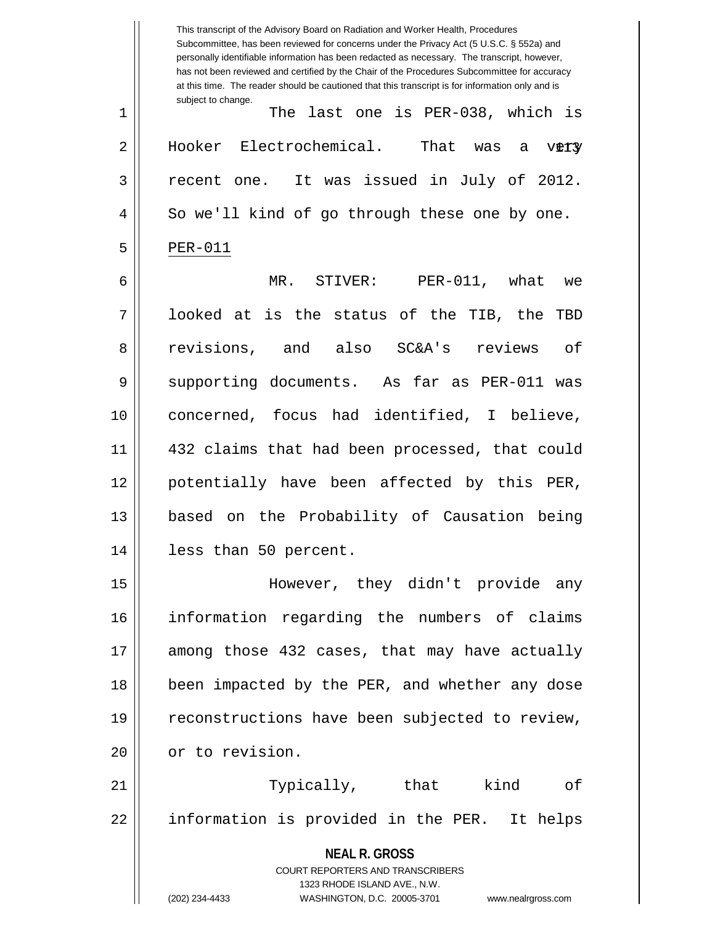**NEAL R. GROSS** COURT REPORTERS AND TRANSCRIBERS 1323 RHODE ISLAND AVE., N.W. (202) 234-4433 WASHINGTON, D.C. 20005-3701 www.nealrgross.com This transcript of the Advisory Board on Radiation and Worker Health, Procedures Subcommittee, has been reviewed for concerns under the Privacy Act (5 U.S.C. § 552a) and personally identifiable information has been redacted as necessary. The transcript, however, has not been reviewed and certified by the Chair of the Procedures Subcommittee for accuracy at this time. The reader should be cautioned that this transcript is for information only and is subject to change. very 1 The last one is PER-038, which is 2 | Hooker Electrochemical. That was a 3 recent one. It was issued in July of 2012. 4 || So we'll kind of go through these one by one.  $5$  | PER-011 6 MR. STIVER: PER-011, what we 7 looked at is the status of the TIB, the TBD 8 revisions, and also SC&A's reviews of 9 Supporting documents. As far as PER-011 was 10 concerned, focus had identified, I believe, 11 432 claims that had been processed, that could 12 potentially have been affected by this PER, 13 based on the Probability of Causation being 14 less than 50 percent. 15 However, they didn't provide any 16 information regarding the numbers of claims 17 || among those 432 cases, that may have actually 18 || been impacted by the PER, and whether any dose 19 || reconstructions have been subjected to review, 20 | or to revision. 21 || Typically, that kind of 22 || information is provided in the PER. It helps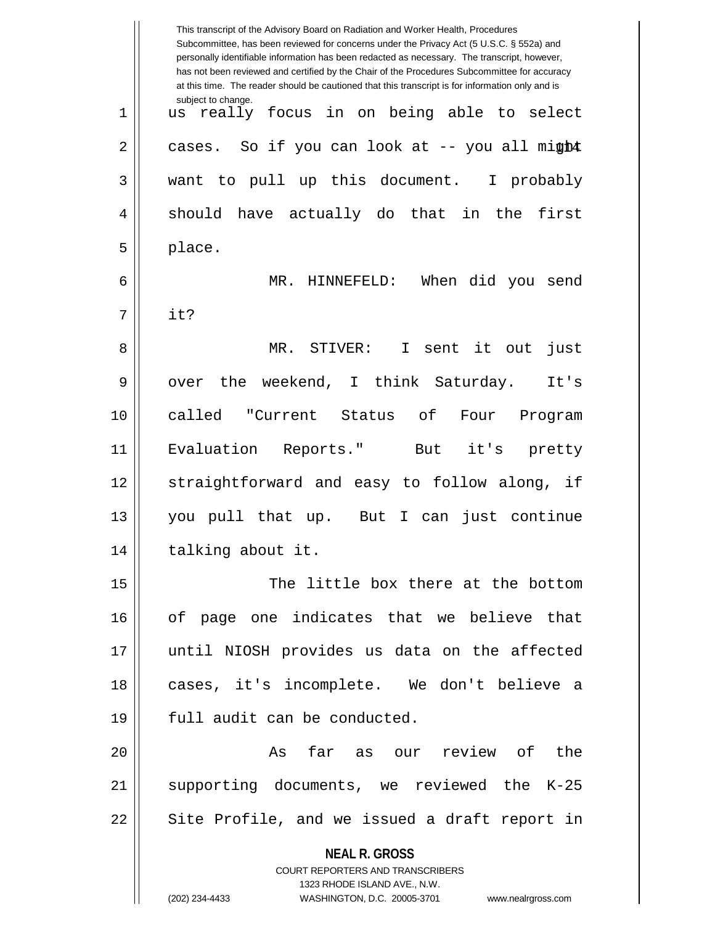|    | This transcript of the Advisory Board on Radiation and Worker Health, Procedures<br>Subcommittee, has been reviewed for concerns under the Privacy Act (5 U.S.C. § 552a) and<br>personally identifiable information has been redacted as necessary. The transcript, however,<br>has not been reviewed and certified by the Chair of the Procedures Subcommittee for accuracy<br>at this time. The reader should be cautioned that this transcript is for information only and is |
|----|----------------------------------------------------------------------------------------------------------------------------------------------------------------------------------------------------------------------------------------------------------------------------------------------------------------------------------------------------------------------------------------------------------------------------------------------------------------------------------|
| 1  | subject to change.<br>really focus in on being able to select<br>us                                                                                                                                                                                                                                                                                                                                                                                                              |
| 2  | cases. So if you can look at -- you all might                                                                                                                                                                                                                                                                                                                                                                                                                                    |
| 3  | want to pull up this document. I probably                                                                                                                                                                                                                                                                                                                                                                                                                                        |
| 4  | should have actually do that in the first                                                                                                                                                                                                                                                                                                                                                                                                                                        |
| 5  | place.                                                                                                                                                                                                                                                                                                                                                                                                                                                                           |
| 6  | MR. HINNEFELD:<br>When did you send                                                                                                                                                                                                                                                                                                                                                                                                                                              |
| 7  | it?                                                                                                                                                                                                                                                                                                                                                                                                                                                                              |
| 8  | MR. STIVER: I sent it out<br>just                                                                                                                                                                                                                                                                                                                                                                                                                                                |
| 9  | the weekend, I think Saturday.<br>It's<br>over                                                                                                                                                                                                                                                                                                                                                                                                                                   |
| 10 | called "Current Status of<br>Four<br>Program                                                                                                                                                                                                                                                                                                                                                                                                                                     |
| 11 | Evaluation Reports." But it's pretty                                                                                                                                                                                                                                                                                                                                                                                                                                             |
| 12 | straightforward and easy to follow along, if                                                                                                                                                                                                                                                                                                                                                                                                                                     |
| 13 | you pull that up. But I can just continue                                                                                                                                                                                                                                                                                                                                                                                                                                        |
| 14 | talking about it.                                                                                                                                                                                                                                                                                                                                                                                                                                                                |
| 15 | The little box there at the bottom                                                                                                                                                                                                                                                                                                                                                                                                                                               |
| 16 | of page one indicates that we believe that                                                                                                                                                                                                                                                                                                                                                                                                                                       |
| 17 | until NIOSH provides us data on the affected                                                                                                                                                                                                                                                                                                                                                                                                                                     |
| 18 | cases, it's incomplete. We don't believe a                                                                                                                                                                                                                                                                                                                                                                                                                                       |
| 19 | full audit can be conducted.                                                                                                                                                                                                                                                                                                                                                                                                                                                     |
| 20 | As far as our review of the                                                                                                                                                                                                                                                                                                                                                                                                                                                      |
| 21 | supporting documents, we reviewed the K-25                                                                                                                                                                                                                                                                                                                                                                                                                                       |
| 22 | Site Profile, and we issued a draft report in                                                                                                                                                                                                                                                                                                                                                                                                                                    |
|    | <b>NEAL R. GROSS</b><br>COURT REPORTERS AND TRANSCRIBERS<br>1323 RHODE ISLAND AVE., N.W.<br>(202) 234-4433<br>WASHINGTON, D.C. 20005-3701 www.nealrgross.com                                                                                                                                                                                                                                                                                                                     |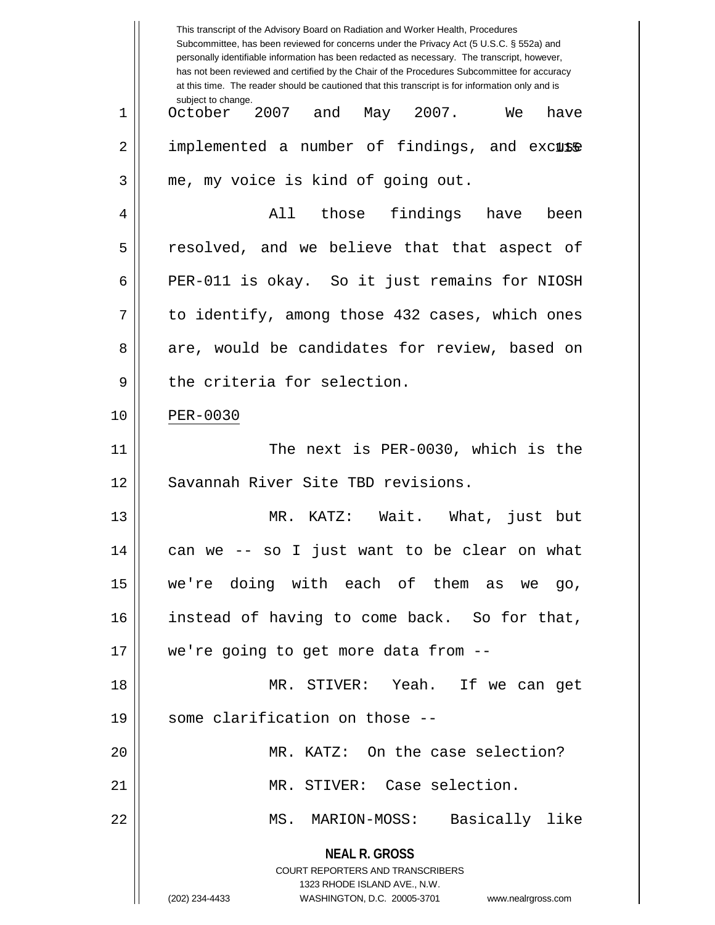|    | This transcript of the Advisory Board on Radiation and Worker Health, Procedures<br>Subcommittee, has been reviewed for concerns under the Privacy Act (5 U.S.C. § 552a) and<br>personally identifiable information has been redacted as necessary. The transcript, however,<br>has not been reviewed and certified by the Chair of the Procedures Subcommittee for accuracy<br>at this time. The reader should be cautioned that this transcript is for information only and is |
|----|----------------------------------------------------------------------------------------------------------------------------------------------------------------------------------------------------------------------------------------------------------------------------------------------------------------------------------------------------------------------------------------------------------------------------------------------------------------------------------|
| 1  | subject to change.<br>October 2007 and<br>May 2007. We<br>have                                                                                                                                                                                                                                                                                                                                                                                                                   |
| 2  | implemented a number of findings, and excuse                                                                                                                                                                                                                                                                                                                                                                                                                                     |
| 3  | me, my voice is kind of going out.                                                                                                                                                                                                                                                                                                                                                                                                                                               |
| 4  | All those findings have<br>been                                                                                                                                                                                                                                                                                                                                                                                                                                                  |
| 5  | resolved, and we believe that that aspect of                                                                                                                                                                                                                                                                                                                                                                                                                                     |
| 6  | PER-011 is okay. So it just remains for NIOSH                                                                                                                                                                                                                                                                                                                                                                                                                                    |
| 7  | to identify, among those 432 cases, which ones                                                                                                                                                                                                                                                                                                                                                                                                                                   |
| 8  | are, would be candidates for review, based on                                                                                                                                                                                                                                                                                                                                                                                                                                    |
| 9  | the criteria for selection.                                                                                                                                                                                                                                                                                                                                                                                                                                                      |
| 10 | PER-0030                                                                                                                                                                                                                                                                                                                                                                                                                                                                         |
| 11 | The next is PER-0030, which is the                                                                                                                                                                                                                                                                                                                                                                                                                                               |
| 12 | Savannah River Site TBD revisions.                                                                                                                                                                                                                                                                                                                                                                                                                                               |
| 13 | KATZ: Wait. What, just<br>MR.<br>but                                                                                                                                                                                                                                                                                                                                                                                                                                             |
| 14 | can we -- so I just want to be clear on what                                                                                                                                                                                                                                                                                                                                                                                                                                     |
| 15 | we're doing with each of them as we go,                                                                                                                                                                                                                                                                                                                                                                                                                                          |
| 16 | instead of having to come back. So for that,                                                                                                                                                                                                                                                                                                                                                                                                                                     |
| 17 | we're going to get more data from --                                                                                                                                                                                                                                                                                                                                                                                                                                             |
| 18 | MR. STIVER: Yeah. If we can get                                                                                                                                                                                                                                                                                                                                                                                                                                                  |
| 19 | some clarification on those --                                                                                                                                                                                                                                                                                                                                                                                                                                                   |
| 20 | MR. KATZ: On the case selection?                                                                                                                                                                                                                                                                                                                                                                                                                                                 |
| 21 | MR. STIVER: Case selection.                                                                                                                                                                                                                                                                                                                                                                                                                                                      |
| 22 | Basically like<br>MS. MARION-MOSS:                                                                                                                                                                                                                                                                                                                                                                                                                                               |
|    | <b>NEAL R. GROSS</b><br><b>COURT REPORTERS AND TRANSCRIBERS</b>                                                                                                                                                                                                                                                                                                                                                                                                                  |
|    | 1323 RHODE ISLAND AVE., N.W.<br>WASHINGTON, D.C. 20005-3701<br>(202) 234-4433<br>www.nealrgross.com                                                                                                                                                                                                                                                                                                                                                                              |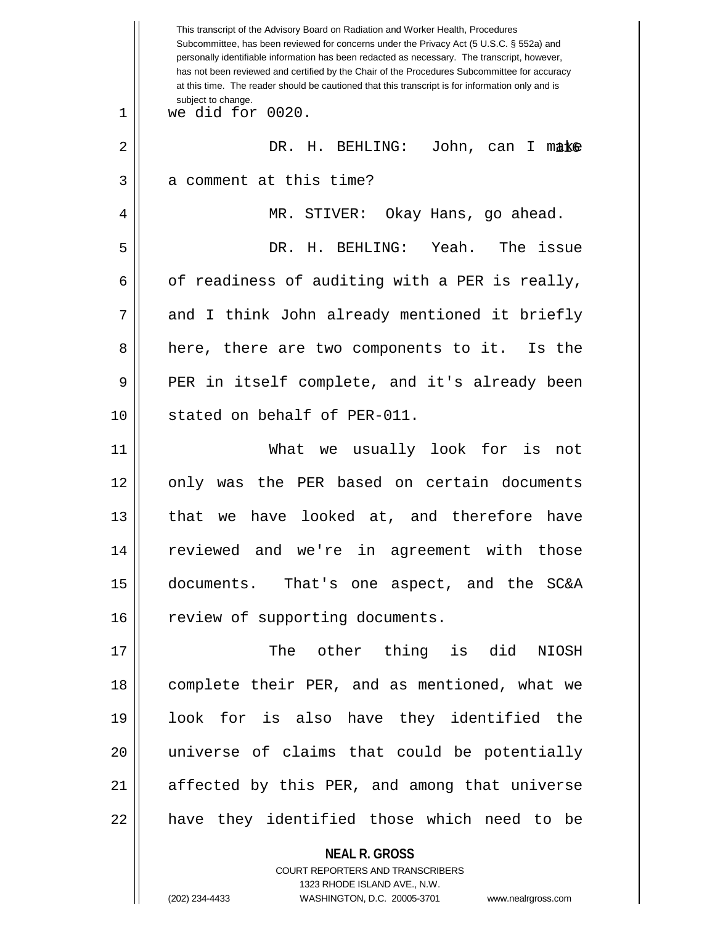|    | This transcript of the Advisory Board on Radiation and Worker Health, Procedures<br>Subcommittee, has been reviewed for concerns under the Privacy Act (5 U.S.C. § 552a) and<br>personally identifiable information has been redacted as necessary. The transcript, however,<br>has not been reviewed and certified by the Chair of the Procedures Subcommittee for accuracy<br>at this time. The reader should be cautioned that this transcript is for information only and is |
|----|----------------------------------------------------------------------------------------------------------------------------------------------------------------------------------------------------------------------------------------------------------------------------------------------------------------------------------------------------------------------------------------------------------------------------------------------------------------------------------|
| 1  | subject to change.<br>we did for 0020.                                                                                                                                                                                                                                                                                                                                                                                                                                           |
| 2  | DR. H. BEHLING:<br>John, can I make                                                                                                                                                                                                                                                                                                                                                                                                                                              |
| 3  | a comment at this time?                                                                                                                                                                                                                                                                                                                                                                                                                                                          |
| 4  | MR. STIVER:<br>Okay Hans, go ahead.                                                                                                                                                                                                                                                                                                                                                                                                                                              |
| 5  | DR. H. BEHLING: Yeah.<br>The issue                                                                                                                                                                                                                                                                                                                                                                                                                                               |
| 6  | of readiness of auditing with a PER is really,                                                                                                                                                                                                                                                                                                                                                                                                                                   |
| 7  | and I think John already mentioned it briefly                                                                                                                                                                                                                                                                                                                                                                                                                                    |
| 8  | here, there are two components to it. Is the                                                                                                                                                                                                                                                                                                                                                                                                                                     |
| 9  | PER in itself complete, and it's already been                                                                                                                                                                                                                                                                                                                                                                                                                                    |
| 10 | stated on behalf of PER-011.                                                                                                                                                                                                                                                                                                                                                                                                                                                     |
| 11 | What we usually look for is<br>not                                                                                                                                                                                                                                                                                                                                                                                                                                               |
| 12 | only was the PER based on certain documents                                                                                                                                                                                                                                                                                                                                                                                                                                      |
| 13 | that we have looked at, and therefore have                                                                                                                                                                                                                                                                                                                                                                                                                                       |
| 14 | reviewed and we're in agreement with those                                                                                                                                                                                                                                                                                                                                                                                                                                       |
| 15 | documents. That's one aspect, and the SC&A                                                                                                                                                                                                                                                                                                                                                                                                                                       |
| 16 | review of supporting documents.                                                                                                                                                                                                                                                                                                                                                                                                                                                  |
| 17 | The other thing is did<br>NIOSH                                                                                                                                                                                                                                                                                                                                                                                                                                                  |
| 18 | complete their PER, and as mentioned, what we                                                                                                                                                                                                                                                                                                                                                                                                                                    |
| 19 | look for is also have they identified the                                                                                                                                                                                                                                                                                                                                                                                                                                        |
| 20 | universe of claims that could be potentially                                                                                                                                                                                                                                                                                                                                                                                                                                     |
| 21 | affected by this PER, and among that universe                                                                                                                                                                                                                                                                                                                                                                                                                                    |
| 22 | have they identified those which need to be                                                                                                                                                                                                                                                                                                                                                                                                                                      |
|    | <b>NEAL R. GROSS</b>                                                                                                                                                                                                                                                                                                                                                                                                                                                             |

COURT REPORTERS AND TRANSCRIBERS 1323 RHODE ISLAND AVE., N.W.

 $\mathsf{I}$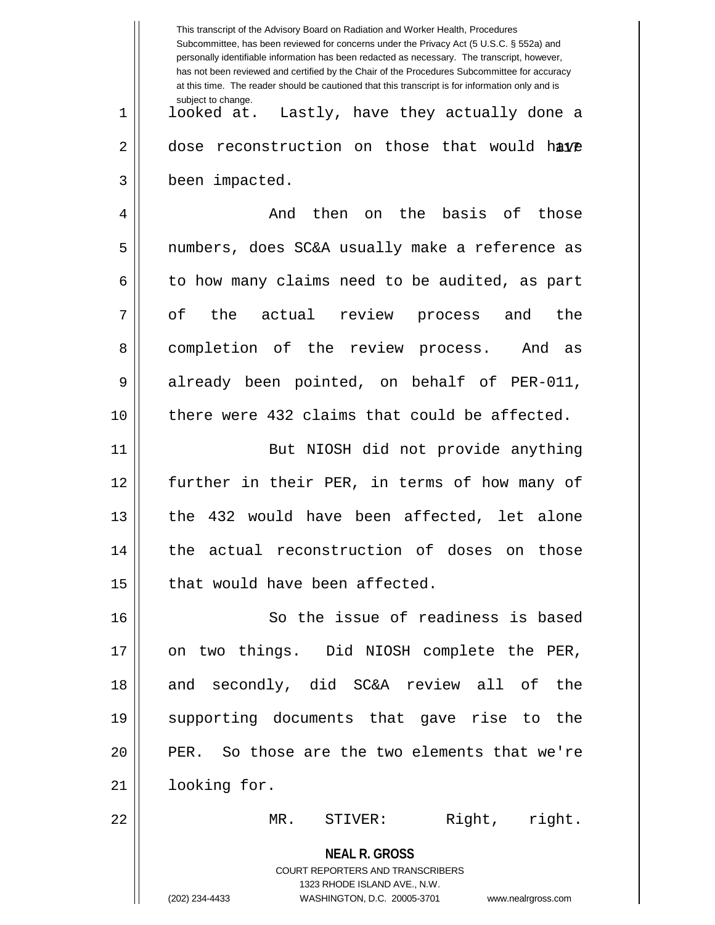|    | This transcript of the Advisory Board on Radiation and Worker Health, Procedures<br>Subcommittee, has been reviewed for concerns under the Privacy Act (5 U.S.C. § 552a) and<br>personally identifiable information has been redacted as necessary. The transcript, however,<br>has not been reviewed and certified by the Chair of the Procedures Subcommittee for accuracy<br>at this time. The reader should be cautioned that this transcript is for information only and is |
|----|----------------------------------------------------------------------------------------------------------------------------------------------------------------------------------------------------------------------------------------------------------------------------------------------------------------------------------------------------------------------------------------------------------------------------------------------------------------------------------|
| 1  | subject to change.<br>looked at. Lastly, have they actually done a                                                                                                                                                                                                                                                                                                                                                                                                               |
| 2  | dose reconstruction on those that would have                                                                                                                                                                                                                                                                                                                                                                                                                                     |
| 3  | been impacted.                                                                                                                                                                                                                                                                                                                                                                                                                                                                   |
| 4  | basis of<br>then<br>the<br>And<br>those<br>on                                                                                                                                                                                                                                                                                                                                                                                                                                    |
| 5  | numbers, does SC&A usually make a reference as                                                                                                                                                                                                                                                                                                                                                                                                                                   |
| 6  | to how many claims need to be audited, as part                                                                                                                                                                                                                                                                                                                                                                                                                                   |
| 7  | оf<br>the<br>actual review<br>the<br>process<br>and                                                                                                                                                                                                                                                                                                                                                                                                                              |
| 8  | completion of the review process.<br>And as                                                                                                                                                                                                                                                                                                                                                                                                                                      |
| 9  | already been pointed, on behalf of PER-011,                                                                                                                                                                                                                                                                                                                                                                                                                                      |
| 10 | there were 432 claims that could be affected.                                                                                                                                                                                                                                                                                                                                                                                                                                    |
| 11 | But NIOSH did not provide anything                                                                                                                                                                                                                                                                                                                                                                                                                                               |
| 12 | further in their PER, in terms of how many of                                                                                                                                                                                                                                                                                                                                                                                                                                    |
| 13 | the 432 would have been affected, let alone                                                                                                                                                                                                                                                                                                                                                                                                                                      |
| 14 | the actual reconstruction of doses on those                                                                                                                                                                                                                                                                                                                                                                                                                                      |
| 15 | that would have been affected.                                                                                                                                                                                                                                                                                                                                                                                                                                                   |
| 16 | So the issue of readiness is based                                                                                                                                                                                                                                                                                                                                                                                                                                               |
| 17 | on two things. Did NIOSH complete the PER,                                                                                                                                                                                                                                                                                                                                                                                                                                       |
| 18 | and secondly, did SC&A review all of the                                                                                                                                                                                                                                                                                                                                                                                                                                         |
| 19 | supporting documents that gave rise to the                                                                                                                                                                                                                                                                                                                                                                                                                                       |
| 20 | PER. So those are the two elements that we're                                                                                                                                                                                                                                                                                                                                                                                                                                    |
| 21 | looking for.                                                                                                                                                                                                                                                                                                                                                                                                                                                                     |
| 22 | Right, right.<br>MR. STIVER:                                                                                                                                                                                                                                                                                                                                                                                                                                                     |
|    | <b>NEAL R. GROSS</b><br><b>COURT REPORTERS AND TRANSCRIBERS</b><br>1323 RHODE ISLAND AVE., N.W.<br>(202) 234-4433<br>WASHINGTON, D.C. 20005-3701<br>www.nealrgross.com                                                                                                                                                                                                                                                                                                           |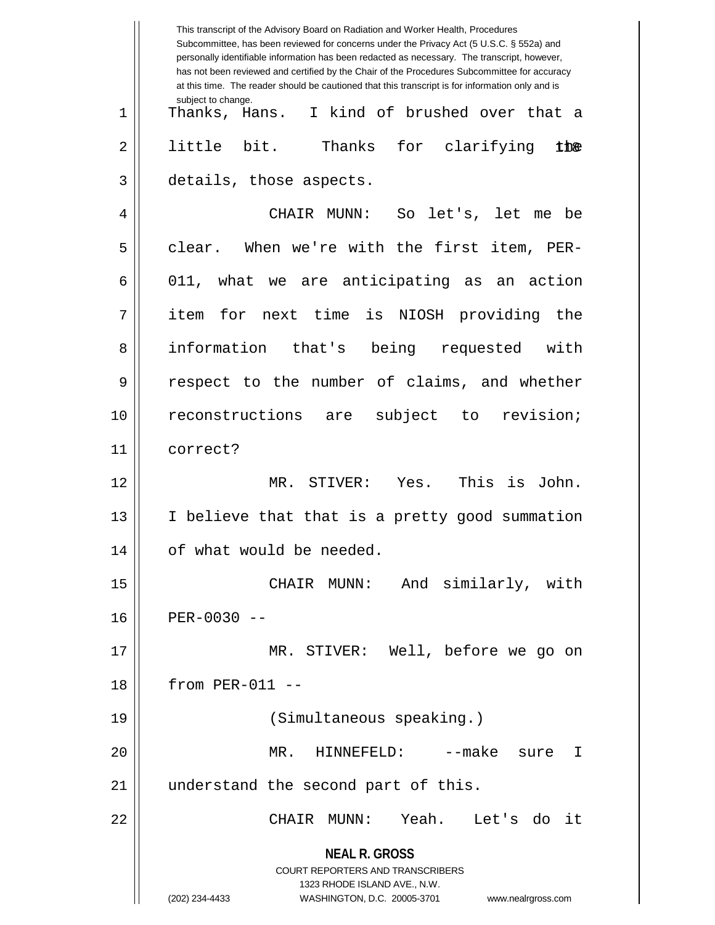**NEAL R. GROSS** COURT REPORTERS AND TRANSCRIBERS 1323 RHODE ISLAND AVE., N.W. (202) 234-4433 WASHINGTON, D.C. 20005-3701 www.nealrgross.com This transcript of the Advisory Board on Radiation and Worker Health, Procedures Subcommittee, has been reviewed for concerns under the Privacy Act (5 U.S.C. § 552a) and personally identifiable information has been redacted as necessary. The transcript, however, has not been reviewed and certified by the Chair of the Procedures Subcommittee for accuracy at this time. The reader should be cautioned that this transcript is for information only and is subject to change. thæ 1 Thanks, Hans. I kind of brushed over that a  $2 \parallel$  little bit. Thanks for clarifying 3 details, those aspects. 4 CHAIR MUNN: So let's, let me be 5 clear. When we're with the first item, PER- $6 \parallel$  011, what we are anticipating as an action 7 item for next time is NIOSH providing the 8 || information that's being requested with 9 || respect to the number of claims, and whether 10 || reconstructions are subject to revision; 11 correct? 12 MR. STIVER: Yes. This is John.  $13$  || I believe that that is a pretty good summation 14 | of what would be needed. 15 CHAIR MUNN: And similarly, with 16 PER-0030 -- 17 MR. STIVER: Well, before we go on 18 from PER-011 -- 19 (Simultaneous speaking.) 20 MR. HINNEFELD: --make sure I 21 || understand the second part of this. 22 CHAIR MUNN: Yeah. Let's do it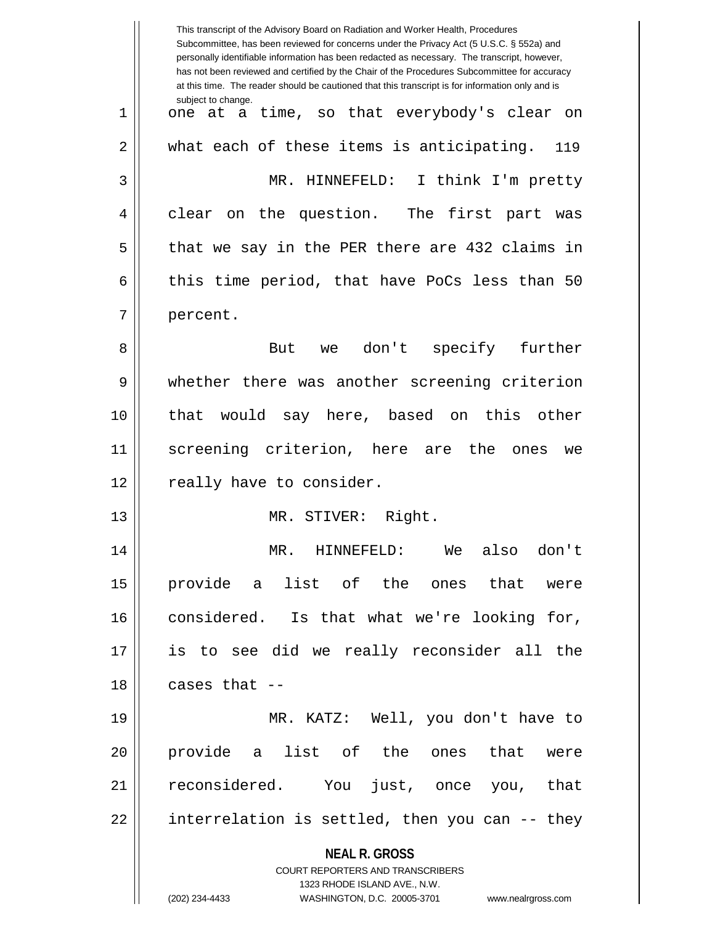**NEAL R. GROSS** COURT REPORTERS AND TRANSCRIBERS 1323 RHODE ISLAND AVE., N.W. (202) 234-4433 WASHINGTON, D.C. 20005-3701 www.nealrgross.com This transcript of the Advisory Board on Radiation and Worker Health, Procedures Subcommittee, has been reviewed for concerns under the Privacy Act (5 U.S.C. § 552a) and personally identifiable information has been redacted as necessary. The transcript, however, has not been reviewed and certified by the Chair of the Procedures Subcommittee for accuracy at this time. The reader should be cautioned that this transcript is for information only and is subject to change. 119 1 one at a time, so that everybody's clear on 2 || what each of these items is anticipating. 3 MR. HINNEFELD: I think I'm pretty 4 clear on the question. The first part was  $5 \parallel$  that we say in the PER there are 432 claims in 6 | this time period, that have PoCs less than 50 7 | percent. 8 || But we don't specify further 9 whether there was another screening criterion 10 || that would say here, based on this other 11 screening criterion, here are the ones we 12 || really have to consider. 13 MR. STIVER: Right. 14 MR. HINNEFELD: We also don't 15 provide a list of the ones that were 16 considered. Is that what we're looking for, 17 is to see did we really reconsider all the  $18$  || cases that  $-$ 19 MR. KATZ: Well, you don't have to 20 provide a list of the ones that were 21 reconsidered. You just, once you, that  $22 \parallel$  interrelation is settled, then you can  $-$ - they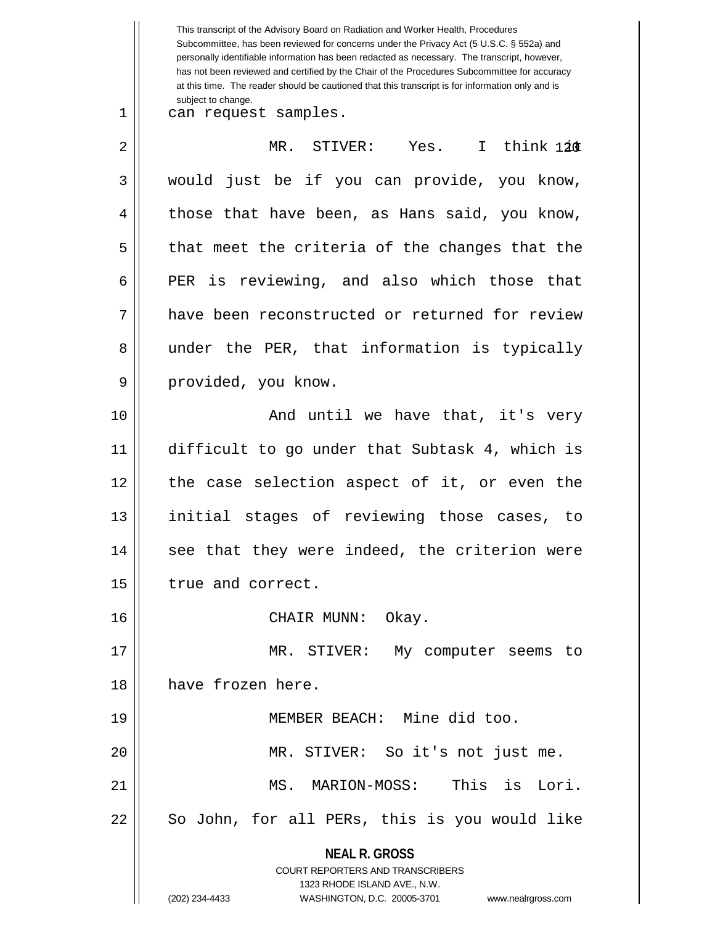**NEAL R. GROSS** COURT REPORTERS AND TRANSCRIBERS 1323 RHODE ISLAND AVE., N.W. (202) 234-4433 WASHINGTON, D.C. 20005-3701 www.nealrgross.com This transcript of the Advisory Board on Radiation and Worker Health, Procedures Subcommittee, has been reviewed for concerns under the Privacy Act (5 U.S.C. § 552a) and personally identifiable information has been redacted as necessary. The transcript, however, has not been reviewed and certified by the Chair of the Procedures Subcommittee for accuracy at this time. The reader should be cautioned that this transcript is for information only and is subject to change. 120 2 MR. STIVER: Yes. I think it 1 || can request samples.  $3 \parallel$  would just be if you can provide, you know,  $4 \parallel$  those that have been, as Hans said, you know,  $5 \parallel$  that meet the criteria of the changes that the 6 PER is reviewing, and also which those that 7 have been reconstructed or returned for review 8 || under the PER, that information is typically 9 || provided, you know. 10 || And until we have that, it's very 11 difficult to go under that Subtask 4, which is 12 || the case selection aspect of it, or even the 13 || initial stages of reviewing those cases, to  $14$  || see that they were indeed, the criterion were 15 | true and correct. 16 CHAIR MUNN: Okay. 17 || MR. STIVER: My computer seems to 18 have frozen here. 19 MEMBER BEACH: Mine did too. 20 MR. STIVER: So it's not just me. 21 MS. MARION-MOSS: This is Lori. 22 || So John, for all PERs, this is you would like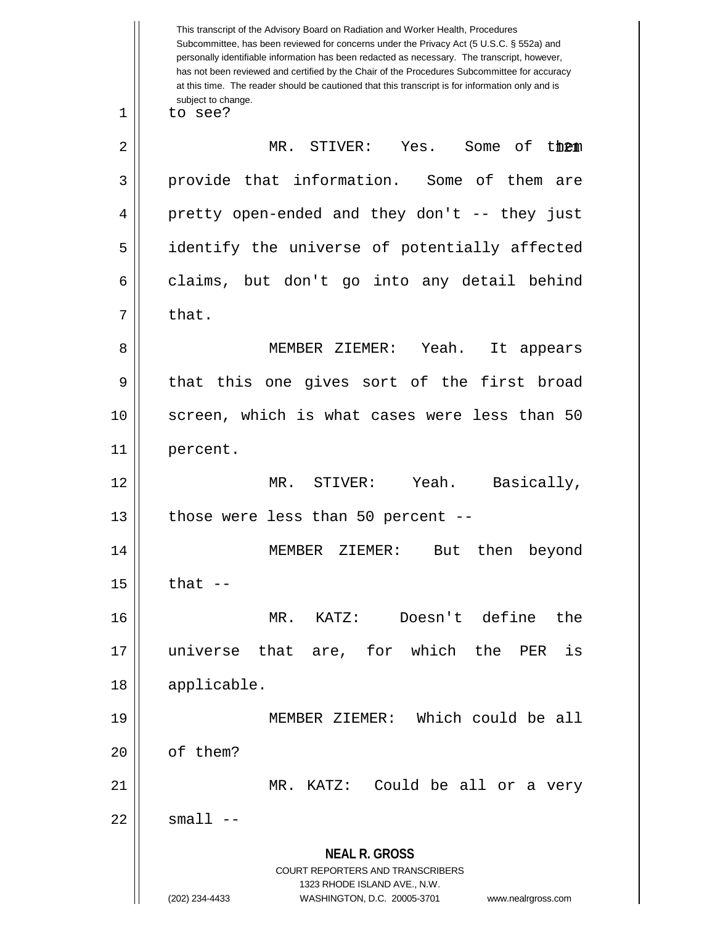**NEAL R. GROSS** COURT REPORTERS AND TRANSCRIBERS 1323 RHODE ISLAND AVE., N.W. (202) 234-4433 WASHINGTON, D.C. 20005-3701 www.nealrgross.com This transcript of the Advisory Board on Radiation and Worker Health, Procedures Subcommittee, has been reviewed for concerns under the Privacy Act (5 U.S.C. § 552a) and personally identifiable information has been redacted as necessary. The transcript, however, has not been reviewed and certified by the Chair of the Procedures Subcommittee for accuracy at this time. The reader should be cautioned that this transcript is for information only and is subject to change. 121 2 MR. STIVER: Yes. Some of them 1 || to see? 3 provide that information. Some of them are 4 || pretty open-ended and they don't -- they just 5 identify the universe of potentially affected  $6 \parallel$  claims, but don't go into any detail behind  $7 \parallel$  that. 8 MEMBER ZIEMER: Yeah. It appears  $9 \parallel$  that this one gives sort of the first broad 10 screen, which is what cases were less than 50 11 percent. 12 MR. STIVER: Yeah. Basically,  $13$  | those were less than 50 percent --14 MEMBER ZIEMER: But then beyond  $15$  that  $-$ 16 MR. KATZ: Doesn't define the 17 universe that are, for which the PER is 18 applicable. 19 MEMBER ZIEMER: Which could be all 20 l of them? 21 MR. KATZ: Could be all or a very  $22 \parallel$  small  $--$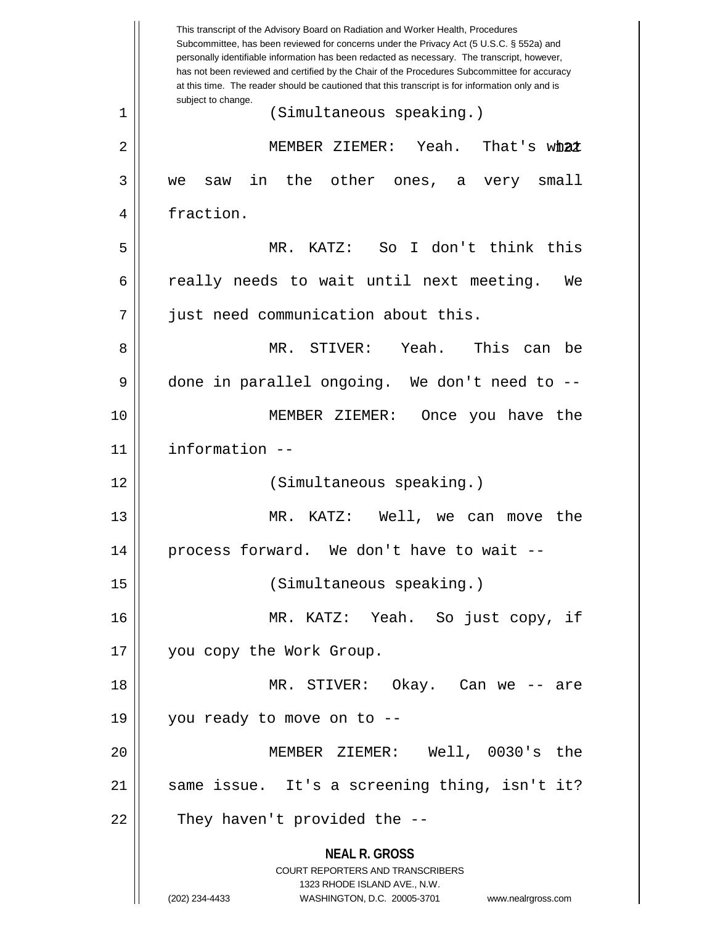**NEAL R. GROSS** COURT REPORTERS AND TRANSCRIBERS 1323 RHODE ISLAND AVE., N.W. (202) 234-4433 WASHINGTON, D.C. 20005-3701 www.nealrgross.com This transcript of the Advisory Board on Radiation and Worker Health, Procedures Subcommittee, has been reviewed for concerns under the Privacy Act (5 U.S.C. § 552a) and personally identifiable information has been redacted as necessary. The transcript, however, has not been reviewed and certified by the Chair of the Procedures Subcommittee for accuracy at this time. The reader should be cautioned that this transcript is for information only and is subject to change. That's what 1 (Simultaneous speaking.) 2 MEMBER ZIEMER: Yeah. That's what 3 we saw in the other ones, a very small 4 | fraction. 5 MR. KATZ: So I don't think this 6  $\parallel$  really needs to wait until next meeting. We 7 || just need communication about this. 8 MR. STIVER: Yeah. This can be 9 done in parallel ongoing. We don't need to --10 MEMBER ZIEMER: Once you have the 11 information -- 12 (Simultaneous speaking.) 13 || MR. KATZ: Well, we can move the 14 || process forward. We don't have to wait --15 (Simultaneous speaking.) 16 MR. KATZ: Yeah. So just copy, if 17 you copy the Work Group. 18 MR. STIVER: Okay. Can we -- are 19 you ready to move on to -- 20 MEMBER ZIEMER: Well, 0030's the 21 || same issue. It's a screening thing, isn't it?  $22$  || They haven't provided the  $-$ -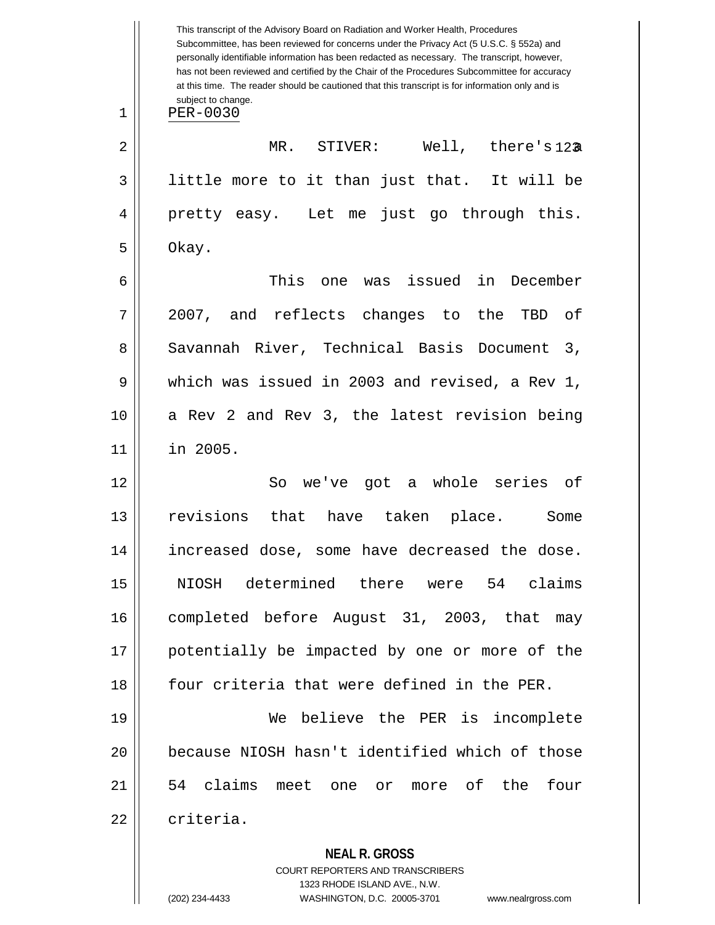|    | This transcript of the Advisory Board on Radiation and Worker Health, Procedures<br>Subcommittee, has been reviewed for concerns under the Privacy Act (5 U.S.C. § 552a) and<br>personally identifiable information has been redacted as necessary. The transcript, however,<br>has not been reviewed and certified by the Chair of the Procedures Subcommittee for accuracy<br>at this time. The reader should be cautioned that this transcript is for information only and is |
|----|----------------------------------------------------------------------------------------------------------------------------------------------------------------------------------------------------------------------------------------------------------------------------------------------------------------------------------------------------------------------------------------------------------------------------------------------------------------------------------|
| 1  | subject to change.<br>PER-0030                                                                                                                                                                                                                                                                                                                                                                                                                                                   |
| 2  | $\mathtt{STIVER}$ :<br>Well, there's 123<br>MR.                                                                                                                                                                                                                                                                                                                                                                                                                                  |
| 3  | little more to it than just that. It will be                                                                                                                                                                                                                                                                                                                                                                                                                                     |
| 4  | pretty easy. Let me<br>just go through this.                                                                                                                                                                                                                                                                                                                                                                                                                                     |
| 5  | Okay.                                                                                                                                                                                                                                                                                                                                                                                                                                                                            |
| 6  | This<br>issued in December<br>one<br>was                                                                                                                                                                                                                                                                                                                                                                                                                                         |
| 7  | and reflects changes to the<br>2007,<br>оf<br>TBD                                                                                                                                                                                                                                                                                                                                                                                                                                |
| 8  | Savannah River, Technical Basis Document<br>3,                                                                                                                                                                                                                                                                                                                                                                                                                                   |
| 9  | which was issued in 2003 and revised, a Rev 1,                                                                                                                                                                                                                                                                                                                                                                                                                                   |
| 10 | a Rev 2 and Rev 3, the latest revision being                                                                                                                                                                                                                                                                                                                                                                                                                                     |
| 11 | in 2005.                                                                                                                                                                                                                                                                                                                                                                                                                                                                         |
| 12 | we've got a whole series of<br>So                                                                                                                                                                                                                                                                                                                                                                                                                                                |
| 13 | revisions<br>that<br>taken place.<br>have<br>Some                                                                                                                                                                                                                                                                                                                                                                                                                                |
| 14 | increased dose, some have decreased the dose.                                                                                                                                                                                                                                                                                                                                                                                                                                    |
| 15 | NIOSH determined there were 54 claims                                                                                                                                                                                                                                                                                                                                                                                                                                            |
| 16 | completed before August 31, 2003, that may                                                                                                                                                                                                                                                                                                                                                                                                                                       |
| 17 | potentially be impacted by one or more of the                                                                                                                                                                                                                                                                                                                                                                                                                                    |
| 18 | four criteria that were defined in the PER.                                                                                                                                                                                                                                                                                                                                                                                                                                      |
| 19 | We believe the PER is incomplete                                                                                                                                                                                                                                                                                                                                                                                                                                                 |
| 20 | because NIOSH hasn't identified which of those                                                                                                                                                                                                                                                                                                                                                                                                                                   |
| 21 | 54 claims meet one or more of the<br>four                                                                                                                                                                                                                                                                                                                                                                                                                                        |
| 22 | criteria.                                                                                                                                                                                                                                                                                                                                                                                                                                                                        |
|    | <b>NEAL R. GROSS</b><br>COURT REPORTERS AND TRANSCRIBERS                                                                                                                                                                                                                                                                                                                                                                                                                         |

1323 RHODE ISLAND AVE., N.W.

 $\begin{array}{c} \hline \end{array}$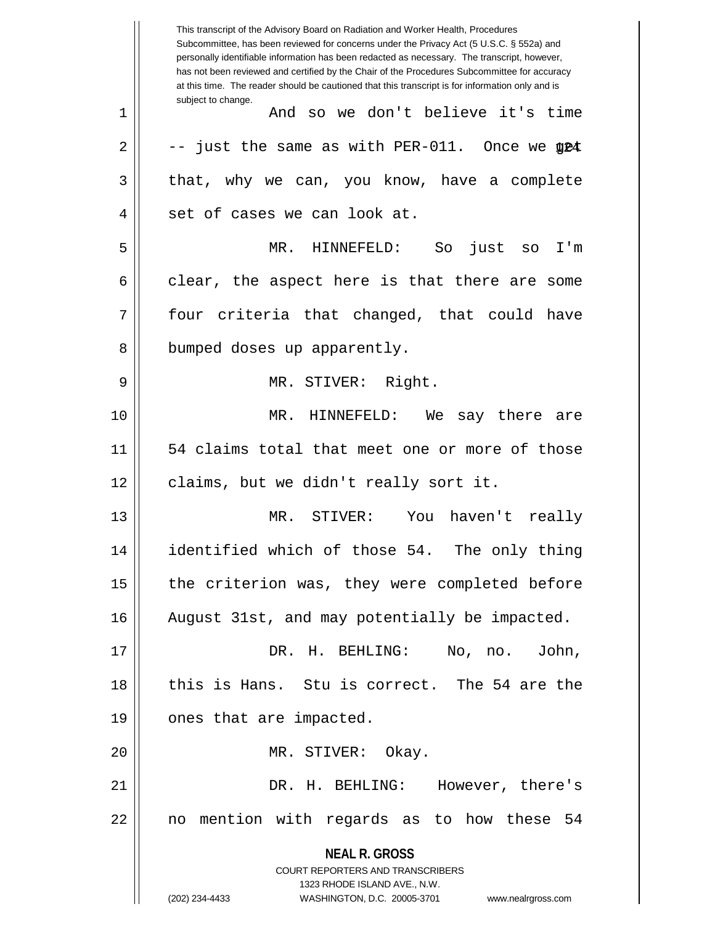**NEAL R. GROSS** COURT REPORTERS AND TRANSCRIBERS 1323 RHODE ISLAND AVE., N.W. (202) 234-4433 WASHINGTON, D.C. 20005-3701 www.nealrgross.com This transcript of the Advisory Board on Radiation and Worker Health, Procedures Subcommittee, has been reviewed for concerns under the Privacy Act (5 U.S.C. § 552a) and personally identifiable information has been redacted as necessary. The transcript, however, has not been reviewed and certified by the Chair of the Procedures Subcommittee for accuracy at this time. The reader should be cautioned that this transcript is for information only and is subject to change.  $2 \parallel$   $-$  just the same as with PER-011. Once we  $\texttt{\$}$   $\texttt{\$}$   $\texttt{\$}$ 1 And so we don't believe it's time  $3 \parallel$  that, why we can, you know, have a complete 4 || set of cases we can look at. 5 MR. HINNEFELD: So just so I'm  $6 \parallel$  clear, the aspect here is that there are some  $7 \parallel$  four criteria that changed, that could have 8 || bumped doses up apparently. 9 MR. STIVER: Right. 10 MR. HINNEFELD: We say there are 11 54 claims total that meet one or more of those 12 || claims, but we didn't really sort it. 13 MR. STIVER: You haven't really 14 identified which of those 54. The only thing  $15$  | the criterion was, they were completed before 16 August 31st, and may potentially be impacted. 17 DR. H. BEHLING: No, no. John, 18 || this is Hans. Stu is correct. The 54 are the 19 || ones that are impacted. 20 || MR. STIVER: Okay. 21 DR. H. BEHLING: However, there's 22 || no mention with regards as to how these 54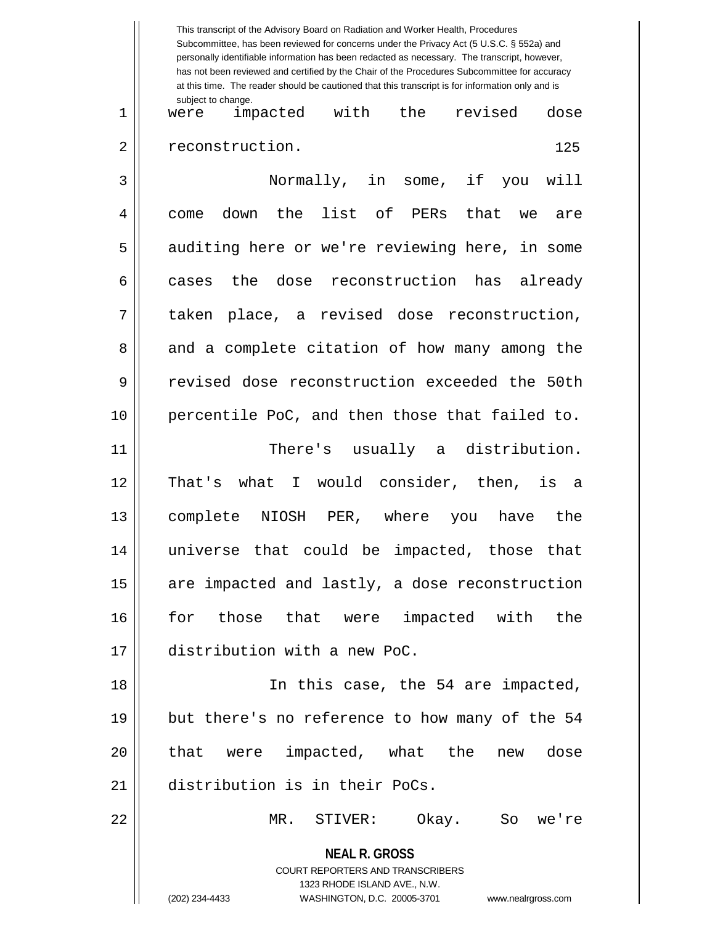|    | personally identifiable information has been redacted as necessary. The transcript, however,<br>has not been reviewed and certified by the Chair of the Procedures Subcommittee for accuracy<br>at this time. The reader should be cautioned that this transcript is for information only and is |
|----|--------------------------------------------------------------------------------------------------------------------------------------------------------------------------------------------------------------------------------------------------------------------------------------------------|
| 1  | subject to change.<br>impacted with the<br>revised<br>dose<br>were                                                                                                                                                                                                                               |
| 2  | reconstruction.<br>125                                                                                                                                                                                                                                                                           |
| 3  | Normally, in some, if you<br>will                                                                                                                                                                                                                                                                |
| 4  | the list of PERs<br>that<br>down<br>come<br>we<br>are                                                                                                                                                                                                                                            |
| 5  | auditing here or we're reviewing here, in some                                                                                                                                                                                                                                                   |
| 6  | dose reconstruction<br>the<br>has<br>already<br>cases                                                                                                                                                                                                                                            |
| 7  | taken place, a revised dose reconstruction,                                                                                                                                                                                                                                                      |
| 8  | and a complete citation of how many among the                                                                                                                                                                                                                                                    |
| 9  | revised dose reconstruction exceeded the 50th                                                                                                                                                                                                                                                    |
| 10 | percentile PoC, and then those that failed to.                                                                                                                                                                                                                                                   |
| 11 | There's usually a distribution.                                                                                                                                                                                                                                                                  |
| 12 | I would consider, then, is a<br>That's<br>what                                                                                                                                                                                                                                                   |
| 13 | complete NIOSH<br>PER, where<br>the<br>have<br>you                                                                                                                                                                                                                                               |
| 14 | universe that could be impacted, those that                                                                                                                                                                                                                                                      |
| 15 | are impacted and lastly, a dose reconstruction                                                                                                                                                                                                                                                   |
| 16 | for those that were impacted with the                                                                                                                                                                                                                                                            |
| 17 | distribution with a new PoC.                                                                                                                                                                                                                                                                     |
| 18 | In this case, the 54 are impacted,                                                                                                                                                                                                                                                               |
| 19 | but there's no reference to how many of the 54                                                                                                                                                                                                                                                   |
| 20 | that were impacted, what the<br>new dose                                                                                                                                                                                                                                                         |
| 21 | distribution is in their PoCs.                                                                                                                                                                                                                                                                   |
| 22 | MR. STIVER: Okay. So we're                                                                                                                                                                                                                                                                       |
|    | <b>NEAL R. GROSS</b>                                                                                                                                                                                                                                                                             |
|    | COURT REPORTERS AND TRANSCRIBERS                                                                                                                                                                                                                                                                 |
|    | 1323 RHODE ISLAND AVE., N.W.<br>(202) 234-4433<br>WASHINGTON, D.C. 20005-3701<br>www.nealrgross.com                                                                                                                                                                                              |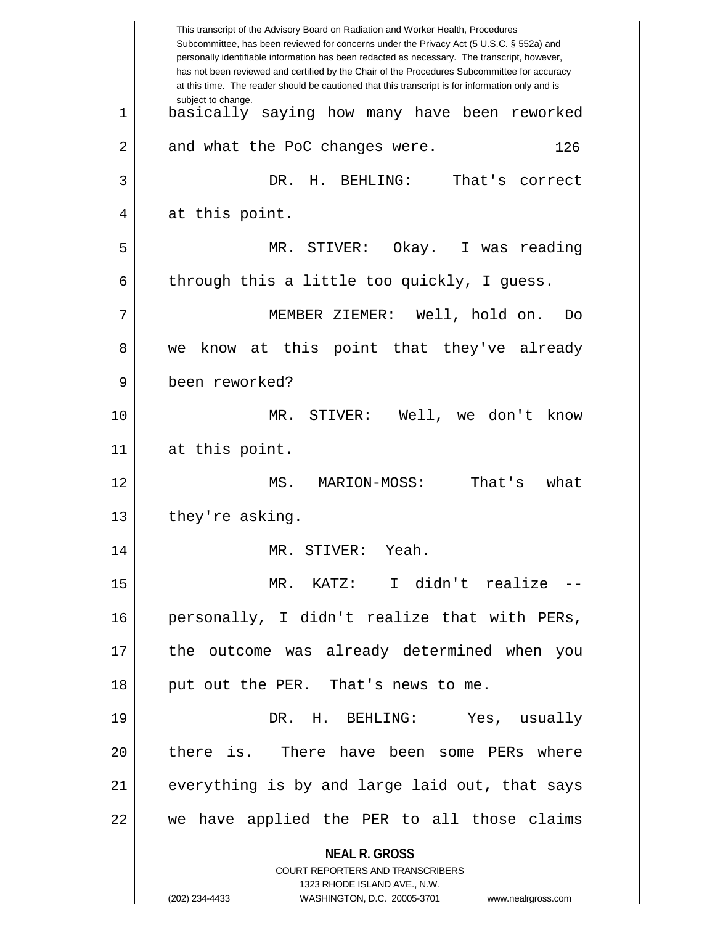|    | This transcript of the Advisory Board on Radiation and Worker Health, Procedures<br>Subcommittee, has been reviewed for concerns under the Privacy Act (5 U.S.C. § 552a) and<br>personally identifiable information has been redacted as necessary. The transcript, however,<br>has not been reviewed and certified by the Chair of the Procedures Subcommittee for accuracy<br>at this time. The reader should be cautioned that this transcript is for information only and is |
|----|----------------------------------------------------------------------------------------------------------------------------------------------------------------------------------------------------------------------------------------------------------------------------------------------------------------------------------------------------------------------------------------------------------------------------------------------------------------------------------|
| 1  | subject to change.<br>basically saying how many have been reworked                                                                                                                                                                                                                                                                                                                                                                                                               |
| 2  | and what the PoC changes were.<br>126                                                                                                                                                                                                                                                                                                                                                                                                                                            |
| 3  | DR. H. BEHLING: That's correct                                                                                                                                                                                                                                                                                                                                                                                                                                                   |
| 4  | at this point.                                                                                                                                                                                                                                                                                                                                                                                                                                                                   |
| 5  | MR. STIVER: Okay. I was reading                                                                                                                                                                                                                                                                                                                                                                                                                                                  |
| 6  | through this a little too quickly, I guess.                                                                                                                                                                                                                                                                                                                                                                                                                                      |
| 7  | MEMBER ZIEMER: Well, hold on.<br>Do                                                                                                                                                                                                                                                                                                                                                                                                                                              |
| 8  | know at this point that they've already<br>we                                                                                                                                                                                                                                                                                                                                                                                                                                    |
| 9  | been reworked?                                                                                                                                                                                                                                                                                                                                                                                                                                                                   |
| 10 | MR. STIVER: Well, we don't know                                                                                                                                                                                                                                                                                                                                                                                                                                                  |
| 11 | at this point.                                                                                                                                                                                                                                                                                                                                                                                                                                                                   |
| 12 | MS.<br>That's<br>MARION-MOSS:<br>what                                                                                                                                                                                                                                                                                                                                                                                                                                            |
| 13 | they're asking.                                                                                                                                                                                                                                                                                                                                                                                                                                                                  |
| 14 | MR. STIVER: Yeah.                                                                                                                                                                                                                                                                                                                                                                                                                                                                |
| 15 | MR. KATZ: I didn't realize --                                                                                                                                                                                                                                                                                                                                                                                                                                                    |
| 16 | personally, I didn't realize that with PERs,                                                                                                                                                                                                                                                                                                                                                                                                                                     |
| 17 | the outcome was already determined when you                                                                                                                                                                                                                                                                                                                                                                                                                                      |
| 18 | put out the PER. That's news to me.                                                                                                                                                                                                                                                                                                                                                                                                                                              |
| 19 | DR. H. BEHLING: Yes, usually                                                                                                                                                                                                                                                                                                                                                                                                                                                     |
| 20 | there is. There have been some PERs where                                                                                                                                                                                                                                                                                                                                                                                                                                        |
| 21 | everything is by and large laid out, that says                                                                                                                                                                                                                                                                                                                                                                                                                                   |
| 22 | we have applied the PER to all those claims                                                                                                                                                                                                                                                                                                                                                                                                                                      |
|    | <b>NEAL R. GROSS</b>                                                                                                                                                                                                                                                                                                                                                                                                                                                             |
|    | <b>COURT REPORTERS AND TRANSCRIBERS</b><br>1323 RHODE ISLAND AVE., N.W.                                                                                                                                                                                                                                                                                                                                                                                                          |
|    | (202) 234-4433<br>WASHINGTON, D.C. 20005-3701<br>www.nealrgross.com                                                                                                                                                                                                                                                                                                                                                                                                              |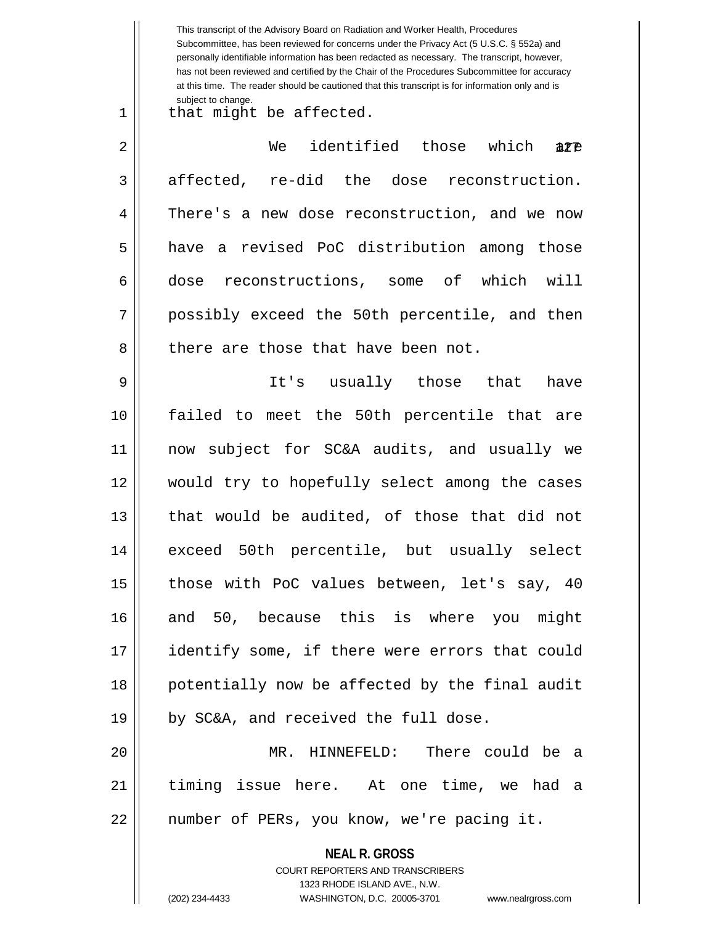|    | This transcript of the Advisory Board on Radiation and Worker Health, Procedures<br>Subcommittee, has been reviewed for concerns under the Privacy Act (5 U.S.C. § 552a) and<br>personally identifiable information has been redacted as necessary. The transcript, however,<br>has not been reviewed and certified by the Chair of the Procedures Subcommittee for accuracy<br>at this time. The reader should be cautioned that this transcript is for information only and is |
|----|----------------------------------------------------------------------------------------------------------------------------------------------------------------------------------------------------------------------------------------------------------------------------------------------------------------------------------------------------------------------------------------------------------------------------------------------------------------------------------|
| 1  | subject to change.<br>that might be affected.                                                                                                                                                                                                                                                                                                                                                                                                                                    |
| 2  | identified those which<br>We<br>are                                                                                                                                                                                                                                                                                                                                                                                                                                              |
| 3  | affected, re-did the dose reconstruction.                                                                                                                                                                                                                                                                                                                                                                                                                                        |
| 4  | There's a new dose reconstruction, and we now                                                                                                                                                                                                                                                                                                                                                                                                                                    |
| 5  | a revised PoC distribution among those<br>have                                                                                                                                                                                                                                                                                                                                                                                                                                   |
| 6  | dose reconstructions, some of which will                                                                                                                                                                                                                                                                                                                                                                                                                                         |
| 7  | possibly exceed the 50th percentile, and then                                                                                                                                                                                                                                                                                                                                                                                                                                    |
| 8  | there are those that have been not.                                                                                                                                                                                                                                                                                                                                                                                                                                              |
| 9  | It's usually those<br>that<br>have                                                                                                                                                                                                                                                                                                                                                                                                                                               |
| 10 | failed to meet the 50th percentile that are                                                                                                                                                                                                                                                                                                                                                                                                                                      |
| 11 | now subject for SC&A audits, and usually we                                                                                                                                                                                                                                                                                                                                                                                                                                      |
| 12 | would try to hopefully select among the cases                                                                                                                                                                                                                                                                                                                                                                                                                                    |
| 13 | that would be audited, of those that did not                                                                                                                                                                                                                                                                                                                                                                                                                                     |
| 14 | exceed 50th percentile, but usually select                                                                                                                                                                                                                                                                                                                                                                                                                                       |
| 15 | those with PoC values between, let's say, 40                                                                                                                                                                                                                                                                                                                                                                                                                                     |
| 16 | and 50, because this is where you might                                                                                                                                                                                                                                                                                                                                                                                                                                          |
| 17 | identify some, if there were errors that could                                                                                                                                                                                                                                                                                                                                                                                                                                   |
| 18 | potentially now be affected by the final audit                                                                                                                                                                                                                                                                                                                                                                                                                                   |
| 19 | by SC&A, and received the full dose.                                                                                                                                                                                                                                                                                                                                                                                                                                             |
| 20 | MR. HINNEFELD: There could be a                                                                                                                                                                                                                                                                                                                                                                                                                                                  |
| 21 | timing issue here. At one time, we had a                                                                                                                                                                                                                                                                                                                                                                                                                                         |
| 22 | number of PERs, you know, we're pacing it.                                                                                                                                                                                                                                                                                                                                                                                                                                       |
|    | <b>NEAL R. GROSS</b><br>COURT REPORTERS AND TRANSCRIBERS                                                                                                                                                                                                                                                                                                                                                                                                                         |
|    | 1323 RHODE ISLAND AVE., N.W.                                                                                                                                                                                                                                                                                                                                                                                                                                                     |
|    | (202) 234-4433<br>WASHINGTON, D.C. 20005-3701<br>www.nealrgross.com                                                                                                                                                                                                                                                                                                                                                                                                              |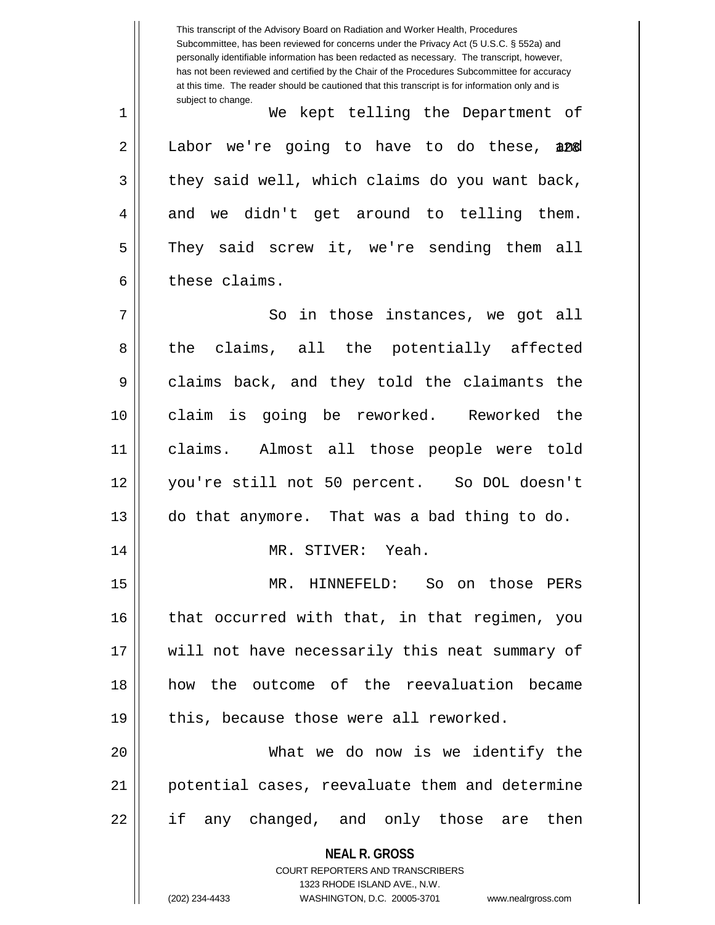**NEAL R. GROSS** COURT REPORTERS AND TRANSCRIBERS 1323 RHODE ISLAND AVE., N.W. This transcript of the Advisory Board on Radiation and Worker Health, Procedures Subcommittee, has been reviewed for concerns under the Privacy Act (5 U.S.C. § 552a) and personally identifiable information has been redacted as necessary. The transcript, however, has not been reviewed and certified by the Chair of the Procedures Subcommittee for accuracy at this time. The reader should be cautioned that this transcript is for information only and is subject to change. 2 || Labor we're going to have to do these, 200 1 We kept telling the Department of  $3 \parallel$  they said well, which claims do you want back,  $4 \parallel$  and we didn't get around to telling them. 5 They said screw it, we're sending them all 6 l these claims. 7 || So in those instances, we got all 8 the claims, all the potentially affected 9 claims back, and they told the claimants the 10 claim is going be reworked. Reworked the 11 claims. Almost all those people were told 12 you're still not 50 percent. So DOL doesn't 13 do that anymore. That was a bad thing to do. 14 MR. STIVER: Yeah. 15 MR. HINNEFELD: So on those PERs 16 || that occurred with that, in that regimen, you 17 || will not have necessarily this neat summary of 18 how the outcome of the reevaluation became  $19$  || this, because those were all reworked. 20 What we do now is we identify the 21 potential cases, reevaluate them and determine 22 || if any changed, and only those are then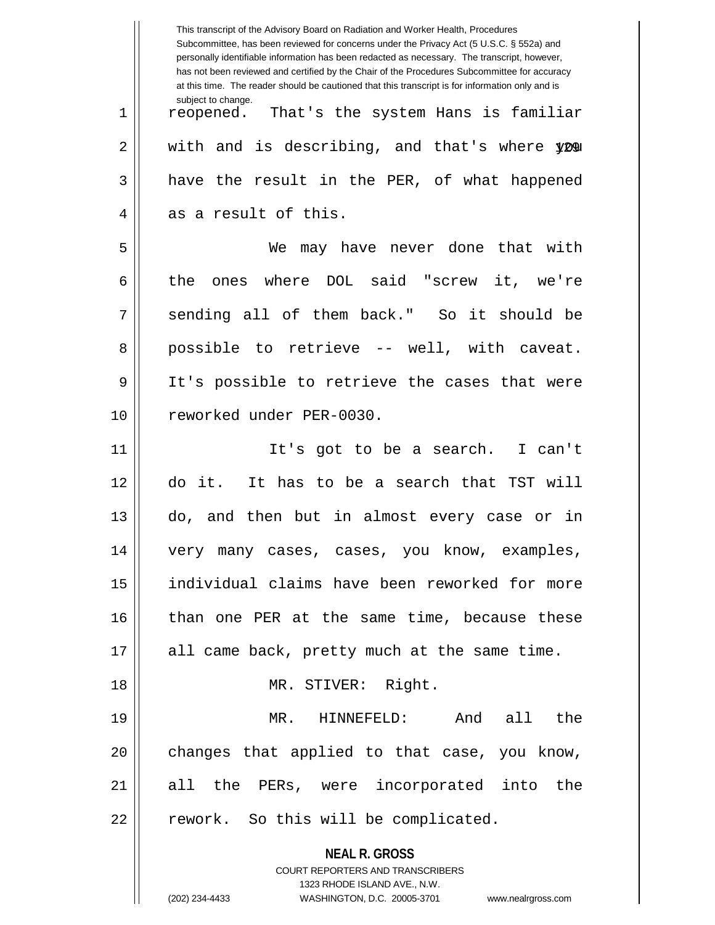|    | This transcript of the Advisory Board on Radiation and Worker Health, Procedures<br>Subcommittee, has been reviewed for concerns under the Privacy Act (5 U.S.C. § 552a) and<br>personally identifiable information has been redacted as necessary. The transcript, however,<br>has not been reviewed and certified by the Chair of the Procedures Subcommittee for accuracy<br>at this time. The reader should be cautioned that this transcript is for information only and is |
|----|----------------------------------------------------------------------------------------------------------------------------------------------------------------------------------------------------------------------------------------------------------------------------------------------------------------------------------------------------------------------------------------------------------------------------------------------------------------------------------|
| 1  | subject to change.<br>reopened. That's the system Hans is familiar                                                                                                                                                                                                                                                                                                                                                                                                               |
| 2  | with and is describing, and that's where you                                                                                                                                                                                                                                                                                                                                                                                                                                     |
| 3  | have the result in the PER, of what happened                                                                                                                                                                                                                                                                                                                                                                                                                                     |
| 4  | as a result of this.                                                                                                                                                                                                                                                                                                                                                                                                                                                             |
| 5  | We may have never done that with                                                                                                                                                                                                                                                                                                                                                                                                                                                 |
| 6  | where DOL said "screw it, we're<br>the<br>ones                                                                                                                                                                                                                                                                                                                                                                                                                                   |
| 7  | sending all of them back." So it should be                                                                                                                                                                                                                                                                                                                                                                                                                                       |
| 8  | possible to retrieve -- well, with caveat.                                                                                                                                                                                                                                                                                                                                                                                                                                       |
| 9  | It's possible to retrieve the cases that were                                                                                                                                                                                                                                                                                                                                                                                                                                    |
| 10 | reworked under PER-0030.                                                                                                                                                                                                                                                                                                                                                                                                                                                         |
| 11 | It's got to be a search. I can't                                                                                                                                                                                                                                                                                                                                                                                                                                                 |
| 12 | do it. It has to be a search that TST will                                                                                                                                                                                                                                                                                                                                                                                                                                       |
| 13 | do, and then but in almost every case or in                                                                                                                                                                                                                                                                                                                                                                                                                                      |
| 14 | very many cases, cases, you know, examples,                                                                                                                                                                                                                                                                                                                                                                                                                                      |
| 15 | individual claims have been reworked for more                                                                                                                                                                                                                                                                                                                                                                                                                                    |
| 16 | than one PER at the same time, because these                                                                                                                                                                                                                                                                                                                                                                                                                                     |
| 17 | all came back, pretty much at the same time.                                                                                                                                                                                                                                                                                                                                                                                                                                     |
| 18 | MR. STIVER: Right.                                                                                                                                                                                                                                                                                                                                                                                                                                                               |
| 19 | MR. HINNEFELD:<br>And all the                                                                                                                                                                                                                                                                                                                                                                                                                                                    |
| 20 | changes that applied to that case, you know,                                                                                                                                                                                                                                                                                                                                                                                                                                     |
| 21 | all the PERs, were incorporated into the                                                                                                                                                                                                                                                                                                                                                                                                                                         |
| 22 | rework. So this will be complicated.                                                                                                                                                                                                                                                                                                                                                                                                                                             |
|    | <b>NEAL R. GROSS</b>                                                                                                                                                                                                                                                                                                                                                                                                                                                             |
|    | COURT REPORTERS AND TRANSCRIBERS<br>1323 RHODE ISLAND AVE., N.W.                                                                                                                                                                                                                                                                                                                                                                                                                 |
|    | (202) 234-4433<br>WASHINGTON, D.C. 20005-3701<br>www.nealrgross.com                                                                                                                                                                                                                                                                                                                                                                                                              |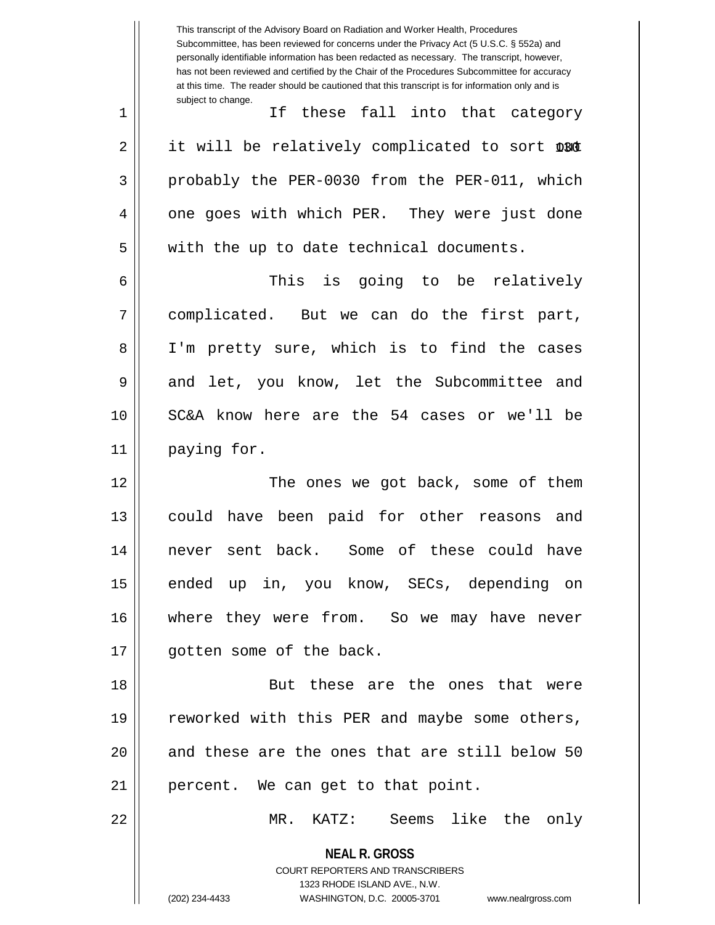**NEAL R. GROSS** COURT REPORTERS AND TRANSCRIBERS 1323 RHODE ISLAND AVE., N.W. (202) 234-4433 WASHINGTON, D.C. 20005-3701 www.nealrgross.com This transcript of the Advisory Board on Radiation and Worker Health, Procedures Subcommittee, has been reviewed for concerns under the Privacy Act (5 U.S.C. § 552a) and personally identifiable information has been redacted as necessary. The transcript, however, has not been reviewed and certified by the Chair of the Procedures Subcommittee for accuracy at this time. The reader should be cautioned that this transcript is for information only and is subject to change. 2 || it will be relatively complicated to sort DBC 1 || If these fall into that category 3 || probably the PER-0030 from the PER-011, which 4 || one goes with which PER. They were just done 5 || with the up to date technical documents. 6 This is going to be relatively 7 complicated. But we can do the first part, 8 || I'm pretty sure, which is to find the cases 9 and let, you know, let the Subcommittee and 10 SC&A know here are the 54 cases or we'll be 11 | paying for. 12 The ones we got back, some of them 13 could have been paid for other reasons and 14 never sent back. Some of these could have 15 || ended up in, you know, SECs, depending on 16 where they were from. So we may have never 17 || qotten some of the back. 18 || But these are the ones that were 19 || reworked with this PER and maybe some others, 20 || and these are the ones that are still below 50 21 || percent. We can get to that point. 22 MR. KATZ: Seems like the only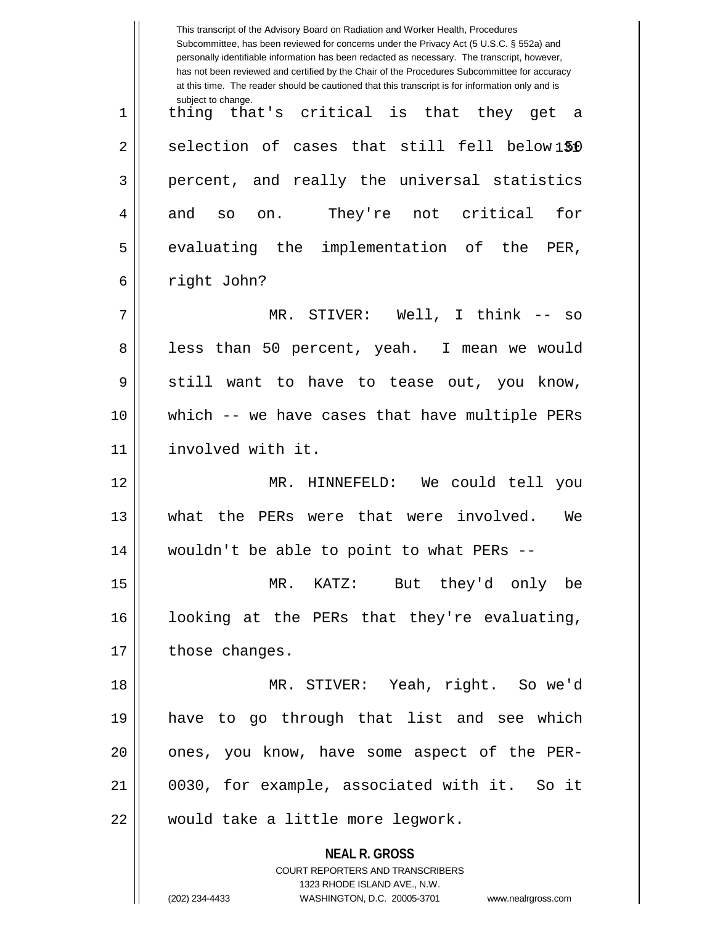|    | This transcript of the Advisory Board on Radiation and Worker Health, Procedures<br>Subcommittee, has been reviewed for concerns under the Privacy Act (5 U.S.C. § 552a) and<br>personally identifiable information has been redacted as necessary. The transcript, however,<br>has not been reviewed and certified by the Chair of the Procedures Subcommittee for accuracy<br>at this time. The reader should be cautioned that this transcript is for information only and is |
|----|----------------------------------------------------------------------------------------------------------------------------------------------------------------------------------------------------------------------------------------------------------------------------------------------------------------------------------------------------------------------------------------------------------------------------------------------------------------------------------|
| 1  | subject to change.<br>thing that's critical is that<br>they get<br>- a                                                                                                                                                                                                                                                                                                                                                                                                           |
| 2  | selection of cases that still fell below1\$0                                                                                                                                                                                                                                                                                                                                                                                                                                     |
| 3  | percent, and really the universal statistics                                                                                                                                                                                                                                                                                                                                                                                                                                     |
| 4  | They're not critical<br>for<br>and<br>SO<br>on.                                                                                                                                                                                                                                                                                                                                                                                                                                  |
| 5  | evaluating the implementation of the<br>PER,                                                                                                                                                                                                                                                                                                                                                                                                                                     |
| 6  | right John?                                                                                                                                                                                                                                                                                                                                                                                                                                                                      |
| 7  | MR. STIVER: Well, I think -- so                                                                                                                                                                                                                                                                                                                                                                                                                                                  |
| 8  | less than 50 percent, yeah. I mean we would                                                                                                                                                                                                                                                                                                                                                                                                                                      |
| 9  | still want<br>to have to tease out, you know,                                                                                                                                                                                                                                                                                                                                                                                                                                    |
| 10 | which -- we have cases that have multiple PERs                                                                                                                                                                                                                                                                                                                                                                                                                                   |
| 11 | involved with it.                                                                                                                                                                                                                                                                                                                                                                                                                                                                |
| 12 | HINNEFELD: We could tell you<br>MR.                                                                                                                                                                                                                                                                                                                                                                                                                                              |
| 13 | the PERs<br>were that<br>were involved.<br>what.<br>We                                                                                                                                                                                                                                                                                                                                                                                                                           |
| 14 | wouldn't be able to point to what PERs --                                                                                                                                                                                                                                                                                                                                                                                                                                        |
| 15 | MR. KATZ: But they'd only be                                                                                                                                                                                                                                                                                                                                                                                                                                                     |
| 16 | looking at the PERs that they're evaluating,                                                                                                                                                                                                                                                                                                                                                                                                                                     |
| 17 | those changes.                                                                                                                                                                                                                                                                                                                                                                                                                                                                   |
| 18 | MR. STIVER: Yeah, right. So we'd                                                                                                                                                                                                                                                                                                                                                                                                                                                 |
| 19 | have to go through that list and see which                                                                                                                                                                                                                                                                                                                                                                                                                                       |
| 20 | ones, you know, have some aspect of the PER-                                                                                                                                                                                                                                                                                                                                                                                                                                     |
| 21 | 0030, for example, associated with it. So it                                                                                                                                                                                                                                                                                                                                                                                                                                     |
| 22 | would take a little more legwork.                                                                                                                                                                                                                                                                                                                                                                                                                                                |
|    | <b>NEAL R. GROSS</b><br>COURT REPORTERS AND TRANSCRIBERS<br>1323 RHODE ISLAND AVE., N.W.<br>(202) 234-4433<br>WASHINGTON, D.C. 20005-3701<br>www.nealrgross.com                                                                                                                                                                                                                                                                                                                  |

<sup>(202) 234-4433</sup> WASHINGTON, D.C. 20005-3701 www.nealrgross.com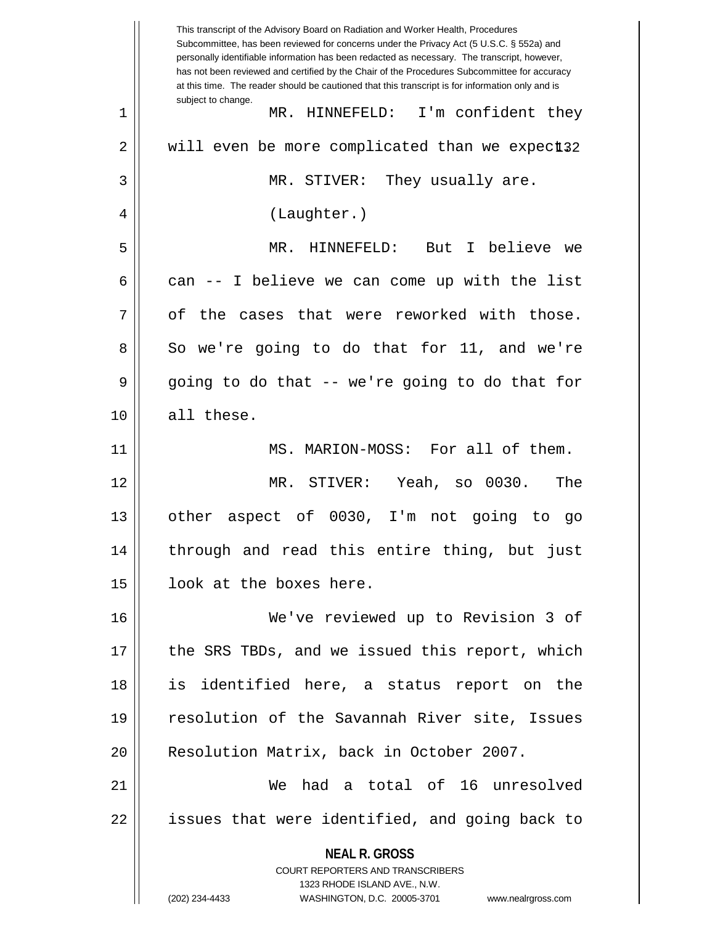**NEAL R. GROSS** COURT REPORTERS AND TRANSCRIBERS 1323 RHODE ISLAND AVE., N.W. (202) 234-4433 WASHINGTON, D.C. 20005-3701 www.nealrgross.com This transcript of the Advisory Board on Radiation and Worker Health, Procedures Subcommittee, has been reviewed for concerns under the Privacy Act (5 U.S.C. § 552a) and personally identifiable information has been redacted as necessary. The transcript, however, has not been reviewed and certified by the Chair of the Procedures Subcommittee for accuracy at this time. The reader should be cautioned that this transcript is for information only and is subject to change. 2 || will even be more complicated than we expect32 1 MR. HINNEFELD: I'm confident they 3 MR. STIVER: They usually are. 4 || (Laughter.) 5 MR. HINNEFELD: But I believe we 6 can  $-$  I believe we can come up with the list  $7 \parallel$  of the cases that were reworked with those.  $8 \parallel$  So we're going to do that for 11, and we're  $9 \parallel$  going to do that -- we're going to do that for 10 all these. 11 || MS. MARION-MOSS: For all of them. 12 MR. STIVER: Yeah, so 0030. The 13 other aspect of 0030, I'm not going to go 14 || through and read this entire thing, but just 15 || look at the boxes here. 16 We've reviewed up to Revision 3 of 17 || the SRS TBDs, and we issued this report, which 18 is identified here, a status report on the 19 || resolution of the Savannah River site, Issues 20 | Resolution Matrix, back in October 2007. 21 We had a total of 16 unresolved  $22$  || issues that were identified, and going back to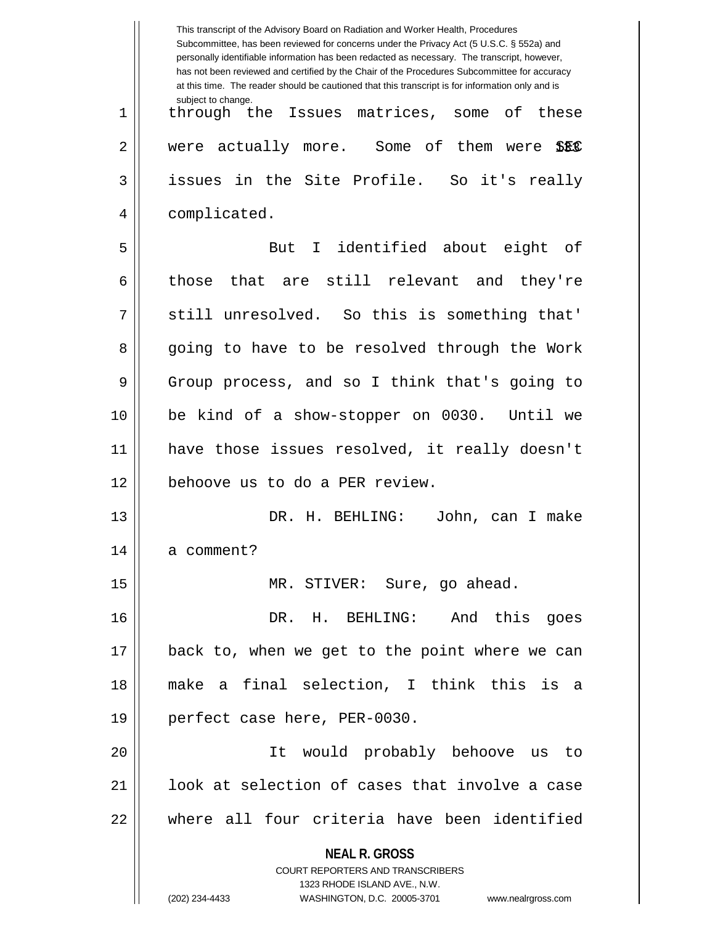|    | This transcript of the Advisory Board on Radiation and Worker Health, Procedures<br>Subcommittee, has been reviewed for concerns under the Privacy Act (5 U.S.C. § 552a) and<br>personally identifiable information has been redacted as necessary. The transcript, however,<br>has not been reviewed and certified by the Chair of the Procedures Subcommittee for accuracy<br>at this time. The reader should be cautioned that this transcript is for information only and is |
|----|----------------------------------------------------------------------------------------------------------------------------------------------------------------------------------------------------------------------------------------------------------------------------------------------------------------------------------------------------------------------------------------------------------------------------------------------------------------------------------|
| 1  | subject to change.<br>through the Issues matrices, some of these                                                                                                                                                                                                                                                                                                                                                                                                                 |
| 2  | were actually more. Some of them were<br>SEC                                                                                                                                                                                                                                                                                                                                                                                                                                     |
| 3  | issues in the Site Profile. So it's really                                                                                                                                                                                                                                                                                                                                                                                                                                       |
| 4  | complicated.                                                                                                                                                                                                                                                                                                                                                                                                                                                                     |
| 5  | I identified about eight of<br>But                                                                                                                                                                                                                                                                                                                                                                                                                                               |
| 6  | those that are still relevant and<br>they're                                                                                                                                                                                                                                                                                                                                                                                                                                     |
| 7  | still unresolved. So this is something that'                                                                                                                                                                                                                                                                                                                                                                                                                                     |
| 8  | going to have to be resolved through the Work                                                                                                                                                                                                                                                                                                                                                                                                                                    |
| 9  | Group process, and so I think that's going to                                                                                                                                                                                                                                                                                                                                                                                                                                    |
| 10 | be kind of a show-stopper on 0030. Until we                                                                                                                                                                                                                                                                                                                                                                                                                                      |
| 11 | have those issues resolved, it really doesn't                                                                                                                                                                                                                                                                                                                                                                                                                                    |
| 12 | behoove us to do a PER review.                                                                                                                                                                                                                                                                                                                                                                                                                                                   |
| 13 | DR. H. BEHLING:<br>John, can I make                                                                                                                                                                                                                                                                                                                                                                                                                                              |
| 14 | a comment?                                                                                                                                                                                                                                                                                                                                                                                                                                                                       |
| 15 | MR. STIVER: Sure, go ahead.                                                                                                                                                                                                                                                                                                                                                                                                                                                      |
| 16 | DR. H. BEHLING: And this goes                                                                                                                                                                                                                                                                                                                                                                                                                                                    |
| 17 | back to, when we get to the point where we can                                                                                                                                                                                                                                                                                                                                                                                                                                   |
| 18 | make a final selection, I think this is a                                                                                                                                                                                                                                                                                                                                                                                                                                        |
| 19 | perfect case here, PER-0030.                                                                                                                                                                                                                                                                                                                                                                                                                                                     |
| 20 | It would probably behoove us to                                                                                                                                                                                                                                                                                                                                                                                                                                                  |
| 21 | look at selection of cases that involve a case                                                                                                                                                                                                                                                                                                                                                                                                                                   |
| 22 | where all four criteria have been identified                                                                                                                                                                                                                                                                                                                                                                                                                                     |
|    | <b>NEAL R. GROSS</b><br><b>COURT REPORTERS AND TRANSCRIBERS</b><br>1323 RHODE ISLAND AVE., N.W.<br>(202) 234-4433<br>WASHINGTON, D.C. 20005-3701<br>www.nealrgross.com                                                                                                                                                                                                                                                                                                           |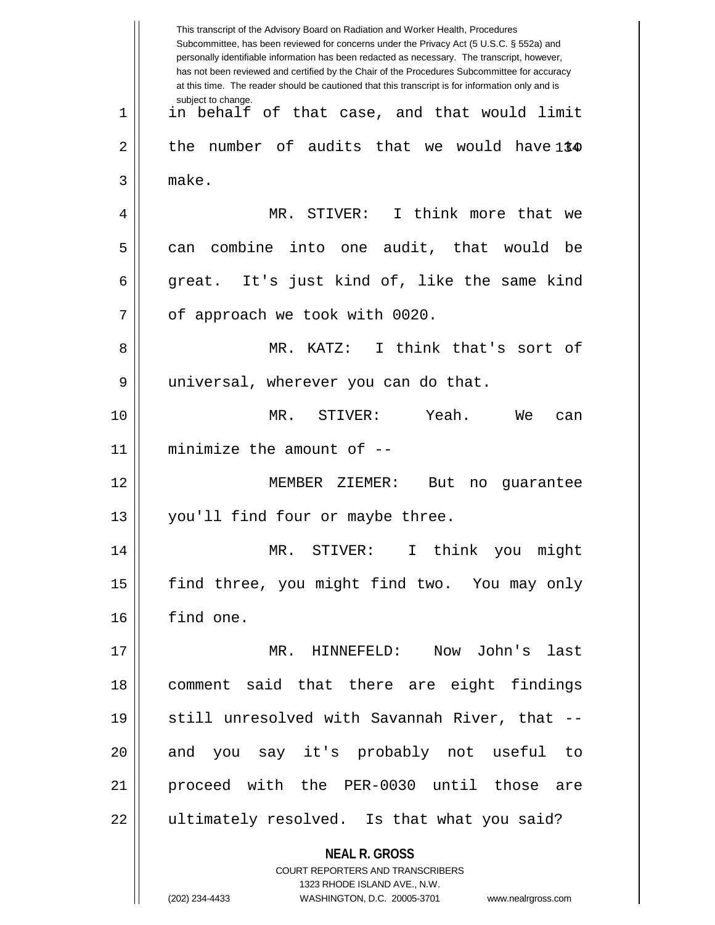**NEAL R. GROSS** COURT REPORTERS AND TRANSCRIBERS 1323 RHODE ISLAND AVE., N.W. (202) 234-4433 WASHINGTON, D.C. 20005-3701 www.nealrgross.com This transcript of the Advisory Board on Radiation and Worker Health, Procedures Subcommittee, has been reviewed for concerns under the Privacy Act (5 U.S.C. § 552a) and personally identifiable information has been redacted as necessary. The transcript, however, has not been reviewed and certified by the Chair of the Procedures Subcommittee for accuracy at this time. The reader should be cautioned that this transcript is for information only and is subject to change. 2 || the number of audits that we would have1\$4 1 || in behalf of that case, and that would limit 3 make. 4 MR. STIVER: I think more that we  $5 \parallel$  can combine into one audit, that would be 6 great. It's just kind of, like the same kind  $7$  | of approach we took with 0020. 8 MR. KATZ: I think that's sort of 9 || universal, wherever you can do that. 10 MR. STIVER: Yeah. We can 11 minimize the amount of -- 12 MEMBER ZIEMER: But no guarantee 13 || you'll find four or maybe three. 14 MR. STIVER: I think you might 15 || find three, you might find two. You may only 16 find one. 17 MR. HINNEFELD: Now John's last 18 comment said that there are eight findings 19 || still unresolved with Savannah River, that --20 || and you say it's probably not useful to 21 proceed with the PER-0030 until those are 22 || ultimately resolved. Is that what you said?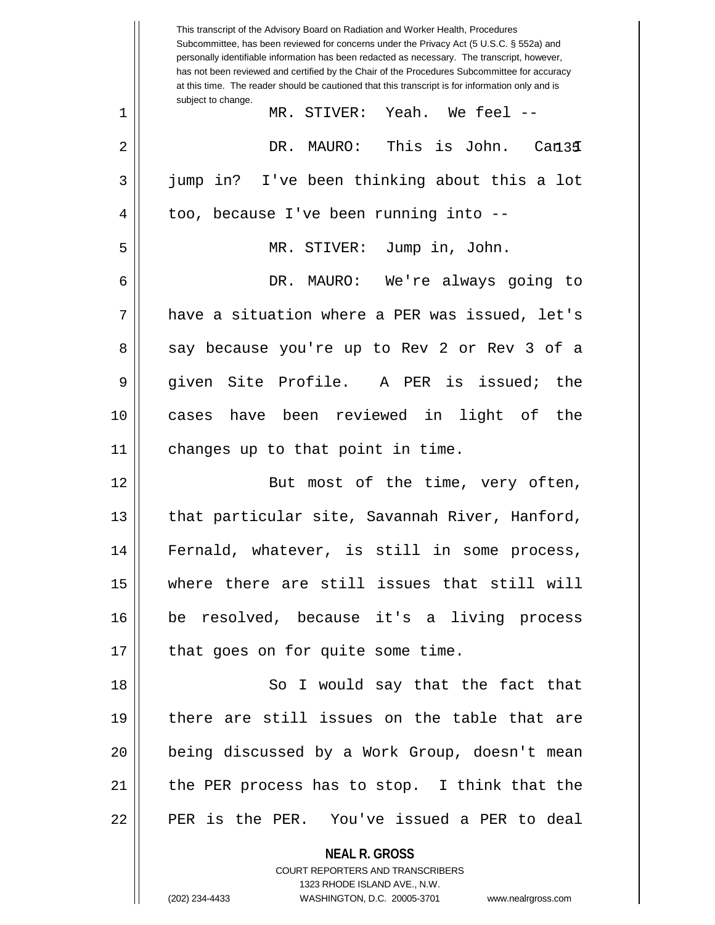|    | This transcript of the Advisory Board on Radiation and Worker Health, Procedures<br>Subcommittee, has been reviewed for concerns under the Privacy Act (5 U.S.C. § 552a) and<br>personally identifiable information has been redacted as necessary. The transcript, however,<br>has not been reviewed and certified by the Chair of the Procedures Subcommittee for accuracy<br>at this time. The reader should be cautioned that this transcript is for information only and is |
|----|----------------------------------------------------------------------------------------------------------------------------------------------------------------------------------------------------------------------------------------------------------------------------------------------------------------------------------------------------------------------------------------------------------------------------------------------------------------------------------|
| 1  | subject to change.<br>MR. STIVER: Yeah. We feel --                                                                                                                                                                                                                                                                                                                                                                                                                               |
| 2  | This is John. Can34<br>DR.<br>MAURO:                                                                                                                                                                                                                                                                                                                                                                                                                                             |
| 3  | jump in? I've been thinking about this a lot                                                                                                                                                                                                                                                                                                                                                                                                                                     |
| 4  | too, because I've been running into --                                                                                                                                                                                                                                                                                                                                                                                                                                           |
| 5  | MR. STIVER: Jump in, John.                                                                                                                                                                                                                                                                                                                                                                                                                                                       |
| 6  | DR. MAURO: We're always going to                                                                                                                                                                                                                                                                                                                                                                                                                                                 |
| 7  | have a situation where a PER was issued, let's                                                                                                                                                                                                                                                                                                                                                                                                                                   |
| 8  | say because you're up to Rev 2 or Rev 3 of a                                                                                                                                                                                                                                                                                                                                                                                                                                     |
| 9  | given Site Profile. A PER is issued;<br>the                                                                                                                                                                                                                                                                                                                                                                                                                                      |
| 10 | cases have been reviewed in light of the                                                                                                                                                                                                                                                                                                                                                                                                                                         |
| 11 | changes up to that point in time.                                                                                                                                                                                                                                                                                                                                                                                                                                                |
| 12 | But most of the time, very often,                                                                                                                                                                                                                                                                                                                                                                                                                                                |
| 13 | that particular site, Savannah River, Hanford,                                                                                                                                                                                                                                                                                                                                                                                                                                   |
| 14 | Fernald, whatever, is still in some process,                                                                                                                                                                                                                                                                                                                                                                                                                                     |
| 15 | where there are still issues that still will                                                                                                                                                                                                                                                                                                                                                                                                                                     |
| 16 | be resolved, because it's a living process                                                                                                                                                                                                                                                                                                                                                                                                                                       |
| 17 | that goes on for quite some time.                                                                                                                                                                                                                                                                                                                                                                                                                                                |
| 18 | So I would say that the fact that                                                                                                                                                                                                                                                                                                                                                                                                                                                |
| 19 | there are still issues on the table that are                                                                                                                                                                                                                                                                                                                                                                                                                                     |
| 20 | being discussed by a Work Group, doesn't mean                                                                                                                                                                                                                                                                                                                                                                                                                                    |
| 21 | the PER process has to stop. I think that the                                                                                                                                                                                                                                                                                                                                                                                                                                    |
| 22 | PER is the PER. You've issued a PER to deal                                                                                                                                                                                                                                                                                                                                                                                                                                      |
|    | <b>NEAL R. GROSS</b>                                                                                                                                                                                                                                                                                                                                                                                                                                                             |

COURT REPORTERS AND TRANSCRIBERS 1323 RHODE ISLAND AVE., N.W.

 $\mathsf{II}$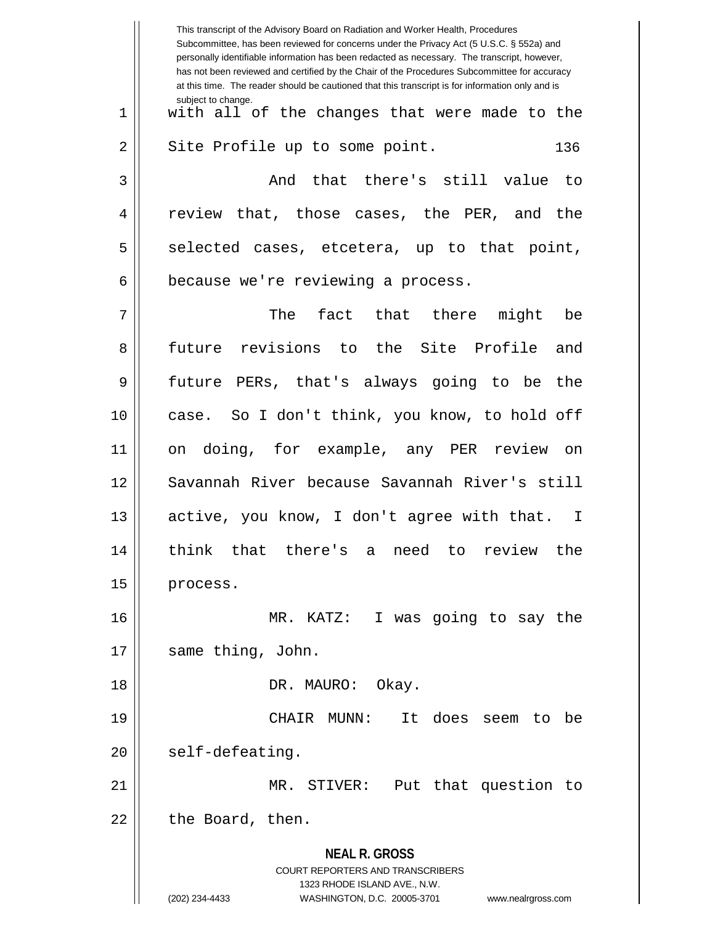|                | This transcript of the Advisory Board on Radiation and Worker Health, Procedures<br>Subcommittee, has been reviewed for concerns under the Privacy Act (5 U.S.C. § 552a) and<br>personally identifiable information has been redacted as necessary. The transcript, however,<br>has not been reviewed and certified by the Chair of the Procedures Subcommittee for accuracy<br>at this time. The reader should be cautioned that this transcript is for information only and is |
|----------------|----------------------------------------------------------------------------------------------------------------------------------------------------------------------------------------------------------------------------------------------------------------------------------------------------------------------------------------------------------------------------------------------------------------------------------------------------------------------------------|
| $\mathbf 1$    | subject to change.<br>with all of the changes that were made to the                                                                                                                                                                                                                                                                                                                                                                                                              |
| $\overline{2}$ | Site Profile up to some point.<br>136                                                                                                                                                                                                                                                                                                                                                                                                                                            |
| 3              | that there's still value<br>And<br>to                                                                                                                                                                                                                                                                                                                                                                                                                                            |
| 4              | review that, those cases, the PER, and the                                                                                                                                                                                                                                                                                                                                                                                                                                       |
| 5              | selected cases, etcetera, up to that point,                                                                                                                                                                                                                                                                                                                                                                                                                                      |
| 6              | because we're reviewing a process.                                                                                                                                                                                                                                                                                                                                                                                                                                               |
| 7              | The<br>fact that there<br>might<br>be                                                                                                                                                                                                                                                                                                                                                                                                                                            |
| 8              | future revisions to the Site Profile and                                                                                                                                                                                                                                                                                                                                                                                                                                         |
| 9              | future PERs, that's always going to be<br>the                                                                                                                                                                                                                                                                                                                                                                                                                                    |
| 10             | case. So I don't think, you know, to hold off                                                                                                                                                                                                                                                                                                                                                                                                                                    |
| 11             | on doing, for example, any PER review on                                                                                                                                                                                                                                                                                                                                                                                                                                         |
| 12             | Savannah River because Savannah River's still                                                                                                                                                                                                                                                                                                                                                                                                                                    |
| 13             | active, you know, I don't agree with that.<br>I.                                                                                                                                                                                                                                                                                                                                                                                                                                 |
| 14             | there's a need<br>that<br>think<br>to<br>review<br>the                                                                                                                                                                                                                                                                                                                                                                                                                           |
| 15             | process.                                                                                                                                                                                                                                                                                                                                                                                                                                                                         |
| 16             | I was going to say the<br>MR. KATZ:                                                                                                                                                                                                                                                                                                                                                                                                                                              |
| 17             | same thing, John.                                                                                                                                                                                                                                                                                                                                                                                                                                                                |
| 18             | DR. MAURO: Okay.                                                                                                                                                                                                                                                                                                                                                                                                                                                                 |
| 19             | CHAIR MUNN:<br>It does<br>seem<br>to<br>be                                                                                                                                                                                                                                                                                                                                                                                                                                       |
| 20             | self-defeating.                                                                                                                                                                                                                                                                                                                                                                                                                                                                  |
| 21             | MR. STIVER: Put that question to                                                                                                                                                                                                                                                                                                                                                                                                                                                 |
| 22             | the Board, then.                                                                                                                                                                                                                                                                                                                                                                                                                                                                 |
|                | <b>NEAL R. GROSS</b><br>COURT REPORTERS AND TRANSCRIBERS<br>1323 RHODE ISLAND AVE., N.W.<br>(202) 234-4433<br>WASHINGTON, D.C. 20005-3701<br>www.nealrgross.com                                                                                                                                                                                                                                                                                                                  |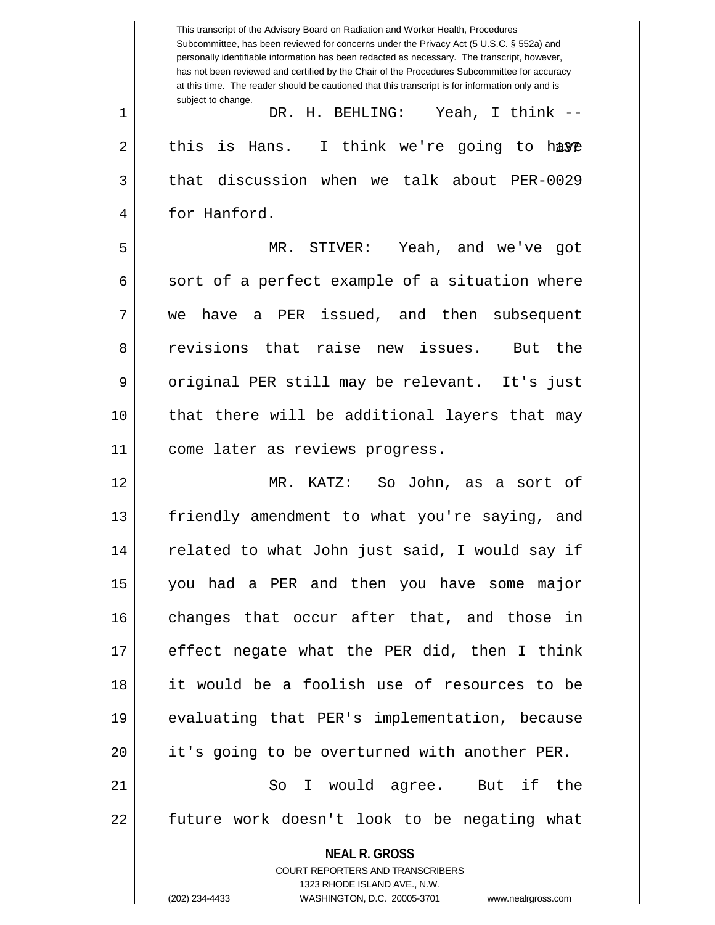**NEAL R. GROSS** COURT REPORTERS AND TRANSCRIBERS 1323 RHODE ISLAND AVE., N.W. (202) 234-4433 WASHINGTON, D.C. 20005-3701 www.nealrgross.com This transcript of the Advisory Board on Radiation and Worker Health, Procedures Subcommittee, has been reviewed for concerns under the Privacy Act (5 U.S.C. § 552a) and personally identifiable information has been redacted as necessary. The transcript, however, has not been reviewed and certified by the Chair of the Procedures Subcommittee for accuracy at this time. The reader should be cautioned that this transcript is for information only and is subject to change. 2 || this is Hans. I think we're going to hæye 1 DR. H. BEHLING: Yeah, I think -- 3 that discussion when we talk about PER-0029 4 | for Hanford. 5 MR. STIVER: Yeah, and we've got  $6 \parallel$  sort of a perfect example of a situation where 7 we have a PER issued, and then subsequent 8 and revisions that raise new issues. But the 9 || original PER still may be relevant. It's just 10 that there will be additional layers that may 11 || come later as reviews progress. 12 MR. KATZ: So John, as a sort of 13 || friendly amendment to what you're saying, and 14 || related to what John just said, I would say if 15 you had a PER and then you have some major 16 changes that occur after that, and those in 17 effect negate what the PER did, then I think 18 it would be a foolish use of resources to be 19 evaluating that PER's implementation, because 20 | it's going to be overturned with another PER. 21 || So I would agree. But if the 22 || future work doesn't look to be negating what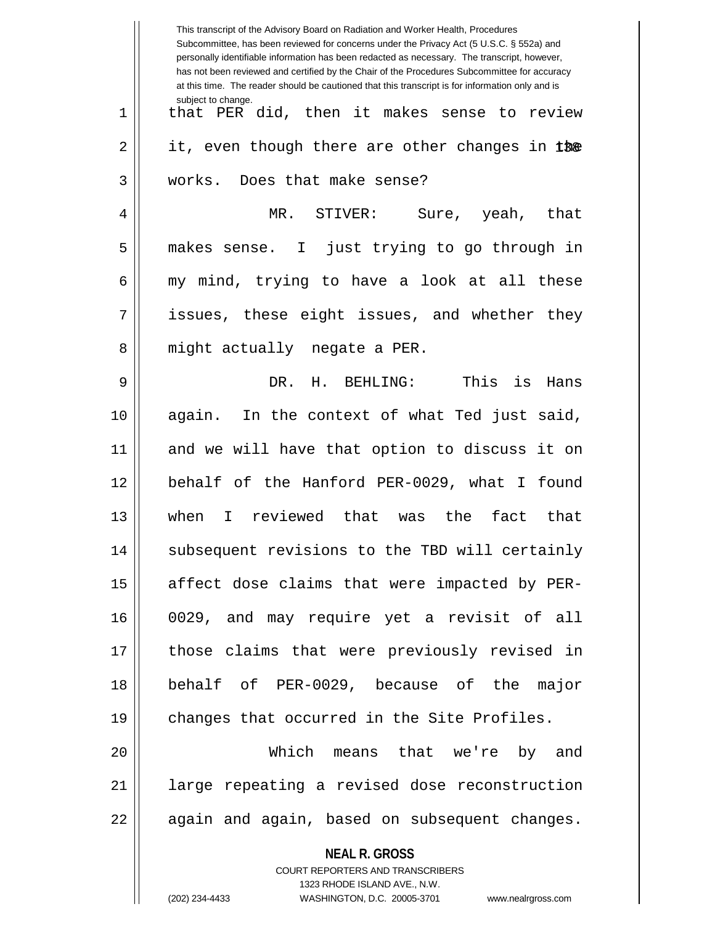|    | This transcript of the Advisory Board on Radiation and Worker Health, Procedures<br>Subcommittee, has been reviewed for concerns under the Privacy Act (5 U.S.C. § 552a) and<br>personally identifiable information has been redacted as necessary. The transcript, however,<br>has not been reviewed and certified by the Chair of the Procedures Subcommittee for accuracy<br>at this time. The reader should be cautioned that this transcript is for information only and is |
|----|----------------------------------------------------------------------------------------------------------------------------------------------------------------------------------------------------------------------------------------------------------------------------------------------------------------------------------------------------------------------------------------------------------------------------------------------------------------------------------|
| 1  | subject to change.<br>that PER did, then it makes sense to review                                                                                                                                                                                                                                                                                                                                                                                                                |
| 2  | it, even though there are other changes in the                                                                                                                                                                                                                                                                                                                                                                                                                                   |
| 3  | works. Does that make sense?                                                                                                                                                                                                                                                                                                                                                                                                                                                     |
| 4  | MR. STIVER:<br>Sure, yeah, that                                                                                                                                                                                                                                                                                                                                                                                                                                                  |
| 5  | makes sense. I just trying to go through in                                                                                                                                                                                                                                                                                                                                                                                                                                      |
| 6  | my mind, trying to have a look at all these                                                                                                                                                                                                                                                                                                                                                                                                                                      |
| 7  | issues, these eight issues, and whether they                                                                                                                                                                                                                                                                                                                                                                                                                                     |
| 8  | might actually negate a PER.                                                                                                                                                                                                                                                                                                                                                                                                                                                     |
| 9  | This<br>H. BEHLING:<br>is<br>DR.<br>Hans                                                                                                                                                                                                                                                                                                                                                                                                                                         |
| 10 | again. In the context of what Ted just said,                                                                                                                                                                                                                                                                                                                                                                                                                                     |
| 11 | and we will have that option to discuss it on                                                                                                                                                                                                                                                                                                                                                                                                                                    |
| 12 | behalf of the Hanford PER-0029, what I found                                                                                                                                                                                                                                                                                                                                                                                                                                     |
| 13 | I reviewed that was<br>fact<br>when<br>the<br>that                                                                                                                                                                                                                                                                                                                                                                                                                               |
| 14 | subsequent revisions to the TBD will certainly                                                                                                                                                                                                                                                                                                                                                                                                                                   |
| 15 | affect dose claims that were impacted by PER-                                                                                                                                                                                                                                                                                                                                                                                                                                    |
| 16 | 0029, and may require yet a revisit of all                                                                                                                                                                                                                                                                                                                                                                                                                                       |
| 17 | those claims that were previously revised in                                                                                                                                                                                                                                                                                                                                                                                                                                     |
| 18 | behalf of PER-0029, because of the major                                                                                                                                                                                                                                                                                                                                                                                                                                         |
| 19 | changes that occurred in the Site Profiles.                                                                                                                                                                                                                                                                                                                                                                                                                                      |
| 20 | Which means that we're by and                                                                                                                                                                                                                                                                                                                                                                                                                                                    |
| 21 | large repeating a revised dose reconstruction                                                                                                                                                                                                                                                                                                                                                                                                                                    |
| 22 | again and again, based on subsequent changes.                                                                                                                                                                                                                                                                                                                                                                                                                                    |
|    | <b>NEAL R. GROSS</b><br><b>COURT REPORTERS AND TRANSCRIBERS</b><br>1323 RHODE ISLAND AVE., N.W.<br>(202) 234-4433<br>WASHINGTON, D.C. 20005-3701<br>www.nealrgross.com                                                                                                                                                                                                                                                                                                           |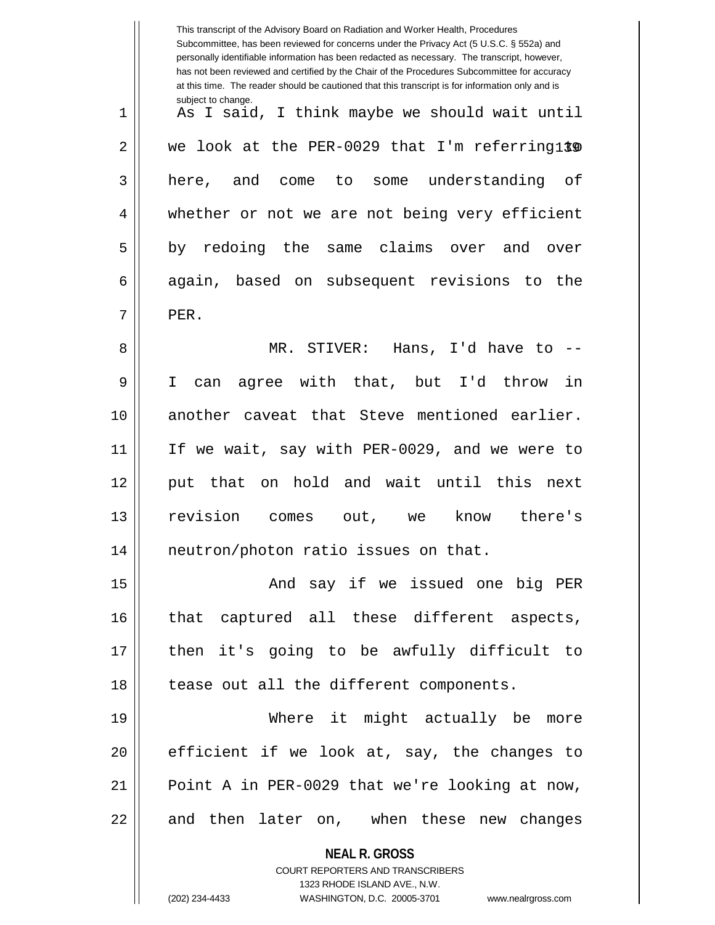|    | This transcript of the Advisory Board on Radiation and Worker Health, Procedures<br>Subcommittee, has been reviewed for concerns under the Privacy Act (5 U.S.C. § 552a) and<br>personally identifiable information has been redacted as necessary. The transcript, however,<br>has not been reviewed and certified by the Chair of the Procedures Subcommittee for accuracy<br>at this time. The reader should be cautioned that this transcript is for information only and is |
|----|----------------------------------------------------------------------------------------------------------------------------------------------------------------------------------------------------------------------------------------------------------------------------------------------------------------------------------------------------------------------------------------------------------------------------------------------------------------------------------|
| 1  | subject to change.<br>As I said, I think maybe we should wait until                                                                                                                                                                                                                                                                                                                                                                                                              |
| 2  | we look at the PER-0029 that I'm referring1\$0                                                                                                                                                                                                                                                                                                                                                                                                                                   |
| 3  | some understanding of<br>here, and<br>come<br>to                                                                                                                                                                                                                                                                                                                                                                                                                                 |
| 4  | whether or not we are not being very efficient                                                                                                                                                                                                                                                                                                                                                                                                                                   |
| 5  | by redoing the<br>same claims over<br>and<br>over                                                                                                                                                                                                                                                                                                                                                                                                                                |
| 6  | again, based on subsequent revisions to the                                                                                                                                                                                                                                                                                                                                                                                                                                      |
| 7  | PER.                                                                                                                                                                                                                                                                                                                                                                                                                                                                             |
| 8  | MR. STIVER:<br>Hans, I'd have to $-$ -                                                                                                                                                                                                                                                                                                                                                                                                                                           |
| 9  | agree with that, but I'd<br>in<br>throw<br>I<br>can                                                                                                                                                                                                                                                                                                                                                                                                                              |
| 10 | another caveat that Steve mentioned earlier.                                                                                                                                                                                                                                                                                                                                                                                                                                     |
| 11 | If we wait, say with PER-0029, and we were to                                                                                                                                                                                                                                                                                                                                                                                                                                    |
| 12 | put that on hold and wait until this<br>next                                                                                                                                                                                                                                                                                                                                                                                                                                     |
| 13 | revision<br>there's<br>know<br>out,<br>comes<br>we                                                                                                                                                                                                                                                                                                                                                                                                                               |
| 14 | neutron/photon ratio issues on that.                                                                                                                                                                                                                                                                                                                                                                                                                                             |
| 15 | And say if we issued one big PER                                                                                                                                                                                                                                                                                                                                                                                                                                                 |
| 16 | that captured all these different aspects,                                                                                                                                                                                                                                                                                                                                                                                                                                       |
| 17 | then it's going to be awfully difficult to                                                                                                                                                                                                                                                                                                                                                                                                                                       |
| 18 | tease out all the different components.                                                                                                                                                                                                                                                                                                                                                                                                                                          |
| 19 | Where it might actually be<br>more                                                                                                                                                                                                                                                                                                                                                                                                                                               |
| 20 | efficient if we look at, say, the changes to                                                                                                                                                                                                                                                                                                                                                                                                                                     |
| 21 | Point A in PER-0029 that we're looking at now,                                                                                                                                                                                                                                                                                                                                                                                                                                   |
| 22 | and then later on, when these new changes                                                                                                                                                                                                                                                                                                                                                                                                                                        |
|    | <b>NEAL R. GROSS</b>                                                                                                                                                                                                                                                                                                                                                                                                                                                             |
|    | <b>COURT REPORTERS AND TRANSCRIBERS</b>                                                                                                                                                                                                                                                                                                                                                                                                                                          |
|    | 1323 RHODE ISLAND AVE., N.W.<br>(202) 234-4433<br>WASHINGTON, D.C. 20005-3701<br>www.nealrgross.com                                                                                                                                                                                                                                                                                                                                                                              |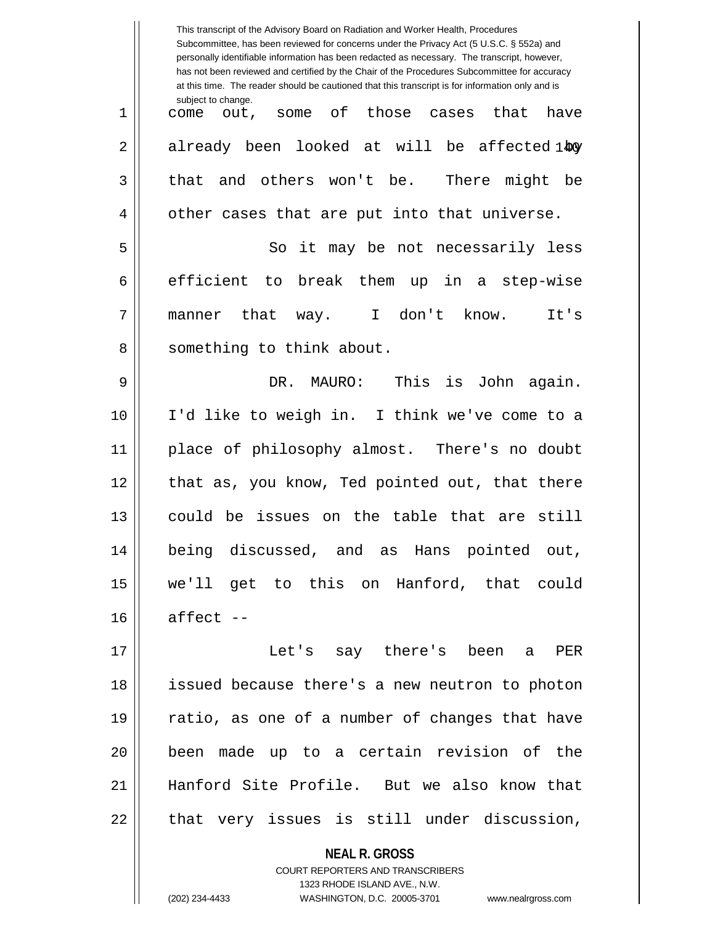|    | This transcript of the Advisory Board on Radiation and Worker Health, Procedures<br>Subcommittee, has been reviewed for concerns under the Privacy Act (5 U.S.C. § 552a) and<br>personally identifiable information has been redacted as necessary. The transcript, however,<br>has not been reviewed and certified by the Chair of the Procedures Subcommittee for accuracy<br>at this time. The reader should be cautioned that this transcript is for information only and is |
|----|----------------------------------------------------------------------------------------------------------------------------------------------------------------------------------------------------------------------------------------------------------------------------------------------------------------------------------------------------------------------------------------------------------------------------------------------------------------------------------|
| 1  | subject to change.<br>of those cases<br>that<br>have<br>come out,<br>some                                                                                                                                                                                                                                                                                                                                                                                                        |
| 2  | already been looked at will be affected 140                                                                                                                                                                                                                                                                                                                                                                                                                                      |
| 3  | and others won't be.<br>There might be<br>that                                                                                                                                                                                                                                                                                                                                                                                                                                   |
| 4  | other cases that are put into that universe.                                                                                                                                                                                                                                                                                                                                                                                                                                     |
| 5  | So it may be not necessarily less                                                                                                                                                                                                                                                                                                                                                                                                                                                |
| 6  | efficient to break them up in a step-wise                                                                                                                                                                                                                                                                                                                                                                                                                                        |
| 7  | manner that<br>way. I don't know.<br>It's                                                                                                                                                                                                                                                                                                                                                                                                                                        |
| 8  | something to think about.                                                                                                                                                                                                                                                                                                                                                                                                                                                        |
| 9  | This<br>DR.<br>MAURO:<br>is<br>John again.                                                                                                                                                                                                                                                                                                                                                                                                                                       |
| 10 | I'd like to weigh in. I think we've come to a                                                                                                                                                                                                                                                                                                                                                                                                                                    |
| 11 | place of philosophy almost. There's no doubt                                                                                                                                                                                                                                                                                                                                                                                                                                     |
| 12 | that as, you know, Ted pointed out, that there                                                                                                                                                                                                                                                                                                                                                                                                                                   |
| 13 | could be issues on the table that are still                                                                                                                                                                                                                                                                                                                                                                                                                                      |
| 14 | being discussed, and as Hans pointed out,                                                                                                                                                                                                                                                                                                                                                                                                                                        |
| 15 | we'll get to this on Hanford, that could                                                                                                                                                                                                                                                                                                                                                                                                                                         |
| 16 | affect --                                                                                                                                                                                                                                                                                                                                                                                                                                                                        |
| 17 | Let's say there's been a<br>PER                                                                                                                                                                                                                                                                                                                                                                                                                                                  |
| 18 | issued because there's a new neutron to photon                                                                                                                                                                                                                                                                                                                                                                                                                                   |
| 19 | ratio, as one of a number of changes that have                                                                                                                                                                                                                                                                                                                                                                                                                                   |
| 20 | been made up to a certain revision of the                                                                                                                                                                                                                                                                                                                                                                                                                                        |
| 21 | Hanford Site Profile. But we also know that                                                                                                                                                                                                                                                                                                                                                                                                                                      |
| 22 | that very issues is still under discussion,                                                                                                                                                                                                                                                                                                                                                                                                                                      |
|    | <b>NEAL R. GROSS</b><br>COURT REPORTERS AND TRANSCRIBERS                                                                                                                                                                                                                                                                                                                                                                                                                         |

1323 RHODE ISLAND AVE., N.W.

 $\prod$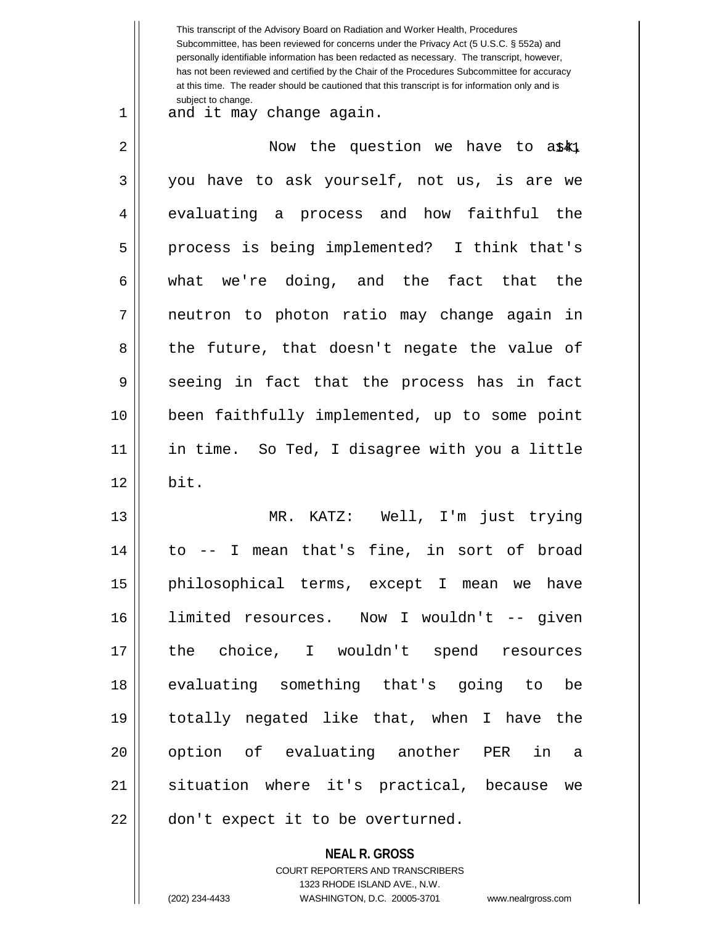|    | This transcript of the Advisory Board on Radiation and Worker Health, Procedures<br>Subcommittee, has been reviewed for concerns under the Privacy Act (5 U.S.C. § 552a) and<br>personally identifiable information has been redacted as necessary. The transcript, however,<br>has not been reviewed and certified by the Chair of the Procedures Subcommittee for accuracy<br>at this time. The reader should be cautioned that this transcript is for information only and is<br>subject to change. |
|----|--------------------------------------------------------------------------------------------------------------------------------------------------------------------------------------------------------------------------------------------------------------------------------------------------------------------------------------------------------------------------------------------------------------------------------------------------------------------------------------------------------|
| 1  | and it may change again.                                                                                                                                                                                                                                                                                                                                                                                                                                                                               |
| 2  | Now the question we have to a\$k1                                                                                                                                                                                                                                                                                                                                                                                                                                                                      |
| 3  | you have to ask yourself, not us, is are we                                                                                                                                                                                                                                                                                                                                                                                                                                                            |
| 4  | evaluating a process and how faithful<br>the                                                                                                                                                                                                                                                                                                                                                                                                                                                           |
| 5  | process is being implemented? I think that's                                                                                                                                                                                                                                                                                                                                                                                                                                                           |
| 6  | what we're doing, and the fact that the                                                                                                                                                                                                                                                                                                                                                                                                                                                                |
| 7  | neutron to photon ratio may change again in                                                                                                                                                                                                                                                                                                                                                                                                                                                            |
| 8  | the future, that doesn't negate the value of                                                                                                                                                                                                                                                                                                                                                                                                                                                           |
| 9  | seeing in fact that the process has in fact                                                                                                                                                                                                                                                                                                                                                                                                                                                            |
| 10 | been faithfully implemented, up to some point                                                                                                                                                                                                                                                                                                                                                                                                                                                          |
| 11 | in time. So Ted, I disagree with you a little                                                                                                                                                                                                                                                                                                                                                                                                                                                          |
| 12 | bit.                                                                                                                                                                                                                                                                                                                                                                                                                                                                                                   |
| 13 | MR. KATZ: Well, I'm just trying                                                                                                                                                                                                                                                                                                                                                                                                                                                                        |
| 14 | to -- I mean that's fine, in sort of broad                                                                                                                                                                                                                                                                                                                                                                                                                                                             |
| 15 | philosophical terms, except I mean we have                                                                                                                                                                                                                                                                                                                                                                                                                                                             |
| 16 | limited resources. Now I wouldn't -- given                                                                                                                                                                                                                                                                                                                                                                                                                                                             |
| 17 | the choice, I wouldn't spend resources                                                                                                                                                                                                                                                                                                                                                                                                                                                                 |
| 18 | evaluating something that's going to be                                                                                                                                                                                                                                                                                                                                                                                                                                                                |
| 19 | totally negated like that, when I have the                                                                                                                                                                                                                                                                                                                                                                                                                                                             |
| 20 | option of evaluating another PER in a                                                                                                                                                                                                                                                                                                                                                                                                                                                                  |
| 21 | situation where it's practical, because we                                                                                                                                                                                                                                                                                                                                                                                                                                                             |
| 22 | don't expect it to be overturned.                                                                                                                                                                                                                                                                                                                                                                                                                                                                      |

**NEAL R. GROSS** COURT REPORTERS AND TRANSCRIBERS 1323 RHODE ISLAND AVE., N.W.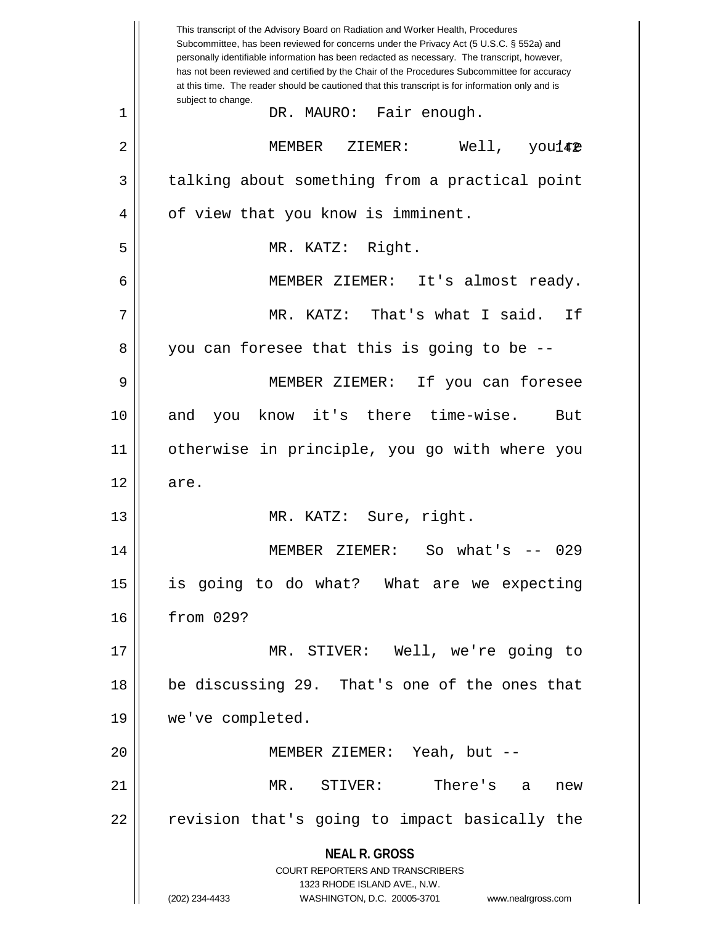|             | This transcript of the Advisory Board on Radiation and Worker Health, Procedures<br>Subcommittee, has been reviewed for concerns under the Privacy Act (5 U.S.C. § 552a) and<br>personally identifiable information has been redacted as necessary. The transcript, however,<br>has not been reviewed and certified by the Chair of the Procedures Subcommittee for accuracy<br>at this time. The reader should be cautioned that this transcript is for information only and is |
|-------------|----------------------------------------------------------------------------------------------------------------------------------------------------------------------------------------------------------------------------------------------------------------------------------------------------------------------------------------------------------------------------------------------------------------------------------------------------------------------------------|
| $\mathbf 1$ | subject to change.<br>DR. MAURO: Fair enough.                                                                                                                                                                                                                                                                                                                                                                                                                                    |
| 2           | MEMBER ZIEMER: Well, you142                                                                                                                                                                                                                                                                                                                                                                                                                                                      |
| 3           | talking about something from a practical point                                                                                                                                                                                                                                                                                                                                                                                                                                   |
| 4           | of view that you know is imminent.                                                                                                                                                                                                                                                                                                                                                                                                                                               |
| 5           | MR. KATZ: Right.                                                                                                                                                                                                                                                                                                                                                                                                                                                                 |
| 6           | MEMBER ZIEMER: It's almost ready.                                                                                                                                                                                                                                                                                                                                                                                                                                                |
| 7           | MR. KATZ: That's what I said.<br>If                                                                                                                                                                                                                                                                                                                                                                                                                                              |
| 8           | you can foresee that this is going to be --                                                                                                                                                                                                                                                                                                                                                                                                                                      |
| 9           | MEMBER ZIEMER: If you can foresee                                                                                                                                                                                                                                                                                                                                                                                                                                                |
| 10          | know it's there time-wise.<br>and<br>But<br>you                                                                                                                                                                                                                                                                                                                                                                                                                                  |
| 11          | otherwise in principle, you go with where you                                                                                                                                                                                                                                                                                                                                                                                                                                    |
| 12          | are.                                                                                                                                                                                                                                                                                                                                                                                                                                                                             |
| 13          | MR. KATZ: Sure, right.                                                                                                                                                                                                                                                                                                                                                                                                                                                           |
| 14          | MEMBER ZIEMER: So what's -- 029                                                                                                                                                                                                                                                                                                                                                                                                                                                  |
| 15          | is going to do what? What are we expecting                                                                                                                                                                                                                                                                                                                                                                                                                                       |
| 16          | from 029?                                                                                                                                                                                                                                                                                                                                                                                                                                                                        |
| 17          | MR. STIVER: Well, we're going to                                                                                                                                                                                                                                                                                                                                                                                                                                                 |
| 18          | be discussing 29. That's one of the ones that                                                                                                                                                                                                                                                                                                                                                                                                                                    |
| 19          | we've completed.                                                                                                                                                                                                                                                                                                                                                                                                                                                                 |
| 20          | MEMBER ZIEMER: Yeah, but --                                                                                                                                                                                                                                                                                                                                                                                                                                                      |
| 21          | There's a<br>MR. STIVER:<br>new                                                                                                                                                                                                                                                                                                                                                                                                                                                  |
| 22          | revision that's going to impact basically the                                                                                                                                                                                                                                                                                                                                                                                                                                    |
|             | <b>NEAL R. GROSS</b>                                                                                                                                                                                                                                                                                                                                                                                                                                                             |
|             | <b>COURT REPORTERS AND TRANSCRIBERS</b><br>1323 RHODE ISLAND AVE., N.W.                                                                                                                                                                                                                                                                                                                                                                                                          |
|             | (202) 234-4433<br>WASHINGTON, D.C. 20005-3701<br>www.nealrgross.com                                                                                                                                                                                                                                                                                                                                                                                                              |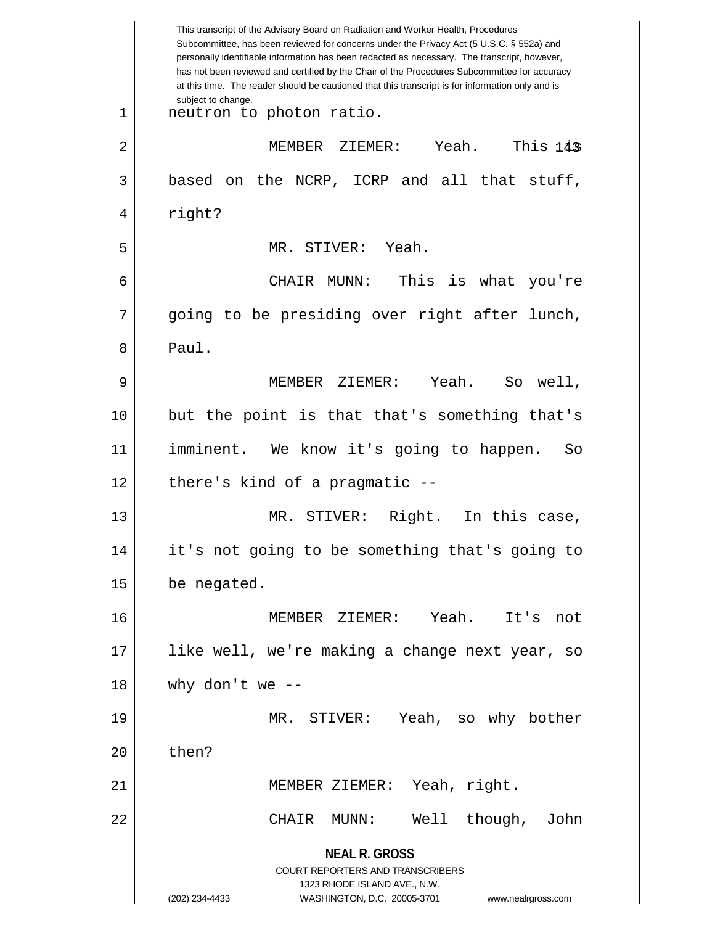|    | This transcript of the Advisory Board on Radiation and Worker Health, Procedures<br>Subcommittee, has been reviewed for concerns under the Privacy Act (5 U.S.C. § 552a) and<br>personally identifiable information has been redacted as necessary. The transcript, however,<br>has not been reviewed and certified by the Chair of the Procedures Subcommittee for accuracy<br>at this time. The reader should be cautioned that this transcript is for information only and is |
|----|----------------------------------------------------------------------------------------------------------------------------------------------------------------------------------------------------------------------------------------------------------------------------------------------------------------------------------------------------------------------------------------------------------------------------------------------------------------------------------|
| 1  | subject to change.<br>neutron to photon ratio.                                                                                                                                                                                                                                                                                                                                                                                                                                   |
| 2  | This 14\$<br>Yeah.<br>MEMBER ZIEMER:                                                                                                                                                                                                                                                                                                                                                                                                                                             |
| 3  | based on the NCRP, ICRP and all that stuff,                                                                                                                                                                                                                                                                                                                                                                                                                                      |
| 4  | right?                                                                                                                                                                                                                                                                                                                                                                                                                                                                           |
| 5  | MR. STIVER: Yeah.                                                                                                                                                                                                                                                                                                                                                                                                                                                                |
| 6  | This is what you're<br>CHAIR MUNN:                                                                                                                                                                                                                                                                                                                                                                                                                                               |
| 7  | going to be presiding over right after lunch,                                                                                                                                                                                                                                                                                                                                                                                                                                    |
| 8  | Paul.                                                                                                                                                                                                                                                                                                                                                                                                                                                                            |
| 9  | Yeah.<br>MEMBER ZIEMER:<br>So well,                                                                                                                                                                                                                                                                                                                                                                                                                                              |
| 10 | but the point is that that's something that's                                                                                                                                                                                                                                                                                                                                                                                                                                    |
| 11 | imminent. We know it's going to happen.<br>So                                                                                                                                                                                                                                                                                                                                                                                                                                    |
| 12 | there's kind of a pragmatic --                                                                                                                                                                                                                                                                                                                                                                                                                                                   |
| 13 | Right. In this case,<br>MR. STIVER:                                                                                                                                                                                                                                                                                                                                                                                                                                              |
| 14 | it's not going to be something that's going to                                                                                                                                                                                                                                                                                                                                                                                                                                   |
| 15 | be negated.                                                                                                                                                                                                                                                                                                                                                                                                                                                                      |
| 16 | MEMBER ZIEMER: Yeah.<br>It's<br>not                                                                                                                                                                                                                                                                                                                                                                                                                                              |
| 17 | like well, we're making a change next year, so                                                                                                                                                                                                                                                                                                                                                                                                                                   |
| 18 | why don't we $-$                                                                                                                                                                                                                                                                                                                                                                                                                                                                 |
| 19 | MR. STIVER: Yeah, so why bother                                                                                                                                                                                                                                                                                                                                                                                                                                                  |
| 20 | then?                                                                                                                                                                                                                                                                                                                                                                                                                                                                            |
| 21 | MEMBER ZIEMER: Yeah, right.                                                                                                                                                                                                                                                                                                                                                                                                                                                      |
| 22 | CHAIR MUNN: Well though,<br>John                                                                                                                                                                                                                                                                                                                                                                                                                                                 |
|    | <b>NEAL R. GROSS</b>                                                                                                                                                                                                                                                                                                                                                                                                                                                             |
|    | COURT REPORTERS AND TRANSCRIBERS                                                                                                                                                                                                                                                                                                                                                                                                                                                 |
|    | 1323 RHODE ISLAND AVE., N.W.<br>WASHINGTON, D.C. 20005-3701<br>(202) 234-4433<br>www.nealrgross.com                                                                                                                                                                                                                                                                                                                                                                              |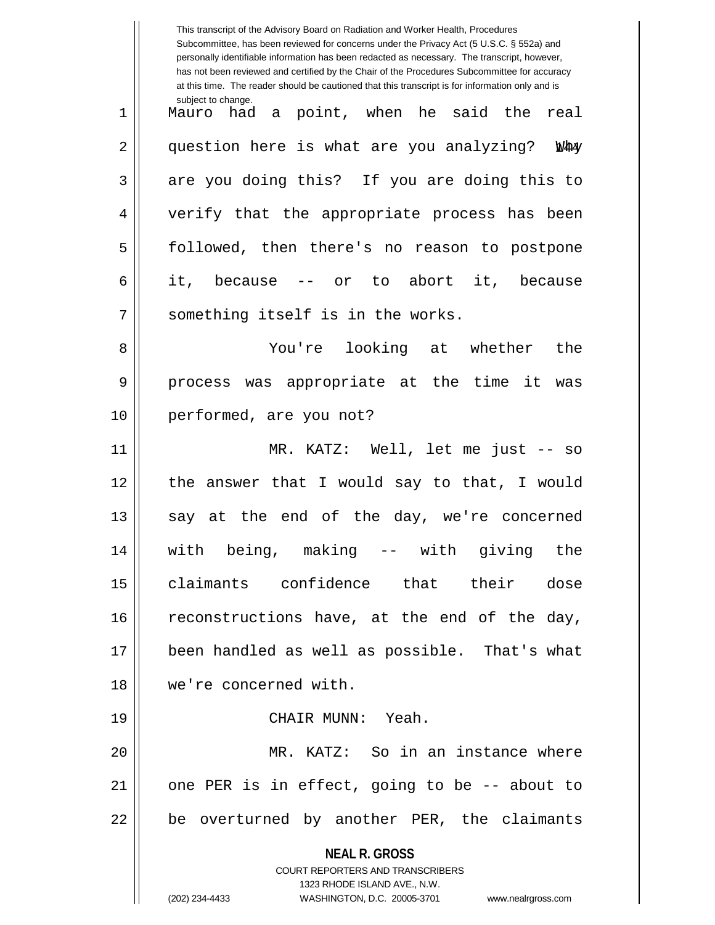|    | This transcript of the Advisory Board on Radiation and Worker Health, Procedures<br>Subcommittee, has been reviewed for concerns under the Privacy Act (5 U.S.C. § 552a) and<br>personally identifiable information has been redacted as necessary. The transcript, however,<br>has not been reviewed and certified by the Chair of the Procedures Subcommittee for accuracy<br>at this time. The reader should be cautioned that this transcript is for information only and is |
|----|----------------------------------------------------------------------------------------------------------------------------------------------------------------------------------------------------------------------------------------------------------------------------------------------------------------------------------------------------------------------------------------------------------------------------------------------------------------------------------|
| 1  | subject to change.<br>Mauro had a point, when he said the<br>real                                                                                                                                                                                                                                                                                                                                                                                                                |
| 2  | question here is what are you analyzing?<br><b>Nha</b>                                                                                                                                                                                                                                                                                                                                                                                                                           |
| 3  | are you doing this? If you are doing this to                                                                                                                                                                                                                                                                                                                                                                                                                                     |
| 4  | verify that the appropriate process has been                                                                                                                                                                                                                                                                                                                                                                                                                                     |
| 5  | followed, then there's no reason to postpone                                                                                                                                                                                                                                                                                                                                                                                                                                     |
| 6  | -- or to abort it, because<br>it, because                                                                                                                                                                                                                                                                                                                                                                                                                                        |
| 7  | something itself is in the works.                                                                                                                                                                                                                                                                                                                                                                                                                                                |
| 8  | You're looking at whether<br>the                                                                                                                                                                                                                                                                                                                                                                                                                                                 |
| 9  | process was appropriate at the time it<br>was                                                                                                                                                                                                                                                                                                                                                                                                                                    |
| 10 | performed, are you not?                                                                                                                                                                                                                                                                                                                                                                                                                                                          |
| 11 | MR. KATZ: Well, let me just -- so                                                                                                                                                                                                                                                                                                                                                                                                                                                |
| 12 | answer that I would say to that, I would<br>the                                                                                                                                                                                                                                                                                                                                                                                                                                  |
| 13 | say at the end of the day, we're concerned                                                                                                                                                                                                                                                                                                                                                                                                                                       |
| 14 | with being, making -- with giving the                                                                                                                                                                                                                                                                                                                                                                                                                                            |
| 15 | claimants confidence that their dose                                                                                                                                                                                                                                                                                                                                                                                                                                             |
| 16 | reconstructions have, at the end of the day,                                                                                                                                                                                                                                                                                                                                                                                                                                     |
| 17 | been handled as well as possible. That's what                                                                                                                                                                                                                                                                                                                                                                                                                                    |
| 18 | we're concerned with.                                                                                                                                                                                                                                                                                                                                                                                                                                                            |
| 19 | CHAIR MUNN: Yeah.                                                                                                                                                                                                                                                                                                                                                                                                                                                                |
| 20 | MR. KATZ: So in an instance where                                                                                                                                                                                                                                                                                                                                                                                                                                                |
| 21 | one PER is in effect, going to be -- about to                                                                                                                                                                                                                                                                                                                                                                                                                                    |
| 22 | be overturned by another PER, the claimants                                                                                                                                                                                                                                                                                                                                                                                                                                      |
|    | <b>NEAL R. GROSS</b>                                                                                                                                                                                                                                                                                                                                                                                                                                                             |
|    | COURT REPORTERS AND TRANSCRIBERS<br>1323 RHODE ISLAND AVE., N.W.                                                                                                                                                                                                                                                                                                                                                                                                                 |
|    | (202) 234-4433<br>WASHINGTON, D.C. 20005-3701<br>www.nealrgross.com                                                                                                                                                                                                                                                                                                                                                                                                              |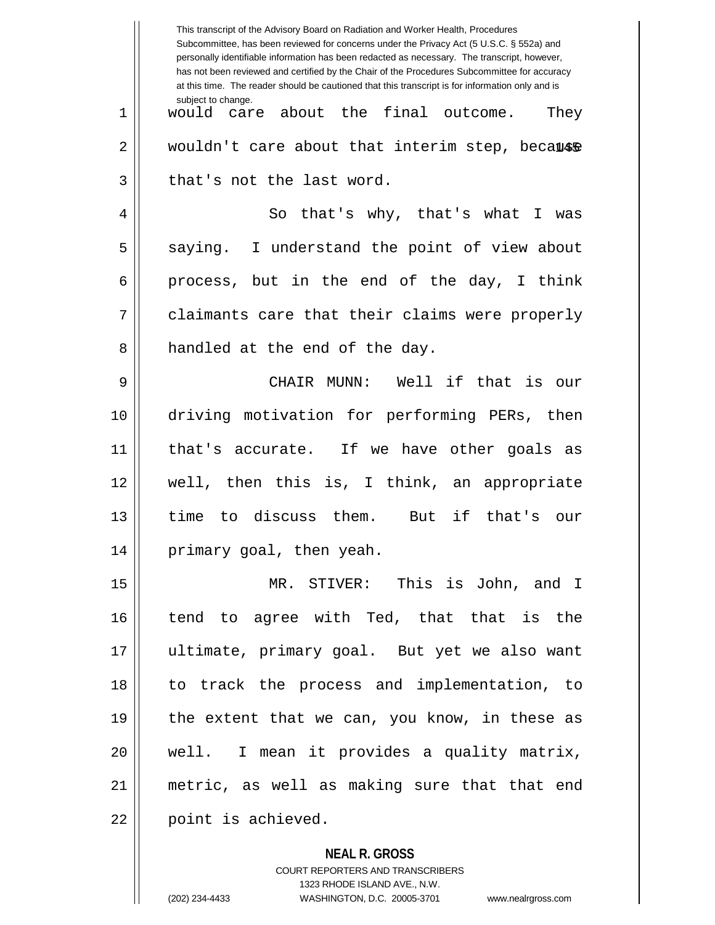|    | This transcript of the Advisory Board on Radiation and Worker Health, Procedures<br>Subcommittee, has been reviewed for concerns under the Privacy Act (5 U.S.C. § 552a) and<br>personally identifiable information has been redacted as necessary. The transcript, however,<br>has not been reviewed and certified by the Chair of the Procedures Subcommittee for accuracy<br>at this time. The reader should be cautioned that this transcript is for information only and is |
|----|----------------------------------------------------------------------------------------------------------------------------------------------------------------------------------------------------------------------------------------------------------------------------------------------------------------------------------------------------------------------------------------------------------------------------------------------------------------------------------|
| 1  | subject to change.<br>would care about the final outcome.<br>They                                                                                                                                                                                                                                                                                                                                                                                                                |
| 2  | wouldn't care about that interim step, because                                                                                                                                                                                                                                                                                                                                                                                                                                   |
| 3  | that's not the last word.                                                                                                                                                                                                                                                                                                                                                                                                                                                        |
| 4  | So that's why, that's what<br>I.<br>was                                                                                                                                                                                                                                                                                                                                                                                                                                          |
| 5  | saying. I understand the point of view about                                                                                                                                                                                                                                                                                                                                                                                                                                     |
| 6  | process, but in the end of the day, I think                                                                                                                                                                                                                                                                                                                                                                                                                                      |
| 7  | claimants care that their claims were properly                                                                                                                                                                                                                                                                                                                                                                                                                                   |
| 8  | handled at the end of the day.                                                                                                                                                                                                                                                                                                                                                                                                                                                   |
| 9  | CHAIR MUNN: Well if that is our                                                                                                                                                                                                                                                                                                                                                                                                                                                  |
| 10 | driving motivation for performing PERs, then                                                                                                                                                                                                                                                                                                                                                                                                                                     |
| 11 | that's accurate. If we have other goals as                                                                                                                                                                                                                                                                                                                                                                                                                                       |
| 12 | well, then this is, I think, an appropriate                                                                                                                                                                                                                                                                                                                                                                                                                                      |
| 13 | to discuss them.<br>But if that's our<br>time                                                                                                                                                                                                                                                                                                                                                                                                                                    |
| 14 | primary goal, then yeah.                                                                                                                                                                                                                                                                                                                                                                                                                                                         |
| 15 | MR. STIVER: This is John, and I                                                                                                                                                                                                                                                                                                                                                                                                                                                  |
| 16 | tend to agree with Ted, that that is the                                                                                                                                                                                                                                                                                                                                                                                                                                         |
| 17 | ultimate, primary goal. But yet we also want                                                                                                                                                                                                                                                                                                                                                                                                                                     |
| 18 | to track the process and implementation, to                                                                                                                                                                                                                                                                                                                                                                                                                                      |
| 19 | the extent that we can, you know, in these as                                                                                                                                                                                                                                                                                                                                                                                                                                    |
| 20 | well. I mean it provides a quality matrix,                                                                                                                                                                                                                                                                                                                                                                                                                                       |
| 21 | metric, as well as making sure that that end                                                                                                                                                                                                                                                                                                                                                                                                                                     |
| 22 | point is achieved.                                                                                                                                                                                                                                                                                                                                                                                                                                                               |

**NEAL R. GROSS** COURT REPORTERS AND TRANSCRIBERS 1323 RHODE ISLAND AVE., N.W. (202) 234-4433 WASHINGTON, D.C. 20005-3701 www.nealrgross.com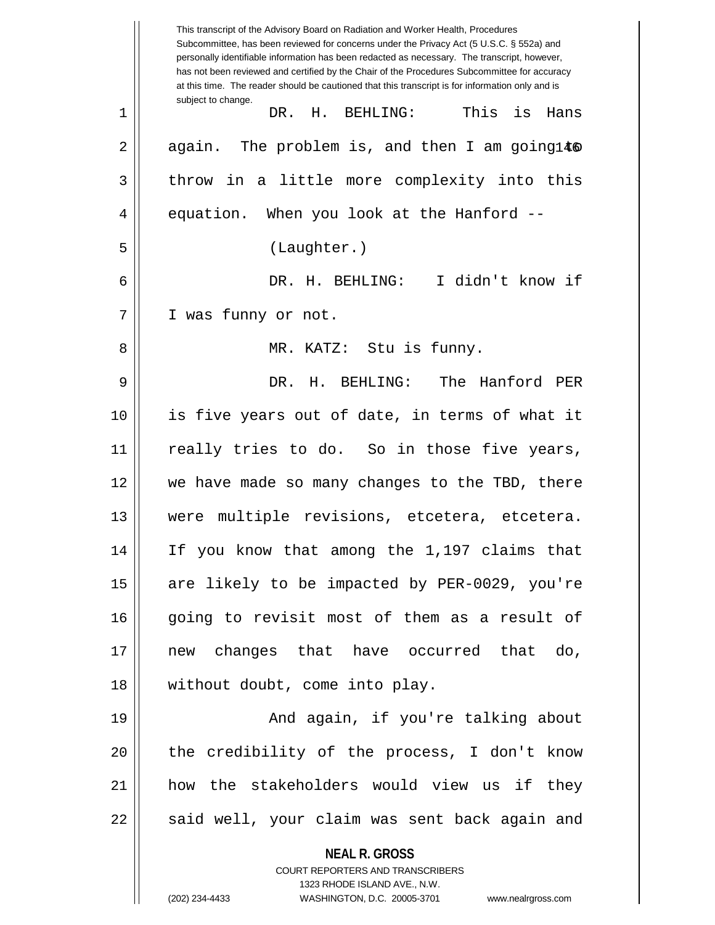|    | This transcript of the Advisory Board on Radiation and Worker Health, Procedures<br>Subcommittee, has been reviewed for concerns under the Privacy Act (5 U.S.C. § 552a) and<br>personally identifiable information has been redacted as necessary. The transcript, however,<br>has not been reviewed and certified by the Chair of the Procedures Subcommittee for accuracy<br>at this time. The reader should be cautioned that this transcript is for information only and is |
|----|----------------------------------------------------------------------------------------------------------------------------------------------------------------------------------------------------------------------------------------------------------------------------------------------------------------------------------------------------------------------------------------------------------------------------------------------------------------------------------|
| 1  | subject to change.<br>This is<br>DR. H. BEHLING:<br>Hans                                                                                                                                                                                                                                                                                                                                                                                                                         |
| 2  | again. The problem is, and then I am going146                                                                                                                                                                                                                                                                                                                                                                                                                                    |
| 3  | throw in a little more complexity into this                                                                                                                                                                                                                                                                                                                                                                                                                                      |
| 4  | equation. When you look at the Hanford --                                                                                                                                                                                                                                                                                                                                                                                                                                        |
| 5  | (Laughter.)                                                                                                                                                                                                                                                                                                                                                                                                                                                                      |
| 6  | DR. H. BEHLING: I didn't know if                                                                                                                                                                                                                                                                                                                                                                                                                                                 |
| 7  | I was funny or not.                                                                                                                                                                                                                                                                                                                                                                                                                                                              |
| 8  | MR. KATZ: Stu is funny.                                                                                                                                                                                                                                                                                                                                                                                                                                                          |
| 9  | DR. H. BEHLING: The Hanford PER                                                                                                                                                                                                                                                                                                                                                                                                                                                  |
| 10 | is five years out of date, in terms of what it                                                                                                                                                                                                                                                                                                                                                                                                                                   |
| 11 | really tries to do. So in those five years,                                                                                                                                                                                                                                                                                                                                                                                                                                      |
| 12 | we have made so many changes to the TBD, there                                                                                                                                                                                                                                                                                                                                                                                                                                   |
| 13 | multiple revisions, etcetera, etcetera.<br>were                                                                                                                                                                                                                                                                                                                                                                                                                                  |
| 14 | If you know that among the 1,197 claims that                                                                                                                                                                                                                                                                                                                                                                                                                                     |
| 15 | are likely to be impacted by PER-0029, you're                                                                                                                                                                                                                                                                                                                                                                                                                                    |
| 16 | going to revisit most of them as a result of                                                                                                                                                                                                                                                                                                                                                                                                                                     |
| 17 | new changes that have occurred that do,                                                                                                                                                                                                                                                                                                                                                                                                                                          |
| 18 | without doubt, come into play.                                                                                                                                                                                                                                                                                                                                                                                                                                                   |
| 19 | And again, if you're talking about                                                                                                                                                                                                                                                                                                                                                                                                                                               |
| 20 | the credibility of the process, I don't know                                                                                                                                                                                                                                                                                                                                                                                                                                     |
| 21 | how the stakeholders would view us if they                                                                                                                                                                                                                                                                                                                                                                                                                                       |
| 22 | said well, your claim was sent back again and                                                                                                                                                                                                                                                                                                                                                                                                                                    |
|    | <b>NEAL R. GROSS</b>                                                                                                                                                                                                                                                                                                                                                                                                                                                             |
|    | COURT REPORTERS AND TRANSCRIBERS<br>1323 RHODE ISLAND AVE., N.W.                                                                                                                                                                                                                                                                                                                                                                                                                 |
|    | (202) 234-4433<br>WASHINGTON, D.C. 20005-3701<br>www.nealrgross.com                                                                                                                                                                                                                                                                                                                                                                                                              |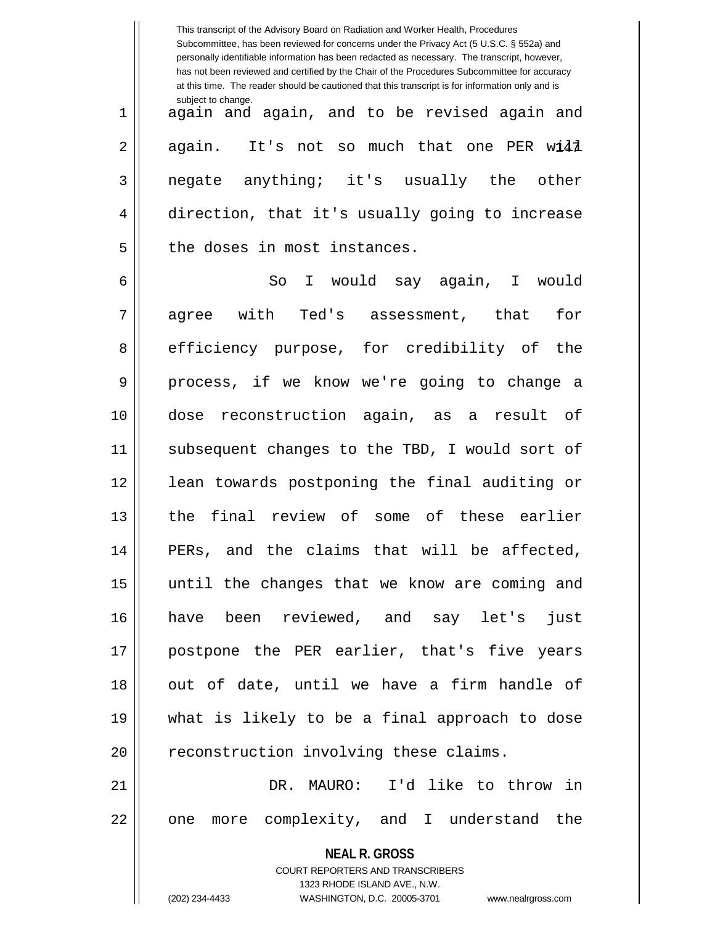|    | This transcript of the Advisory Board on Radiation and Worker Health, Procedures<br>Subcommittee, has been reviewed for concerns under the Privacy Act (5 U.S.C. § 552a) and<br>personally identifiable information has been redacted as necessary. The transcript, however,<br>has not been reviewed and certified by the Chair of the Procedures Subcommittee for accuracy<br>at this time. The reader should be cautioned that this transcript is for information only and is |
|----|----------------------------------------------------------------------------------------------------------------------------------------------------------------------------------------------------------------------------------------------------------------------------------------------------------------------------------------------------------------------------------------------------------------------------------------------------------------------------------|
| 1  | subject to change.<br>again and again, and to be revised again and                                                                                                                                                                                                                                                                                                                                                                                                               |
| 2  | again. It's not so much that one PER wi41                                                                                                                                                                                                                                                                                                                                                                                                                                        |
| 3  | negate anything; it's usually the other                                                                                                                                                                                                                                                                                                                                                                                                                                          |
| 4  | direction, that it's usually going to increase                                                                                                                                                                                                                                                                                                                                                                                                                                   |
| 5  | the doses in most instances.                                                                                                                                                                                                                                                                                                                                                                                                                                                     |
| 6  | So<br>I would say again, I would                                                                                                                                                                                                                                                                                                                                                                                                                                                 |
| 7  | agree with<br>Ted's assessment, that<br>for                                                                                                                                                                                                                                                                                                                                                                                                                                      |
| 8  | efficiency purpose, for credibility of the                                                                                                                                                                                                                                                                                                                                                                                                                                       |
| 9  | process, if we know we're going to change a                                                                                                                                                                                                                                                                                                                                                                                                                                      |
| 10 | dose reconstruction again, as a result of                                                                                                                                                                                                                                                                                                                                                                                                                                        |
| 11 | subsequent changes to the TBD, I would sort of                                                                                                                                                                                                                                                                                                                                                                                                                                   |
| 12 | lean towards postponing the final auditing or                                                                                                                                                                                                                                                                                                                                                                                                                                    |
| 13 | final review of some of these earlier<br>the                                                                                                                                                                                                                                                                                                                                                                                                                                     |
| 14 | PERs, and the claims that will be affected,                                                                                                                                                                                                                                                                                                                                                                                                                                      |
| 15 | until the changes that we know are coming and                                                                                                                                                                                                                                                                                                                                                                                                                                    |
| 16 | have been reviewed, and say let's just                                                                                                                                                                                                                                                                                                                                                                                                                                           |
| 17 | postpone the PER earlier, that's five years                                                                                                                                                                                                                                                                                                                                                                                                                                      |
| 18 | out of date, until we have a firm handle of                                                                                                                                                                                                                                                                                                                                                                                                                                      |
| 19 | what is likely to be a final approach to dose                                                                                                                                                                                                                                                                                                                                                                                                                                    |
| 20 | reconstruction involving these claims.                                                                                                                                                                                                                                                                                                                                                                                                                                           |
| 21 | DR. MAURO: I'd like to throw in                                                                                                                                                                                                                                                                                                                                                                                                                                                  |
| 22 | one more complexity, and I understand the                                                                                                                                                                                                                                                                                                                                                                                                                                        |
|    | <b>NEAL R. GROSS</b>                                                                                                                                                                                                                                                                                                                                                                                                                                                             |
|    | COURT REPORTERS AND TRANSCRIBERS                                                                                                                                                                                                                                                                                                                                                                                                                                                 |
|    | 1323 RHODE ISLAND AVE., N.W.<br>(202) 234-4433<br>WASHINGTON, D.C. 20005-3701<br>www.nealrgross.com                                                                                                                                                                                                                                                                                                                                                                              |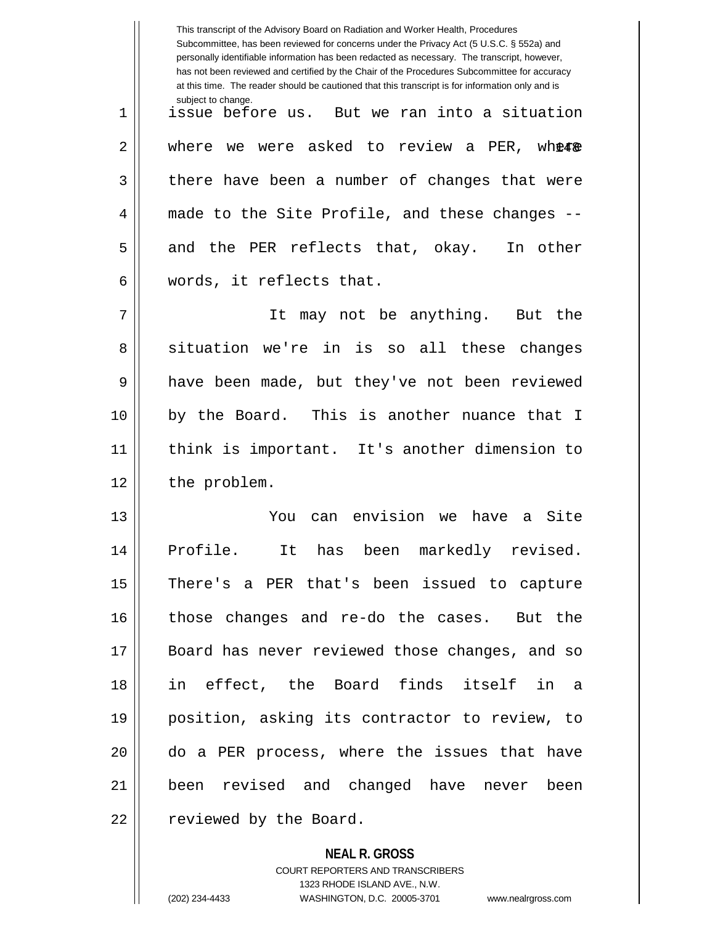This transcript of the Advisory Board on Radiation and Worker Health, Procedures Subcommittee, has been reviewed for concerns under the Privacy Act (5 U.S.C. § 552a) and personally identifiable information has been redacted as necessary. The transcript, however, has not been reviewed and certified by the Chair of the Procedures Subcommittee for accuracy at this time. The reader should be cautioned that this transcript is for information only and is subject to change. 2 || where we were asked to review a PER, wh**ere** 1 issue before us. But we ran into a situation  $3 \parallel$  there have been a number of changes that were 4 made to the Site Profile, and these changes -- $5 \parallel$  and the PER reflects that, okay. In other 6 words, it reflects that. 7 It may not be anything. But the 8 situation we're in is so all these changes 9 || have been made, but they've not been reviewed 10 || by the Board. This is another nuance that I 11 think is important. It's another dimension to 12 | the problem. 13 You can envision we have a Site 14 Profile. It has been markedly revised. 15 There's a PER that's been issued to capture 16 those changes and re-do the cases. But the 17 Board has never reviewed those changes, and so 18 in effect, the Board finds itself in a 19 position, asking its contractor to review, to 20 do a PER process, where the issues that have 21 been revised and changed have never been 22 | reviewed by the Board.

> **NEAL R. GROSS** COURT REPORTERS AND TRANSCRIBERS

1323 RHODE ISLAND AVE., N.W. (202) 234-4433 WASHINGTON, D.C. 20005-3701 www.nealrgross.com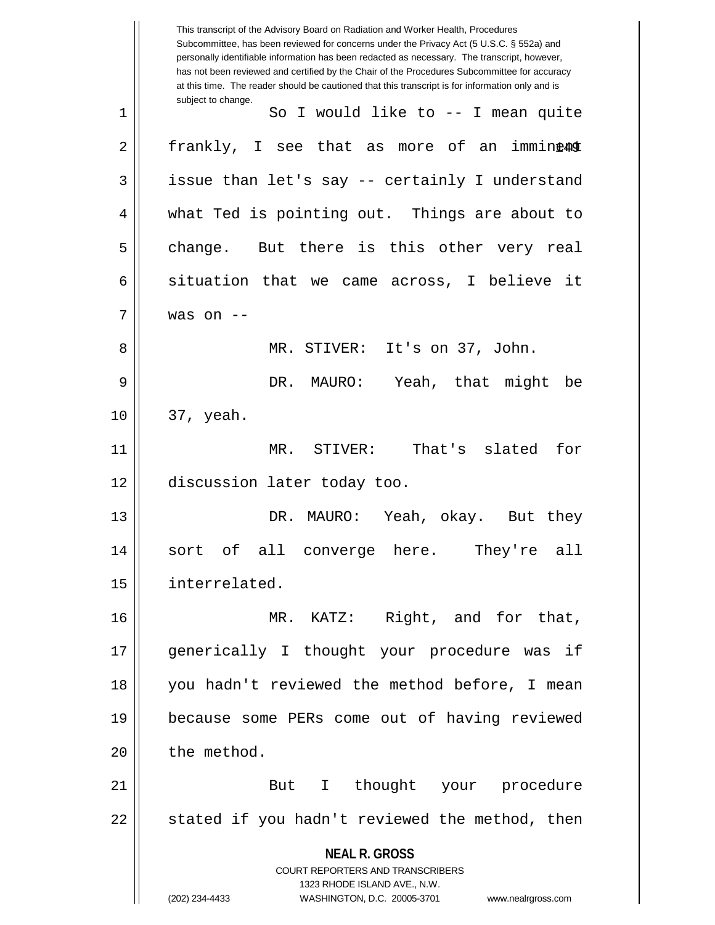**NEAL R. GROSS** COURT REPORTERS AND TRANSCRIBERS 1323 RHODE ISLAND AVE., N.W. (202) 234-4433 WASHINGTON, D.C. 20005-3701 www.nealrgross.com This transcript of the Advisory Board on Radiation and Worker Health, Procedures Subcommittee, has been reviewed for concerns under the Privacy Act (5 U.S.C. § 552a) and personally identifiable information has been redacted as necessary. The transcript, however, has not been reviewed and certified by the Chair of the Procedures Subcommittee for accuracy at this time. The reader should be cautioned that this transcript is for information only and is subject to change. 2|| frankly, I see that as more of an immin**ea**o 1 || So I would like to -- I mean quite  $3 \parallel$  issue than let's say -- certainly I understand 4 || what Ted is pointing out. Things are about to  $5 \parallel$  change. But there is this other very real  $6 \parallel$  situation that we came across, I believe it  $7 \parallel$  was on  $-$ 8 MR. STIVER: It's on 37, John. 9 DR. MAURO: Yeah, that might be  $10 \parallel 37$ , yeah. 11 MR. STIVER: That's slated for 12 discussion later today too. 13 DR. MAURO: Yeah, okay. But they 14 sort of all converge here. They're all 15 interrelated. 16 MR. KATZ: Right, and for that, 17 generically I thought your procedure was if 18 you hadn't reviewed the method before, I mean 19 because some PERs come out of having reviewed  $20$  | the method. 21 || But I thought your procedure  $22 \parallel$  stated if you hadn't reviewed the method, then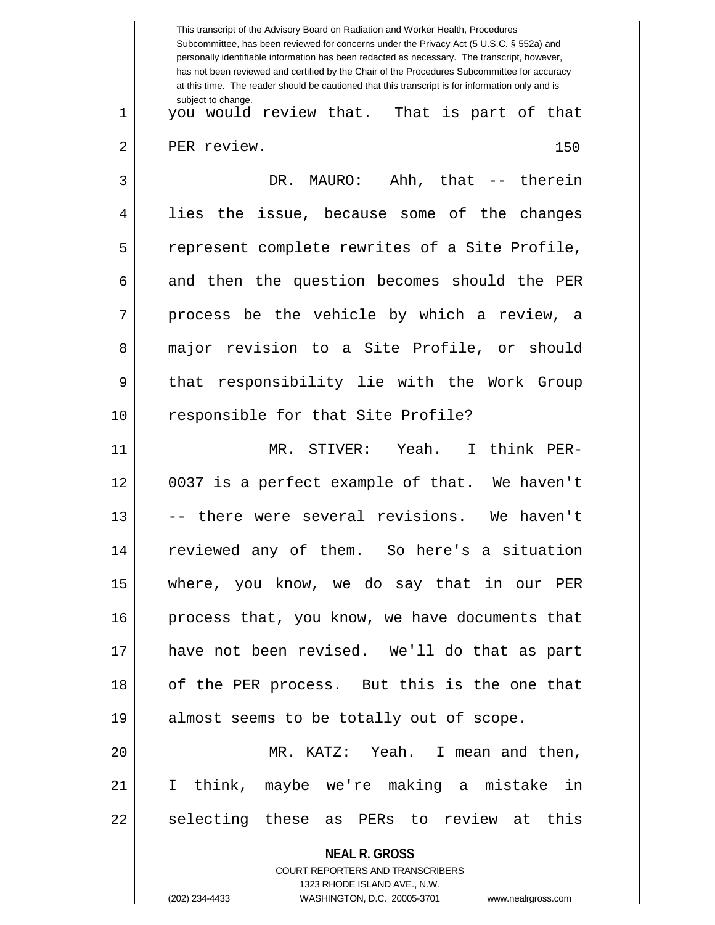|    | This transcript of the Advisory Board on Radiation and Worker Health, Procedures<br>Subcommittee, has been reviewed for concerns under the Privacy Act (5 U.S.C. § 552a) and<br>personally identifiable information has been redacted as necessary. The transcript, however,<br>has not been reviewed and certified by the Chair of the Procedures Subcommittee for accuracy<br>at this time. The reader should be cautioned that this transcript is for information only and is |
|----|----------------------------------------------------------------------------------------------------------------------------------------------------------------------------------------------------------------------------------------------------------------------------------------------------------------------------------------------------------------------------------------------------------------------------------------------------------------------------------|
| 1  | subject to change.<br>you would review that. That is part of that                                                                                                                                                                                                                                                                                                                                                                                                                |
| 2  | PER review.<br>150                                                                                                                                                                                                                                                                                                                                                                                                                                                               |
| 3  | DR. MAURO: Ahh, that -- therein                                                                                                                                                                                                                                                                                                                                                                                                                                                  |
| 4  | issue, because some of the changes<br>lies<br>the                                                                                                                                                                                                                                                                                                                                                                                                                                |
| 5  | represent complete rewrites of a Site Profile,                                                                                                                                                                                                                                                                                                                                                                                                                                   |
| 6  | and then the question becomes should the PER                                                                                                                                                                                                                                                                                                                                                                                                                                     |
| 7  | process be the vehicle by which a review, a                                                                                                                                                                                                                                                                                                                                                                                                                                      |
| 8  | major revision to a Site Profile, or should                                                                                                                                                                                                                                                                                                                                                                                                                                      |
| 9  | that responsibility lie with the Work Group                                                                                                                                                                                                                                                                                                                                                                                                                                      |
| 10 | responsible for that Site Profile?                                                                                                                                                                                                                                                                                                                                                                                                                                               |
| 11 | MR. STIVER: Yeah.<br>I think PER-                                                                                                                                                                                                                                                                                                                                                                                                                                                |
| 12 | 0037 is a perfect example of that. We haven't                                                                                                                                                                                                                                                                                                                                                                                                                                    |
| 13 | there were several revisions. We haven't                                                                                                                                                                                                                                                                                                                                                                                                                                         |
| 14 | reviewed any of them. So here's a situation                                                                                                                                                                                                                                                                                                                                                                                                                                      |
| 15 | where, you know, we do say that in our PER                                                                                                                                                                                                                                                                                                                                                                                                                                       |
| 16 | process that, you know, we have documents that                                                                                                                                                                                                                                                                                                                                                                                                                                   |
| 17 | have not been revised. We'll do that as part                                                                                                                                                                                                                                                                                                                                                                                                                                     |
| 18 | of the PER process. But this is the one that                                                                                                                                                                                                                                                                                                                                                                                                                                     |
| 19 | almost seems to be totally out of scope.                                                                                                                                                                                                                                                                                                                                                                                                                                         |
| 20 | MR. KATZ: Yeah. I mean and then,                                                                                                                                                                                                                                                                                                                                                                                                                                                 |
| 21 | I think, maybe we're making a mistake in                                                                                                                                                                                                                                                                                                                                                                                                                                         |
| 22 | selecting these as PERs to review at this                                                                                                                                                                                                                                                                                                                                                                                                                                        |
|    | <b>NEAL R. GROSS</b>                                                                                                                                                                                                                                                                                                                                                                                                                                                             |
|    | COURT REPORTERS AND TRANSCRIBERS<br>1323 RHODE ISLAND AVE., N.W.                                                                                                                                                                                                                                                                                                                                                                                                                 |
|    | (202) 234-4433<br>WASHINGTON, D.C. 20005-3701<br>www.nealrgross.com                                                                                                                                                                                                                                                                                                                                                                                                              |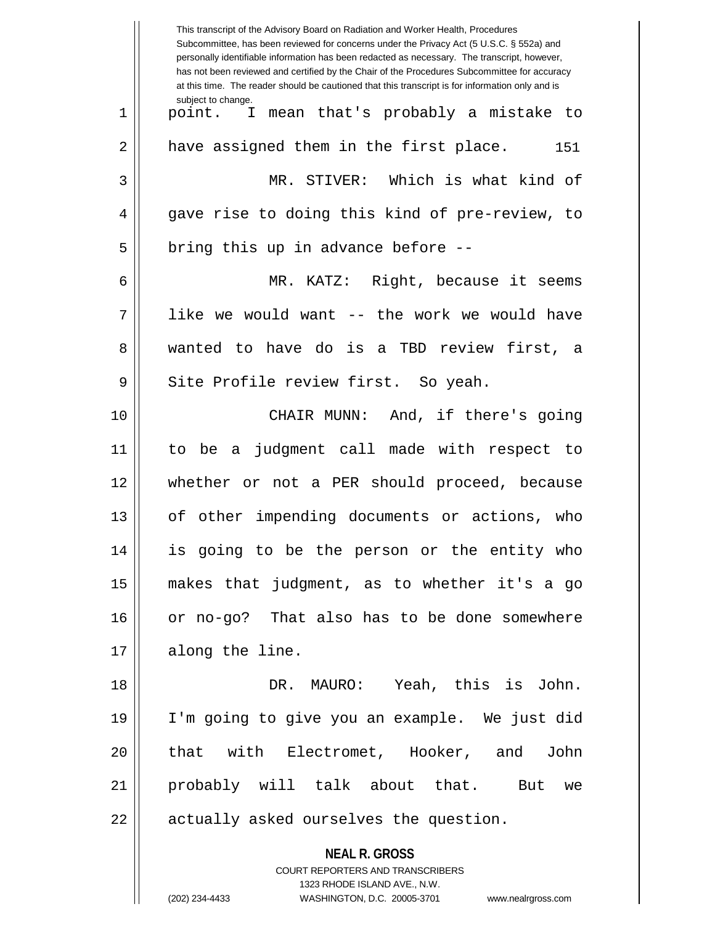| This transcript of the Advisory Board on Radiation and Worker Health, Procedures<br>Subcommittee, has been reviewed for concerns under the Privacy Act (5 U.S.C. § 552a) and<br>personally identifiable information has been redacted as necessary. The transcript, however,<br>has not been reviewed and certified by the Chair of the Procedures Subcommittee for accuracy<br>at this time. The reader should be cautioned that this transcript is for information only and is |
|----------------------------------------------------------------------------------------------------------------------------------------------------------------------------------------------------------------------------------------------------------------------------------------------------------------------------------------------------------------------------------------------------------------------------------------------------------------------------------|
| subject to change.<br>point. I mean that's probably a mistake to                                                                                                                                                                                                                                                                                                                                                                                                                 |
| have assigned them in the first place.<br>151                                                                                                                                                                                                                                                                                                                                                                                                                                    |
| MR. STIVER: Which is what kind of                                                                                                                                                                                                                                                                                                                                                                                                                                                |
| gave rise to doing this kind of pre-review, to                                                                                                                                                                                                                                                                                                                                                                                                                                   |
| bring this up in advance before --                                                                                                                                                                                                                                                                                                                                                                                                                                               |
| MR. KATZ: Right, because it seems                                                                                                                                                                                                                                                                                                                                                                                                                                                |
| like we would want -- the work we would have                                                                                                                                                                                                                                                                                                                                                                                                                                     |
| wanted to have do is a TBD review first, a                                                                                                                                                                                                                                                                                                                                                                                                                                       |
| Site Profile review first. So yeah.                                                                                                                                                                                                                                                                                                                                                                                                                                              |
| CHAIR MUNN: And, if there's going                                                                                                                                                                                                                                                                                                                                                                                                                                                |
| judgment call made with respect to<br>to be<br>a                                                                                                                                                                                                                                                                                                                                                                                                                                 |
| whether or not a PER should proceed, because                                                                                                                                                                                                                                                                                                                                                                                                                                     |
| of other impending documents or actions, who                                                                                                                                                                                                                                                                                                                                                                                                                                     |
| is going to be the person or the entity who                                                                                                                                                                                                                                                                                                                                                                                                                                      |
| makes that judgment, as to whether it's a go                                                                                                                                                                                                                                                                                                                                                                                                                                     |
| or no-go? That also has to be done somewhere                                                                                                                                                                                                                                                                                                                                                                                                                                     |
| along the line.                                                                                                                                                                                                                                                                                                                                                                                                                                                                  |
| DR. MAURO: Yeah, this is John.                                                                                                                                                                                                                                                                                                                                                                                                                                                   |
| I'm going to give you an example. We just did                                                                                                                                                                                                                                                                                                                                                                                                                                    |
| that with Electromet, Hooker, and John                                                                                                                                                                                                                                                                                                                                                                                                                                           |
| probably will talk about that. But we                                                                                                                                                                                                                                                                                                                                                                                                                                            |
| actually asked ourselves the question.                                                                                                                                                                                                                                                                                                                                                                                                                                           |
| <b>NEAL R. GROSS</b><br>COURT REPORTERS AND TRANSCRIBERS<br>1323 RHODE ISLAND AVE., N.W.<br>(202) 234-4433<br>WASHINGTON, D.C. 20005-3701<br>www.nealrgross.com                                                                                                                                                                                                                                                                                                                  |
|                                                                                                                                                                                                                                                                                                                                                                                                                                                                                  |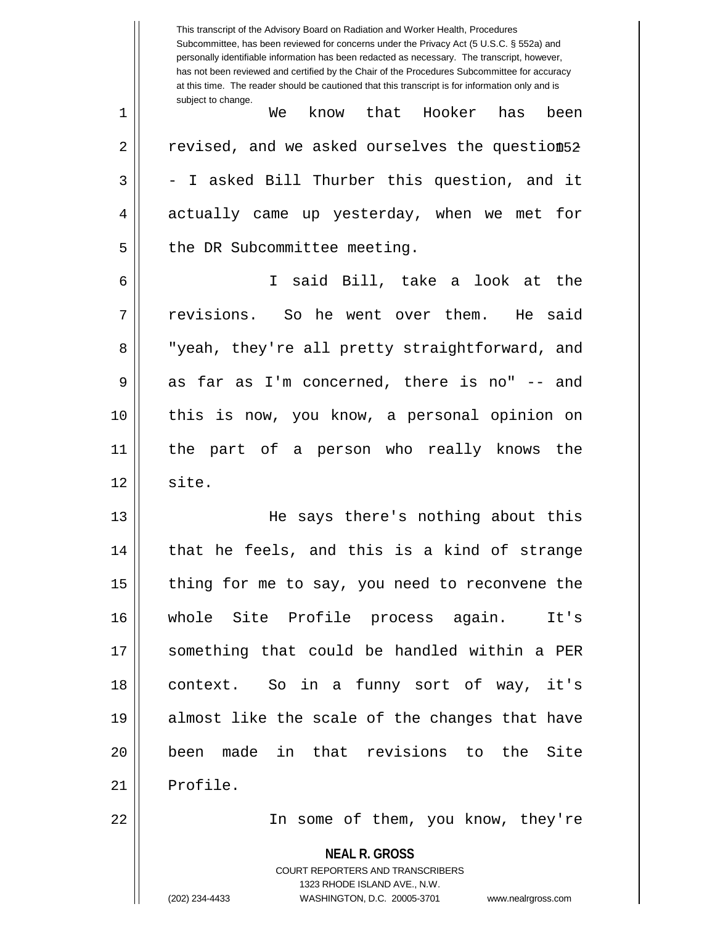**NEAL R. GROSS** COURT REPORTERS AND TRANSCRIBERS This transcript of the Advisory Board on Radiation and Worker Health, Procedures Subcommittee, has been reviewed for concerns under the Privacy Act (5 U.S.C. § 552a) and personally identifiable information has been redacted as necessary. The transcript, however, has not been reviewed and certified by the Chair of the Procedures Subcommittee for accuracy at this time. The reader should be cautioned that this transcript is for information only and is subject to change. 2  $\parallel$  - revised, and we asked ourselves the question 52  $\,$ 1 We know that Hooker has been  $3 \parallel$  - I asked Bill Thurber this question, and it 4 actually came up yesterday, when we met for 5 | the DR Subcommittee meeting. 6 I said Bill, take a look at the 7 || revisions. So he went over them. He said 8 || "yeah, they're all pretty straightforward, and  $9 \parallel$  as far as I'm concerned, there is no" -- and 10 this is now, you know, a personal opinion on 11 the part of a person who really knows the  $12 \parallel$  site. 13 He says there's nothing about this  $14$  || that he feels, and this is a kind of strange 15  $\parallel$  thing for me to say, you need to reconvene the 16 whole Site Profile process again. It's 17 something that could be handled within a PER 18 context. So in a funny sort of way, it's 19 almost like the scale of the changes that have 20 been made in that revisions to the Site 21 | Profile. 22 || Theome of them, you know, they're

1323 RHODE ISLAND AVE., N.W.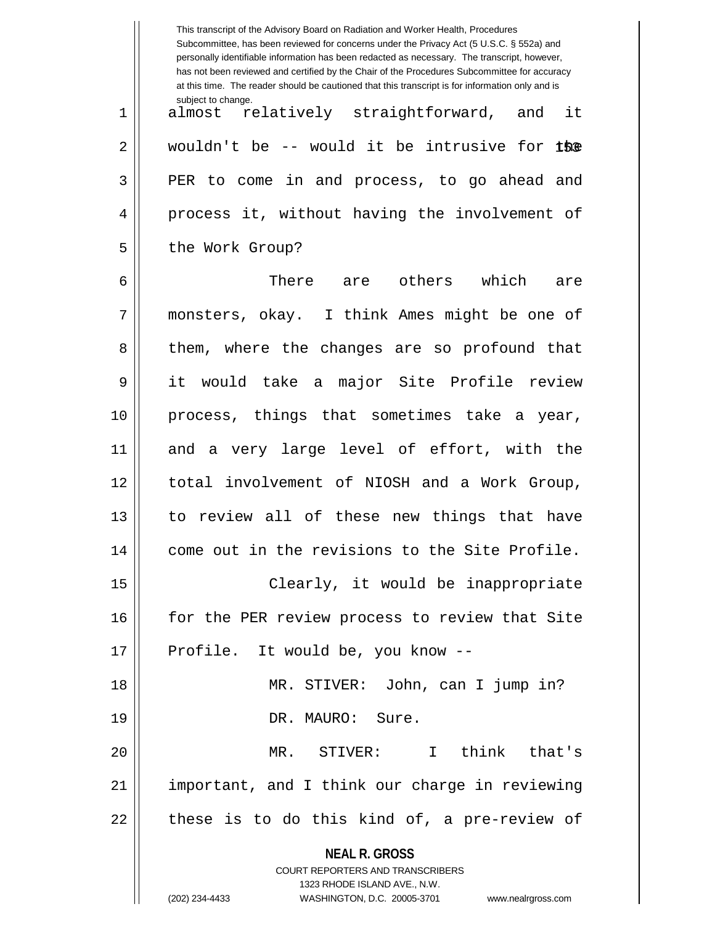|    | This transcript of the Advisory Board on Radiation and Worker Health, Procedures<br>Subcommittee, has been reviewed for concerns under the Privacy Act (5 U.S.C. § 552a) and<br>personally identifiable information has been redacted as necessary. The transcript, however,<br>has not been reviewed and certified by the Chair of the Procedures Subcommittee for accuracy<br>at this time. The reader should be cautioned that this transcript is for information only and is |
|----|----------------------------------------------------------------------------------------------------------------------------------------------------------------------------------------------------------------------------------------------------------------------------------------------------------------------------------------------------------------------------------------------------------------------------------------------------------------------------------|
| 1  | subject to change.<br>almost relatively straightforward, and it                                                                                                                                                                                                                                                                                                                                                                                                                  |
| 2  | wouldn't be -- would it be intrusive for the                                                                                                                                                                                                                                                                                                                                                                                                                                     |
| 3  | PER to come in and process, to go ahead and                                                                                                                                                                                                                                                                                                                                                                                                                                      |
| 4  | process it, without having the involvement of                                                                                                                                                                                                                                                                                                                                                                                                                                    |
| 5  | the Work Group?                                                                                                                                                                                                                                                                                                                                                                                                                                                                  |
| 6  | There are others which<br>are                                                                                                                                                                                                                                                                                                                                                                                                                                                    |
| 7  | monsters, okay. I think Ames might be one of                                                                                                                                                                                                                                                                                                                                                                                                                                     |
| 8  | them, where the changes are so profound that                                                                                                                                                                                                                                                                                                                                                                                                                                     |
| 9  | it would take a major Site Profile review                                                                                                                                                                                                                                                                                                                                                                                                                                        |
| 10 | process, things that sometimes take a year,                                                                                                                                                                                                                                                                                                                                                                                                                                      |
| 11 | and a very large level of effort, with the                                                                                                                                                                                                                                                                                                                                                                                                                                       |
| 12 | total involvement of NIOSH and a Work Group,                                                                                                                                                                                                                                                                                                                                                                                                                                     |
| 13 | to review all of these new things that have                                                                                                                                                                                                                                                                                                                                                                                                                                      |
| 14 | come out in the revisions to the Site Profile.                                                                                                                                                                                                                                                                                                                                                                                                                                   |
| 15 | Clearly, it would be inappropriate                                                                                                                                                                                                                                                                                                                                                                                                                                               |
| 16 | for the PER review process to review that Site                                                                                                                                                                                                                                                                                                                                                                                                                                   |
| 17 | Profile. It would be, you know --                                                                                                                                                                                                                                                                                                                                                                                                                                                |
| 18 | MR. STIVER: John, can I jump in?                                                                                                                                                                                                                                                                                                                                                                                                                                                 |
| 19 | DR. MAURO: Sure.                                                                                                                                                                                                                                                                                                                                                                                                                                                                 |
| 20 | MR. STIVER: I think that's                                                                                                                                                                                                                                                                                                                                                                                                                                                       |
| 21 | important, and I think our charge in reviewing                                                                                                                                                                                                                                                                                                                                                                                                                                   |
| 22 | these is to do this kind of, a pre-review of                                                                                                                                                                                                                                                                                                                                                                                                                                     |
|    | <b>NEAL R. GROSS</b><br>COURT REPORTERS AND TRANSCRIBERS<br>1323 RHODE ISLAND AVE., N.W.<br>(202) 234-4433<br>WASHINGTON, D.C. 20005-3701<br>www.nealrgross.com                                                                                                                                                                                                                                                                                                                  |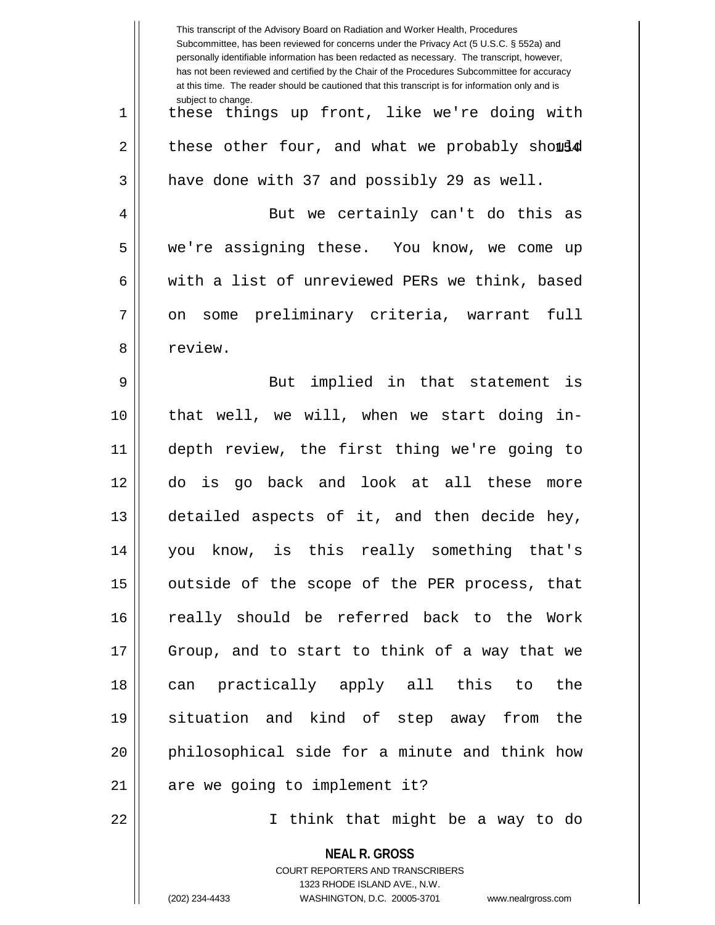|    | This transcript of the Advisory Board on Radiation and Worker Health, Procedures<br>Subcommittee, has been reviewed for concerns under the Privacy Act (5 U.S.C. § 552a) and<br>personally identifiable information has been redacted as necessary. The transcript, however,<br>has not been reviewed and certified by the Chair of the Procedures Subcommittee for accuracy<br>at this time. The reader should be cautioned that this transcript is for information only and is |
|----|----------------------------------------------------------------------------------------------------------------------------------------------------------------------------------------------------------------------------------------------------------------------------------------------------------------------------------------------------------------------------------------------------------------------------------------------------------------------------------|
| 1  | subject to change.<br>these things up front, like we're doing with                                                                                                                                                                                                                                                                                                                                                                                                               |
| 2  | these other four, and what we probably should                                                                                                                                                                                                                                                                                                                                                                                                                                    |
| 3  | have done with 37 and possibly 29 as well.                                                                                                                                                                                                                                                                                                                                                                                                                                       |
| 4  | But we certainly can't do this as                                                                                                                                                                                                                                                                                                                                                                                                                                                |
| 5  | we're assigning these. You know, we come up                                                                                                                                                                                                                                                                                                                                                                                                                                      |
| 6  | with a list of unreviewed PERs we think, based                                                                                                                                                                                                                                                                                                                                                                                                                                   |
| 7  | on some preliminary criteria, warrant<br>full                                                                                                                                                                                                                                                                                                                                                                                                                                    |
| 8  | review.                                                                                                                                                                                                                                                                                                                                                                                                                                                                          |
| 9  | implied in that statement is<br><b>But</b>                                                                                                                                                                                                                                                                                                                                                                                                                                       |
| 10 | that well, we will, when we start doing in-                                                                                                                                                                                                                                                                                                                                                                                                                                      |
| 11 | depth review, the first thing we're going to                                                                                                                                                                                                                                                                                                                                                                                                                                     |
| 12 | do is go back and look at all these<br>more                                                                                                                                                                                                                                                                                                                                                                                                                                      |
| 13 | detailed aspects of it, and then decide hey,                                                                                                                                                                                                                                                                                                                                                                                                                                     |
| 14 | you know, is this really something that's                                                                                                                                                                                                                                                                                                                                                                                                                                        |
| 15 | outside of the scope of the PER process, that                                                                                                                                                                                                                                                                                                                                                                                                                                    |
| 16 | really should be referred back to the Work                                                                                                                                                                                                                                                                                                                                                                                                                                       |
| 17 | Group, and to start to think of a way that we                                                                                                                                                                                                                                                                                                                                                                                                                                    |
| 18 | can practically apply all this to<br>the                                                                                                                                                                                                                                                                                                                                                                                                                                         |
| 19 | situation and kind of step away from the                                                                                                                                                                                                                                                                                                                                                                                                                                         |
| 20 | philosophical side for a minute and think how                                                                                                                                                                                                                                                                                                                                                                                                                                    |
| 21 | are we going to implement it?                                                                                                                                                                                                                                                                                                                                                                                                                                                    |
| 22 | I think that might be a way to do                                                                                                                                                                                                                                                                                                                                                                                                                                                |
|    | <b>NEAL R. GROSS</b><br>COURT REPORTERS AND TRANSCRIBERS<br>1323 RHODE ISLAND AVE., N.W.                                                                                                                                                                                                                                                                                                                                                                                         |
|    | (202) 234-4433<br>WASHINGTON, D.C. 20005-3701<br>www.nealrgross.com                                                                                                                                                                                                                                                                                                                                                                                                              |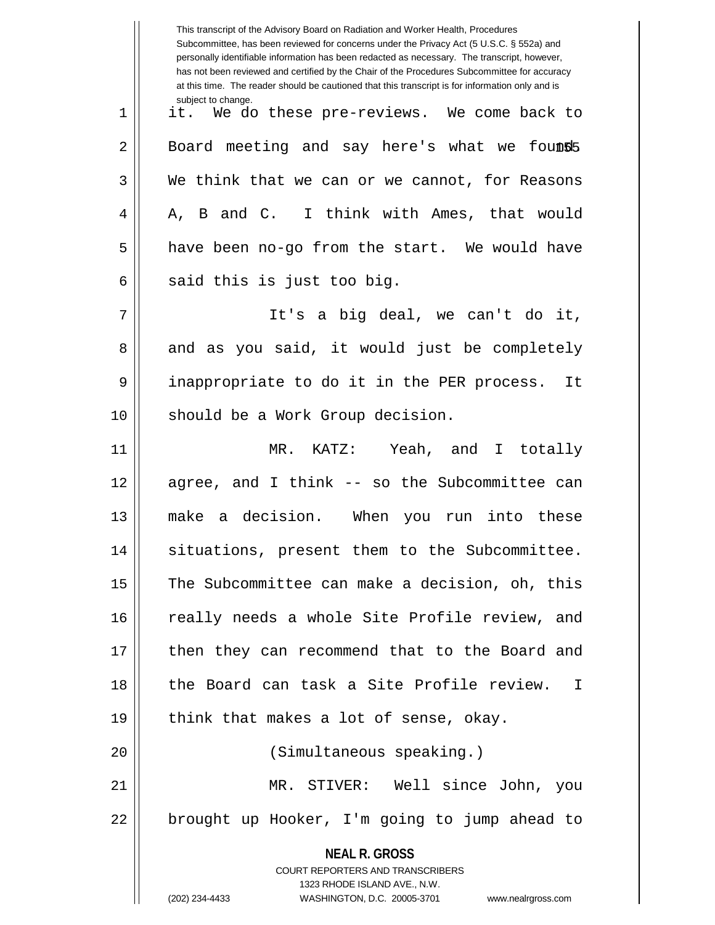| This transcript of the Advisory Board on Radiation and Worker Health, Procedures<br>Subcommittee, has been reviewed for concerns under the Privacy Act (5 U.S.C. § 552a) and<br>personally identifiable information has been redacted as necessary. The transcript, however,<br>has not been reviewed and certified by the Chair of the Procedures Subcommittee for accuracy<br>at this time. The reader should be cautioned that this transcript is for information only and is |
|----------------------------------------------------------------------------------------------------------------------------------------------------------------------------------------------------------------------------------------------------------------------------------------------------------------------------------------------------------------------------------------------------------------------------------------------------------------------------------|
| subject to change.<br>it. We do these pre-reviews. We come back to                                                                                                                                                                                                                                                                                                                                                                                                               |
| Board meeting and say here's what we founds                                                                                                                                                                                                                                                                                                                                                                                                                                      |
| We think that we can or we cannot, for Reasons                                                                                                                                                                                                                                                                                                                                                                                                                                   |
| A, B and C. I think with Ames, that would                                                                                                                                                                                                                                                                                                                                                                                                                                        |
| have been no-go from the start. We would have                                                                                                                                                                                                                                                                                                                                                                                                                                    |
| said this is just too big.                                                                                                                                                                                                                                                                                                                                                                                                                                                       |
| It's a big deal, we can't do it,                                                                                                                                                                                                                                                                                                                                                                                                                                                 |
| and as you said, it would just be completely                                                                                                                                                                                                                                                                                                                                                                                                                                     |
| inappropriate to do it in the PER process.<br>It                                                                                                                                                                                                                                                                                                                                                                                                                                 |
| should be a Work Group decision.                                                                                                                                                                                                                                                                                                                                                                                                                                                 |
| MR. KATZ: Yeah, and I totally                                                                                                                                                                                                                                                                                                                                                                                                                                                    |
| agree, and I think -- so the Subcommittee can                                                                                                                                                                                                                                                                                                                                                                                                                                    |
| a decision. When you run into these<br>make                                                                                                                                                                                                                                                                                                                                                                                                                                      |
| situations, present them to the Subcommittee.                                                                                                                                                                                                                                                                                                                                                                                                                                    |
| The Subcommittee can make a decision, oh, this                                                                                                                                                                                                                                                                                                                                                                                                                                   |
| really needs a whole Site Profile review, and                                                                                                                                                                                                                                                                                                                                                                                                                                    |
| then they can recommend that to the Board and                                                                                                                                                                                                                                                                                                                                                                                                                                    |
| the Board can task a Site Profile review. I                                                                                                                                                                                                                                                                                                                                                                                                                                      |
| think that makes a lot of sense, okay.                                                                                                                                                                                                                                                                                                                                                                                                                                           |
| (Simultaneous speaking.)                                                                                                                                                                                                                                                                                                                                                                                                                                                         |
| MR. STIVER: Well since John, you                                                                                                                                                                                                                                                                                                                                                                                                                                                 |
| brought up Hooker, I'm going to jump ahead to                                                                                                                                                                                                                                                                                                                                                                                                                                    |
| <b>NEAL R. GROSS</b><br>COURT REPORTERS AND TRANSCRIBERS<br>1323 RHODE ISLAND AVE., N.W.<br>(202) 234-4433<br>WASHINGTON, D.C. 20005-3701<br>www.nealrgross.com                                                                                                                                                                                                                                                                                                                  |
|                                                                                                                                                                                                                                                                                                                                                                                                                                                                                  |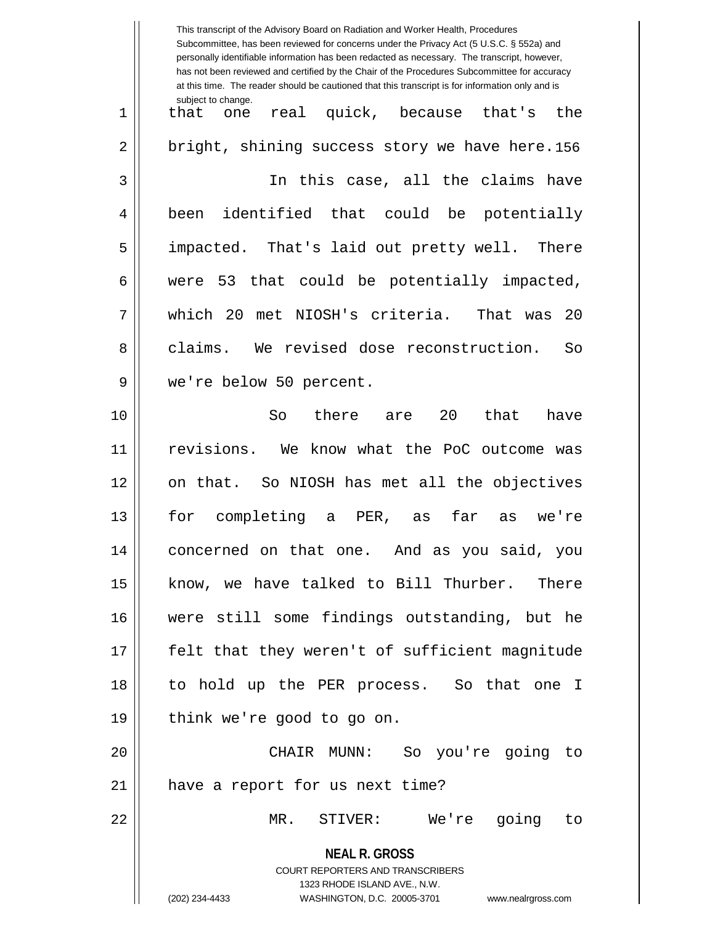**NEAL R. GROSS** COURT REPORTERS AND TRANSCRIBERS 1323 RHODE ISLAND AVE., N.W. (202) 234-4433 WASHINGTON, D.C. 20005-3701 www.nealrgross.com This transcript of the Advisory Board on Radiation and Worker Health, Procedures Subcommittee, has been reviewed for concerns under the Privacy Act (5 U.S.C. § 552a) and personally identifiable information has been redacted as necessary. The transcript, however, has not been reviewed and certified by the Chair of the Procedures Subcommittee for accuracy at this time. The reader should be cautioned that this transcript is for information only and is subject to change. 2 || bright, shining success story we have here.156 1 that one real quick, because that's the 3 In this case, all the claims have 4 || been identified that could be potentially 5 || impacted. That's laid out pretty well. There  $6 \parallel$  were 53 that could be potentially impacted, 7 which 20 met NIOSH's criteria. That was 20 8 claims. We revised dose reconstruction. So 9 we're below 50 percent. 10 So there are 20 that have 11 revisions. We know what the PoC outcome was 12 on that. So NIOSH has met all the objectives 13 for completing a PER, as far as we're 14 concerned on that one. And as you said, you 15 || know, we have talked to Bill Thurber. There 16 were still some findings outstanding, but he 17 || felt that they weren't of sufficient magnitude 18 to hold up the PER process. So that one I 19 || think we're good to go on. 20 CHAIR MUNN: So you're going to 21 || have a report for us next time? 22 MR. STIVER: We're going to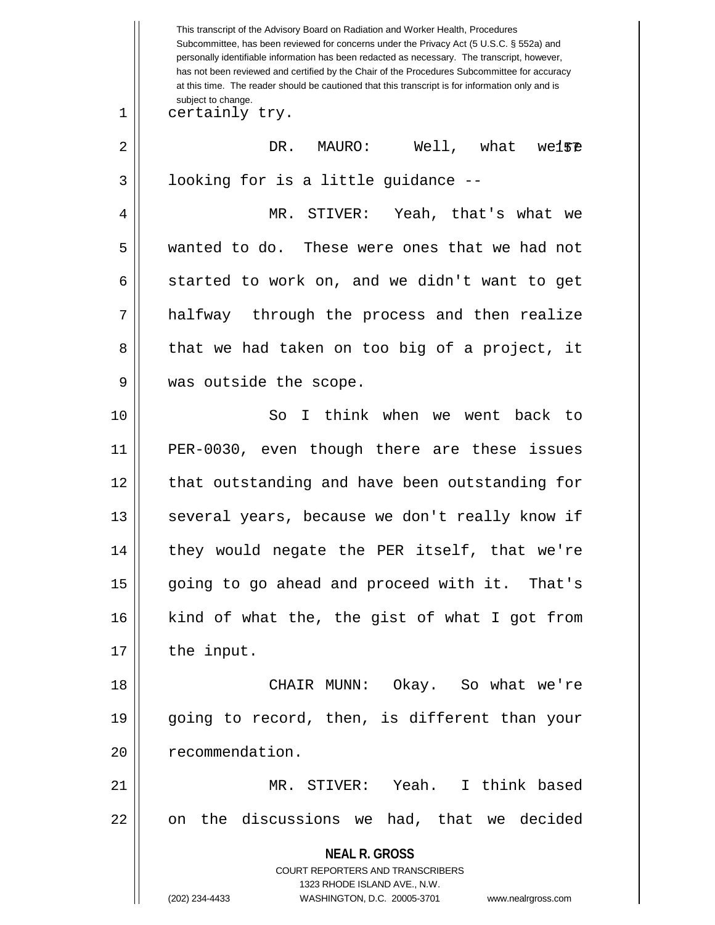**NEAL R. GROSS** COURT REPORTERS AND TRANSCRIBERS 1323 RHODE ISLAND AVE., N.W. (202) 234-4433 WASHINGTON, D.C. 20005-3701 www.nealrgross.com This transcript of the Advisory Board on Radiation and Worker Health, Procedures Subcommittee, has been reviewed for concerns under the Privacy Act (5 U.S.C. § 552a) and personally identifiable information has been redacted as necessary. The transcript, however, has not been reviewed and certified by the Chair of the Procedures Subcommittee for accuracy at this time. The reader should be cautioned that this transcript is for information only and is subject to change. we15<sup>p</sup> 1 || certainly try. 2 DR. MAURO: Well, what we're  $3 \parallel$  looking for is a little guidance --4 MR. STIVER: Yeah, that's what we 5 wanted to do. These were ones that we had not  $6 \parallel$  started to work on, and we didn't want to get 7 || halfway through the process and then realize 8 || that we had taken on too big of a project, it 9 was outside the scope. 10 So I think when we went back to 11 PER-0030, even though there are these issues 12 || that outstanding and have been outstanding for 13 || several years, because we don't really know if 14 || they would negate the PER itself, that we're 15 || going to go ahead and proceed with it. That's 16 kind of what the, the gist of what I got from  $17$  | the input. 18 CHAIR MUNN: Okay. So what we're 19 going to record, then, is different than your 20 | recommendation. 21 MR. STIVER: Yeah. I think based  $22 \parallel$  on the discussions we had, that we decided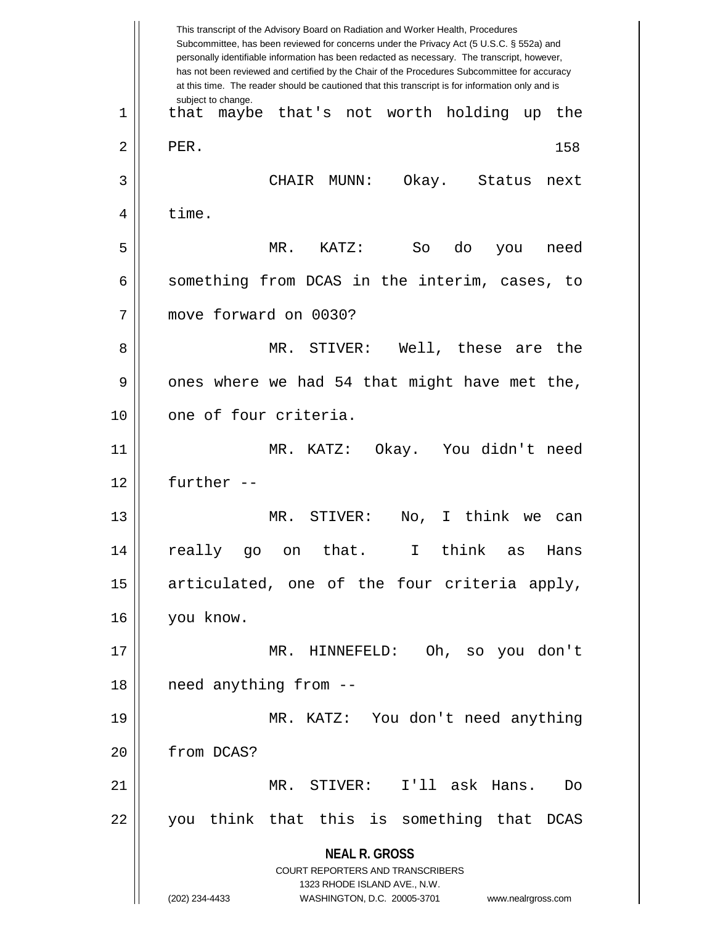**NEAL R. GROSS** COURT REPORTERS AND TRANSCRIBERS 1323 RHODE ISLAND AVE., N.W. (202) 234-4433 WASHINGTON, D.C. 20005-3701 www.nealrgross.com This transcript of the Advisory Board on Radiation and Worker Health, Procedures Subcommittee, has been reviewed for concerns under the Privacy Act (5 U.S.C. § 552a) and personally identifiable information has been redacted as necessary. The transcript, however, has not been reviewed and certified by the Chair of the Procedures Subcommittee for accuracy at this time. The reader should be cautioned that this transcript is for information only and is subject to change. 158 1 that maybe that's not worth holding up the  $2 \parallel$  PER. 3 CHAIR MUNN: Okay. Status next  $4 \mid$  time. 5 MR. KATZ: So do you need  $6 \parallel$  something from DCAS in the interim, cases, to 7 move forward on 0030? 8 MR. STIVER: Well, these are the  $9 \parallel$  ones where we had 54 that might have met the, 10 0 one of four criteria. 11 MR. KATZ: Okay. You didn't need 12 further -- 13 MR. STIVER: No, I think we can 14 really go on that. I think as Hans  $15$  articulated, one of the four criteria apply, 16 you know. 17 MR. HINNEFELD: Oh, so you don't 18 || need anything from --19 MR. KATZ: You don't need anything 20 | from DCAS? 21 MR. STIVER: I'll ask Hans. Do 22 || you think that this is something that DCAS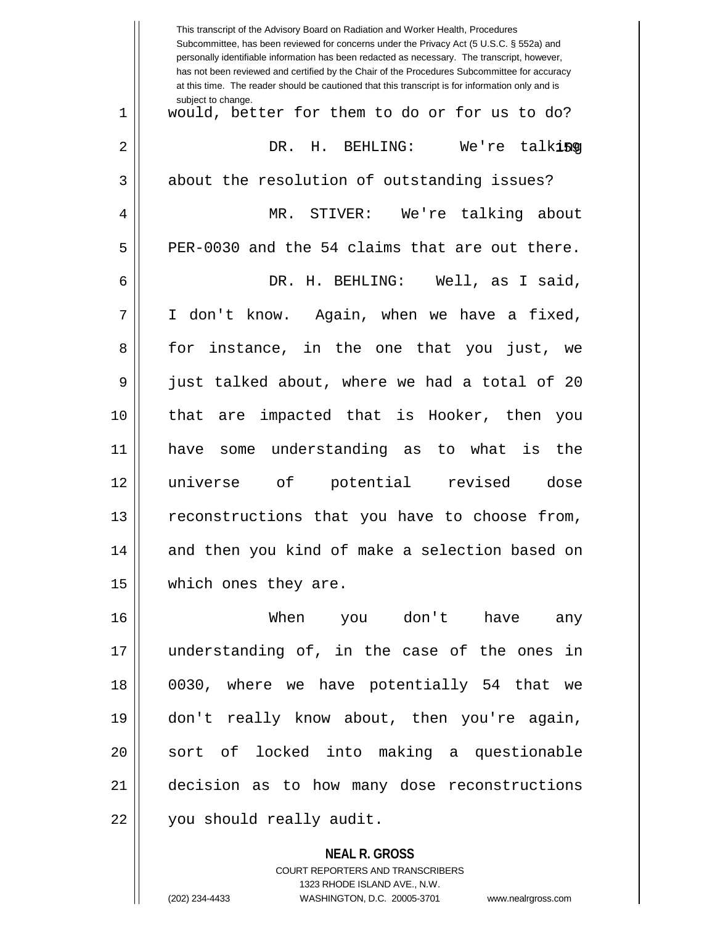|    | This transcript of the Advisory Board on Radiation and Worker Health, Procedures<br>Subcommittee, has been reviewed for concerns under the Privacy Act (5 U.S.C. § 552a) and<br>personally identifiable information has been redacted as necessary. The transcript, however,<br>has not been reviewed and certified by the Chair of the Procedures Subcommittee for accuracy<br>at this time. The reader should be cautioned that this transcript is for information only and is |
|----|----------------------------------------------------------------------------------------------------------------------------------------------------------------------------------------------------------------------------------------------------------------------------------------------------------------------------------------------------------------------------------------------------------------------------------------------------------------------------------|
| 1  | subject to change.<br>would, better for them to do or for us to do?                                                                                                                                                                                                                                                                                                                                                                                                              |
| 2  | H. BEHLING:<br>We're talking<br>DR.                                                                                                                                                                                                                                                                                                                                                                                                                                              |
| 3  | about the resolution of outstanding issues?                                                                                                                                                                                                                                                                                                                                                                                                                                      |
| 4  | MR. STIVER: We're talking about                                                                                                                                                                                                                                                                                                                                                                                                                                                  |
| 5  | PER-0030 and the 54 claims that are out there.                                                                                                                                                                                                                                                                                                                                                                                                                                   |
| 6  | DR. H. BEHLING: Well, as I said,                                                                                                                                                                                                                                                                                                                                                                                                                                                 |
| 7  | I don't know. Again, when we have a fixed,                                                                                                                                                                                                                                                                                                                                                                                                                                       |
| 8  | for instance, in the one that you just, we                                                                                                                                                                                                                                                                                                                                                                                                                                       |
| 9  | just talked about, where we had a total of 20                                                                                                                                                                                                                                                                                                                                                                                                                                    |
| 10 | are impacted that is Hooker, then you<br>that                                                                                                                                                                                                                                                                                                                                                                                                                                    |
| 11 | understanding as to what<br>is<br>the<br>have<br>some                                                                                                                                                                                                                                                                                                                                                                                                                            |
| 12 | universe of<br>potential<br>revised<br>dose                                                                                                                                                                                                                                                                                                                                                                                                                                      |
| 13 | reconstructions that you have to choose from,                                                                                                                                                                                                                                                                                                                                                                                                                                    |
| 14 | and then you kind of make a selection based on                                                                                                                                                                                                                                                                                                                                                                                                                                   |
| 15 | which ones they are.                                                                                                                                                                                                                                                                                                                                                                                                                                                             |
| 16 | When you don't have any                                                                                                                                                                                                                                                                                                                                                                                                                                                          |
| 17 | understanding of, in the case of the ones in                                                                                                                                                                                                                                                                                                                                                                                                                                     |
| 18 | 0030, where we have potentially 54 that we                                                                                                                                                                                                                                                                                                                                                                                                                                       |
| 19 | don't really know about, then you're again,                                                                                                                                                                                                                                                                                                                                                                                                                                      |
| 20 | sort of locked into making a questionable                                                                                                                                                                                                                                                                                                                                                                                                                                        |
| 21 | decision as to how many dose reconstructions                                                                                                                                                                                                                                                                                                                                                                                                                                     |
| 22 | you should really audit.                                                                                                                                                                                                                                                                                                                                                                                                                                                         |
|    | <b>NEAL R. GROSS</b>                                                                                                                                                                                                                                                                                                                                                                                                                                                             |

COURT REPORTERS AND TRANSCRIBERS 1323 RHODE ISLAND AVE., N.W.

 $\mathsf{II}$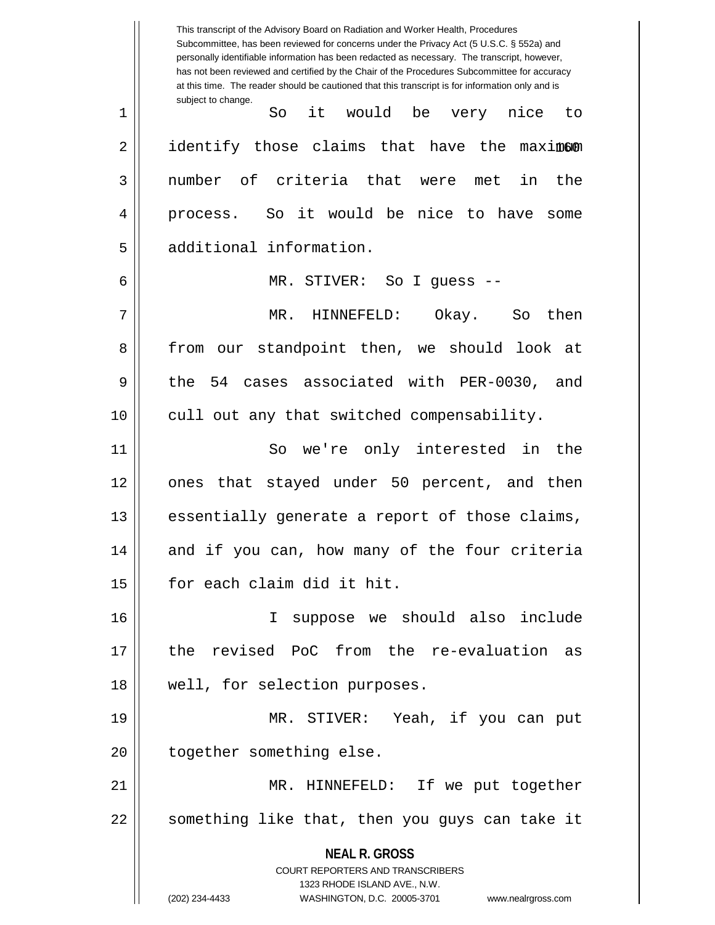**NEAL R. GROSS** COURT REPORTERS AND TRANSCRIBERS 1323 RHODE ISLAND AVE., N.W. (202) 234-4433 WASHINGTON, D.C. 20005-3701 www.nealrgross.com This transcript of the Advisory Board on Radiation and Worker Health, Procedures Subcommittee, has been reviewed for concerns under the Privacy Act (5 U.S.C. § 552a) and personally identifiable information has been redacted as necessary. The transcript, however, has not been reviewed and certified by the Chair of the Procedures Subcommittee for accuracy at this time. The reader should be cautioned that this transcript is for information only and is subject to change. 2 || identify those claims that have the maximom 1 So it would be very nice to 3 number of criteria that were met in the 4 process. So it would be nice to have some 5 | additional information. 6 MR. STIVER: So I guess -- 7 MR. HINNEFELD: Okay. So then 8 from our standpoint then, we should look at 9 the 54 cases associated with PER-0030, and 10 || cull out any that switched compensability. 11 So we're only interested in the 12 || ones that stayed under 50 percent, and then 13 || essentially generate a report of those claims, 14 and if you can, how many of the four criteria 15 | for each claim did it hit. 16 I suppose we should also include 17 the revised PoC from the re-evaluation as 18 || well, for selection purposes. 19 MR. STIVER: Yeah, if you can put 20 | together something else. 21 MR. HINNEFELD: If we put together 22 || something like that, then you guys can take it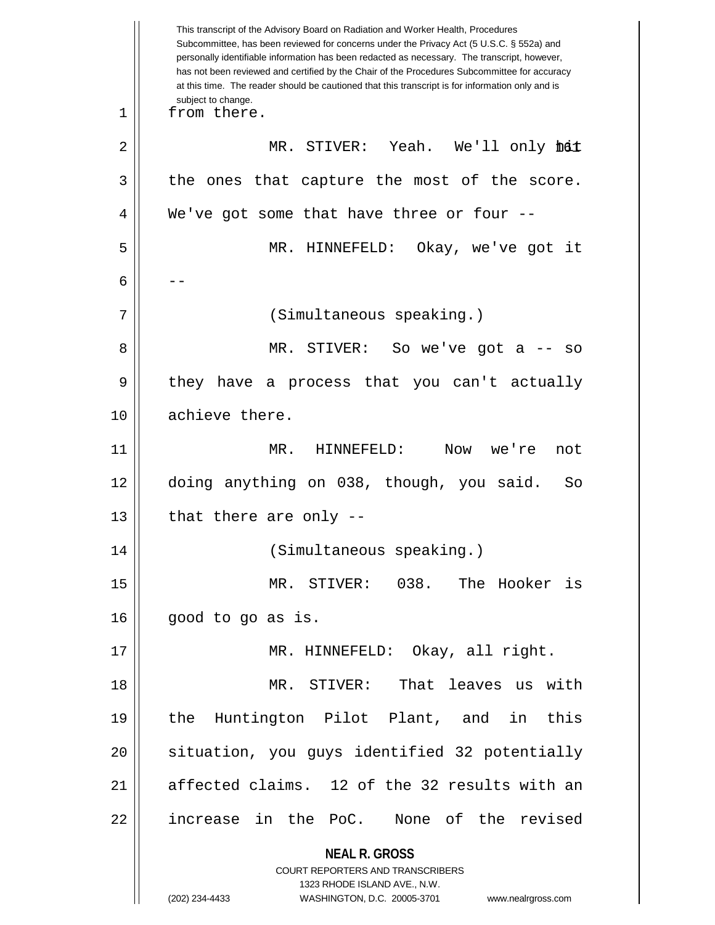**NEAL R. GROSS** COURT REPORTERS AND TRANSCRIBERS 1323 RHODE ISLAND AVE., N.W. (202) 234-4433 WASHINGTON, D.C. 20005-3701 www.nealrgross.com This transcript of the Advisory Board on Radiation and Worker Health, Procedures Subcommittee, has been reviewed for concerns under the Privacy Act (5 U.S.C. § 552a) and personally identifiable information has been redacted as necessary. The transcript, however, has not been reviewed and certified by the Chair of the Procedures Subcommittee for accuracy at this time. The reader should be cautioned that this transcript is for information only and is subject to change. 2 || MR. STIVER: Yeah. We'll only **hdt** 1 || from there.  $3 \parallel$  the ones that capture the most of the score.  $4 \parallel$  We've got some that have three or four --5 MR. HINNEFELD: Okay, we've got it 6  $|$  --7 (Simultaneous speaking.) 8 MR. STIVER: So we've got a -- so 9 || they have a process that you can't actually 10 || achieve there. 11 MR. HINNEFELD: Now we're not 12 doing anything on 038, though, you said. So  $13$  || that there are only --14 (Simultaneous speaking.) 15 MR. STIVER: 038. The Hooker is  $16 \parallel$  good to go as is. 17 || MR. HINNEFELD: Okay, all right. 18 MR. STIVER: That leaves us with 19 the Huntington Pilot Plant, and in this 20 || situation, you guys identified 32 potentially 21 affected claims. 12 of the 32 results with an 22 || increase in the PoC. None of the revised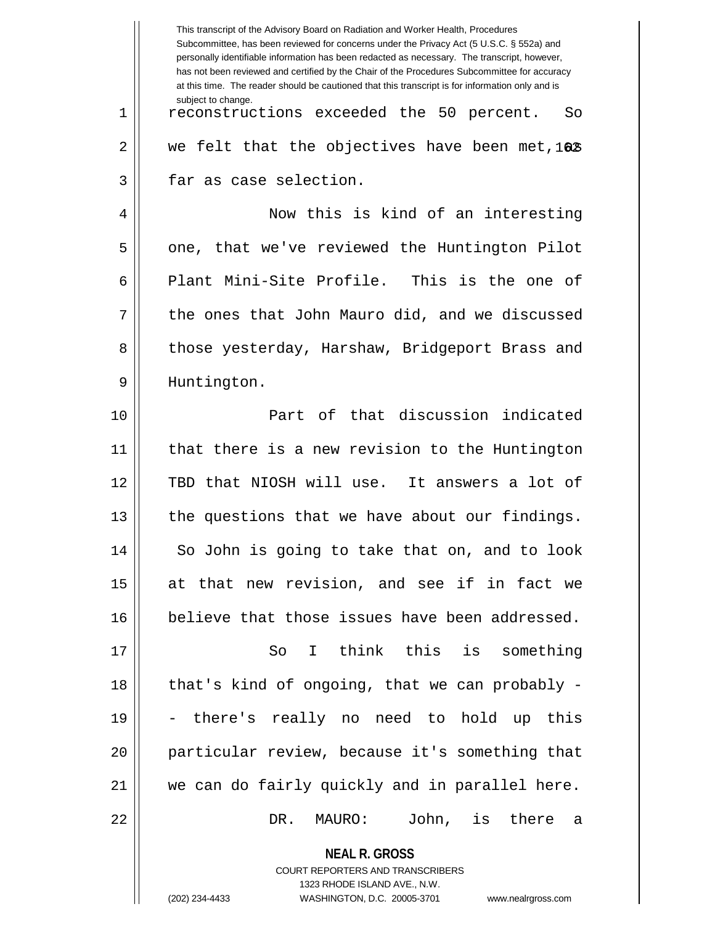|    | This transcript of the Advisory Board on Radiation and Worker Health, Procedures<br>Subcommittee, has been reviewed for concerns under the Privacy Act (5 U.S.C. § 552a) and<br>personally identifiable information has been redacted as necessary. The transcript, however,<br>has not been reviewed and certified by the Chair of the Procedures Subcommittee for accuracy<br>at this time. The reader should be cautioned that this transcript is for information only and is |
|----|----------------------------------------------------------------------------------------------------------------------------------------------------------------------------------------------------------------------------------------------------------------------------------------------------------------------------------------------------------------------------------------------------------------------------------------------------------------------------------|
| 1  | subject to change.<br>reconstructions exceeded the 50 percent.<br>So                                                                                                                                                                                                                                                                                                                                                                                                             |
| 2  | we felt that the objectives have been met, 162                                                                                                                                                                                                                                                                                                                                                                                                                                   |
| 3  | far as case selection.                                                                                                                                                                                                                                                                                                                                                                                                                                                           |
| 4  | Now this is kind of an interesting                                                                                                                                                                                                                                                                                                                                                                                                                                               |
| 5  | one, that we've reviewed the Huntington Pilot                                                                                                                                                                                                                                                                                                                                                                                                                                    |
| 6  | Plant Mini-Site Profile. This is the one of                                                                                                                                                                                                                                                                                                                                                                                                                                      |
| 7  | the ones that John Mauro did, and we discussed                                                                                                                                                                                                                                                                                                                                                                                                                                   |
| 8  | those yesterday, Harshaw, Bridgeport Brass and                                                                                                                                                                                                                                                                                                                                                                                                                                   |
| 9  | Huntington.                                                                                                                                                                                                                                                                                                                                                                                                                                                                      |
| 10 | Part of that discussion indicated                                                                                                                                                                                                                                                                                                                                                                                                                                                |
| 11 | that there is a new revision to the Huntington                                                                                                                                                                                                                                                                                                                                                                                                                                   |
| 12 | TBD that NIOSH will use. It answers a lot of                                                                                                                                                                                                                                                                                                                                                                                                                                     |
| 13 | the questions that we have about our findings.                                                                                                                                                                                                                                                                                                                                                                                                                                   |
| 14 | So John is going to take that on, and to look                                                                                                                                                                                                                                                                                                                                                                                                                                    |
| 15 | at that new revision, and see if in fact we                                                                                                                                                                                                                                                                                                                                                                                                                                      |
| 16 | believe that those issues have been addressed.                                                                                                                                                                                                                                                                                                                                                                                                                                   |
| 17 | I think this is something<br>So                                                                                                                                                                                                                                                                                                                                                                                                                                                  |
| 18 | that's kind of ongoing, that we can probably -                                                                                                                                                                                                                                                                                                                                                                                                                                   |
| 19 | - there's really no need to hold up this                                                                                                                                                                                                                                                                                                                                                                                                                                         |
| 20 | particular review, because it's something that                                                                                                                                                                                                                                                                                                                                                                                                                                   |
| 21 | we can do fairly quickly and in parallel here.                                                                                                                                                                                                                                                                                                                                                                                                                                   |
| 22 | MAURO: John, is there a<br>DR.                                                                                                                                                                                                                                                                                                                                                                                                                                                   |
|    | <b>NEAL R. GROSS</b>                                                                                                                                                                                                                                                                                                                                                                                                                                                             |

COURT REPORTERS AND TRANSCRIBERS 1323 RHODE ISLAND AVE., N.W. (202) 234-4433 WASHINGTON, D.C. 20005-3701 www.nealrgross.com

 $\mathsf{I}$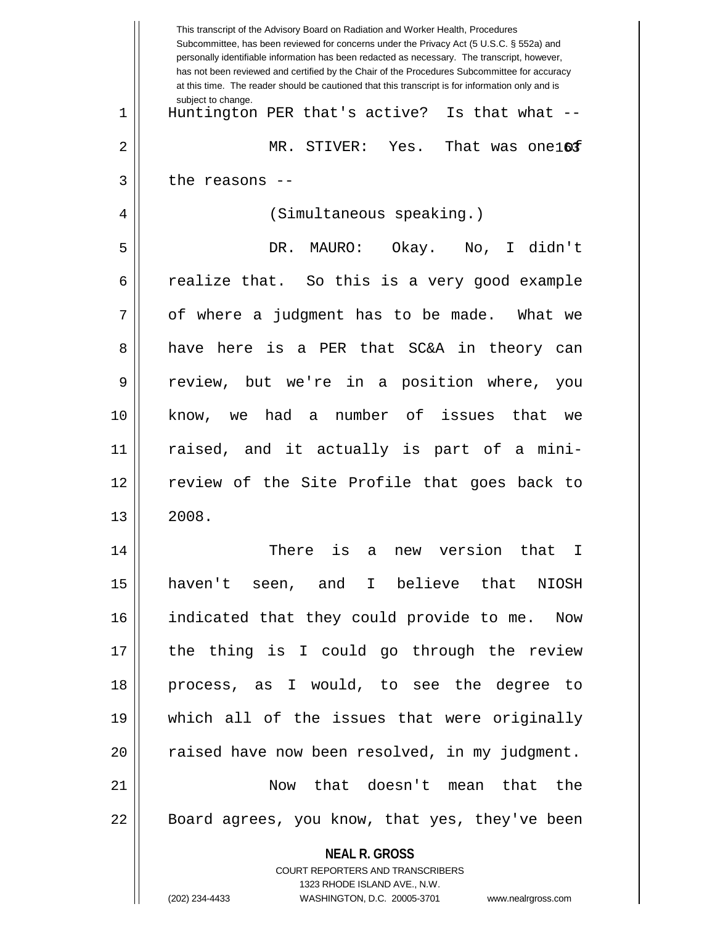|    | This transcript of the Advisory Board on Radiation and Worker Health, Procedures<br>Subcommittee, has been reviewed for concerns under the Privacy Act (5 U.S.C. § 552a) and<br>personally identifiable information has been redacted as necessary. The transcript, however,<br>has not been reviewed and certified by the Chair of the Procedures Subcommittee for accuracy<br>at this time. The reader should be cautioned that this transcript is for information only and is |
|----|----------------------------------------------------------------------------------------------------------------------------------------------------------------------------------------------------------------------------------------------------------------------------------------------------------------------------------------------------------------------------------------------------------------------------------------------------------------------------------|
| 1  | subject to change.<br>Huntington PER that's active? Is that what --                                                                                                                                                                                                                                                                                                                                                                                                              |
| 2  | MR. STIVER: Yes.<br>That was one16f                                                                                                                                                                                                                                                                                                                                                                                                                                              |
| 3  | the reasons --                                                                                                                                                                                                                                                                                                                                                                                                                                                                   |
| 4  | (Simultaneous speaking.)                                                                                                                                                                                                                                                                                                                                                                                                                                                         |
| 5  | DR. MAURO: Okay. No, I didn't                                                                                                                                                                                                                                                                                                                                                                                                                                                    |
| 6  | realize that. So this is a very good example                                                                                                                                                                                                                                                                                                                                                                                                                                     |
| 7  | of where a judgment has to be made. What we                                                                                                                                                                                                                                                                                                                                                                                                                                      |
| 8  | have here is a PER that SC&A in theory can                                                                                                                                                                                                                                                                                                                                                                                                                                       |
| 9  | review, but we're in a position where,<br>you                                                                                                                                                                                                                                                                                                                                                                                                                                    |
| 10 | know, we had a number of issues that we                                                                                                                                                                                                                                                                                                                                                                                                                                          |
| 11 | raised, and it actually is part of a mini-                                                                                                                                                                                                                                                                                                                                                                                                                                       |
| 12 | review of the Site Profile that goes back to                                                                                                                                                                                                                                                                                                                                                                                                                                     |
| 13 | 2008.                                                                                                                                                                                                                                                                                                                                                                                                                                                                            |
| 14 | There is<br>new version that I<br>a                                                                                                                                                                                                                                                                                                                                                                                                                                              |
| 15 | I believe that NIOSH<br>haven't seen, and                                                                                                                                                                                                                                                                                                                                                                                                                                        |
| 16 | indicated that they could provide to me. Now                                                                                                                                                                                                                                                                                                                                                                                                                                     |
| 17 | the thing is I could go through the review                                                                                                                                                                                                                                                                                                                                                                                                                                       |
| 18 | process, as I would, to see the degree to                                                                                                                                                                                                                                                                                                                                                                                                                                        |
| 19 | which all of the issues that were originally                                                                                                                                                                                                                                                                                                                                                                                                                                     |
| 20 | raised have now been resolved, in my judgment.                                                                                                                                                                                                                                                                                                                                                                                                                                   |
| 21 | Now that doesn't mean that the                                                                                                                                                                                                                                                                                                                                                                                                                                                   |
| 22 | Board agrees, you know, that yes, they've been                                                                                                                                                                                                                                                                                                                                                                                                                                   |
|    | <b>NEAL R. GROSS</b>                                                                                                                                                                                                                                                                                                                                                                                                                                                             |
|    | COURT REPORTERS AND TRANSCRIBERS<br>1323 RHODE ISLAND AVE., N.W.                                                                                                                                                                                                                                                                                                                                                                                                                 |
|    | (202) 234-4433<br>WASHINGTON, D.C. 20005-3701<br>www.nealrgross.com                                                                                                                                                                                                                                                                                                                                                                                                              |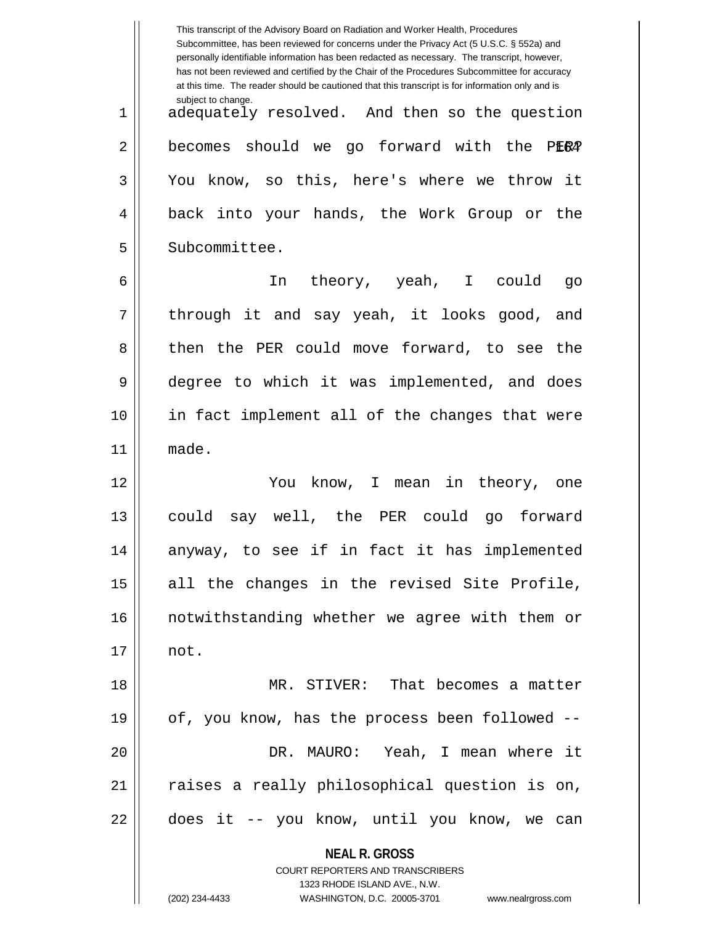|    | This transcript of the Advisory Board on Radiation and Worker Health, Procedures<br>Subcommittee, has been reviewed for concerns under the Privacy Act (5 U.S.C. § 552a) and<br>personally identifiable information has been redacted as necessary. The transcript, however,<br>has not been reviewed and certified by the Chair of the Procedures Subcommittee for accuracy<br>at this time. The reader should be cautioned that this transcript is for information only and is |
|----|----------------------------------------------------------------------------------------------------------------------------------------------------------------------------------------------------------------------------------------------------------------------------------------------------------------------------------------------------------------------------------------------------------------------------------------------------------------------------------|
| 1  | subject to change.<br>adequately resolved. And then so the question                                                                                                                                                                                                                                                                                                                                                                                                              |
| 2  | becomes should we go forward with the<br>PER4                                                                                                                                                                                                                                                                                                                                                                                                                                    |
| 3  | You know, so this, here's where we throw it                                                                                                                                                                                                                                                                                                                                                                                                                                      |
| 4  | back into your hands, the Work Group or the                                                                                                                                                                                                                                                                                                                                                                                                                                      |
| 5  | Subcommittee.                                                                                                                                                                                                                                                                                                                                                                                                                                                                    |
| 6  | In theory, yeah, I could<br>go                                                                                                                                                                                                                                                                                                                                                                                                                                                   |
| 7  | through it and say yeah, it looks good, and                                                                                                                                                                                                                                                                                                                                                                                                                                      |
| 8  | then the PER could move forward, to see the                                                                                                                                                                                                                                                                                                                                                                                                                                      |
| 9  | degree to which it was implemented, and does                                                                                                                                                                                                                                                                                                                                                                                                                                     |
| 10 | in fact implement all of the changes that were                                                                                                                                                                                                                                                                                                                                                                                                                                   |
| 11 | made.                                                                                                                                                                                                                                                                                                                                                                                                                                                                            |
| 12 | You know, I mean in theory,<br>one                                                                                                                                                                                                                                                                                                                                                                                                                                               |
| 13 | say well, the PER could<br>could<br>go forward                                                                                                                                                                                                                                                                                                                                                                                                                                   |
| 14 | anyway, to see if in fact it has implemented                                                                                                                                                                                                                                                                                                                                                                                                                                     |
| 15 | all the changes in the revised Site Profile,                                                                                                                                                                                                                                                                                                                                                                                                                                     |
| 16 | notwithstanding whether we agree with them or                                                                                                                                                                                                                                                                                                                                                                                                                                    |
| 17 | not.                                                                                                                                                                                                                                                                                                                                                                                                                                                                             |
| 18 | MR. STIVER: That becomes a matter                                                                                                                                                                                                                                                                                                                                                                                                                                                |
| 19 | of, you know, has the process been followed --                                                                                                                                                                                                                                                                                                                                                                                                                                   |
| 20 | DR. MAURO: Yeah, I mean where it                                                                                                                                                                                                                                                                                                                                                                                                                                                 |
| 21 | raises a really philosophical question is on,                                                                                                                                                                                                                                                                                                                                                                                                                                    |
| 22 | does it -- you know, until you know, we can                                                                                                                                                                                                                                                                                                                                                                                                                                      |
|    | <b>NEAL R. GROSS</b>                                                                                                                                                                                                                                                                                                                                                                                                                                                             |
|    | COURT REPORTERS AND TRANSCRIBERS                                                                                                                                                                                                                                                                                                                                                                                                                                                 |
|    |                                                                                                                                                                                                                                                                                                                                                                                                                                                                                  |
|    | 1323 RHODE ISLAND AVE., N.W.<br>(202) 234-4433<br>WASHINGTON, D.C. 20005-3701<br>www.nealrgross.com                                                                                                                                                                                                                                                                                                                                                                              |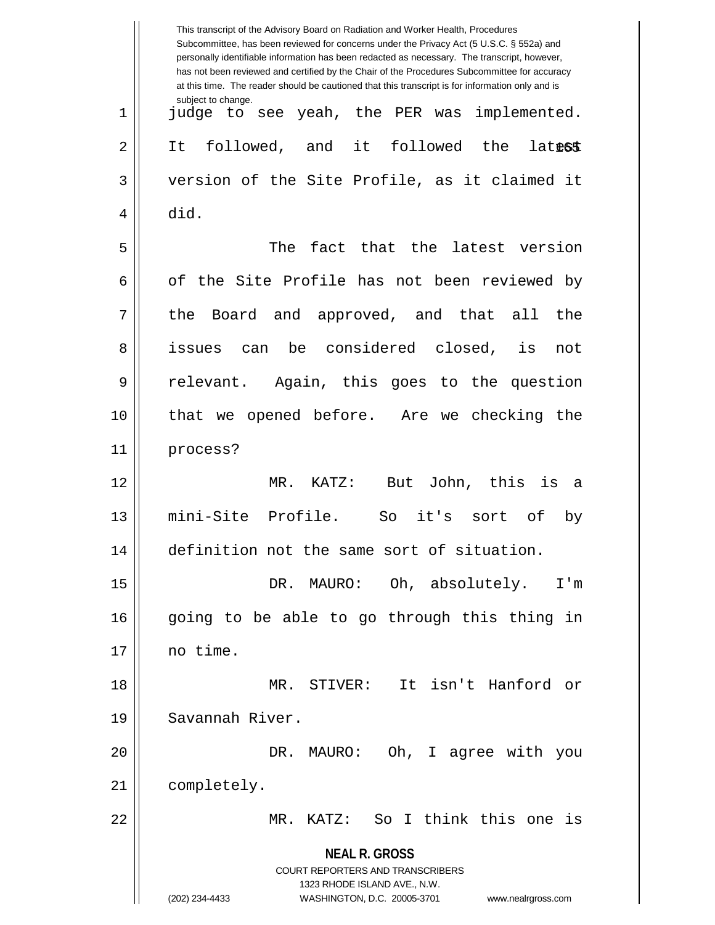|    | This transcript of the Advisory Board on Radiation and Worker Health, Procedures<br>Subcommittee, has been reviewed for concerns under the Privacy Act (5 U.S.C. § 552a) and<br>personally identifiable information has been redacted as necessary. The transcript, however,<br>has not been reviewed and certified by the Chair of the Procedures Subcommittee for accuracy<br>at this time. The reader should be cautioned that this transcript is for information only and is |
|----|----------------------------------------------------------------------------------------------------------------------------------------------------------------------------------------------------------------------------------------------------------------------------------------------------------------------------------------------------------------------------------------------------------------------------------------------------------------------------------|
| 1  | subject to change.<br>judge to see yeah, the PER was<br>implemented.                                                                                                                                                                                                                                                                                                                                                                                                             |
| 2  | followed, and<br>it followed the<br>It<br><b>latest</b>                                                                                                                                                                                                                                                                                                                                                                                                                          |
| 3  | version of the Site Profile, as it claimed it                                                                                                                                                                                                                                                                                                                                                                                                                                    |
| 4  | did.                                                                                                                                                                                                                                                                                                                                                                                                                                                                             |
| 5  | The fact that the latest version                                                                                                                                                                                                                                                                                                                                                                                                                                                 |
| 6  | of the Site Profile has not been reviewed by                                                                                                                                                                                                                                                                                                                                                                                                                                     |
| 7  | the Board and approved, and that all<br>the                                                                                                                                                                                                                                                                                                                                                                                                                                      |
| 8  | be considered closed,<br>is<br>issues<br>can<br>not                                                                                                                                                                                                                                                                                                                                                                                                                              |
| 9  | relevant. Again, this goes to the question                                                                                                                                                                                                                                                                                                                                                                                                                                       |
| 10 | that we opened before. Are we checking the                                                                                                                                                                                                                                                                                                                                                                                                                                       |
| 11 | process?                                                                                                                                                                                                                                                                                                                                                                                                                                                                         |
| 12 | MR.<br>But John, this<br>is<br>KATZ:<br>- a                                                                                                                                                                                                                                                                                                                                                                                                                                      |
| 13 | mini-Site Profile.<br>it's<br>So<br>sort of<br>by                                                                                                                                                                                                                                                                                                                                                                                                                                |
| 14 | definition not the same sort of situation.                                                                                                                                                                                                                                                                                                                                                                                                                                       |
| 15 | DR. MAURO: Oh, absolutely.<br>I'm                                                                                                                                                                                                                                                                                                                                                                                                                                                |
| 16 | going to be able to go through this thing in                                                                                                                                                                                                                                                                                                                                                                                                                                     |
| 17 | no time.                                                                                                                                                                                                                                                                                                                                                                                                                                                                         |
| 18 | MR. STIVER: It isn't Hanford or                                                                                                                                                                                                                                                                                                                                                                                                                                                  |
| 19 | Savannah River.                                                                                                                                                                                                                                                                                                                                                                                                                                                                  |
| 20 | DR. MAURO: Oh, I agree with you                                                                                                                                                                                                                                                                                                                                                                                                                                                  |
| 21 | completely.                                                                                                                                                                                                                                                                                                                                                                                                                                                                      |
| 22 | MR. KATZ: So I think this one is                                                                                                                                                                                                                                                                                                                                                                                                                                                 |
|    | <b>NEAL R. GROSS</b>                                                                                                                                                                                                                                                                                                                                                                                                                                                             |
|    | COURT REPORTERS AND TRANSCRIBERS<br>1323 RHODE ISLAND AVE., N.W.                                                                                                                                                                                                                                                                                                                                                                                                                 |
|    | (202) 234-4433<br>WASHINGTON, D.C. 20005-3701<br>www.nealrgross.com                                                                                                                                                                                                                                                                                                                                                                                                              |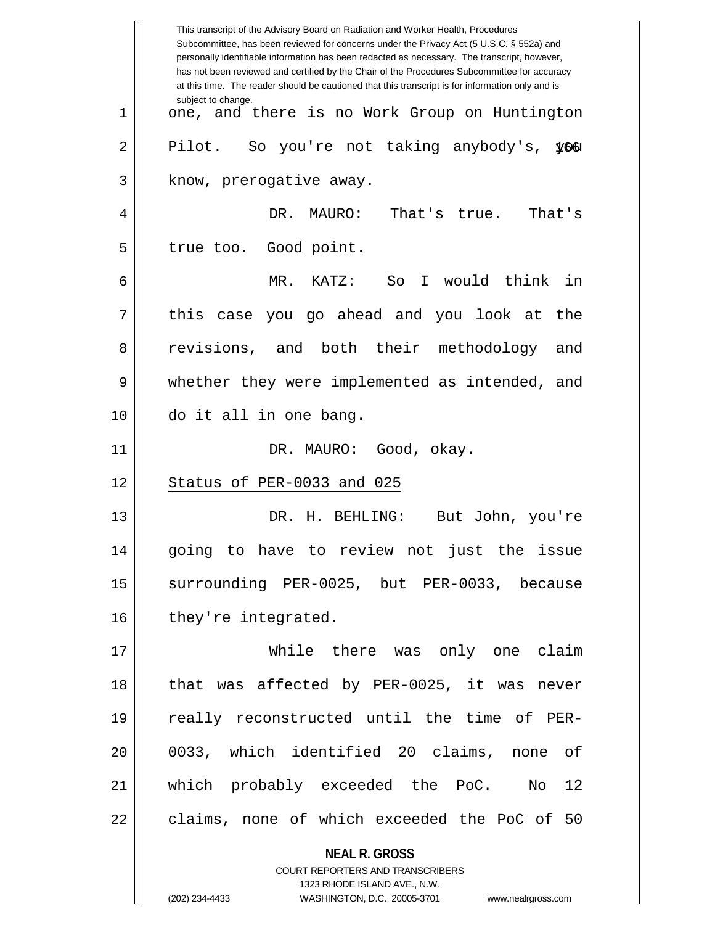|    | This transcript of the Advisory Board on Radiation and Worker Health, Procedures<br>Subcommittee, has been reviewed for concerns under the Privacy Act (5 U.S.C. § 552a) and<br>personally identifiable information has been redacted as necessary. The transcript, however,<br>has not been reviewed and certified by the Chair of the Procedures Subcommittee for accuracy<br>at this time. The reader should be cautioned that this transcript is for information only and is |
|----|----------------------------------------------------------------------------------------------------------------------------------------------------------------------------------------------------------------------------------------------------------------------------------------------------------------------------------------------------------------------------------------------------------------------------------------------------------------------------------|
| 1  | subject to change.<br>one, and there is no Work Group on Huntington                                                                                                                                                                                                                                                                                                                                                                                                              |
| 2  | Pilot. So you're not taking anybody's, you                                                                                                                                                                                                                                                                                                                                                                                                                                       |
| 3  | know, prerogative away.                                                                                                                                                                                                                                                                                                                                                                                                                                                          |
| 4  | That's true.<br>DR. MAURO:<br>That's                                                                                                                                                                                                                                                                                                                                                                                                                                             |
| 5  | true too. Good point.                                                                                                                                                                                                                                                                                                                                                                                                                                                            |
| 6  | MR. KATZ:<br>So I would think<br>in                                                                                                                                                                                                                                                                                                                                                                                                                                              |
| 7  | this case you go ahead and you look at the                                                                                                                                                                                                                                                                                                                                                                                                                                       |
| 8  | revisions, and both their methodology and                                                                                                                                                                                                                                                                                                                                                                                                                                        |
| 9  | whether they were implemented as intended, and                                                                                                                                                                                                                                                                                                                                                                                                                                   |
| 10 | do it all in one bang.                                                                                                                                                                                                                                                                                                                                                                                                                                                           |
| 11 | DR. MAURO: Good, okay.                                                                                                                                                                                                                                                                                                                                                                                                                                                           |
| 12 | Status of PER-0033 and 025                                                                                                                                                                                                                                                                                                                                                                                                                                                       |
| 13 | DR. H. BEHLING:<br>But John, you're                                                                                                                                                                                                                                                                                                                                                                                                                                              |
| 14 | going to have to review not just the issue                                                                                                                                                                                                                                                                                                                                                                                                                                       |
| 15 | surrounding PER-0025, but PER-0033, because                                                                                                                                                                                                                                                                                                                                                                                                                                      |
| 16 | they're integrated.                                                                                                                                                                                                                                                                                                                                                                                                                                                              |
| 17 | While there was only one claim                                                                                                                                                                                                                                                                                                                                                                                                                                                   |
| 18 | that was affected by PER-0025, it was never                                                                                                                                                                                                                                                                                                                                                                                                                                      |
| 19 | really reconstructed until the time of PER-                                                                                                                                                                                                                                                                                                                                                                                                                                      |
| 20 | 0033, which identified 20 claims, none of                                                                                                                                                                                                                                                                                                                                                                                                                                        |
| 21 | which probably exceeded the PoC. No 12                                                                                                                                                                                                                                                                                                                                                                                                                                           |
| 22 | claims, none of which exceeded the PoC of 50                                                                                                                                                                                                                                                                                                                                                                                                                                     |
|    | <b>NEAL R. GROSS</b>                                                                                                                                                                                                                                                                                                                                                                                                                                                             |
|    | COURT REPORTERS AND TRANSCRIBERS                                                                                                                                                                                                                                                                                                                                                                                                                                                 |
|    | 1323 RHODE ISLAND AVE., N.W.<br>(202) 234-4433<br>WASHINGTON, D.C. 20005-3701 www.nealrgross.com                                                                                                                                                                                                                                                                                                                                                                                 |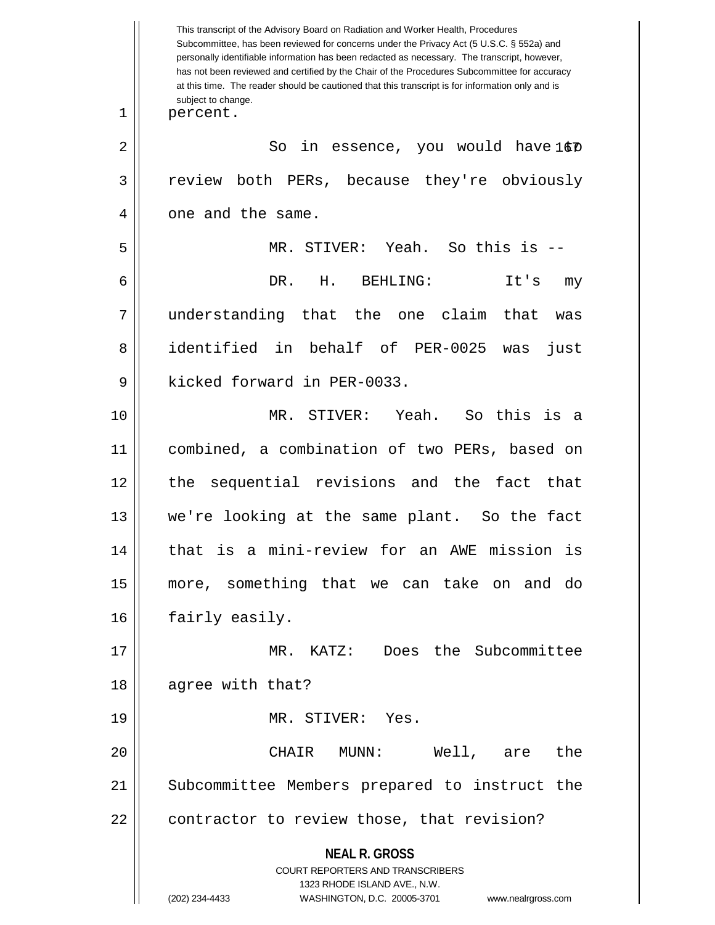**NEAL R. GROSS** COURT REPORTERS AND TRANSCRIBERS 1323 RHODE ISLAND AVE., N.W. (202) 234-4433 WASHINGTON, D.C. 20005-3701 www.nealrgross.com This transcript of the Advisory Board on Radiation and Worker Health, Procedures Subcommittee, has been reviewed for concerns under the Privacy Act (5 U.S.C. § 552a) and personally identifiable information has been redacted as necessary. The transcript, however, has not been reviewed and certified by the Chair of the Procedures Subcommittee for accuracy at this time. The reader should be cautioned that this transcript is for information only and is subject to change. 167 2 So in essence, you would have to 1 || percent. 3 review both PERs, because they're obviously 4 | one and the same. 5 MR. STIVER: Yeah. So this is -- 6 DR. H. BEHLING: It's my 7 understanding that the one claim that was 8 dentified in behalf of PER-0025 was just 9 || kicked forward in PER-0033. 10 MR. STIVER: Yeah. So this is a 11 combined, a combination of two PERs, based on 12 the sequential revisions and the fact that 13 we're looking at the same plant. So the fact 14 || that is a mini-review for an AWE mission is 15 more, something that we can take on and do 16 | fairly easily. 17 || MR. KATZ: Does the Subcommittee 18 || agree with that? 19 MR. STIVER: Yes. 20 CHAIR MUNN: Well, are the 21 || Subcommittee Members prepared to instruct the 22 | contractor to review those, that revision?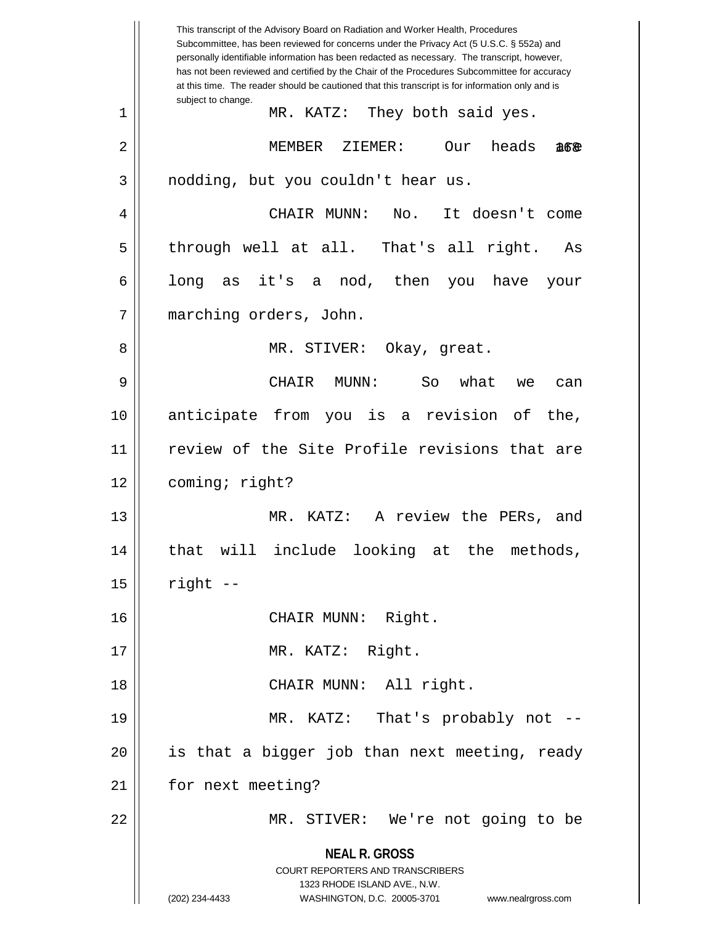**NEAL R. GROSS** COURT REPORTERS AND TRANSCRIBERS 1323 RHODE ISLAND AVE., N.W. (202) 234-4433 WASHINGTON, D.C. 20005-3701 www.nealrgross.com This transcript of the Advisory Board on Radiation and Worker Health, Procedures Subcommittee, has been reviewed for concerns under the Privacy Act (5 U.S.C. § 552a) and personally identifiable information has been redacted as necessary. The transcript, however, has not been reviewed and certified by the Chair of the Procedures Subcommittee for accuracy at this time. The reader should be cautioned that this transcript is for information only and is subject to change. 168 1 MR. KATZ: They both said yes. 2 || MEMBER ZIEMER: Our heads &6&  $3 \parallel$  nodding, but you couldn't hear us. 4 CHAIR MUNN: No. It doesn't come 5 through well at all. That's all right. As  $6 \parallel$  long as it's a nod, then you have your 7 marching orders, John. 8 MR. STIVER: Okay, great. 9 CHAIR MUNN: So what we can 10 anticipate from you is a revision of the, 11 || review of the Site Profile revisions that are 12 coming; right? 13 MR. KATZ: A review the PERs, and 14 || that will include looking at the methods,  $15$  | right  $-$ 16 CHAIR MUNN: Right. 17 || MR. KATZ: Right. 18 || CHAIR MUNN: All right. 19 MR. KATZ: That's probably not -- 20 || is that a bigger job than next meeting, ready 21 | for next meeting? 22 MR. STIVER: We're not going to be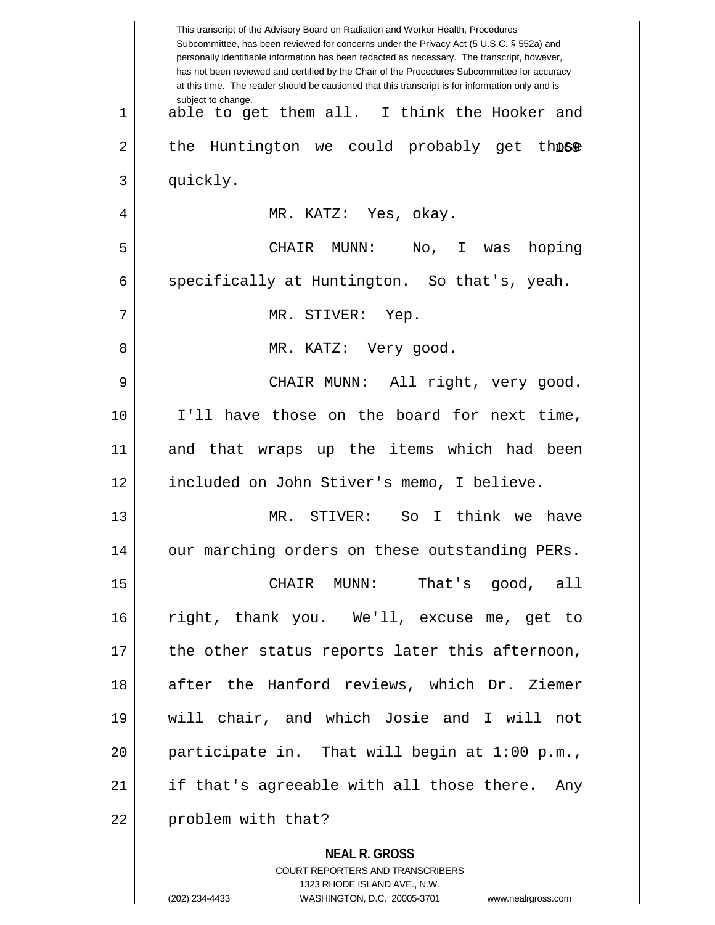|    | This transcript of the Advisory Board on Radiation and Worker Health, Procedures<br>Subcommittee, has been reviewed for concerns under the Privacy Act (5 U.S.C. § 552a) and<br>personally identifiable information has been redacted as necessary. The transcript, however,<br>has not been reviewed and certified by the Chair of the Procedures Subcommittee for accuracy<br>at this time. The reader should be cautioned that this transcript is for information only and is |
|----|----------------------------------------------------------------------------------------------------------------------------------------------------------------------------------------------------------------------------------------------------------------------------------------------------------------------------------------------------------------------------------------------------------------------------------------------------------------------------------|
| 1  | subject to change.<br>able to get them all. I think the Hooker and                                                                                                                                                                                                                                                                                                                                                                                                               |
| 2  | Huntington we could probably get those<br>the                                                                                                                                                                                                                                                                                                                                                                                                                                    |
| 3  | quickly.                                                                                                                                                                                                                                                                                                                                                                                                                                                                         |
| 4  | MR. KATZ: Yes, okay.                                                                                                                                                                                                                                                                                                                                                                                                                                                             |
| 5  | CHAIR MUNN:<br>No, I was hoping                                                                                                                                                                                                                                                                                                                                                                                                                                                  |
| 6  | specifically at Huntington. So that's, yeah.                                                                                                                                                                                                                                                                                                                                                                                                                                     |
| 7  | MR. STIVER: Yep.                                                                                                                                                                                                                                                                                                                                                                                                                                                                 |
| 8  | MR. KATZ: Very good.                                                                                                                                                                                                                                                                                                                                                                                                                                                             |
| 9  | CHAIR MUNN: All right, very good.                                                                                                                                                                                                                                                                                                                                                                                                                                                |
| 10 | I'll have those on the board for next time,                                                                                                                                                                                                                                                                                                                                                                                                                                      |
| 11 | and that wraps up the items which had been                                                                                                                                                                                                                                                                                                                                                                                                                                       |
| 12 | included on John Stiver's memo, I believe.                                                                                                                                                                                                                                                                                                                                                                                                                                       |
| 13 | So I think we have<br>MR. STIVER:                                                                                                                                                                                                                                                                                                                                                                                                                                                |
| 14 | our marching orders on these outstanding PERs.                                                                                                                                                                                                                                                                                                                                                                                                                                   |
| 15 | That's good, all<br>CHAIR MUNN:                                                                                                                                                                                                                                                                                                                                                                                                                                                  |
| 16 | right, thank you. We'll, excuse me, get to                                                                                                                                                                                                                                                                                                                                                                                                                                       |
| 17 | the other status reports later this afternoon,                                                                                                                                                                                                                                                                                                                                                                                                                                   |
| 18 | after the Hanford reviews, which Dr. Ziemer                                                                                                                                                                                                                                                                                                                                                                                                                                      |
| 19 | will chair, and which Josie and I will not                                                                                                                                                                                                                                                                                                                                                                                                                                       |
| 20 | participate in. That will begin at 1:00 p.m.,                                                                                                                                                                                                                                                                                                                                                                                                                                    |
| 21 | if that's agreeable with all those there. Any                                                                                                                                                                                                                                                                                                                                                                                                                                    |
| 22 | problem with that?                                                                                                                                                                                                                                                                                                                                                                                                                                                               |
|    | <b>NEAL R. GROSS</b>                                                                                                                                                                                                                                                                                                                                                                                                                                                             |

COURT REPORTERS AND TRANSCRIBERS 1323 RHODE ISLAND AVE., N.W.

 $\mathsf{II}$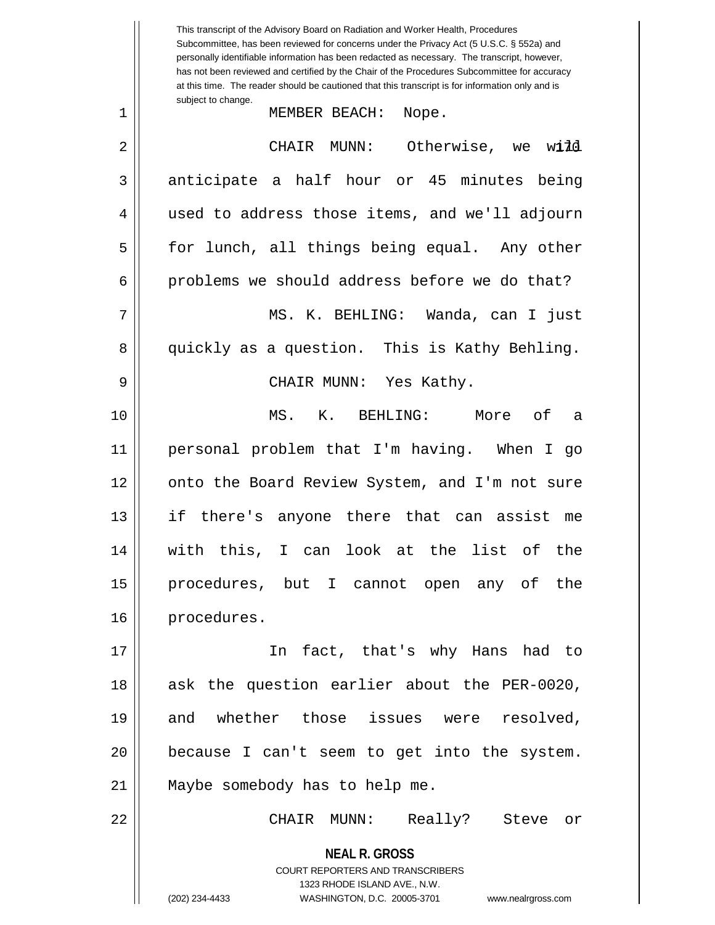**NEAL R. GROSS** COURT REPORTERS AND TRANSCRIBERS 1323 RHODE ISLAND AVE., N.W. This transcript of the Advisory Board on Radiation and Worker Health, Procedures Subcommittee, has been reviewed for concerns under the Privacy Act (5 U.S.C. § 552a) and personally identifiable information has been redacted as necessary. The transcript, however, has not been reviewed and certified by the Chair of the Procedures Subcommittee for accuracy at this time. The reader should be cautioned that this transcript is for information only and is subject to change. we wild 1 MEMBER BEACH: Nope. 2 CHAIR MUNN: Otherwise, we will 3 anticipate a half hour or 45 minutes being 4 || used to address those items, and we'll adjourn 5 || for lunch, all things being equal. Any other  $6 \parallel$  problems we should address before we do that? 7 MS. K. BEHLING: Wanda, can I just 8 quickly as a question. This is Kathy Behling. 9 CHAIR MUNN: Yes Kathy. 10 MS. K. BEHLING: More of a 11 personal problem that I'm having. When I go 12 || onto the Board Review System, and I'm not sure 13 if there's anyone there that can assist me 14 with this, I can look at the list of the 15 procedures, but I cannot open any of the 16 | procedures. 17 In fact, that's why Hans had to 18 || ask the question earlier about the PER-0020, 19 and whether those issues were resolved, 20 because I can't seem to get into the system. 21 || Maybe somebody has to help me. 22 CHAIR MUNN: Really? Steve or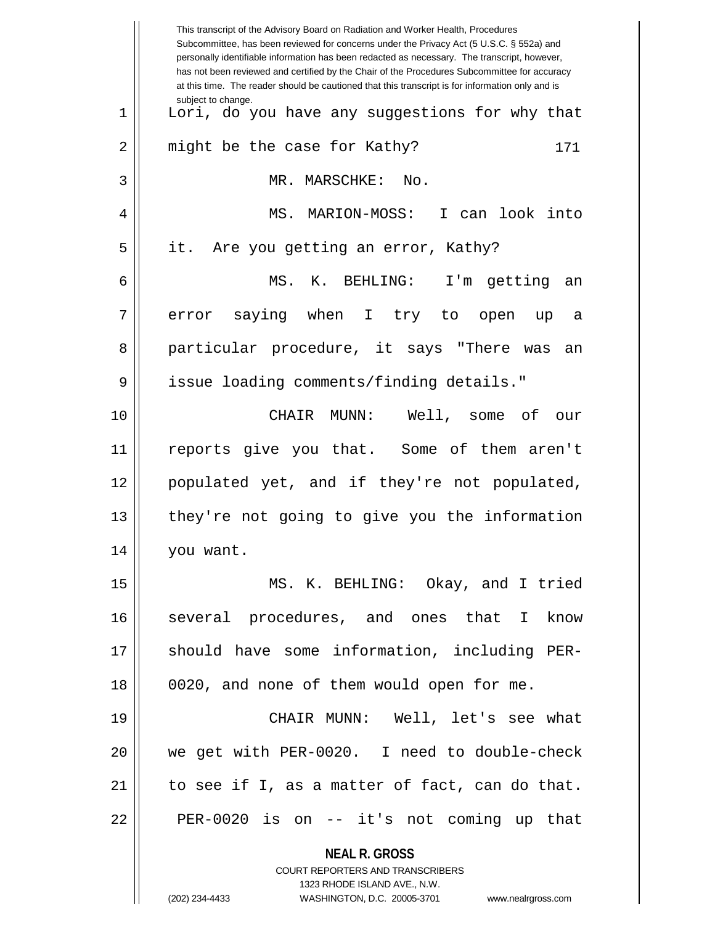|             | This transcript of the Advisory Board on Radiation and Worker Health, Procedures<br>Subcommittee, has been reviewed for concerns under the Privacy Act (5 U.S.C. § 552a) and<br>personally identifiable information has been redacted as necessary. The transcript, however,<br>has not been reviewed and certified by the Chair of the Procedures Subcommittee for accuracy<br>at this time. The reader should be cautioned that this transcript is for information only and is |
|-------------|----------------------------------------------------------------------------------------------------------------------------------------------------------------------------------------------------------------------------------------------------------------------------------------------------------------------------------------------------------------------------------------------------------------------------------------------------------------------------------|
| $\mathbf 1$ | subject to change.<br>Lori, do you have any suggestions for why that                                                                                                                                                                                                                                                                                                                                                                                                             |
| 2           | might be the case for Kathy?<br>171                                                                                                                                                                                                                                                                                                                                                                                                                                              |
| 3           | MR. MARSCHKE:<br>No.                                                                                                                                                                                                                                                                                                                                                                                                                                                             |
| 4           | I can look into<br>MS. MARION-MOSS:                                                                                                                                                                                                                                                                                                                                                                                                                                              |
| 5           | it.<br>Are you getting an error, Kathy?                                                                                                                                                                                                                                                                                                                                                                                                                                          |
| 6           | MS. K. BEHLING:<br>I'm getting an                                                                                                                                                                                                                                                                                                                                                                                                                                                |
| 7           | error saying when I try to open<br>up<br>- a                                                                                                                                                                                                                                                                                                                                                                                                                                     |
| 8           | particular procedure, it says "There was<br>an                                                                                                                                                                                                                                                                                                                                                                                                                                   |
| 9           | issue loading comments/finding details."                                                                                                                                                                                                                                                                                                                                                                                                                                         |
| 10          | CHAIR MUNN: Well, some of<br>our                                                                                                                                                                                                                                                                                                                                                                                                                                                 |
| 11          | reports give you that. Some of them aren't                                                                                                                                                                                                                                                                                                                                                                                                                                       |
| 12          | populated yet, and if they're not populated,                                                                                                                                                                                                                                                                                                                                                                                                                                     |
| 13          | they're not going to give you the information                                                                                                                                                                                                                                                                                                                                                                                                                                    |
| 14          | you want.                                                                                                                                                                                                                                                                                                                                                                                                                                                                        |
| 15          | MS. K. BEHLING: Okay, and I tried                                                                                                                                                                                                                                                                                                                                                                                                                                                |
| 16          | several procedures, and ones that I know                                                                                                                                                                                                                                                                                                                                                                                                                                         |
| 17          | should have some information, including PER-                                                                                                                                                                                                                                                                                                                                                                                                                                     |
| 18          | 0020, and none of them would open for me.                                                                                                                                                                                                                                                                                                                                                                                                                                        |
| 19          | CHAIR MUNN: Well, let's see what                                                                                                                                                                                                                                                                                                                                                                                                                                                 |
| 20          | we get with PER-0020. I need to double-check                                                                                                                                                                                                                                                                                                                                                                                                                                     |
| 21          | to see if I, as a matter of fact, can do that.                                                                                                                                                                                                                                                                                                                                                                                                                                   |
| 22          | PER-0020 is on -- it's not coming up that                                                                                                                                                                                                                                                                                                                                                                                                                                        |
|             | <b>NEAL R. GROSS</b>                                                                                                                                                                                                                                                                                                                                                                                                                                                             |
|             | <b>COURT REPORTERS AND TRANSCRIBERS</b>                                                                                                                                                                                                                                                                                                                                                                                                                                          |
|             | 1323 RHODE ISLAND AVE., N.W.<br>(202) 234-4433<br>WASHINGTON, D.C. 20005-3701<br>www.nealrgross.com                                                                                                                                                                                                                                                                                                                                                                              |
|             |                                                                                                                                                                                                                                                                                                                                                                                                                                                                                  |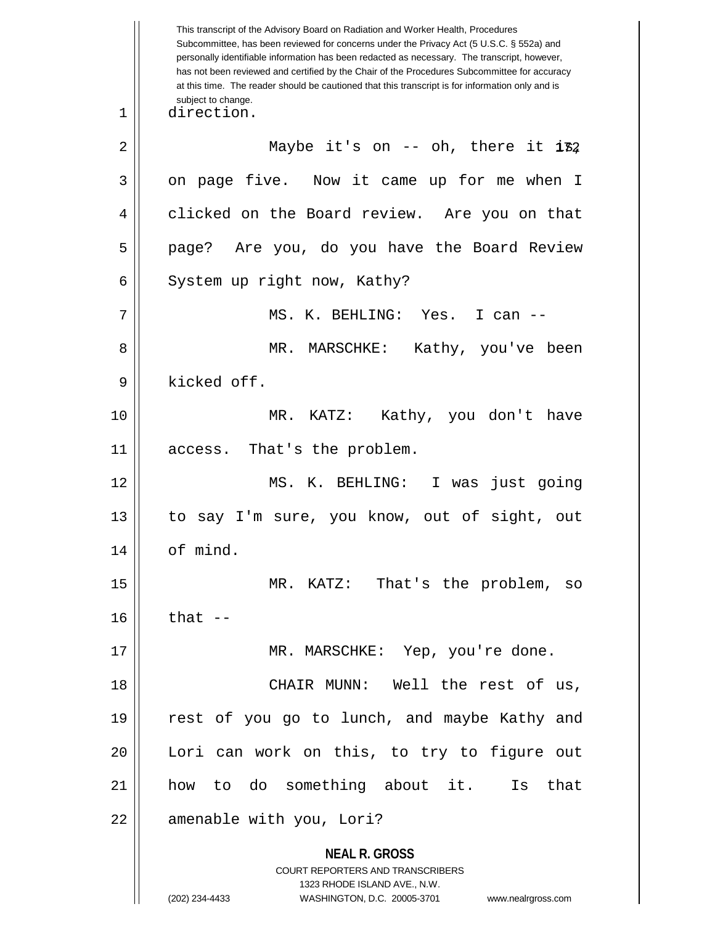**NEAL R. GROSS** COURT REPORTERS AND TRANSCRIBERS 1323 RHODE ISLAND AVE., N.W. (202) 234-4433 WASHINGTON, D.C. 20005-3701 www.nealrgross.com This transcript of the Advisory Board on Radiation and Worker Health, Procedures Subcommittee, has been reviewed for concerns under the Privacy Act (5 U.S.C. § 552a) and personally identifiable information has been redacted as necessary. The transcript, however, has not been reviewed and certified by the Chair of the Procedures Subcommittee for accuracy at this time. The reader should be cautioned that this transcript is for information only and is subject to change.  $2 \parallel$  Maybe it's on -- oh, there it  $\mathtt{i} \mathtt{F2}$ 1 direction.  $3 \parallel$  on page five. Now it came up for me when I 4 clicked on the Board review. Are you on that 5 || page? Are you, do you have the Board Review 6  $\parallel$  System up right now, Kathy? 7 MS. K. BEHLING: Yes. I can -- 8 MR. MARSCHKE: Kathy, you've been 9 || kicked off. 10 MR. KATZ: Kathy, you don't have 11 || access. That's the problem. 12 MS. K. BEHLING: I was just going 13 to say I'm sure, you know, out of sight, out 14 || of mind. 15 MR. KATZ: That's the problem, so  $16$  | that  $-$ 17 MR. MARSCHKE: Yep, you're done. 18 CHAIR MUNN: Well the rest of us, 19 rest of you go to lunch, and maybe Kathy and 20 || Lori can work on this, to try to figure out 21 how to do something about it. Is that 22 | amenable with you, Lori?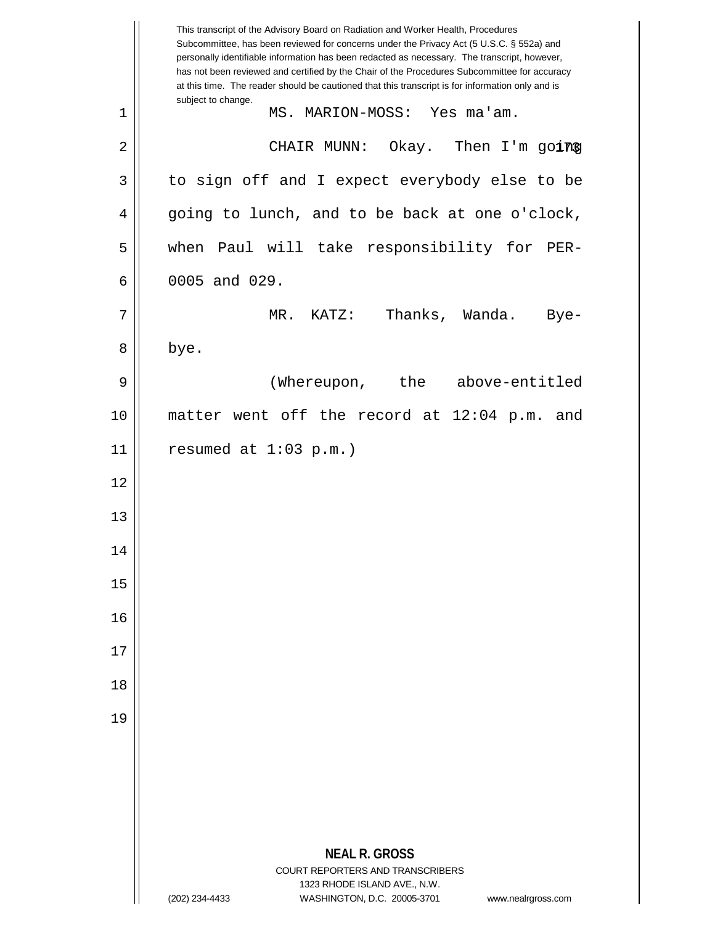|    | This transcript of the Advisory Board on Radiation and Worker Health, Procedures<br>Subcommittee, has been reviewed for concerns under the Privacy Act (5 U.S.C. § 552a) and<br>personally identifiable information has been redacted as necessary. The transcript, however,<br>has not been reviewed and certified by the Chair of the Procedures Subcommittee for accuracy<br>at this time. The reader should be cautioned that this transcript is for information only and is |
|----|----------------------------------------------------------------------------------------------------------------------------------------------------------------------------------------------------------------------------------------------------------------------------------------------------------------------------------------------------------------------------------------------------------------------------------------------------------------------------------|
| 1  | subject to change.<br>MS. MARION-MOSS: Yes ma'am.                                                                                                                                                                                                                                                                                                                                                                                                                                |
| 2  | CHAIR MUNN: Okay. Then I'm going                                                                                                                                                                                                                                                                                                                                                                                                                                                 |
| 3  | to sign off and I expect everybody else to be                                                                                                                                                                                                                                                                                                                                                                                                                                    |
| 4  | going to lunch, and to be back at one o'clock,                                                                                                                                                                                                                                                                                                                                                                                                                                   |
| 5  | when Paul will take responsibility for PER-                                                                                                                                                                                                                                                                                                                                                                                                                                      |
| 6  | 0005 and 029.                                                                                                                                                                                                                                                                                                                                                                                                                                                                    |
| 7  | Thanks, Wanda.<br>$MR.$ $KATZ:$<br>$Bye-$                                                                                                                                                                                                                                                                                                                                                                                                                                        |
| 8  | bye.                                                                                                                                                                                                                                                                                                                                                                                                                                                                             |
| 9  | (Whereupon, the above-entitled                                                                                                                                                                                                                                                                                                                                                                                                                                                   |
| 10 | matter went off the record at 12:04 p.m. and                                                                                                                                                                                                                                                                                                                                                                                                                                     |
| 11 | resumed at $1:03$ p.m.)                                                                                                                                                                                                                                                                                                                                                                                                                                                          |
| 12 |                                                                                                                                                                                                                                                                                                                                                                                                                                                                                  |
| 13 |                                                                                                                                                                                                                                                                                                                                                                                                                                                                                  |
| 14 |                                                                                                                                                                                                                                                                                                                                                                                                                                                                                  |
| 15 |                                                                                                                                                                                                                                                                                                                                                                                                                                                                                  |
| 16 |                                                                                                                                                                                                                                                                                                                                                                                                                                                                                  |
| 17 |                                                                                                                                                                                                                                                                                                                                                                                                                                                                                  |
| 18 |                                                                                                                                                                                                                                                                                                                                                                                                                                                                                  |
| 19 |                                                                                                                                                                                                                                                                                                                                                                                                                                                                                  |
|    |                                                                                                                                                                                                                                                                                                                                                                                                                                                                                  |
|    |                                                                                                                                                                                                                                                                                                                                                                                                                                                                                  |
|    |                                                                                                                                                                                                                                                                                                                                                                                                                                                                                  |
|    | <b>NEAL R. GROSS</b><br>COURT REPORTERS AND TRANSCRIBERS                                                                                                                                                                                                                                                                                                                                                                                                                         |
|    | 1323 RHODE ISLAND AVE., N.W.<br>WASHINGTON, D.C. 20005-3701<br>(202) 234-4433<br>www.nealrgross.com                                                                                                                                                                                                                                                                                                                                                                              |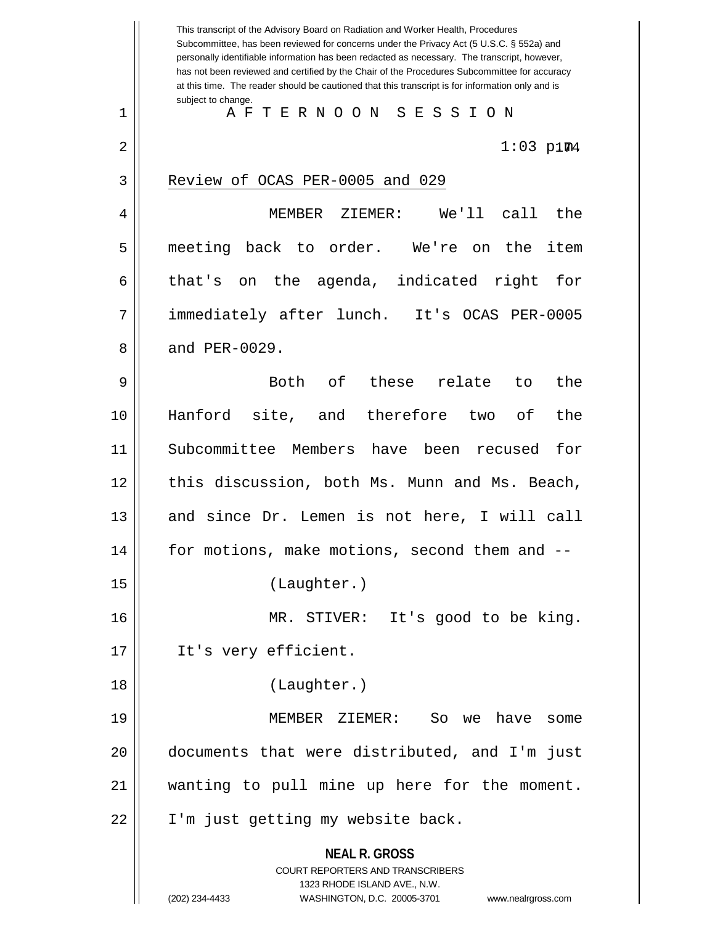**NEAL R. GROSS** COURT REPORTERS AND TRANSCRIBERS 1323 RHODE ISLAND AVE., N.W. (202) 234-4433 WASHINGTON, D.C. 20005-3701 www.nealrgross.com This transcript of the Advisory Board on Radiation and Worker Health, Procedures Subcommittee, has been reviewed for concerns under the Privacy Act (5 U.S.C. § 552a) and personally identifiable information has been redacted as necessary. The transcript, however, has not been reviewed and certified by the Chair of the Procedures Subcommittee for accuracy at this time. The reader should be cautioned that this transcript is for information only and is subject to change.  $2 \parallel$  1:03 p.1m4 1 A F T E R N O O N S E S S I O N 3 | Review of OCAS PER-0005 and 029 4 MEMBER ZIEMER: We'll call the 5 meeting back to order. We're on the item  $6 \parallel$  that's on the agenda, indicated right for 7 immediately after lunch. It's OCAS PER-0005  $8 \parallel$  and PER-0029. 9 Both of these relate to the 10 Hanford site, and therefore two of the 11 Subcommittee Members have been recused for 12 || this discussion, both Ms. Munn and Ms. Beach, 13 || and since Dr. Lemen is not here, I will call 14 for motions, make motions, second them and -- 15 (Laughter.) 16 MR. STIVER: It's good to be king. 17 || It's very efficient. 18 (Laughter.) 19 MEMBER ZIEMER: So we have some 20 documents that were distributed, and I'm just 21 wanting to pull mine up here for the moment. 22 || I'm just getting my website back.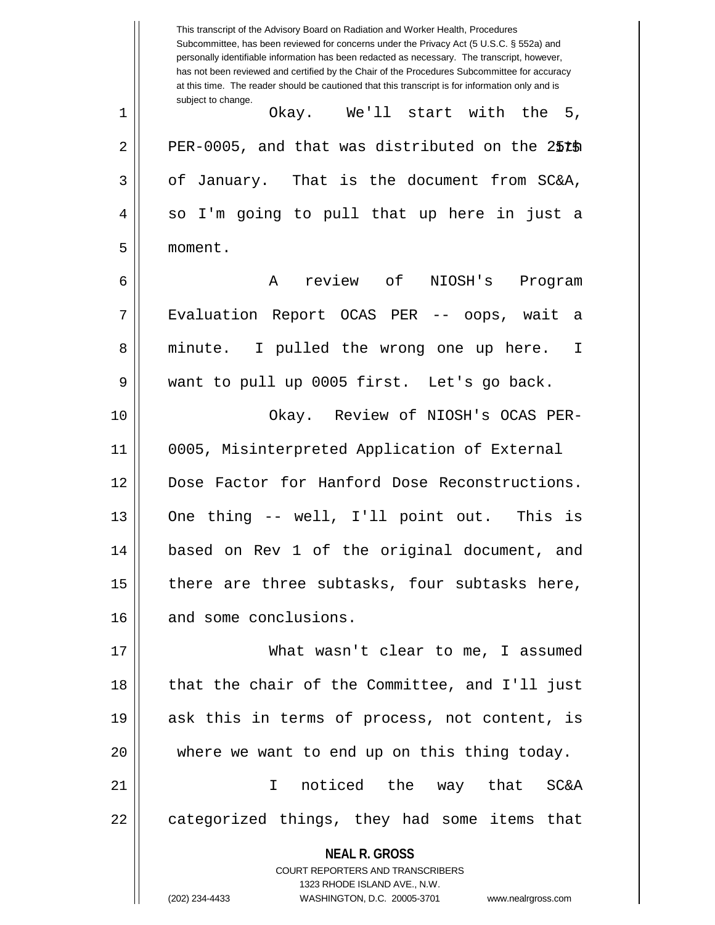**NEAL R. GROSS** COURT REPORTERS AND TRANSCRIBERS 1323 RHODE ISLAND AVE., N.W. (202) 234-4433 WASHINGTON, D.C. 20005-3701 www.nealrgross.com This transcript of the Advisory Board on Radiation and Worker Health, Procedures Subcommittee, has been reviewed for concerns under the Privacy Act (5 U.S.C. § 552a) and personally identifiable information has been redacted as necessary. The transcript, however, has not been reviewed and certified by the Chair of the Procedures Subcommittee for accuracy at this time. The reader should be cautioned that this transcript is for information only and is subject to change. 2 || PER-0005, and that was distributed on the 25th 1 Okay. We'll start with the 5,  $3 \parallel$  of January. That is the document from SC&A, 4 || so I'm going to pull that up here in just a 5 moment. 6 A review of NIOSH's Program 7 Evaluation Report OCAS PER -- oops, wait a 8 || minute. I pulled the wrong one up here. I 9 want to pull up 0005 first. Let's go back. 10 Okay. Review of NIOSH's OCAS PER-11 0005, Misinterpreted Application of External 12 Dose Factor for Hanford Dose Reconstructions. 13 || One thing -- well, I'll point out. This is 14 based on Rev 1 of the original document, and 15  $\parallel$  there are three subtasks, four subtasks here, 16 and some conclusions. 17 What wasn't clear to me, I assumed 18 || that the chair of the Committee, and I'll just 19 ask this in terms of process, not content, is 20 where we want to end up on this thing today. 21 I noticed the way that SC&A 22 || categorized things, they had some items that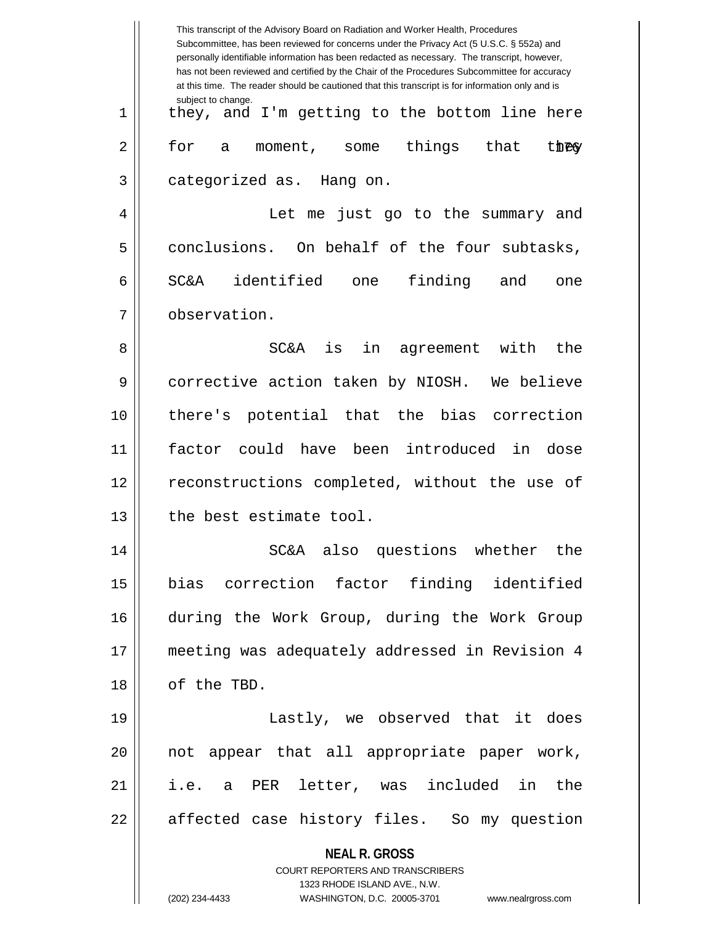|    | This transcript of the Advisory Board on Radiation and Worker Health, Procedures<br>Subcommittee, has been reviewed for concerns under the Privacy Act (5 U.S.C. § 552a) and<br>personally identifiable information has been redacted as necessary. The transcript, however,<br>has not been reviewed and certified by the Chair of the Procedures Subcommittee for accuracy<br>at this time. The reader should be cautioned that this transcript is for information only and is |
|----|----------------------------------------------------------------------------------------------------------------------------------------------------------------------------------------------------------------------------------------------------------------------------------------------------------------------------------------------------------------------------------------------------------------------------------------------------------------------------------|
| 1  | subject to change.<br>they, and I'm getting to the bottom line here                                                                                                                                                                                                                                                                                                                                                                                                              |
| 2  | for<br>things<br>that<br>they<br>moment, some<br>а                                                                                                                                                                                                                                                                                                                                                                                                                               |
| 3  | categorized as. Hang on.                                                                                                                                                                                                                                                                                                                                                                                                                                                         |
| 4  | Let me just go to the summary and                                                                                                                                                                                                                                                                                                                                                                                                                                                |
| 5  | conclusions. On behalf of the four subtasks,                                                                                                                                                                                                                                                                                                                                                                                                                                     |
| 6  | identified one<br>finding<br><b>SC&amp;A</b><br>and<br>one                                                                                                                                                                                                                                                                                                                                                                                                                       |
| 7  | observation.                                                                                                                                                                                                                                                                                                                                                                                                                                                                     |
| 8  | in<br><b>SC&amp;A</b><br>is<br>agreement with<br>the                                                                                                                                                                                                                                                                                                                                                                                                                             |
| 9  | corrective action taken by NIOSH. We believe                                                                                                                                                                                                                                                                                                                                                                                                                                     |
| 10 | there's potential that the bias correction                                                                                                                                                                                                                                                                                                                                                                                                                                       |
| 11 | could have been introduced in dose<br>factor                                                                                                                                                                                                                                                                                                                                                                                                                                     |
| 12 | reconstructions completed, without the use of                                                                                                                                                                                                                                                                                                                                                                                                                                    |
| 13 | the best estimate tool.                                                                                                                                                                                                                                                                                                                                                                                                                                                          |
| 14 | SC&A also questions whether the                                                                                                                                                                                                                                                                                                                                                                                                                                                  |
| 15 | bias correction factor finding identified                                                                                                                                                                                                                                                                                                                                                                                                                                        |
| 16 | during the Work Group, during the Work Group                                                                                                                                                                                                                                                                                                                                                                                                                                     |
| 17 | meeting was adequately addressed in Revision 4                                                                                                                                                                                                                                                                                                                                                                                                                                   |
| 18 | of the TBD.                                                                                                                                                                                                                                                                                                                                                                                                                                                                      |
| 19 | Lastly, we observed that it does                                                                                                                                                                                                                                                                                                                                                                                                                                                 |
| 20 | not appear that all appropriate paper work,                                                                                                                                                                                                                                                                                                                                                                                                                                      |
| 21 | i.e. a PER letter, was included in the                                                                                                                                                                                                                                                                                                                                                                                                                                           |
| 22 | affected case history files. So my question                                                                                                                                                                                                                                                                                                                                                                                                                                      |
|    | <b>NEAL R. GROSS</b><br><b>COURT REPORTERS AND TRANSCRIBERS</b><br>1323 RHODE ISLAND AVE., N.W.<br>WASHINGTON, D.C. 20005-3701                                                                                                                                                                                                                                                                                                                                                   |
|    | (202) 234-4433<br>www.nealrgross.com                                                                                                                                                                                                                                                                                                                                                                                                                                             |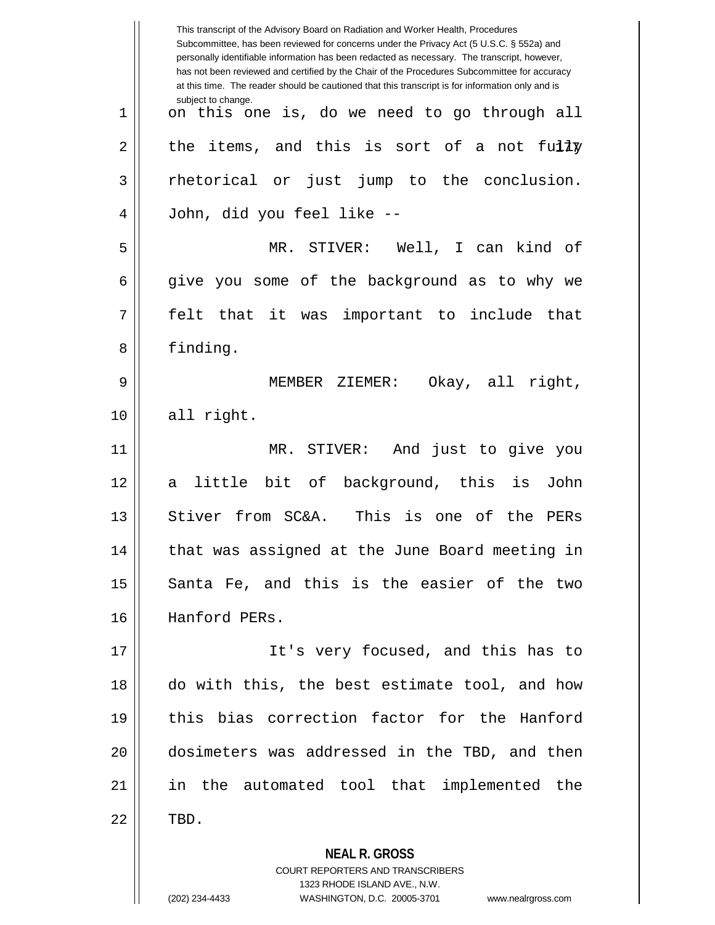|             | This transcript of the Advisory Board on Radiation and Worker Health, Procedures<br>Subcommittee, has been reviewed for concerns under the Privacy Act (5 U.S.C. § 552a) and<br>personally identifiable information has been redacted as necessary. The transcript, however,<br>has not been reviewed and certified by the Chair of the Procedures Subcommittee for accuracy<br>at this time. The reader should be cautioned that this transcript is for information only and is |
|-------------|----------------------------------------------------------------------------------------------------------------------------------------------------------------------------------------------------------------------------------------------------------------------------------------------------------------------------------------------------------------------------------------------------------------------------------------------------------------------------------|
| $\mathbf 1$ | subject to change.<br>on this one is, do we need to go through all                                                                                                                                                                                                                                                                                                                                                                                                               |
| 2           | the items, and this is sort of a not fully                                                                                                                                                                                                                                                                                                                                                                                                                                       |
| 3           | just jump to the conclusion.<br>rhetorical or                                                                                                                                                                                                                                                                                                                                                                                                                                    |
| 4           | John, did you feel like --                                                                                                                                                                                                                                                                                                                                                                                                                                                       |
| 5           | MR. STIVER: Well, I can kind of                                                                                                                                                                                                                                                                                                                                                                                                                                                  |
| 6           | give you some of the background as to why we                                                                                                                                                                                                                                                                                                                                                                                                                                     |
| 7           | felt that it was important to include that                                                                                                                                                                                                                                                                                                                                                                                                                                       |
| 8           | finding.                                                                                                                                                                                                                                                                                                                                                                                                                                                                         |
| 9           | Okay, all right,<br>MEMBER ZIEMER:                                                                                                                                                                                                                                                                                                                                                                                                                                               |
| 10          | all right.                                                                                                                                                                                                                                                                                                                                                                                                                                                                       |
| 11          | MR. STIVER:<br>And just to give you                                                                                                                                                                                                                                                                                                                                                                                                                                              |
| 12          | little bit of background, this is<br>John<br>a                                                                                                                                                                                                                                                                                                                                                                                                                                   |
| 13          | Stiver from SC&A.<br>This<br>is one of<br>the<br>PERs                                                                                                                                                                                                                                                                                                                                                                                                                            |
| 14          | that was assigned at the June Board meeting in                                                                                                                                                                                                                                                                                                                                                                                                                                   |
| 15          | Santa Fe, and this is the easier of the two                                                                                                                                                                                                                                                                                                                                                                                                                                      |
| 16          | Hanford PERs.                                                                                                                                                                                                                                                                                                                                                                                                                                                                    |
| 17          | It's very focused, and this has to                                                                                                                                                                                                                                                                                                                                                                                                                                               |
| 18          | do with this, the best estimate tool, and how                                                                                                                                                                                                                                                                                                                                                                                                                                    |
| 19          | this bias correction factor for the Hanford                                                                                                                                                                                                                                                                                                                                                                                                                                      |
| 20          | dosimeters was addressed in the TBD, and then                                                                                                                                                                                                                                                                                                                                                                                                                                    |
| 21          | in the automated tool that implemented the                                                                                                                                                                                                                                                                                                                                                                                                                                       |
| 22          | TBD.                                                                                                                                                                                                                                                                                                                                                                                                                                                                             |
|             | <b>NEAL R. GROSS</b><br><b>COURT REPORTERS AND TRANSCRIBERS</b><br>1323 RHODE ISLAND AVE., N.W.<br>(202) 234-4433<br>WASHINGTON, D.C. 20005-3701<br>www.nealrgross.com                                                                                                                                                                                                                                                                                                           |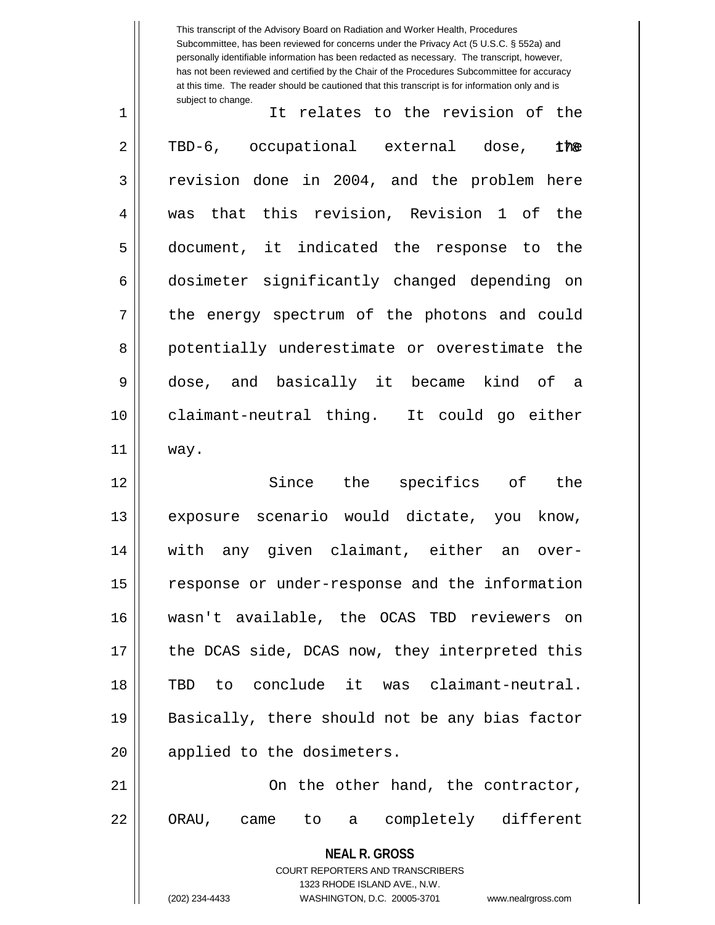This transcript of the Advisory Board on Radiation and Worker Health, Procedures Subcommittee, has been reviewed for concerns under the Privacy Act (5 U.S.C. § 552a) and personally identifiable information has been redacted as necessary. The transcript, however, has not been reviewed and certified by the Chair of the Procedures Subcommittee for accuracy at this time. The reader should be cautioned that this transcript is for information only and is subject to change.

| $\mathbf 1$    | It relates to the revision of the             |
|----------------|-----------------------------------------------|
| $\overline{a}$ | TBD-6, occupational external dose, the        |
| 3              | revision done in 2004, and the problem here   |
| 4              | was that this revision, Revision 1 of the     |
| 5              | document, it indicated the response to the    |
| 6              | dosimeter significantly changed depending on  |
| 7              | the energy spectrum of the photons and could  |
| 8              | potentially underestimate or overestimate the |
| 9              | dose, and basically it became kind of a       |
| 10             | claimant-neutral thing. It could go either    |
| 11             | way.                                          |
| 12             | Since the specifics of the                    |

13 || exposure scenario would dictate, you know, 14 with any given claimant, either an over-15 | response or under-response and the information 16 wasn't available, the OCAS TBD reviewers on 17 || the DCAS side, DCAS now, they interpreted this 18 TBD to conclude it was claimant-neutral. 19 || Basically, there should not be any bias factor 20 || applied to the dosimeters.

21 || Cn the other hand, the contractor, 22 || ORAU, came to a completely different

**NEAL R. GROSS**

COURT REPORTERS AND TRANSCRIBERS 1323 RHODE ISLAND AVE., N.W. (202) 234-4433 WASHINGTON, D.C. 20005-3701 www.nealrgross.com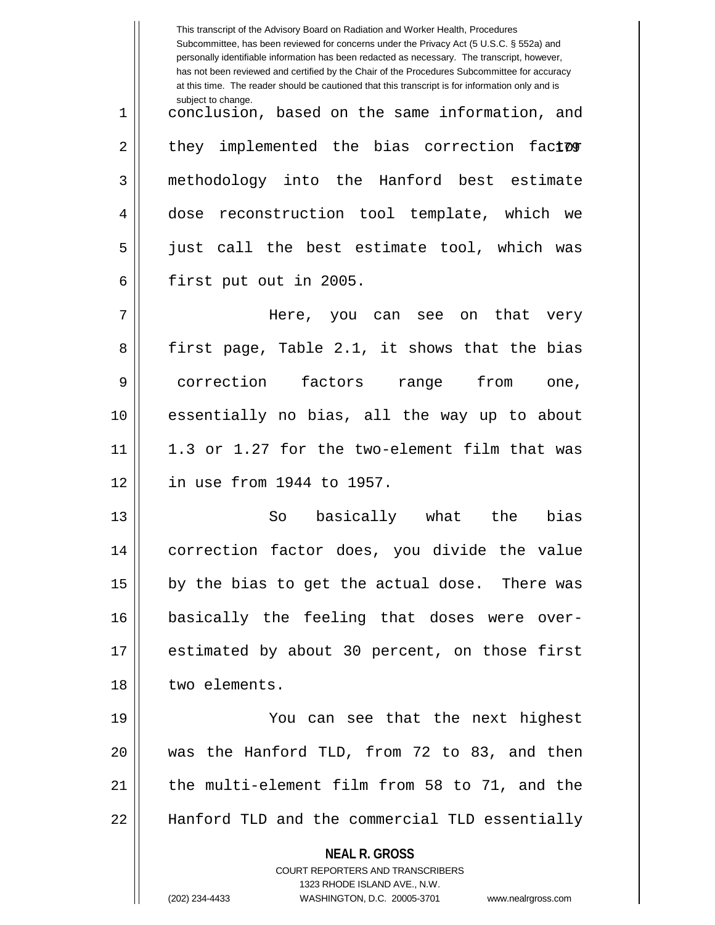|    | This transcript of the Advisory Board on Radiation and Worker Health, Procedures<br>Subcommittee, has been reviewed for concerns under the Privacy Act (5 U.S.C. § 552a) and<br>personally identifiable information has been redacted as necessary. The transcript, however,<br>has not been reviewed and certified by the Chair of the Procedures Subcommittee for accuracy<br>at this time. The reader should be cautioned that this transcript is for information only and is |
|----|----------------------------------------------------------------------------------------------------------------------------------------------------------------------------------------------------------------------------------------------------------------------------------------------------------------------------------------------------------------------------------------------------------------------------------------------------------------------------------|
| 1  | subject to change.<br>conclusion, based on the same information, and                                                                                                                                                                                                                                                                                                                                                                                                             |
| 2  | they implemented the bias correction factor                                                                                                                                                                                                                                                                                                                                                                                                                                      |
| 3  | methodology into the Hanford best estimate                                                                                                                                                                                                                                                                                                                                                                                                                                       |
| 4  | dose reconstruction tool template, which we                                                                                                                                                                                                                                                                                                                                                                                                                                      |
| 5  | just call the best estimate tool, which was                                                                                                                                                                                                                                                                                                                                                                                                                                      |
| 6  | first put out in 2005.                                                                                                                                                                                                                                                                                                                                                                                                                                                           |
| 7  | Here, you can see on<br>that<br>very                                                                                                                                                                                                                                                                                                                                                                                                                                             |
| 8  | first page, Table 2.1, it shows that the bias                                                                                                                                                                                                                                                                                                                                                                                                                                    |
| 9  | correction factors range from<br>one,                                                                                                                                                                                                                                                                                                                                                                                                                                            |
| 10 | essentially no bias, all the way up to about                                                                                                                                                                                                                                                                                                                                                                                                                                     |
| 11 | 1.3 or 1.27 for the two-element film that was                                                                                                                                                                                                                                                                                                                                                                                                                                    |
| 12 | in use from 1944 to 1957.                                                                                                                                                                                                                                                                                                                                                                                                                                                        |
| 13 | basically what<br>bias<br>the<br>So                                                                                                                                                                                                                                                                                                                                                                                                                                              |
| 14 | correction factor does, you divide the value                                                                                                                                                                                                                                                                                                                                                                                                                                     |
| 15 | by the bias to get the actual dose. There was                                                                                                                                                                                                                                                                                                                                                                                                                                    |
| 16 | basically the feeling that doses were over-                                                                                                                                                                                                                                                                                                                                                                                                                                      |
| 17 | estimated by about 30 percent, on those first                                                                                                                                                                                                                                                                                                                                                                                                                                    |
| 18 | two elements.                                                                                                                                                                                                                                                                                                                                                                                                                                                                    |
| 19 | You can see that the next highest                                                                                                                                                                                                                                                                                                                                                                                                                                                |
| 20 | was the Hanford TLD, from 72 to 83, and then                                                                                                                                                                                                                                                                                                                                                                                                                                     |
| 21 | the multi-element film from 58 to 71, and the                                                                                                                                                                                                                                                                                                                                                                                                                                    |
| 22 | Hanford TLD and the commercial TLD essentially                                                                                                                                                                                                                                                                                                                                                                                                                                   |
|    | <b>NEAL R. GROSS</b><br>COURT REPORTERS AND TRANSCRIBERS<br>1323 RHODE ISLAND AVE., N.W.<br>(202) 234-4433<br>WASHINGTON, D.C. 20005-3701<br>www.nealrgross.com                                                                                                                                                                                                                                                                                                                  |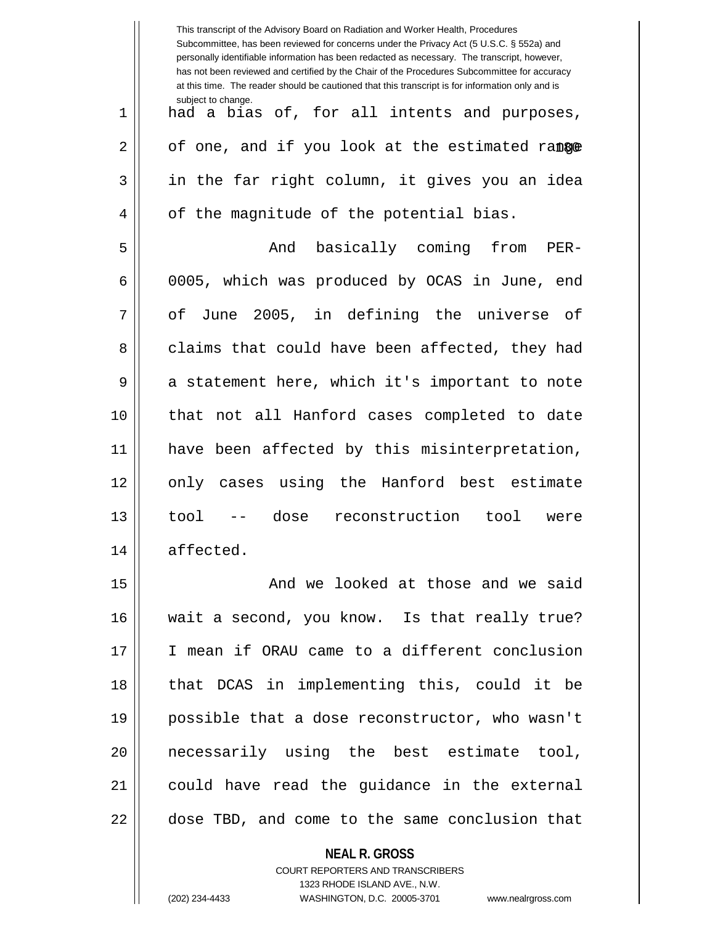|    | This transcript of the Advisory Board on Radiation and Worker Health, Procedures<br>Subcommittee, has been reviewed for concerns under the Privacy Act (5 U.S.C. § 552a) and<br>personally identifiable information has been redacted as necessary. The transcript, however,<br>has not been reviewed and certified by the Chair of the Procedures Subcommittee for accuracy<br>at this time. The reader should be cautioned that this transcript is for information only and is |
|----|----------------------------------------------------------------------------------------------------------------------------------------------------------------------------------------------------------------------------------------------------------------------------------------------------------------------------------------------------------------------------------------------------------------------------------------------------------------------------------|
| 1  | subject to change.<br>had a bias of, for all intents and purposes,                                                                                                                                                                                                                                                                                                                                                                                                               |
| 2  | of one, and if you look at the estimated range                                                                                                                                                                                                                                                                                                                                                                                                                                   |
| 3  | in the far right column, it gives you an idea                                                                                                                                                                                                                                                                                                                                                                                                                                    |
| 4  | of the magnitude of the potential bias.                                                                                                                                                                                                                                                                                                                                                                                                                                          |
| 5  | And basically coming from<br>$PER-$                                                                                                                                                                                                                                                                                                                                                                                                                                              |
| 6  | 0005, which was produced by OCAS in June, end                                                                                                                                                                                                                                                                                                                                                                                                                                    |
| 7  | of June 2005, in defining the universe of                                                                                                                                                                                                                                                                                                                                                                                                                                        |
| 8  | claims that could have been affected, they had                                                                                                                                                                                                                                                                                                                                                                                                                                   |
| 9  | a statement here, which it's important to note                                                                                                                                                                                                                                                                                                                                                                                                                                   |
| 10 | that not all Hanford cases completed to date                                                                                                                                                                                                                                                                                                                                                                                                                                     |
| 11 | have been affected by this misinterpretation,                                                                                                                                                                                                                                                                                                                                                                                                                                    |
| 12 | only cases using the Hanford best estimate                                                                                                                                                                                                                                                                                                                                                                                                                                       |
| 13 | dose<br>reconstruction<br>tool<br>tool<br>$  \,$ $\,$<br>were                                                                                                                                                                                                                                                                                                                                                                                                                    |
| 14 | affected.                                                                                                                                                                                                                                                                                                                                                                                                                                                                        |
| 15 | And we looked at those and we said                                                                                                                                                                                                                                                                                                                                                                                                                                               |
| 16 | wait a second, you know. Is that really true?                                                                                                                                                                                                                                                                                                                                                                                                                                    |
| 17 | I mean if ORAU came to a different conclusion                                                                                                                                                                                                                                                                                                                                                                                                                                    |
| 18 | that DCAS in implementing this, could it be                                                                                                                                                                                                                                                                                                                                                                                                                                      |
| 19 | possible that a dose reconstructor, who wasn't                                                                                                                                                                                                                                                                                                                                                                                                                                   |
| 20 | necessarily using the best estimate tool,                                                                                                                                                                                                                                                                                                                                                                                                                                        |
| 21 | could have read the guidance in the external                                                                                                                                                                                                                                                                                                                                                                                                                                     |
| 22 | dose TBD, and come to the same conclusion that                                                                                                                                                                                                                                                                                                                                                                                                                                   |
|    | <b>NEAL R. GROSS</b>                                                                                                                                                                                                                                                                                                                                                                                                                                                             |

COURT REPORTERS AND TRANSCRIBERS 1323 RHODE ISLAND AVE., N.W.

 $\mathsf{II}$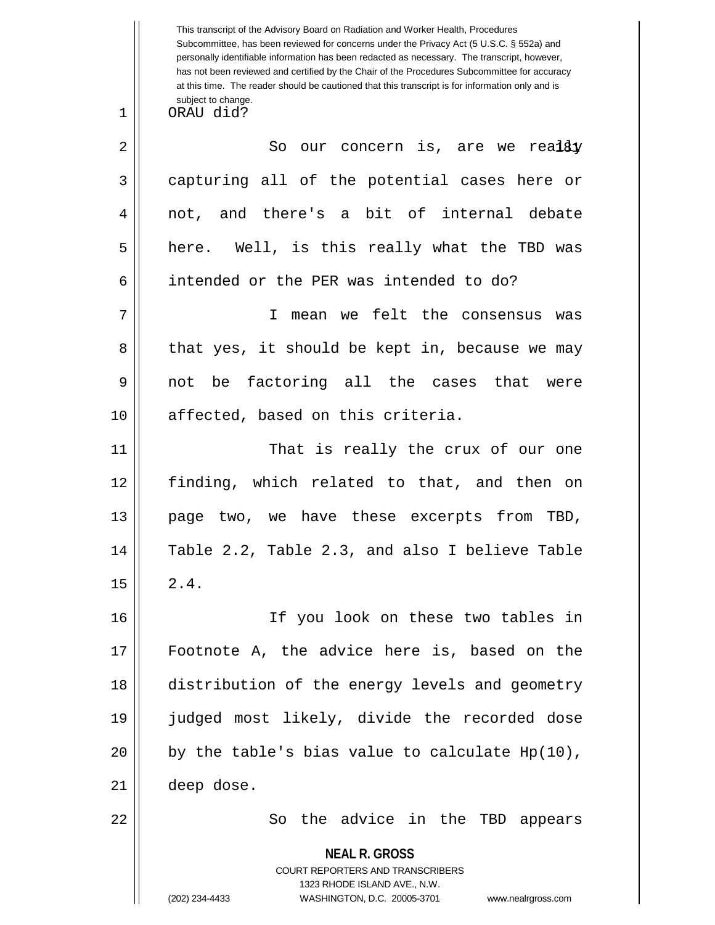**NEAL R. GROSS** COURT REPORTERS AND TRANSCRIBERS 1323 RHODE ISLAND AVE., N.W. This transcript of the Advisory Board on Radiation and Worker Health, Procedures Subcommittee, has been reviewed for concerns under the Privacy Act (5 U.S.C. § 552a) and personally identifiable information has been redacted as necessary. The transcript, however, has not been reviewed and certified by the Chair of the Procedures Subcommittee for accuracy at this time. The reader should be cautioned that this transcript is for information only and is subject to change.  $2 \parallel$  So our concern is, are we real $\c3y$ 1 ORAU did? 3 capturing all of the potential cases here or 4 || not, and there's a bit of internal debate  $5 \parallel$  here. Well, is this really what the TBD was 6 intended or the PER was intended to do? 7 I mean we felt the consensus was  $8 \parallel$  that yes, it should be kept in, because we may 9 not be factoring all the cases that were 10 || affected, based on this criteria. 11 That is really the crux of our one 12 finding, which related to that, and then on 13 page two, we have these excerpts from TBD, 14 Table 2.2, Table 2.3, and also I believe Table  $15 \parallel 2.4.$ 16 If you look on these two tables in 17 Footnote A, the advice here is, based on the 18 distribution of the energy levels and geometry 19 judged most likely, divide the recorded dose 20  $\vert \vert$  by the table's bias value to calculate Hp(10), 21 deep dose. 22 || So the advice in the TBD appears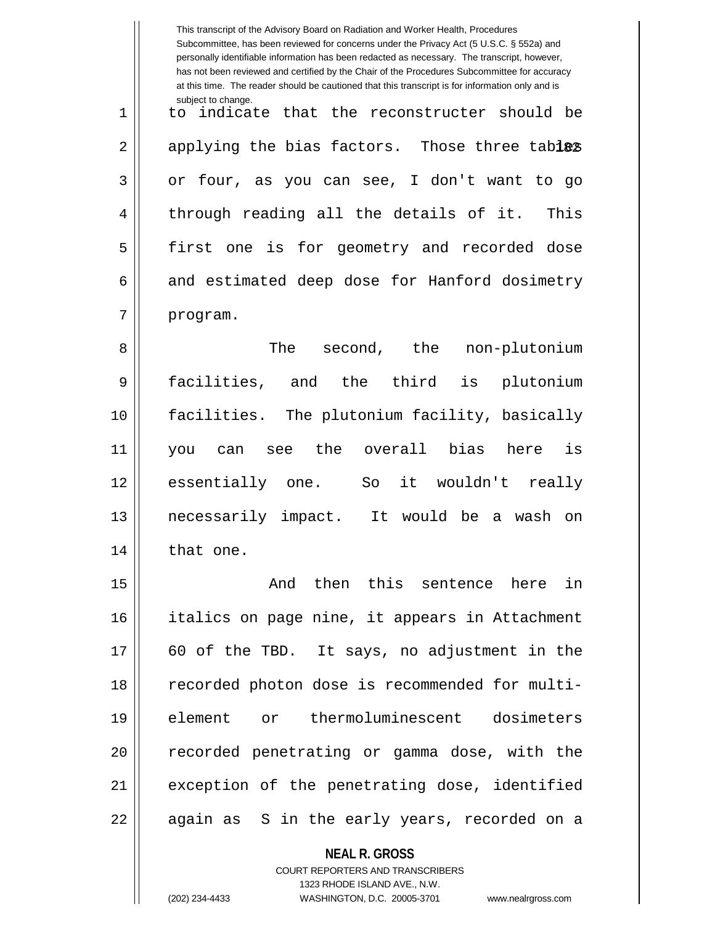|                                  | This transcript of the Advisory Board on Radiation and Worker Health, Procedures<br>Subcommittee, has been reviewed for concerns under the Privacy Act (5 U.S.C. § 552a) and<br>personally identifiable information has been redacted as necessary. The transcript, however,<br>has not been reviewed and certified by the Chair of the Procedures Subcommittee for accuracy<br>at this time. The reader should be cautioned that this transcript is for information only and is<br>subject to change. |
|----------------------------------|--------------------------------------------------------------------------------------------------------------------------------------------------------------------------------------------------------------------------------------------------------------------------------------------------------------------------------------------------------------------------------------------------------------------------------------------------------------------------------------------------------|
| 1                                | indicate that the reconstructer should be<br>to                                                                                                                                                                                                                                                                                                                                                                                                                                                        |
| 2                                | applying the bias factors. Those three tables                                                                                                                                                                                                                                                                                                                                                                                                                                                          |
| 3                                | or four, as you can see, I don't want to go                                                                                                                                                                                                                                                                                                                                                                                                                                                            |
| 4                                | through reading all the details of it.<br>This                                                                                                                                                                                                                                                                                                                                                                                                                                                         |
| 5                                | first one is for geometry and recorded dose                                                                                                                                                                                                                                                                                                                                                                                                                                                            |
| 6                                | and estimated deep dose for Hanford dosimetry                                                                                                                                                                                                                                                                                                                                                                                                                                                          |
| 7                                | program.                                                                                                                                                                                                                                                                                                                                                                                                                                                                                               |
| 8                                | The<br>second, the non-plutonium                                                                                                                                                                                                                                                                                                                                                                                                                                                                       |
| 9                                | facilities,<br>and the third<br>plutonium<br>is                                                                                                                                                                                                                                                                                                                                                                                                                                                        |
| 10                               | facilities. The plutonium facility, basically                                                                                                                                                                                                                                                                                                                                                                                                                                                          |
| 11                               | see the overall bias<br>is<br>here<br>can<br>you                                                                                                                                                                                                                                                                                                                                                                                                                                                       |
| 12                               | essentially<br>it wouldn't really<br>So<br>one.                                                                                                                                                                                                                                                                                                                                                                                                                                                        |
| 13                               | necessarily impact. It would be a wash on                                                                                                                                                                                                                                                                                                                                                                                                                                                              |
| 14                               | that one.                                                                                                                                                                                                                                                                                                                                                                                                                                                                                              |
| 15                               | And then this sentence here in                                                                                                                                                                                                                                                                                                                                                                                                                                                                         |
|                                  |                                                                                                                                                                                                                                                                                                                                                                                                                                                                                                        |
|                                  | italics on page nine, it appears in Attachment                                                                                                                                                                                                                                                                                                                                                                                                                                                         |
|                                  | 60 of the TBD. It says, no adjustment in the                                                                                                                                                                                                                                                                                                                                                                                                                                                           |
|                                  | recorded photon dose is recommended for multi-                                                                                                                                                                                                                                                                                                                                                                                                                                                         |
|                                  | element or thermoluminescent dosimeters                                                                                                                                                                                                                                                                                                                                                                                                                                                                |
|                                  | recorded penetrating or gamma dose, with the                                                                                                                                                                                                                                                                                                                                                                                                                                                           |
| 16<br>17<br>18<br>19<br>20<br>21 | exception of the penetrating dose, identified                                                                                                                                                                                                                                                                                                                                                                                                                                                          |

**NEAL R. GROSS**

COURT REPORTERS AND TRANSCRIBERS 1323 RHODE ISLAND AVE., N.W. (202) 234-4433 WASHINGTON, D.C. 20005-3701 www.nealrgross.com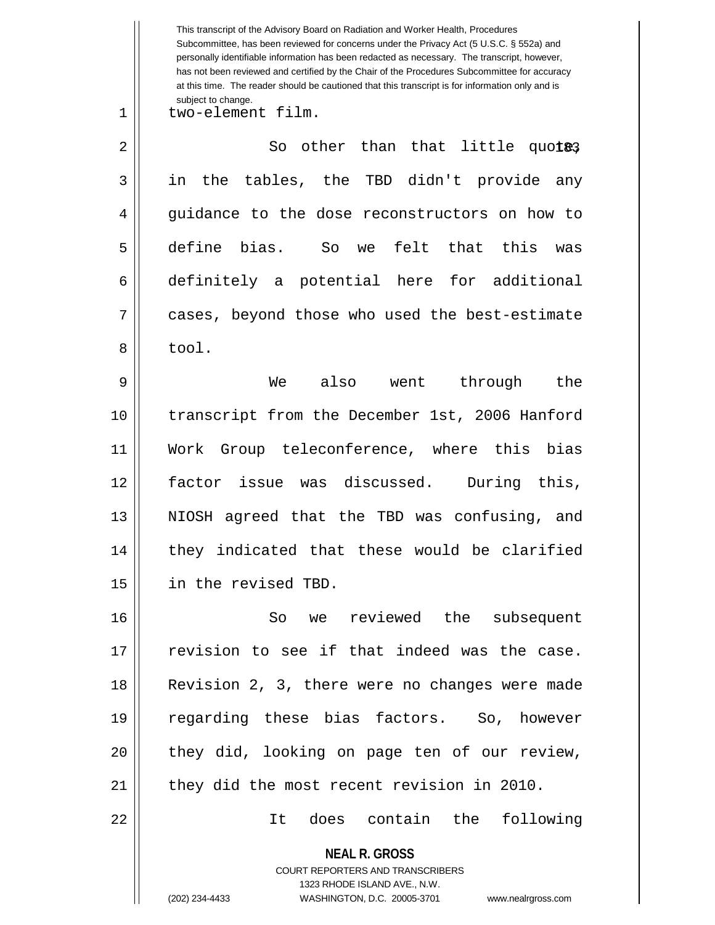**NEAL R. GROSS** COURT REPORTERS AND TRANSCRIBERS 1323 RHODE ISLAND AVE., N.W. This transcript of the Advisory Board on Radiation and Worker Health, Procedures Subcommittee, has been reviewed for concerns under the Privacy Act (5 U.S.C. § 552a) and personally identifiable information has been redacted as necessary. The transcript, however, has not been reviewed and certified by the Chair of the Procedures Subcommittee for accuracy at this time. The reader should be cautioned that this transcript is for information only and is subject to change. 183 2 So other than that little quote, 1 || two-element film. 3 in the tables, the TBD didn't provide any 4 || guidance to the dose reconstructors on how to 5 define bias. So we felt that this was 6 definitely a potential here for additional 7 cases, beyond those who used the best-estimate 8 bool. 9 We also went through the 10 transcript from the December 1st, 2006 Hanford 11 Work Group teleconference, where this bias 12 factor issue was discussed. During this, 13 || NIOSH agreed that the TBD was confusing, and 14 || they indicated that these would be clarified 15 in the revised TBD. 16 So we reviewed the subsequent 17 || revision to see if that indeed was the case. 18 Revision 2, 3, there were no changes were made 19 regarding these bias factors. So, however 20 || they did, looking on page ten of our review, 21 | they did the most recent revision in 2010. 22 It does contain the following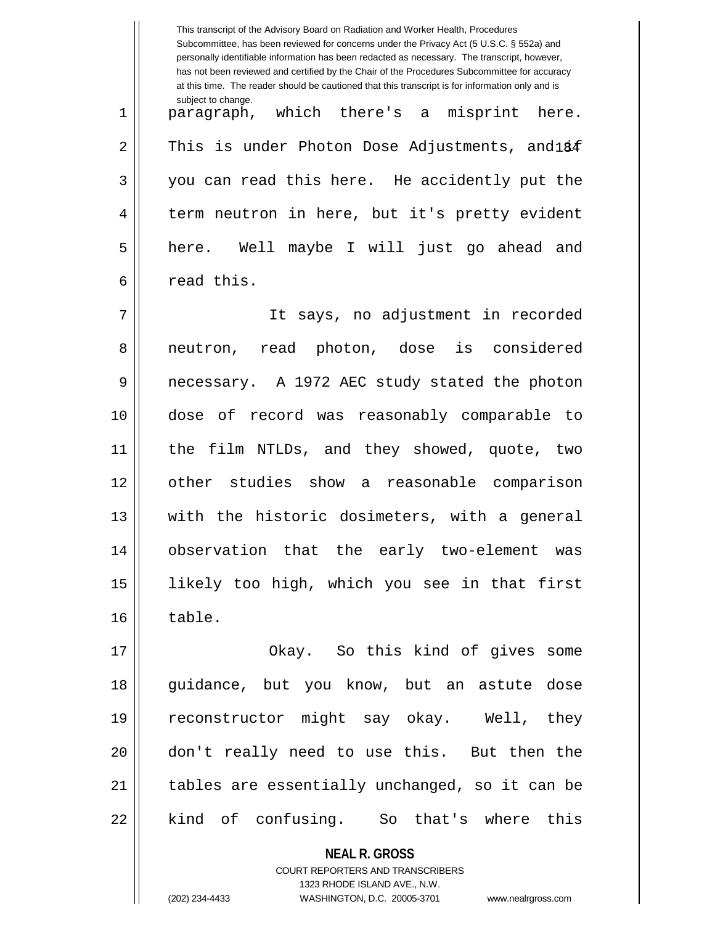**NEAL R. GROSS** This transcript of the Advisory Board on Radiation and Worker Health, Procedures Subcommittee, has been reviewed for concerns under the Privacy Act (5 U.S.C. § 552a) and personally identifiable information has been redacted as necessary. The transcript, however, has not been reviewed and certified by the Chair of the Procedures Subcommittee for accuracy at this time. The reader should be cautioned that this transcript is for information only and is subject to change.  $2 \parallel$  This is under Photon Dose Adjustments, and  $1$ 84 1 paragraph, which there's a misprint here. 3 || you can read this here. He accidently put the 4 || term neutron in here, but it's pretty evident 5 here. Well maybe I will just go ahead and 6 l read this. 7 It says, no adjustment in recorded 8 || neutron, read photon, dose is considered 9 || necessary. A 1972 AEC study stated the photon 10 dose of record was reasonably comparable to 11 the film NTLDs, and they showed, quote, two 12 other studies show a reasonable comparison 13 || with the historic dosimeters, with a general 14 observation that the early two-element was 15 likely too high, which you see in that first  $16 \parallel$  table. 17 || Chay. So this kind of gives some 18 guidance, but you know, but an astute dose 19 reconstructor might say okay. Well, they 20 don't really need to use this. But then the 21 || tables are essentially unchanged, so it can be 22 || kind of confusing. So that's where this

> COURT REPORTERS AND TRANSCRIBERS 1323 RHODE ISLAND AVE., N.W.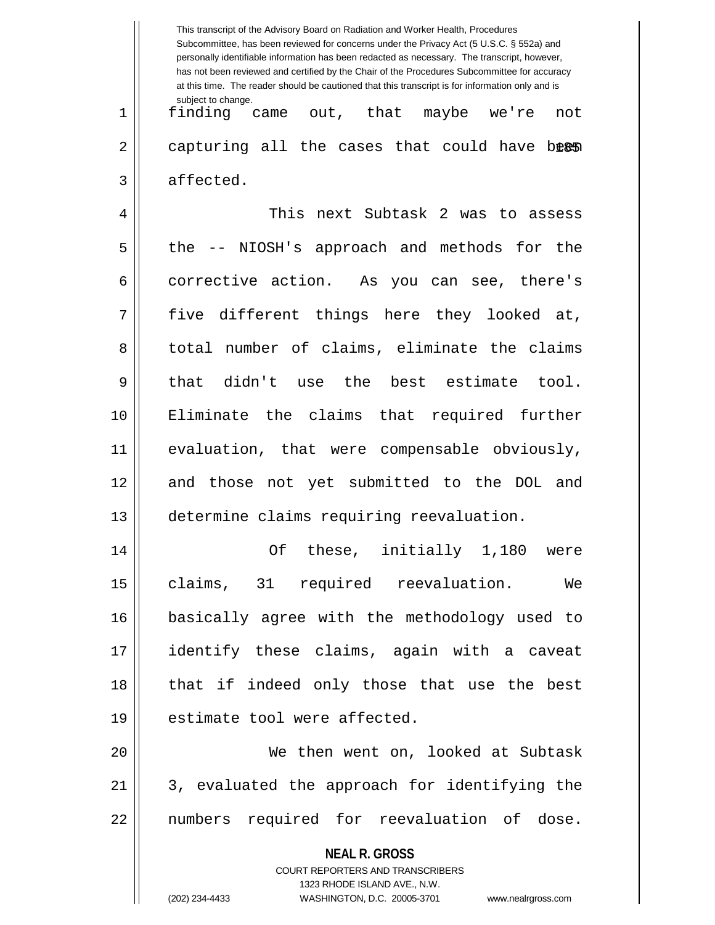|    | This transcript of the Advisory Board on Radiation and Worker Health, Procedures<br>Subcommittee, has been reviewed for concerns under the Privacy Act (5 U.S.C. § 552a) and<br>personally identifiable information has been redacted as necessary. The transcript, however,<br>has not been reviewed and certified by the Chair of the Procedures Subcommittee for accuracy<br>at this time. The reader should be cautioned that this transcript is for information only and is |
|----|----------------------------------------------------------------------------------------------------------------------------------------------------------------------------------------------------------------------------------------------------------------------------------------------------------------------------------------------------------------------------------------------------------------------------------------------------------------------------------|
| 1  | subject to change.<br>came out, that maybe we're<br>finding<br>not                                                                                                                                                                                                                                                                                                                                                                                                               |
| 2  | capturing all the cases that could have been                                                                                                                                                                                                                                                                                                                                                                                                                                     |
| 3  | affected.                                                                                                                                                                                                                                                                                                                                                                                                                                                                        |
| 4  | This next Subtask 2 was to assess                                                                                                                                                                                                                                                                                                                                                                                                                                                |
| 5  | -- NIOSH's approach and methods for the<br>the.                                                                                                                                                                                                                                                                                                                                                                                                                                  |
| 6  | corrective action. As you can see, there's                                                                                                                                                                                                                                                                                                                                                                                                                                       |
| 7  | five different things here they looked at,                                                                                                                                                                                                                                                                                                                                                                                                                                       |
| 8  | total number of claims, eliminate the claims                                                                                                                                                                                                                                                                                                                                                                                                                                     |
| 9  | didn't<br>use the best estimate tool.<br>that                                                                                                                                                                                                                                                                                                                                                                                                                                    |
| 10 | Eliminate the claims that required further                                                                                                                                                                                                                                                                                                                                                                                                                                       |
| 11 | evaluation, that were compensable obviously,                                                                                                                                                                                                                                                                                                                                                                                                                                     |
| 12 | and those not yet submitted to the DOL and                                                                                                                                                                                                                                                                                                                                                                                                                                       |
| 13 | determine claims requiring reevaluation.                                                                                                                                                                                                                                                                                                                                                                                                                                         |
| 14 | Of these, initially 1,180 were                                                                                                                                                                                                                                                                                                                                                                                                                                                   |
| 15 | claims, 31 required reevaluation.<br>We                                                                                                                                                                                                                                                                                                                                                                                                                                          |
| 16 | basically agree with the methodology used to                                                                                                                                                                                                                                                                                                                                                                                                                                     |
| 17 | identify these claims, again with a caveat                                                                                                                                                                                                                                                                                                                                                                                                                                       |
| 18 | that if indeed only those that use the best                                                                                                                                                                                                                                                                                                                                                                                                                                      |
| 19 | estimate tool were affected.                                                                                                                                                                                                                                                                                                                                                                                                                                                     |
| 20 | We then went on, looked at Subtask                                                                                                                                                                                                                                                                                                                                                                                                                                               |
| 21 | 3, evaluated the approach for identifying the                                                                                                                                                                                                                                                                                                                                                                                                                                    |
| 22 | numbers required for reevaluation of dose.                                                                                                                                                                                                                                                                                                                                                                                                                                       |
|    | <b>NEAL R. GROSS</b>                                                                                                                                                                                                                                                                                                                                                                                                                                                             |
|    | COURT REPORTERS AND TRANSCRIBERS<br>1323 RHODE ISLAND AVE., N.W.                                                                                                                                                                                                                                                                                                                                                                                                                 |
|    | (202) 234-4433<br>WASHINGTON, D.C. 20005-3701<br>www.nealrgross.com                                                                                                                                                                                                                                                                                                                                                                                                              |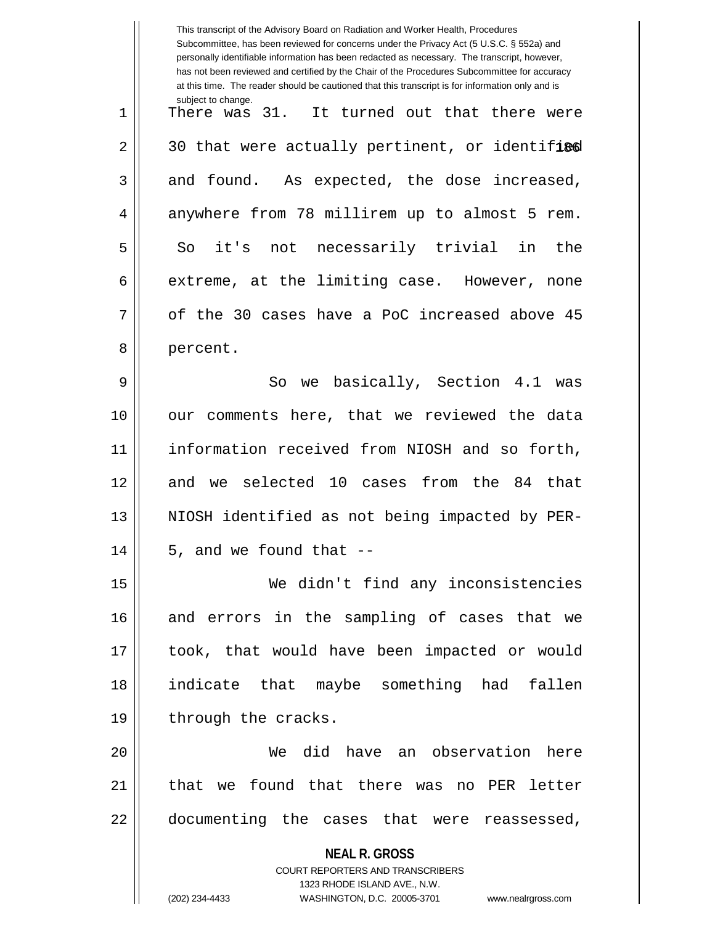|    | This transcript of the Advisory Board on Radiation and Worker Health, Procedures<br>Subcommittee, has been reviewed for concerns under the Privacy Act (5 U.S.C. § 552a) and<br>personally identifiable information has been redacted as necessary. The transcript, however,<br>has not been reviewed and certified by the Chair of the Procedures Subcommittee for accuracy<br>at this time. The reader should be cautioned that this transcript is for information only and is |
|----|----------------------------------------------------------------------------------------------------------------------------------------------------------------------------------------------------------------------------------------------------------------------------------------------------------------------------------------------------------------------------------------------------------------------------------------------------------------------------------|
| 1  | subject to change.<br>There was 31. It turned out that there were                                                                                                                                                                                                                                                                                                                                                                                                                |
| 2  | 30 that were actually pertinent, or identified                                                                                                                                                                                                                                                                                                                                                                                                                                   |
| 3  | and found. As expected, the dose increased,                                                                                                                                                                                                                                                                                                                                                                                                                                      |
| 4  | anywhere from 78 millirem up to almost 5 rem.                                                                                                                                                                                                                                                                                                                                                                                                                                    |
| 5  | So it's not necessarily trivial in<br>the                                                                                                                                                                                                                                                                                                                                                                                                                                        |
| 6  | extreme, at the limiting case. However, none                                                                                                                                                                                                                                                                                                                                                                                                                                     |
| 7  | of the 30 cases have a PoC increased above 45                                                                                                                                                                                                                                                                                                                                                                                                                                    |
| 8  | percent.                                                                                                                                                                                                                                                                                                                                                                                                                                                                         |
| 9  | we basically, Section 4.1<br>So<br>was                                                                                                                                                                                                                                                                                                                                                                                                                                           |
| 10 | our comments here, that we reviewed the data                                                                                                                                                                                                                                                                                                                                                                                                                                     |
| 11 | information received from NIOSH and so forth,                                                                                                                                                                                                                                                                                                                                                                                                                                    |
| 12 | and we selected 10 cases from the 84<br>that                                                                                                                                                                                                                                                                                                                                                                                                                                     |
| 13 | NIOSH identified as not being impacted by PER-                                                                                                                                                                                                                                                                                                                                                                                                                                   |
| 14 | 5, and we found that --                                                                                                                                                                                                                                                                                                                                                                                                                                                          |
| 15 | We didn't find any inconsistencies                                                                                                                                                                                                                                                                                                                                                                                                                                               |
| 16 | and errors in the sampling of cases that we                                                                                                                                                                                                                                                                                                                                                                                                                                      |
| 17 | took, that would have been impacted or would                                                                                                                                                                                                                                                                                                                                                                                                                                     |
| 18 | indicate that maybe something had fallen                                                                                                                                                                                                                                                                                                                                                                                                                                         |
| 19 | through the cracks.                                                                                                                                                                                                                                                                                                                                                                                                                                                              |
| 20 | We did have an observation here                                                                                                                                                                                                                                                                                                                                                                                                                                                  |
| 21 | that we found that there was no PER letter                                                                                                                                                                                                                                                                                                                                                                                                                                       |
| 22 | documenting the cases that were reassessed,                                                                                                                                                                                                                                                                                                                                                                                                                                      |
|    | <b>NEAL R. GROSS</b>                                                                                                                                                                                                                                                                                                                                                                                                                                                             |
|    | <b>COURT REPORTERS AND TRANSCRIBERS</b><br>1323 RHODE ISLAND AVE., N.W.                                                                                                                                                                                                                                                                                                                                                                                                          |
|    | (202) 234-4433<br>WASHINGTON, D.C. 20005-3701<br>www.nealrgross.com                                                                                                                                                                                                                                                                                                                                                                                                              |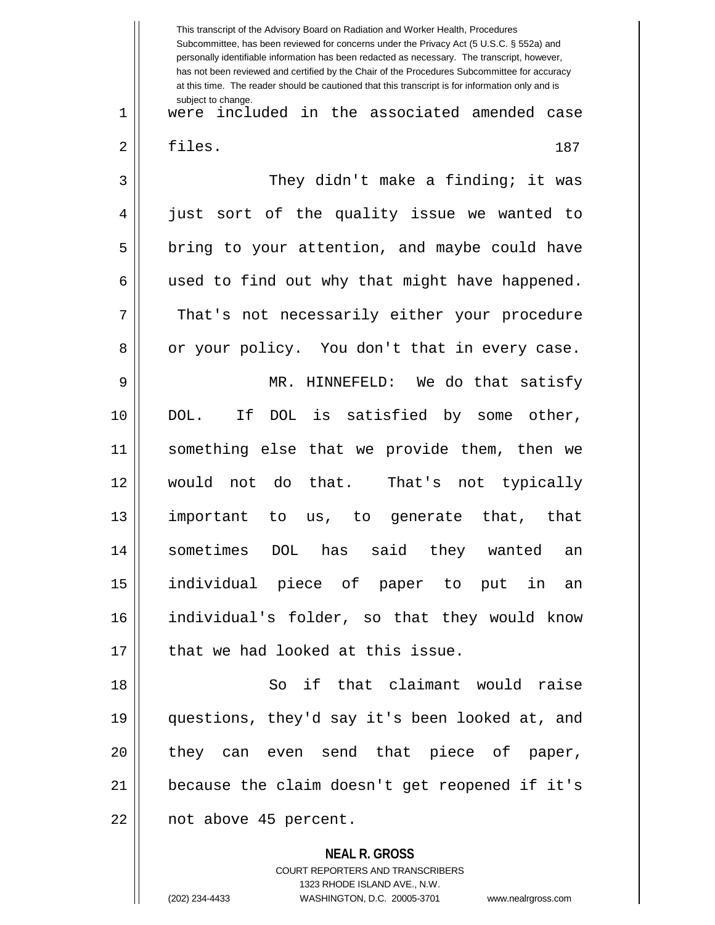**NEAL R. GROSS** COURT REPORTERS AND TRANSCRIBERS This transcript of the Advisory Board on Radiation and Worker Health, Procedures Subcommittee, has been reviewed for concerns under the Privacy Act (5 U.S.C. § 552a) and personally identifiable information has been redacted as necessary. The transcript, however, has not been reviewed and certified by the Chair of the Procedures Subcommittee for accuracy at this time. The reader should be cautioned that this transcript is for information only and is subject to change. 187 1 were included in the associated amended case 2 | files. 3 They didn't make a finding; it was 4 || just sort of the quality issue we wanted to  $5 \parallel$  bring to your attention, and maybe could have  $6 \parallel$  used to find out why that might have happened. 7 That's not necessarily either your procedure 8 || or your policy. You don't that in every case. 9 MR. HINNEFELD: We do that satisfy 10 DOL. If DOL is satisfied by some other, 11 something else that we provide them, then we 12 would not do that. That's not typically 13 important to us, to generate that, that 14 sometimes DOL has said they wanted an 15 individual piece of paper to put in an 16 individual's folder, so that they would know  $17$   $\parallel$  that we had looked at this issue. 18 So if that claimant would raise 19 questions, they'd say it's been looked at, and 20 they can even send that piece of paper, 21 because the claim doesn't get reopened if it's 22 || not above 45 percent.

1323 RHODE ISLAND AVE., N.W.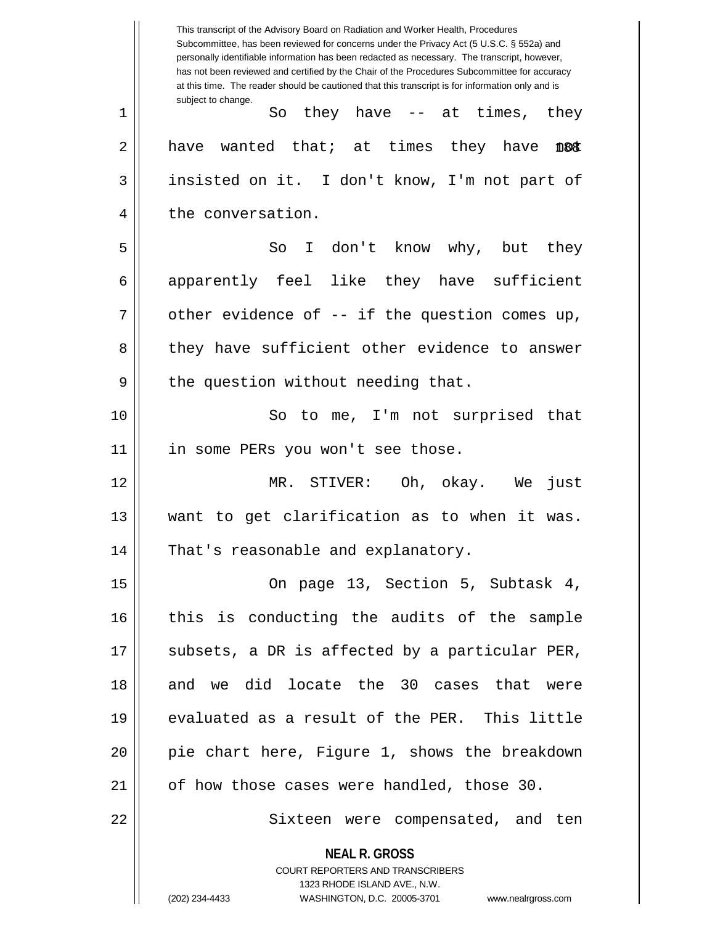**NEAL R. GROSS** COURT REPORTERS AND TRANSCRIBERS 1323 RHODE ISLAND AVE., N.W. (202) 234-4433 WASHINGTON, D.C. 20005-3701 www.nealrgross.com This transcript of the Advisory Board on Radiation and Worker Health, Procedures Subcommittee, has been reviewed for concerns under the Privacy Act (5 U.S.C. § 552a) and personally identifiable information has been redacted as necessary. The transcript, however, has not been reviewed and certified by the Chair of the Procedures Subcommittee for accuracy at this time. The reader should be cautioned that this transcript is for information only and is subject to change. 188 1 || So they have -- at times, they  $2 \parallel$  have wanted that; at times they have 3 || insisted on it. I don't know, I'm not part of 4 | the conversation. 5 So I don't know why, but they 6 apparently feel like they have sufficient  $7 \parallel$  other evidence of -- if the question comes up, 8 they have sufficient other evidence to answer  $9 \parallel$  the question without needing that. 10 || So to me, I'm not surprised that 11 || in some PERs you won't see those. 12 MR. STIVER: Oh, okay. We just 13 want to get clarification as to when it was. 14 || That's reasonable and explanatory. 15 || Compage 13, Section 5, Subtask 4, 16 this is conducting the audits of the sample  $17$  || subsets, a DR is affected by a particular PER, 18 and we did locate the 30 cases that were 19 evaluated as a result of the PER. This little 20 pie chart here, Figure 1, shows the breakdown  $21$  | of how those cases were handled, those 30. 22 || Sixteen were compensated, and ten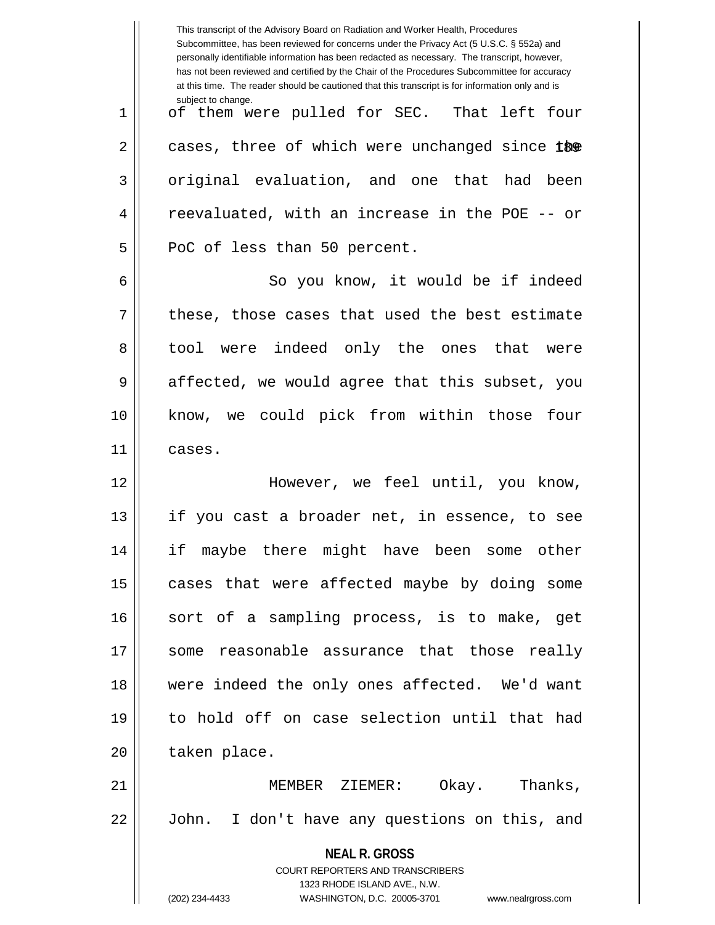|    | This transcript of the Advisory Board on Radiation and Worker Health, Procedures<br>Subcommittee, has been reviewed for concerns under the Privacy Act (5 U.S.C. § 552a) and<br>personally identifiable information has been redacted as necessary. The transcript, however,<br>has not been reviewed and certified by the Chair of the Procedures Subcommittee for accuracy<br>at this time. The reader should be cautioned that this transcript is for information only and is |
|----|----------------------------------------------------------------------------------------------------------------------------------------------------------------------------------------------------------------------------------------------------------------------------------------------------------------------------------------------------------------------------------------------------------------------------------------------------------------------------------|
| 1  | subject to change.<br>of them were pulled for SEC. That left four                                                                                                                                                                                                                                                                                                                                                                                                                |
| 2  | cases, three of which were unchanged since the                                                                                                                                                                                                                                                                                                                                                                                                                                   |
| 3  | original evaluation, and one that had been                                                                                                                                                                                                                                                                                                                                                                                                                                       |
| 4  | reevaluated, with an increase in the POE -- or                                                                                                                                                                                                                                                                                                                                                                                                                                   |
| 5  | PoC of less than 50 percent.                                                                                                                                                                                                                                                                                                                                                                                                                                                     |
| 6  | So you know, it would be if indeed                                                                                                                                                                                                                                                                                                                                                                                                                                               |
| 7  | these, those cases that used the best estimate                                                                                                                                                                                                                                                                                                                                                                                                                                   |
| 8  | tool were indeed only the ones that were                                                                                                                                                                                                                                                                                                                                                                                                                                         |
| 9  | affected, we would agree that this subset, you                                                                                                                                                                                                                                                                                                                                                                                                                                   |
| 10 | know, we could pick from within those<br>four                                                                                                                                                                                                                                                                                                                                                                                                                                    |
| 11 | cases.                                                                                                                                                                                                                                                                                                                                                                                                                                                                           |
| 12 | However, we feel until, you know,                                                                                                                                                                                                                                                                                                                                                                                                                                                |
| 13 | if you cast a broader net, in essence, to see                                                                                                                                                                                                                                                                                                                                                                                                                                    |
| 14 | if maybe there might have been some other                                                                                                                                                                                                                                                                                                                                                                                                                                        |
| 15 | cases that were affected maybe by doing some                                                                                                                                                                                                                                                                                                                                                                                                                                     |
| 16 | sort of a sampling process, is to make, get                                                                                                                                                                                                                                                                                                                                                                                                                                      |
| 17 | some reasonable assurance that those really                                                                                                                                                                                                                                                                                                                                                                                                                                      |
| 18 | were indeed the only ones affected. We'd want                                                                                                                                                                                                                                                                                                                                                                                                                                    |
| 19 | to hold off on case selection until that had                                                                                                                                                                                                                                                                                                                                                                                                                                     |
| 20 | taken place.                                                                                                                                                                                                                                                                                                                                                                                                                                                                     |
| 21 | MEMBER ZIEMER: Okay. Thanks,                                                                                                                                                                                                                                                                                                                                                                                                                                                     |
| 22 | I don't have any questions on this, and<br>John.                                                                                                                                                                                                                                                                                                                                                                                                                                 |
|    | <b>NEAL R. GROSS</b><br>COURT REPORTERS AND TRANSCRIBERS<br>1323 RHODE ISLAND AVE., N.W.                                                                                                                                                                                                                                                                                                                                                                                         |
|    | (202) 234-4433<br>WASHINGTON, D.C. 20005-3701<br>www.nealrgross.com                                                                                                                                                                                                                                                                                                                                                                                                              |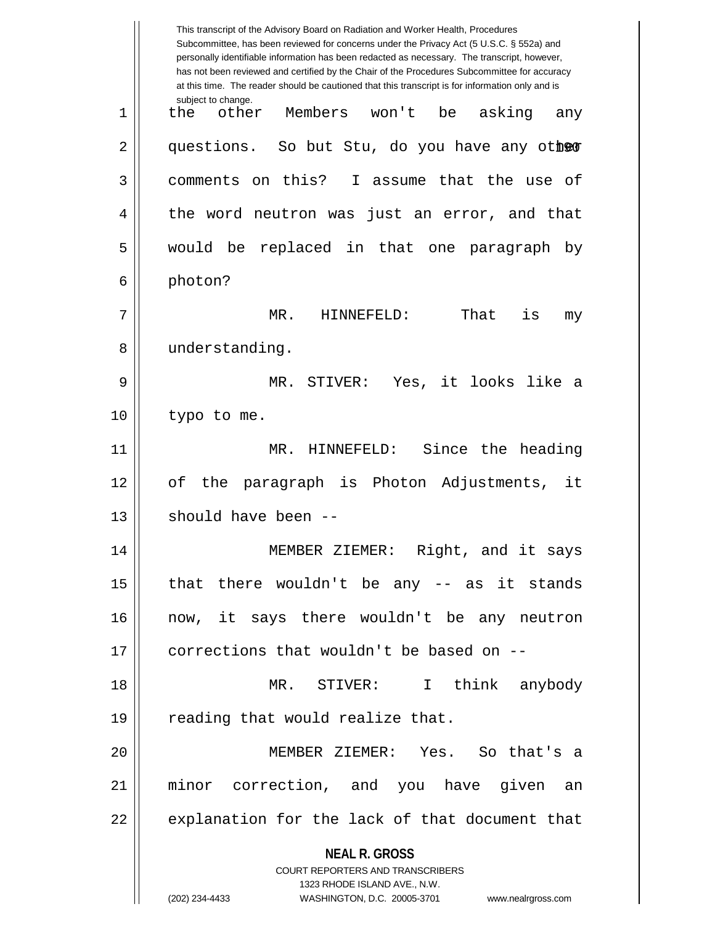|    | This transcript of the Advisory Board on Radiation and Worker Health, Procedures<br>Subcommittee, has been reviewed for concerns under the Privacy Act (5 U.S.C. § 552a) and<br>personally identifiable information has been redacted as necessary. The transcript, however,<br>has not been reviewed and certified by the Chair of the Procedures Subcommittee for accuracy<br>at this time. The reader should be cautioned that this transcript is for information only and is |
|----|----------------------------------------------------------------------------------------------------------------------------------------------------------------------------------------------------------------------------------------------------------------------------------------------------------------------------------------------------------------------------------------------------------------------------------------------------------------------------------|
| 1  | subject to change.<br>Members won't<br>be<br>asking<br>the<br>other<br>any                                                                                                                                                                                                                                                                                                                                                                                                       |
| 2  | questions. So but Stu, do you have any other                                                                                                                                                                                                                                                                                                                                                                                                                                     |
| 3  | comments on this? I assume that the use of                                                                                                                                                                                                                                                                                                                                                                                                                                       |
| 4  | the word neutron was just an error, and that                                                                                                                                                                                                                                                                                                                                                                                                                                     |
| 5  | would be replaced in that one paragraph<br>by                                                                                                                                                                                                                                                                                                                                                                                                                                    |
| 6  | photon?                                                                                                                                                                                                                                                                                                                                                                                                                                                                          |
| 7  | is<br>MR.<br>That<br>HINNEFELD:<br>my                                                                                                                                                                                                                                                                                                                                                                                                                                            |
| 8  | understanding.                                                                                                                                                                                                                                                                                                                                                                                                                                                                   |
| 9  | STIVER: Yes, it looks like<br>MR.<br>a                                                                                                                                                                                                                                                                                                                                                                                                                                           |
| 10 | typo to me.                                                                                                                                                                                                                                                                                                                                                                                                                                                                      |
| 11 | MR. HINNEFELD: Since the heading                                                                                                                                                                                                                                                                                                                                                                                                                                                 |
| 12 | paragraph is Photon Adjustments,<br>оf<br>the<br>it                                                                                                                                                                                                                                                                                                                                                                                                                              |
| 13 | should have been --                                                                                                                                                                                                                                                                                                                                                                                                                                                              |
| 14 | MEMBER ZIEMER: Right, and it says                                                                                                                                                                                                                                                                                                                                                                                                                                                |
| 15 | that there wouldn't be any -- as it stands                                                                                                                                                                                                                                                                                                                                                                                                                                       |
| 16 | now, it says there wouldn't be any neutron                                                                                                                                                                                                                                                                                                                                                                                                                                       |
| 17 | corrections that wouldn't be based on --                                                                                                                                                                                                                                                                                                                                                                                                                                         |
| 18 | think anybody<br>MR. STIVER: I                                                                                                                                                                                                                                                                                                                                                                                                                                                   |
| 19 | reading that would realize that.                                                                                                                                                                                                                                                                                                                                                                                                                                                 |
| 20 | MEMBER ZIEMER: Yes. So that's a                                                                                                                                                                                                                                                                                                                                                                                                                                                  |
| 21 | minor correction, and you have given an                                                                                                                                                                                                                                                                                                                                                                                                                                          |
| 22 | explanation for the lack of that document that                                                                                                                                                                                                                                                                                                                                                                                                                                   |
|    | <b>NEAL R. GROSS</b><br><b>COURT REPORTERS AND TRANSCRIBERS</b><br>1323 RHODE ISLAND AVE., N.W.<br>(202) 234-4433<br>WASHINGTON, D.C. 20005-3701<br>www.nealrgross.com                                                                                                                                                                                                                                                                                                           |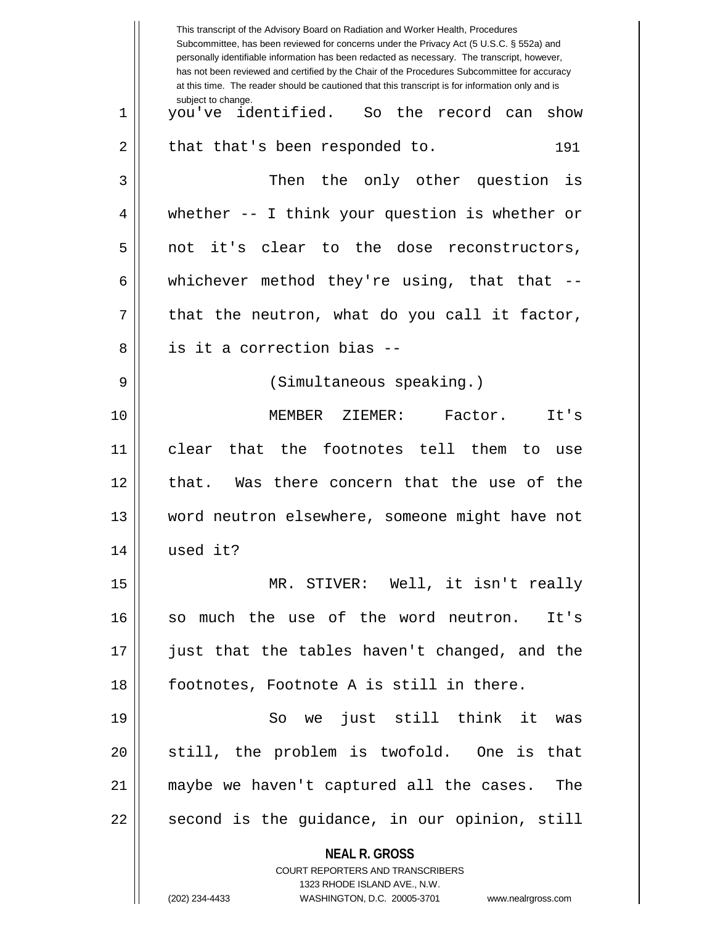|    | This transcript of the Advisory Board on Radiation and Worker Health, Procedures<br>Subcommittee, has been reviewed for concerns under the Privacy Act (5 U.S.C. § 552a) and<br>personally identifiable information has been redacted as necessary. The transcript, however,<br>has not been reviewed and certified by the Chair of the Procedures Subcommittee for accuracy<br>at this time. The reader should be cautioned that this transcript is for information only and is |
|----|----------------------------------------------------------------------------------------------------------------------------------------------------------------------------------------------------------------------------------------------------------------------------------------------------------------------------------------------------------------------------------------------------------------------------------------------------------------------------------|
| 1  | subject to change.<br>you've identified. So the record can<br>show                                                                                                                                                                                                                                                                                                                                                                                                               |
| 2  | that that's been responded to.<br>191                                                                                                                                                                                                                                                                                                                                                                                                                                            |
| 3  | Then<br>the only other question<br>is                                                                                                                                                                                                                                                                                                                                                                                                                                            |
| 4  | whether $--$ I think your question is whether or                                                                                                                                                                                                                                                                                                                                                                                                                                 |
| 5  | it's clear to the dose reconstructors,<br>not                                                                                                                                                                                                                                                                                                                                                                                                                                    |
| 6  | whichever method they're using, that that $--$                                                                                                                                                                                                                                                                                                                                                                                                                                   |
| 7  | that the neutron, what do you call it factor,                                                                                                                                                                                                                                                                                                                                                                                                                                    |
| 8  | is it a correction bias --                                                                                                                                                                                                                                                                                                                                                                                                                                                       |
| 9  | (Simultaneous speaking.)                                                                                                                                                                                                                                                                                                                                                                                                                                                         |
| 10 | MEMBER<br>Factor.<br>ZIEMER:<br>It's                                                                                                                                                                                                                                                                                                                                                                                                                                             |
| 11 | clear that the footnotes tell them to<br>use                                                                                                                                                                                                                                                                                                                                                                                                                                     |
| 12 | that. Was there concern that the use of the                                                                                                                                                                                                                                                                                                                                                                                                                                      |
| 13 | word neutron elsewhere, someone might have not                                                                                                                                                                                                                                                                                                                                                                                                                                   |
| 14 | used it?                                                                                                                                                                                                                                                                                                                                                                                                                                                                         |
| 15 | MR. STIVER: Well, it isn't really                                                                                                                                                                                                                                                                                                                                                                                                                                                |
| 16 | so much the use of the word neutron. It's                                                                                                                                                                                                                                                                                                                                                                                                                                        |
| 17 | just that the tables haven't changed, and the                                                                                                                                                                                                                                                                                                                                                                                                                                    |
| 18 | footnotes, Footnote A is still in there.                                                                                                                                                                                                                                                                                                                                                                                                                                         |
| 19 | So we just still think it<br>was                                                                                                                                                                                                                                                                                                                                                                                                                                                 |
| 20 | still, the problem is twofold. One is that                                                                                                                                                                                                                                                                                                                                                                                                                                       |
| 21 | maybe we haven't captured all the cases. The                                                                                                                                                                                                                                                                                                                                                                                                                                     |
| 22 | second is the guidance, in our opinion, still                                                                                                                                                                                                                                                                                                                                                                                                                                    |
|    | <b>NEAL R. GROSS</b><br><b>COURT REPORTERS AND TRANSCRIBERS</b><br>1323 RHODE ISLAND AVE., N.W.                                                                                                                                                                                                                                                                                                                                                                                  |
|    | (202) 234-4433<br>WASHINGTON, D.C. 20005-3701 www.nealrgross.com                                                                                                                                                                                                                                                                                                                                                                                                                 |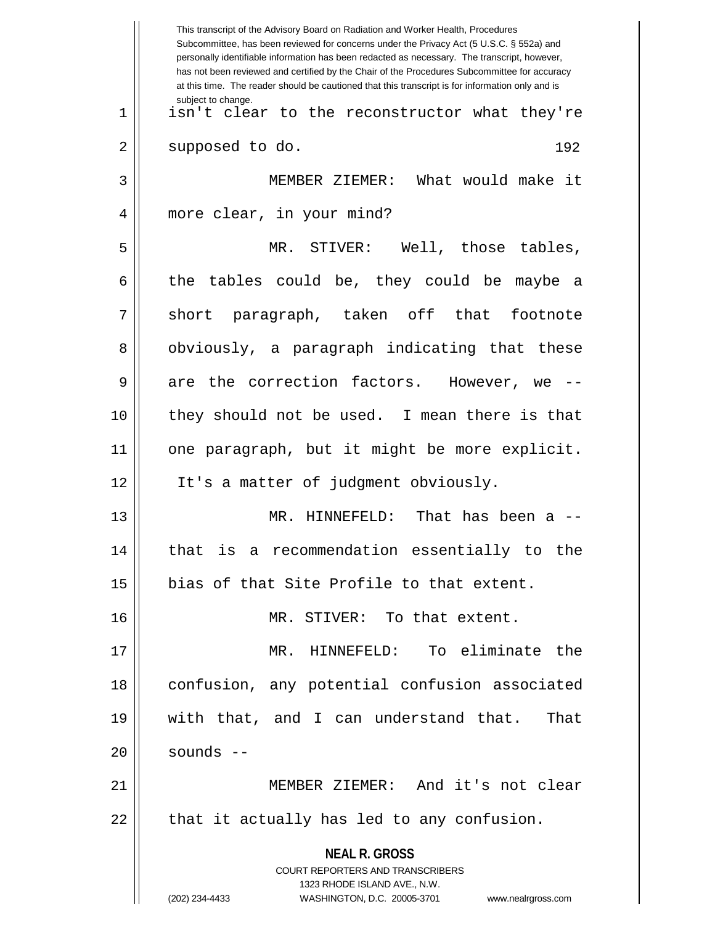**NEAL R. GROSS** COURT REPORTERS AND TRANSCRIBERS 1323 RHODE ISLAND AVE., N.W. (202) 234-4433 WASHINGTON, D.C. 20005-3701 www.nealrgross.com This transcript of the Advisory Board on Radiation and Worker Health, Procedures Subcommittee, has been reviewed for concerns under the Privacy Act (5 U.S.C. § 552a) and personally identifiable information has been redacted as necessary. The transcript, however, has not been reviewed and certified by the Chair of the Procedures Subcommittee for accuracy at this time. The reader should be cautioned that this transcript is for information only and is subject to change. 192 1 isn't clear to the reconstructor what they're 2 || supposed to do. 3 MEMBER ZIEMER: What would make it 4 || more clear, in your mind? 5 MR. STIVER: Well, those tables,  $6 \parallel$  the tables could be, they could be maybe a 7 || short paragraph, taken off that footnote 8 || obviously, a paragraph indicating that these  $9 \parallel$  are the correction factors. However, we --10 they should not be used. I mean there is that 11 one paragraph, but it might be more explicit. 12 || It's a matter of judgment obviously. 13 MR. HINNEFELD: That has been a -- 14 that is a recommendation essentially to the 15 || bias of that Site Profile to that extent. 16 MR. STIVER: To that extent. 17 MR. HINNEFELD: To eliminate the 18 confusion, any potential confusion associated 19 with that, and I can understand that. That  $20$  | sounds  $-$ 21 MEMBER ZIEMER: And it's not clear  $22$  || that it actually has led to any confusion.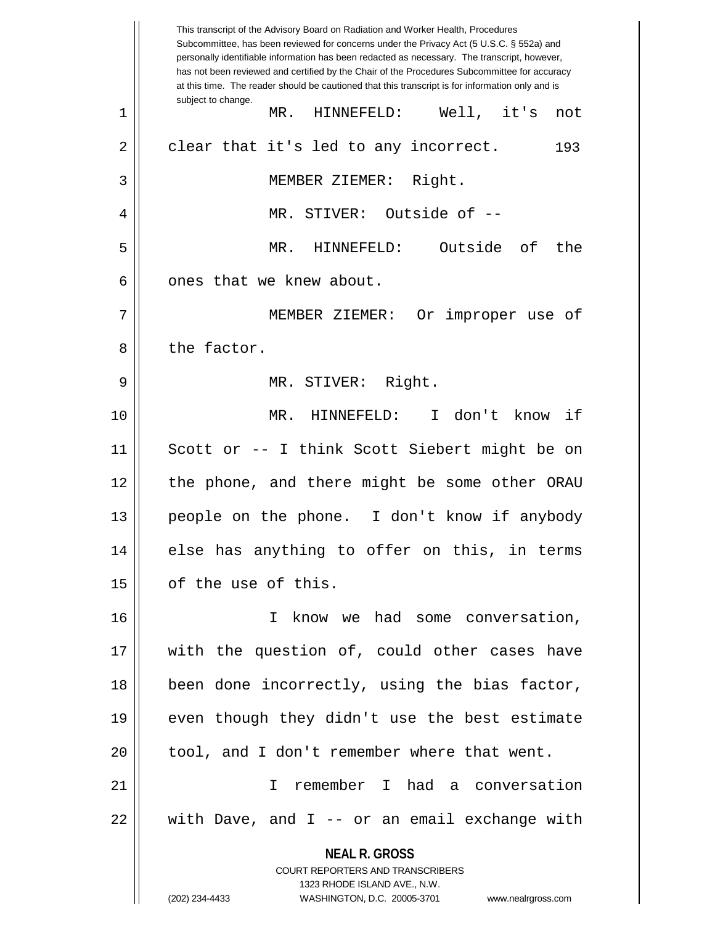**NEAL R. GROSS** COURT REPORTERS AND TRANSCRIBERS 1323 RHODE ISLAND AVE., N.W. (202) 234-4433 WASHINGTON, D.C. 20005-3701 www.nealrgross.com This transcript of the Advisory Board on Radiation and Worker Health, Procedures Subcommittee, has been reviewed for concerns under the Privacy Act (5 U.S.C. § 552a) and personally identifiable information has been redacted as necessary. The transcript, however, has not been reviewed and certified by the Chair of the Procedures Subcommittee for accuracy at this time. The reader should be cautioned that this transcript is for information only and is subject to change. 193 1 MR. HINNEFELD: Well, it's not  $2 \parallel$  clear that it's led to any incorrect. 3 MEMBER ZIEMER: Right. 4 || MR. STIVER: Outside of --5 MR. HINNEFELD: Outside of the  $6 \parallel$  ones that we knew about. 7 MEMBER ZIEMER: Or improper use of 8 l the factor. 9 MR. STIVER: Right. 10 MR. HINNEFELD: I don't know if 11 Scott or -- I think Scott Siebert might be on 12 the phone, and there might be some other ORAU 13 people on the phone. I don't know if anybody 14 else has anything to offer on this, in terms  $15$  | of the use of this. 16 || The Move we had some conversation, 17 || with the question of, could other cases have 18 || been done incorrectly, using the bias factor, 19 || even though they didn't use the best estimate  $20$  || tool, and I don't remember where that went. 21 I remember I had a conversation 22 with Dave, and I -- or an email exchange with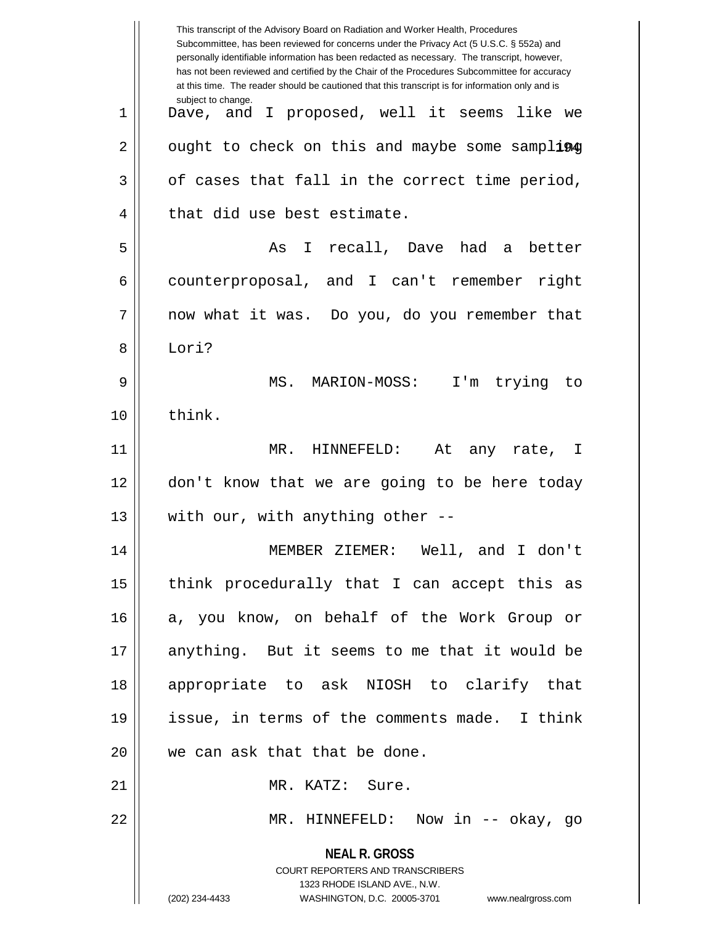| This transcript of the Advisory Board on Radiation and Worker Health, Procedures<br>Subcommittee, has been reviewed for concerns under the Privacy Act (5 U.S.C. § 552a) and<br>personally identifiable information has been redacted as necessary. The transcript, however,<br>has not been reviewed and certified by the Chair of the Procedures Subcommittee for accuracy<br>at this time. The reader should be cautioned that this transcript is for information only and is |
|----------------------------------------------------------------------------------------------------------------------------------------------------------------------------------------------------------------------------------------------------------------------------------------------------------------------------------------------------------------------------------------------------------------------------------------------------------------------------------|
| subject to change.<br>Dave, and I proposed, well it seems like we                                                                                                                                                                                                                                                                                                                                                                                                                |
| ought to check on this and maybe some sampling                                                                                                                                                                                                                                                                                                                                                                                                                                   |
| of cases that fall in the correct time period,                                                                                                                                                                                                                                                                                                                                                                                                                                   |
| that did use best estimate.                                                                                                                                                                                                                                                                                                                                                                                                                                                      |
| I recall, Dave had<br>better<br>As<br>a a                                                                                                                                                                                                                                                                                                                                                                                                                                        |
| counterproposal, and I can't remember right                                                                                                                                                                                                                                                                                                                                                                                                                                      |
| now what it was. Do you, do you remember that                                                                                                                                                                                                                                                                                                                                                                                                                                    |
| Lori?                                                                                                                                                                                                                                                                                                                                                                                                                                                                            |
| MS. MARION-MOSS: I'm trying to                                                                                                                                                                                                                                                                                                                                                                                                                                                   |
| think.                                                                                                                                                                                                                                                                                                                                                                                                                                                                           |
| MR.<br>At<br>HINNEFELD:<br>any rate, I                                                                                                                                                                                                                                                                                                                                                                                                                                           |
| don't know that we are going to be here today                                                                                                                                                                                                                                                                                                                                                                                                                                    |
| with our, with anything other $-$ -                                                                                                                                                                                                                                                                                                                                                                                                                                              |
| MEMBER ZIEMER: Well, and I don't                                                                                                                                                                                                                                                                                                                                                                                                                                                 |
| think procedurally that I can accept this as                                                                                                                                                                                                                                                                                                                                                                                                                                     |
| a, you know, on behalf of the Work Group or                                                                                                                                                                                                                                                                                                                                                                                                                                      |
| anything. But it seems to me that it would be                                                                                                                                                                                                                                                                                                                                                                                                                                    |
| appropriate to ask NIOSH to clarify that                                                                                                                                                                                                                                                                                                                                                                                                                                         |
| issue, in terms of the comments made. I think                                                                                                                                                                                                                                                                                                                                                                                                                                    |
| we can ask that that be done.                                                                                                                                                                                                                                                                                                                                                                                                                                                    |
| MR. KATZ: Sure.                                                                                                                                                                                                                                                                                                                                                                                                                                                                  |
| MR. HINNEFELD: Now in -- okay, go                                                                                                                                                                                                                                                                                                                                                                                                                                                |
| <b>NEAL R. GROSS</b><br><b>COURT REPORTERS AND TRANSCRIBERS</b><br>1323 RHODE ISLAND AVE., N.W.<br>(202) 234-4433<br>WASHINGTON, D.C. 20005-3701 www.nealrgross.com                                                                                                                                                                                                                                                                                                              |
|                                                                                                                                                                                                                                                                                                                                                                                                                                                                                  |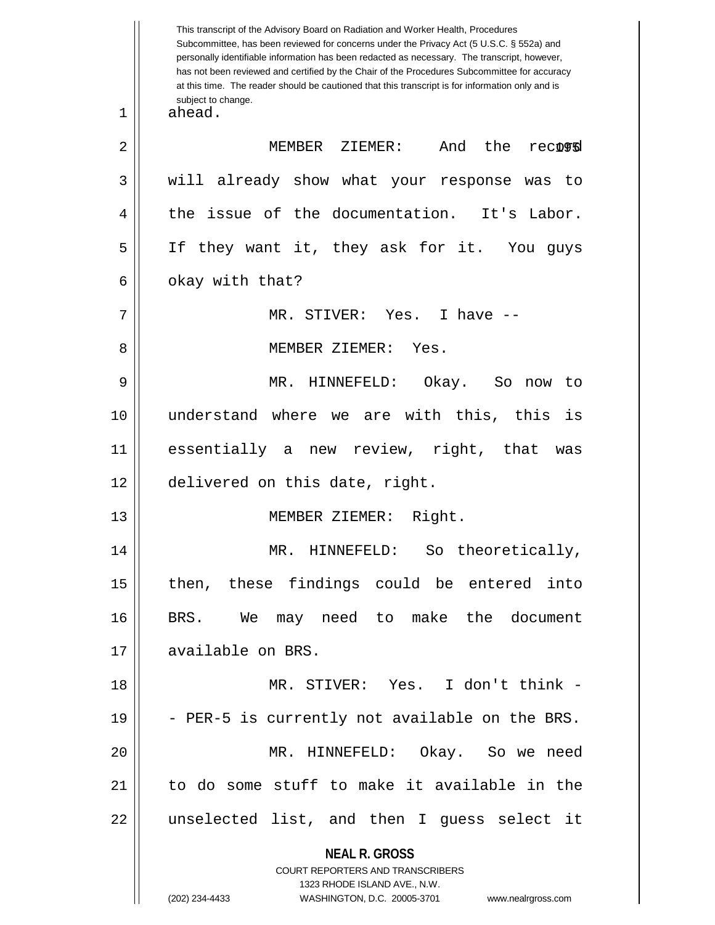**NEAL R. GROSS** COURT REPORTERS AND TRANSCRIBERS 1323 RHODE ISLAND AVE., N.W. (202) 234-4433 WASHINGTON, D.C. 20005-3701 www.nealrgross.com This transcript of the Advisory Board on Radiation and Worker Health, Procedures Subcommittee, has been reviewed for concerns under the Privacy Act (5 U.S.C. § 552a) and personally identifiable information has been redacted as necessary. The transcript, however, has not been reviewed and certified by the Chair of the Procedures Subcommittee for accuracy at this time. The reader should be cautioned that this transcript is for information only and is subject to change. record 1 ahead. 2 || MEMBER ZIEMER: And the recognd 3 || will already show what your response was to 4 || the issue of the documentation. It's Labor. 5 If they want it, they ask for it. You guys  $6 \parallel$  okay with that? 7 MR. STIVER: Yes. I have -- 8 MEMBER ZIEMER: Yes. 9 MR. HINNEFELD: Okay. So now to 10 understand where we are with this, this is 11 essentially a new review, right, that was 12 delivered on this date, right. 13 MEMBER ZIEMER: Right. 14 || MR. HINNEFELD: So theoretically, 15 || then, these findings could be entered into 16 BRS. We may need to make the document 17 || available on BRS. 18 MR. STIVER: Yes. I don't think - 19  $\vert$  - PER-5 is currently not available on the BRS. 20 MR. HINNEFELD: Okay. So we need 21  $\parallel$  to do some stuff to make it available in the 22 unselected list, and then I guess select it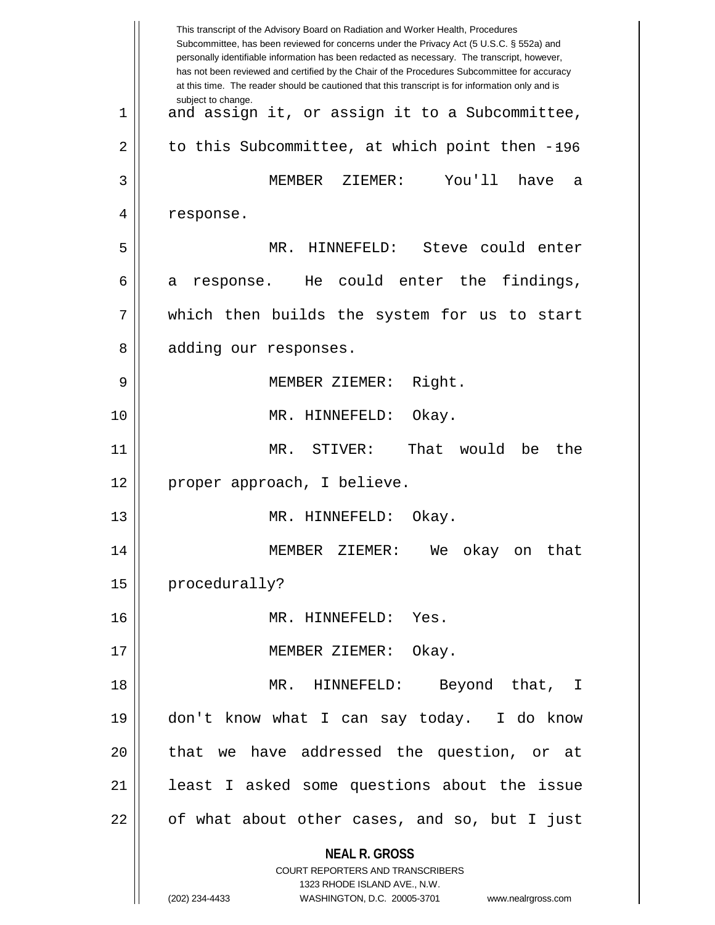|    | This transcript of the Advisory Board on Radiation and Worker Health, Procedures<br>Subcommittee, has been reviewed for concerns under the Privacy Act (5 U.S.C. § 552a) and<br>personally identifiable information has been redacted as necessary. The transcript, however,<br>has not been reviewed and certified by the Chair of the Procedures Subcommittee for accuracy<br>at this time. The reader should be cautioned that this transcript is for information only and is |
|----|----------------------------------------------------------------------------------------------------------------------------------------------------------------------------------------------------------------------------------------------------------------------------------------------------------------------------------------------------------------------------------------------------------------------------------------------------------------------------------|
| 1  | subject to change.<br>and assign it, or assign it to a Subcommittee,                                                                                                                                                                                                                                                                                                                                                                                                             |
| 2  | to this Subcommittee, at which point then -196                                                                                                                                                                                                                                                                                                                                                                                                                                   |
| 3  | MEMBER<br>ZIEMER:<br>You'll<br>have<br>a                                                                                                                                                                                                                                                                                                                                                                                                                                         |
| 4  | response.                                                                                                                                                                                                                                                                                                                                                                                                                                                                        |
| 5  | MR. HINNEFELD: Steve could enter                                                                                                                                                                                                                                                                                                                                                                                                                                                 |
| 6  | findings,<br>He could enter the<br>response.<br>а                                                                                                                                                                                                                                                                                                                                                                                                                                |
| 7  | which then builds the system for us to start                                                                                                                                                                                                                                                                                                                                                                                                                                     |
| 8  | adding our responses.                                                                                                                                                                                                                                                                                                                                                                                                                                                            |
| 9  | Right.<br>MEMBER ZIEMER:                                                                                                                                                                                                                                                                                                                                                                                                                                                         |
| 10 | MR. HINNEFELD:<br>Okay.                                                                                                                                                                                                                                                                                                                                                                                                                                                          |
| 11 | That<br>MR. STIVER:<br>would<br>be<br>the                                                                                                                                                                                                                                                                                                                                                                                                                                        |
| 12 | proper approach, I believe.                                                                                                                                                                                                                                                                                                                                                                                                                                                      |
| 13 | MR. HINNEFELD:<br>Okay.                                                                                                                                                                                                                                                                                                                                                                                                                                                          |
| 14 | MEMBER ZIEMER: We okay on that                                                                                                                                                                                                                                                                                                                                                                                                                                                   |
| 15 | procedurally?                                                                                                                                                                                                                                                                                                                                                                                                                                                                    |
| 16 | MR. HINNEFELD: Yes.                                                                                                                                                                                                                                                                                                                                                                                                                                                              |
| 17 | MEMBER ZIEMER: Okay.                                                                                                                                                                                                                                                                                                                                                                                                                                                             |
| 18 | $MR$ .<br>HINNEFELD:<br>Beyond that, I                                                                                                                                                                                                                                                                                                                                                                                                                                           |
| 19 | don't know what I can say today. I do know                                                                                                                                                                                                                                                                                                                                                                                                                                       |
| 20 | that we have addressed the question, or at                                                                                                                                                                                                                                                                                                                                                                                                                                       |
| 21 | least I asked some questions about the issue                                                                                                                                                                                                                                                                                                                                                                                                                                     |
| 22 | of what about other cases, and so, but I just                                                                                                                                                                                                                                                                                                                                                                                                                                    |
|    | <b>NEAL R. GROSS</b><br><b>COURT REPORTERS AND TRANSCRIBERS</b><br>1323 RHODE ISLAND AVE., N.W.<br>(202) 234-4433<br>WASHINGTON, D.C. 20005-3701<br>www.nealrgross.com                                                                                                                                                                                                                                                                                                           |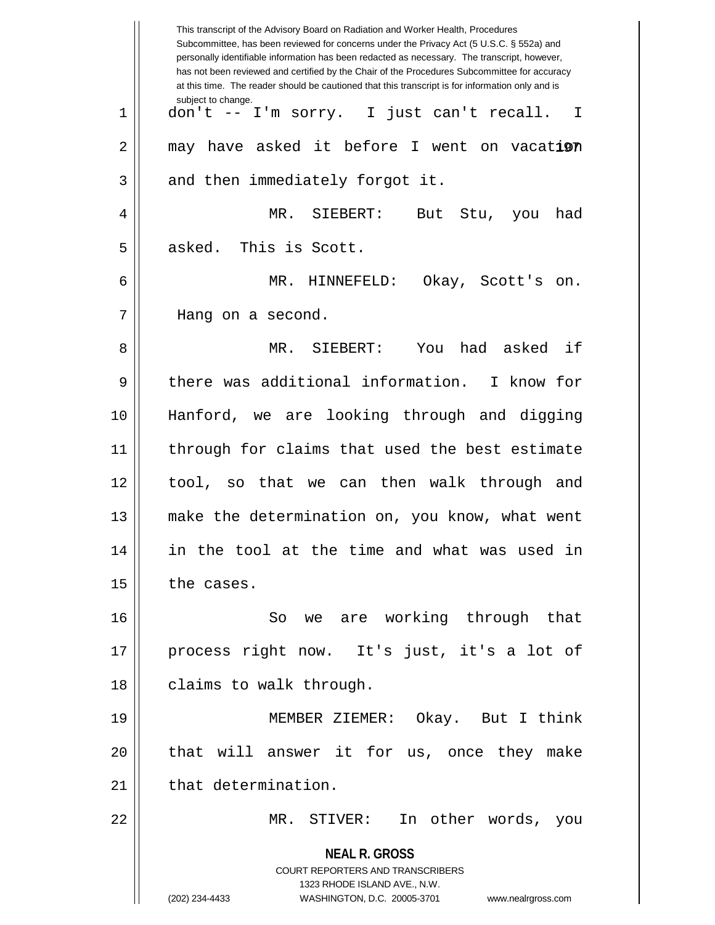|             | This transcript of the Advisory Board on Radiation and Worker Health, Procedures<br>Subcommittee, has been reviewed for concerns under the Privacy Act (5 U.S.C. § 552a) and<br>personally identifiable information has been redacted as necessary. The transcript, however,<br>has not been reviewed and certified by the Chair of the Procedures Subcommittee for accuracy<br>at this time. The reader should be cautioned that this transcript is for information only and is |
|-------------|----------------------------------------------------------------------------------------------------------------------------------------------------------------------------------------------------------------------------------------------------------------------------------------------------------------------------------------------------------------------------------------------------------------------------------------------------------------------------------|
| $\mathbf 1$ | subject to change.<br>don't -- I'm sorry. I just can't recall.<br>I                                                                                                                                                                                                                                                                                                                                                                                                              |
| 2           | may have asked it before I went on vacation                                                                                                                                                                                                                                                                                                                                                                                                                                      |
| 3           | and then immediately forgot it.                                                                                                                                                                                                                                                                                                                                                                                                                                                  |
| 4           | MR.<br>SIEBERT:<br>But<br>had<br>Stu,<br>you                                                                                                                                                                                                                                                                                                                                                                                                                                     |
| 5           | asked. This is Scott.                                                                                                                                                                                                                                                                                                                                                                                                                                                            |
| 6           | MR.<br>HINNEFELD:<br>Okay, Scott's on.                                                                                                                                                                                                                                                                                                                                                                                                                                           |
| 7           | Hang on a second.                                                                                                                                                                                                                                                                                                                                                                                                                                                                |
| 8           | had asked<br>if<br>MR.<br>SIEBERT:<br>You                                                                                                                                                                                                                                                                                                                                                                                                                                        |
| 9           | there was additional information. I know for                                                                                                                                                                                                                                                                                                                                                                                                                                     |
| 10          | Hanford, we are looking through and digging                                                                                                                                                                                                                                                                                                                                                                                                                                      |
| 11          | through for claims that used the best estimate                                                                                                                                                                                                                                                                                                                                                                                                                                   |
| 12          | tool, so that we can then walk through and                                                                                                                                                                                                                                                                                                                                                                                                                                       |
| 13          | make the determination on, you know, what went                                                                                                                                                                                                                                                                                                                                                                                                                                   |
| 14          | in the tool at the time and what was used in                                                                                                                                                                                                                                                                                                                                                                                                                                     |
| 15          | the cases.                                                                                                                                                                                                                                                                                                                                                                                                                                                                       |
| 16          | we are working through that<br>So                                                                                                                                                                                                                                                                                                                                                                                                                                                |
| 17          | process right now. It's just, it's a lot of                                                                                                                                                                                                                                                                                                                                                                                                                                      |
| 18          | claims to walk through.                                                                                                                                                                                                                                                                                                                                                                                                                                                          |
| 19          | MEMBER ZIEMER: Okay. But I think                                                                                                                                                                                                                                                                                                                                                                                                                                                 |
| 20          | that will answer it for us, once they make                                                                                                                                                                                                                                                                                                                                                                                                                                       |
| 21          | that determination.                                                                                                                                                                                                                                                                                                                                                                                                                                                              |
| 22          | In other words,<br>MR.<br>STIVER:<br>you                                                                                                                                                                                                                                                                                                                                                                                                                                         |
|             | <b>NEAL R. GROSS</b><br><b>COURT REPORTERS AND TRANSCRIBERS</b><br>1323 RHODE ISLAND AVE., N.W.<br>(202) 234-4433<br>WASHINGTON, D.C. 20005-3701<br>www.nealrgross.com                                                                                                                                                                                                                                                                                                           |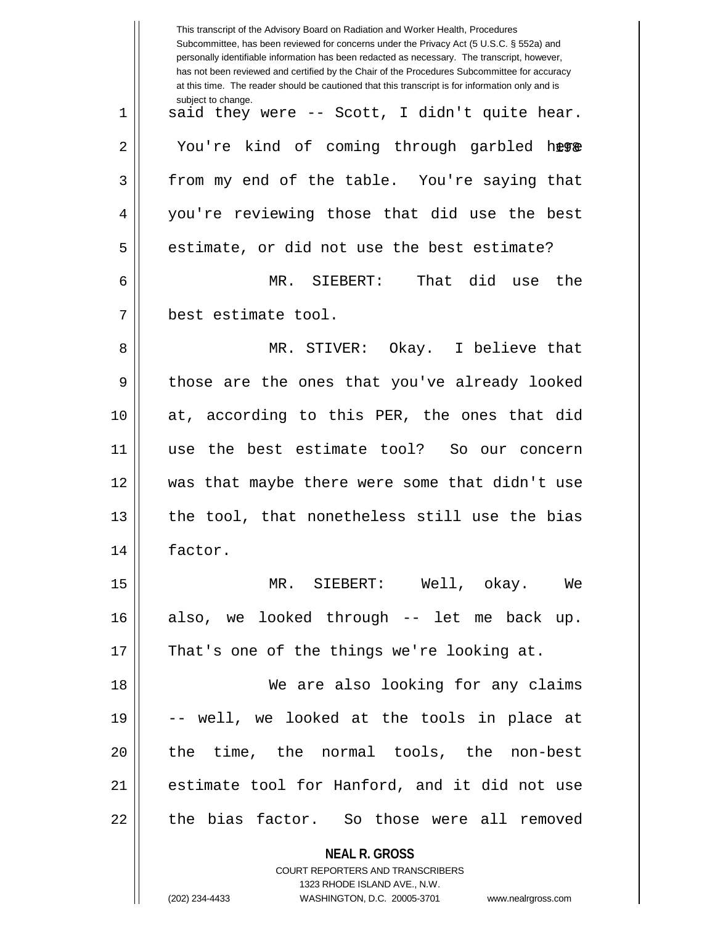|    | This transcript of the Advisory Board on Radiation and Worker Health, Procedures<br>Subcommittee, has been reviewed for concerns under the Privacy Act (5 U.S.C. § 552a) and<br>personally identifiable information has been redacted as necessary. The transcript, however,<br>has not been reviewed and certified by the Chair of the Procedures Subcommittee for accuracy<br>at this time. The reader should be cautioned that this transcript is for information only and is |
|----|----------------------------------------------------------------------------------------------------------------------------------------------------------------------------------------------------------------------------------------------------------------------------------------------------------------------------------------------------------------------------------------------------------------------------------------------------------------------------------|
| 1  | subject to change.<br>said they were -- Scott, I didn't quite hear.                                                                                                                                                                                                                                                                                                                                                                                                              |
| 2  | You're kind of coming through garbled here                                                                                                                                                                                                                                                                                                                                                                                                                                       |
| 3  | from my end of the table. You're saying that                                                                                                                                                                                                                                                                                                                                                                                                                                     |
| 4  | you're reviewing those that did use the best                                                                                                                                                                                                                                                                                                                                                                                                                                     |
| 5  | estimate, or did not use the best estimate?                                                                                                                                                                                                                                                                                                                                                                                                                                      |
| 6  | MR. SIEBERT: That did use<br>the                                                                                                                                                                                                                                                                                                                                                                                                                                                 |
| 7  | best estimate tool.                                                                                                                                                                                                                                                                                                                                                                                                                                                              |
| 8  | MR. STIVER: Okay. I believe that                                                                                                                                                                                                                                                                                                                                                                                                                                                 |
| 9  | those are the ones that you've already looked                                                                                                                                                                                                                                                                                                                                                                                                                                    |
| 10 | at, according to this PER, the ones that did                                                                                                                                                                                                                                                                                                                                                                                                                                     |
| 11 | use the best estimate tool?<br>So our concern                                                                                                                                                                                                                                                                                                                                                                                                                                    |
| 12 | was that maybe there were some that didn't use                                                                                                                                                                                                                                                                                                                                                                                                                                   |
| 13 | the tool, that nonetheless still use the bias                                                                                                                                                                                                                                                                                                                                                                                                                                    |
| 14 | factor.                                                                                                                                                                                                                                                                                                                                                                                                                                                                          |
| 15 | MR. SIEBERT: Well, okay. We                                                                                                                                                                                                                                                                                                                                                                                                                                                      |
| 16 | also, we looked through -- let me back up.                                                                                                                                                                                                                                                                                                                                                                                                                                       |
| 17 | That's one of the things we're looking at.                                                                                                                                                                                                                                                                                                                                                                                                                                       |
| 18 | We are also looking for any claims                                                                                                                                                                                                                                                                                                                                                                                                                                               |
| 19 | -- well, we looked at the tools in place at                                                                                                                                                                                                                                                                                                                                                                                                                                      |
| 20 | the time, the normal tools, the non-best                                                                                                                                                                                                                                                                                                                                                                                                                                         |
| 21 | estimate tool for Hanford, and it did not use                                                                                                                                                                                                                                                                                                                                                                                                                                    |
| 22 | the bias factor. So those were all removed                                                                                                                                                                                                                                                                                                                                                                                                                                       |
|    | <b>NEAL R. GROSS</b>                                                                                                                                                                                                                                                                                                                                                                                                                                                             |
|    | COURT REPORTERS AND TRANSCRIBERS<br>1323 RHODE ISLAND AVE., N.W.                                                                                                                                                                                                                                                                                                                                                                                                                 |
|    | (202) 234-4433<br>WASHINGTON, D.C. 20005-3701<br>www.nealrgross.com                                                                                                                                                                                                                                                                                                                                                                                                              |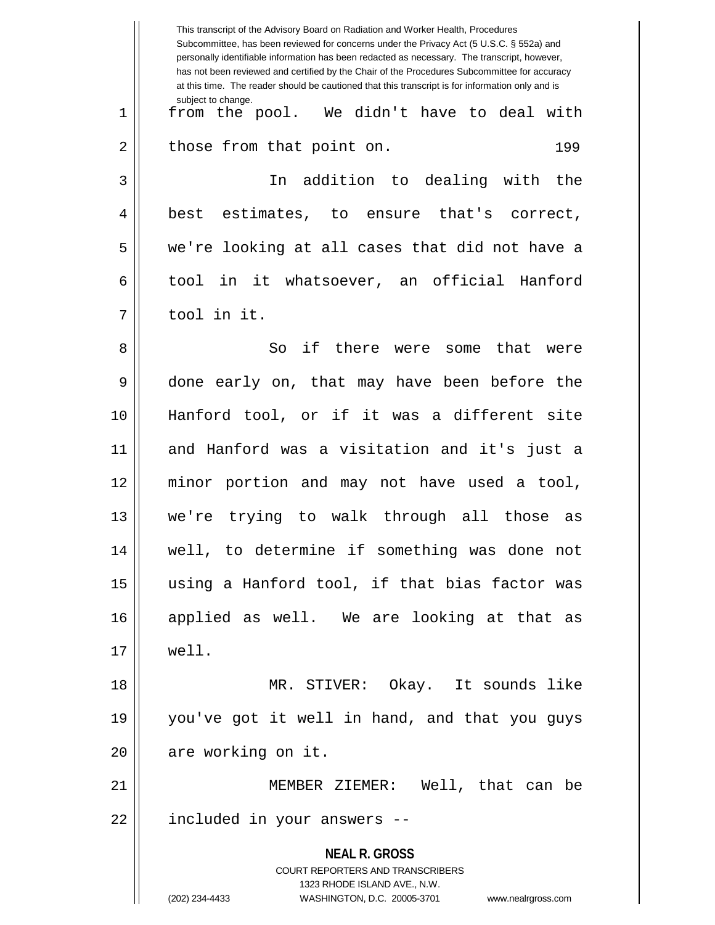|    | This transcript of the Advisory Board on Radiation and Worker Health, Procedures<br>Subcommittee, has been reviewed for concerns under the Privacy Act (5 U.S.C. § 552a) and<br>personally identifiable information has been redacted as necessary. The transcript, however,<br>has not been reviewed and certified by the Chair of the Procedures Subcommittee for accuracy<br>at this time. The reader should be cautioned that this transcript is for information only and is |
|----|----------------------------------------------------------------------------------------------------------------------------------------------------------------------------------------------------------------------------------------------------------------------------------------------------------------------------------------------------------------------------------------------------------------------------------------------------------------------------------|
| 1  | subject to change.<br>from the pool. We didn't have to deal with                                                                                                                                                                                                                                                                                                                                                                                                                 |
| 2  | those from that point on.<br>199                                                                                                                                                                                                                                                                                                                                                                                                                                                 |
| 3  | addition to dealing with<br>the<br>In                                                                                                                                                                                                                                                                                                                                                                                                                                            |
| 4  | estimates,<br>to ensure that's correct,<br>best                                                                                                                                                                                                                                                                                                                                                                                                                                  |
| 5  | we're looking at all cases that did not have a                                                                                                                                                                                                                                                                                                                                                                                                                                   |
| 6  | in it whatsoever, an official Hanford<br>tool                                                                                                                                                                                                                                                                                                                                                                                                                                    |
| 7  | tool in it.                                                                                                                                                                                                                                                                                                                                                                                                                                                                      |
| 8  | if there were<br>So<br>that were<br>some                                                                                                                                                                                                                                                                                                                                                                                                                                         |
| 9  | done early on, that may have been before the                                                                                                                                                                                                                                                                                                                                                                                                                                     |
| 10 | Hanford tool, or if it was a different site                                                                                                                                                                                                                                                                                                                                                                                                                                      |
| 11 | and Hanford was a visitation and it's just a                                                                                                                                                                                                                                                                                                                                                                                                                                     |
| 12 | minor portion and may not have used a tool,                                                                                                                                                                                                                                                                                                                                                                                                                                      |
| 13 | we're trying to walk through all those<br>as                                                                                                                                                                                                                                                                                                                                                                                                                                     |
| 14 | well, to determine if something was done not                                                                                                                                                                                                                                                                                                                                                                                                                                     |
| 15 | using a Hanford tool, if that bias factor was                                                                                                                                                                                                                                                                                                                                                                                                                                    |
| 16 | applied as well. We are looking at that as                                                                                                                                                                                                                                                                                                                                                                                                                                       |
| 17 | well.                                                                                                                                                                                                                                                                                                                                                                                                                                                                            |
| 18 | MR. STIVER: Okay. It sounds like                                                                                                                                                                                                                                                                                                                                                                                                                                                 |
| 19 | you've got it well in hand, and that you guys                                                                                                                                                                                                                                                                                                                                                                                                                                    |
| 20 | are working on it.                                                                                                                                                                                                                                                                                                                                                                                                                                                               |
| 21 | MEMBER ZIEMER: Well, that can be                                                                                                                                                                                                                                                                                                                                                                                                                                                 |
| 22 | included in your answers --                                                                                                                                                                                                                                                                                                                                                                                                                                                      |
|    | <b>NEAL R. GROSS</b><br><b>COURT REPORTERS AND TRANSCRIBERS</b><br>1323 RHODE ISLAND AVE., N.W.<br>(202) 234-4433<br>WASHINGTON, D.C. 20005-3701<br>www.nealrgross.com                                                                                                                                                                                                                                                                                                           |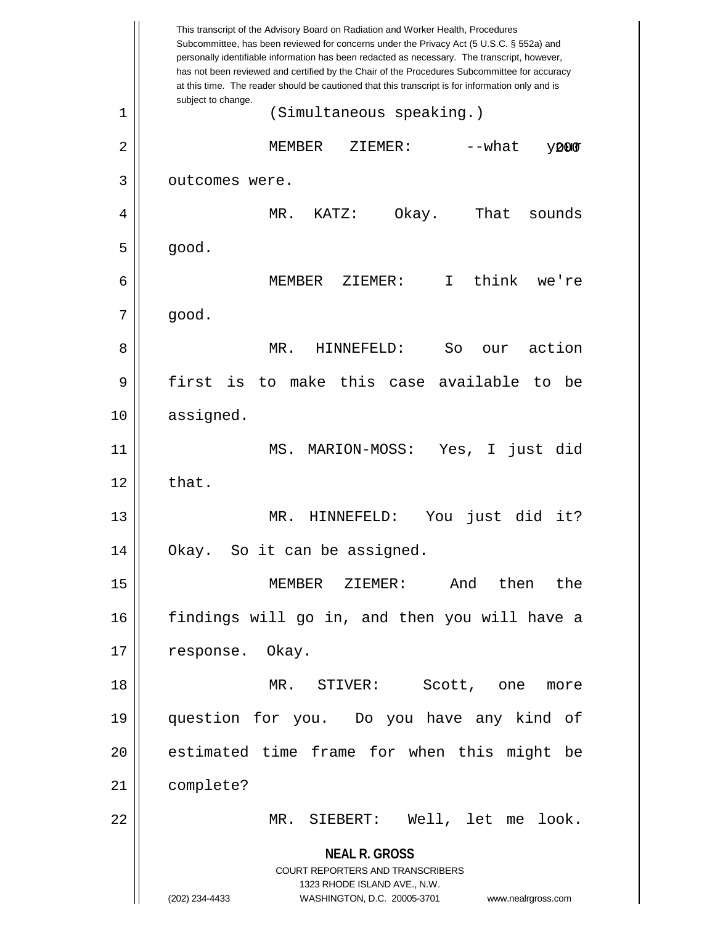**NEAL R. GROSS** COURT REPORTERS AND TRANSCRIBERS 1323 RHODE ISLAND AVE., N.W. (202) 234-4433 WASHINGTON, D.C. 20005-3701 www.nealrgross.com This transcript of the Advisory Board on Radiation and Worker Health, Procedures Subcommittee, has been reviewed for concerns under the Privacy Act (5 U.S.C. § 552a) and personally identifiable information has been redacted as necessary. The transcript, however, has not been reviewed and certified by the Chair of the Procedures Subcommittee for accuracy at this time. The reader should be cautioned that this transcript is for information only and is subject to change. 200 1 (Simultaneous speaking.) 2 MEMBER ZIEMER: --what your 3 | outcomes were. 4 MR. KATZ: Okay. That sounds  $5 \parallel$  good. 6 MEMBER ZIEMER: I think we're  $7 \parallel$  good. 8 MR. HINNEFELD: So our action  $9$  first is to make this case available to be 10 assigned. 11 MS. MARION-MOSS: Yes, I just did  $12 \parallel$  that. 13 MR. HINNEFELD: You just did it? 14 Okay. So it can be assigned. 15 MEMBER ZIEMER: And then the 16 findings will go in, and then you will have a 17 || response. Okay. 18 MR. STIVER: Scott, one more 19 question for you. Do you have any kind of 20 || estimated time frame for when this might be 21 complete? 22 MR. SIEBERT: Well, let me look.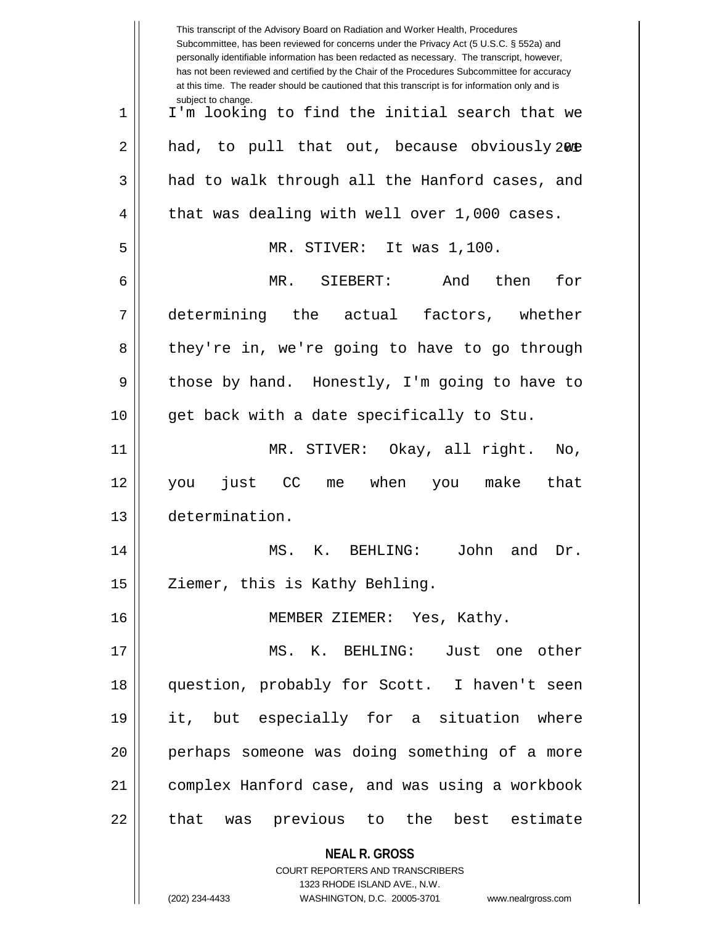| This transcript of the Advisory Board on Radiation and Worker Health, Procedures<br>Subcommittee, has been reviewed for concerns under the Privacy Act (5 U.S.C. § 552a) and<br>personally identifiable information has been redacted as necessary. The transcript, however,<br>has not been reviewed and certified by the Chair of the Procedures Subcommittee for accuracy<br>at this time. The reader should be cautioned that this transcript is for information only and is |
|----------------------------------------------------------------------------------------------------------------------------------------------------------------------------------------------------------------------------------------------------------------------------------------------------------------------------------------------------------------------------------------------------------------------------------------------------------------------------------|
| subject to change.<br>I'm looking to find the initial search that we                                                                                                                                                                                                                                                                                                                                                                                                             |
| had, to pull that out, because obviously 2008                                                                                                                                                                                                                                                                                                                                                                                                                                    |
| had to walk through all the Hanford cases, and                                                                                                                                                                                                                                                                                                                                                                                                                                   |
| that was dealing with well over 1,000 cases.                                                                                                                                                                                                                                                                                                                                                                                                                                     |
| MR. STIVER: It was 1,100.                                                                                                                                                                                                                                                                                                                                                                                                                                                        |
| then<br>MR.<br>SIEBERT:<br>And<br>for                                                                                                                                                                                                                                                                                                                                                                                                                                            |
| determining the actual factors, whether                                                                                                                                                                                                                                                                                                                                                                                                                                          |
| they're in, we're going to have to go through                                                                                                                                                                                                                                                                                                                                                                                                                                    |
| those by hand. Honestly, I'm going to have to                                                                                                                                                                                                                                                                                                                                                                                                                                    |
| get back with a date specifically to Stu.                                                                                                                                                                                                                                                                                                                                                                                                                                        |
| MR. STIVER: Okay, all right.<br>$\overline{N}$ o,                                                                                                                                                                                                                                                                                                                                                                                                                                |
| just<br><b>CC</b><br>when<br>make<br>that<br>me<br>you<br>you                                                                                                                                                                                                                                                                                                                                                                                                                    |
| determination.                                                                                                                                                                                                                                                                                                                                                                                                                                                                   |
| MS. K. BEHLING: John and Dr.                                                                                                                                                                                                                                                                                                                                                                                                                                                     |
| Ziemer, this is Kathy Behling.                                                                                                                                                                                                                                                                                                                                                                                                                                                   |
| MEMBER ZIEMER: Yes, Kathy.                                                                                                                                                                                                                                                                                                                                                                                                                                                       |
| MS. K. BEHLING: Just one other                                                                                                                                                                                                                                                                                                                                                                                                                                                   |
| question, probably for Scott. I haven't seen                                                                                                                                                                                                                                                                                                                                                                                                                                     |
| it, but especially for a situation where                                                                                                                                                                                                                                                                                                                                                                                                                                         |
| perhaps someone was doing something of a more                                                                                                                                                                                                                                                                                                                                                                                                                                    |
| complex Hanford case, and was using a workbook                                                                                                                                                                                                                                                                                                                                                                                                                                   |
|                                                                                                                                                                                                                                                                                                                                                                                                                                                                                  |
| that was previous to the best estimate                                                                                                                                                                                                                                                                                                                                                                                                                                           |
| <b>NEAL R. GROSS</b>                                                                                                                                                                                                                                                                                                                                                                                                                                                             |
| <b>COURT REPORTERS AND TRANSCRIBERS</b><br>1323 RHODE ISLAND AVE., N.W.                                                                                                                                                                                                                                                                                                                                                                                                          |
|                                                                                                                                                                                                                                                                                                                                                                                                                                                                                  |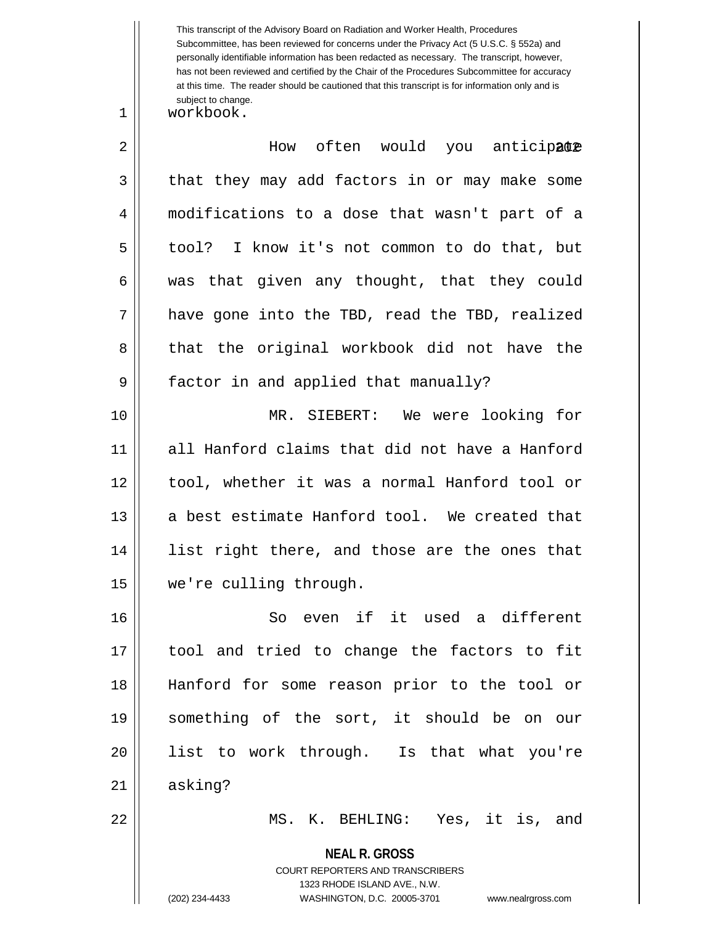This transcript of the Advisory Board on Radiation and Worker Health, Procedures Subcommittee, has been reviewed for concerns under the Privacy Act (5 U.S.C. § 552a) and personally identifiable information has been redacted as necessary. The transcript, however, has not been reviewed and certified by the Chair of the Procedures Subcommittee for accuracy at this time. The reader should be cautioned that this transcript is for information only and is subject to change.

1 | workbook.

| $\overline{2}$ | How often would you anticipate                 |
|----------------|------------------------------------------------|
| 3              | that they may add factors in or may make some  |
| 4              | modifications to a dose that wasn't part of a  |
| 5              | tool? I know it's not common to do that, but   |
| 6              | was that given any thought, that they could    |
| 7              | have gone into the TBD, read the TBD, realized |
| 8              | that the original workbook did not have the    |
| 9              | factor in and applied that manually?           |
| 10             | MR. SIEBERT: We were looking for               |
| 11             | all Hanford claims that did not have a Hanford |
| 12             | tool, whether it was a normal Hanford tool or  |
| 13             | a best estimate Hanford tool. We created that  |
| 14             | list right there, and those are the ones that  |
| 15             | we're culling through.                         |
| 16             | So even if it used a different                 |
| $17\,$         | tool and tried to change the factors to fit    |
| 18             | Hanford for some reason prior to the tool or   |
| 19             | something of the sort, it should be on our     |
| 20             | list to work through. Is that what you're      |
| 21             | asking?                                        |
| 22             | MS. K. BEHLING: Yes, it is, and                |
|                | <b>NEAL R. GROSS</b>                           |

COURT REPORTERS AND TRANSCRIBERS 1323 RHODE ISLAND AVE., N.W.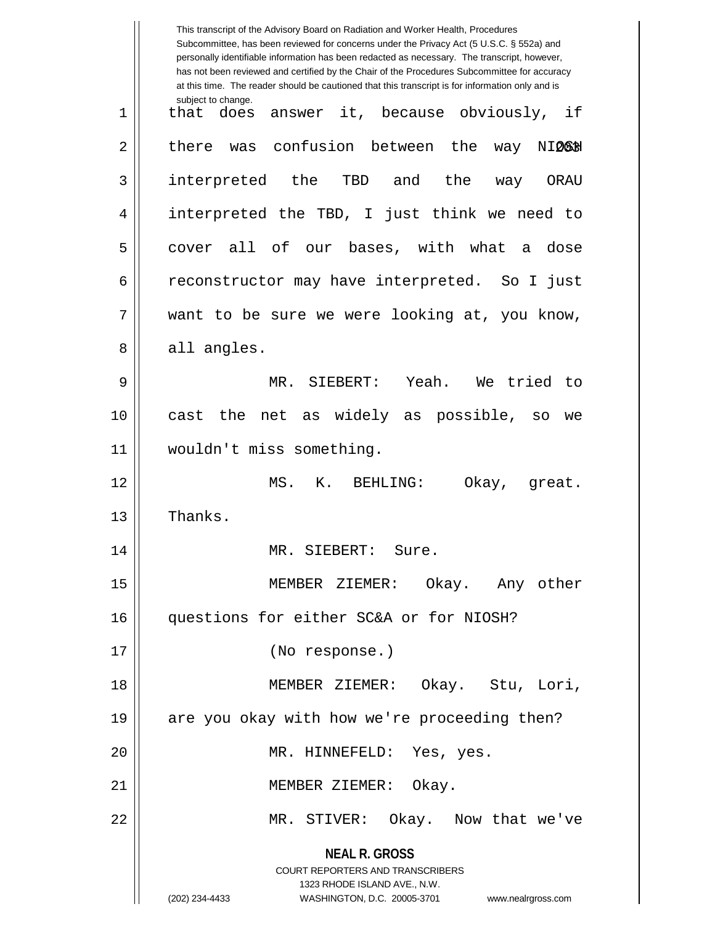|    | This transcript of the Advisory Board on Radiation and Worker Health, Procedures<br>Subcommittee, has been reviewed for concerns under the Privacy Act (5 U.S.C. § 552a) and<br>personally identifiable information has been redacted as necessary. The transcript, however,<br>has not been reviewed and certified by the Chair of the Procedures Subcommittee for accuracy<br>at this time. The reader should be cautioned that this transcript is for information only and is |
|----|----------------------------------------------------------------------------------------------------------------------------------------------------------------------------------------------------------------------------------------------------------------------------------------------------------------------------------------------------------------------------------------------------------------------------------------------------------------------------------|
| 1  | subject to change.<br>answer it, because obviously,<br>if<br>that<br>does                                                                                                                                                                                                                                                                                                                                                                                                        |
| 2  | confusion between the<br>there<br>was<br>way<br>NIQ6H                                                                                                                                                                                                                                                                                                                                                                                                                            |
| 3  | interpreted the TBD<br>and<br>the<br>ORAU<br>way                                                                                                                                                                                                                                                                                                                                                                                                                                 |
| 4  | interpreted the TBD, I just think we need to                                                                                                                                                                                                                                                                                                                                                                                                                                     |
| 5  | all of our bases, with what a dose<br>cover                                                                                                                                                                                                                                                                                                                                                                                                                                      |
| 6  | reconstructor may have interpreted. So I just                                                                                                                                                                                                                                                                                                                                                                                                                                    |
| 7  | want to be sure we were looking at, you know,                                                                                                                                                                                                                                                                                                                                                                                                                                    |
| 8  | all angles.                                                                                                                                                                                                                                                                                                                                                                                                                                                                      |
| 9  | MR. SIEBERT: Yeah.<br>We tried<br>to                                                                                                                                                                                                                                                                                                                                                                                                                                             |
| 10 | net as widely as possible, so<br>the<br>cast<br>we                                                                                                                                                                                                                                                                                                                                                                                                                               |
| 11 | wouldn't miss something.                                                                                                                                                                                                                                                                                                                                                                                                                                                         |
| 12 | MS. K.<br>BEHLING:<br>Okay, great.                                                                                                                                                                                                                                                                                                                                                                                                                                               |
| 13 | Thanks.                                                                                                                                                                                                                                                                                                                                                                                                                                                                          |
| 14 | MR. SIEBERT: Sure.                                                                                                                                                                                                                                                                                                                                                                                                                                                               |
| 15 | MEMBER ZIEMER: Okay. Any other                                                                                                                                                                                                                                                                                                                                                                                                                                                   |
| 16 | questions for either SC&A or for NIOSH?                                                                                                                                                                                                                                                                                                                                                                                                                                          |
| 17 | (No response.)                                                                                                                                                                                                                                                                                                                                                                                                                                                                   |
| 18 | MEMBER ZIEMER: Okay. Stu, Lori,                                                                                                                                                                                                                                                                                                                                                                                                                                                  |
| 19 | are you okay with how we're proceeding then?                                                                                                                                                                                                                                                                                                                                                                                                                                     |
| 20 | MR. HINNEFELD: Yes, yes.                                                                                                                                                                                                                                                                                                                                                                                                                                                         |
| 21 | MEMBER ZIEMER: Okay.                                                                                                                                                                                                                                                                                                                                                                                                                                                             |
| 22 | MR. STIVER: Okay. Now that we've                                                                                                                                                                                                                                                                                                                                                                                                                                                 |
|    | <b>NEAL R. GROSS</b>                                                                                                                                                                                                                                                                                                                                                                                                                                                             |
|    | COURT REPORTERS AND TRANSCRIBERS                                                                                                                                                                                                                                                                                                                                                                                                                                                 |
|    | 1323 RHODE ISLAND AVE., N.W.<br>(202) 234-4433<br>WASHINGTON, D.C. 20005-3701<br>www.nealrgross.com                                                                                                                                                                                                                                                                                                                                                                              |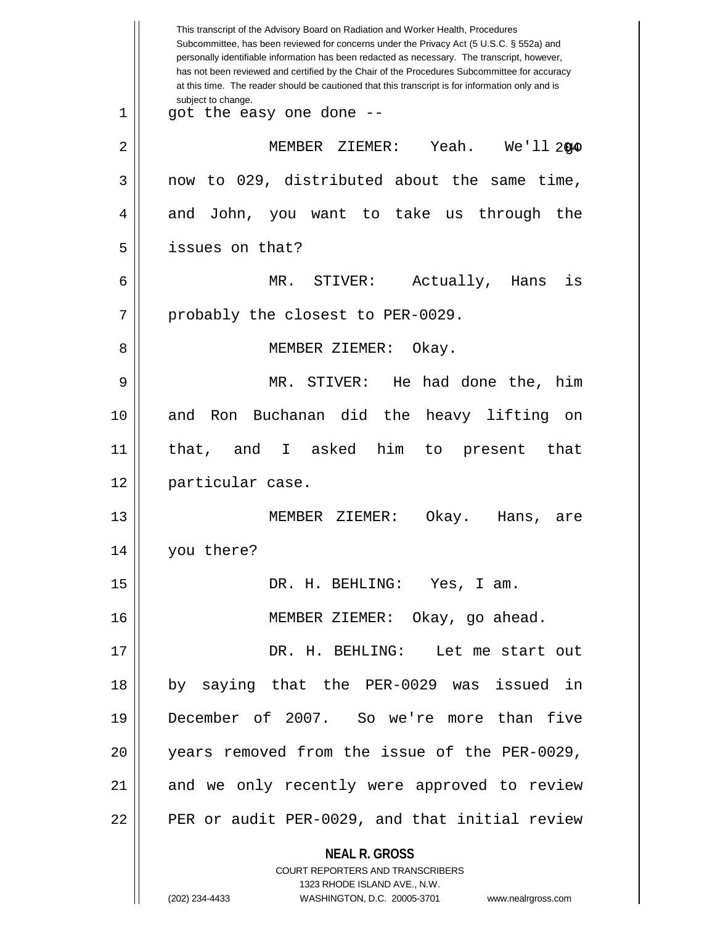| Yeah. $We'll 2040$                             |
|------------------------------------------------|
| now to 029, distributed about the same time,   |
| and John, you want to take us through the      |
|                                                |
| is                                             |
|                                                |
|                                                |
| MR. STIVER: He had done the, him               |
| on                                             |
| to present that                                |
|                                                |
| are                                            |
|                                                |
|                                                |
|                                                |
| DR. H. BEHLING: Let me start out               |
| by saying that the PER-0029 was issued in      |
| December of 2007. So we're more than five      |
| years removed from the issue of the PER-0029,  |
| and we only recently were approved to review   |
| PER or audit PER-0029, and that initial review |
|                                                |
|                                                |
|                                                |
| www.nealrgross.com                             |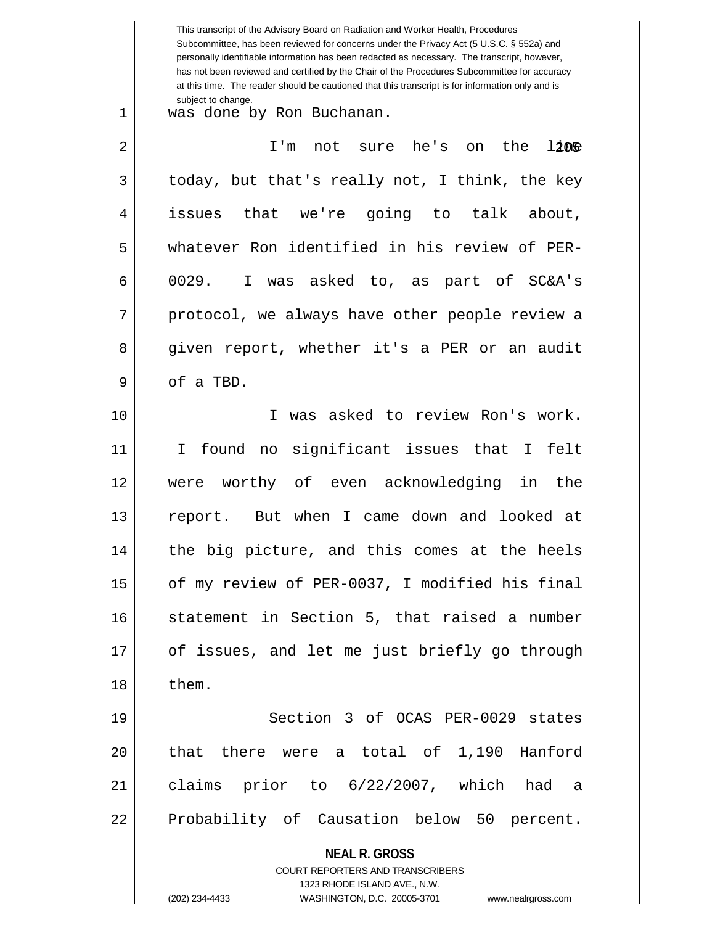**NEAL R. GROSS** COURT REPORTERS AND TRANSCRIBERS 1323 RHODE ISLAND AVE., N.W. (202) 234-4433 WASHINGTON, D.C. 20005-3701 www.nealrgross.com This transcript of the Advisory Board on Radiation and Worker Health, Procedures Subcommittee, has been reviewed for concerns under the Privacy Act (5 U.S.C. § 552a) and personally identifiable information has been redacted as necessary. The transcript, however, has not been reviewed and certified by the Chair of the Procedures Subcommittee for accuracy at this time. The reader should be cautioned that this transcript is for information only and is subject to change.  $12$ ne 1 was done by Ron Buchanan. 2 || I'm not sure he's on the  $3 \parallel$  today, but that's really not, I think, the key 4 issues that we're going to talk about, 5 whatever Ron identified in his review of PER- $6 \parallel$  0029. I was asked to, as part of SC&A's  $7 ||$  protocol, we always have other people review a 8 given report, whether it's a PER or an audit  $9 \parallel$  of a TBD. 10 I was asked to review Ron's work. 11 I found no significant issues that I felt 12 were worthy of even acknowledging in the 13 report. But when I came down and looked at 14 || the big picture, and this comes at the heels 15 | of my review of PER-0037, I modified his final 16 Statement in Section 5, that raised a number 17 || of issues, and let me just briefly go through  $18 \parallel$  them. 19 Section 3 of OCAS PER-0029 states 20 || that there were a total of 1,190 Hanford 21 claims prior to 6/22/2007, which had a 22 || Probability of Causation below 50 percent.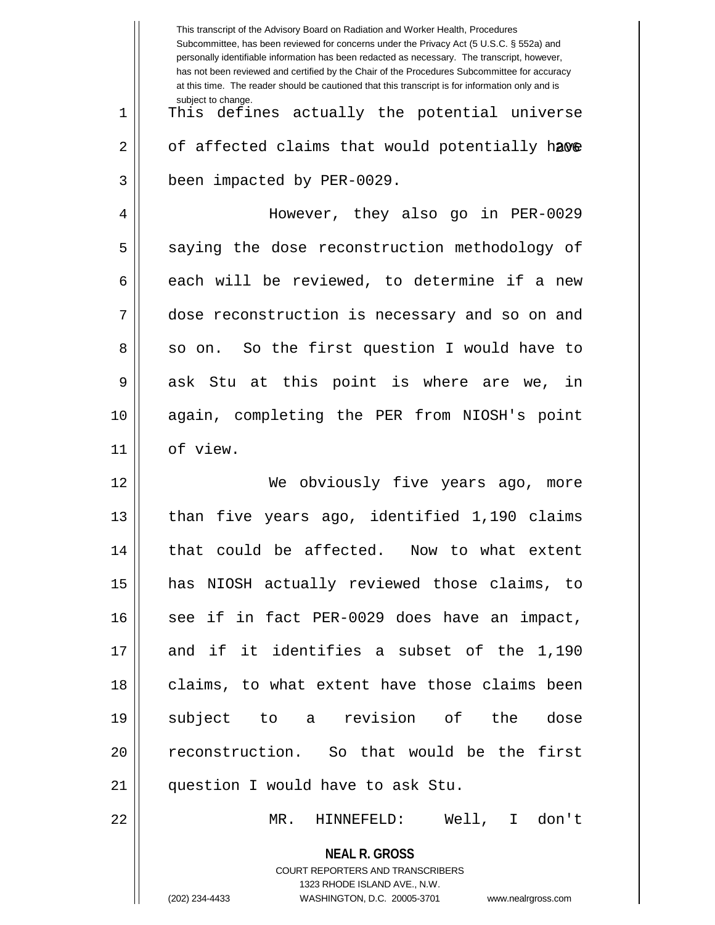|    | This transcript of the Advisory Board on Radiation and Worker Health, Procedures<br>Subcommittee, has been reviewed for concerns under the Privacy Act (5 U.S.C. § 552a) and<br>personally identifiable information has been redacted as necessary. The transcript, however,<br>has not been reviewed and certified by the Chair of the Procedures Subcommittee for accuracy<br>at this time. The reader should be cautioned that this transcript is for information only and is |
|----|----------------------------------------------------------------------------------------------------------------------------------------------------------------------------------------------------------------------------------------------------------------------------------------------------------------------------------------------------------------------------------------------------------------------------------------------------------------------------------|
| 1  | subject to change.<br>This defines actually the potential universe                                                                                                                                                                                                                                                                                                                                                                                                               |
| 2  | of affected claims that would potentially have                                                                                                                                                                                                                                                                                                                                                                                                                                   |
| 3  | been impacted by PER-0029.                                                                                                                                                                                                                                                                                                                                                                                                                                                       |
| 4  | However, they also go in PER-0029                                                                                                                                                                                                                                                                                                                                                                                                                                                |
| 5  | saying the dose reconstruction methodology of                                                                                                                                                                                                                                                                                                                                                                                                                                    |
| 6  | each will be reviewed, to determine if a new                                                                                                                                                                                                                                                                                                                                                                                                                                     |
| 7  | dose reconstruction is necessary and so on and                                                                                                                                                                                                                                                                                                                                                                                                                                   |
| 8  | so on. So the first question I would have to                                                                                                                                                                                                                                                                                                                                                                                                                                     |
| 9  | ask Stu at this point is where are we, in                                                                                                                                                                                                                                                                                                                                                                                                                                        |
| 10 | again, completing the PER from NIOSH's point                                                                                                                                                                                                                                                                                                                                                                                                                                     |
| 11 | of view.                                                                                                                                                                                                                                                                                                                                                                                                                                                                         |
| 12 | obviously five years ago, more<br>We                                                                                                                                                                                                                                                                                                                                                                                                                                             |
| 13 | five years ago, identified 1,190 claims<br>than                                                                                                                                                                                                                                                                                                                                                                                                                                  |
| 14 | that could be affected. Now to what extent                                                                                                                                                                                                                                                                                                                                                                                                                                       |
| 15 | has NIOSH actually reviewed those claims, to                                                                                                                                                                                                                                                                                                                                                                                                                                     |
| 16 | see if in fact PER-0029 does have an impact,                                                                                                                                                                                                                                                                                                                                                                                                                                     |
| 17 | and if it identifies a subset of the 1,190                                                                                                                                                                                                                                                                                                                                                                                                                                       |
| 18 | claims, to what extent have those claims been                                                                                                                                                                                                                                                                                                                                                                                                                                    |
| 19 | subject to a revision of the<br>dose                                                                                                                                                                                                                                                                                                                                                                                                                                             |
| 20 | reconstruction. So that would be the first                                                                                                                                                                                                                                                                                                                                                                                                                                       |
| 21 | question I would have to ask Stu.                                                                                                                                                                                                                                                                                                                                                                                                                                                |
| 22 | MR.<br>HINNEFELD: Well,<br>I don't                                                                                                                                                                                                                                                                                                                                                                                                                                               |
|    | <b>NEAL R. GROSS</b><br>COURT REPORTERS AND TRANSCRIBERS                                                                                                                                                                                                                                                                                                                                                                                                                         |
|    | 1323 RHODE ISLAND AVE., N.W.                                                                                                                                                                                                                                                                                                                                                                                                                                                     |
|    | (202) 234-4433<br>WASHINGTON, D.C. 20005-3701 www.nealrgross.com                                                                                                                                                                                                                                                                                                                                                                                                                 |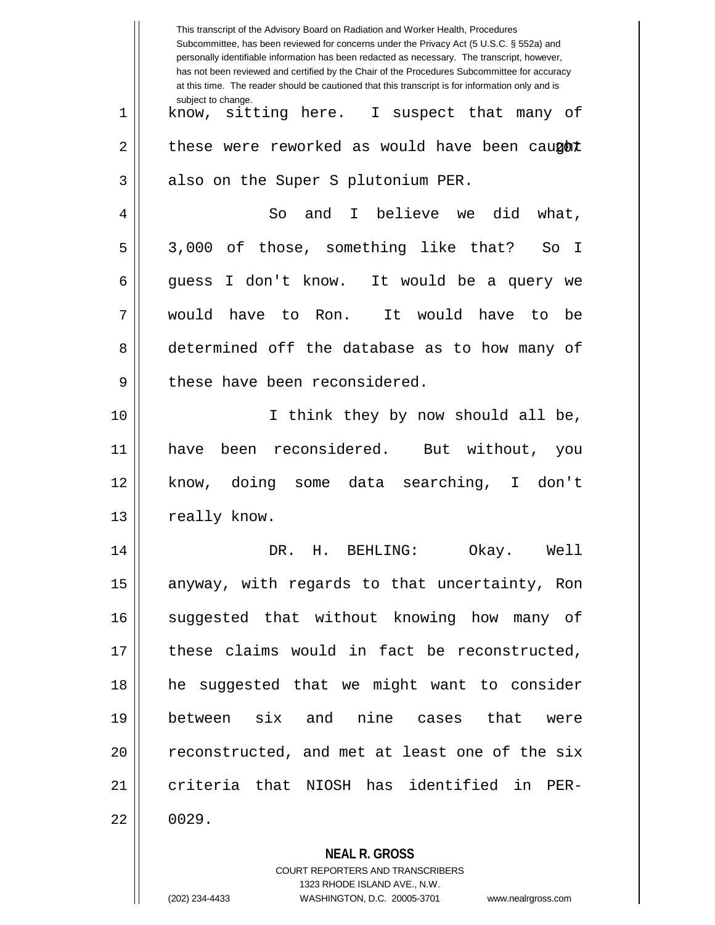|    | This transcript of the Advisory Board on Radiation and Worker Health, Procedures<br>Subcommittee, has been reviewed for concerns under the Privacy Act (5 U.S.C. § 552a) and<br>personally identifiable information has been redacted as necessary. The transcript, however,<br>has not been reviewed and certified by the Chair of the Procedures Subcommittee for accuracy<br>at this time. The reader should be cautioned that this transcript is for information only and is |
|----|----------------------------------------------------------------------------------------------------------------------------------------------------------------------------------------------------------------------------------------------------------------------------------------------------------------------------------------------------------------------------------------------------------------------------------------------------------------------------------|
| 1  | subject to change.<br>know, sitting here. I suspect that many of                                                                                                                                                                                                                                                                                                                                                                                                                 |
| 2  | these were reworked as would have been caught                                                                                                                                                                                                                                                                                                                                                                                                                                    |
| 3  | also on the Super S plutonium PER.                                                                                                                                                                                                                                                                                                                                                                                                                                               |
| 4  | I believe we<br>and<br>did<br>So<br>what,                                                                                                                                                                                                                                                                                                                                                                                                                                        |
| 5  | 3,000 of those, something like that?<br>So I                                                                                                                                                                                                                                                                                                                                                                                                                                     |
| 6  | I don't know. It would be a query we<br>quess                                                                                                                                                                                                                                                                                                                                                                                                                                    |
| 7  | would<br>It would<br>have to Ron.<br>have<br>be<br>to                                                                                                                                                                                                                                                                                                                                                                                                                            |
| 8  | determined off the database as to how many of                                                                                                                                                                                                                                                                                                                                                                                                                                    |
| 9  | these have been reconsidered.                                                                                                                                                                                                                                                                                                                                                                                                                                                    |
| 10 | I think they by now should all be,                                                                                                                                                                                                                                                                                                                                                                                                                                               |
| 11 | been reconsidered. But without,<br>have<br>you                                                                                                                                                                                                                                                                                                                                                                                                                                   |
| 12 | doing some data searching,<br>I don't<br>know,                                                                                                                                                                                                                                                                                                                                                                                                                                   |
| 13 | really know.                                                                                                                                                                                                                                                                                                                                                                                                                                                                     |
| 14 | DR. H. BEHLING:<br>Okay. Well                                                                                                                                                                                                                                                                                                                                                                                                                                                    |
| 15 | anyway, with regards to that uncertainty, Ron                                                                                                                                                                                                                                                                                                                                                                                                                                    |
| 16 | suggested that without knowing how many of                                                                                                                                                                                                                                                                                                                                                                                                                                       |
| 17 | these claims would in fact be reconstructed,                                                                                                                                                                                                                                                                                                                                                                                                                                     |
| 18 | he suggested that we might want to consider                                                                                                                                                                                                                                                                                                                                                                                                                                      |
| 19 | between six and nine cases that were                                                                                                                                                                                                                                                                                                                                                                                                                                             |
| 20 | reconstructed, and met at least one of the six                                                                                                                                                                                                                                                                                                                                                                                                                                   |
| 21 | criteria that NIOSH has identified in PER-                                                                                                                                                                                                                                                                                                                                                                                                                                       |
| 22 | 0029.                                                                                                                                                                                                                                                                                                                                                                                                                                                                            |
|    | <b>NEAL R. GROSS</b>                                                                                                                                                                                                                                                                                                                                                                                                                                                             |

COURT REPORTERS AND TRANSCRIBERS

1323 RHODE ISLAND AVE., N.W. (202) 234-4433 WASHINGTON, D.C. 20005-3701 www.nealrgross.com

 $\mathsf{II}$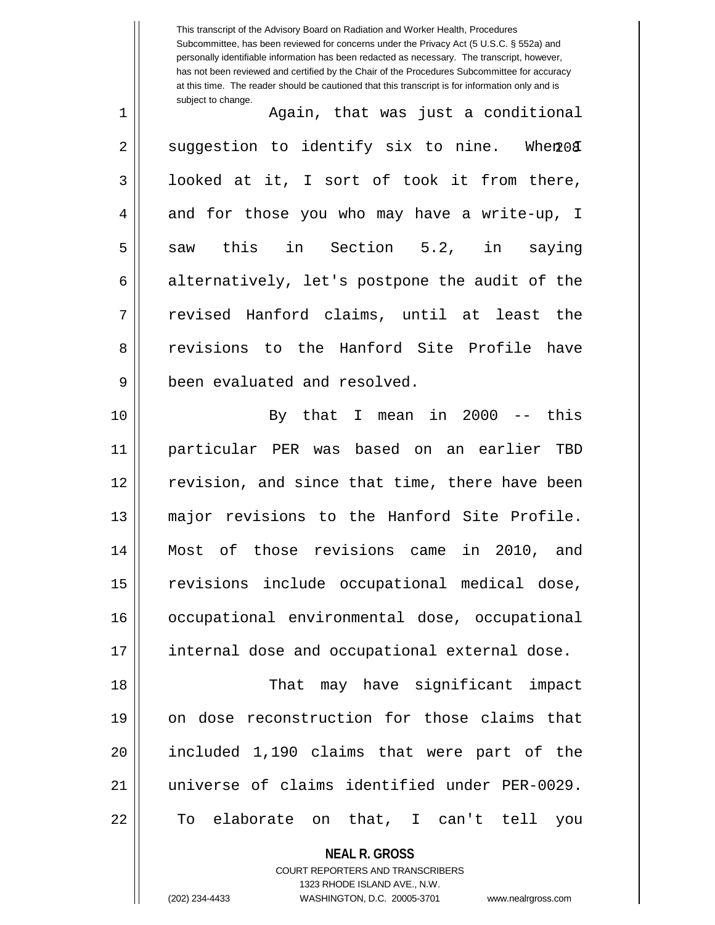This transcript of the Advisory Board on Radiation and Worker Health, Procedures Subcommittee, has been reviewed for concerns under the Privacy Act (5 U.S.C. § 552a) and personally identifiable information has been redacted as necessary. The transcript, however, has not been reviewed and certified by the Chair of the Procedures Subcommittee for accuracy at this time. The reader should be cautioned that this transcript is for information only and is subject to change.  $When 08$ 1 Again, that was just a conditional  $2 \parallel$  suggestion to identify six to nine. 3 | looked at it, I sort of took it from there, 4 and for those you who may have a write-up, I 5 || saw this in Section 5.2, in saying  $6 \parallel$  alternatively, let's postpone the audit of the 7 revised Hanford claims, until at least the 8 || revisions to the Hanford Site Profile have 9 || been evaluated and resolved. 10 By that I mean in 2000 -- this 11 particular PER was based on an earlier TBD 12 || revision, and since that time, there have been 13 major revisions to the Hanford Site Profile. 14 Most of those revisions came in 2010, and 15 || revisions include occupational medical dose, 16 | occupational environmental dose, occupational 17 || internal dose and occupational external dose. 18 That may have significant impact 19 on dose reconstruction for those claims that 20 || included 1,190 claims that were part of the 21 universe of claims identified under PER-0029. 22 To elaborate on that, I can't tell you

> **NEAL R. GROSS** COURT REPORTERS AND TRANSCRIBERS 1323 RHODE ISLAND AVE., N.W.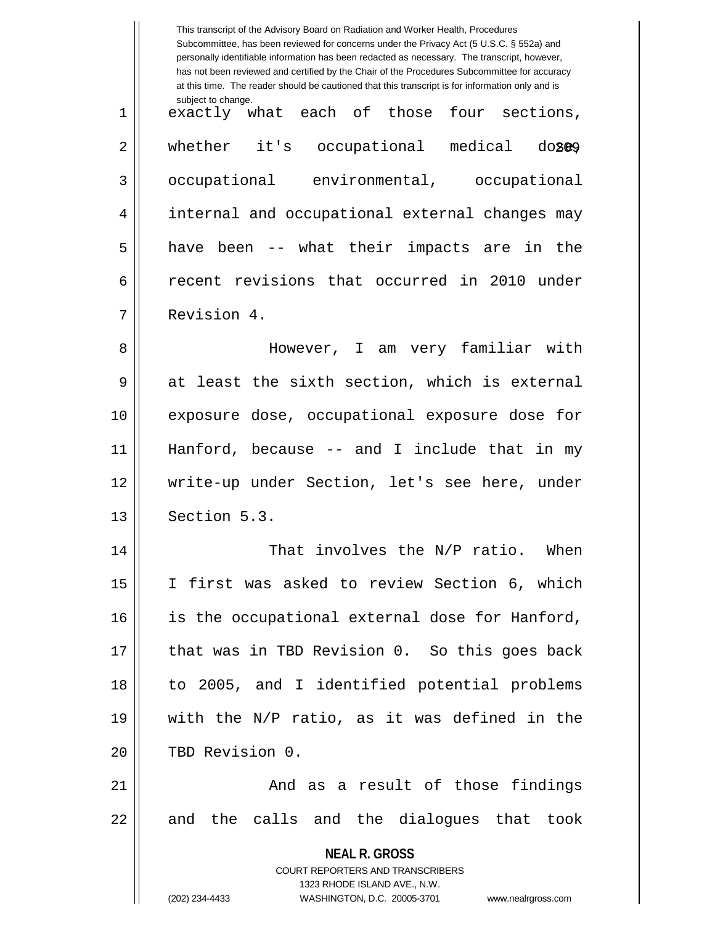|    | This transcript of the Advisory Board on Radiation and Worker Health, Procedures<br>Subcommittee, has been reviewed for concerns under the Privacy Act (5 U.S.C. § 552a) and<br>personally identifiable information has been redacted as necessary. The transcript, however,<br>has not been reviewed and certified by the Chair of the Procedures Subcommittee for accuracy<br>at this time. The reader should be cautioned that this transcript is for information only and is |
|----|----------------------------------------------------------------------------------------------------------------------------------------------------------------------------------------------------------------------------------------------------------------------------------------------------------------------------------------------------------------------------------------------------------------------------------------------------------------------------------|
| 1  | subject to change.<br>exactly what each of those four sections,                                                                                                                                                                                                                                                                                                                                                                                                                  |
| 2  | whether it's occupational medical doseg                                                                                                                                                                                                                                                                                                                                                                                                                                          |
| 3  | occupational environmental, occupational                                                                                                                                                                                                                                                                                                                                                                                                                                         |
| 4  | internal and occupational external changes may                                                                                                                                                                                                                                                                                                                                                                                                                                   |
| 5  | have been -- what their impacts are in the                                                                                                                                                                                                                                                                                                                                                                                                                                       |
| 6  | recent revisions that occurred in 2010 under                                                                                                                                                                                                                                                                                                                                                                                                                                     |
| 7  | Revision 4.                                                                                                                                                                                                                                                                                                                                                                                                                                                                      |
| 8  | However, I am very familiar with                                                                                                                                                                                                                                                                                                                                                                                                                                                 |
| 9  | at least the sixth section, which is external                                                                                                                                                                                                                                                                                                                                                                                                                                    |
| 10 | exposure dose, occupational exposure dose for                                                                                                                                                                                                                                                                                                                                                                                                                                    |
| 11 | Hanford, because $-$ and I include that in my                                                                                                                                                                                                                                                                                                                                                                                                                                    |
| 12 | write-up under Section, let's see here, under                                                                                                                                                                                                                                                                                                                                                                                                                                    |
| 13 | Section 5.3.                                                                                                                                                                                                                                                                                                                                                                                                                                                                     |
| 14 | That involves the N/P ratio. When                                                                                                                                                                                                                                                                                                                                                                                                                                                |
| 15 | I first was asked to review Section 6, which                                                                                                                                                                                                                                                                                                                                                                                                                                     |
| 16 | is the occupational external dose for Hanford,                                                                                                                                                                                                                                                                                                                                                                                                                                   |
| 17 | that was in TBD Revision 0. So this goes back                                                                                                                                                                                                                                                                                                                                                                                                                                    |
| 18 | to 2005, and I identified potential problems                                                                                                                                                                                                                                                                                                                                                                                                                                     |
| 19 | with the N/P ratio, as it was defined in the                                                                                                                                                                                                                                                                                                                                                                                                                                     |
| 20 | TBD Revision 0.                                                                                                                                                                                                                                                                                                                                                                                                                                                                  |
| 21 | And as a result of those findings                                                                                                                                                                                                                                                                                                                                                                                                                                                |
| 22 | and the calls and the dialogues that took                                                                                                                                                                                                                                                                                                                                                                                                                                        |
|    | <b>NEAL R. GROSS</b><br><b>COURT REPORTERS AND TRANSCRIBERS</b><br>1323 RHODE ISLAND AVE., N.W.<br>(202) 234-4433<br>WASHINGTON, D.C. 20005-3701<br>www.nealrgross.com                                                                                                                                                                                                                                                                                                           |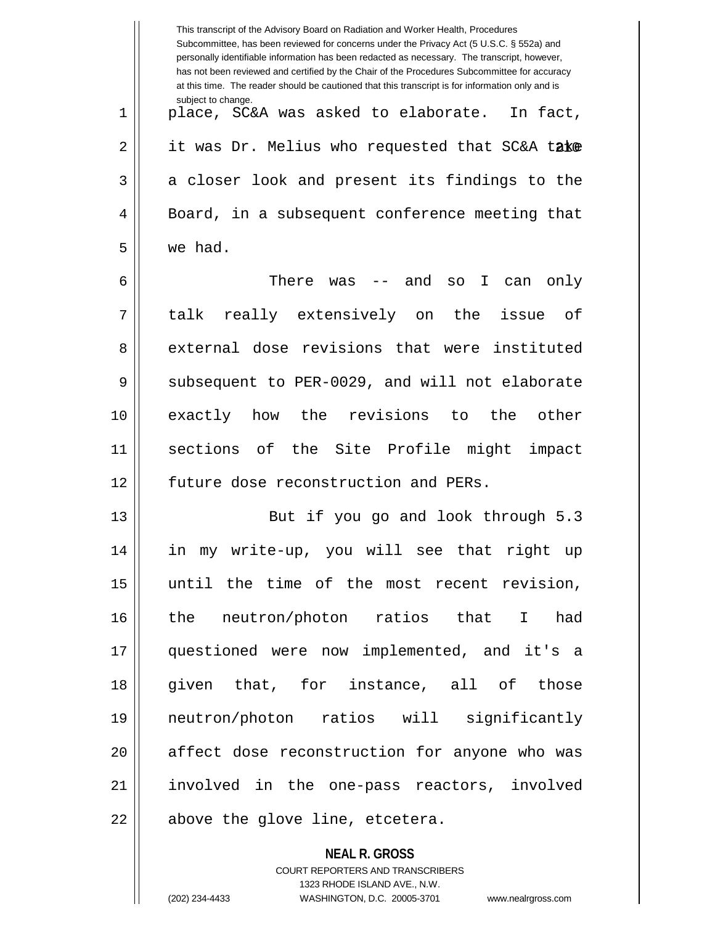|    | This transcript of the Advisory Board on Radiation and Worker Health, Procedures<br>Subcommittee, has been reviewed for concerns under the Privacy Act (5 U.S.C. § 552a) and<br>personally identifiable information has been redacted as necessary. The transcript, however,<br>has not been reviewed and certified by the Chair of the Procedures Subcommittee for accuracy<br>at this time. The reader should be cautioned that this transcript is for information only and is |
|----|----------------------------------------------------------------------------------------------------------------------------------------------------------------------------------------------------------------------------------------------------------------------------------------------------------------------------------------------------------------------------------------------------------------------------------------------------------------------------------|
| 1  | subject to change.<br>place, SC&A was asked to elaborate. In fact,                                                                                                                                                                                                                                                                                                                                                                                                               |
| 2  | it was Dr. Melius who requested that SC&A take                                                                                                                                                                                                                                                                                                                                                                                                                                   |
| 3  | a closer look and present its findings to the                                                                                                                                                                                                                                                                                                                                                                                                                                    |
| 4  | Board, in a subsequent conference meeting that                                                                                                                                                                                                                                                                                                                                                                                                                                   |
| 5  | we had.                                                                                                                                                                                                                                                                                                                                                                                                                                                                          |
| 6  | There was<br>-- and<br>$\mathbf I$<br>SO<br>can<br>only                                                                                                                                                                                                                                                                                                                                                                                                                          |
| 7  | talk really extensively on the issue of                                                                                                                                                                                                                                                                                                                                                                                                                                          |
| 8  | external dose revisions that were instituted                                                                                                                                                                                                                                                                                                                                                                                                                                     |
| 9  | subsequent to PER-0029, and will not elaborate                                                                                                                                                                                                                                                                                                                                                                                                                                   |
| 10 | exactly how the revisions to<br>the other                                                                                                                                                                                                                                                                                                                                                                                                                                        |
| 11 | sections of the Site Profile might<br>impact                                                                                                                                                                                                                                                                                                                                                                                                                                     |
| 12 | future dose reconstruction and PERs.                                                                                                                                                                                                                                                                                                                                                                                                                                             |
| 13 | But if you go and look through 5.3                                                                                                                                                                                                                                                                                                                                                                                                                                               |
| 14 | in my write-up, you will see that right up                                                                                                                                                                                                                                                                                                                                                                                                                                       |
| 15 | until the time of the most recent revision,                                                                                                                                                                                                                                                                                                                                                                                                                                      |
| 16 | the neutron/photon ratios that I<br>had                                                                                                                                                                                                                                                                                                                                                                                                                                          |
| 17 | questioned were now implemented, and it's a                                                                                                                                                                                                                                                                                                                                                                                                                                      |
| 18 | given that, for instance, all of those                                                                                                                                                                                                                                                                                                                                                                                                                                           |
| 19 | neutron/photon ratios will significantly                                                                                                                                                                                                                                                                                                                                                                                                                                         |
| 20 | affect dose reconstruction for anyone who was                                                                                                                                                                                                                                                                                                                                                                                                                                    |
| 21 | involved in the one-pass reactors, involved                                                                                                                                                                                                                                                                                                                                                                                                                                      |
| 22 | above the glove line, etcetera.                                                                                                                                                                                                                                                                                                                                                                                                                                                  |
|    | <b>NEAL R. GROSS</b>                                                                                                                                                                                                                                                                                                                                                                                                                                                             |

COURT REPORTERS AND TRANSCRIBERS 1323 RHODE ISLAND AVE., N.W.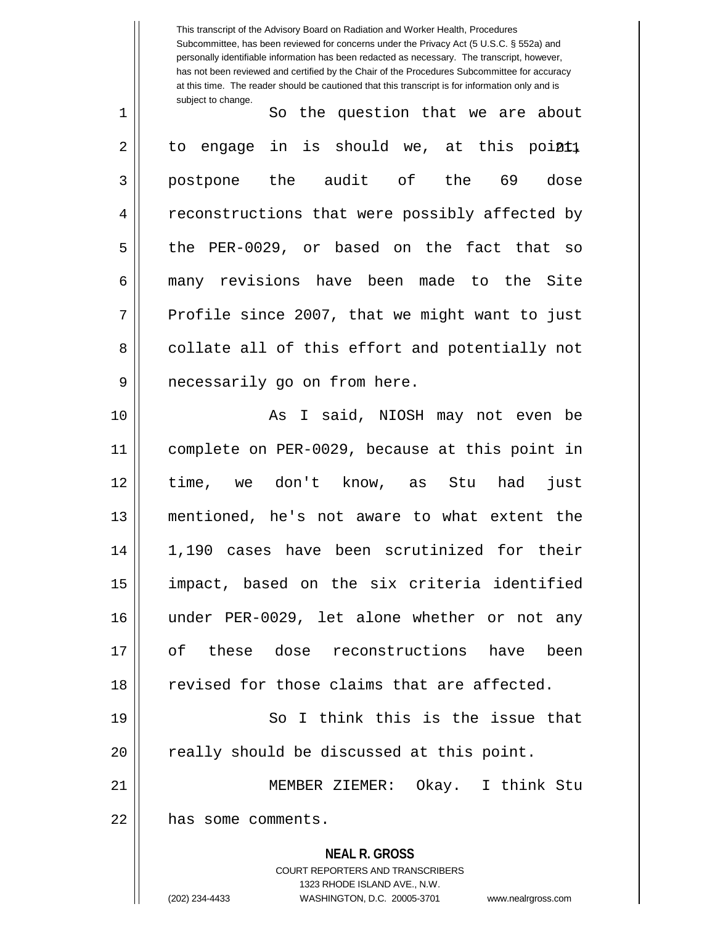**NEAL R. GROSS** COURT REPORTERS AND TRANSCRIBERS 1323 RHODE ISLAND AVE., N.W. This transcript of the Advisory Board on Radiation and Worker Health, Procedures Subcommittee, has been reviewed for concerns under the Privacy Act (5 U.S.C. § 552a) and personally identifiable information has been redacted as necessary. The transcript, however, has not been reviewed and certified by the Chair of the Procedures Subcommittee for accuracy at this time. The reader should be cautioned that this transcript is for information only and is subject to change. at this pointl 1 || So the question that we are about  $2 \parallel$  to engage in is should we, 3 postpone the audit of the 69 dose 4 || reconstructions that were possibly affected by  $5 \parallel$  the PER-0029, or based on the fact that so 6 many revisions have been made to the Site  $7 \parallel$  Profile since 2007, that we might want to just  $8$   $\parallel$  collate all of this effort and potentially not 9 || necessarily go on from here. 10 || As I said, NIOSH may not even be 11 complete on PER-0029, because at this point in 12 time, we don't know, as Stu had just 13 mentioned, he's not aware to what extent the 14 1,190 cases have been scrutinized for their 15 impact, based on the six criteria identified 16 under PER-0029, let alone whether or not any 17 of these dose reconstructions have been  $18$   $\parallel$  revised for those claims that are affected. 19 || So I think this is the issue that 20 || really should be discussed at this point. 21 MEMBER ZIEMER: Okay. I think Stu 22 ll has some comments.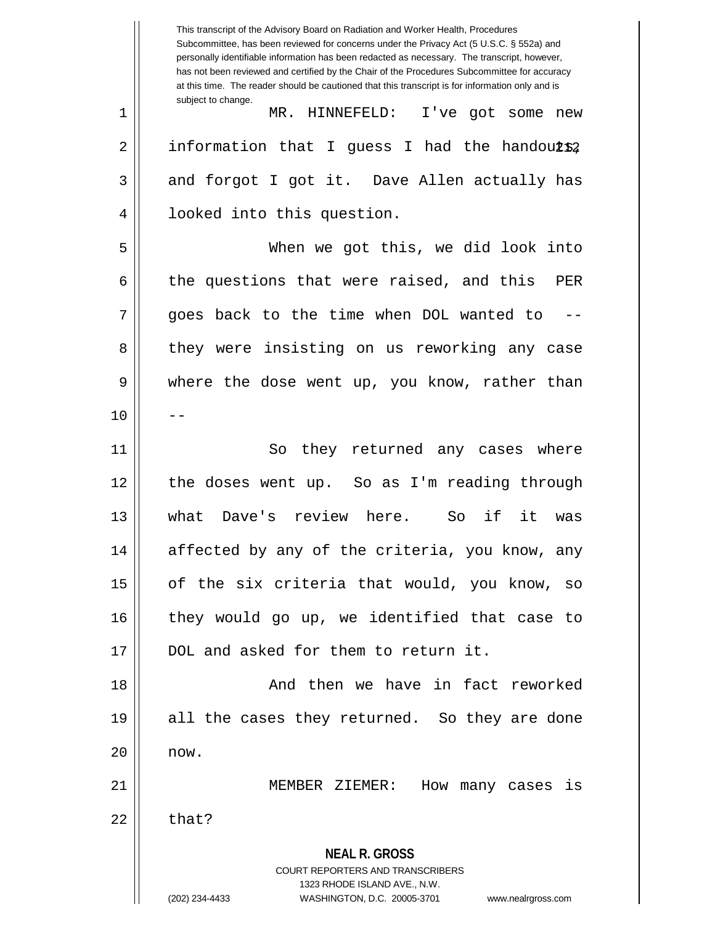**NEAL R. GROSS** COURT REPORTERS AND TRANSCRIBERS 1323 RHODE ISLAND AVE., N.W. (202) 234-4433 WASHINGTON, D.C. 20005-3701 www.nealrgross.com This transcript of the Advisory Board on Radiation and Worker Health, Procedures Subcommittee, has been reviewed for concerns under the Privacy Act (5 U.S.C. § 552a) and personally identifiable information has been redacted as necessary. The transcript, however, has not been reviewed and certified by the Chair of the Procedures Subcommittee for accuracy at this time. The reader should be cautioned that this transcript is for information only and is subject to change. 2 || information that I guess I had the handou $\mathtt{L}\mathtt{s}\mathtt{2}$ 1 MR. HINNEFELD: I've got some new  $3 \parallel$  and forgot I got it. Dave Allen actually has 4 || looked into this question. 5 When we got this, we did look into  $6 \parallel$  the questions that were raised, and this PER  $7 \parallel$  goes back to the time when DOL wanted to 8 they were insisting on us reworking any case 9 where the dose went up, you know, rather than  $10$  ||  $-$ 11 || So they returned any cases where 12 the doses went up. So as I'm reading through 13 what Dave's review here. So if it was 14 || affected by any of the criteria, you know, any  $15$  | of the six criteria that would, you know, so 16 || they would go up, we identified that case to 17 || DOL and asked for them to return it. 18 || And then we have in fact reworked 19 all the cases they returned. So they are done  $20$   $\parallel$  now. 21 MEMBER ZIEMER: How many cases is  $22 \parallel$  that?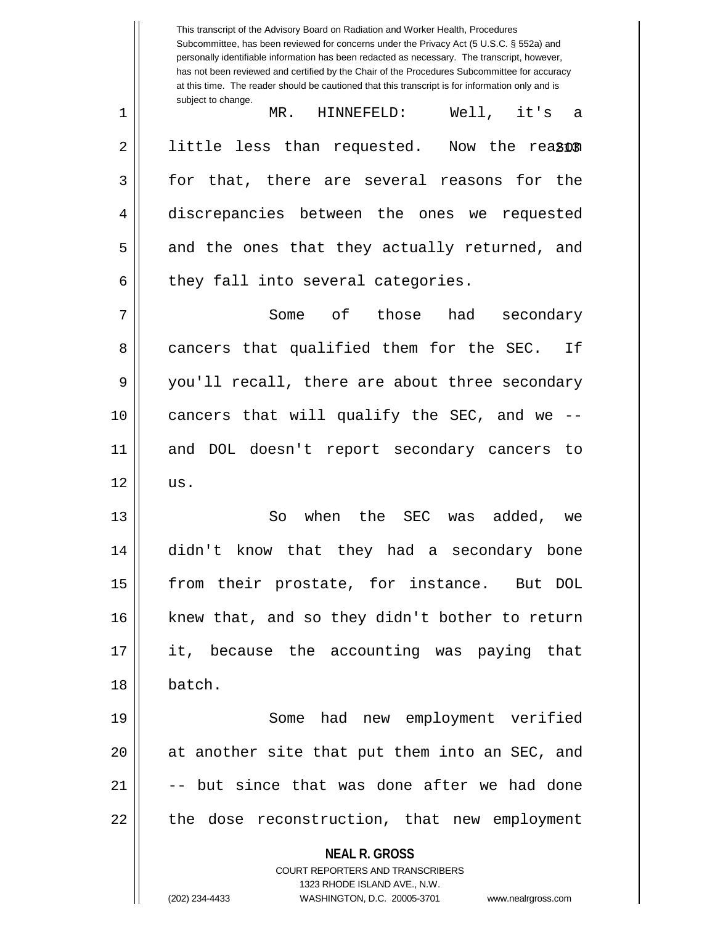**NEAL R. GROSS** COURT REPORTERS AND TRANSCRIBERS 1323 RHODE ISLAND AVE., N.W. (202) 234-4433 WASHINGTON, D.C. 20005-3701 www.nealrgross.com This transcript of the Advisory Board on Radiation and Worker Health, Procedures Subcommittee, has been reviewed for concerns under the Privacy Act (5 U.S.C. § 552a) and personally identifiable information has been redacted as necessary. The transcript, however, has not been reviewed and certified by the Chair of the Procedures Subcommittee for accuracy at this time. The reader should be cautioned that this transcript is for information only and is subject to change. Now the rea<sub>201</sub> 1 MR. HINNEFELD: Well, it's a  $2 \parallel$  little less than requested. 3 || for that, there are several reasons for the 4 discrepancies between the ones we requested  $5 \parallel$  and the ones that they actually returned, and  $6$  | they fall into several categories. 7 Some of those had secondary 8 cancers that qualified them for the SEC. If 9 || you'll recall, there are about three secondary 10 cancers that will qualify the SEC, and we -- 11 and DOL doesn't report secondary cancers to  $12 \parallel$  us. 13 So when the SEC was added, we 14 didn't know that they had a secondary bone 15 || from their prostate, for instance. But DOL 16 || knew that, and so they didn't bother to return 17 it, because the accounting was paying that 18 batch. 19 Some had new employment verified 20 || at another site that put them into an SEC, and  $21$   $\parallel$   $-$ - but since that was done after we had done 22 || the dose reconstruction, that new employment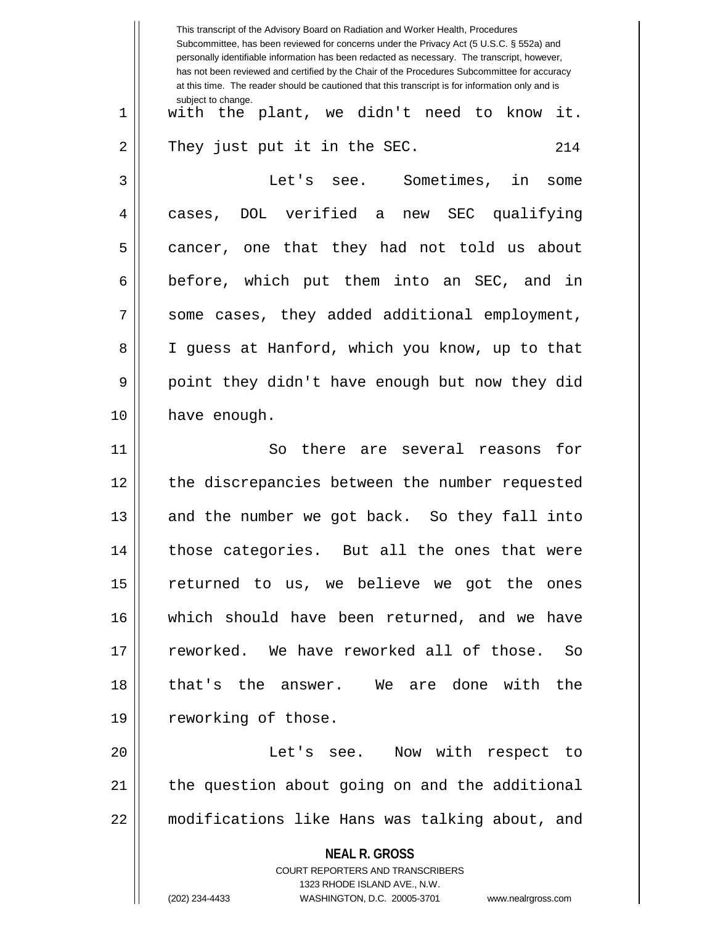|    | This transcript of the Advisory Board on Radiation and Worker Health, Procedures<br>Subcommittee, has been reviewed for concerns under the Privacy Act (5 U.S.C. § 552a) and<br>personally identifiable information has been redacted as necessary. The transcript, however,<br>has not been reviewed and certified by the Chair of the Procedures Subcommittee for accuracy<br>at this time. The reader should be cautioned that this transcript is for information only and is |
|----|----------------------------------------------------------------------------------------------------------------------------------------------------------------------------------------------------------------------------------------------------------------------------------------------------------------------------------------------------------------------------------------------------------------------------------------------------------------------------------|
| 1  | subject to change.<br>with the plant, we didn't need to know<br>it.                                                                                                                                                                                                                                                                                                                                                                                                              |
| 2  | They just put it in the SEC.<br>214                                                                                                                                                                                                                                                                                                                                                                                                                                              |
| 3  | Let's see. Sometimes, in<br>some                                                                                                                                                                                                                                                                                                                                                                                                                                                 |
| 4  | DOL verified a new SEC qualifying<br>cases,                                                                                                                                                                                                                                                                                                                                                                                                                                      |
| 5  | cancer, one that they had not told us about                                                                                                                                                                                                                                                                                                                                                                                                                                      |
| 6  | before, which put them into an SEC, and in                                                                                                                                                                                                                                                                                                                                                                                                                                       |
| 7  | some cases, they added additional employment,                                                                                                                                                                                                                                                                                                                                                                                                                                    |
| 8  | I guess at Hanford, which you know, up to that                                                                                                                                                                                                                                                                                                                                                                                                                                   |
| 9  | point they didn't have enough but now they did                                                                                                                                                                                                                                                                                                                                                                                                                                   |
| 10 | have enough.                                                                                                                                                                                                                                                                                                                                                                                                                                                                     |
| 11 | for<br>So<br>there are several reasons                                                                                                                                                                                                                                                                                                                                                                                                                                           |
| 12 | the discrepancies between the number requested                                                                                                                                                                                                                                                                                                                                                                                                                                   |
| 13 | and the number we got back. So they fall into                                                                                                                                                                                                                                                                                                                                                                                                                                    |
| 14 | those categories. But all the ones that were                                                                                                                                                                                                                                                                                                                                                                                                                                     |
| 15 | returned to us, we believe we got the ones                                                                                                                                                                                                                                                                                                                                                                                                                                       |
| 16 | which should have been returned, and we have                                                                                                                                                                                                                                                                                                                                                                                                                                     |
| 17 | reworked. We have reworked all of those. So                                                                                                                                                                                                                                                                                                                                                                                                                                      |
| 18 | that's the answer. We are done with the                                                                                                                                                                                                                                                                                                                                                                                                                                          |
| 19 | reworking of those.                                                                                                                                                                                                                                                                                                                                                                                                                                                              |
| 20 | Let's see. Now with respect to                                                                                                                                                                                                                                                                                                                                                                                                                                                   |
| 21 | the question about going on and the additional                                                                                                                                                                                                                                                                                                                                                                                                                                   |
| 22 | modifications like Hans was talking about, and                                                                                                                                                                                                                                                                                                                                                                                                                                   |
|    | <b>NEAL R. GROSS</b><br><b>COURT REPORTERS AND TRANSCRIBERS</b><br>1323 RHODE ISLAND AVE., N.W.                                                                                                                                                                                                                                                                                                                                                                                  |
|    | (202) 234-4433<br>WASHINGTON, D.C. 20005-3701<br>www.nealrgross.com                                                                                                                                                                                                                                                                                                                                                                                                              |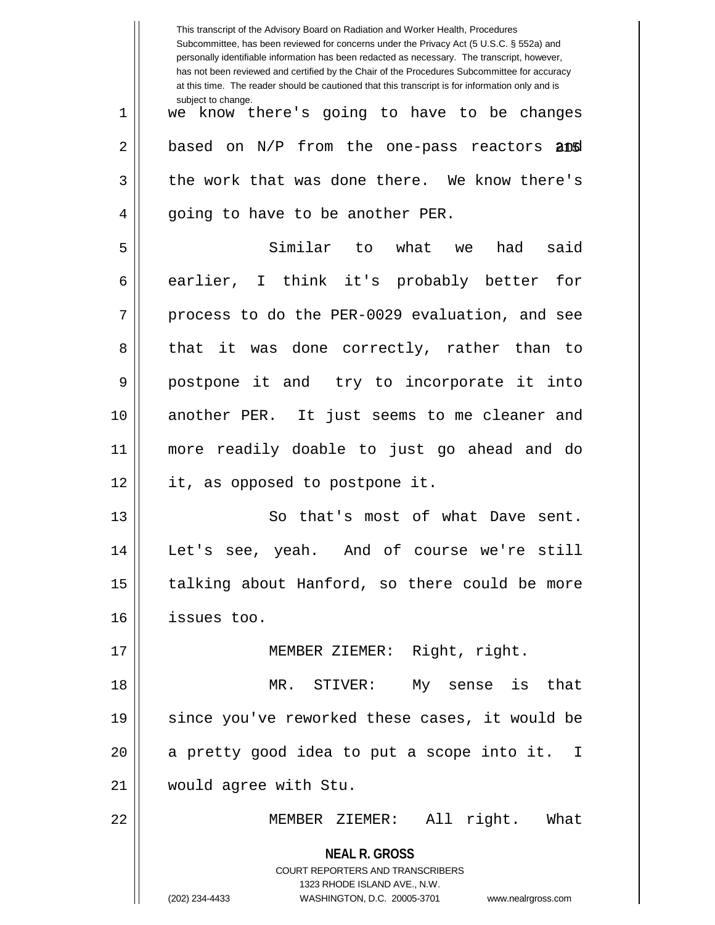|    | This transcript of the Advisory Board on Radiation and Worker Health, Procedures<br>Subcommittee, has been reviewed for concerns under the Privacy Act (5 U.S.C. § 552a) and<br>personally identifiable information has been redacted as necessary. The transcript, however,<br>has not been reviewed and certified by the Chair of the Procedures Subcommittee for accuracy<br>at this time. The reader should be cautioned that this transcript is for information only and is |
|----|----------------------------------------------------------------------------------------------------------------------------------------------------------------------------------------------------------------------------------------------------------------------------------------------------------------------------------------------------------------------------------------------------------------------------------------------------------------------------------|
| 1  | subject to change.<br>we know there's going to have to be changes                                                                                                                                                                                                                                                                                                                                                                                                                |
| 2  | based on N/P from the one-pass reactors and                                                                                                                                                                                                                                                                                                                                                                                                                                      |
| 3  | the work that was done there. We know there's                                                                                                                                                                                                                                                                                                                                                                                                                                    |
| 4  | going to have to be another PER.                                                                                                                                                                                                                                                                                                                                                                                                                                                 |
| 5  | Similar to what<br>said<br>had<br>we                                                                                                                                                                                                                                                                                                                                                                                                                                             |
| 6  | earlier, I think it's probably better<br>for                                                                                                                                                                                                                                                                                                                                                                                                                                     |
| 7  | process to do the PER-0029 evaluation, and see                                                                                                                                                                                                                                                                                                                                                                                                                                   |
| 8  | that it was done correctly, rather than to                                                                                                                                                                                                                                                                                                                                                                                                                                       |
| 9  | postpone it and try to incorporate it into                                                                                                                                                                                                                                                                                                                                                                                                                                       |
| 10 | another PER. It just seems to me cleaner and                                                                                                                                                                                                                                                                                                                                                                                                                                     |
| 11 | more readily doable to just go ahead and do                                                                                                                                                                                                                                                                                                                                                                                                                                      |
| 12 | it, as opposed to postpone it.                                                                                                                                                                                                                                                                                                                                                                                                                                                   |
| 13 | So that's most of what Dave sent.                                                                                                                                                                                                                                                                                                                                                                                                                                                |
| 14 | Let's see, yeah. And of course we're still                                                                                                                                                                                                                                                                                                                                                                                                                                       |
| 15 | talking about Hanford, so there could be more                                                                                                                                                                                                                                                                                                                                                                                                                                    |
| 16 | issues too.                                                                                                                                                                                                                                                                                                                                                                                                                                                                      |
| 17 | MEMBER ZIEMER: Right, right.                                                                                                                                                                                                                                                                                                                                                                                                                                                     |
| 18 | MR. STIVER: My sense is that                                                                                                                                                                                                                                                                                                                                                                                                                                                     |
| 19 | since you've reworked these cases, it would be                                                                                                                                                                                                                                                                                                                                                                                                                                   |
| 20 | a pretty good idea to put a scope into it. I                                                                                                                                                                                                                                                                                                                                                                                                                                     |
| 21 | would agree with Stu.                                                                                                                                                                                                                                                                                                                                                                                                                                                            |
| 22 | MEMBER ZIEMER: All right. What                                                                                                                                                                                                                                                                                                                                                                                                                                                   |
|    | <b>NEAL R. GROSS</b><br>COURT REPORTERS AND TRANSCRIBERS<br>1323 RHODE ISLAND AVE., N.W.<br>(202) 234-4433<br>WASHINGTON, D.C. 20005-3701 www.nealrgross.com                                                                                                                                                                                                                                                                                                                     |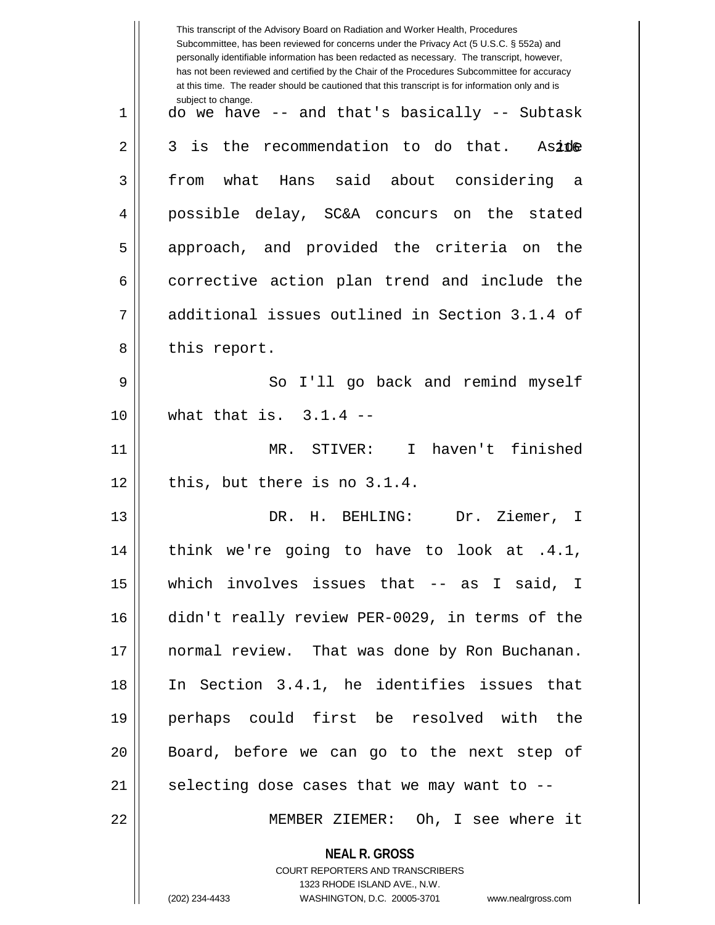|             | This transcript of the Advisory Board on Radiation and Worker Health, Procedures<br>Subcommittee, has been reviewed for concerns under the Privacy Act (5 U.S.C. § 552a) and<br>personally identifiable information has been redacted as necessary. The transcript, however,<br>has not been reviewed and certified by the Chair of the Procedures Subcommittee for accuracy<br>at this time. The reader should be cautioned that this transcript is for information only and is |
|-------------|----------------------------------------------------------------------------------------------------------------------------------------------------------------------------------------------------------------------------------------------------------------------------------------------------------------------------------------------------------------------------------------------------------------------------------------------------------------------------------|
| $\mathbf 1$ | subject to change.<br>do we have -- and that's basically -- Subtask                                                                                                                                                                                                                                                                                                                                                                                                              |
| 2           | the recommendation to do that.<br>is<br>3<br>Aside                                                                                                                                                                                                                                                                                                                                                                                                                               |
| 3           | what Hans said about considering<br>from<br>- a                                                                                                                                                                                                                                                                                                                                                                                                                                  |
| 4           | possible delay, SC&A concurs on the stated                                                                                                                                                                                                                                                                                                                                                                                                                                       |
| 5           | approach, and provided the criteria on<br>the                                                                                                                                                                                                                                                                                                                                                                                                                                    |
| 6           | corrective action plan trend and include the                                                                                                                                                                                                                                                                                                                                                                                                                                     |
| 7           | additional issues outlined in Section 3.1.4 of                                                                                                                                                                                                                                                                                                                                                                                                                                   |
| 8           | this report.                                                                                                                                                                                                                                                                                                                                                                                                                                                                     |
| 9           | I'll go back and remind myself<br>So                                                                                                                                                                                                                                                                                                                                                                                                                                             |
| 10          | what that is. $3.1.4$ --                                                                                                                                                                                                                                                                                                                                                                                                                                                         |
| 11          | haven't finished<br>MR. STIVER:<br>$\mathbf{I}$                                                                                                                                                                                                                                                                                                                                                                                                                                  |
| 12          | this, but there is no 3.1.4.                                                                                                                                                                                                                                                                                                                                                                                                                                                     |
| 13          | Dr. Ziemer,<br>DR. H. BEHLING:<br>I.                                                                                                                                                                                                                                                                                                                                                                                                                                             |
| 14          | think we're going to have to look at .4.1,                                                                                                                                                                                                                                                                                                                                                                                                                                       |
| 15          | which involves issues that -- as I said, I                                                                                                                                                                                                                                                                                                                                                                                                                                       |
| 16          | didn't really review PER-0029, in terms of the                                                                                                                                                                                                                                                                                                                                                                                                                                   |
| 17          | normal review. That was done by Ron Buchanan.                                                                                                                                                                                                                                                                                                                                                                                                                                    |
| 18          | In Section 3.4.1, he identifies issues that                                                                                                                                                                                                                                                                                                                                                                                                                                      |
| 19          | perhaps could first be resolved with the                                                                                                                                                                                                                                                                                                                                                                                                                                         |
| 20          | Board, before we can go to the next step of                                                                                                                                                                                                                                                                                                                                                                                                                                      |
| 21          | selecting dose cases that we may want to --                                                                                                                                                                                                                                                                                                                                                                                                                                      |
| 22          | MEMBER ZIEMER: Oh, I see where it                                                                                                                                                                                                                                                                                                                                                                                                                                                |
|             | <b>NEAL R. GROSS</b><br>COURT REPORTERS AND TRANSCRIBERS<br>1323 RHODE ISLAND AVE., N.W.                                                                                                                                                                                                                                                                                                                                                                                         |
|             | (202) 234-4433<br>WASHINGTON, D.C. 20005-3701<br>www.nealrgross.com                                                                                                                                                                                                                                                                                                                                                                                                              |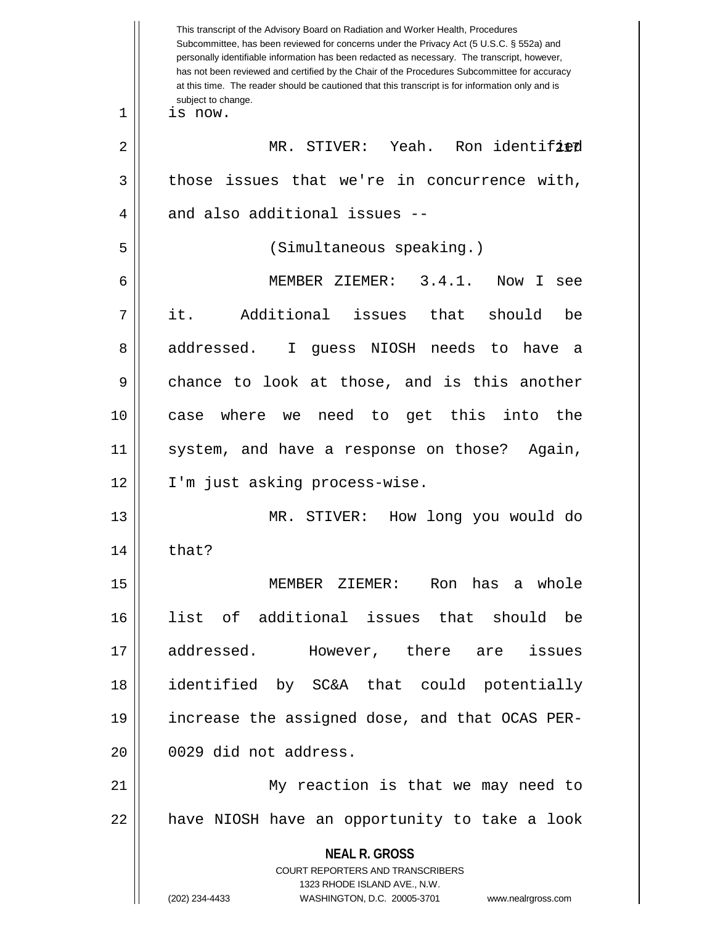|    | This transcript of the Advisory Board on Radiation and Worker Health, Procedures<br>Subcommittee, has been reviewed for concerns under the Privacy Act (5 U.S.C. § 552a) and<br>personally identifiable information has been redacted as necessary. The transcript, however,<br>has not been reviewed and certified by the Chair of the Procedures Subcommittee for accuracy<br>at this time. The reader should be cautioned that this transcript is for information only and is<br>subject to change. |
|----|--------------------------------------------------------------------------------------------------------------------------------------------------------------------------------------------------------------------------------------------------------------------------------------------------------------------------------------------------------------------------------------------------------------------------------------------------------------------------------------------------------|
| 1  | is now.                                                                                                                                                                                                                                                                                                                                                                                                                                                                                                |
| 2  | MR. STIVER: Yeah.<br>Ron identified                                                                                                                                                                                                                                                                                                                                                                                                                                                                    |
| 3  | those issues that we're in concurrence with,                                                                                                                                                                                                                                                                                                                                                                                                                                                           |
| 4  | and also additional issues --                                                                                                                                                                                                                                                                                                                                                                                                                                                                          |
| 5  | (Simultaneous speaking.)                                                                                                                                                                                                                                                                                                                                                                                                                                                                               |
| 6  | 3.4.1.<br>MEMBER ZIEMER:<br>Now I<br>see                                                                                                                                                                                                                                                                                                                                                                                                                                                               |
| 7  | it.<br>Additional<br>issues that<br>should<br>be                                                                                                                                                                                                                                                                                                                                                                                                                                                       |
| 8  | addressed.<br>guess NIOSH needs to have<br>I.<br>а                                                                                                                                                                                                                                                                                                                                                                                                                                                     |
| 9  | chance to look at those, and is this another                                                                                                                                                                                                                                                                                                                                                                                                                                                           |
| 10 | we need to get this into<br>where<br>the<br>case                                                                                                                                                                                                                                                                                                                                                                                                                                                       |
| 11 | system, and have a response on those?<br>Again,                                                                                                                                                                                                                                                                                                                                                                                                                                                        |
| 12 | I'm just asking process-wise.                                                                                                                                                                                                                                                                                                                                                                                                                                                                          |
| 13 | MR. STIVER:<br>How long you would do                                                                                                                                                                                                                                                                                                                                                                                                                                                                   |
| 14 | that?                                                                                                                                                                                                                                                                                                                                                                                                                                                                                                  |
| 15 | MEMBER ZIEMER: Ron has a whole                                                                                                                                                                                                                                                                                                                                                                                                                                                                         |
| 16 | list of additional issues that should be                                                                                                                                                                                                                                                                                                                                                                                                                                                               |
| 17 | addressed.<br>However, there are<br>issues                                                                                                                                                                                                                                                                                                                                                                                                                                                             |
| 18 | identified by SC&A that could potentially                                                                                                                                                                                                                                                                                                                                                                                                                                                              |
| 19 | increase the assigned dose, and that OCAS PER-                                                                                                                                                                                                                                                                                                                                                                                                                                                         |
| 20 | 0029 did not address.                                                                                                                                                                                                                                                                                                                                                                                                                                                                                  |
| 21 | My reaction is that we may need to                                                                                                                                                                                                                                                                                                                                                                                                                                                                     |
| 22 | have NIOSH have an opportunity to take a look                                                                                                                                                                                                                                                                                                                                                                                                                                                          |
|    | <b>NEAL R. GROSS</b><br><b>COURT REPORTERS AND TRANSCRIBERS</b><br>1323 RHODE ISLAND AVE., N.W.<br>(202) 234-4433<br>WASHINGTON, D.C. 20005-3701<br>www.nealrgross.com                                                                                                                                                                                                                                                                                                                                 |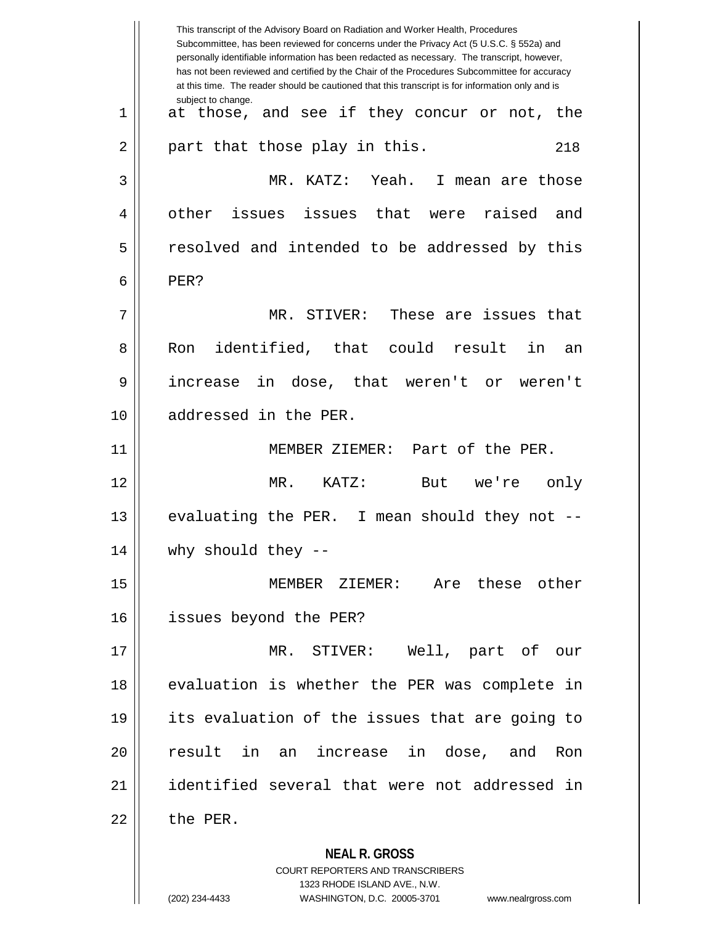**NEAL R. GROSS** COURT REPORTERS AND TRANSCRIBERS This transcript of the Advisory Board on Radiation and Worker Health, Procedures Subcommittee, has been reviewed for concerns under the Privacy Act (5 U.S.C. § 552a) and personally identifiable information has been redacted as necessary. The transcript, however, has not been reviewed and certified by the Chair of the Procedures Subcommittee for accuracy at this time. The reader should be cautioned that this transcript is for information only and is subject to change. 218 1 at those, and see if they concur or not, the  $2 \parallel$  part that those play in this. 3 MR. KATZ: Yeah. I mean are those 4 || other issues issues that were raised and 5 || resolved and intended to be addressed by this  $6 \parallel$  PER? 7 MR. STIVER: These are issues that 8 Ron identified, that could result in an 9 increase in dose, that weren't or weren't 10 addressed in the PER. 11 MEMBER ZIEMER: Part of the PER. 12 MR. KATZ: But we're only 13 || evaluating the PER. I mean should they not --14 why should they -- 15 MEMBER ZIEMER: Are these other 16 issues beyond the PER? 17 MR. STIVER: Well, part of our 18 || evaluation is whether the PER was complete in 19 its evaluation of the issues that are going to 20 result in an increase in dose, and Ron 21 identified several that were not addressed in  $22$  | the PER.

1323 RHODE ISLAND AVE., N.W.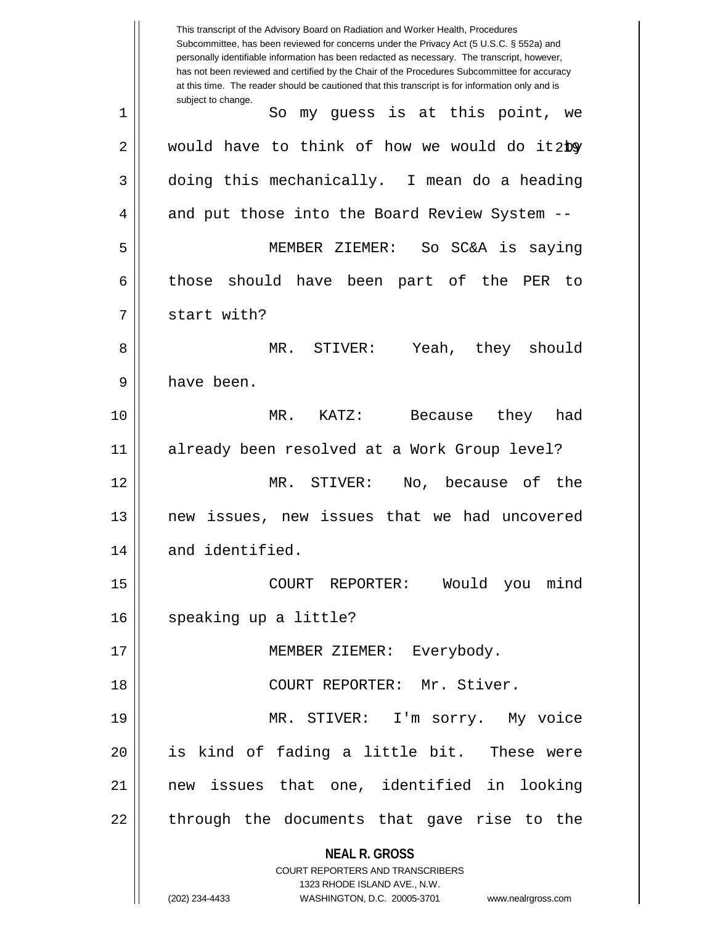**NEAL R. GROSS** COURT REPORTERS AND TRANSCRIBERS 1323 RHODE ISLAND AVE., N.W. (202) 234-4433 WASHINGTON, D.C. 20005-3701 www.nealrgross.com This transcript of the Advisory Board on Radiation and Worker Health, Procedures Subcommittee, has been reviewed for concerns under the Privacy Act (5 U.S.C. § 552a) and personally identifiable information has been redacted as necessary. The transcript, however, has not been reviewed and certified by the Chair of the Procedures Subcommittee for accuracy at this time. The reader should be cautioned that this transcript is for information only and is subject to change. 2  $\parallel$  would have to think of how we would do it by 1 || So my quess is at this point, we  $3 \parallel$  doing this mechanically. I mean do a heading 4 || and put those into the Board Review System --5 MEMBER ZIEMER: So SC&A is saying 6 those should have been part of the PER to 7 || start with? 8 MR. STIVER: Yeah, they should 9 || have been. 10 MR. KATZ: Because they had 11 already been resolved at a Work Group level? 12 MR. STIVER: No, because of the 13 new issues, new issues that we had uncovered 14 | and identified. 15 COURT REPORTER: Would you mind 16 | speaking up a little? 17 || MEMBER ZIEMER: Everybody. 18 COURT REPORTER: Mr. Stiver. 19 MR. STIVER: I'm sorry. My voice 20 is kind of fading a little bit. These were 21 new issues that one, identified in looking  $22$  || through the documents that gave rise to the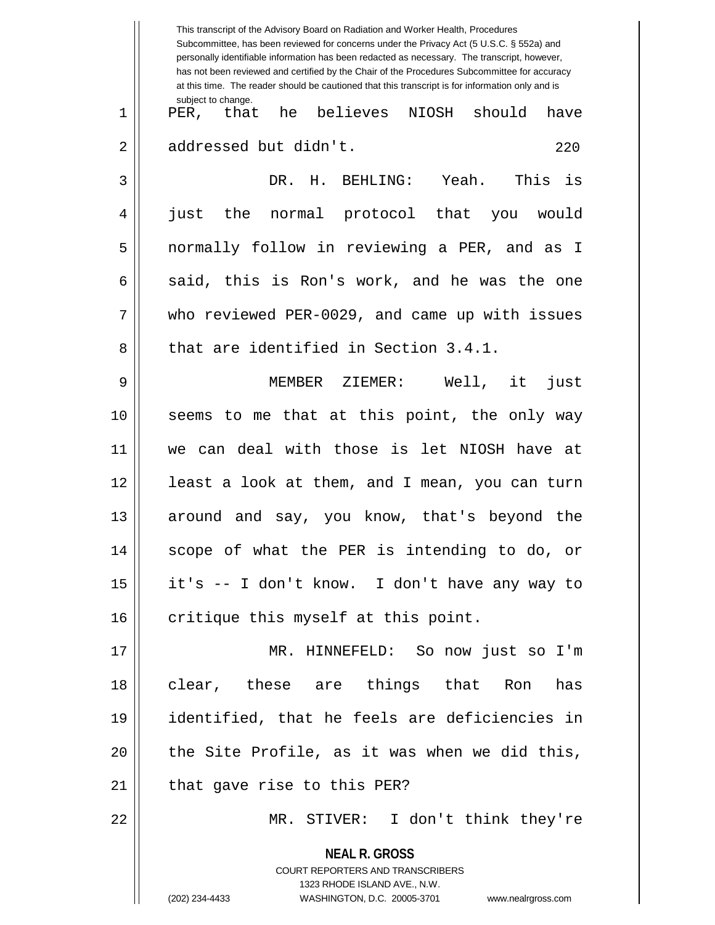|                | This transcript of the Advisory Board on Radiation and Worker Health, Procedures<br>Subcommittee, has been reviewed for concerns under the Privacy Act (5 U.S.C. § 552a) and<br>personally identifiable information has been redacted as necessary. The transcript, however,<br>has not been reviewed and certified by the Chair of the Procedures Subcommittee for accuracy<br>at this time. The reader should be cautioned that this transcript is for information only and is |
|----------------|----------------------------------------------------------------------------------------------------------------------------------------------------------------------------------------------------------------------------------------------------------------------------------------------------------------------------------------------------------------------------------------------------------------------------------------------------------------------------------|
| $\mathbf 1$    | subject to change.<br>PER, that he believes NIOSH<br>should<br>have                                                                                                                                                                                                                                                                                                                                                                                                              |
| $\overline{2}$ | addressed but didn't.<br>220                                                                                                                                                                                                                                                                                                                                                                                                                                                     |
| 3              | DR. H.<br>BEHLING: Yeah. This is                                                                                                                                                                                                                                                                                                                                                                                                                                                 |
| 4              | the normal protocol that you<br>just<br>would                                                                                                                                                                                                                                                                                                                                                                                                                                    |
| 5              | normally follow in reviewing a PER, and as I                                                                                                                                                                                                                                                                                                                                                                                                                                     |
| 6              | said, this is Ron's work, and he was the one                                                                                                                                                                                                                                                                                                                                                                                                                                     |
| 7              | who reviewed PER-0029, and came up with issues                                                                                                                                                                                                                                                                                                                                                                                                                                   |
| 8              | that are identified in Section 3.4.1.                                                                                                                                                                                                                                                                                                                                                                                                                                            |
| 9              | MEMBER ZIEMER: Well, it<br>just                                                                                                                                                                                                                                                                                                                                                                                                                                                  |
| 10             | seems to me that at this point, the only way                                                                                                                                                                                                                                                                                                                                                                                                                                     |
| 11             | we can deal with those is let NIOSH have at                                                                                                                                                                                                                                                                                                                                                                                                                                      |
| 12             | least a look at them, and I mean, you can turn                                                                                                                                                                                                                                                                                                                                                                                                                                   |
| 13             | around and say, you know, that's beyond the                                                                                                                                                                                                                                                                                                                                                                                                                                      |
| 14             | scope of what the PER is intending to do, or                                                                                                                                                                                                                                                                                                                                                                                                                                     |
| 15             | it's -- I don't know. I don't have any way to                                                                                                                                                                                                                                                                                                                                                                                                                                    |
| 16             | critique this myself at this point.                                                                                                                                                                                                                                                                                                                                                                                                                                              |
| 17             | MR. HINNEFELD: So now just so I'm                                                                                                                                                                                                                                                                                                                                                                                                                                                |
| 18             | clear, these are things that Ron<br>has                                                                                                                                                                                                                                                                                                                                                                                                                                          |
| 19             | identified, that he feels are deficiencies in                                                                                                                                                                                                                                                                                                                                                                                                                                    |
| 20             | the Site Profile, as it was when we did this,                                                                                                                                                                                                                                                                                                                                                                                                                                    |
| 21             | that gave rise to this PER?                                                                                                                                                                                                                                                                                                                                                                                                                                                      |
| 22             | MR. STIVER: I don't think they're                                                                                                                                                                                                                                                                                                                                                                                                                                                |
|                | <b>NEAL R. GROSS</b><br>COURT REPORTERS AND TRANSCRIBERS<br>1323 RHODE ISLAND AVE., N.W.                                                                                                                                                                                                                                                                                                                                                                                         |
|                | (202) 234-4433<br>WASHINGTON, D.C. 20005-3701<br>www.nealrgross.com                                                                                                                                                                                                                                                                                                                                                                                                              |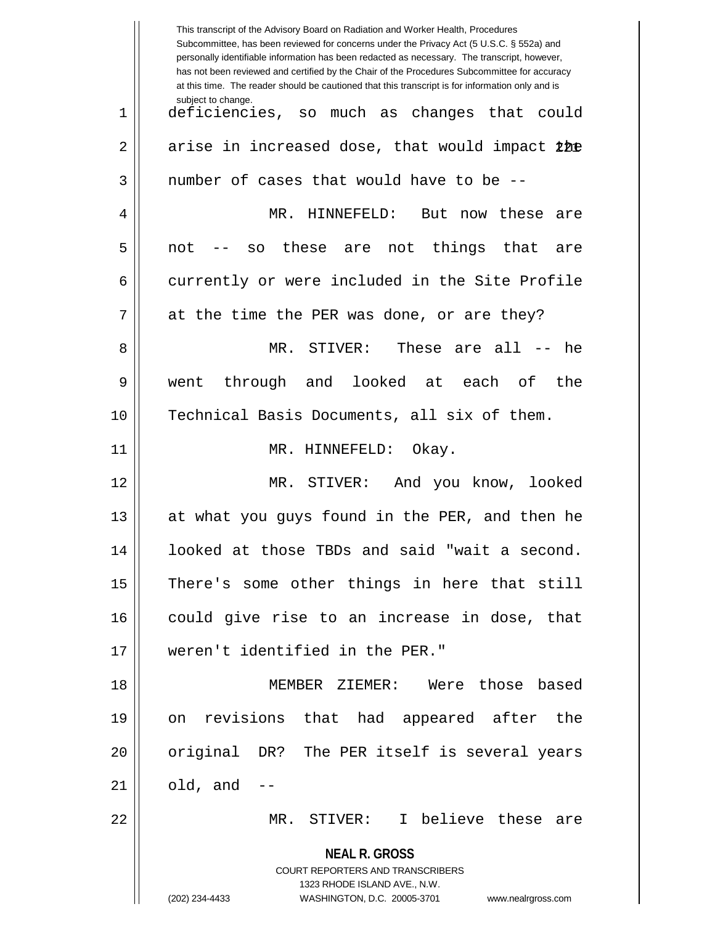|             | This transcript of the Advisory Board on Radiation and Worker Health, Procedures<br>Subcommittee, has been reviewed for concerns under the Privacy Act (5 U.S.C. § 552a) and<br>personally identifiable information has been redacted as necessary. The transcript, however,<br>has not been reviewed and certified by the Chair of the Procedures Subcommittee for accuracy<br>at this time. The reader should be cautioned that this transcript is for information only and is |
|-------------|----------------------------------------------------------------------------------------------------------------------------------------------------------------------------------------------------------------------------------------------------------------------------------------------------------------------------------------------------------------------------------------------------------------------------------------------------------------------------------|
| $\mathbf 1$ | subject to change.<br>deficiencies, so much as changes<br>that could                                                                                                                                                                                                                                                                                                                                                                                                             |
| 2           | arise in increased dose, that would impact the                                                                                                                                                                                                                                                                                                                                                                                                                                   |
| 3           | number of cases that would have to be --                                                                                                                                                                                                                                                                                                                                                                                                                                         |
| 4           | HINNEFELD:<br>MR.<br>But<br>now these<br>are                                                                                                                                                                                                                                                                                                                                                                                                                                     |
| 5           | these are<br>things<br>that<br>not<br>not<br>SO<br>are                                                                                                                                                                                                                                                                                                                                                                                                                           |
| 6           | currently or were included in the Site Profile                                                                                                                                                                                                                                                                                                                                                                                                                                   |
| 7           | at the time the PER was done, or are they?                                                                                                                                                                                                                                                                                                                                                                                                                                       |
| 8           | MR. STIVER: These are all --<br>he                                                                                                                                                                                                                                                                                                                                                                                                                                               |
| 9           | through and looked<br>at each<br>of<br>the<br>went                                                                                                                                                                                                                                                                                                                                                                                                                               |
| 10          | Technical Basis Documents, all six of them.                                                                                                                                                                                                                                                                                                                                                                                                                                      |
| 11          | MR. HINNEFELD:<br>Okay.                                                                                                                                                                                                                                                                                                                                                                                                                                                          |
| 12          | MR.<br>And you know, looked<br>$\tt STIVER:$                                                                                                                                                                                                                                                                                                                                                                                                                                     |
| 13          | at what you guys found in the PER, and then he                                                                                                                                                                                                                                                                                                                                                                                                                                   |
| 14          | looked at those TBDs and said "wait a second.                                                                                                                                                                                                                                                                                                                                                                                                                                    |
| 15          | There's some other things in here that still                                                                                                                                                                                                                                                                                                                                                                                                                                     |
| 16          | could give rise to an increase in dose, that                                                                                                                                                                                                                                                                                                                                                                                                                                     |
| 17          | weren't identified in the PER."                                                                                                                                                                                                                                                                                                                                                                                                                                                  |
| 18          | MEMBER ZIEMER: Were those based                                                                                                                                                                                                                                                                                                                                                                                                                                                  |
| 19          | on revisions that had appeared after the                                                                                                                                                                                                                                                                                                                                                                                                                                         |
| 20          | original DR? The PER itself is several years                                                                                                                                                                                                                                                                                                                                                                                                                                     |
| 21          | old, and                                                                                                                                                                                                                                                                                                                                                                                                                                                                         |
| 22          | MR. STIVER: I believe these are                                                                                                                                                                                                                                                                                                                                                                                                                                                  |
|             | <b>NEAL R. GROSS</b>                                                                                                                                                                                                                                                                                                                                                                                                                                                             |
|             | COURT REPORTERS AND TRANSCRIBERS<br>1323 RHODE ISLAND AVE., N.W.                                                                                                                                                                                                                                                                                                                                                                                                                 |
|             | (202) 234-4433<br>WASHINGTON, D.C. 20005-3701<br>www.nealrgross.com                                                                                                                                                                                                                                                                                                                                                                                                              |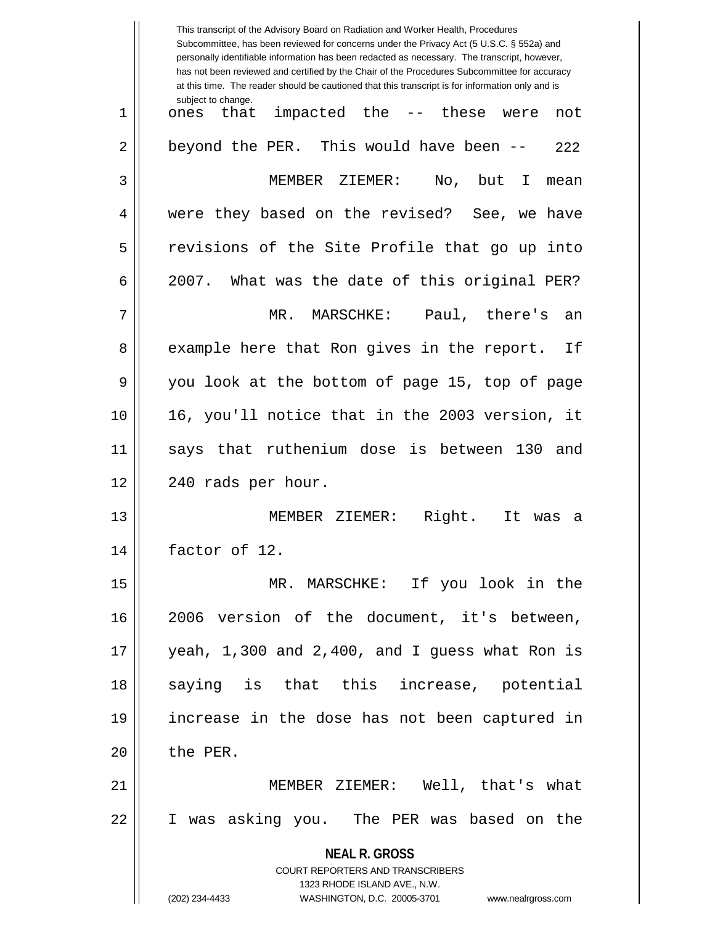|    | This transcript of the Advisory Board on Radiation and Worker Health, Procedures<br>Subcommittee, has been reviewed for concerns under the Privacy Act (5 U.S.C. § 552a) and<br>personally identifiable information has been redacted as necessary. The transcript, however,<br>has not been reviewed and certified by the Chair of the Procedures Subcommittee for accuracy<br>at this time. The reader should be cautioned that this transcript is for information only and is |
|----|----------------------------------------------------------------------------------------------------------------------------------------------------------------------------------------------------------------------------------------------------------------------------------------------------------------------------------------------------------------------------------------------------------------------------------------------------------------------------------|
| 1  | subject to change.<br>impacted the -- these<br>that<br>were<br>ones<br>not                                                                                                                                                                                                                                                                                                                                                                                                       |
| 2  | beyond the PER. This would have been --<br>222                                                                                                                                                                                                                                                                                                                                                                                                                                   |
| 3  | MEMBER ZIEMER:<br>No,<br>but<br>I.<br>mean                                                                                                                                                                                                                                                                                                                                                                                                                                       |
| 4  | were they based on the revised? See, we have                                                                                                                                                                                                                                                                                                                                                                                                                                     |
| 5  | revisions of the Site Profile that go up into                                                                                                                                                                                                                                                                                                                                                                                                                                    |
| 6  | 2007. What was the date of this original PER?                                                                                                                                                                                                                                                                                                                                                                                                                                    |
| 7  | MR. MARSCHKE:<br>Paul, there's<br>an                                                                                                                                                                                                                                                                                                                                                                                                                                             |
| 8  | example here that Ron gives in the report.<br>Ιf                                                                                                                                                                                                                                                                                                                                                                                                                                 |
| 9  | you look at the bottom of page 15, top of page                                                                                                                                                                                                                                                                                                                                                                                                                                   |
| 10 | 16, you'll notice that in the 2003 version, it                                                                                                                                                                                                                                                                                                                                                                                                                                   |
| 11 | that ruthenium dose is between 130<br>and<br>says                                                                                                                                                                                                                                                                                                                                                                                                                                |
| 12 | 240 rads per hour.                                                                                                                                                                                                                                                                                                                                                                                                                                                               |
| 13 | Right.<br>MEMBER ZIEMER:<br>It<br>was<br>а                                                                                                                                                                                                                                                                                                                                                                                                                                       |
| 14 | factor of 12.                                                                                                                                                                                                                                                                                                                                                                                                                                                                    |
| 15 | MR. MARSCHKE: If you look in the                                                                                                                                                                                                                                                                                                                                                                                                                                                 |
| 16 | 2006 version of the document, it's between,                                                                                                                                                                                                                                                                                                                                                                                                                                      |
| 17 | yeah, 1,300 and 2,400, and I guess what Ron is                                                                                                                                                                                                                                                                                                                                                                                                                                   |
| 18 | saying is that this increase, potential                                                                                                                                                                                                                                                                                                                                                                                                                                          |
| 19 | increase in the dose has not been captured in                                                                                                                                                                                                                                                                                                                                                                                                                                    |
| 20 | the PER.                                                                                                                                                                                                                                                                                                                                                                                                                                                                         |
| 21 | MEMBER ZIEMER: Well, that's what                                                                                                                                                                                                                                                                                                                                                                                                                                                 |
| 22 | I was asking you. The PER was based on the                                                                                                                                                                                                                                                                                                                                                                                                                                       |
|    | <b>NEAL R. GROSS</b>                                                                                                                                                                                                                                                                                                                                                                                                                                                             |
|    | <b>COURT REPORTERS AND TRANSCRIBERS</b><br>1323 RHODE ISLAND AVE., N.W.                                                                                                                                                                                                                                                                                                                                                                                                          |
|    | (202) 234-4433<br>WASHINGTON, D.C. 20005-3701 www.nealrgross.com                                                                                                                                                                                                                                                                                                                                                                                                                 |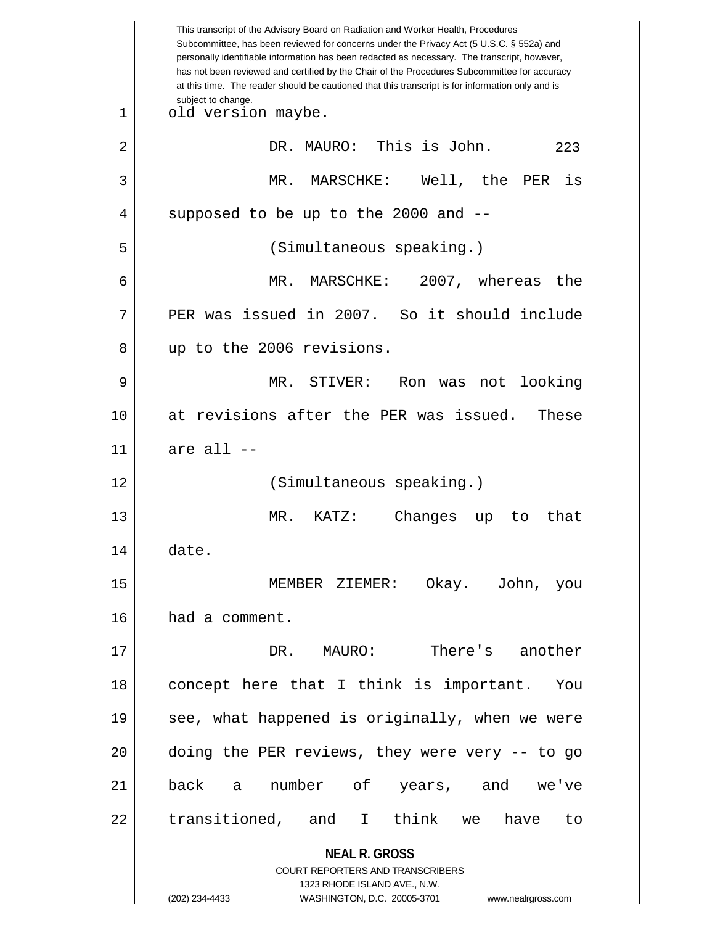|    | This transcript of the Advisory Board on Radiation and Worker Health, Procedures<br>Subcommittee, has been reviewed for concerns under the Privacy Act (5 U.S.C. § 552a) and<br>personally identifiable information has been redacted as necessary. The transcript, however,<br>has not been reviewed and certified by the Chair of the Procedures Subcommittee for accuracy<br>at this time. The reader should be cautioned that this transcript is for information only and is |
|----|----------------------------------------------------------------------------------------------------------------------------------------------------------------------------------------------------------------------------------------------------------------------------------------------------------------------------------------------------------------------------------------------------------------------------------------------------------------------------------|
| 1  | subject to change.<br>old version maybe.                                                                                                                                                                                                                                                                                                                                                                                                                                         |
| 2  | DR. MAURO: This is John.<br>223                                                                                                                                                                                                                                                                                                                                                                                                                                                  |
| 3  | MR.<br>MARSCHKE:<br>Well, the<br>is<br>PER                                                                                                                                                                                                                                                                                                                                                                                                                                       |
| 4  | supposed to be up to the 2000 and --                                                                                                                                                                                                                                                                                                                                                                                                                                             |
| 5  | (Simultaneous speaking.)                                                                                                                                                                                                                                                                                                                                                                                                                                                         |
| 6  | MR.<br>MARSCHKE: 2007, whereas the                                                                                                                                                                                                                                                                                                                                                                                                                                               |
| 7  | PER was issued in 2007. So it should include                                                                                                                                                                                                                                                                                                                                                                                                                                     |
| 8  | up to the 2006 revisions.                                                                                                                                                                                                                                                                                                                                                                                                                                                        |
| 9  | MR. STIVER:<br>Ron was not<br>looking                                                                                                                                                                                                                                                                                                                                                                                                                                            |
| 10 | at revisions after the PER was issued.<br>These                                                                                                                                                                                                                                                                                                                                                                                                                                  |
| 11 | are all --                                                                                                                                                                                                                                                                                                                                                                                                                                                                       |
| 12 | (Simultaneous speaking.)                                                                                                                                                                                                                                                                                                                                                                                                                                                         |
| 13 | MR.<br>KATZ:<br>Changes<br>that<br>up<br>to.                                                                                                                                                                                                                                                                                                                                                                                                                                     |
| 14 | date.                                                                                                                                                                                                                                                                                                                                                                                                                                                                            |
| 15 | MEMBER ZIEMER: Okay. John, you                                                                                                                                                                                                                                                                                                                                                                                                                                                   |
| 16 | had a comment.                                                                                                                                                                                                                                                                                                                                                                                                                                                                   |
| 17 | DR. MAURO:<br>There's another                                                                                                                                                                                                                                                                                                                                                                                                                                                    |
| 18 | concept here that I think is important. You                                                                                                                                                                                                                                                                                                                                                                                                                                      |
| 19 | see, what happened is originally, when we were                                                                                                                                                                                                                                                                                                                                                                                                                                   |
| 20 | doing the PER reviews, they were very -- to go                                                                                                                                                                                                                                                                                                                                                                                                                                   |
| 21 | back a number of years, and<br>we've                                                                                                                                                                                                                                                                                                                                                                                                                                             |
| 22 | transitioned, and I think we have<br>to                                                                                                                                                                                                                                                                                                                                                                                                                                          |
|    | <b>NEAL R. GROSS</b><br><b>COURT REPORTERS AND TRANSCRIBERS</b><br>1323 RHODE ISLAND AVE., N.W.                                                                                                                                                                                                                                                                                                                                                                                  |
|    | (202) 234-4433<br>WASHINGTON, D.C. 20005-3701 www.nealrgross.com                                                                                                                                                                                                                                                                                                                                                                                                                 |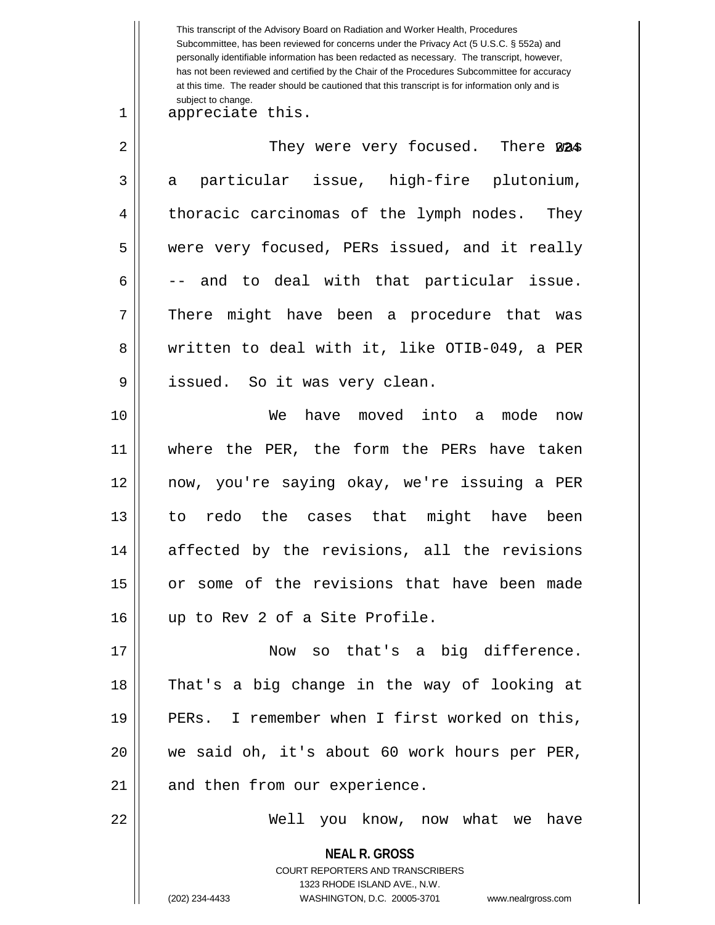**NEAL R. GROSS** COURT REPORTERS AND TRANSCRIBERS 1323 RHODE ISLAND AVE., N.W. (202) 234-4433 WASHINGTON, D.C. 20005-3701 www.nealrgross.com This transcript of the Advisory Board on Radiation and Worker Health, Procedures Subcommittee, has been reviewed for concerns under the Privacy Act (5 U.S.C. § 552a) and personally identifiable information has been redacted as necessary. The transcript, however, has not been reviewed and certified by the Chair of the Procedures Subcommittee for accuracy at this time. The reader should be cautioned that this transcript is for information only and is subject to change. 2 || They were very focused. There 224 1 || appreciate this.  $3 \parallel$  a particular issue, high-fire plutonium, 4 | thoracic carcinomas of the lymph nodes. They 5 were very focused, PERs issued, and it really  $6 \parallel$  -- and to deal with that particular issue. 7 There might have been a procedure that was 8 We written to deal with it, like OTIB-049, a PER 9 || issued. So it was very clean. 10 We have moved into a mode now 11 where the PER, the form the PERs have taken 12 now, you're saying okay, we're issuing a PER 13 to redo the cases that might have been 14 affected by the revisions, all the revisions 15 or some of the revisions that have been made 16 up to Rev 2 of a Site Profile. 17 Now so that's a big difference. 18 That's a big change in the way of looking at 19 || PERs. I remember when I first worked on this, 20 we said oh, it's about 60 work hours per PER,  $21$  | and then from our experience. 22 Well you know, now what we have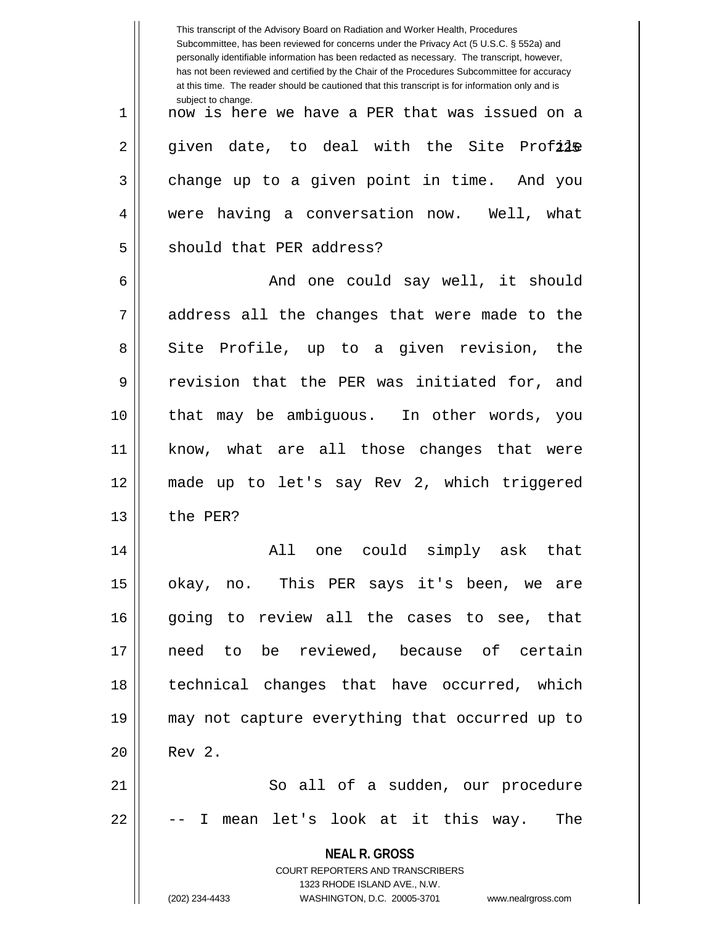|             | This transcript of the Advisory Board on Radiation and Worker Health, Procedures<br>Subcommittee, has been reviewed for concerns under the Privacy Act (5 U.S.C. § 552a) and<br>personally identifiable information has been redacted as necessary. The transcript, however,<br>has not been reviewed and certified by the Chair of the Procedures Subcommittee for accuracy<br>at this time. The reader should be cautioned that this transcript is for information only and is |
|-------------|----------------------------------------------------------------------------------------------------------------------------------------------------------------------------------------------------------------------------------------------------------------------------------------------------------------------------------------------------------------------------------------------------------------------------------------------------------------------------------|
| $\mathbf 1$ | subject to change.<br>now is here we have a PER that was issued on a                                                                                                                                                                                                                                                                                                                                                                                                             |
| 2           | given date, to deal with the Site Profile                                                                                                                                                                                                                                                                                                                                                                                                                                        |
| 3           | change up to a given point in time. And you                                                                                                                                                                                                                                                                                                                                                                                                                                      |
| 4           | were having a conversation now. Well, what                                                                                                                                                                                                                                                                                                                                                                                                                                       |
| 5           | should that PER address?                                                                                                                                                                                                                                                                                                                                                                                                                                                         |
| 6           | And one could say well, it should                                                                                                                                                                                                                                                                                                                                                                                                                                                |
| 7           | address all the changes that were made to the                                                                                                                                                                                                                                                                                                                                                                                                                                    |
| 8           | Site Profile, up to a given revision, the                                                                                                                                                                                                                                                                                                                                                                                                                                        |
| 9           | revision that the PER was initiated for,<br>and                                                                                                                                                                                                                                                                                                                                                                                                                                  |
| 10          | that may be ambiguous. In other words, you                                                                                                                                                                                                                                                                                                                                                                                                                                       |
| 11          | know, what are all those changes that were                                                                                                                                                                                                                                                                                                                                                                                                                                       |
| 12          | made up to let's say Rev 2, which triggered                                                                                                                                                                                                                                                                                                                                                                                                                                      |
| 13          | the PER?                                                                                                                                                                                                                                                                                                                                                                                                                                                                         |
| 14          | All one could simply ask that                                                                                                                                                                                                                                                                                                                                                                                                                                                    |
| 15          | okay, no. This PER says it's been, we are                                                                                                                                                                                                                                                                                                                                                                                                                                        |
| 16          | going to review all the cases to see, that                                                                                                                                                                                                                                                                                                                                                                                                                                       |
| 17          | need to be reviewed, because of certain                                                                                                                                                                                                                                                                                                                                                                                                                                          |
| 18          | technical changes that have occurred, which                                                                                                                                                                                                                                                                                                                                                                                                                                      |
| 19          | may not capture everything that occurred up to                                                                                                                                                                                                                                                                                                                                                                                                                                   |
| 20          | Rev 2.                                                                                                                                                                                                                                                                                                                                                                                                                                                                           |
| 21          | So all of a sudden, our procedure                                                                                                                                                                                                                                                                                                                                                                                                                                                |
| 22          | I mean let's look at it this way. The                                                                                                                                                                                                                                                                                                                                                                                                                                            |
|             | <b>NEAL R. GROSS</b>                                                                                                                                                                                                                                                                                                                                                                                                                                                             |
|             | COURT REPORTERS AND TRANSCRIBERS<br>1323 RHODE ISLAND AVE., N.W.                                                                                                                                                                                                                                                                                                                                                                                                                 |
|             | (202) 234-4433<br>WASHINGTON, D.C. 20005-3701 www.nealrgross.com                                                                                                                                                                                                                                                                                                                                                                                                                 |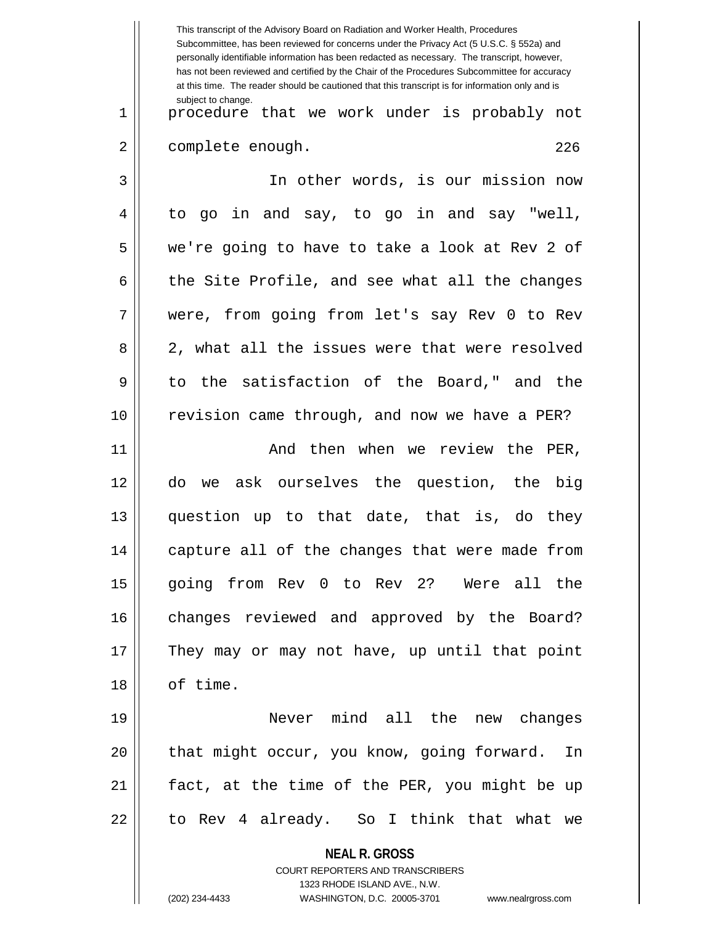**NEAL R. GROSS** COURT REPORTERS AND TRANSCRIBERS 1323 RHODE ISLAND AVE., N.W. This transcript of the Advisory Board on Radiation and Worker Health, Procedures Subcommittee, has been reviewed for concerns under the Privacy Act (5 U.S.C. § 552a) and personally identifiable information has been redacted as necessary. The transcript, however, has not been reviewed and certified by the Chair of the Procedures Subcommittee for accuracy at this time. The reader should be cautioned that this transcript is for information only and is subject to change. 226 1 || procedure that we work under is probably not 2 | complete enough. 3 In other words, is our mission now 4 || to go in and say, to go in and say "well, 5 we're going to have to take a look at Rev 2 of  $6 \parallel$  the Site Profile, and see what all the changes 7 were, from going from let's say Rev 0 to Rev 8 2, what all the issues were that were resolved 9 to the satisfaction of the Board," and the 10 || revision came through, and now we have a PER? 11 And then when we review the PER, 12 do we ask ourselves the question, the big 13 question up to that date, that is, do they 14 || capture all of the changes that were made from 15 going from Rev 0 to Rev 2? Were all the 16 || changes reviewed and approved by the Board? 17 || They may or may not have, up until that point 18 || of time. 19 Never mind all the new changes 20 || that might occur, you know, going forward. In 21 fact, at the time of the PER, you might be up  $22 \parallel$  to Rev 4 already. So I think that what we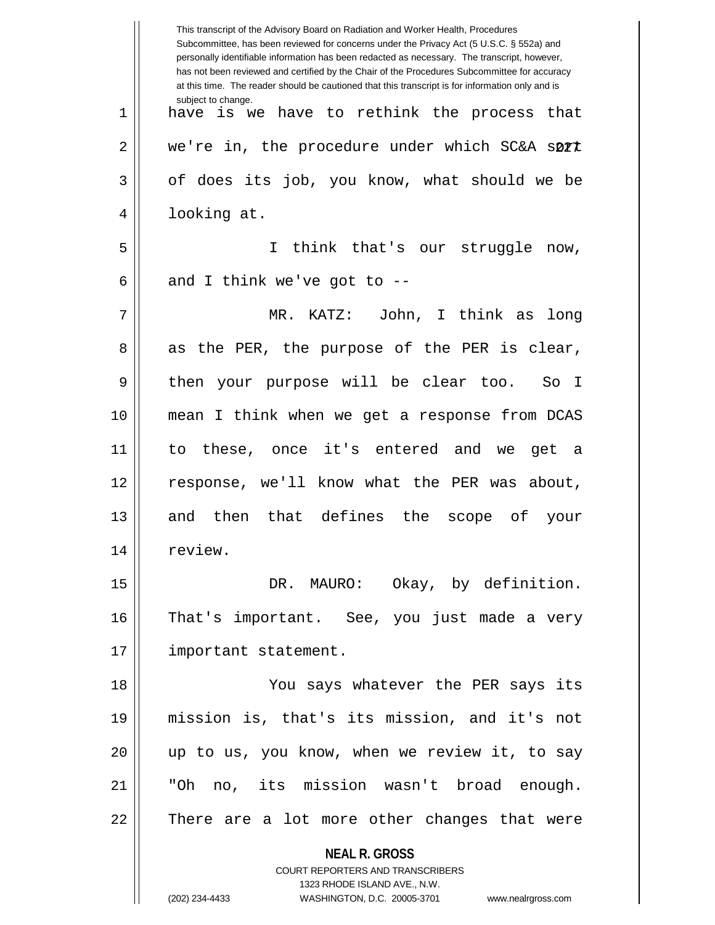|    | This transcript of the Advisory Board on Radiation and Worker Health, Procedures<br>Subcommittee, has been reviewed for concerns under the Privacy Act (5 U.S.C. § 552a) and<br>personally identifiable information has been redacted as necessary. The transcript, however,<br>has not been reviewed and certified by the Chair of the Procedures Subcommittee for accuracy<br>at this time. The reader should be cautioned that this transcript is for information only and is |
|----|----------------------------------------------------------------------------------------------------------------------------------------------------------------------------------------------------------------------------------------------------------------------------------------------------------------------------------------------------------------------------------------------------------------------------------------------------------------------------------|
| 1  | subject to change.<br>is we have to rethink the process that<br>have                                                                                                                                                                                                                                                                                                                                                                                                             |
| 2  | we're in, the procedure under which SC&A sort                                                                                                                                                                                                                                                                                                                                                                                                                                    |
| 3  | of does its job, you know, what should we be                                                                                                                                                                                                                                                                                                                                                                                                                                     |
| 4  | looking at.                                                                                                                                                                                                                                                                                                                                                                                                                                                                      |
| 5  | think that's our struggle<br>I.<br>now,                                                                                                                                                                                                                                                                                                                                                                                                                                          |
| 6  | and I think we've got to $-$ -                                                                                                                                                                                                                                                                                                                                                                                                                                                   |
| 7  | MR. KATZ: John, I think as<br>long                                                                                                                                                                                                                                                                                                                                                                                                                                               |
| 8  | as the PER, the purpose of the PER is clear,                                                                                                                                                                                                                                                                                                                                                                                                                                     |
| 9  | your purpose will be clear too.<br>then<br>So I                                                                                                                                                                                                                                                                                                                                                                                                                                  |
| 10 | mean I think when we get a response from DCAS                                                                                                                                                                                                                                                                                                                                                                                                                                    |
| 11 | to these, once it's entered and we<br>get a                                                                                                                                                                                                                                                                                                                                                                                                                                      |
| 12 | response, we'll know what the PER was about,                                                                                                                                                                                                                                                                                                                                                                                                                                     |
| 13 | then that defines the<br>scope of<br>and<br>your                                                                                                                                                                                                                                                                                                                                                                                                                                 |
| 14 | review.                                                                                                                                                                                                                                                                                                                                                                                                                                                                          |
| 15 | DR. MAURO: Okay, by definition.                                                                                                                                                                                                                                                                                                                                                                                                                                                  |
| 16 | That's important. See, you just made a very                                                                                                                                                                                                                                                                                                                                                                                                                                      |
| 17 | important statement.                                                                                                                                                                                                                                                                                                                                                                                                                                                             |
| 18 | You says whatever the PER says its                                                                                                                                                                                                                                                                                                                                                                                                                                               |
| 19 | mission is, that's its mission, and it's not                                                                                                                                                                                                                                                                                                                                                                                                                                     |
| 20 | up to us, you know, when we review it, to say                                                                                                                                                                                                                                                                                                                                                                                                                                    |
| 21 | "Oh no, its mission wasn't broad enough.                                                                                                                                                                                                                                                                                                                                                                                                                                         |
| 22 | There are a lot more other changes that were                                                                                                                                                                                                                                                                                                                                                                                                                                     |
|    | <b>NEAL R. GROSS</b>                                                                                                                                                                                                                                                                                                                                                                                                                                                             |
|    | COURT REPORTERS AND TRANSCRIBERS                                                                                                                                                                                                                                                                                                                                                                                                                                                 |
|    | 1323 RHODE ISLAND AVE., N.W.<br>(202) 234-4433<br>WASHINGTON, D.C. 20005-3701 www.nealrgross.com                                                                                                                                                                                                                                                                                                                                                                                 |
|    |                                                                                                                                                                                                                                                                                                                                                                                                                                                                                  |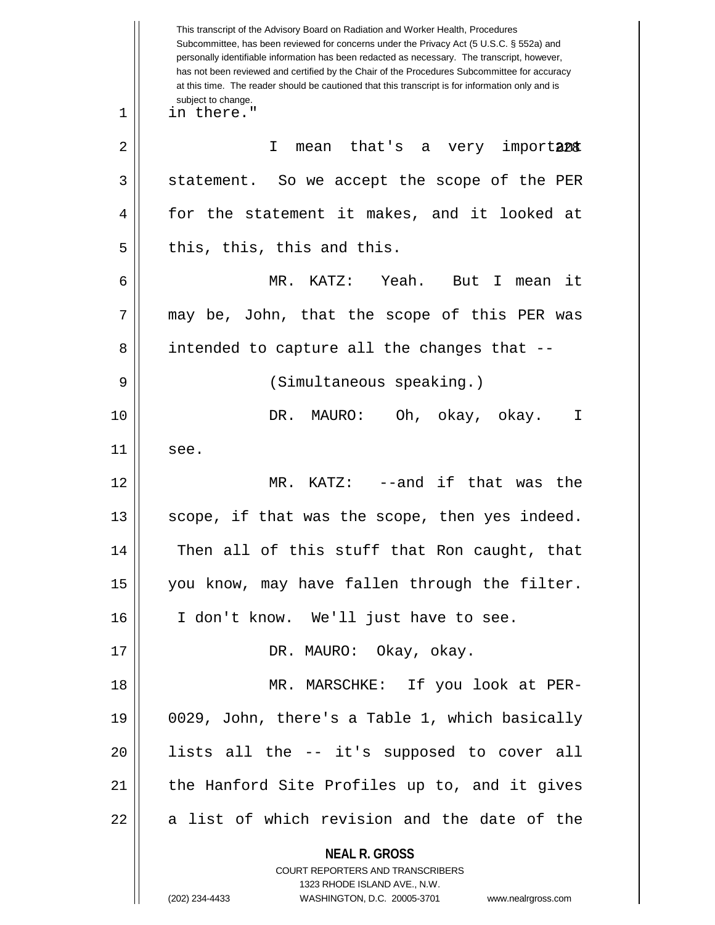|    | This transcript of the Advisory Board on Radiation and Worker Health, Procedures<br>Subcommittee, has been reviewed for concerns under the Privacy Act (5 U.S.C. § 552a) and<br>personally identifiable information has been redacted as necessary. The transcript, however,<br>has not been reviewed and certified by the Chair of the Procedures Subcommittee for accuracy<br>at this time. The reader should be cautioned that this transcript is for information only and is |
|----|----------------------------------------------------------------------------------------------------------------------------------------------------------------------------------------------------------------------------------------------------------------------------------------------------------------------------------------------------------------------------------------------------------------------------------------------------------------------------------|
| 1  | subject to change.<br>in there."                                                                                                                                                                                                                                                                                                                                                                                                                                                 |
| 2  | mean that's a very important<br>T.                                                                                                                                                                                                                                                                                                                                                                                                                                               |
| 3  | statement. So we accept the scope of the PER                                                                                                                                                                                                                                                                                                                                                                                                                                     |
| 4  | for the statement it makes, and it looked at                                                                                                                                                                                                                                                                                                                                                                                                                                     |
| 5  | this, this, this and this.                                                                                                                                                                                                                                                                                                                                                                                                                                                       |
| 6  | KATZ: Yeah.<br>MR.<br>But<br>$\mathbf{I}$<br>it<br>mean                                                                                                                                                                                                                                                                                                                                                                                                                          |
| 7  | may be, John, that the scope of this PER was                                                                                                                                                                                                                                                                                                                                                                                                                                     |
| 8  | intended to capture all the changes that --                                                                                                                                                                                                                                                                                                                                                                                                                                      |
| 9  | (Simultaneous speaking.)                                                                                                                                                                                                                                                                                                                                                                                                                                                         |
| 10 | DR.<br>Oh, okay, okay.<br>MAURO:<br>I                                                                                                                                                                                                                                                                                                                                                                                                                                            |
| 11 | see.                                                                                                                                                                                                                                                                                                                                                                                                                                                                             |
| 12 | --and if that was<br>MR.<br>KATZ:<br>the                                                                                                                                                                                                                                                                                                                                                                                                                                         |
| 13 | scope, if that was the scope, then yes indeed.                                                                                                                                                                                                                                                                                                                                                                                                                                   |
| 14 | Then all of this stuff that Ron caught, that                                                                                                                                                                                                                                                                                                                                                                                                                                     |
| 15 | you know, may have fallen through the filter.                                                                                                                                                                                                                                                                                                                                                                                                                                    |
| 16 | I don't know. We'll just have to see.                                                                                                                                                                                                                                                                                                                                                                                                                                            |
| 17 | DR. MAURO: Okay, okay.                                                                                                                                                                                                                                                                                                                                                                                                                                                           |
| 18 | MR. MARSCHKE: If you look at PER-                                                                                                                                                                                                                                                                                                                                                                                                                                                |
| 19 | 0029, John, there's a Table 1, which basically                                                                                                                                                                                                                                                                                                                                                                                                                                   |
| 20 | lists all the -- it's supposed to cover all                                                                                                                                                                                                                                                                                                                                                                                                                                      |
| 21 | the Hanford Site Profiles up to, and it gives                                                                                                                                                                                                                                                                                                                                                                                                                                    |
| 22 | a list of which revision and the date of the                                                                                                                                                                                                                                                                                                                                                                                                                                     |
|    | <b>NEAL R. GROSS</b><br>COURT REPORTERS AND TRANSCRIBERS<br>1323 RHODE ISLAND AVE., N.W.<br>(202) 234-4433<br>WASHINGTON, D.C. 20005-3701<br>www.nealrgross.com                                                                                                                                                                                                                                                                                                                  |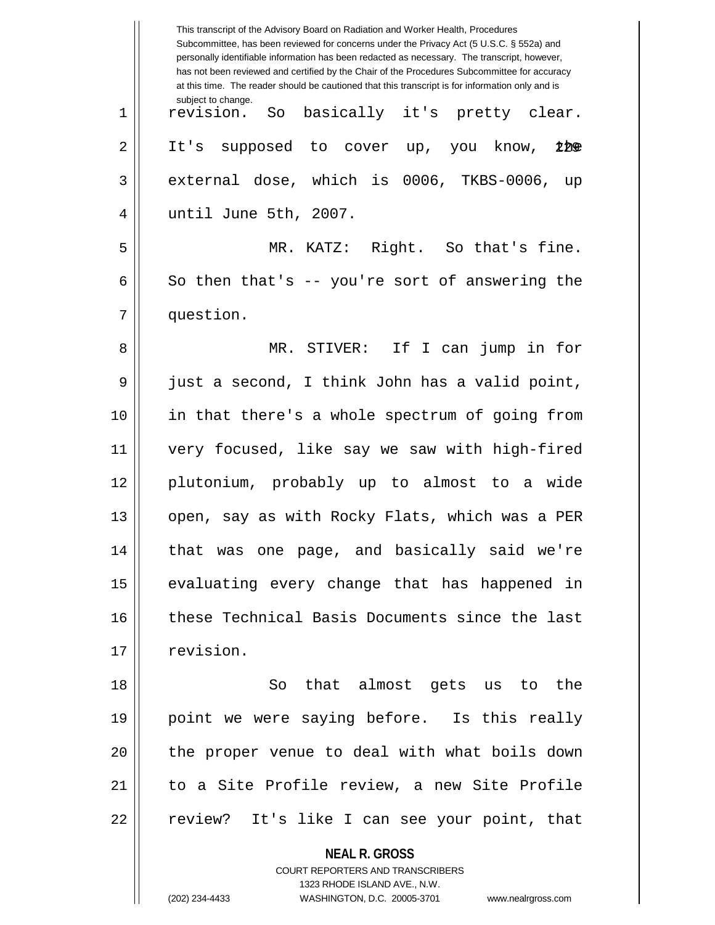|    | This transcript of the Advisory Board on Radiation and Worker Health, Procedures<br>Subcommittee, has been reviewed for concerns under the Privacy Act (5 U.S.C. § 552a) and<br>personally identifiable information has been redacted as necessary. The transcript, however,<br>has not been reviewed and certified by the Chair of the Procedures Subcommittee for accuracy<br>at this time. The reader should be cautioned that this transcript is for information only and is |
|----|----------------------------------------------------------------------------------------------------------------------------------------------------------------------------------------------------------------------------------------------------------------------------------------------------------------------------------------------------------------------------------------------------------------------------------------------------------------------------------|
| 1  | subject to change.<br>basically it's pretty clear.<br>revision.<br>So                                                                                                                                                                                                                                                                                                                                                                                                            |
| 2  | It's supposed to cover up, you know, 200                                                                                                                                                                                                                                                                                                                                                                                                                                         |
| 3  | external dose, which is 0006, TKBS-0006, up                                                                                                                                                                                                                                                                                                                                                                                                                                      |
| 4  | until June 5th, 2007.                                                                                                                                                                                                                                                                                                                                                                                                                                                            |
| 5  | MR. KATZ: Right. So that's fine.                                                                                                                                                                                                                                                                                                                                                                                                                                                 |
| 6  | So then that's $-$ you're sort of answering the                                                                                                                                                                                                                                                                                                                                                                                                                                  |
| 7  | question.                                                                                                                                                                                                                                                                                                                                                                                                                                                                        |
| 8  | MR. STIVER: If I can jump in for                                                                                                                                                                                                                                                                                                                                                                                                                                                 |
| 9  | just a second, I think John has a valid point,                                                                                                                                                                                                                                                                                                                                                                                                                                   |
| 10 | in that there's a whole spectrum of going from                                                                                                                                                                                                                                                                                                                                                                                                                                   |
| 11 | very focused, like say we saw with high-fired                                                                                                                                                                                                                                                                                                                                                                                                                                    |
| 12 | plutonium, probably up to almost to a wide                                                                                                                                                                                                                                                                                                                                                                                                                                       |
| 13 | open, say as with Rocky Flats, which was a PER                                                                                                                                                                                                                                                                                                                                                                                                                                   |
| 14 | that was one page, and basically said we're                                                                                                                                                                                                                                                                                                                                                                                                                                      |
| 15 | evaluating every change that has happened in                                                                                                                                                                                                                                                                                                                                                                                                                                     |
| 16 | these Technical Basis Documents since the last                                                                                                                                                                                                                                                                                                                                                                                                                                   |
| 17 | revision.                                                                                                                                                                                                                                                                                                                                                                                                                                                                        |
| 18 | So that almost gets us to the                                                                                                                                                                                                                                                                                                                                                                                                                                                    |
| 19 | point we were saying before. Is this really                                                                                                                                                                                                                                                                                                                                                                                                                                      |
| 20 | the proper venue to deal with what boils down                                                                                                                                                                                                                                                                                                                                                                                                                                    |
| 21 | to a Site Profile review, a new Site Profile                                                                                                                                                                                                                                                                                                                                                                                                                                     |
| 22 | review? It's like I can see your point, that                                                                                                                                                                                                                                                                                                                                                                                                                                     |
|    | <b>NEAL R. GROSS</b><br>COURT REPORTERS AND TRANSCRIBERS<br>1323 RHODE ISLAND AVE., N.W.<br>(202) 234-4433<br>WASHINGTON, D.C. 20005-3701<br>www.nealrgross.com                                                                                                                                                                                                                                                                                                                  |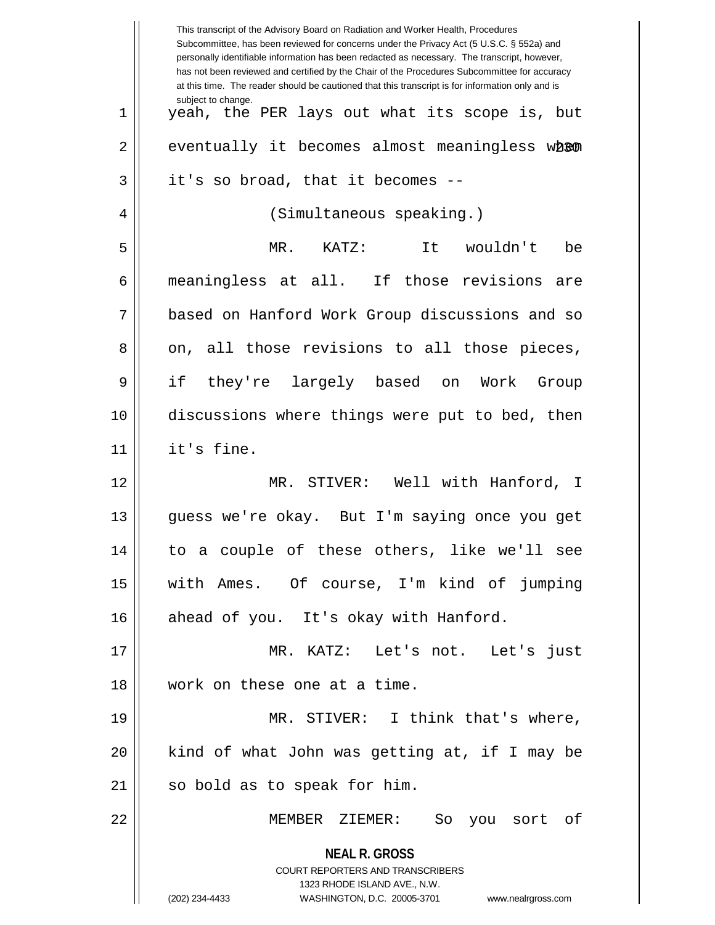|             | This transcript of the Advisory Board on Radiation and Worker Health, Procedures<br>Subcommittee, has been reviewed for concerns under the Privacy Act (5 U.S.C. § 552a) and<br>personally identifiable information has been redacted as necessary. The transcript, however,<br>has not been reviewed and certified by the Chair of the Procedures Subcommittee for accuracy<br>at this time. The reader should be cautioned that this transcript is for information only and is |
|-------------|----------------------------------------------------------------------------------------------------------------------------------------------------------------------------------------------------------------------------------------------------------------------------------------------------------------------------------------------------------------------------------------------------------------------------------------------------------------------------------|
| $\mathbf 1$ | subject to change.<br>yeah, the PER lays out what its scope is, but                                                                                                                                                                                                                                                                                                                                                                                                              |
| 2           | eventually it becomes almost meaningless when                                                                                                                                                                                                                                                                                                                                                                                                                                    |
| 3           | it's so broad, that it becomes --                                                                                                                                                                                                                                                                                                                                                                                                                                                |
| 4           | (Simultaneous speaking.)                                                                                                                                                                                                                                                                                                                                                                                                                                                         |
| 5           | MR.<br>KATZ:<br>It wouldn't<br>be                                                                                                                                                                                                                                                                                                                                                                                                                                                |
| 6           | meaningless at all. If those revisions<br>are                                                                                                                                                                                                                                                                                                                                                                                                                                    |
| 7           | based on Hanford Work Group discussions and so                                                                                                                                                                                                                                                                                                                                                                                                                                   |
| 8           | on, all those revisions to all those pieces,                                                                                                                                                                                                                                                                                                                                                                                                                                     |
| 9           | if<br>they're largely based on<br>Work<br>Group                                                                                                                                                                                                                                                                                                                                                                                                                                  |
| 10          | discussions where things were put to bed, then                                                                                                                                                                                                                                                                                                                                                                                                                                   |
| 11          | it's fine.                                                                                                                                                                                                                                                                                                                                                                                                                                                                       |
| 12          | MR. STIVER: Well with Hanford, I                                                                                                                                                                                                                                                                                                                                                                                                                                                 |
| 13          | guess we're okay. But I'm saying once you get                                                                                                                                                                                                                                                                                                                                                                                                                                    |
| 14          | to a couple of these others, like we'll see                                                                                                                                                                                                                                                                                                                                                                                                                                      |
| 15          | with Ames. Of course, I'm kind of jumping                                                                                                                                                                                                                                                                                                                                                                                                                                        |
| 16          | ahead of you. It's okay with Hanford.                                                                                                                                                                                                                                                                                                                                                                                                                                            |
| 17          | MR. KATZ: Let's not. Let's just                                                                                                                                                                                                                                                                                                                                                                                                                                                  |
| 18          | work on these one at a time.                                                                                                                                                                                                                                                                                                                                                                                                                                                     |
| 19          | MR. STIVER: I think that's where,                                                                                                                                                                                                                                                                                                                                                                                                                                                |
| 20          | kind of what John was getting at, if I may be                                                                                                                                                                                                                                                                                                                                                                                                                                    |
| 21          | so bold as to speak for him.                                                                                                                                                                                                                                                                                                                                                                                                                                                     |
| 22          | MEMBER ZIEMER:<br>So you sort of                                                                                                                                                                                                                                                                                                                                                                                                                                                 |
|             | <b>NEAL R. GROSS</b><br>COURT REPORTERS AND TRANSCRIBERS<br>1323 RHODE ISLAND AVE., N.W.<br>(202) 234-4433<br>WASHINGTON, D.C. 20005-3701<br>www.nealrgross.com                                                                                                                                                                                                                                                                                                                  |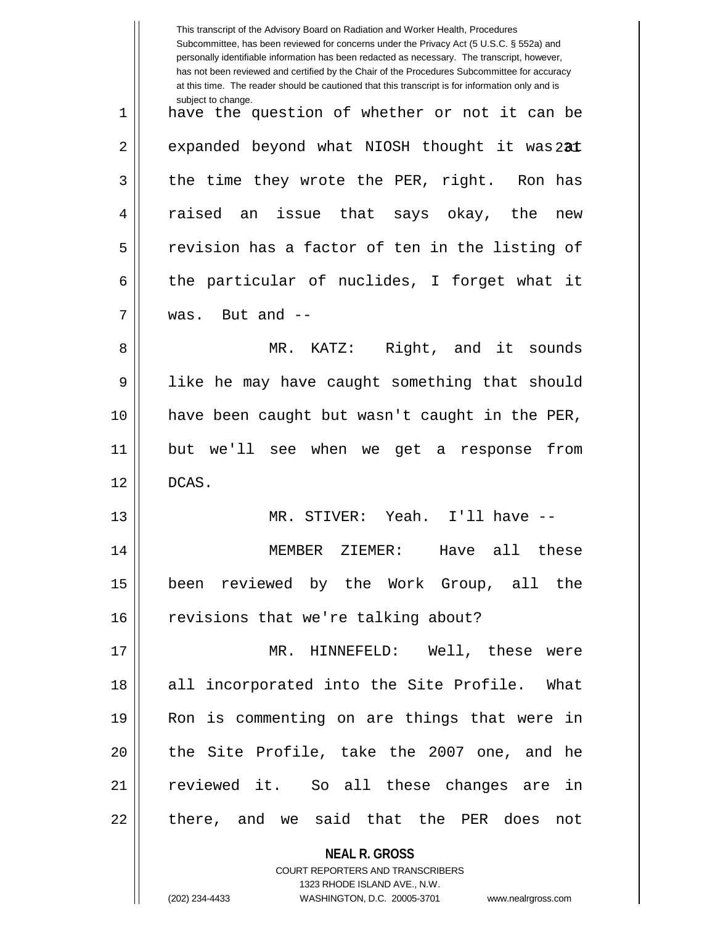|    | This transcript of the Advisory Board on Radiation and Worker Health, Procedures<br>Subcommittee, has been reviewed for concerns under the Privacy Act (5 U.S.C. § 552a) and<br>personally identifiable information has been redacted as necessary. The transcript, however,<br>has not been reviewed and certified by the Chair of the Procedures Subcommittee for accuracy<br>at this time. The reader should be cautioned that this transcript is for information only and is |
|----|----------------------------------------------------------------------------------------------------------------------------------------------------------------------------------------------------------------------------------------------------------------------------------------------------------------------------------------------------------------------------------------------------------------------------------------------------------------------------------|
| 1  | subject to change.<br>have the question of whether or not it can be                                                                                                                                                                                                                                                                                                                                                                                                              |
| 2  | expanded beyond what NIOSH thought it was 231                                                                                                                                                                                                                                                                                                                                                                                                                                    |
| 3  | the time they wrote the PER, right. Ron has                                                                                                                                                                                                                                                                                                                                                                                                                                      |
| 4  | issue that says okay, the<br>raised an<br>new                                                                                                                                                                                                                                                                                                                                                                                                                                    |
| 5  | revision has a factor of ten in the listing of                                                                                                                                                                                                                                                                                                                                                                                                                                   |
| 6  | the particular of nuclides, I forget what it                                                                                                                                                                                                                                                                                                                                                                                                                                     |
| 7  | was. But and --                                                                                                                                                                                                                                                                                                                                                                                                                                                                  |
| 8  | MR. KATZ: Right, and it sounds                                                                                                                                                                                                                                                                                                                                                                                                                                                   |
| 9  | like he may have caught something that should                                                                                                                                                                                                                                                                                                                                                                                                                                    |
| 10 | have been caught but wasn't caught in the PER,                                                                                                                                                                                                                                                                                                                                                                                                                                   |
| 11 | but we'll see when we get a response<br>from                                                                                                                                                                                                                                                                                                                                                                                                                                     |
| 12 | DCAS.                                                                                                                                                                                                                                                                                                                                                                                                                                                                            |
| 13 | MR. STIVER: Yeah. I'll have --                                                                                                                                                                                                                                                                                                                                                                                                                                                   |
| 14 | MEMBER ZIEMER: Have all these                                                                                                                                                                                                                                                                                                                                                                                                                                                    |
| 15 | been reviewed by the Work Group, all the                                                                                                                                                                                                                                                                                                                                                                                                                                         |
| 16 | revisions that we're talking about?                                                                                                                                                                                                                                                                                                                                                                                                                                              |
| 17 | MR. HINNEFELD: Well, these were                                                                                                                                                                                                                                                                                                                                                                                                                                                  |
| 18 | all incorporated into the Site Profile. What                                                                                                                                                                                                                                                                                                                                                                                                                                     |
| 19 | Ron is commenting on are things that were in                                                                                                                                                                                                                                                                                                                                                                                                                                     |
| 20 | the Site Profile, take the 2007 one, and he                                                                                                                                                                                                                                                                                                                                                                                                                                      |
| 21 | reviewed it. So all these changes are in                                                                                                                                                                                                                                                                                                                                                                                                                                         |
| 22 | there, and we said that the PER does not                                                                                                                                                                                                                                                                                                                                                                                                                                         |
|    | <b>NEAL R. GROSS</b><br>COURT REPORTERS AND TRANSCRIBERS                                                                                                                                                                                                                                                                                                                                                                                                                         |

1323 RHODE ISLAND AVE., N.W.

 $\prod$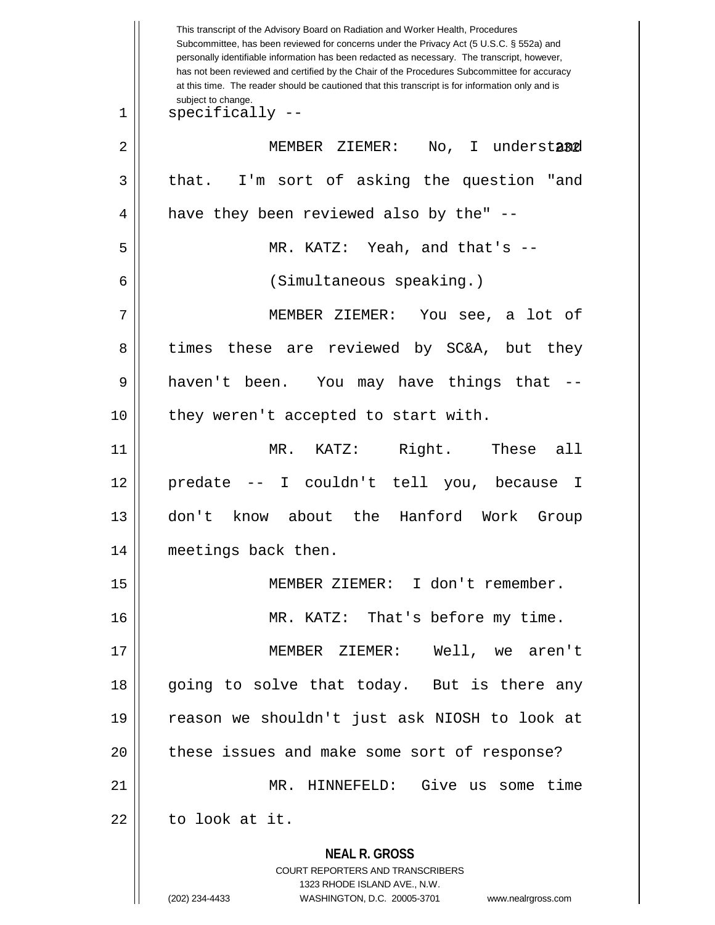**NEAL R. GROSS** COURT REPORTERS AND TRANSCRIBERS 1323 RHODE ISLAND AVE., N.W. This transcript of the Advisory Board on Radiation and Worker Health, Procedures Subcommittee, has been reviewed for concerns under the Privacy Act (5 U.S.C. § 552a) and personally identifiable information has been redacted as necessary. The transcript, however, has not been reviewed and certified by the Chair of the Procedures Subcommittee for accuracy at this time. The reader should be cautioned that this transcript is for information only and is subject to change. I understand 1 specifically -- 2 MEMBER ZIEMER: No, I understand  $3 \parallel$  that. I'm sort of asking the question "and 4 || have they been reviewed also by the" --5 MR. KATZ: Yeah, and that's -- 6 (Simultaneous speaking.) 7 MEMBER ZIEMER: You see, a lot of 8 times these are reviewed by SC&A, but they 9 haven't been. You may have things that -- 10 || they weren't accepted to start with. 11 MR. KATZ: Right. These all 12 predate -- I couldn't tell you, because I 13 don't know about the Hanford Work Group 14 meetings back then. 15 MEMBER ZIEMER: I don't remember. 16 || MR. KATZ: That's before my time. 17 MEMBER ZIEMER: Well, we aren't 18 || going to solve that today. But is there any 19 reason we shouldn't just ask NIOSH to look at 20 || these issues and make some sort of response? 21 MR. HINNEFELD: Give us some time  $22$   $\parallel$  to look at it.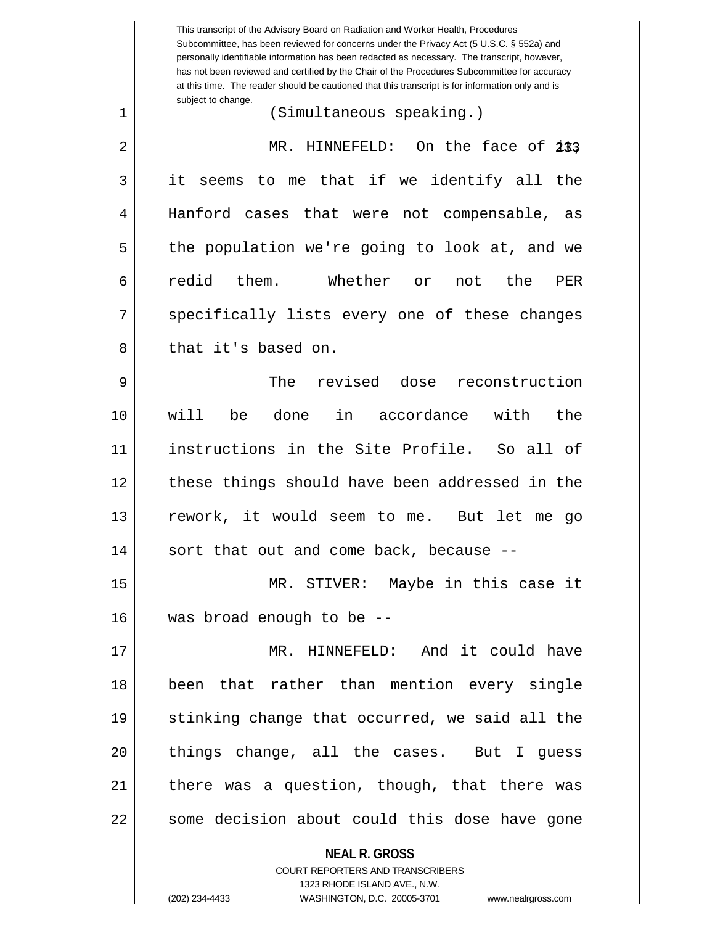**NEAL R. GROSS** COURT REPORTERS AND TRANSCRIBERS This transcript of the Advisory Board on Radiation and Worker Health, Procedures Subcommittee, has been reviewed for concerns under the Privacy Act (5 U.S.C. § 552a) and personally identifiable information has been redacted as necessary. The transcript, however, has not been reviewed and certified by the Chair of the Procedures Subcommittee for accuracy at this time. The reader should be cautioned that this transcript is for information only and is subject to change. 233 2 MR. HINNEFELD: On the face of it, 1 (Simultaneous speaking.) 3 it seems to me that if we identify all the 4 Hanford cases that were not compensable, as 5 || the population we're going to look at, and we 6|| redid them. Whether or not the PER 7 || specifically lists every one of these changes 8 l that it's based on. 9 The revised dose reconstruction 10 will be done in accordance with the 11 instructions in the Site Profile. So all of 12 || these things should have been addressed in the 13 rework, it would seem to me. But let me go  $14$  || sort that out and come back, because  $-$ 15 MR. STIVER: Maybe in this case it 16 was broad enough to be -- 17 MR. HINNEFELD: And it could have 18 been that rather than mention every single 19 || stinking change that occurred, we said all the 20 || things change, all the cases. But I guess  $21$  | there was a question, though, that there was 22 || some decision about could this dose have gone

1323 RHODE ISLAND AVE., N.W.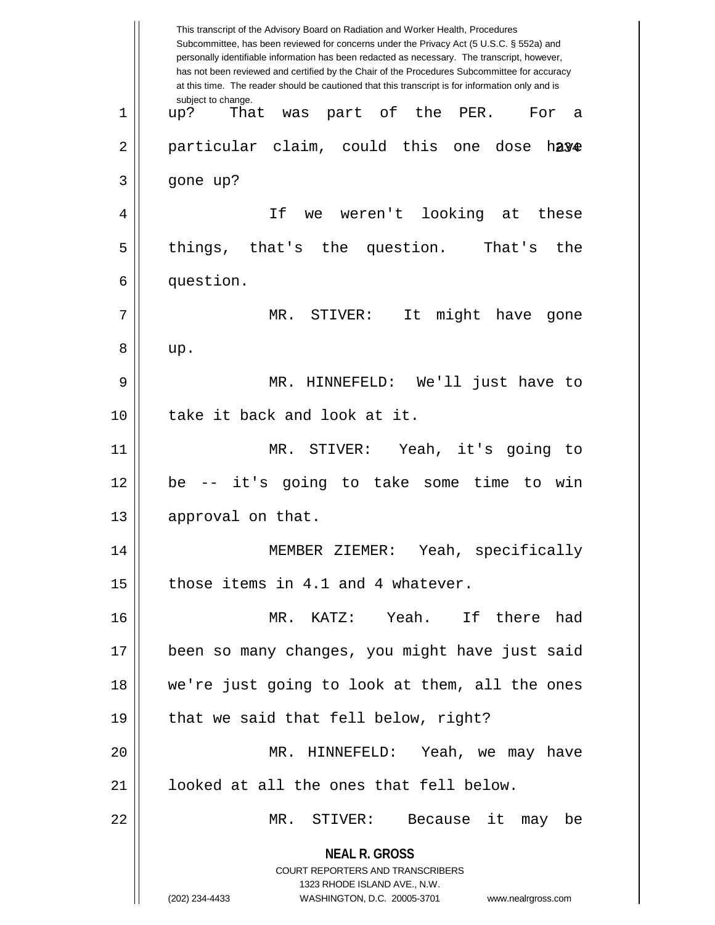**NEAL R. GROSS** COURT REPORTERS AND TRANSCRIBERS 1323 RHODE ISLAND AVE., N.W. (202) 234-4433 WASHINGTON, D.C. 20005-3701 www.nealrgross.com This transcript of the Advisory Board on Radiation and Worker Health, Procedures Subcommittee, has been reviewed for concerns under the Privacy Act (5 U.S.C. § 552a) and personally identifiable information has been redacted as necessary. The transcript, however, has not been reviewed and certified by the Chair of the Procedures Subcommittee for accuracy at this time. The reader should be cautioned that this transcript is for information only and is subject to change. 2|| particular claim, could this one dose h**ay<del>e</del>** 1 up? That was part of the PER. For a  $3 \parallel$  gone up? 4 If we weren't looking at these 5 || things, that's the question. That's the 6 | question. 7 MR. STIVER: It might have gone  $8 \parallel \quad \text{up}.$ 9 MR. HINNEFELD: We'll just have to 10 H take it back and look at it. 11 MR. STIVER: Yeah, it's going to 12 be -- it's going to take some time to win 13 | approval on that. 14 MEMBER ZIEMER: Yeah, specifically  $15$  | those items in 4.1 and 4 whatever. 16 MR. KATZ: Yeah. If there had 17 been so many changes, you might have just said 18 we're just going to look at them, all the ones  $19 \parallel$  that we said that fell below, right? 20 MR. HINNEFELD: Yeah, we may have 21 || looked at all the ones that fell below. 22 MR. STIVER: Because it may be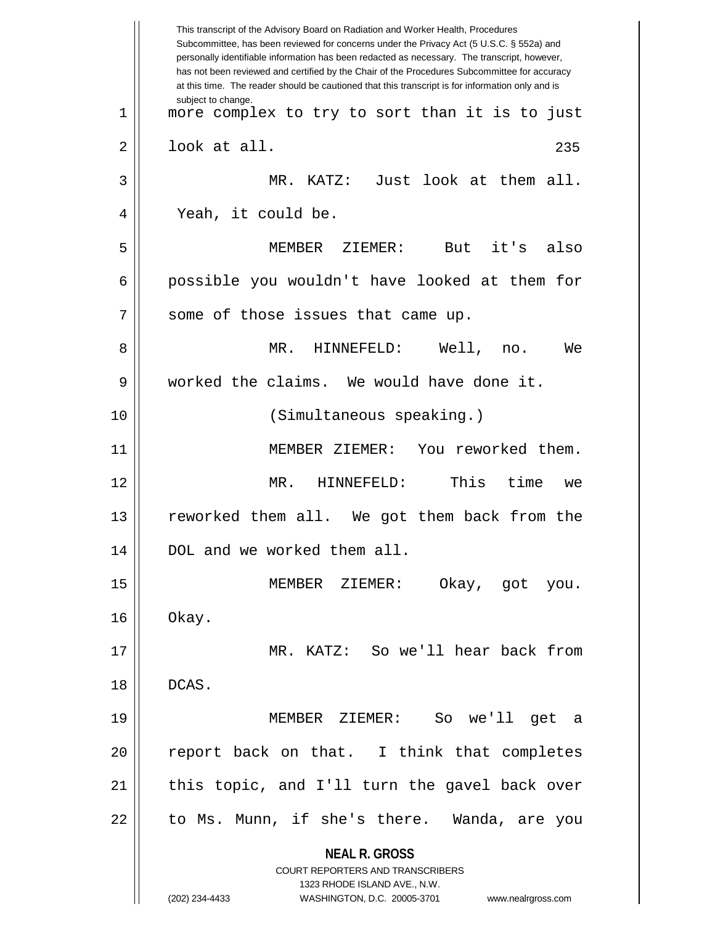**NEAL R. GROSS** COURT REPORTERS AND TRANSCRIBERS 1323 RHODE ISLAND AVE., N.W. (202) 234-4433 WASHINGTON, D.C. 20005-3701 www.nealrgross.com This transcript of the Advisory Board on Radiation and Worker Health, Procedures Subcommittee, has been reviewed for concerns under the Privacy Act (5 U.S.C. § 552a) and personally identifiable information has been redacted as necessary. The transcript, however, has not been reviewed and certified by the Chair of the Procedures Subcommittee for accuracy at this time. The reader should be cautioned that this transcript is for information only and is subject to change. 235 1 more complex to try to sort than it is to just  $2 \parallel$  look at all. 3 MR. KATZ: Just look at them all. 4 || Yeah, it could be. 5 MEMBER ZIEMER: But it's also 6 possible you wouldn't have looked at them for  $7$  | some of those issues that came up. 8 MR. HINNEFELD: Well, no. We 9 worked the claims. We would have done it. 10 (Simultaneous speaking.) 11 MEMBER ZIEMER: You reworked them. 12 MR. HINNEFELD: This time we 13 reworked them all. We got them back from the 14 DOL and we worked them all. 15 MEMBER ZIEMER: Okay, got you.  $16 \parallel$  Okay. 17 MR. KATZ: So we'll hear back from 18 DCAS. 19 MEMBER ZIEMER: So we'll get a 20 || report back on that. I think that completes 21 || this topic, and I'll turn the gavel back over 22 || to Ms. Munn, if she's there. Wanda, are you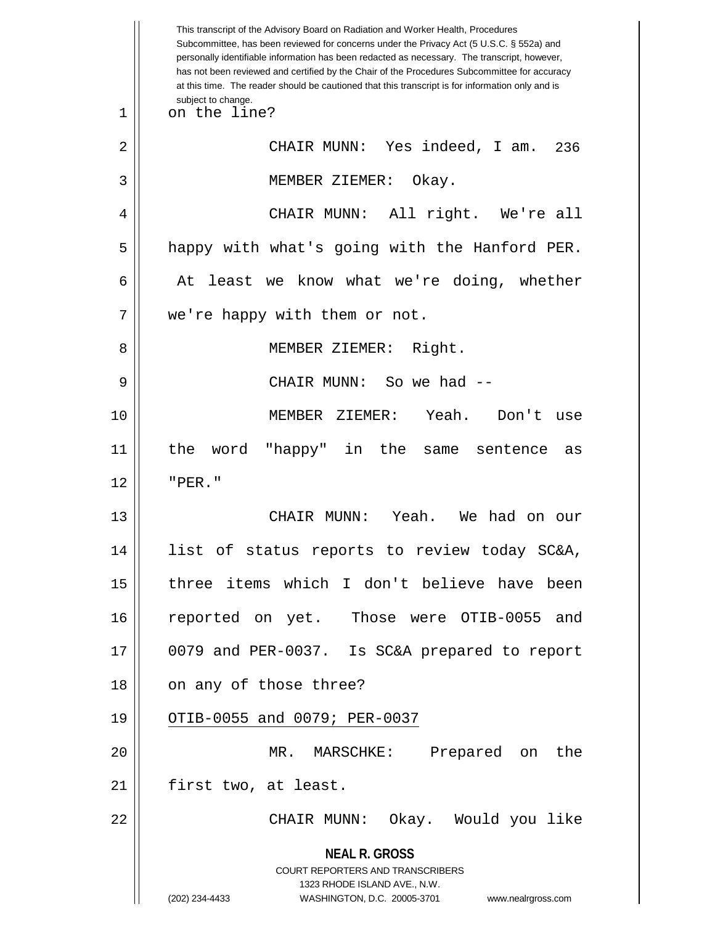**NEAL R. GROSS** COURT REPORTERS AND TRANSCRIBERS 1323 RHODE ISLAND AVE., N.W. (202) 234-4433 WASHINGTON, D.C. 20005-3701 www.nealrgross.com This transcript of the Advisory Board on Radiation and Worker Health, Procedures Subcommittee, has been reviewed for concerns under the Privacy Act (5 U.S.C. § 552a) and personally identifiable information has been redacted as necessary. The transcript, however, has not been reviewed and certified by the Chair of the Procedures Subcommittee for accuracy at this time. The reader should be cautioned that this transcript is for information only and is subject to change. 236 1 on the line? 2 CHAIR MUNN: Yes indeed, I am. 3 MEMBER ZIEMER: Okay. 4 CHAIR MUNN: All right. We're all 5 || happy with what's going with the Hanford PER.  $6 \parallel$  At least we know what we're doing, whether 7 | we're happy with them or not. 8 || MEMBER ZIEMER: Right. 9 CHAIR MUNN: So we had -- 10 MEMBER ZIEMER: Yeah. Don't use 11 the word "happy" in the same sentence as  $12$   $\parallel$   $"PER."$ 13 CHAIR MUNN: Yeah. We had on our 14 list of status reports to review today SC&A, 15 three items which I don't believe have been 16 reported on yet. Those were OTIB-0055 and 17 0079 and PER-0037. Is SC&A prepared to report 18 || on any of those three? 19 || OTIB-0055 and 0079; PER-0037 20 MR. MARSCHKE: Prepared on the 21 | first two, at least. 22 CHAIR MUNN: Okay. Would you like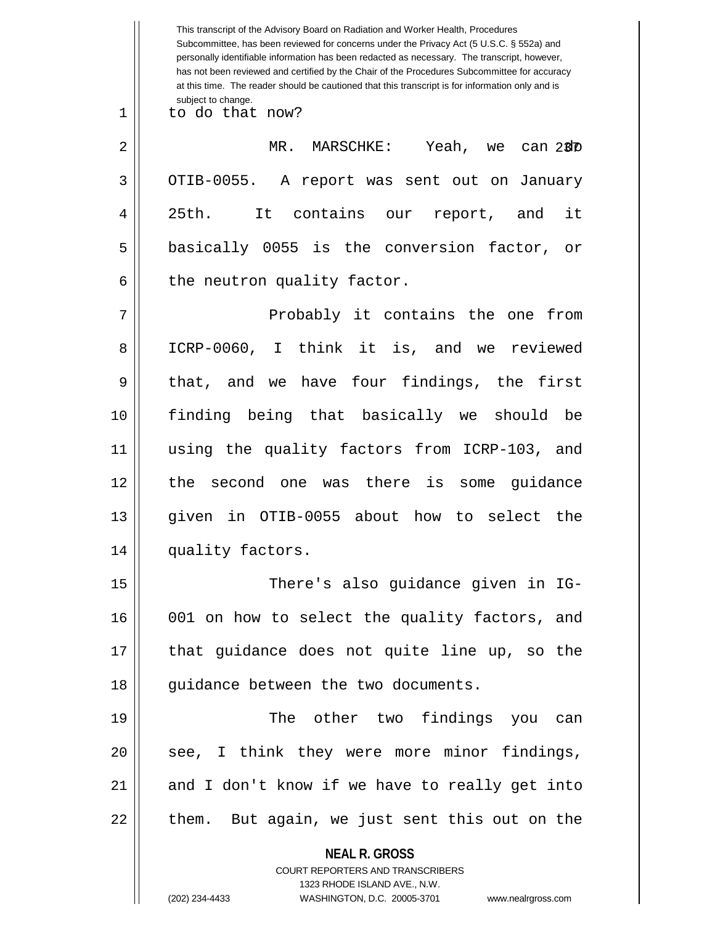**NEAL R. GROSS** COURT REPORTERS AND TRANSCRIBERS 1323 RHODE ISLAND AVE., N.W. (202) 234-4433 WASHINGTON, D.C. 20005-3701 www.nealrgross.com This transcript of the Advisory Board on Radiation and Worker Health, Procedures Subcommittee, has been reviewed for concerns under the Privacy Act (5 U.S.C. § 552a) and personally identifiable information has been redacted as necessary. The transcript, however, has not been reviewed and certified by the Chair of the Procedures Subcommittee for accuracy at this time. The reader should be cautioned that this transcript is for information only and is subject to change. 237 2 MR. MARSCHKE: Yeah, we can do 1 to do that now? 3 | OTIB-0055. A report was sent out on January 4 25th. It contains our report, and it  $5 \parallel$  basically 0055 is the conversion factor, or  $6 \parallel$  the neutron quality factor. 7 Probably it contains the one from 8 ICRP-0060, I think it is, and we reviewed  $9 \parallel$  that, and we have four findings, the first 10 finding being that basically we should be 11 using the quality factors from ICRP-103, and 12 the second one was there is some guidance 13 given in OTIB-0055 about how to select the 14 || quality factors. 15 There's also guidance given in IG-16 001 on how to select the quality factors, and 17 || that guidance does not quite line up, so the 18 || quidance between the two documents. 19 The other two findings you can 20 || see, I think they were more minor findings,  $21$  and I don't know if we have to really get into  $22$  || them. But again, we just sent this out on the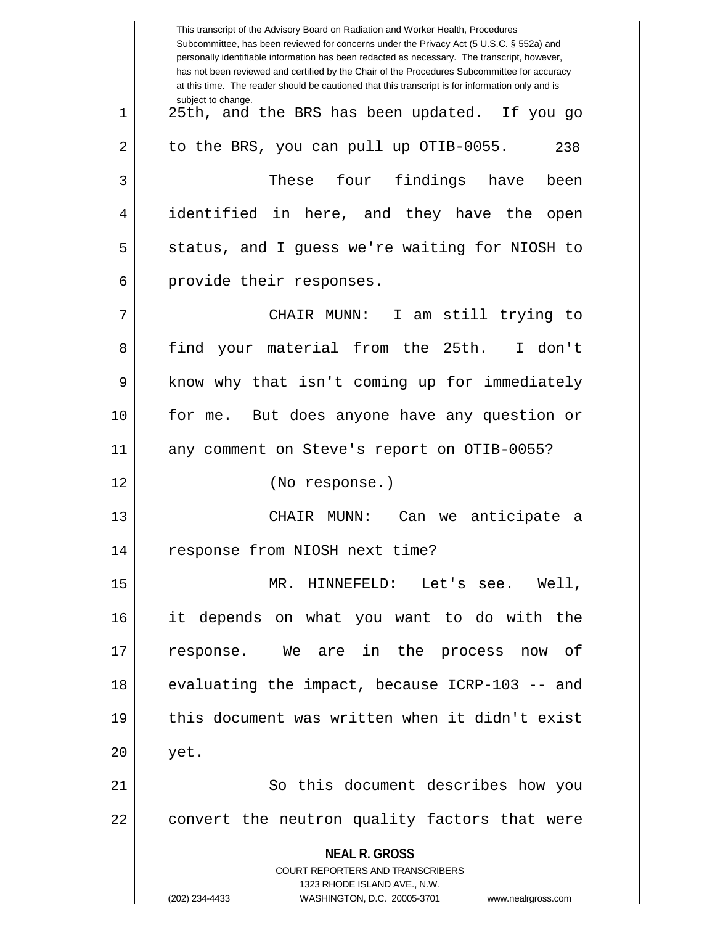**NEAL R. GROSS** COURT REPORTERS AND TRANSCRIBERS 1323 RHODE ISLAND AVE., N.W. (202) 234-4433 WASHINGTON, D.C. 20005-3701 www.nealrgross.com This transcript of the Advisory Board on Radiation and Worker Health, Procedures Subcommittee, has been reviewed for concerns under the Privacy Act (5 U.S.C. § 552a) and personally identifiable information has been redacted as necessary. The transcript, however, has not been reviewed and certified by the Chair of the Procedures Subcommittee for accuracy at this time. The reader should be cautioned that this transcript is for information only and is subject to change. 238 1 25th, and the BRS has been updated. If you go  $2 \parallel$  to the BRS, you can pull up OTIB-0055. 3 These four findings have been 4 | identified in here, and they have the open 5 S status, and I guess we're waiting for NIOSH to 6 || provide their responses. 7 CHAIR MUNN: I am still trying to 8 || find your material from the 25th. I don't 9 || know why that isn't coming up for immediately 10 || for me. But does anyone have any question or 11 any comment on Steve's report on OTIB-0055? 12 (No response.) 13 || CHAIR MUNN: Can we anticipate a 14 | response from NIOSH next time? 15 MR. HINNEFELD: Let's see. Well, 16 it depends on what you want to do with the 17 response. We are in the process now of 18 || evaluating the impact, because ICRP-103 -- and 19 this document was written when it didn't exist  $20 \parallel$  yet. 21 || So this document describes how you  $22$   $\vert$  convert the neutron quality factors that were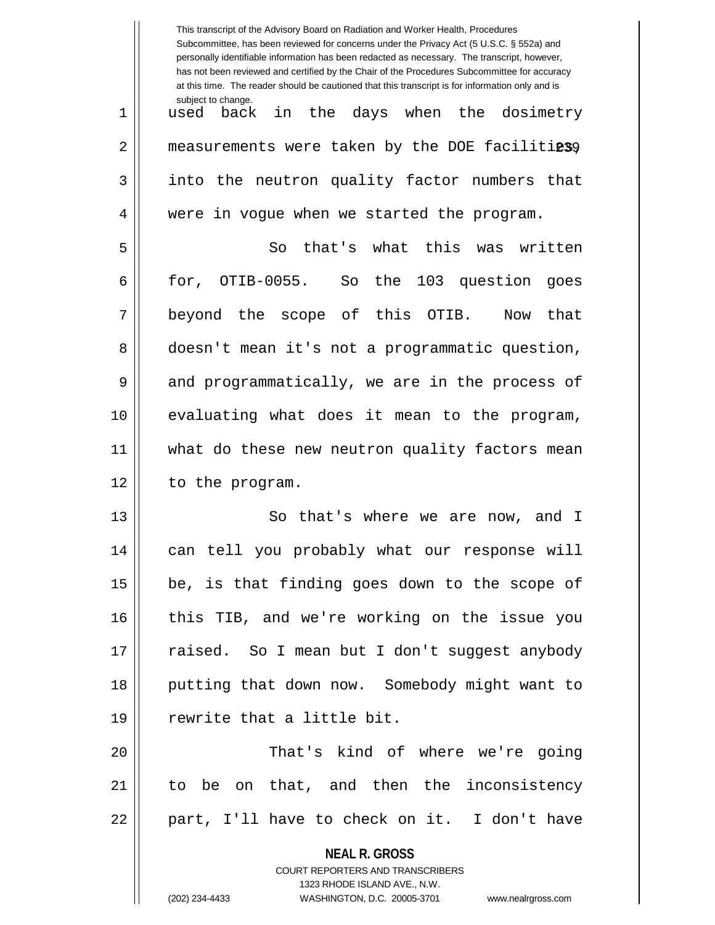|    | This transcript of the Advisory Board on Radiation and Worker Health, Procedures<br>Subcommittee, has been reviewed for concerns under the Privacy Act (5 U.S.C. § 552a) and<br>personally identifiable information has been redacted as necessary. The transcript, however,<br>has not been reviewed and certified by the Chair of the Procedures Subcommittee for accuracy<br>at this time. The reader should be cautioned that this transcript is for information only and is |
|----|----------------------------------------------------------------------------------------------------------------------------------------------------------------------------------------------------------------------------------------------------------------------------------------------------------------------------------------------------------------------------------------------------------------------------------------------------------------------------------|
| 1  | subject to change.<br>in the days when the dosimetry<br>used back                                                                                                                                                                                                                                                                                                                                                                                                                |
| 2  | measurements were taken by the DOE facilitiessy                                                                                                                                                                                                                                                                                                                                                                                                                                  |
| 3  | into the neutron quality factor numbers that                                                                                                                                                                                                                                                                                                                                                                                                                                     |
| 4  | were in vogue when we started the program.                                                                                                                                                                                                                                                                                                                                                                                                                                       |
| 5  | that's what this was written<br>So                                                                                                                                                                                                                                                                                                                                                                                                                                               |
| 6  | for, OTIB-0055. So the 103 question<br>qoes                                                                                                                                                                                                                                                                                                                                                                                                                                      |
| 7  | beyond the scope of this<br>OTIB.<br>that<br>Now                                                                                                                                                                                                                                                                                                                                                                                                                                 |
| 8  | doesn't mean it's not a programmatic question,                                                                                                                                                                                                                                                                                                                                                                                                                                   |
| 9  | and programmatically, we are in the process of                                                                                                                                                                                                                                                                                                                                                                                                                                   |
| 10 | evaluating what does it mean to the program,                                                                                                                                                                                                                                                                                                                                                                                                                                     |
| 11 | what do these new neutron quality factors mean                                                                                                                                                                                                                                                                                                                                                                                                                                   |
| 12 | to the program.                                                                                                                                                                                                                                                                                                                                                                                                                                                                  |
| 13 | So that's where we are now, and I                                                                                                                                                                                                                                                                                                                                                                                                                                                |
| 14 | can tell you probably what our response will                                                                                                                                                                                                                                                                                                                                                                                                                                     |
| 15 | be, is that finding goes down to the scope of                                                                                                                                                                                                                                                                                                                                                                                                                                    |
| 16 | this TIB, and we're working on the issue you                                                                                                                                                                                                                                                                                                                                                                                                                                     |
| 17 | raised. So I mean but I don't suggest anybody                                                                                                                                                                                                                                                                                                                                                                                                                                    |
| 18 | putting that down now. Somebody might want to                                                                                                                                                                                                                                                                                                                                                                                                                                    |
| 19 | rewrite that a little bit.                                                                                                                                                                                                                                                                                                                                                                                                                                                       |
| 20 | That's kind of where we're going                                                                                                                                                                                                                                                                                                                                                                                                                                                 |
| 21 | to be on that, and then the inconsistency                                                                                                                                                                                                                                                                                                                                                                                                                                        |
| 22 | part, I'll have to check on it. I don't have                                                                                                                                                                                                                                                                                                                                                                                                                                     |
|    | <b>NEAL R. GROSS</b><br>COURT REPORTERS AND TRANSCRIBERS                                                                                                                                                                                                                                                                                                                                                                                                                         |

1323 RHODE ISLAND AVE., N.W.

 $\begin{array}{c} \hline \end{array}$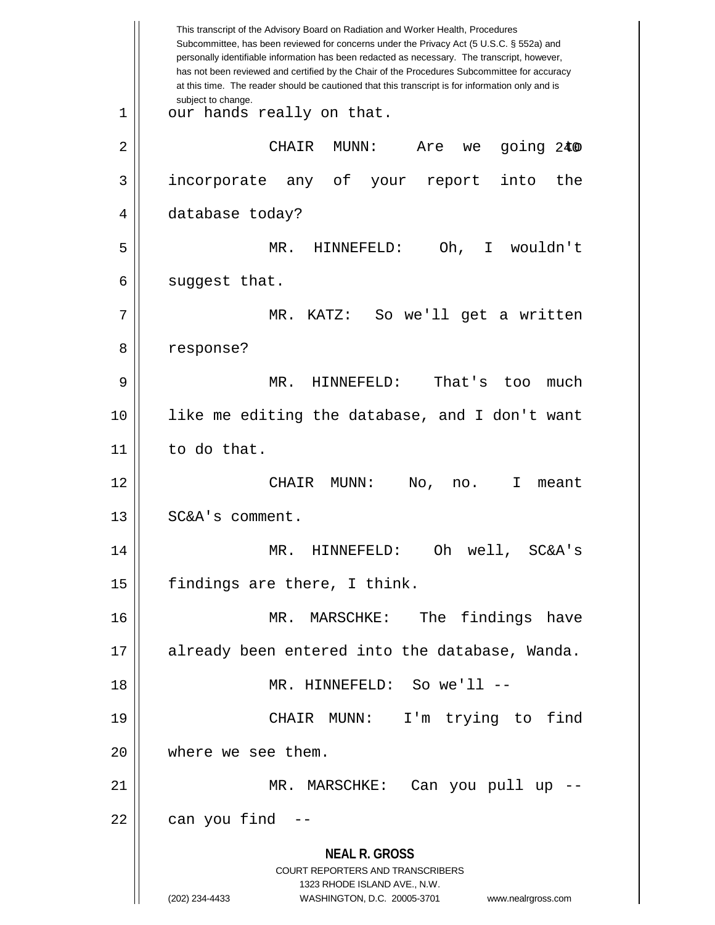**NEAL R. GROSS** COURT REPORTERS AND TRANSCRIBERS 1323 RHODE ISLAND AVE., N.W. (202) 234-4433 WASHINGTON, D.C. 20005-3701 www.nealrgross.com This transcript of the Advisory Board on Radiation and Worker Health, Procedures Subcommittee, has been reviewed for concerns under the Privacy Act (5 U.S.C. § 552a) and personally identifiable information has been redacted as necessary. The transcript, however, has not been reviewed and certified by the Chair of the Procedures Subcommittee for accuracy at this time. The reader should be cautioned that this transcript is for information only and is subject to change. 240 2 CHAIR MUNN: Are we going to  $1 \parallel$  our hands really on that. 3 incorporate any of your report into the 4 | database today? 5 MR. HINNEFELD: Oh, I wouldn't  $6 \parallel$  suggest that. 7 MR. KATZ: So we'll get a written 8 | response? 9 MR. HINNEFELD: That's too much 10 like me editing the database, and I don't want  $11$  to do that. 12 CHAIR MUNN: No, no. I meant 13 | SC&A's comment. 14 MR. HINNEFELD: Oh well, SC&A's  $15$  | findings are there, I think. 16 MR. MARSCHKE: The findings have 17 already been entered into the database, Wanda. 18 MR. HINNEFELD: So we'll -- 19 CHAIR MUNN: I'm trying to find 20 || where we see them. 21 MR. MARSCHKE: Can you pull up --  $22$  || can you find  $-$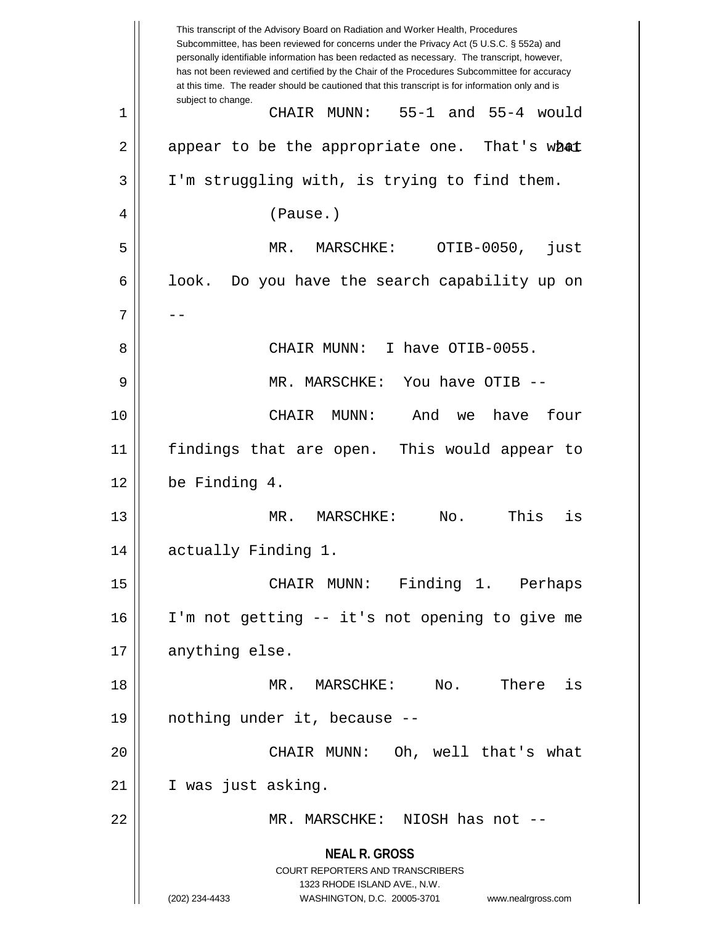|    | This transcript of the Advisory Board on Radiation and Worker Health, Procedures<br>Subcommittee, has been reviewed for concerns under the Privacy Act (5 U.S.C. § 552a) and<br>personally identifiable information has been redacted as necessary. The transcript, however,<br>has not been reviewed and certified by the Chair of the Procedures Subcommittee for accuracy<br>at this time. The reader should be cautioned that this transcript is for information only and is |
|----|----------------------------------------------------------------------------------------------------------------------------------------------------------------------------------------------------------------------------------------------------------------------------------------------------------------------------------------------------------------------------------------------------------------------------------------------------------------------------------|
| 1  | subject to change.<br>55-1 and 55-4 would<br>CHAIR MUNN:                                                                                                                                                                                                                                                                                                                                                                                                                         |
| 2  | appear to be the appropriate one. That's what                                                                                                                                                                                                                                                                                                                                                                                                                                    |
| 3  | I'm struggling with, is trying to find them.                                                                                                                                                                                                                                                                                                                                                                                                                                     |
| 4  | (Pause.)                                                                                                                                                                                                                                                                                                                                                                                                                                                                         |
| 5  | OTIB-0050,<br>$MR$ .<br>$MARSCHKE$ :<br>just                                                                                                                                                                                                                                                                                                                                                                                                                                     |
| 6  | look.<br>Do you have the search capability up on                                                                                                                                                                                                                                                                                                                                                                                                                                 |
| 7  |                                                                                                                                                                                                                                                                                                                                                                                                                                                                                  |
| 8  | I have OTIB-0055.<br>CHAIR MUNN:                                                                                                                                                                                                                                                                                                                                                                                                                                                 |
| 9  | You have OTIB --<br>MR. MARSCHKE:                                                                                                                                                                                                                                                                                                                                                                                                                                                |
| 10 | have<br>four<br>CHAIR<br>MUNN:<br>And<br>we                                                                                                                                                                                                                                                                                                                                                                                                                                      |
| 11 | findings that are open. This would appear to                                                                                                                                                                                                                                                                                                                                                                                                                                     |
| 12 | be Finding 4.                                                                                                                                                                                                                                                                                                                                                                                                                                                                    |
| 13 | No.<br>This<br>MR.<br>MARSCHKE:<br>is                                                                                                                                                                                                                                                                                                                                                                                                                                            |
| 14 | actually Finding 1.                                                                                                                                                                                                                                                                                                                                                                                                                                                              |
| 15 | CHAIR MUNN: Finding 1. Perhaps                                                                                                                                                                                                                                                                                                                                                                                                                                                   |
| 16 | I'm not getting -- it's not opening to give me                                                                                                                                                                                                                                                                                                                                                                                                                                   |
| 17 | anything else.                                                                                                                                                                                                                                                                                                                                                                                                                                                                   |
| 18 | No.<br>There is<br>MR. MARSCHKE:                                                                                                                                                                                                                                                                                                                                                                                                                                                 |
| 19 | nothing under it, because --                                                                                                                                                                                                                                                                                                                                                                                                                                                     |
| 20 | CHAIR MUNN: Oh, well that's what                                                                                                                                                                                                                                                                                                                                                                                                                                                 |
| 21 | I was just asking.                                                                                                                                                                                                                                                                                                                                                                                                                                                               |
| 22 | MR. MARSCHKE: NIOSH has not --                                                                                                                                                                                                                                                                                                                                                                                                                                                   |
|    | <b>NEAL R. GROSS</b><br><b>COURT REPORTERS AND TRANSCRIBERS</b><br>1323 RHODE ISLAND AVE., N.W.<br>(202) 234-4433<br>WASHINGTON, D.C. 20005-3701<br>www.nealrgross.com                                                                                                                                                                                                                                                                                                           |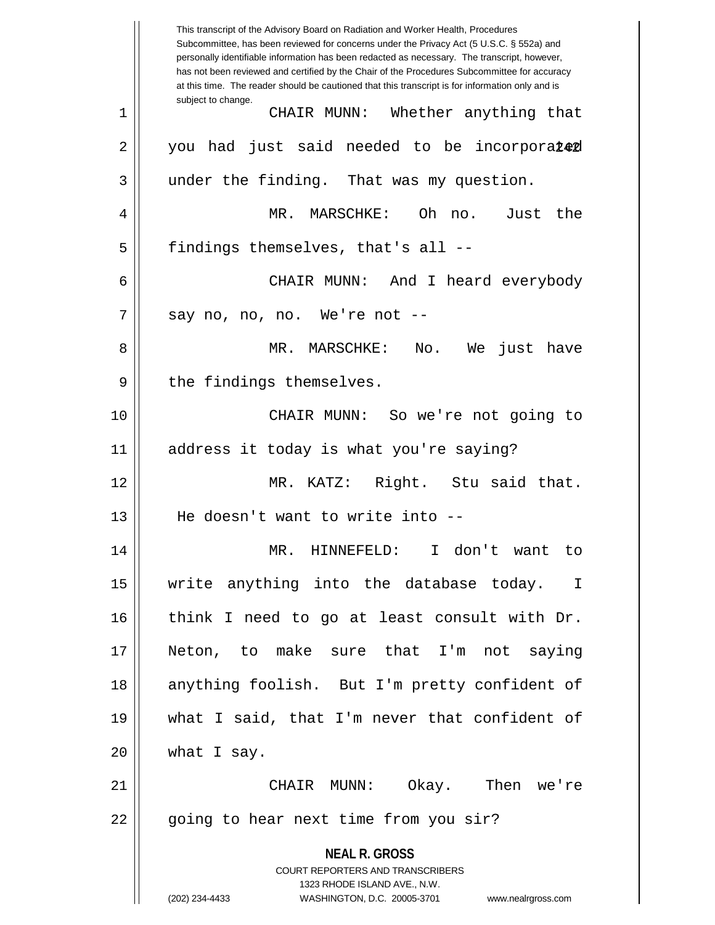**NEAL R. GROSS** COURT REPORTERS AND TRANSCRIBERS 1323 RHODE ISLAND AVE., N.W. (202) 234-4433 WASHINGTON, D.C. 20005-3701 www.nealrgross.com This transcript of the Advisory Board on Radiation and Worker Health, Procedures Subcommittee, has been reviewed for concerns under the Privacy Act (5 U.S.C. § 552a) and personally identifiable information has been redacted as necessary. The transcript, however, has not been reviewed and certified by the Chair of the Procedures Subcommittee for accuracy at this time. The reader should be cautioned that this transcript is for information only and is subject to change. 2 || you had just said needed to be incorpora $\mathtt{Le\!d}$ 1 CHAIR MUNN: Whether anything that 3 || under the finding. That was my question. 4 MR. MARSCHKE: Oh no. Just the  $5$  || findings themselves, that's all --6 CHAIR MUNN: And I heard everybody  $7 \parallel$  say no, no, no. We're not  $-$ 8 MR. MARSCHKE: No. We just have 9 || the findings themselves. 10 CHAIR MUNN: So we're not going to 11 address it today is what you're saying? 12 MR. KATZ: Right. Stu said that. 13 He doesn't want to write into -- 14 MR. HINNEFELD: I don't want to 15 write anything into the database today. I 16 || think I need to go at least consult with Dr. 17 Neton, to make sure that I'm not saying 18 || anything foolish. But I'm pretty confident of 19 what I said, that I'm never that confident of  $20$  | what I say. 21 CHAIR MUNN: Okay. Then we're 22 || going to hear next time from you sir?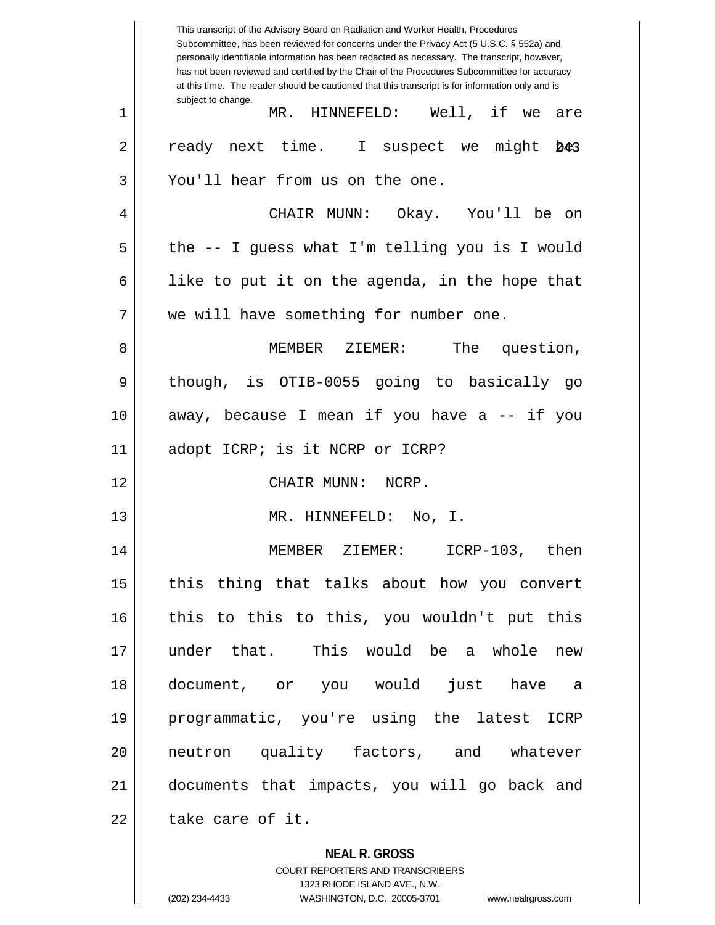**NEAL R. GROSS** COURT REPORTERS AND TRANSCRIBERS This transcript of the Advisory Board on Radiation and Worker Health, Procedures Subcommittee, has been reviewed for concerns under the Privacy Act (5 U.S.C. § 552a) and personally identifiable information has been redacted as necessary. The transcript, however, has not been reviewed and certified by the Chair of the Procedures Subcommittee for accuracy at this time. The reader should be cautioned that this transcript is for information only and is subject to change.  $D + 3$ 1 || MR. HINNEFELD: Well, if we are  $2 \parallel$  ready next time. I suspect we might 3 || You'll hear from us on the one. 4 CHAIR MUNN: Okay. You'll be on  $5 \parallel$  the -- I guess what I'm telling you is I would 6 | like to put it on the agenda, in the hope that 7 || we will have something for number one. 8 MEMBER ZIEMER: The question, 9 || though, is OTIB-0055 going to basically go 10 away, because I mean if you have a -- if you 11 || adopt ICRP; is it NCRP or ICRP? 12 CHAIR MUNN: NCRP. 13 MR. HINNEFELD: No, I. 14 MEMBER ZIEMER: ICRP-103, then 15 || this thing that talks about how you convert 16 this to this to this, you wouldn't put this 17 under that. This would be a whole new 18 document, or you would just have a 19 programmatic, you're using the latest ICRP 20 neutron quality factors, and whatever 21 documents that impacts, you will go back and 22 l take care of it.

1323 RHODE ISLAND AVE., N.W.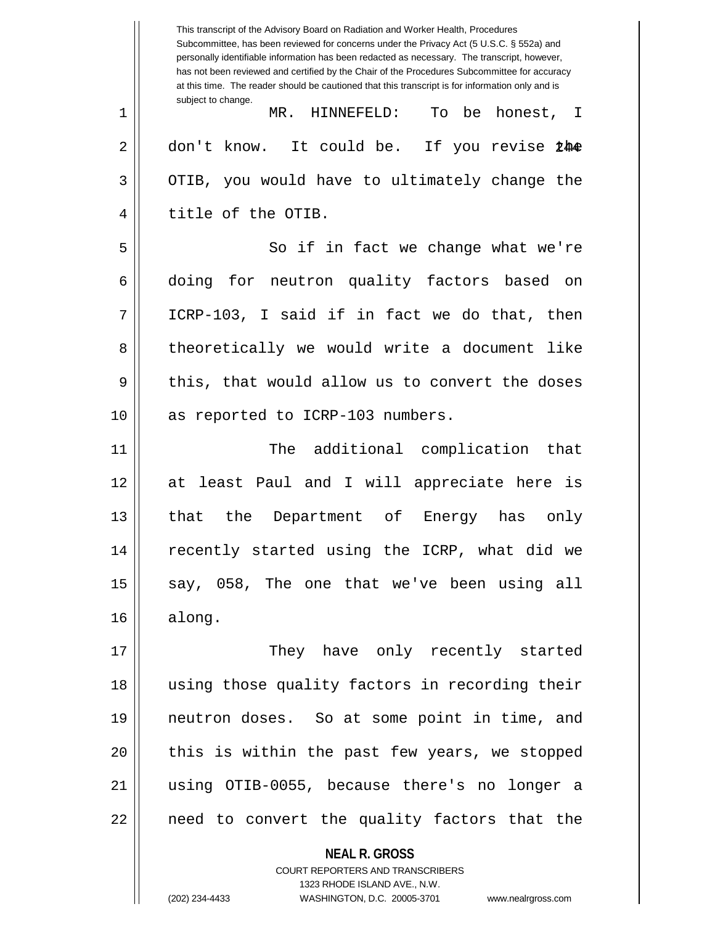**NEAL R. GROSS** This transcript of the Advisory Board on Radiation and Worker Health, Procedures Subcommittee, has been reviewed for concerns under the Privacy Act (5 U.S.C. § 552a) and personally identifiable information has been redacted as necessary. The transcript, however, has not been reviewed and certified by the Chair of the Procedures Subcommittee for accuracy at this time. The reader should be cautioned that this transcript is for information only and is subject to change. 2 || don't know. It could be. If you revise 24<del>0</del> 1 MR. HINNEFELD: To be honest, I  $3 \parallel$  OTIB, you would have to ultimately change the 4 || title of the OTIB. 5 || So if in fact we change what we're 6 doing for neutron quality factors based on  $7 \parallel$  ICRP-103, I said if in fact we do that, then 8 || theoretically we would write a document like  $9 \parallel$  this, that would allow us to convert the doses 10 || as reported to ICRP-103 numbers. 11 The additional complication that 12 at least Paul and I will appreciate here is 13 that the Department of Energy has only 14 || recently started using the ICRP, what did we  $15$  say, 058, The one that we've been using all  $16 \parallel$  along. 17 They have only recently started 18 using those quality factors in recording their 19 neutron doses. So at some point in time, and 20 || this is within the past few years, we stopped 21 using OTIB-0055, because there's no longer a  $22$  || need to convert the quality factors that the

> COURT REPORTERS AND TRANSCRIBERS 1323 RHODE ISLAND AVE., N.W.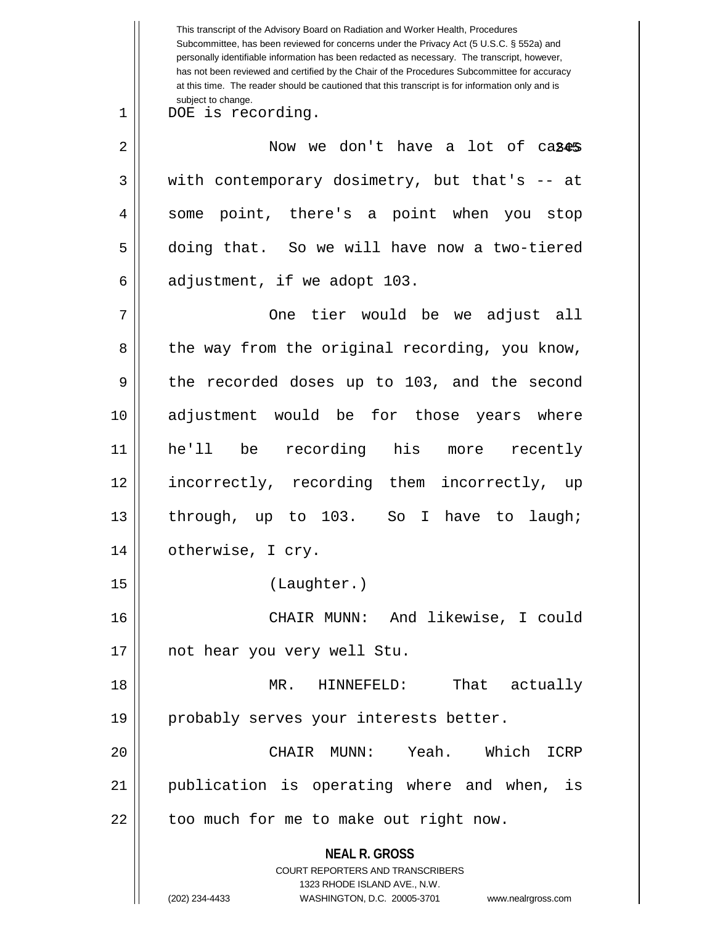**NEAL R. GROSS** COURT REPORTERS AND TRANSCRIBERS 1323 RHODE ISLAND AVE., N.W. This transcript of the Advisory Board on Radiation and Worker Health, Procedures Subcommittee, has been reviewed for concerns under the Privacy Act (5 U.S.C. § 552a) and personally identifiable information has been redacted as necessary. The transcript, however, has not been reviewed and certified by the Chair of the Procedures Subcommittee for accuracy at this time. The reader should be cautioned that this transcript is for information only and is subject to change. 245 2 Now we don't have a lot of cases 1 DOE is recording.  $3 \parallel$  with contemporary dosimetry, but that's -- at 4 || some point, there's a point when you stop 5 doing that. So we will have now a two-tiered  $6 \parallel$  adjustment, if we adopt 103. 7 One tier would be we adjust all  $8 \parallel$  the way from the original recording, you know, 9 || the recorded doses up to 103, and the second 10 adjustment would be for those years where 11 he'll be recording his more recently 12 incorrectly, recording them incorrectly, up 13 through, up to 103. So I have to laugh; 14 otherwise, I cry. 15 (Laughter.) 16 CHAIR MUNN: And likewise, I could 17 || not hear you very well Stu. 18 MR. HINNEFELD: That actually 19 || probably serves your interests better. 20 CHAIR MUNN: Yeah. Which ICRP 21 publication is operating where and when, is  $22$  || too much for me to make out right now.

<sup>(202) 234-4433</sup> WASHINGTON, D.C. 20005-3701 www.nealrgross.com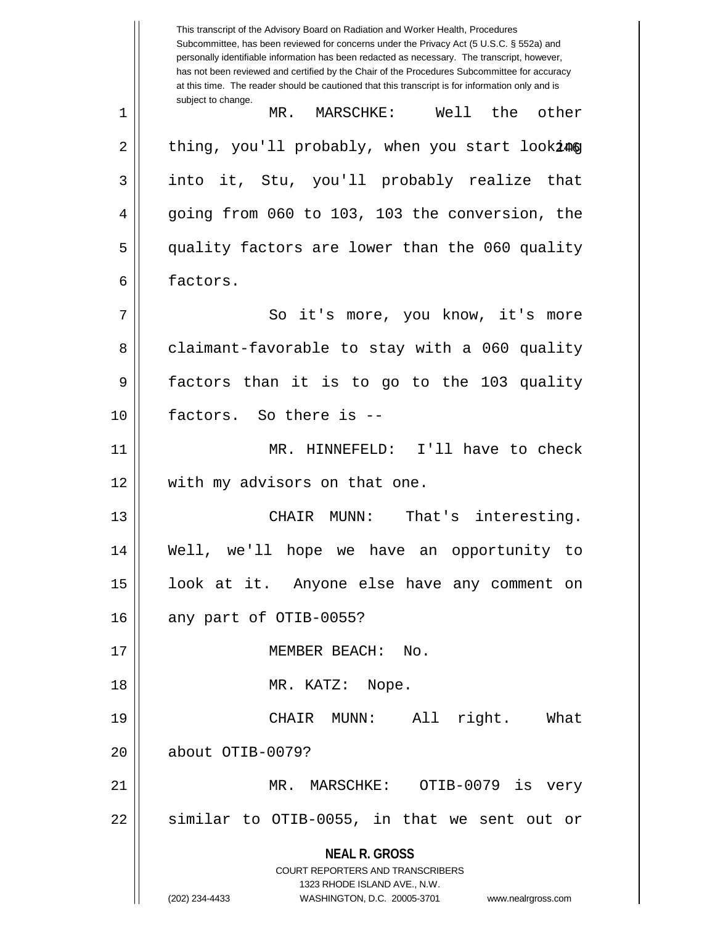**NEAL R. GROSS** COURT REPORTERS AND TRANSCRIBERS 1323 RHODE ISLAND AVE., N.W. (202) 234-4433 WASHINGTON, D.C. 20005-3701 www.nealrgross.com This transcript of the Advisory Board on Radiation and Worker Health, Procedures Subcommittee, has been reviewed for concerns under the Privacy Act (5 U.S.C. § 552a) and personally identifiable information has been redacted as necessary. The transcript, however, has not been reviewed and certified by the Chair of the Procedures Subcommittee for accuracy at this time. The reader should be cautioned that this transcript is for information only and is subject to change. 2 || thing, you'll probably, when you start look**i@g** 1 MR. MARSCHKE: Well the other 3 into it, Stu, you'll probably realize that 4 going from 060 to 103, 103 the conversion, the 5 quality factors are lower than the 060 quality 6 factors. 7 || So it's more, you know, it's more 8 claimant-favorable to stay with a 060 quality 9 factors than it is to go to the 103 quality 10 factors. So there is -- 11 MR. HINNEFELD: I'll have to check 12 || with my advisors on that one. 13 CHAIR MUNN: That's interesting. 14 Well, we'll hope we have an opportunity to 15 look at it. Anyone else have any comment on  $16$  | any part of OTIB-0055? 17 || MEMBER BEACH: No. 18 || MR. KATZ: Nope. 19 CHAIR MUNN: All right. What 20 about OTIB-0079? 21 MR. MARSCHKE: OTIB-0079 is very  $22$  || similar to OTIB-0055, in that we sent out or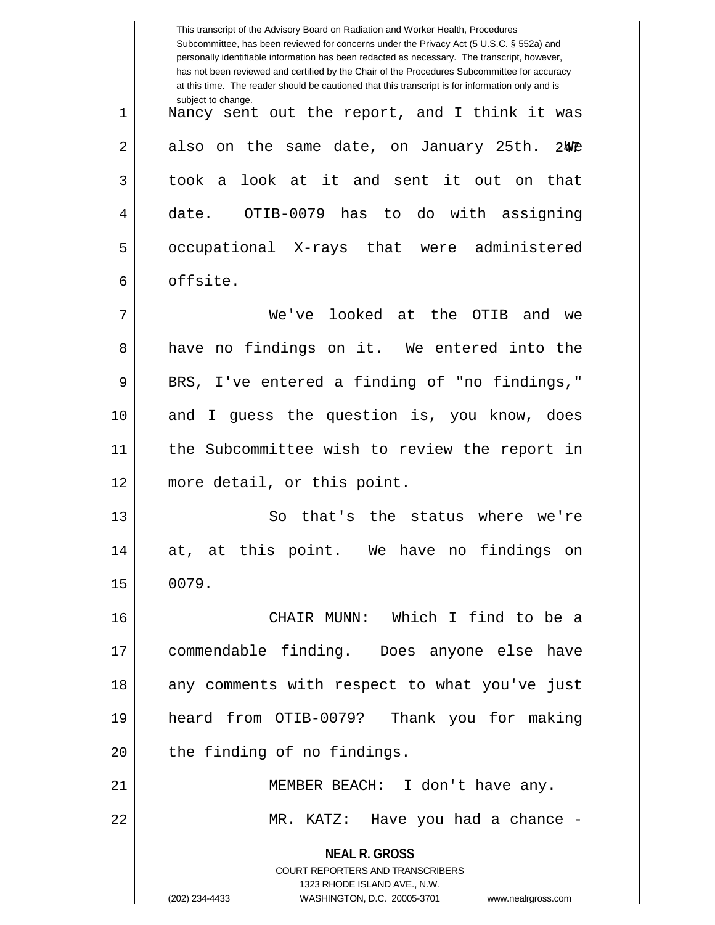|    | This transcript of the Advisory Board on Radiation and Worker Health, Procedures<br>Subcommittee, has been reviewed for concerns under the Privacy Act (5 U.S.C. § 552a) and<br>personally identifiable information has been redacted as necessary. The transcript, however,<br>has not been reviewed and certified by the Chair of the Procedures Subcommittee for accuracy<br>at this time. The reader should be cautioned that this transcript is for information only and is |
|----|----------------------------------------------------------------------------------------------------------------------------------------------------------------------------------------------------------------------------------------------------------------------------------------------------------------------------------------------------------------------------------------------------------------------------------------------------------------------------------|
| 1  | subject to change.<br>Nancy sent out the report, and I think it was                                                                                                                                                                                                                                                                                                                                                                                                              |
| 2  | also on the same date, on January 25th. 2We                                                                                                                                                                                                                                                                                                                                                                                                                                      |
| 3  | look at it and sent it out on that<br>took a                                                                                                                                                                                                                                                                                                                                                                                                                                     |
| 4  | OTIB-0079 has to do with assigning<br>date.                                                                                                                                                                                                                                                                                                                                                                                                                                      |
| 5  | occupational X-rays that were administered                                                                                                                                                                                                                                                                                                                                                                                                                                       |
| 6  | offsite.                                                                                                                                                                                                                                                                                                                                                                                                                                                                         |
| 7  | We've looked at the OTIB<br>and we                                                                                                                                                                                                                                                                                                                                                                                                                                               |
| 8  | have no findings on it. We entered into the                                                                                                                                                                                                                                                                                                                                                                                                                                      |
| 9  | BRS, I've entered a finding of "no findings,"                                                                                                                                                                                                                                                                                                                                                                                                                                    |
| 10 | and I guess the question is, you know, does                                                                                                                                                                                                                                                                                                                                                                                                                                      |
| 11 | the Subcommittee wish to review the report in                                                                                                                                                                                                                                                                                                                                                                                                                                    |
| 12 | more detail, or this point.                                                                                                                                                                                                                                                                                                                                                                                                                                                      |
| 13 | that's the status where we're<br>So                                                                                                                                                                                                                                                                                                                                                                                                                                              |
| 14 | at, at this point. We have no findings on                                                                                                                                                                                                                                                                                                                                                                                                                                        |
| 15 | 0079.                                                                                                                                                                                                                                                                                                                                                                                                                                                                            |
| 16 | CHAIR MUNN: Which I find to be a                                                                                                                                                                                                                                                                                                                                                                                                                                                 |
| 17 | commendable finding. Does anyone else have                                                                                                                                                                                                                                                                                                                                                                                                                                       |
| 18 | any comments with respect to what you've just                                                                                                                                                                                                                                                                                                                                                                                                                                    |
| 19 | heard from OTIB-0079? Thank you for making                                                                                                                                                                                                                                                                                                                                                                                                                                       |
| 20 | the finding of no findings.                                                                                                                                                                                                                                                                                                                                                                                                                                                      |
| 21 | MEMBER BEACH: I don't have any.                                                                                                                                                                                                                                                                                                                                                                                                                                                  |
| 22 | MR. KATZ: Have you had a chance -                                                                                                                                                                                                                                                                                                                                                                                                                                                |
|    | <b>NEAL R. GROSS</b><br>COURT REPORTERS AND TRANSCRIBERS<br>1323 RHODE ISLAND AVE., N.W.<br>(202) 234-4433<br>WASHINGTON, D.C. 20005-3701 www.nealrgross.com                                                                                                                                                                                                                                                                                                                     |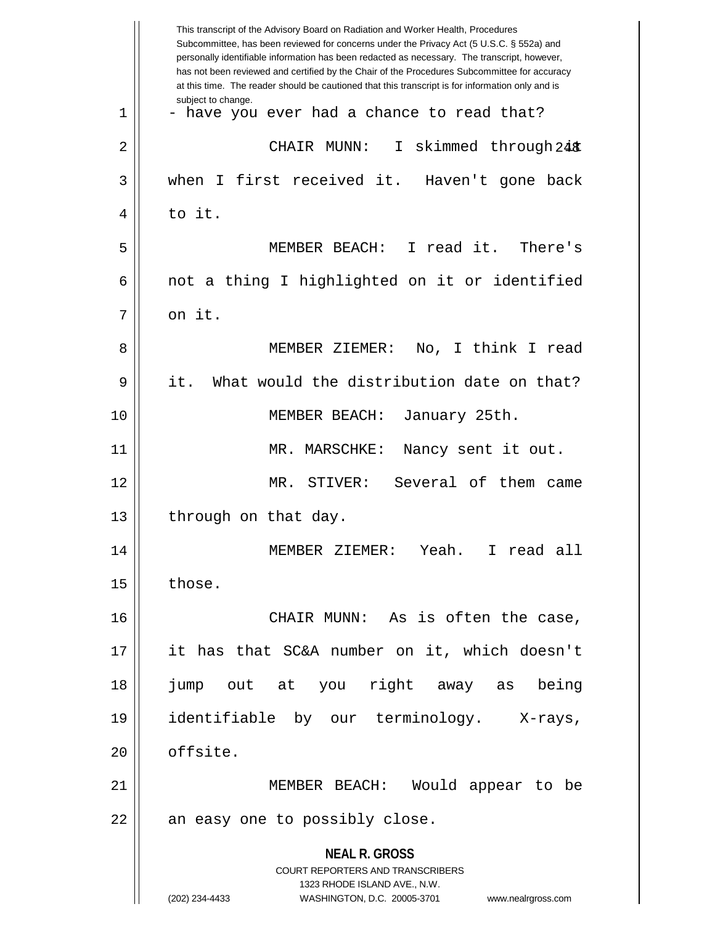|                         | This transcript of the Advisory Board on Radiation and Worker Health, Procedures<br>Subcommittee, has been reviewed for concerns under the Privacy Act (5 U.S.C. § 552a) and<br>personally identifiable information has been redacted as necessary. The transcript, however,<br>has not been reviewed and certified by the Chair of the Procedures Subcommittee for accuracy<br>at this time. The reader should be cautioned that this transcript is for information only and is |  |  |
|-------------------------|----------------------------------------------------------------------------------------------------------------------------------------------------------------------------------------------------------------------------------------------------------------------------------------------------------------------------------------------------------------------------------------------------------------------------------------------------------------------------------|--|--|
| subject to change.<br>1 | - have you ever had a chance to read that?                                                                                                                                                                                                                                                                                                                                                                                                                                       |  |  |
| 2                       | I skimmed through 24 %<br>CHAIR MUNN:                                                                                                                                                                                                                                                                                                                                                                                                                                            |  |  |
| 3                       | when I first received it. Haven't gone back                                                                                                                                                                                                                                                                                                                                                                                                                                      |  |  |
| to it.<br>4             |                                                                                                                                                                                                                                                                                                                                                                                                                                                                                  |  |  |
| 5                       | MEMBER BEACH: I read it. There's                                                                                                                                                                                                                                                                                                                                                                                                                                                 |  |  |
| 6                       | not a thing I highlighted on it or identified                                                                                                                                                                                                                                                                                                                                                                                                                                    |  |  |
| on it.<br>7             |                                                                                                                                                                                                                                                                                                                                                                                                                                                                                  |  |  |
| 8                       | No, I think I read<br>MEMBER ZIEMER:                                                                                                                                                                                                                                                                                                                                                                                                                                             |  |  |
| 9<br>it.                | What would the distribution date on that?                                                                                                                                                                                                                                                                                                                                                                                                                                        |  |  |
| 10                      | MEMBER BEACH:<br>January 25th.                                                                                                                                                                                                                                                                                                                                                                                                                                                   |  |  |
| 11                      | MR. MARSCHKE:<br>Nancy sent it out.                                                                                                                                                                                                                                                                                                                                                                                                                                              |  |  |
| 12                      | Several of them came<br>MR. STIVER:                                                                                                                                                                                                                                                                                                                                                                                                                                              |  |  |
| 13                      | through on that day.                                                                                                                                                                                                                                                                                                                                                                                                                                                             |  |  |
| 14                      | MEMBER ZIEMER:<br>Yeah.<br>I read all                                                                                                                                                                                                                                                                                                                                                                                                                                            |  |  |
| those.<br>15            |                                                                                                                                                                                                                                                                                                                                                                                                                                                                                  |  |  |
| 16                      | CHAIR MUNN: As is often the case,                                                                                                                                                                                                                                                                                                                                                                                                                                                |  |  |
| 17                      | it has that SC&A number on it, which doesn't                                                                                                                                                                                                                                                                                                                                                                                                                                     |  |  |
| 18                      | right away as<br>being<br>jump out at you                                                                                                                                                                                                                                                                                                                                                                                                                                        |  |  |
| 19                      | identifiable by our terminology. X-rays,                                                                                                                                                                                                                                                                                                                                                                                                                                         |  |  |
| offsite.<br>20          |                                                                                                                                                                                                                                                                                                                                                                                                                                                                                  |  |  |
| 21                      | MEMBER BEACH:<br>Would appear to be                                                                                                                                                                                                                                                                                                                                                                                                                                              |  |  |
| 22                      | an easy one to possibly close.                                                                                                                                                                                                                                                                                                                                                                                                                                                   |  |  |
|                         | <b>NEAL R. GROSS</b><br>COURT REPORTERS AND TRANSCRIBERS<br>1323 RHODE ISLAND AVE., N.W.<br>www.nealrgross.com                                                                                                                                                                                                                                                                                                                                                                   |  |  |
| (202) 234-4433          | WASHINGTON, D.C. 20005-3701                                                                                                                                                                                                                                                                                                                                                                                                                                                      |  |  |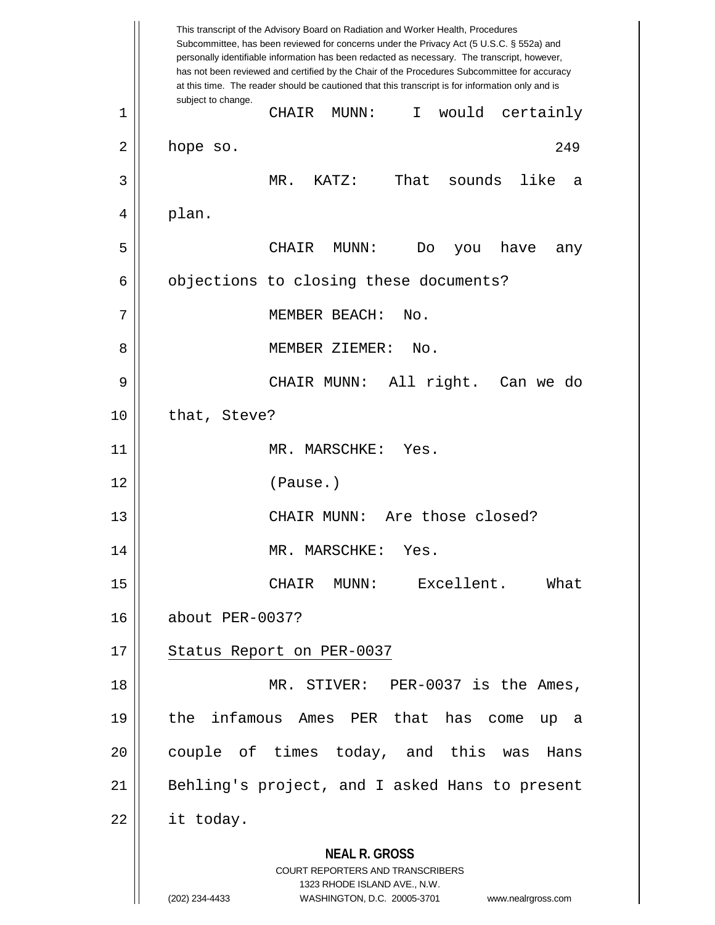**NEAL R. GROSS** COURT REPORTERS AND TRANSCRIBERS 1323 RHODE ISLAND AVE., N.W. (202) 234-4433 WASHINGTON, D.C. 20005-3701 www.nealrgross.com This transcript of the Advisory Board on Radiation and Worker Health, Procedures Subcommittee, has been reviewed for concerns under the Privacy Act (5 U.S.C. § 552a) and personally identifiable information has been redacted as necessary. The transcript, however, has not been reviewed and certified by the Chair of the Procedures Subcommittee for accuracy at this time. The reader should be cautioned that this transcript is for information only and is subject to change. 249 1 CHAIR MUNN: I would certainly  $2 \parallel$  hope so. 3 MR. KATZ: That sounds like a  $4 \parallel$  plan. 5 CHAIR MUNN: Do you have any  $6 \parallel$  objections to closing these documents? 7 || MEMBER BEACH: No. 8 MEMBER ZIEMER: No. 9 CHAIR MUNN: All right. Can we do 10 | that, Steve? 11 || MR. MARSCHKE: Yes. 12 (Pause.) 13 CHAIR MUNN: Are those closed? 14 || MR. MARSCHKE: Yes. 15 CHAIR MUNN: Excellent. What 16 about PER-0037? 17 || Status Report on PER-0037 18 MR. STIVER: PER-0037 is the Ames, 19 the infamous Ames PER that has come up a 20 || couple of times today, and this was Hans 21 || Behling's project, and I asked Hans to present  $22 \parallel$  it today.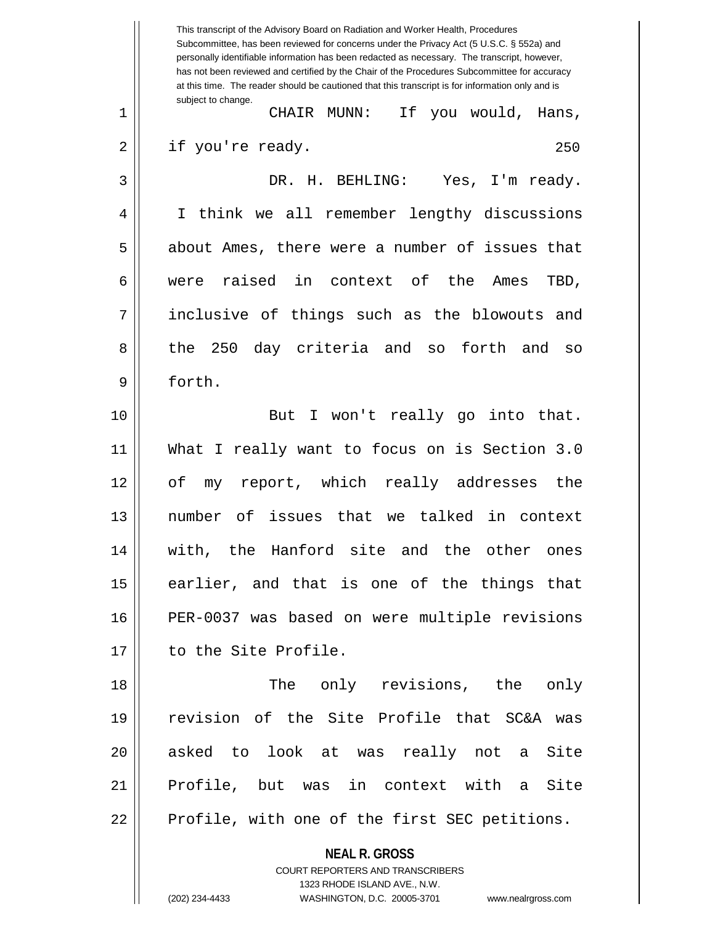**NEAL R. GROSS** COURT REPORTERS AND TRANSCRIBERS This transcript of the Advisory Board on Radiation and Worker Health, Procedures Subcommittee, has been reviewed for concerns under the Privacy Act (5 U.S.C. § 552a) and personally identifiable information has been redacted as necessary. The transcript, however, has not been reviewed and certified by the Chair of the Procedures Subcommittee for accuracy at this time. The reader should be cautioned that this transcript is for information only and is subject to change. 250 1 CHAIR MUNN: If you would, Hans, 2 || if you're ready. 3 DR. H. BEHLING: Yes, I'm ready. 4 I think we all remember lengthy discussions 5 about Ames, there were a number of issues that 6 were raised in context of the Ames TBD, 7 || inclusive of things such as the blowouts and 8 the 250 day criteria and so forth and so 9 forth. 10 || But I won't really go into that. 11 What I really want to focus on is Section 3.0 12 of my report, which really addresses the 13 number of issues that we talked in context 14 with, the Hanford site and the other ones 15 earlier, and that is one of the things that 16 PER-0037 was based on were multiple revisions 17 | to the Site Profile. 18 The only revisions, the only 19 revision of the Site Profile that SC&A was 20 || asked to look at was really not a Site 21 || Profile, but was in context with a Site 22 || Profile, with one of the first SEC petitions.

1323 RHODE ISLAND AVE., N.W.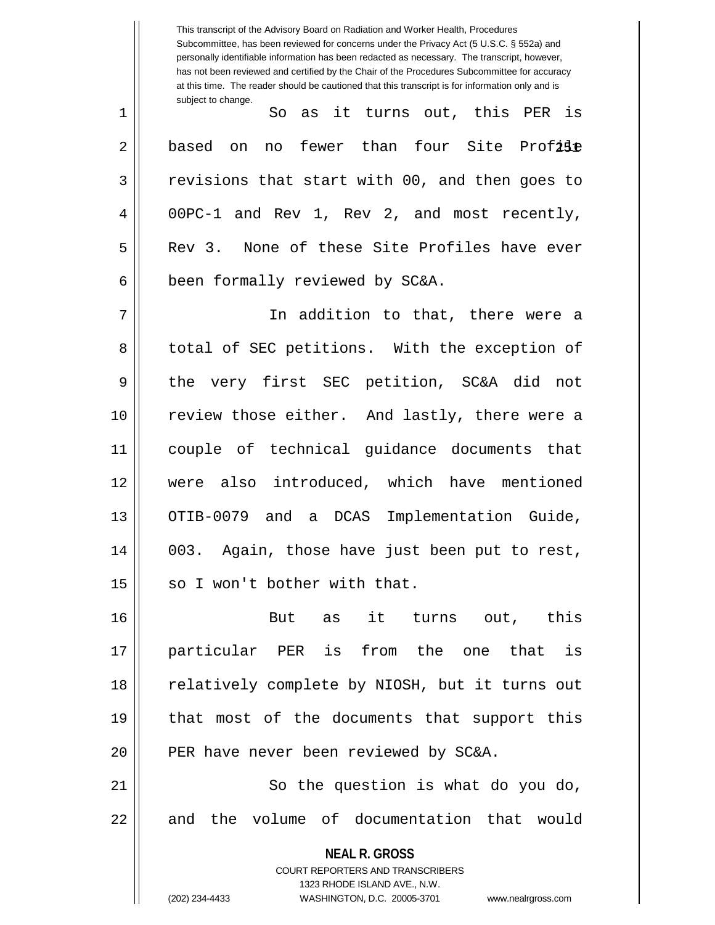**NEAL R. GROSS** COURT REPORTERS AND TRANSCRIBERS 1323 RHODE ISLAND AVE., N.W. Subcommittee, has been reviewed for concerns under the Privacy Act (5 U.S.C. § 552a) and personally identifiable information has been redacted as necessary. The transcript, however, has not been reviewed and certified by the Chair of the Procedures Subcommittee for accuracy at this time. The reader should be cautioned that this transcript is for information only and is subject to change. 2|| based on no fewer than four Site Prof**ile** 1 So as it turns out, this PER is  $3 \parallel$  revisions that start with 00, and then goes to 4 00PC-1 and Rev 1, Rev 2, and most recently, 5 Rev 3. None of these Site Profiles have ever  $6$  | been formally reviewed by SC&A. 7 In addition to that, there were a 8 || total of SEC petitions. With the exception of 9 || the very first SEC petition, SC&A did not 10 || review those either. And lastly, there were a 11 couple of technical guidance documents that 12 were also introduced, which have mentioned 13 || OTIB-0079 and a DCAS Implementation Guide, 14 003. Again, those have just been put to rest,  $15$  | so I won't bother with that. 16 But as it turns out, this 17 particular PER is from the one that is 18 || relatively complete by NIOSH, but it turns out 19 that most of the documents that support this  $20$  || PER have never been reviewed by SC&A. 21 || So the question is what do you do, 22 || and the volume of documentation that would

This transcript of the Advisory Board on Radiation and Worker Health, Procedures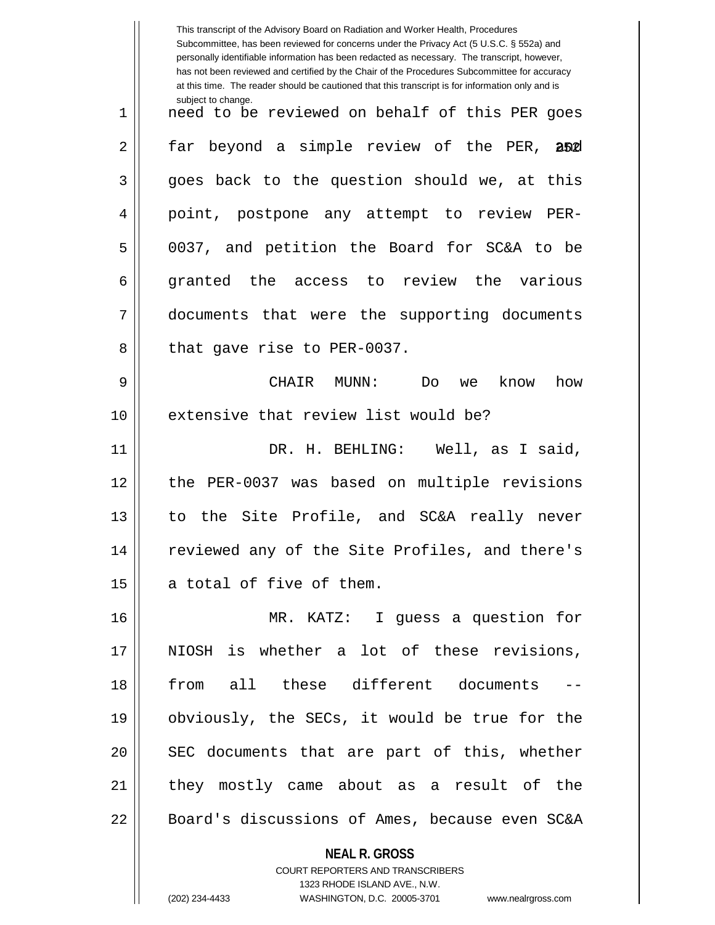|    | This transcript of the Advisory Board on Radiation and Worker Health, Procedures<br>Subcommittee, has been reviewed for concerns under the Privacy Act (5 U.S.C. § 552a) and<br>personally identifiable information has been redacted as necessary. The transcript, however,<br>has not been reviewed and certified by the Chair of the Procedures Subcommittee for accuracy<br>at this time. The reader should be cautioned that this transcript is for information only and is |  |
|----|----------------------------------------------------------------------------------------------------------------------------------------------------------------------------------------------------------------------------------------------------------------------------------------------------------------------------------------------------------------------------------------------------------------------------------------------------------------------------------|--|
| 1  | subject to change.<br>need to be reviewed on behalf of this PER goes                                                                                                                                                                                                                                                                                                                                                                                                             |  |
| 2  | far beyond a simple review of the PER,<br>and                                                                                                                                                                                                                                                                                                                                                                                                                                    |  |
| 3  | goes back to the question should we, at this                                                                                                                                                                                                                                                                                                                                                                                                                                     |  |
| 4  | point, postpone any attempt to review PER-                                                                                                                                                                                                                                                                                                                                                                                                                                       |  |
| 5  | 0037, and petition the Board for SC&A to be                                                                                                                                                                                                                                                                                                                                                                                                                                      |  |
| 6  | granted the access to review the various                                                                                                                                                                                                                                                                                                                                                                                                                                         |  |
| 7  | documents that were the supporting documents                                                                                                                                                                                                                                                                                                                                                                                                                                     |  |
| 8  | that gave rise to PER-0037.                                                                                                                                                                                                                                                                                                                                                                                                                                                      |  |
| 9  | CHAIR<br>MUNN :<br>know<br>how<br>Do<br>we                                                                                                                                                                                                                                                                                                                                                                                                                                       |  |
| 10 | extensive that review list would be?                                                                                                                                                                                                                                                                                                                                                                                                                                             |  |
| 11 | DR. H. BEHLING: Well, as I said,                                                                                                                                                                                                                                                                                                                                                                                                                                                 |  |
| 12 | PER-0037 was based on multiple revisions<br>the                                                                                                                                                                                                                                                                                                                                                                                                                                  |  |
| 13 | the Site Profile, and SC&A really never<br>to.                                                                                                                                                                                                                                                                                                                                                                                                                                   |  |
| 14 | reviewed any of the Site Profiles, and there's                                                                                                                                                                                                                                                                                                                                                                                                                                   |  |
| 15 | a total of five of them.                                                                                                                                                                                                                                                                                                                                                                                                                                                         |  |
| 16 | MR. KATZ: I guess a question for                                                                                                                                                                                                                                                                                                                                                                                                                                                 |  |
| 17 | NIOSH is whether a lot of these revisions,                                                                                                                                                                                                                                                                                                                                                                                                                                       |  |
| 18 | from all these different documents                                                                                                                                                                                                                                                                                                                                                                                                                                               |  |
| 19 | obviously, the SECs, it would be true for the                                                                                                                                                                                                                                                                                                                                                                                                                                    |  |
| 20 | SEC documents that are part of this, whether                                                                                                                                                                                                                                                                                                                                                                                                                                     |  |
| 21 | they mostly came about as a result of the                                                                                                                                                                                                                                                                                                                                                                                                                                        |  |
| 22 | Board's discussions of Ames, because even SC&A                                                                                                                                                                                                                                                                                                                                                                                                                                   |  |
|    | <b>NEAL R. GROSS</b><br>COURT REPORTERS AND TRANSCRIBERS<br>1323 RHODE ISLAND AVE., N.W.<br>(202) 234-4433<br>WASHINGTON, D.C. 20005-3701<br>www.nealrgross.com                                                                                                                                                                                                                                                                                                                  |  |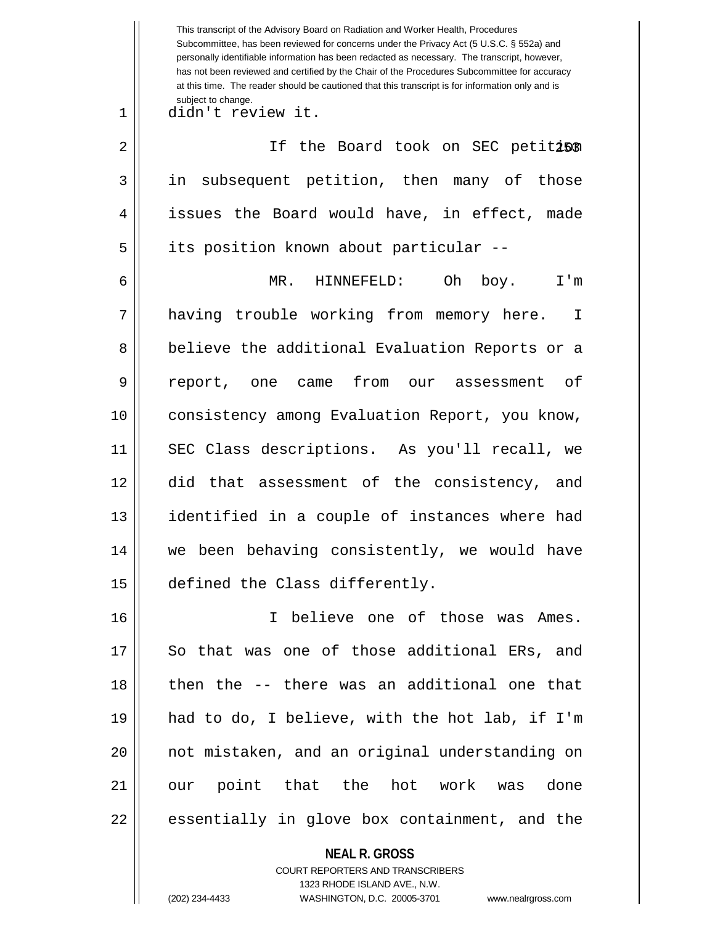|    | This transcript of the Advisory Board on Radiation and Worker Health, Procedures<br>Subcommittee, has been reviewed for concerns under the Privacy Act (5 U.S.C. § 552a) and<br>personally identifiable information has been redacted as necessary. The transcript, however,<br>has not been reviewed and certified by the Chair of the Procedures Subcommittee for accuracy<br>at this time. The reader should be cautioned that this transcript is for information only and is |  |
|----|----------------------------------------------------------------------------------------------------------------------------------------------------------------------------------------------------------------------------------------------------------------------------------------------------------------------------------------------------------------------------------------------------------------------------------------------------------------------------------|--|
| 1  | subject to change.<br>didn't review it.                                                                                                                                                                                                                                                                                                                                                                                                                                          |  |
| 2  | If the Board took on SEC petiti50                                                                                                                                                                                                                                                                                                                                                                                                                                                |  |
| 3  | subsequent petition, then many of those<br>in                                                                                                                                                                                                                                                                                                                                                                                                                                    |  |
| 4  | issues the Board would have, in effect, made                                                                                                                                                                                                                                                                                                                                                                                                                                     |  |
| 5  | its position known about particular --                                                                                                                                                                                                                                                                                                                                                                                                                                           |  |
| 6  | MR.<br>Oh<br>I'm<br>HINNEFELD:<br>boy.                                                                                                                                                                                                                                                                                                                                                                                                                                           |  |
| 7  | having trouble working from memory here.<br>I                                                                                                                                                                                                                                                                                                                                                                                                                                    |  |
| 8  | believe the additional Evaluation Reports or a                                                                                                                                                                                                                                                                                                                                                                                                                                   |  |
| 9  | from<br>оf<br>report,<br>one came<br>assessment<br>our                                                                                                                                                                                                                                                                                                                                                                                                                           |  |
| 10 | consistency among Evaluation Report, you know,                                                                                                                                                                                                                                                                                                                                                                                                                                   |  |
| 11 | SEC Class descriptions. As you'll recall, we                                                                                                                                                                                                                                                                                                                                                                                                                                     |  |
| 12 | did<br>that assessment of the consistency,<br>and                                                                                                                                                                                                                                                                                                                                                                                                                                |  |
| 13 | identified in a couple of instances where had                                                                                                                                                                                                                                                                                                                                                                                                                                    |  |
| 14 | we been behaving consistently, we would have                                                                                                                                                                                                                                                                                                                                                                                                                                     |  |
| 15 | defined the Class differently.                                                                                                                                                                                                                                                                                                                                                                                                                                                   |  |
| 16 | I believe one of those was Ames.                                                                                                                                                                                                                                                                                                                                                                                                                                                 |  |
| 17 | So that was one of those additional ERs, and                                                                                                                                                                                                                                                                                                                                                                                                                                     |  |
| 18 | then the -- there was an additional one that                                                                                                                                                                                                                                                                                                                                                                                                                                     |  |
| 19 | had to do, I believe, with the hot lab, if I'm                                                                                                                                                                                                                                                                                                                                                                                                                                   |  |
| 20 | not mistaken, and an original understanding on                                                                                                                                                                                                                                                                                                                                                                                                                                   |  |
| 21 | our point that the hot work was done                                                                                                                                                                                                                                                                                                                                                                                                                                             |  |
| 22 | essentially in glove box containment, and the                                                                                                                                                                                                                                                                                                                                                                                                                                    |  |
|    | <b>NEAL R. GROSS</b>                                                                                                                                                                                                                                                                                                                                                                                                                                                             |  |

COURT REPORTERS AND TRANSCRIBERS 1323 RHODE ISLAND AVE., N.W.

 $\prod$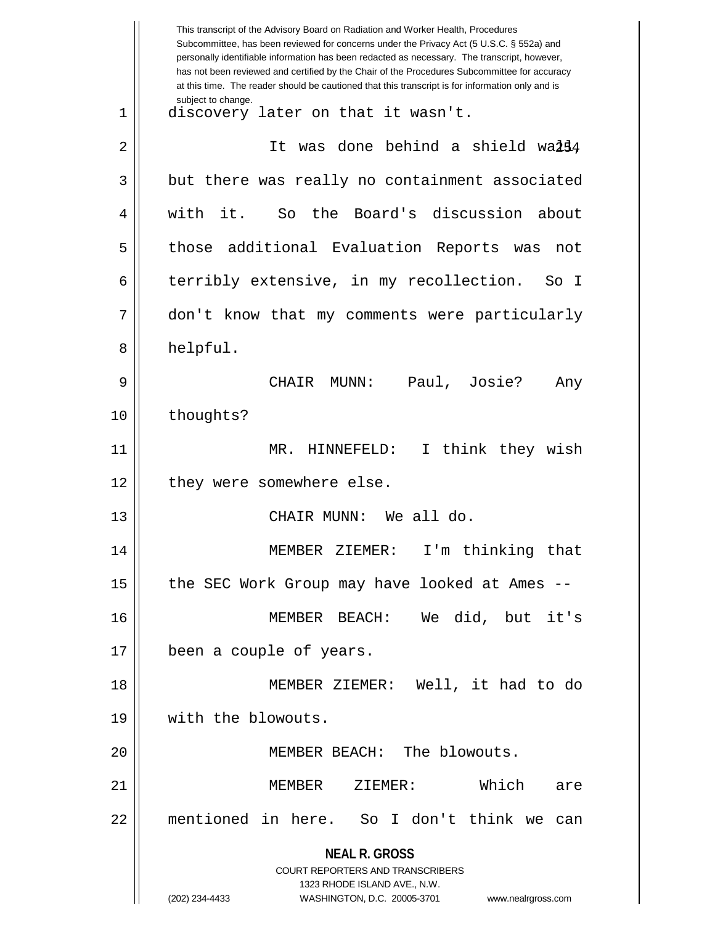**NEAL R. GROSS** COURT REPORTERS AND TRANSCRIBERS 1323 RHODE ISLAND AVE., N.W. (202) 234-4433 WASHINGTON, D.C. 20005-3701 www.nealrgross.com This transcript of the Advisory Board on Radiation and Worker Health, Procedures Subcommittee, has been reviewed for concerns under the Privacy Act (5 U.S.C. § 552a) and personally identifiable information has been redacted as necessary. The transcript, however, has not been reviewed and certified by the Chair of the Procedures Subcommittee for accuracy at this time. The reader should be cautioned that this transcript is for information only and is subject to change. 2 || It was done behind a shield wa**li**4 1 discovery later on that it wasn't.  $3 \parallel$  but there was really no containment associated 4 || with it. So the Board's discussion about 5 those additional Evaluation Reports was not 6 terribly extensive, in my recollection. So I 7 don't know that my comments were particularly 8 | helpful. 9 CHAIR MUNN: Paul, Josie? Any 10 | thoughts? 11 || MR. HINNEFELD: I think they wish 12 || they were somewhere else. 13 CHAIR MUNN: We all do. 14 || MEMBER ZIEMER: I'm thinking that 15  $\parallel$  the SEC Work Group may have looked at Ames --16 MEMBER BEACH: We did, but it's 17 || been a couple of years. 18 MEMBER ZIEMER: Well, it had to do 19 with the blowouts. 20 || MEMBER BEACH: The blowouts. 21 MEMBER ZIEMER: Which are 22 mentioned in here. So I don't think we can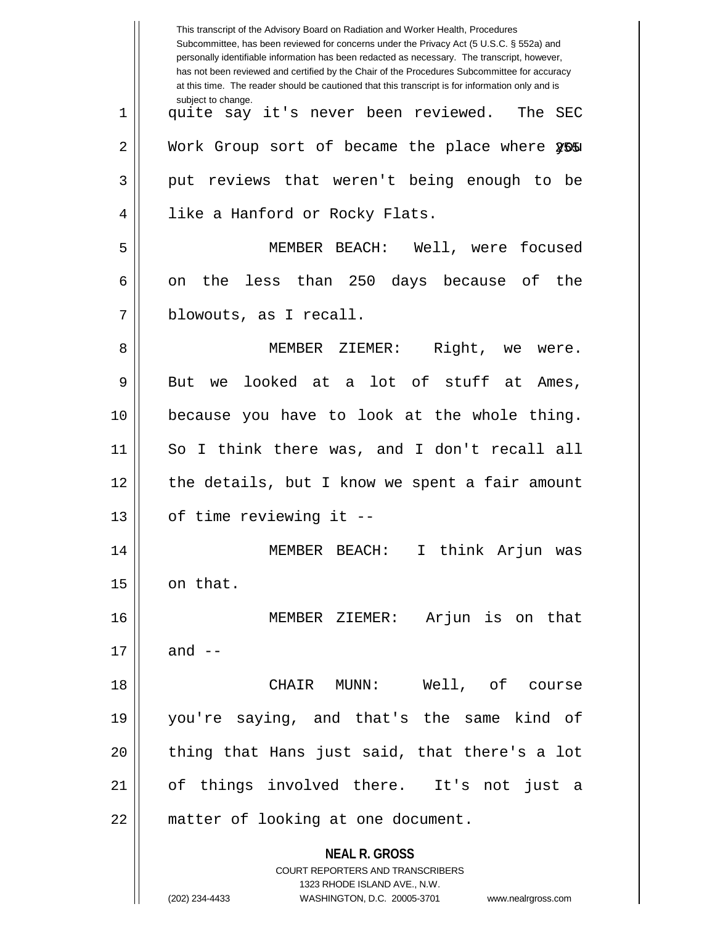|    | This transcript of the Advisory Board on Radiation and Worker Health, Procedures<br>Subcommittee, has been reviewed for concerns under the Privacy Act (5 U.S.C. § 552a) and<br>personally identifiable information has been redacted as necessary. The transcript, however,<br>has not been reviewed and certified by the Chair of the Procedures Subcommittee for accuracy<br>at this time. The reader should be cautioned that this transcript is for information only and is |  |
|----|----------------------------------------------------------------------------------------------------------------------------------------------------------------------------------------------------------------------------------------------------------------------------------------------------------------------------------------------------------------------------------------------------------------------------------------------------------------------------------|--|
| 1  | subject to change.<br>quite say it's never been reviewed. The SEC                                                                                                                                                                                                                                                                                                                                                                                                                |  |
| 2  | Work Group sort of became the place where 255                                                                                                                                                                                                                                                                                                                                                                                                                                    |  |
| 3  | put reviews that weren't being enough to be                                                                                                                                                                                                                                                                                                                                                                                                                                      |  |
| 4  | like a Hanford or Rocky Flats.                                                                                                                                                                                                                                                                                                                                                                                                                                                   |  |
| 5  | MEMBER BEACH: Well, were focused                                                                                                                                                                                                                                                                                                                                                                                                                                                 |  |
| 6  | less than 250 days because of the<br>the<br>on                                                                                                                                                                                                                                                                                                                                                                                                                                   |  |
| 7  | blowouts, as I recall.                                                                                                                                                                                                                                                                                                                                                                                                                                                           |  |
| 8  | Right, we were.<br>MEMBER ZIEMER:                                                                                                                                                                                                                                                                                                                                                                                                                                                |  |
| 9  | we looked at a lot of stuff at Ames,<br>But                                                                                                                                                                                                                                                                                                                                                                                                                                      |  |
| 10 | because you have to look at the whole thing.                                                                                                                                                                                                                                                                                                                                                                                                                                     |  |
| 11 | So I think there was, and I don't recall all                                                                                                                                                                                                                                                                                                                                                                                                                                     |  |
| 12 | the details, but I know we spent a fair amount                                                                                                                                                                                                                                                                                                                                                                                                                                   |  |
| 13 | of time reviewing it --                                                                                                                                                                                                                                                                                                                                                                                                                                                          |  |
| 14 | I think Arjun was<br>MEMBER BEACH:                                                                                                                                                                                                                                                                                                                                                                                                                                               |  |
| 15 | on that.                                                                                                                                                                                                                                                                                                                                                                                                                                                                         |  |
| 16 | MEMBER ZIEMER: Arjun is on that                                                                                                                                                                                                                                                                                                                                                                                                                                                  |  |
| 17 | and $--$                                                                                                                                                                                                                                                                                                                                                                                                                                                                         |  |
| 18 | CHAIR MUNN:<br>Well, of course                                                                                                                                                                                                                                                                                                                                                                                                                                                   |  |
| 19 | you're saying, and that's the same kind of                                                                                                                                                                                                                                                                                                                                                                                                                                       |  |
| 20 | thing that Hans just said, that there's a lot                                                                                                                                                                                                                                                                                                                                                                                                                                    |  |
| 21 | of things involved there. It's not just a                                                                                                                                                                                                                                                                                                                                                                                                                                        |  |
| 22 | matter of looking at one document.                                                                                                                                                                                                                                                                                                                                                                                                                                               |  |
|    | <b>NEAL R. GROSS</b><br>COURT REPORTERS AND TRANSCRIBERS<br>1323 RHODE ISLAND AVE., N.W.<br>(202) 234-4433<br>WASHINGTON, D.C. 20005-3701<br>www.nealrgross.com                                                                                                                                                                                                                                                                                                                  |  |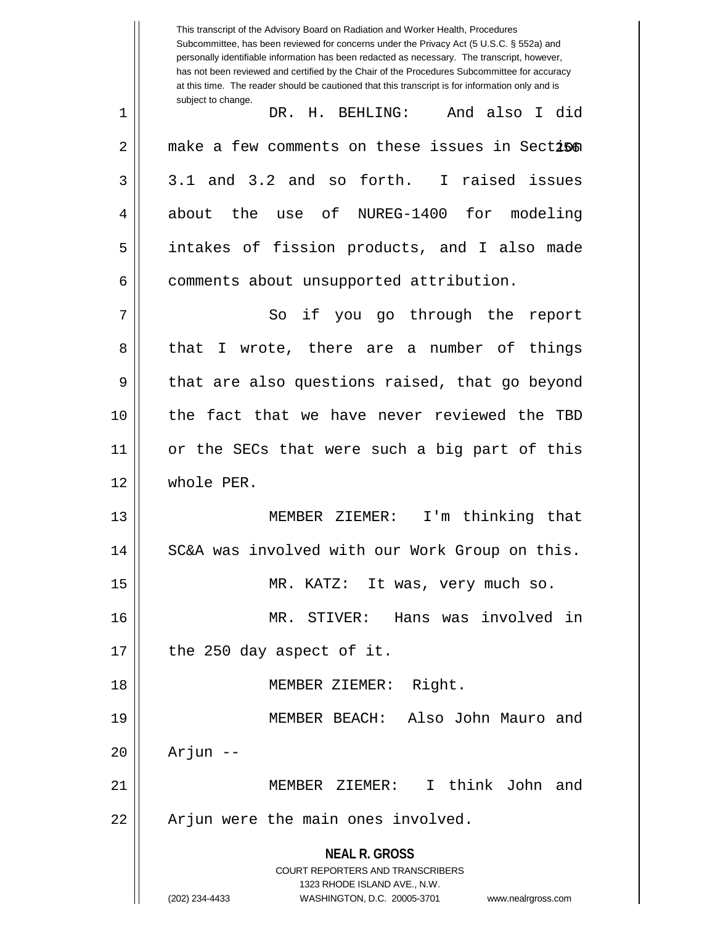**NEAL R. GROSS** COURT REPORTERS AND TRANSCRIBERS 1323 RHODE ISLAND AVE., N.W. (202) 234-4433 WASHINGTON, D.C. 20005-3701 www.nealrgross.com This transcript of the Advisory Board on Radiation and Worker Health, Procedures Subcommittee, has been reviewed for concerns under the Privacy Act (5 U.S.C. § 552a) and personally identifiable information has been redacted as necessary. The transcript, however, has not been reviewed and certified by the Chair of the Procedures Subcommittee for accuracy at this time. The reader should be cautioned that this transcript is for information only and is subject to change. 2 || make a few comments on these issues in Sect**i§**n 1 DR. H. BEHLING: And also I did  $3 \parallel 3.1$  and  $3.2$  and so forth. I raised issues 4 about the use of NUREG-1400 for modeling 5 intakes of fission products, and I also made  $6 \parallel$  comments about unsupported attribution. 7 || So if you go through the report 8 || that I wrote, there are a number of things  $9 \parallel$  that are also questions raised, that go beyond 10 the fact that we have never reviewed the TBD 11 or the SECs that were such a big part of this 12 whole PER. 13 MEMBER ZIEMER: I'm thinking that 14 || SC&A was involved with our Work Group on this. 15 || MR. KATZ: It was, very much so. 16 MR. STIVER: Hans was involved in  $17$  || the 250 day aspect of it. 18 MEMBER ZIEMER: Right. 19 MEMBER BEACH: Also John Mauro and  $20$  ||  $\Delta r$  ||  $-$ 21 MEMBER ZIEMER: I think John and  $22$  || Arjun were the main ones involved.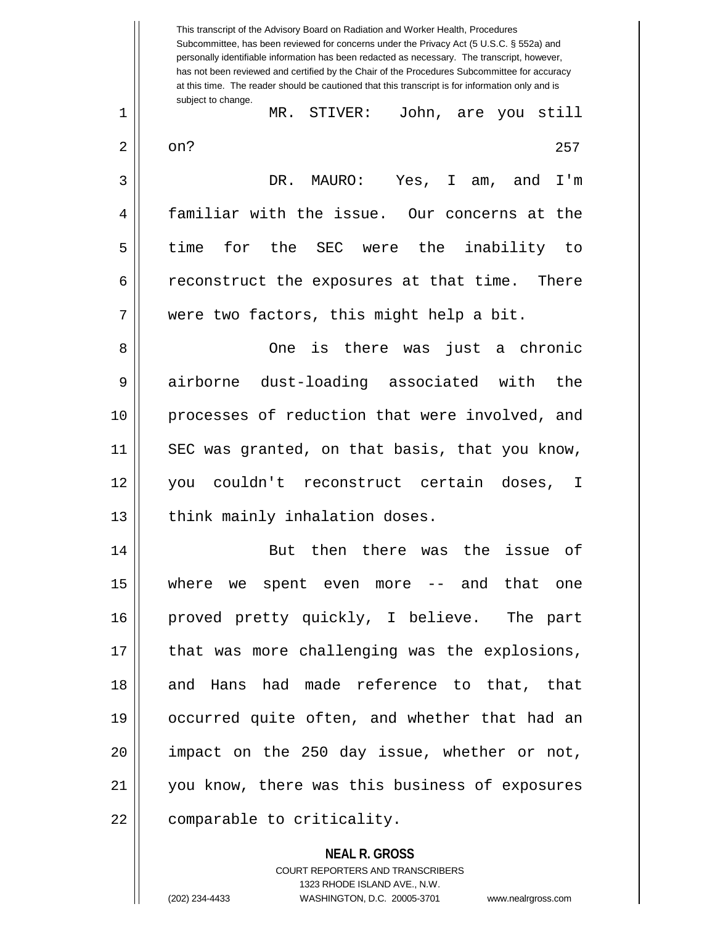This transcript of the Advisory Board on Radiation and Worker Health, Procedures Subcommittee, has been reviewed for concerns under the Privacy Act (5 U.S.C. § 552a) and personally identifiable information has been redacted as necessary. The transcript, however, has not been reviewed and certified by the Chair of the Procedures Subcommittee for accuracy at this time. The reader should be cautioned that this transcript is for information only and is subject to change. 257 1 MR. STIVER: John, are you still  $2 \parallel$  on? 3 DR. MAURO: Yes, I am, and I'm 4 || familiar with the issue. Our concerns at the 5 time for the SEC were the inability to  $6 \parallel$  reconstruct the exposures at that time. There 7 || were two factors, this might help a bit. 8 One is there was just a chronic 9 airborne dust-loading associated with the 10 processes of reduction that were involved, and 11 SEC was granted, on that basis, that you know, 12 you couldn't reconstruct certain doses, I 13 || think mainly inhalation doses. 14 || But then there was the issue of 15 where we spent even more -- and that one 16 proved pretty quickly, I believe. The part 17 || that was more challenging was the explosions, 18 and Hans had made reference to that, that 19 occurred quite often, and whether that had an 20 impact on the 250 day issue, whether or not, 21 you know, there was this business of exposures 22 | comparable to criticality.

> **NEAL R. GROSS** COURT REPORTERS AND TRANSCRIBERS

> > 1323 RHODE ISLAND AVE., N.W.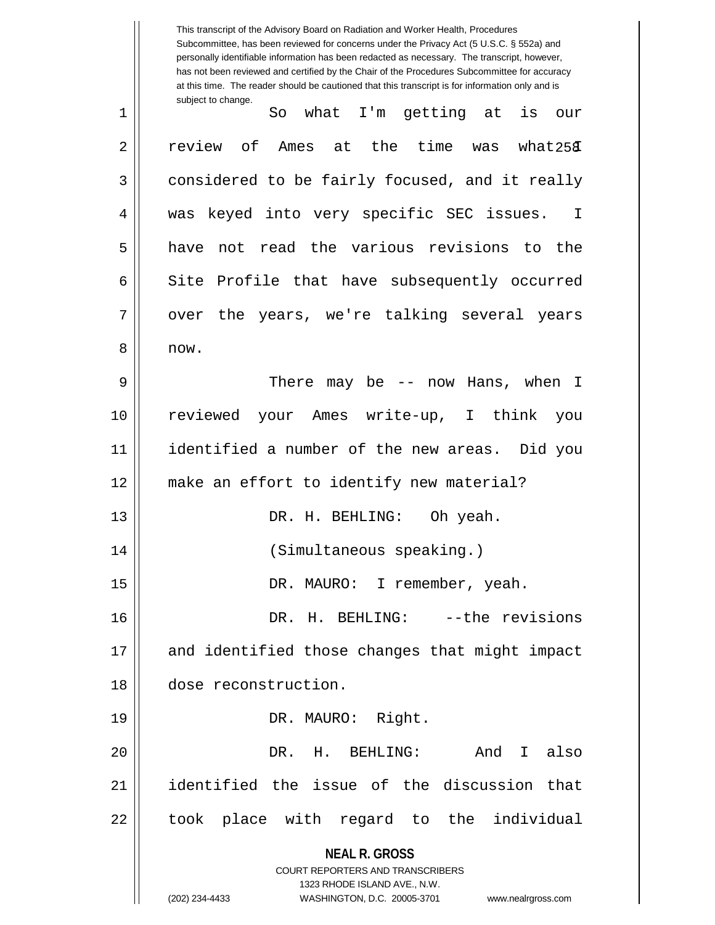**NEAL R. GROSS** COURT REPORTERS AND TRANSCRIBERS 1323 RHODE ISLAND AVE., N.W. (202) 234-4433 WASHINGTON, D.C. 20005-3701 www.nealrgross.com This transcript of the Advisory Board on Radiation and Worker Health, Procedures Subcommittee, has been reviewed for concerns under the Privacy Act (5 U.S.C. § 552a) and personally identifiable information has been redacted as necessary. The transcript, however, has not been reviewed and certified by the Chair of the Procedures Subcommittee for accuracy at this time. The reader should be cautioned that this transcript is for information only and is subject to change.  $what258$ 1 So what I'm getting at is our  $2 \parallel$  review of Ames at the time was what $25 \mathfrak{F}$ 3 considered to be fairly focused, and it really 4 || was keyed into very specific SEC issues. I 5 have not read the various revisions to the  $6 \parallel$  Site Profile that have subsequently occurred  $7 \parallel$  over the years, we're talking several years 8 now. 9 There may be -- now Hans, when I 10 reviewed your Ames write-up, I think you 11 identified a number of the new areas. Did you 12 || make an effort to identify new material? 13 DR. H. BEHLING: Oh yeah. 14 (Simultaneous speaking.) 15 || DR. MAURO: I remember, yeah. 16 DR. H. BEHLING: --the revisions 17 and identified those changes that might impact 18 dose reconstruction. 19 || DR. MAURO: Right. 20 DR. H. BEHLING: And I also 21 identified the issue of the discussion that 22 || took place with regard to the individual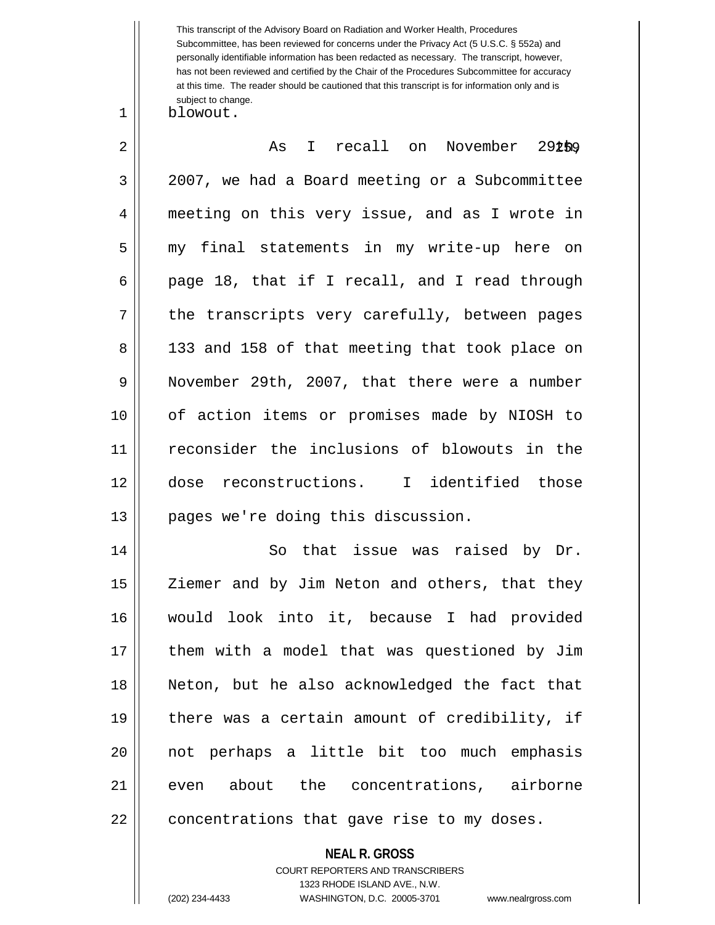This transcript of the Advisory Board on Radiation and Worker Health, Procedures Subcommittee, has been reviewed for concerns under the Privacy Act (5 U.S.C. § 552a) and personally identifiable information has been redacted as necessary. The transcript, however, has not been reviewed and certified by the Chair of the Procedures Subcommittee for accuracy at this time. The reader should be cautioned that this transcript is for information only and is subject to change.

1 blowout.

| $\overline{2}$ | I recall on November 292b9<br>As               |
|----------------|------------------------------------------------|
| $\mathfrak{Z}$ | 2007, we had a Board meeting or a Subcommittee |
| 4              | meeting on this very issue, and as I wrote in  |
| 5              | my final statements in my write-up here on     |
| 6              | page 18, that if I recall, and I read through  |
| 7              | the transcripts very carefully, between pages  |
| 8              | 133 and 158 of that meeting that took place on |
| 9              | November 29th, 2007, that there were a number  |
| 10             | of action items or promises made by NIOSH to   |
| 11             | reconsider the inclusions of blowouts in the   |
| 12             | dose reconstructions. I identified those       |
| 13             | pages we're doing this discussion.             |
| 14             | So that issue was raised by Dr.                |
| 15             | Ziemer and by Jim Neton and others, that they  |
| 16             | would look into it, because I had provided     |
| 17             | them with a model that was questioned by Jim   |
| 18             | Neton, but he also acknowledged the fact that  |
| 19             | there was a certain amount of credibility, if  |
| 20             | not perhaps a little bit too much emphasis     |
| 21             | even about the concentrations, airborne        |
| 22             | concentrations that gave rise to my doses.     |
|                | <b>NEAL R. GROSS</b>                           |

COURT REPORTERS AND TRANSCRIBERS 1323 RHODE ISLAND AVE., N.W.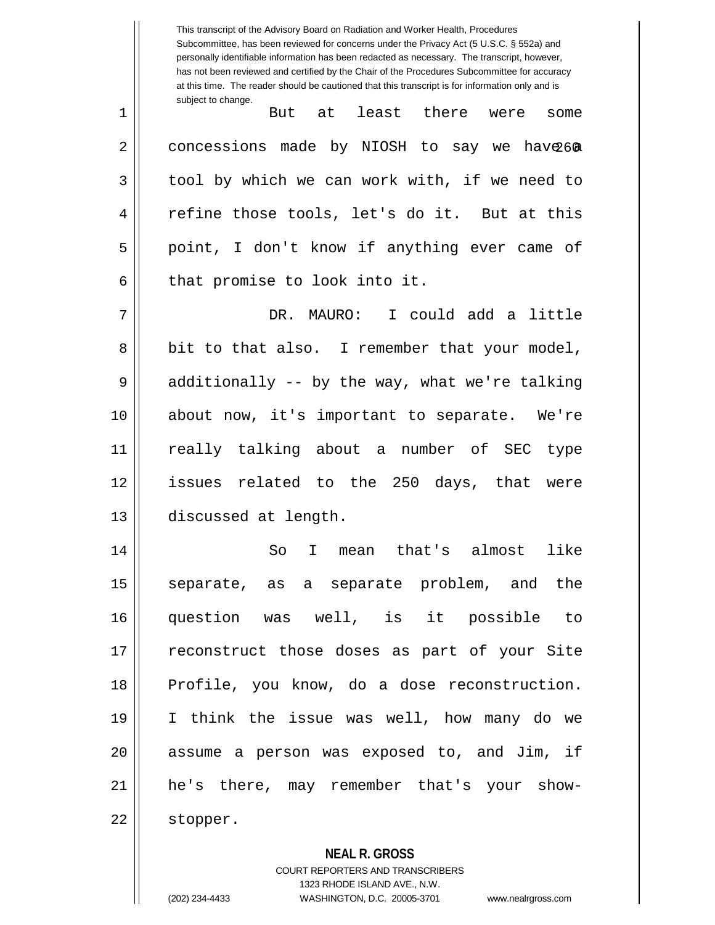This transcript of the Advisory Board on Radiation and Worker Health, Procedures Subcommittee, has been reviewed for concerns under the Privacy Act (5 U.S.C. § 552a) and personally identifiable information has been redacted as necessary. The transcript, however, has not been reviewed and certified by the Chair of the Procedures Subcommittee for accuracy at this time. The reader should be cautioned that this transcript is for information only and is subject to change. 2 || concessions made by NIOSH to say we have 60 1 || But at least there were some  $3 \parallel$  tool by which we can work with, if we need to 4 || refine those tools, let's do it. But at this 5 || point, I don't know if anything ever came of  $6$  || that promise to look into it. 7 DR. MAURO: I could add a little 8 || bit to that also. I remember that your model,  $9 \parallel$  additionally -- by the way, what we're talking 10 about now, it's important to separate. We're 11 really talking about a number of SEC type 12 issues related to the 250 days, that were 13 discussed at length. 14 So I mean that's almost like 15 || separate, as a separate problem, and the 16 question was well, is it possible to 17 || reconstruct those doses as part of your Site 18 || Profile, you know, do a dose reconstruction. 19 I think the issue was well, how many do we  $20$  || assume a person was exposed to, and Jim, if 21 he's there, may remember that's your show-22 stopper.

**NEAL R. GROSS**

COURT REPORTERS AND TRANSCRIBERS 1323 RHODE ISLAND AVE., N.W. (202) 234-4433 WASHINGTON, D.C. 20005-3701 www.nealrgross.com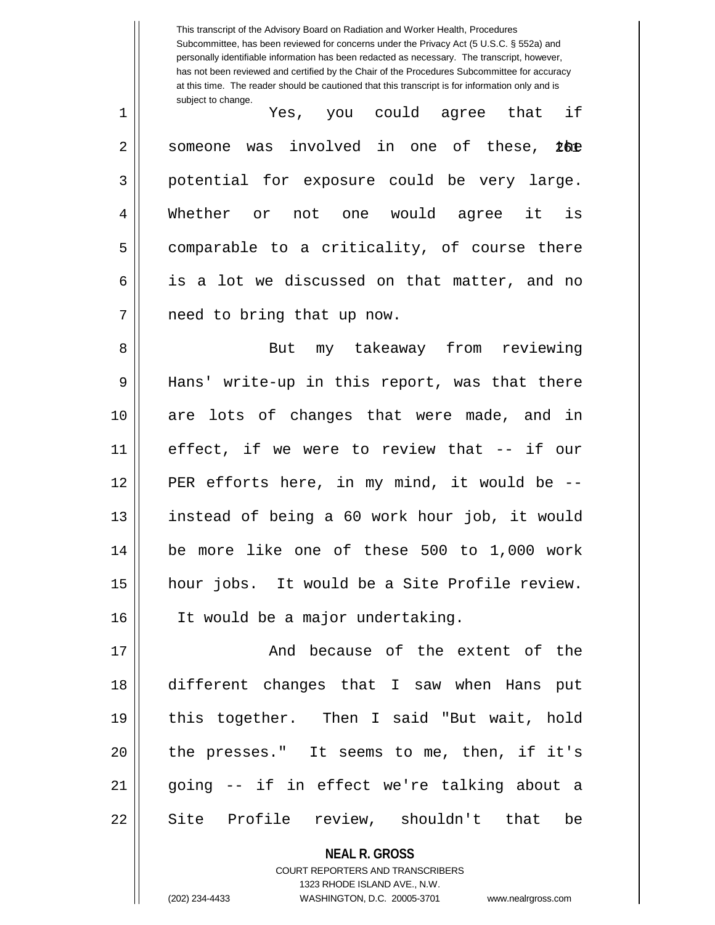|    | This transcript of the Advisory Board on Radiation and Worker Health, Procedures<br>Subcommittee, has been reviewed for concerns under the Privacy Act (5 U.S.C. § 552a) and<br>personally identifiable information has been redacted as necessary. The transcript, however,<br>has not been reviewed and certified by the Chair of the Procedures Subcommittee for accuracy<br>at this time. The reader should be cautioned that this transcript is for information only and is |  |
|----|----------------------------------------------------------------------------------------------------------------------------------------------------------------------------------------------------------------------------------------------------------------------------------------------------------------------------------------------------------------------------------------------------------------------------------------------------------------------------------|--|
| 1  | subject to change.<br>Yes, you could agree that if                                                                                                                                                                                                                                                                                                                                                                                                                               |  |
| 2  | involved in one of these,<br><b>Lbe</b><br>someone<br>was                                                                                                                                                                                                                                                                                                                                                                                                                        |  |
| 3  | potential for exposure could be very large.                                                                                                                                                                                                                                                                                                                                                                                                                                      |  |
| 4  | Whether or<br>not one would agree it<br>is                                                                                                                                                                                                                                                                                                                                                                                                                                       |  |
| 5  | comparable to a criticality, of course there                                                                                                                                                                                                                                                                                                                                                                                                                                     |  |
| 6  | is a lot we discussed on that matter, and no                                                                                                                                                                                                                                                                                                                                                                                                                                     |  |
| 7  | need to bring that up now.                                                                                                                                                                                                                                                                                                                                                                                                                                                       |  |
| 8  | my takeaway from reviewing<br>But                                                                                                                                                                                                                                                                                                                                                                                                                                                |  |
| 9  | Hans' write-up in this report, was that there                                                                                                                                                                                                                                                                                                                                                                                                                                    |  |
| 10 | are lots of changes that were made, and in                                                                                                                                                                                                                                                                                                                                                                                                                                       |  |
| 11 | effect, if we were to review that -- if our                                                                                                                                                                                                                                                                                                                                                                                                                                      |  |
| 12 | PER efforts here, in my mind, it would be --                                                                                                                                                                                                                                                                                                                                                                                                                                     |  |
| 13 | instead of being a 60 work hour job, it would                                                                                                                                                                                                                                                                                                                                                                                                                                    |  |
| 14 | be more like one of these 500 to 1,000 work                                                                                                                                                                                                                                                                                                                                                                                                                                      |  |
| 15 | hour jobs. It would be a Site Profile review.                                                                                                                                                                                                                                                                                                                                                                                                                                    |  |
| 16 | It would be a major undertaking.                                                                                                                                                                                                                                                                                                                                                                                                                                                 |  |
| 17 | And because of the extent of the                                                                                                                                                                                                                                                                                                                                                                                                                                                 |  |
| 18 | different changes that I saw when Hans put                                                                                                                                                                                                                                                                                                                                                                                                                                       |  |
| 19 | this together. Then I said "But wait, hold                                                                                                                                                                                                                                                                                                                                                                                                                                       |  |
| 20 | the presses." It seems to me, then, if it's                                                                                                                                                                                                                                                                                                                                                                                                                                      |  |
| 21 | going -- if in effect we're talking about a                                                                                                                                                                                                                                                                                                                                                                                                                                      |  |
| 22 | Site Profile review, shouldn't that be                                                                                                                                                                                                                                                                                                                                                                                                                                           |  |
|    | <b>NEAL R. GROSS</b>                                                                                                                                                                                                                                                                                                                                                                                                                                                             |  |

COURT REPORTERS AND TRANSCRIBERS 1323 RHODE ISLAND AVE., N.W.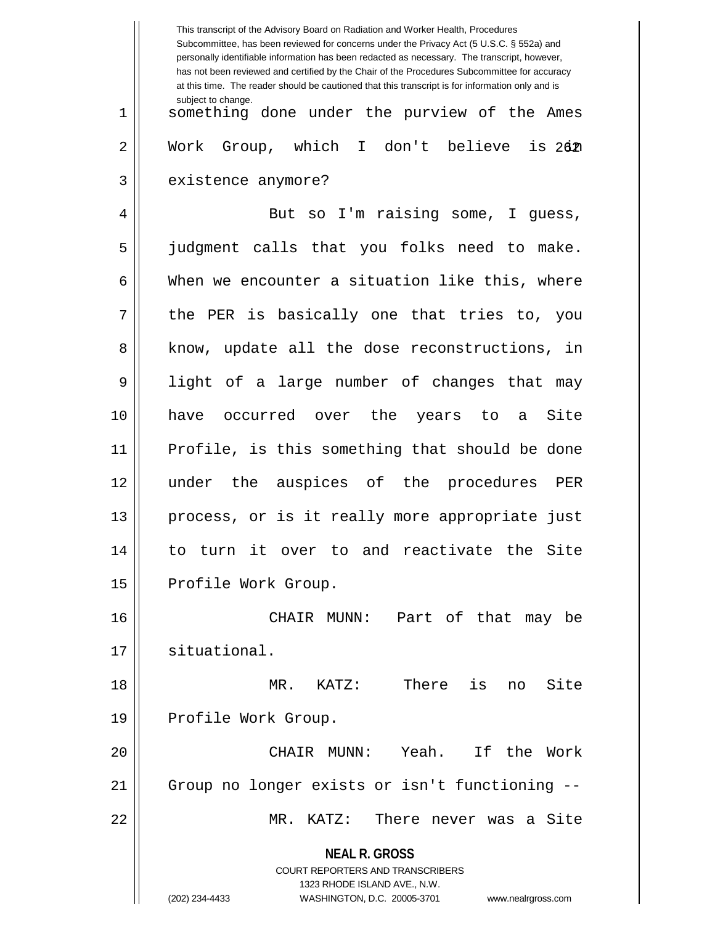**NEAL R. GROSS** COURT REPORTERS AND TRANSCRIBERS 1323 RHODE ISLAND AVE., N.W. (202) 234-4433 WASHINGTON, D.C. 20005-3701 www.nealrgross.com This transcript of the Advisory Board on Radiation and Worker Health, Procedures Subcommittee, has been reviewed for concerns under the Privacy Act (5 U.S.C. § 552a) and personally identifiable information has been redacted as necessary. The transcript, however, has not been reviewed and certified by the Chair of the Procedures Subcommittee for accuracy at this time. The reader should be cautioned that this transcript is for information only and is subject to change.  $is 262$ 1 something done under the purview of the Ames 2 Work Group, which I don't believe 3 | existence anymore? 4 || But so I'm raising some, I guess, 5 judgment calls that you folks need to make.  $6 \parallel$  When we encounter a situation like this, where  $7 \parallel$  the PER is basically one that tries to, you 8 || know, update all the dose reconstructions, in 9 light of a large number of changes that may 10 have occurred over the years to a Site 11 Profile, is this something that should be done 12 under the auspices of the procedures PER 13 || process, or is it really more appropriate just 14 to turn it over to and reactivate the Site 15 | Profile Work Group. 16 CHAIR MUNN: Part of that may be 17 | situational. 18 MR. KATZ: There is no Site 19 || Profile Work Group. 20 CHAIR MUNN: Yeah. If the Work 21 Group no longer exists or isn't functioning -- 22 MR. KATZ: There never was a Site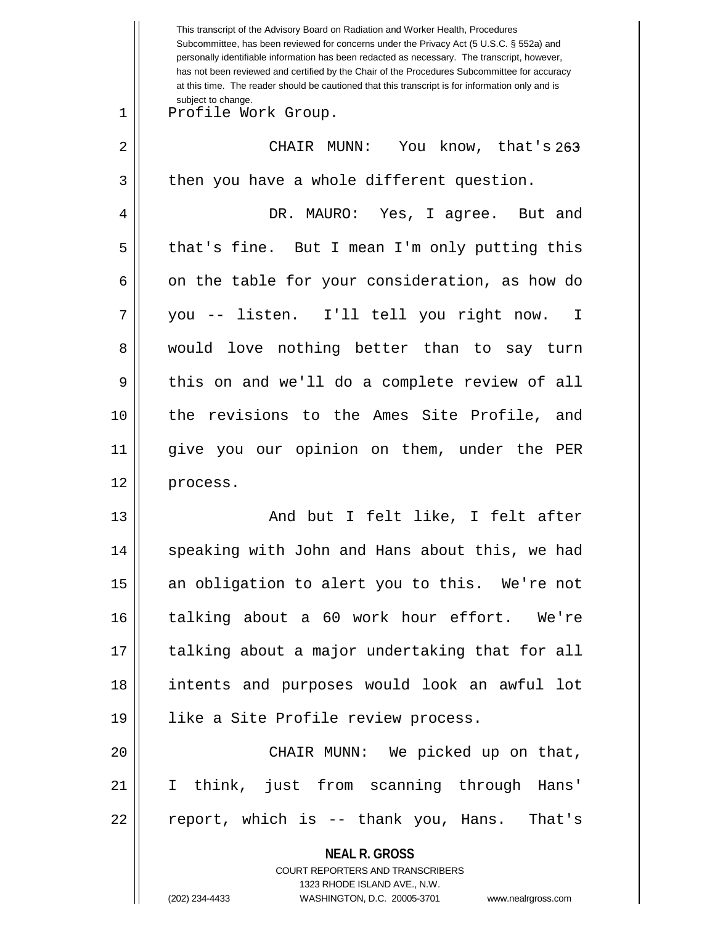|    | This transcript of the Advisory Board on Radiation and Worker Health, Procedures<br>Subcommittee, has been reviewed for concerns under the Privacy Act (5 U.S.C. § 552a) and<br>personally identifiable information has been redacted as necessary. The transcript, however,<br>has not been reviewed and certified by the Chair of the Procedures Subcommittee for accuracy<br>at this time. The reader should be cautioned that this transcript is for information only and is |  |
|----|----------------------------------------------------------------------------------------------------------------------------------------------------------------------------------------------------------------------------------------------------------------------------------------------------------------------------------------------------------------------------------------------------------------------------------------------------------------------------------|--|
| 1  | subject to change.<br>Profile Work Group.                                                                                                                                                                                                                                                                                                                                                                                                                                        |  |
| 2  | CHAIR MUNN:<br>You know, that's 263                                                                                                                                                                                                                                                                                                                                                                                                                                              |  |
| 3  | then you have a whole different question.                                                                                                                                                                                                                                                                                                                                                                                                                                        |  |
| 4  | DR. MAURO: Yes, I agree. But and                                                                                                                                                                                                                                                                                                                                                                                                                                                 |  |
| 5  | that's fine. But I mean I'm only putting this                                                                                                                                                                                                                                                                                                                                                                                                                                    |  |
| 6  | on the table for your consideration, as how do                                                                                                                                                                                                                                                                                                                                                                                                                                   |  |
| 7  | you -- listen. I'll tell you right now. I                                                                                                                                                                                                                                                                                                                                                                                                                                        |  |
| 8  | would love nothing better than to say turn                                                                                                                                                                                                                                                                                                                                                                                                                                       |  |
| 9  | this on and we'll do a complete review of all                                                                                                                                                                                                                                                                                                                                                                                                                                    |  |
| 10 | the revisions to the Ames Site Profile, and                                                                                                                                                                                                                                                                                                                                                                                                                                      |  |
| 11 | give you our opinion on them, under the PER                                                                                                                                                                                                                                                                                                                                                                                                                                      |  |
| 12 | process.                                                                                                                                                                                                                                                                                                                                                                                                                                                                         |  |
| 13 | And but I felt like, I felt after                                                                                                                                                                                                                                                                                                                                                                                                                                                |  |
| 14 | speaking with John and Hans about this, we had                                                                                                                                                                                                                                                                                                                                                                                                                                   |  |
| 15 | an obligation to alert you to this. We're not                                                                                                                                                                                                                                                                                                                                                                                                                                    |  |
| 16 | talking about a 60 work hour effort. We're                                                                                                                                                                                                                                                                                                                                                                                                                                       |  |
| 17 | talking about a major undertaking that for all                                                                                                                                                                                                                                                                                                                                                                                                                                   |  |
| 18 | intents and purposes would look an awful lot                                                                                                                                                                                                                                                                                                                                                                                                                                     |  |
| 19 | like a Site Profile review process.                                                                                                                                                                                                                                                                                                                                                                                                                                              |  |
| 20 | CHAIR MUNN: We picked up on that,                                                                                                                                                                                                                                                                                                                                                                                                                                                |  |
| 21 | I think, just from scanning through Hans'                                                                                                                                                                                                                                                                                                                                                                                                                                        |  |
| 22 | report, which is -- thank you, Hans. That's                                                                                                                                                                                                                                                                                                                                                                                                                                      |  |
|    | <b>NEAL R. GROSS</b>                                                                                                                                                                                                                                                                                                                                                                                                                                                             |  |
|    | COURT REPORTERS AND TRANSCRIBERS<br>1323 RHODE ISLAND AVE., N.W.                                                                                                                                                                                                                                                                                                                                                                                                                 |  |
|    | (202) 234-4433<br>WASHINGTON, D.C. 20005-3701<br>www.nealrgross.com                                                                                                                                                                                                                                                                                                                                                                                                              |  |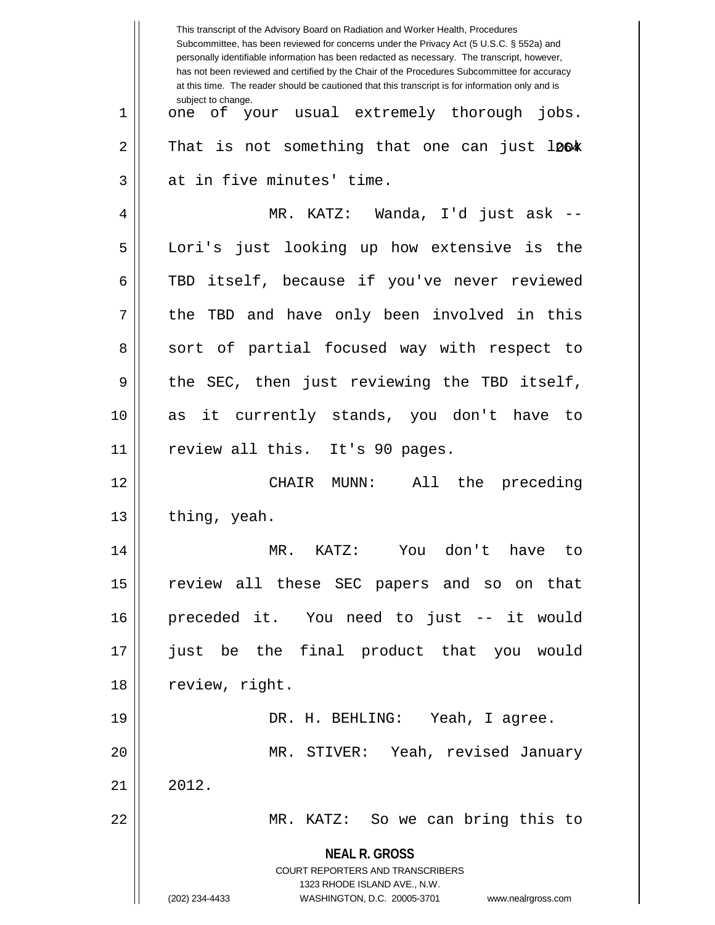|    | This transcript of the Advisory Board on Radiation and Worker Health, Procedures<br>Subcommittee, has been reviewed for concerns under the Privacy Act (5 U.S.C. § 552a) and<br>personally identifiable information has been redacted as necessary. The transcript, however,<br>has not been reviewed and certified by the Chair of the Procedures Subcommittee for accuracy<br>at this time. The reader should be cautioned that this transcript is for information only and is |  |
|----|----------------------------------------------------------------------------------------------------------------------------------------------------------------------------------------------------------------------------------------------------------------------------------------------------------------------------------------------------------------------------------------------------------------------------------------------------------------------------------|--|
| 1  | subject to change.<br>one of your usual extremely thorough jobs.                                                                                                                                                                                                                                                                                                                                                                                                                 |  |
| 2  | That is not something that one can just lø6*                                                                                                                                                                                                                                                                                                                                                                                                                                     |  |
| 3  | at in five minutes' time.                                                                                                                                                                                                                                                                                                                                                                                                                                                        |  |
| 4  | MR. KATZ: Wanda, I'd just ask --                                                                                                                                                                                                                                                                                                                                                                                                                                                 |  |
| 5  | Lori's just looking up how extensive is the                                                                                                                                                                                                                                                                                                                                                                                                                                      |  |
| 6  | TBD itself, because if you've never reviewed                                                                                                                                                                                                                                                                                                                                                                                                                                     |  |
| 7  | TBD and have only been involved in this<br>the                                                                                                                                                                                                                                                                                                                                                                                                                                   |  |
| 8  | sort of partial focused way with respect to                                                                                                                                                                                                                                                                                                                                                                                                                                      |  |
| 9  | the SEC, then just reviewing the TBD itself,                                                                                                                                                                                                                                                                                                                                                                                                                                     |  |
| 10 | as it currently stands, you don't have to                                                                                                                                                                                                                                                                                                                                                                                                                                        |  |
| 11 | review all this. It's 90 pages.                                                                                                                                                                                                                                                                                                                                                                                                                                                  |  |
| 12 | $MUNN$ :<br>All the preceding<br>CHAIR                                                                                                                                                                                                                                                                                                                                                                                                                                           |  |
| 13 | thing, yeah.                                                                                                                                                                                                                                                                                                                                                                                                                                                                     |  |
| 14 | MR. KATZ: You don't have to                                                                                                                                                                                                                                                                                                                                                                                                                                                      |  |
| 15 | review all these SEC papers and so on that                                                                                                                                                                                                                                                                                                                                                                                                                                       |  |
| 16 | preceded it. You need to just -- it would                                                                                                                                                                                                                                                                                                                                                                                                                                        |  |
| 17 | just be the final product that you would                                                                                                                                                                                                                                                                                                                                                                                                                                         |  |
| 18 | review, right.                                                                                                                                                                                                                                                                                                                                                                                                                                                                   |  |
| 19 | DR. H. BEHLING: Yeah, I agree.                                                                                                                                                                                                                                                                                                                                                                                                                                                   |  |
| 20 | MR. STIVER: Yeah, revised January                                                                                                                                                                                                                                                                                                                                                                                                                                                |  |
| 21 | 2012.                                                                                                                                                                                                                                                                                                                                                                                                                                                                            |  |
| 22 | MR. KATZ: So we can bring this to                                                                                                                                                                                                                                                                                                                                                                                                                                                |  |
|    | <b>NEAL R. GROSS</b>                                                                                                                                                                                                                                                                                                                                                                                                                                                             |  |
|    | COURT REPORTERS AND TRANSCRIBERS                                                                                                                                                                                                                                                                                                                                                                                                                                                 |  |
|    | 1323 RHODE ISLAND AVE., N.W.<br>(202) 234-4433<br>WASHINGTON, D.C. 20005-3701<br>www.nealrgross.com                                                                                                                                                                                                                                                                                                                                                                              |  |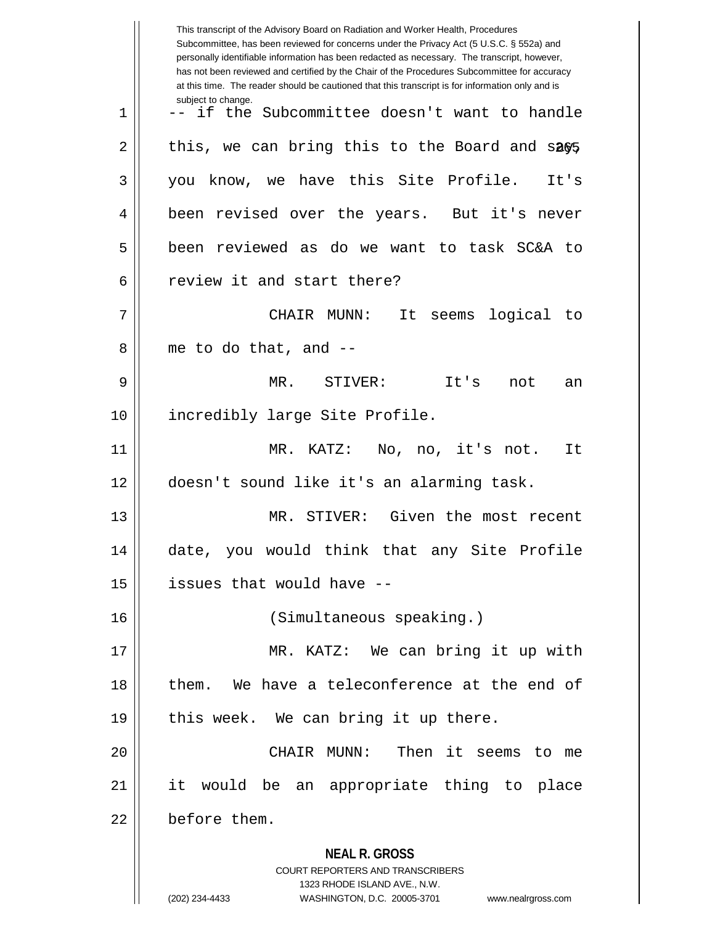|    | This transcript of the Advisory Board on Radiation and Worker Health, Procedures<br>Subcommittee, has been reviewed for concerns under the Privacy Act (5 U.S.C. § 552a) and<br>personally identifiable information has been redacted as necessary. The transcript, however,<br>has not been reviewed and certified by the Chair of the Procedures Subcommittee for accuracy<br>at this time. The reader should be cautioned that this transcript is for information only and is |  |
|----|----------------------------------------------------------------------------------------------------------------------------------------------------------------------------------------------------------------------------------------------------------------------------------------------------------------------------------------------------------------------------------------------------------------------------------------------------------------------------------|--|
| 1  | subject to change.<br>-- if the Subcommittee doesn't want to handle                                                                                                                                                                                                                                                                                                                                                                                                              |  |
| 2  | this, we can bring this to the Board and $sa\$                                                                                                                                                                                                                                                                                                                                                                                                                                   |  |
| 3  | you know, we have this Site Profile.<br>It's                                                                                                                                                                                                                                                                                                                                                                                                                                     |  |
| 4  | been revised over the years. But it's never                                                                                                                                                                                                                                                                                                                                                                                                                                      |  |
| 5  | been reviewed as do we want to task SC&A to                                                                                                                                                                                                                                                                                                                                                                                                                                      |  |
| 6  | review it and start there?                                                                                                                                                                                                                                                                                                                                                                                                                                                       |  |
| 7  | It<br>seems logical to<br>CHAIR MUNN:                                                                                                                                                                                                                                                                                                                                                                                                                                            |  |
| 8  | me to do that, and --                                                                                                                                                                                                                                                                                                                                                                                                                                                            |  |
| 9  | MR. STIVER:<br>It's<br>not<br>an                                                                                                                                                                                                                                                                                                                                                                                                                                                 |  |
| 10 | incredibly large Site Profile.                                                                                                                                                                                                                                                                                                                                                                                                                                                   |  |
| 11 | MR. KATZ: No, no, it's not.<br>It                                                                                                                                                                                                                                                                                                                                                                                                                                                |  |
| 12 | doesn't sound like it's an alarming task.                                                                                                                                                                                                                                                                                                                                                                                                                                        |  |
| 13 | MR. STIVER: Given the most recent                                                                                                                                                                                                                                                                                                                                                                                                                                                |  |
| 14 | date, you would think that any Site Profile                                                                                                                                                                                                                                                                                                                                                                                                                                      |  |
| 15 | issues that would have --                                                                                                                                                                                                                                                                                                                                                                                                                                                        |  |
| 16 | (Simultaneous speaking.)                                                                                                                                                                                                                                                                                                                                                                                                                                                         |  |
| 17 | MR. KATZ: We can bring it up with                                                                                                                                                                                                                                                                                                                                                                                                                                                |  |
| 18 | them. We have a teleconference at the end of                                                                                                                                                                                                                                                                                                                                                                                                                                     |  |
| 19 | this week. We can bring it up there.                                                                                                                                                                                                                                                                                                                                                                                                                                             |  |
| 20 | CHAIR MUNN: Then it seems to me                                                                                                                                                                                                                                                                                                                                                                                                                                                  |  |
| 21 | it would be an appropriate thing to place                                                                                                                                                                                                                                                                                                                                                                                                                                        |  |
| 22 | before them.                                                                                                                                                                                                                                                                                                                                                                                                                                                                     |  |
|    | <b>NEAL R. GROSS</b><br><b>COURT REPORTERS AND TRANSCRIBERS</b><br>1323 RHODE ISLAND AVE., N.W.<br>(202) 234-4433<br>WASHINGTON, D.C. 20005-3701<br>www.nealrgross.com                                                                                                                                                                                                                                                                                                           |  |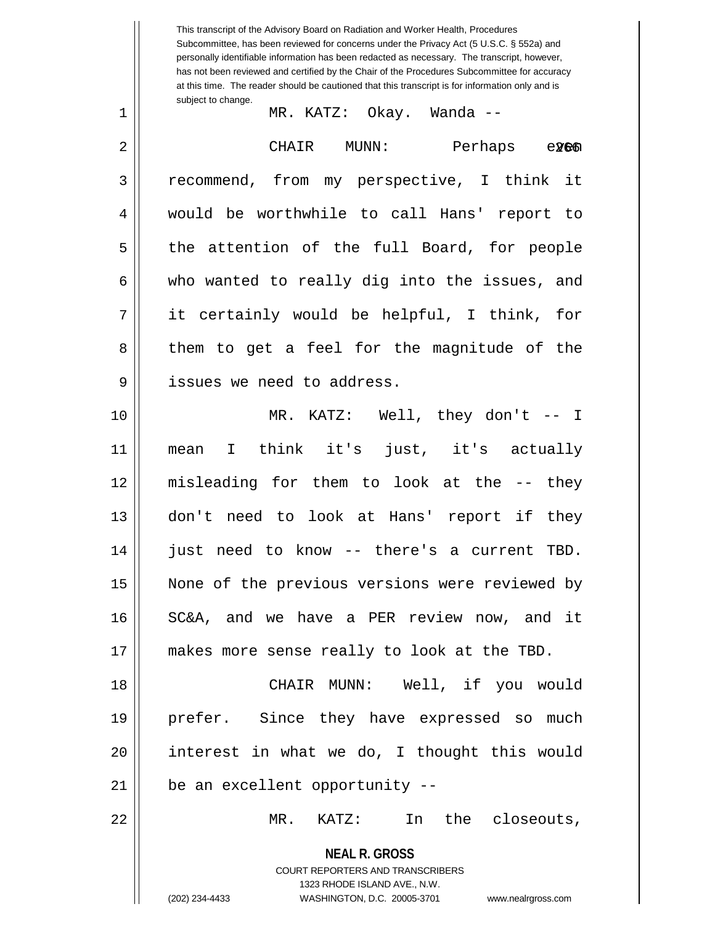**NEAL R. GROSS** COURT REPORTERS AND TRANSCRIBERS 1323 RHODE ISLAND AVE., N.W. (202) 234-4433 WASHINGTON, D.C. 20005-3701 www.nealrgross.com This transcript of the Advisory Board on Radiation and Worker Health, Procedures Subcommittee, has been reviewed for concerns under the Privacy Act (5 U.S.C. § 552a) and personally identifiable information has been redacted as necessary. The transcript, however, has not been reviewed and certified by the Chair of the Procedures Subcommittee for accuracy at this time. The reader should be cautioned that this transcript is for information only and is subject to change.  $e$ 266 1 MR. KATZ: Okay. Wanda -- 2 CHAIR MUNN: Perhaps even 3 recommend, from my perspective, I think it 4 would be worthwhile to call Hans' report to  $5 \parallel$  the attention of the full Board, for people  $6 \parallel$  who wanted to really dig into the issues, and  $7 \parallel$  it certainly would be helpful, I think, for 8 them to get a feel for the magnitude of the 9 || issues we need to address. 10 MR. KATZ: Well, they don't -- I 11 mean I think it's just, it's actually 12 misleading for them to look at the -- they 13 don't need to look at Hans' report if they 14 just need to know -- there's a current TBD. 15 || None of the previous versions were reviewed by 16 SC&A, and we have a PER review now, and it 17 || makes more sense really to look at the TBD. 18 CHAIR MUNN: Well, if you would 19 prefer. Since they have expressed so much 20 interest in what we do, I thought this would  $21$  | be an excellent opportunity  $-$ 22 MR. KATZ: In the closeouts,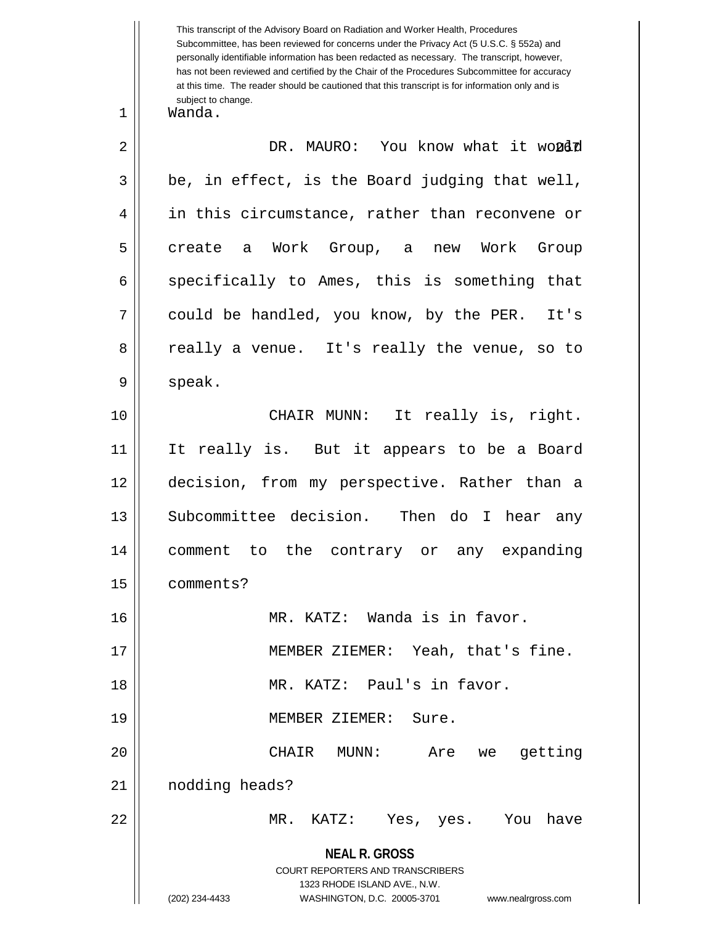**NEAL R. GROSS** COURT REPORTERS AND TRANSCRIBERS 1323 RHODE ISLAND AVE., N.W. (202) 234-4433 WASHINGTON, D.C. 20005-3701 www.nealrgross.com Subcommittee, has been reviewed for concerns under the Privacy Act (5 U.S.C. § 552a) and personally identifiable information has been redacted as necessary. The transcript, however, has not been reviewed and certified by the Chair of the Procedures Subcommittee for accuracy at this time. The reader should be cautioned that this transcript is for information only and is subject to change. 267 2 DR. MAURO: You know what it would 1 Wanda.  $3 \parallel$  be, in effect, is the Board judging that well, 4 || in this circumstance, rather than reconvene or 5|| create a Work Group, a new Work Group  $6 \parallel$  specifically to Ames, this is something that 7 || could be handled, you know, by the PER. It's 8 || really a venue. It's really the venue, so to  $9 \parallel$  speak. 10 CHAIR MUNN: It really is, right. 11 It really is. But it appears to be a Board 12 decision, from my perspective. Rather than a 13 || Subcommittee decision. Then do I hear any 14 comment to the contrary or any expanding 15 comments? 16 MR. KATZ: Wanda is in favor. 17 || MEMBER ZIEMER: Yeah, that's fine. 18 MR. KATZ: Paul's in favor. 19 || MEMBER ZIEMER: Sure. 20 CHAIR MUNN: Are we getting 21 | nodding heads? 22 MR. KATZ: Yes, yes. You have

This transcript of the Advisory Board on Radiation and Worker Health, Procedures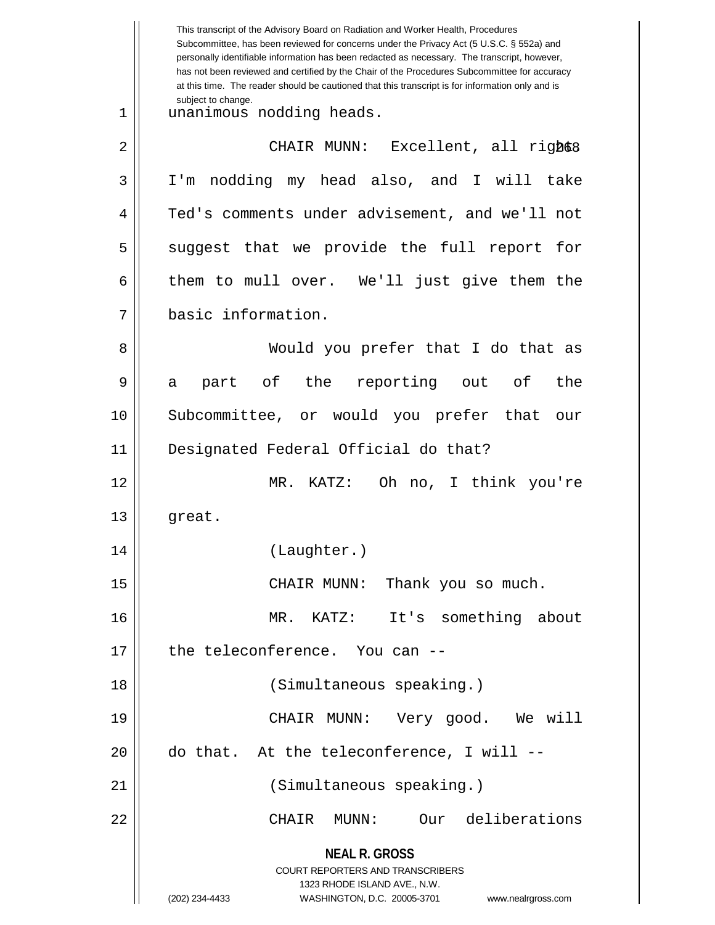**NEAL R. GROSS** COURT REPORTERS AND TRANSCRIBERS 1323 RHODE ISLAND AVE., N.W. (202) 234-4433 WASHINGTON, D.C. 20005-3701 www.nealrgross.com This transcript of the Advisory Board on Radiation and Worker Health, Procedures Subcommittee, has been reviewed for concerns under the Privacy Act (5 U.S.C. § 552a) and personally identifiable information has been redacted as necessary. The transcript, however, has not been reviewed and certified by the Chair of the Procedures Subcommittee for accuracy at this time. The reader should be cautioned that this transcript is for information only and is subject to change. 268 2 CHAIR MUNN: Excellent, all right. 1 unanimous nodding heads. 3 I'm nodding my head also, and I will take 4 Ted's comments under advisement, and we'll not  $5 \parallel$  suggest that we provide the full report for  $6 \parallel$  them to mull over. We'll just give them the 7 basic information. 8 || Would you prefer that I do that as 9 a part of the reporting out of the 10 Subcommittee, or would you prefer that our 11 Designated Federal Official do that? 12 MR. KATZ: Oh no, I think you're 13 || great. 14 (Laughter.) 15 || CHAIR MUNN: Thank you so much. 16 MR. KATZ: It's something about 17 degree teleconference. You can --18 (Simultaneous speaking.) 19 CHAIR MUNN: Very good. We will  $20$  || do that. At the teleconference, I will  $-$ 21 (Simultaneous speaking.) 22 CHAIR MUNN: Our deliberations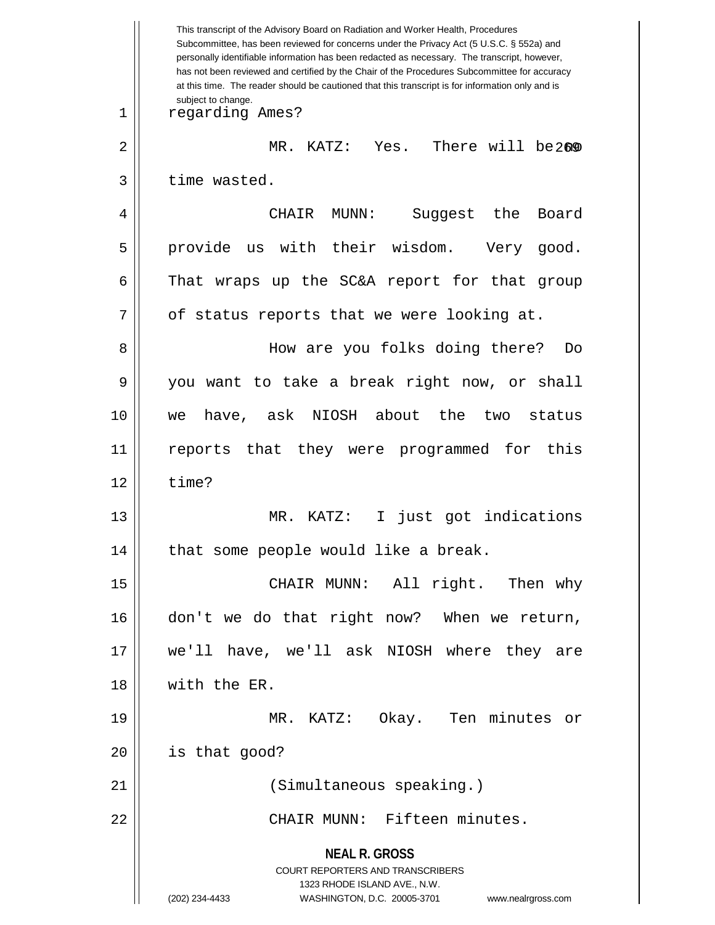**NEAL R. GROSS** COURT REPORTERS AND TRANSCRIBERS 1323 RHODE ISLAND AVE., N.W. (202) 234-4433 WASHINGTON, D.C. 20005-3701 www.nealrgross.com This transcript of the Advisory Board on Radiation and Worker Health, Procedures Subcommittee, has been reviewed for concerns under the Privacy Act (5 U.S.C. § 552a) and personally identifiable information has been redacted as necessary. The transcript, however, has not been reviewed and certified by the Chair of the Procedures Subcommittee for accuracy at this time. The reader should be cautioned that this transcript is for information only and is subject to change. 2 || MR. KATZ: Yes. There will be2®0 1 regarding Ames?  $3$  | time wasted. 4 CHAIR MUNN: Suggest the Board 5 || provide us with their wisdom. Very good.  $6 \parallel$  That wraps up the SC&A report for that group  $7 \parallel$  of status reports that we were looking at. 8 How are you folks doing there? Do 9 you want to take a break right now, or shall 10 we have, ask NIOSH about the two status 11 reports that they were programmed for this  $12 \parallel$  time? 13 || MR. KATZ: I just got indications 14 || that some people would like a break. 15 || CHAIR MUNN: All right. Then why 16 || don't we do that right now? When we return, 17 we'll have, we'll ask NIOSH where they are 18 with the ER. 19 MR. KATZ: Okay. Ten minutes or  $20$  | is that good? 21 (Simultaneous speaking.) 22 CHAIR MUNN: Fifteen minutes.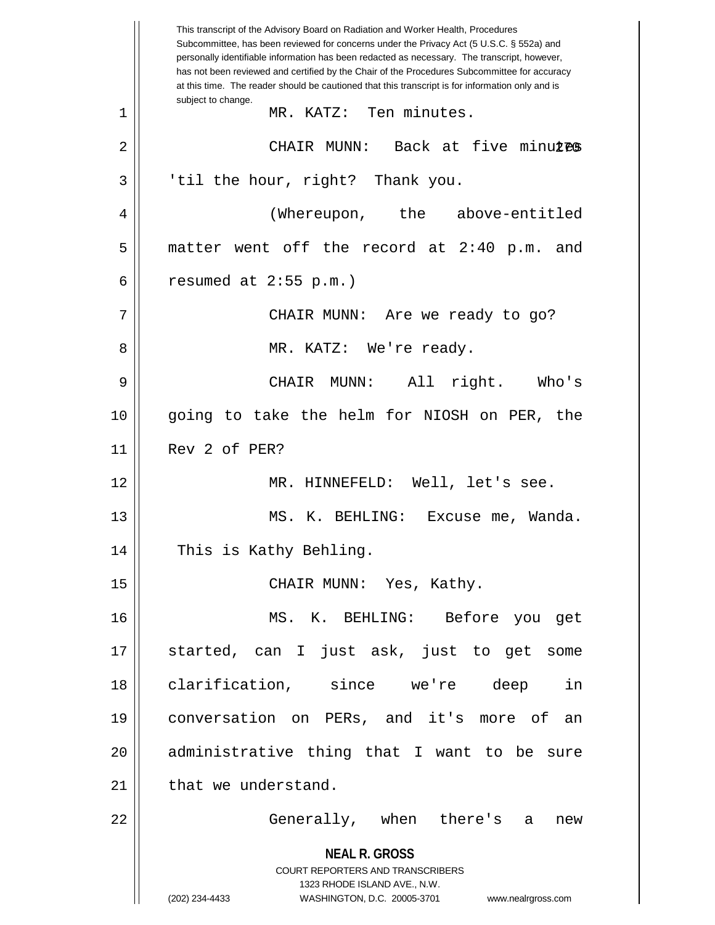**NEAL R. GROSS** COURT REPORTERS AND TRANSCRIBERS 1323 RHODE ISLAND AVE., N.W. (202) 234-4433 WASHINGTON, D.C. 20005-3701 www.nealrgross.com This transcript of the Advisory Board on Radiation and Worker Health, Procedures Subcommittee, has been reviewed for concerns under the Privacy Act (5 U.S.C. § 552a) and personally identifiable information has been redacted as necessary. The transcript, however, has not been reviewed and certified by the Chair of the Procedures Subcommittee for accuracy at this time. The reader should be cautioned that this transcript is for information only and is subject to change. 270 2 CHAIR MUNN: Back at five minutes 1 MR. KATZ: Ten minutes.  $3 \parallel$  'til the hour, right? Thank you. 4 (Whereupon, the above-entitled  $5 \parallel$  matter went off the record at 2:40 p.m. and 6 | resumed at  $2:55$  p.m.) 7 CHAIR MUNN: Are we ready to go? 8 MR. KATZ: We're ready. 9 CHAIR MUNN: All right. Who's 10 going to take the helm for NIOSH on PER, the 11 Rev 2 of PER? 12 MR. HINNEFELD: Well, let's see. 13 MS. K. BEHLING: Excuse me, Wanda. 14 This is Kathy Behling. 15 || CHAIR MUNN: Yes, Kathy. 16 MS. K. BEHLING: Before you get 17 started, can I just ask, just to get some 18 clarification, since we're deep in 19 conversation on PERs, and it's more of an 20 || administrative thing that I want to be sure  $21$  | that we understand. 22 || Generally, when there's a new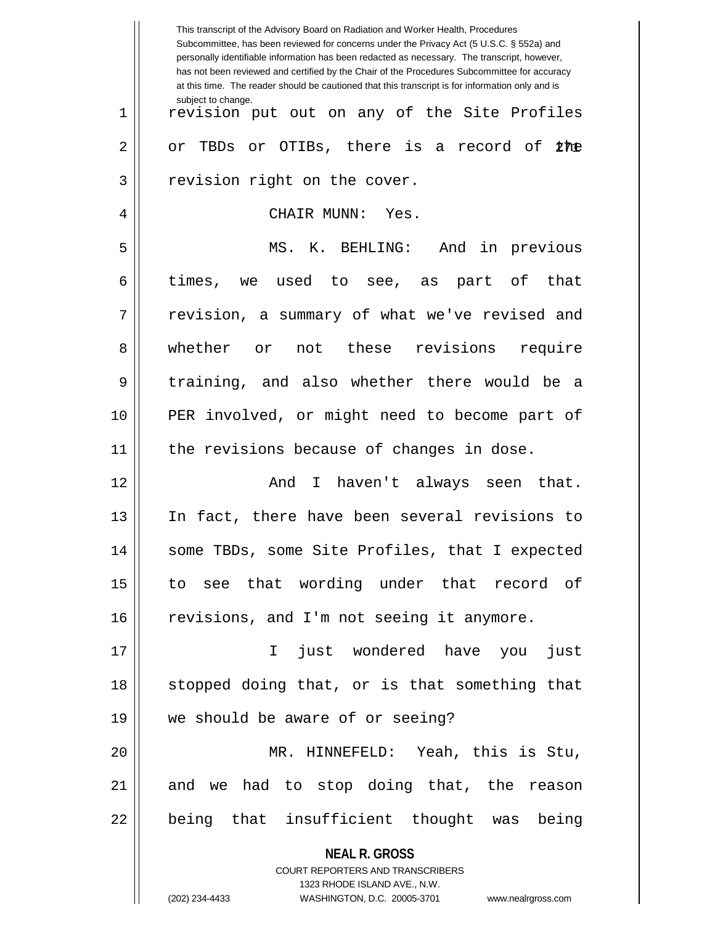|    | This transcript of the Advisory Board on Radiation and Worker Health, Procedures<br>Subcommittee, has been reviewed for concerns under the Privacy Act (5 U.S.C. § 552a) and<br>personally identifiable information has been redacted as necessary. The transcript, however,<br>has not been reviewed and certified by the Chair of the Procedures Subcommittee for accuracy<br>at this time. The reader should be cautioned that this transcript is for information only and is |  |
|----|----------------------------------------------------------------------------------------------------------------------------------------------------------------------------------------------------------------------------------------------------------------------------------------------------------------------------------------------------------------------------------------------------------------------------------------------------------------------------------|--|
| 1  | subject to change.<br>revision put out on any of the Site Profiles                                                                                                                                                                                                                                                                                                                                                                                                               |  |
| 2  | or OTIBs, there is a record of<br>or TBDs<br>the                                                                                                                                                                                                                                                                                                                                                                                                                                 |  |
| 3  | revision right on the cover.                                                                                                                                                                                                                                                                                                                                                                                                                                                     |  |
| 4  | CHAIR MUNN:<br>Yes.                                                                                                                                                                                                                                                                                                                                                                                                                                                              |  |
| 5  | MS. K. BEHLING: And in previous                                                                                                                                                                                                                                                                                                                                                                                                                                                  |  |
| 6  | times,<br>we used to see, as part of<br>that                                                                                                                                                                                                                                                                                                                                                                                                                                     |  |
| 7  | revision, a summary of what we've revised and                                                                                                                                                                                                                                                                                                                                                                                                                                    |  |
| 8  | whether or<br>not these revisions<br>require                                                                                                                                                                                                                                                                                                                                                                                                                                     |  |
| 9  | training, and also whether there would be a                                                                                                                                                                                                                                                                                                                                                                                                                                      |  |
| 10 | PER involved, or might need to become part of                                                                                                                                                                                                                                                                                                                                                                                                                                    |  |
| 11 | the revisions because of changes in dose.                                                                                                                                                                                                                                                                                                                                                                                                                                        |  |
| 12 | I haven't always seen that.<br>And                                                                                                                                                                                                                                                                                                                                                                                                                                               |  |
| 13 | In fact, there have been several revisions to                                                                                                                                                                                                                                                                                                                                                                                                                                    |  |
| 14 | some TBDs, some Site Profiles, that I expected                                                                                                                                                                                                                                                                                                                                                                                                                                   |  |
| 15 | to see that wording under that record of                                                                                                                                                                                                                                                                                                                                                                                                                                         |  |
| 16 | revisions, and I'm not seeing it anymore.                                                                                                                                                                                                                                                                                                                                                                                                                                        |  |
| 17 | just wondered have you<br>just<br>$\mathbf{I}$                                                                                                                                                                                                                                                                                                                                                                                                                                   |  |
| 18 | stopped doing that, or is that something that                                                                                                                                                                                                                                                                                                                                                                                                                                    |  |
| 19 | we should be aware of or seeing?                                                                                                                                                                                                                                                                                                                                                                                                                                                 |  |
| 20 | MR. HINNEFELD: Yeah, this is Stu,                                                                                                                                                                                                                                                                                                                                                                                                                                                |  |
| 21 | and we had to stop doing that, the reason                                                                                                                                                                                                                                                                                                                                                                                                                                        |  |
| 22 | being that insufficient thought was being                                                                                                                                                                                                                                                                                                                                                                                                                                        |  |
|    | <b>NEAL R. GROSS</b>                                                                                                                                                                                                                                                                                                                                                                                                                                                             |  |
|    | COURT REPORTERS AND TRANSCRIBERS<br>1323 RHODE ISLAND AVE., N.W.                                                                                                                                                                                                                                                                                                                                                                                                                 |  |
|    | (202) 234-4433<br>WASHINGTON, D.C. 20005-3701 www.nealrgross.com                                                                                                                                                                                                                                                                                                                                                                                                                 |  |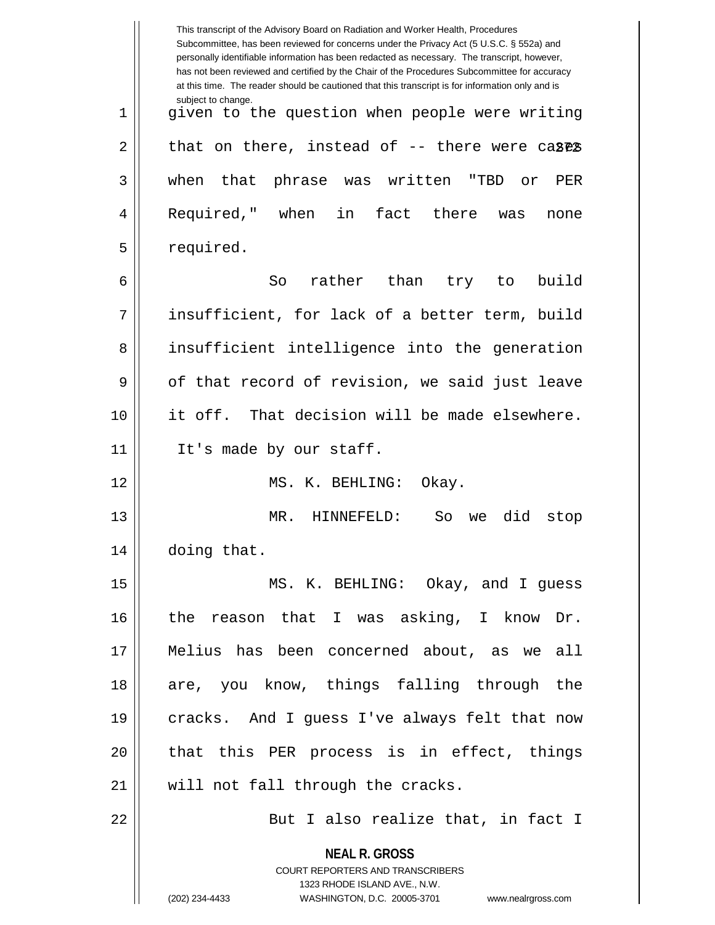|             | This transcript of the Advisory Board on Radiation and Worker Health, Procedures<br>Subcommittee, has been reviewed for concerns under the Privacy Act (5 U.S.C. § 552a) and<br>personally identifiable information has been redacted as necessary. The transcript, however,<br>has not been reviewed and certified by the Chair of the Procedures Subcommittee for accuracy<br>at this time. The reader should be cautioned that this transcript is for information only and is |  |
|-------------|----------------------------------------------------------------------------------------------------------------------------------------------------------------------------------------------------------------------------------------------------------------------------------------------------------------------------------------------------------------------------------------------------------------------------------------------------------------------------------|--|
| $\mathbf 1$ | subject to change.<br>given to the question when people were writing                                                                                                                                                                                                                                                                                                                                                                                                             |  |
| 2           | that on there, instead of $-$ - there were cases                                                                                                                                                                                                                                                                                                                                                                                                                                 |  |
| 3           | that phrase was written<br>when<br>"TBD<br>PER<br>or.                                                                                                                                                                                                                                                                                                                                                                                                                            |  |
| 4           | Required," when<br>in<br>fact there<br>was<br>none                                                                                                                                                                                                                                                                                                                                                                                                                               |  |
| 5           | required.                                                                                                                                                                                                                                                                                                                                                                                                                                                                        |  |
| 6           | rather than<br>build<br>So<br>try<br>to                                                                                                                                                                                                                                                                                                                                                                                                                                          |  |
| 7           | insufficient, for lack of a better term, build                                                                                                                                                                                                                                                                                                                                                                                                                                   |  |
| 8           | insufficient intelligence into the generation                                                                                                                                                                                                                                                                                                                                                                                                                                    |  |
| 9           | of that record of revision, we said just leave                                                                                                                                                                                                                                                                                                                                                                                                                                   |  |
| 10          | it off. That decision will be made elsewhere.                                                                                                                                                                                                                                                                                                                                                                                                                                    |  |
| 11          | It's made by our staff.                                                                                                                                                                                                                                                                                                                                                                                                                                                          |  |
| 12          | MS. K. BEHLING:<br>Okay.                                                                                                                                                                                                                                                                                                                                                                                                                                                         |  |
| 13          | HINNEFELD:<br>did<br>MR.<br>So<br>stop<br>we                                                                                                                                                                                                                                                                                                                                                                                                                                     |  |
| 14          | doing that.                                                                                                                                                                                                                                                                                                                                                                                                                                                                      |  |
| 15          | MS. K. BEHLING: Okay, and I guess                                                                                                                                                                                                                                                                                                                                                                                                                                                |  |
| 16          | the reason that I was asking, I know Dr.                                                                                                                                                                                                                                                                                                                                                                                                                                         |  |
| 17          | Melius has been concerned about, as we all                                                                                                                                                                                                                                                                                                                                                                                                                                       |  |
| 18          | are, you know, things falling through the                                                                                                                                                                                                                                                                                                                                                                                                                                        |  |
| 19          | cracks. And I guess I've always felt that now                                                                                                                                                                                                                                                                                                                                                                                                                                    |  |
| 20          | that this PER process is in effect, things                                                                                                                                                                                                                                                                                                                                                                                                                                       |  |
| 21          | will not fall through the cracks.                                                                                                                                                                                                                                                                                                                                                                                                                                                |  |
| 22          | But I also realize that, in fact I                                                                                                                                                                                                                                                                                                                                                                                                                                               |  |
|             | <b>NEAL R. GROSS</b><br><b>COURT REPORTERS AND TRANSCRIBERS</b><br>1323 RHODE ISLAND AVE., N.W.<br>(202) 234-4433<br>WASHINGTON, D.C. 20005-3701<br>www.nealrgross.com                                                                                                                                                                                                                                                                                                           |  |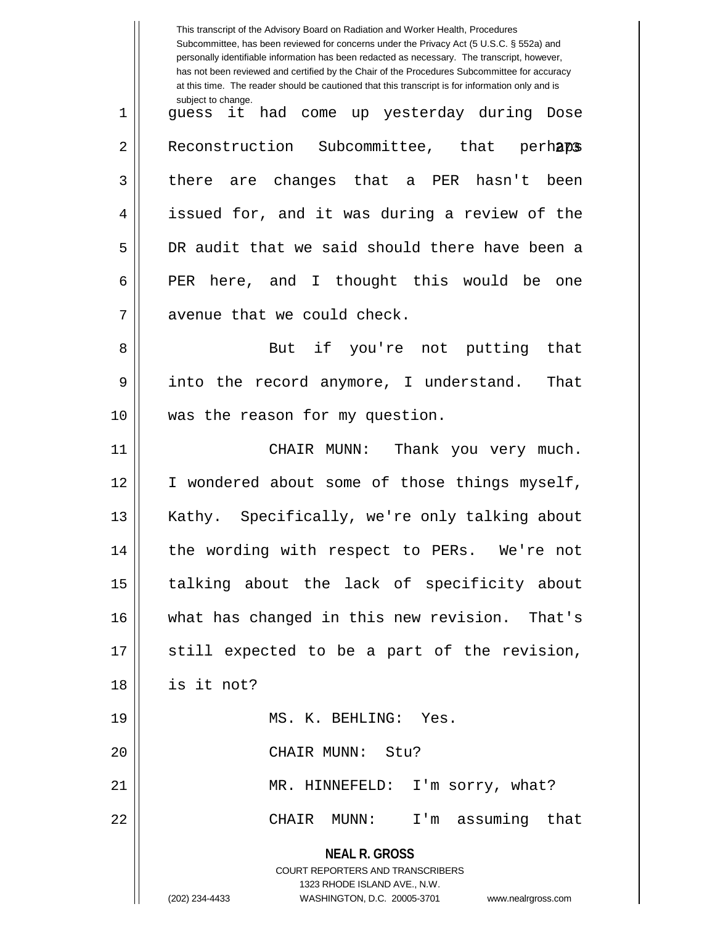|    | This transcript of the Advisory Board on Radiation and Worker Health, Procedures<br>Subcommittee, has been reviewed for concerns under the Privacy Act (5 U.S.C. § 552a) and<br>personally identifiable information has been redacted as necessary. The transcript, however,<br>has not been reviewed and certified by the Chair of the Procedures Subcommittee for accuracy<br>at this time. The reader should be cautioned that this transcript is for information only and is |  |
|----|----------------------------------------------------------------------------------------------------------------------------------------------------------------------------------------------------------------------------------------------------------------------------------------------------------------------------------------------------------------------------------------------------------------------------------------------------------------------------------|--|
| 1  | subject to change.<br>guess it had come up yesterday during Dose                                                                                                                                                                                                                                                                                                                                                                                                                 |  |
| 2  | Reconstruction Subcommittee, that perhaps                                                                                                                                                                                                                                                                                                                                                                                                                                        |  |
| 3  | there are changes that a PER hasn't been                                                                                                                                                                                                                                                                                                                                                                                                                                         |  |
| 4  | issued for, and it was during a review of the                                                                                                                                                                                                                                                                                                                                                                                                                                    |  |
| 5  | DR audit that we said should there have been a                                                                                                                                                                                                                                                                                                                                                                                                                                   |  |
| 6  | PER here, and I thought this would be<br>one                                                                                                                                                                                                                                                                                                                                                                                                                                     |  |
| 7  | avenue that we could check.                                                                                                                                                                                                                                                                                                                                                                                                                                                      |  |
| 8  | But if you're not putting<br>that                                                                                                                                                                                                                                                                                                                                                                                                                                                |  |
| 9  | the record anymore, I understand.<br>That<br>into                                                                                                                                                                                                                                                                                                                                                                                                                                |  |
| 10 | was the reason for my question.                                                                                                                                                                                                                                                                                                                                                                                                                                                  |  |
| 11 | Thank you very much.<br>CHAIR MUNN:                                                                                                                                                                                                                                                                                                                                                                                                                                              |  |
| 12 | I wondered about some of those things myself,                                                                                                                                                                                                                                                                                                                                                                                                                                    |  |
| 13 | Kathy. Specifically, we're only talking about                                                                                                                                                                                                                                                                                                                                                                                                                                    |  |
| 14 | the wording with respect to PERs. We're not                                                                                                                                                                                                                                                                                                                                                                                                                                      |  |
| 15 | talking about the lack of specificity about                                                                                                                                                                                                                                                                                                                                                                                                                                      |  |
| 16 | what has changed in this new revision. That's                                                                                                                                                                                                                                                                                                                                                                                                                                    |  |
| 17 | still expected to be a part of the revision,                                                                                                                                                                                                                                                                                                                                                                                                                                     |  |
| 18 | is it not?                                                                                                                                                                                                                                                                                                                                                                                                                                                                       |  |
| 19 | MS. K. BEHLING: Yes.                                                                                                                                                                                                                                                                                                                                                                                                                                                             |  |
| 20 | CHAIR MUNN: Stu?                                                                                                                                                                                                                                                                                                                                                                                                                                                                 |  |
| 21 | MR. HINNEFELD: I'm sorry, what?                                                                                                                                                                                                                                                                                                                                                                                                                                                  |  |
| 22 | I'm assuming that<br>CHAIR MUNN:                                                                                                                                                                                                                                                                                                                                                                                                                                                 |  |
|    | <b>NEAL R. GROSS</b><br><b>COURT REPORTERS AND TRANSCRIBERS</b><br>1323 RHODE ISLAND AVE., N.W.<br>(202) 234-4433<br>WASHINGTON, D.C. 20005-3701 www.nealrgross.com                                                                                                                                                                                                                                                                                                              |  |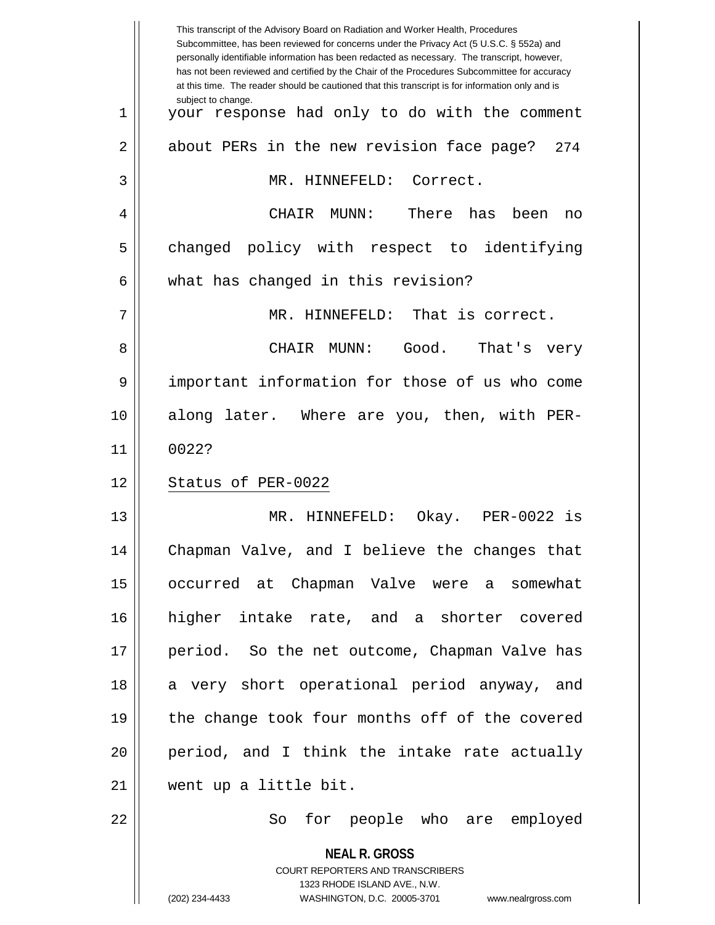| subject to change.<br>1<br>$\overline{2}$ |                                                                                |  |
|-------------------------------------------|--------------------------------------------------------------------------------|--|
|                                           | your response had only to do with the comment                                  |  |
|                                           | about PERs in the new revision face page?<br>2.74                              |  |
| 3                                         | MR. HINNEFELD: Correct.                                                        |  |
| 4<br>CHAIR                                | There<br>has<br>MUNN:<br>been<br>no                                            |  |
| 5                                         | changed policy with respect to identifying                                     |  |
| 6                                         | what has changed in this revision?                                             |  |
| 7                                         | MR. HINNEFELD: That is correct.                                                |  |
| 8<br>CHAIR                                | Good.<br>That's very<br>MUNN:                                                  |  |
| 9                                         | important information for those of us who come                                 |  |
| 10                                        | along later. Where are you, then, with PER-                                    |  |
| 0022?<br>11                               |                                                                                |  |
| 12<br>Status of PER-0022                  |                                                                                |  |
| 13                                        | MR. HINNEFELD:<br>Okay. PER-0022 is                                            |  |
| 14                                        | Chapman Valve, and I believe the changes that                                  |  |
| 15                                        | occurred at Chapman Valve were a somewhat                                      |  |
| 16                                        | higher intake rate, and a shorter covered                                      |  |
| 17                                        | period. So the net outcome, Chapman Valve has                                  |  |
| 18                                        | a very short operational period anyway, and                                    |  |
| 19                                        | the change took four months off of the covered                                 |  |
| 20                                        | period, and I think the intake rate actually                                   |  |
| 21                                        | went up a little bit.                                                          |  |
| 22                                        | So for people who are employed                                                 |  |
|                                           | <b>NEAL R. GROSS</b><br><b>COURT REPORTERS AND TRANSCRIBERS</b>                |  |
| (202) 234-4433                            | 1323 RHODE ISLAND AVE., N.W.<br>WASHINGTON, D.C. 20005-3701 www.nealrgross.com |  |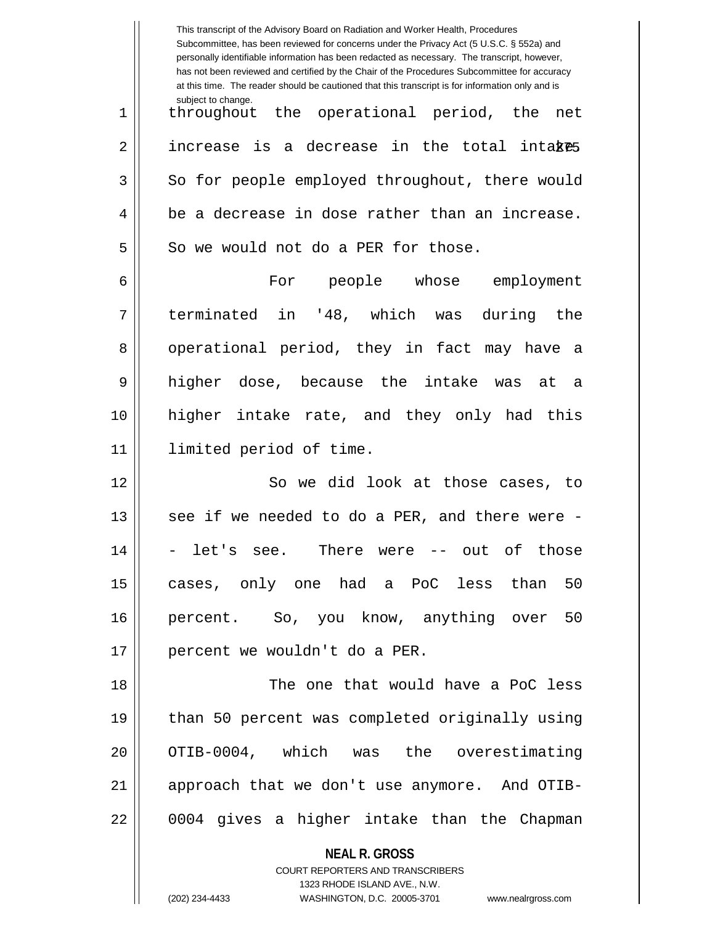|    | This transcript of the Advisory Board on Radiation and Worker Health, Procedures<br>Subcommittee, has been reviewed for concerns under the Privacy Act (5 U.S.C. § 552a) and<br>personally identifiable information has been redacted as necessary. The transcript, however,<br>has not been reviewed and certified by the Chair of the Procedures Subcommittee for accuracy<br>at this time. The reader should be cautioned that this transcript is for information only and is |  |
|----|----------------------------------------------------------------------------------------------------------------------------------------------------------------------------------------------------------------------------------------------------------------------------------------------------------------------------------------------------------------------------------------------------------------------------------------------------------------------------------|--|
| 1  | subject to change.<br>throughout the operational period, the<br>net                                                                                                                                                                                                                                                                                                                                                                                                              |  |
| 2  | increase is a decrease in the total intakes                                                                                                                                                                                                                                                                                                                                                                                                                                      |  |
| 3  | So for people employed throughout, there would                                                                                                                                                                                                                                                                                                                                                                                                                                   |  |
| 4  | be a decrease in dose rather than an increase.                                                                                                                                                                                                                                                                                                                                                                                                                                   |  |
| 5  | So we would not do a PER for those.                                                                                                                                                                                                                                                                                                                                                                                                                                              |  |
| 6  | For people whose employment                                                                                                                                                                                                                                                                                                                                                                                                                                                      |  |
| 7  | terminated in '48, which was<br>during the                                                                                                                                                                                                                                                                                                                                                                                                                                       |  |
| 8  | operational period, they in fact may have a                                                                                                                                                                                                                                                                                                                                                                                                                                      |  |
| 9  | higher dose, because the intake was<br>at a                                                                                                                                                                                                                                                                                                                                                                                                                                      |  |
| 10 | higher intake rate, and they only had this                                                                                                                                                                                                                                                                                                                                                                                                                                       |  |
| 11 | limited period of time.                                                                                                                                                                                                                                                                                                                                                                                                                                                          |  |
| 12 | So we did look at those cases, to                                                                                                                                                                                                                                                                                                                                                                                                                                                |  |
| 13 | see if we needed to do a PER, and there were -                                                                                                                                                                                                                                                                                                                                                                                                                                   |  |
| 14 | - let's see. There were -- out of those                                                                                                                                                                                                                                                                                                                                                                                                                                          |  |
| 15 | cases, only one had a PoC less than 50                                                                                                                                                                                                                                                                                                                                                                                                                                           |  |
| 16 | percent. So, you know, anything over 50                                                                                                                                                                                                                                                                                                                                                                                                                                          |  |
| 17 | percent we wouldn't do a PER.                                                                                                                                                                                                                                                                                                                                                                                                                                                    |  |
| 18 | The one that would have a PoC less                                                                                                                                                                                                                                                                                                                                                                                                                                               |  |
| 19 | than 50 percent was completed originally using                                                                                                                                                                                                                                                                                                                                                                                                                                   |  |
| 20 | OTIB-0004, which was the overestimating                                                                                                                                                                                                                                                                                                                                                                                                                                          |  |
| 21 | approach that we don't use anymore. And OTIB-                                                                                                                                                                                                                                                                                                                                                                                                                                    |  |
| 22 | 0004 gives a higher intake than the Chapman                                                                                                                                                                                                                                                                                                                                                                                                                                      |  |
|    | <b>NEAL R. GROSS</b><br><b>COURT REPORTERS AND TRANSCRIBERS</b><br>1323 RHODE ISLAND AVE., N.W.<br>(202) 234-4433<br>WASHINGTON, D.C. 20005-3701<br>www.nealrgross.com                                                                                                                                                                                                                                                                                                           |  |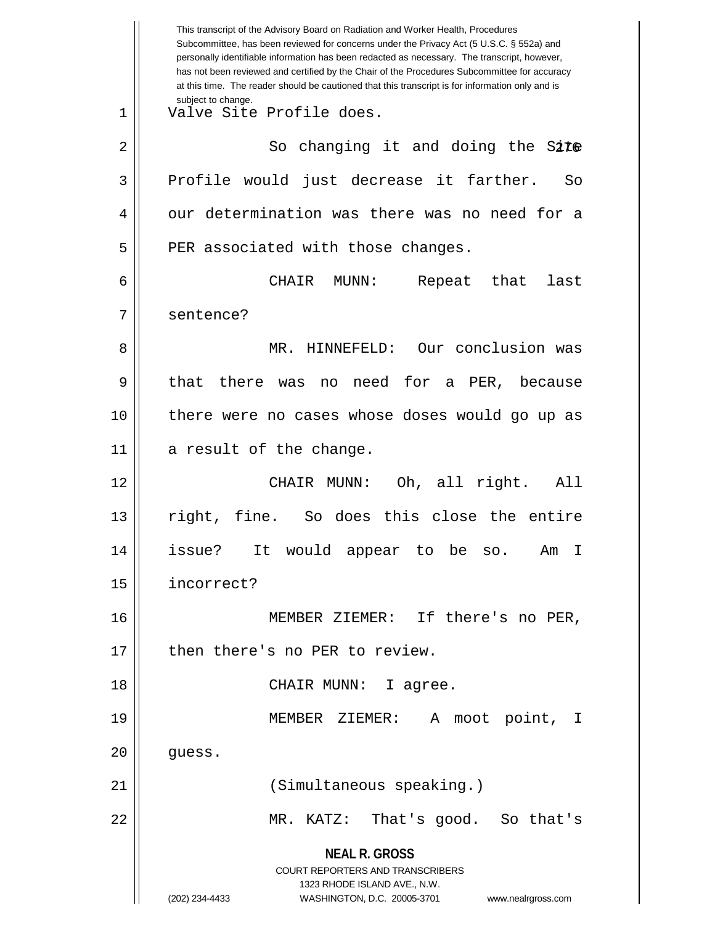**NEAL R. GROSS** COURT REPORTERS AND TRANSCRIBERS 1323 RHODE ISLAND AVE., N.W. (202) 234-4433 WASHINGTON, D.C. 20005-3701 www.nealrgross.com This transcript of the Advisory Board on Radiation and Worker Health, Procedures Subcommittee, has been reviewed for concerns under the Privacy Act (5 U.S.C. § 552a) and personally identifiable information has been redacted as necessary. The transcript, however, has not been reviewed and certified by the Chair of the Procedures Subcommittee for accuracy at this time. The reader should be cautioned that this transcript is for information only and is subject to change. 276 2 So changing it and doing the Site 1 Valve Site Profile does. 3 Profile would just decrease it farther. So 4 | our determination was there was no need for a  $5$  | PER associated with those changes. 6 CHAIR MUNN: Repeat that last 7 | sentence? 8 MR. HINNEFELD: Our conclusion was 9 || that there was no need for a PER, because 10 there were no cases whose doses would go up as 11 || a result of the change. 12 CHAIR MUNN: Oh, all right. All 13 right, fine. So does this close the entire 14 issue? It would appear to be so. Am I 15 incorrect? 16 MEMBER ZIEMER: If there's no PER, 17 | then there's no PER to review. 18 CHAIR MUNN: I agree. 19 MEMBER ZIEMER: A moot point, I  $20$  || quess. 21 (Simultaneous speaking.) 22 MR. KATZ: That's good. So that's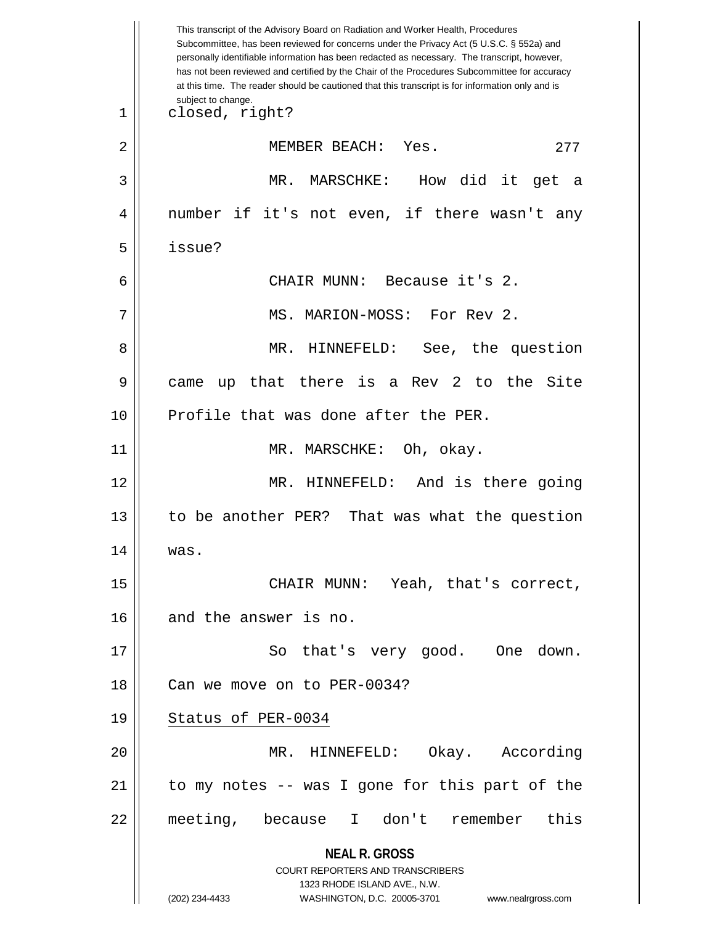**NEAL R. GROSS** COURT REPORTERS AND TRANSCRIBERS 1323 RHODE ISLAND AVE., N.W. (202) 234-4433 WASHINGTON, D.C. 20005-3701 www.nealrgross.com This transcript of the Advisory Board on Radiation and Worker Health, Procedures Subcommittee, has been reviewed for concerns under the Privacy Act (5 U.S.C. § 552a) and personally identifiable information has been redacted as necessary. The transcript, however, has not been reviewed and certified by the Chair of the Procedures Subcommittee for accuracy at this time. The reader should be cautioned that this transcript is for information only and is subject to change. 277 1 closed, right? 2 || MEMBER BEACH: Yes. 3 MR. MARSCHKE: How did it get a 4 || number if it's not even, if there wasn't any 5 issue? 6 CHAIR MUNN: Because it's 2. 7 MS. MARION-MOSS: For Rev 2. 8 MR. HINNEFELD: See, the question 9 || came up that there is a Rev 2 to the Site 10 Profile that was done after the PER. 11 || MR. MARSCHKE: Oh, okay. 12 || MR. HINNEFELD: And is there going 13 || to be another PER? That was what the question 14 was. 15 || CHAIR MUNN: Yeah, that's correct, 16 and the answer is no. 17 || So that's very good. One down. 18 | Can we move on to PER-0034? 19 || Status of PER-0034 20 || MR. HINNEFELD: Okay. According  $21$  to my notes -- was I gone for this part of the 22 meeting, because I don't remember this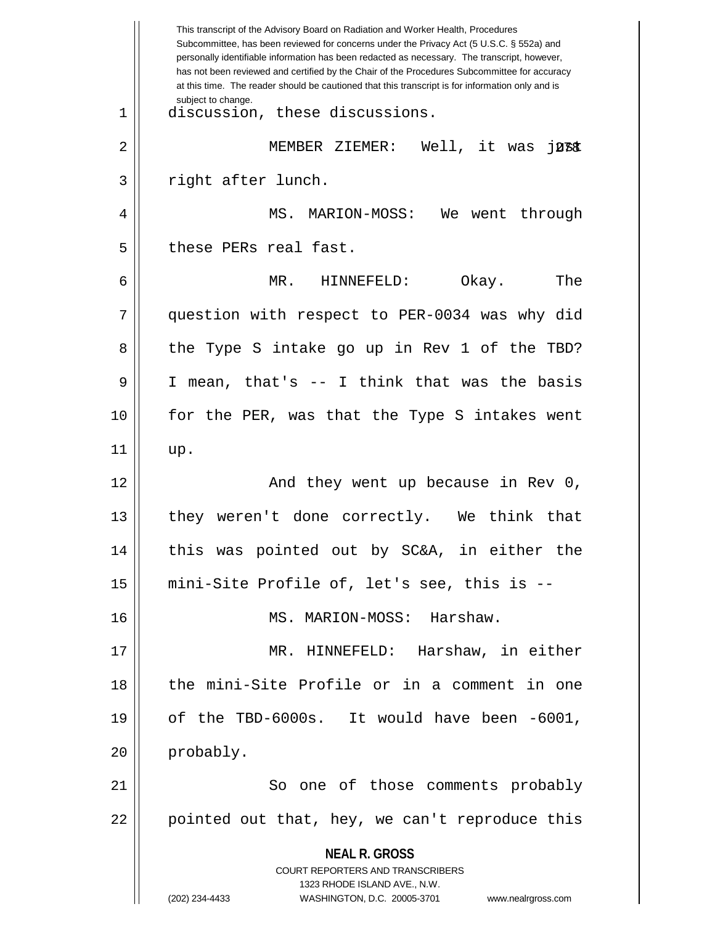**NEAL R. GROSS** COURT REPORTERS AND TRANSCRIBERS 1323 RHODE ISLAND AVE., N.W. (202) 234-4433 WASHINGTON, D.C. 20005-3701 www.nealrgross.com This transcript of the Advisory Board on Radiation and Worker Health, Procedures Subcommittee, has been reviewed for concerns under the Privacy Act (5 U.S.C. § 552a) and personally identifiable information has been redacted as necessary. The transcript, however, has not been reviewed and certified by the Chair of the Procedures Subcommittee for accuracy at this time. The reader should be cautioned that this transcript is for information only and is subject to change. 2 || MEMBER ZIEMER: Well, it was j**ust** 1 || discussion, these discussions. 3 || right after lunch. 4 MS. MARION-MOSS: We went through 5 | these PERs real fast. 6 MR. HINNEFELD: Okay. The 7 question with respect to PER-0034 was why did 8 the Type S intake go up in Rev 1 of the TBD? 9 I mean, that's -- I think that was the basis 10 for the PER, was that the Type S intakes went  $11 \parallel \quad up.$ 12 And they went up because in Rev 0, 13 || they weren't done correctly. We think that 14 this was pointed out by SC&A, in either the 15 mini-Site Profile of, let's see, this is -- 16 MS. MARION-MOSS: Harshaw. 17 MR. HINNEFELD: Harshaw, in either 18 the mini-Site Profile or in a comment in one 19  $\vert$  of the TBD-6000s. It would have been -6001,  $20$  | probably. 21 || So one of those comments probably  $22 \parallel$  pointed out that, hey, we can't reproduce this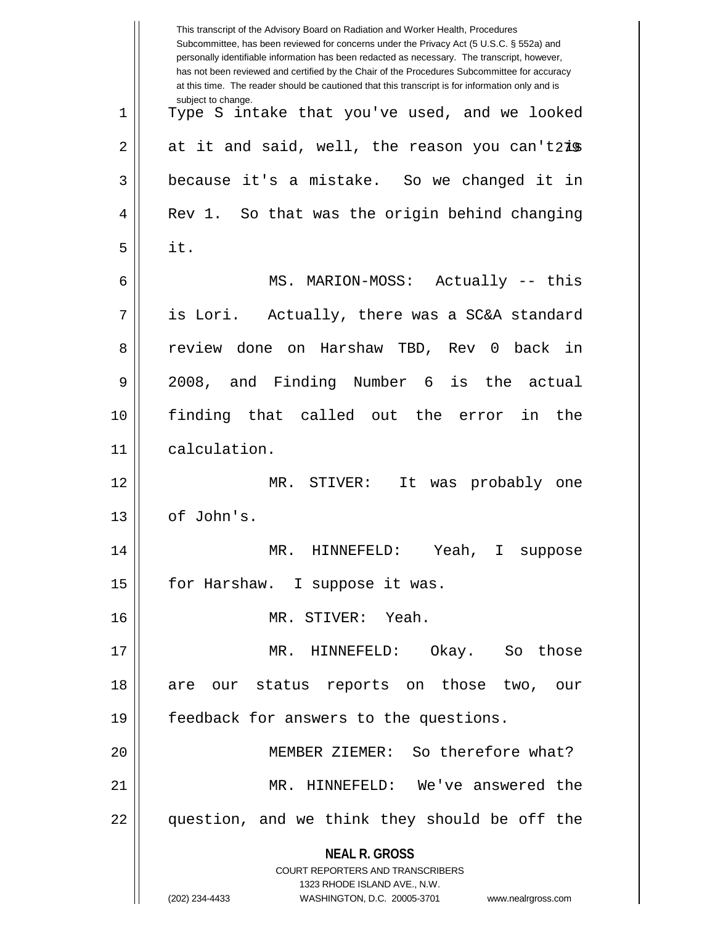|    | This transcript of the Advisory Board on Radiation and Worker Health, Procedures<br>Subcommittee, has been reviewed for concerns under the Privacy Act (5 U.S.C. § 552a) and<br>personally identifiable information has been redacted as necessary. The transcript, however,<br>has not been reviewed and certified by the Chair of the Procedures Subcommittee for accuracy<br>at this time. The reader should be cautioned that this transcript is for information only and is |
|----|----------------------------------------------------------------------------------------------------------------------------------------------------------------------------------------------------------------------------------------------------------------------------------------------------------------------------------------------------------------------------------------------------------------------------------------------------------------------------------|
| 1  | subject to change.<br>Type S intake that you've used, and we looked                                                                                                                                                                                                                                                                                                                                                                                                              |
| 2  | at it and said, well, the reason you can't2is                                                                                                                                                                                                                                                                                                                                                                                                                                    |
| 3  | because it's a mistake. So we changed it in                                                                                                                                                                                                                                                                                                                                                                                                                                      |
| 4  | Rev 1. So that was the origin behind changing                                                                                                                                                                                                                                                                                                                                                                                                                                    |
| 5  | it.                                                                                                                                                                                                                                                                                                                                                                                                                                                                              |
| 6  | MS. MARION-MOSS: Actually -- this                                                                                                                                                                                                                                                                                                                                                                                                                                                |
| 7  | is Lori. Actually, there was a SC&A standard                                                                                                                                                                                                                                                                                                                                                                                                                                     |
| 8  | review done on Harshaw TBD, Rev 0 back in                                                                                                                                                                                                                                                                                                                                                                                                                                        |
| 9  | 2008, and Finding Number 6 is the actual                                                                                                                                                                                                                                                                                                                                                                                                                                         |
| 10 | finding that called out the error<br>the<br>in                                                                                                                                                                                                                                                                                                                                                                                                                                   |
| 11 | calculation.                                                                                                                                                                                                                                                                                                                                                                                                                                                                     |
| 12 | MR. STIVER:<br>It<br>was probably one                                                                                                                                                                                                                                                                                                                                                                                                                                            |
| 13 | of John's.                                                                                                                                                                                                                                                                                                                                                                                                                                                                       |
| 14 | MR. HINNEFELD: Yeah, I suppose                                                                                                                                                                                                                                                                                                                                                                                                                                                   |
| 15 | for Harshaw. I suppose it was.                                                                                                                                                                                                                                                                                                                                                                                                                                                   |
| 16 | MR. STIVER: Yeah.                                                                                                                                                                                                                                                                                                                                                                                                                                                                |
| 17 | HINNEFELD: Okay. So those<br>MR.                                                                                                                                                                                                                                                                                                                                                                                                                                                 |
| 18 | are our status reports on those two, our                                                                                                                                                                                                                                                                                                                                                                                                                                         |
| 19 | feedback for answers to the questions.                                                                                                                                                                                                                                                                                                                                                                                                                                           |
| 20 | MEMBER ZIEMER: So therefore what?                                                                                                                                                                                                                                                                                                                                                                                                                                                |
| 21 | MR. HINNEFELD: We've answered the                                                                                                                                                                                                                                                                                                                                                                                                                                                |
| 22 | question, and we think they should be off the                                                                                                                                                                                                                                                                                                                                                                                                                                    |
|    | <b>NEAL R. GROSS</b>                                                                                                                                                                                                                                                                                                                                                                                                                                                             |
|    | <b>COURT REPORTERS AND TRANSCRIBERS</b><br>1323 RHODE ISLAND AVE., N.W.                                                                                                                                                                                                                                                                                                                                                                                                          |
|    | (202) 234-4433<br>WASHINGTON, D.C. 20005-3701<br>www.nealrgross.com                                                                                                                                                                                                                                                                                                                                                                                                              |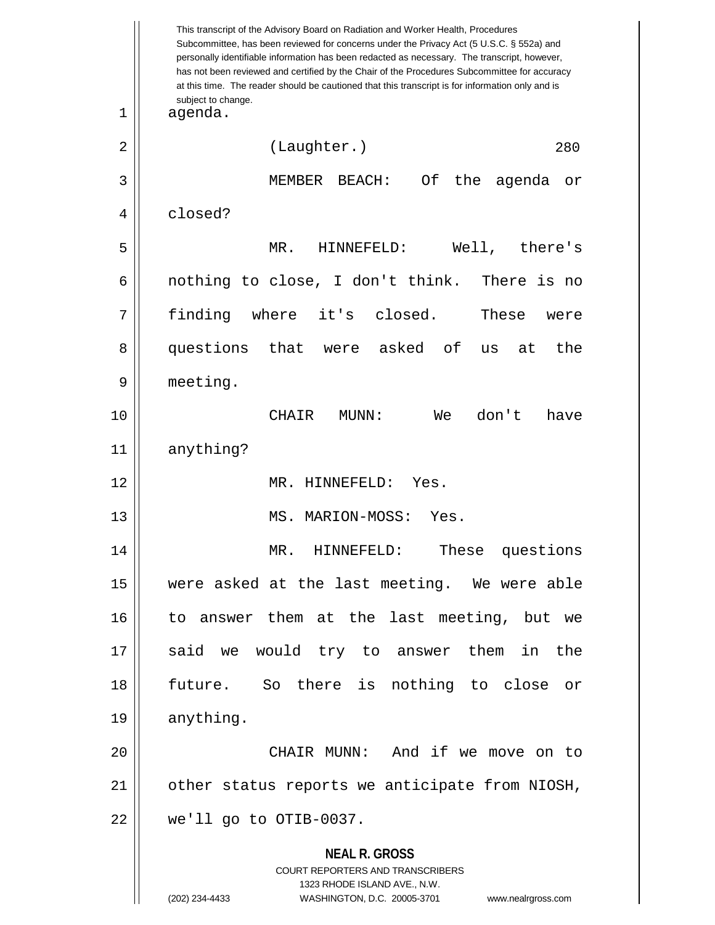**NEAL R. GROSS** COURT REPORTERS AND TRANSCRIBERS 1323 RHODE ISLAND AVE., N.W. (202) 234-4433 WASHINGTON, D.C. 20005-3701 www.nealrgross.com This transcript of the Advisory Board on Radiation and Worker Health, Procedures Subcommittee, has been reviewed for concerns under the Privacy Act (5 U.S.C. § 552a) and personally identifiable information has been redacted as necessary. The transcript, however, has not been reviewed and certified by the Chair of the Procedures Subcommittee for accuracy at this time. The reader should be cautioned that this transcript is for information only and is subject to change. 280 1 agenda. 2 | (Laughter.) 3 MEMBER BEACH: Of the agenda or 4 closed? 5 MR. HINNEFELD: Well, there's  $6 \parallel$  nothing to close, I don't think. There is no 7 finding where it's closed. These were 8 questions that were asked of us at the 9 meeting. 10 CHAIR MUNN: We don't have 11 anything? 12 MR. HINNEFELD: Yes. 13 || MS. MARION-MOSS: Yes. 14 MR. HINNEFELD: These questions 15 were asked at the last meeting. We were able 16 to answer them at the last meeting, but we 17 || said we would try to answer them in the 18 future. So there is nothing to close or 19 | anything. 20 CHAIR MUNN: And if we move on to 21 | other status reports we anticipate from NIOSH, 22 we'll go to OTIB-0037.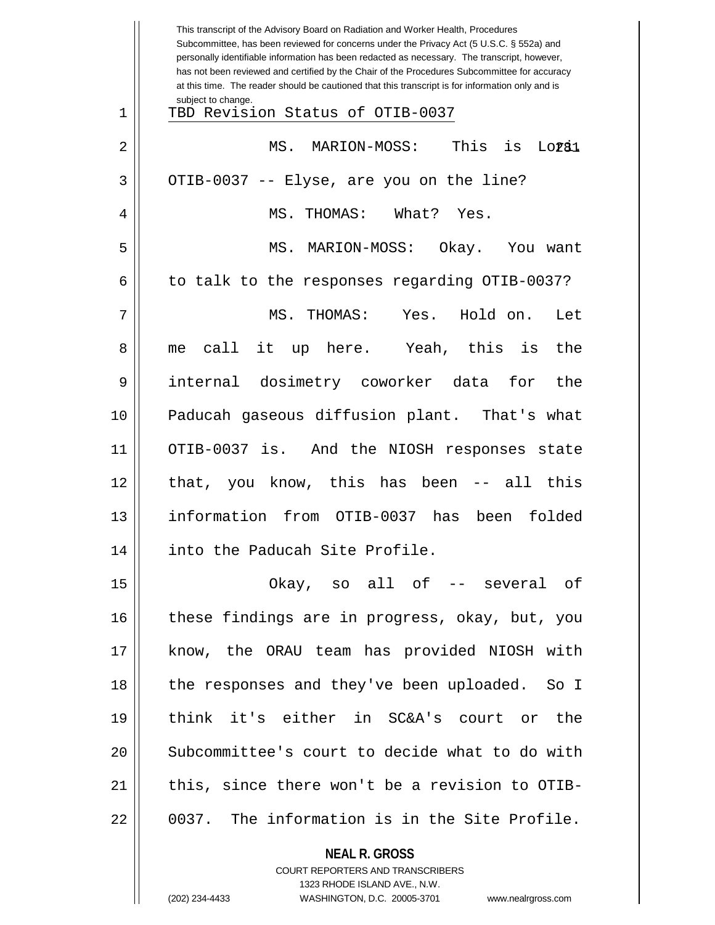|    | This transcript of the Advisory Board on Radiation and Worker Health, Procedures<br>Subcommittee, has been reviewed for concerns under the Privacy Act (5 U.S.C. § 552a) and<br>personally identifiable information has been redacted as necessary. The transcript, however,<br>has not been reviewed and certified by the Chair of the Procedures Subcommittee for accuracy<br>at this time. The reader should be cautioned that this transcript is for information only and is |
|----|----------------------------------------------------------------------------------------------------------------------------------------------------------------------------------------------------------------------------------------------------------------------------------------------------------------------------------------------------------------------------------------------------------------------------------------------------------------------------------|
| 1  | subject to change.<br>TBD Revision Status of OTIB-0037                                                                                                                                                                                                                                                                                                                                                                                                                           |
| 2  | This is Loral<br>MS.<br>MARION-MOSS:                                                                                                                                                                                                                                                                                                                                                                                                                                             |
| 3  | OTIB-0037 -- Elyse, are you on the line?                                                                                                                                                                                                                                                                                                                                                                                                                                         |
| 4  | MS. THOMAS:<br>What? Yes.                                                                                                                                                                                                                                                                                                                                                                                                                                                        |
| 5  | MS. MARION-MOSS: Okay. You want                                                                                                                                                                                                                                                                                                                                                                                                                                                  |
| 6  | to talk to the responses regarding OTIB-0037?                                                                                                                                                                                                                                                                                                                                                                                                                                    |
| 7  | Hold on.<br>MS. THOMAS: Yes.<br>Let                                                                                                                                                                                                                                                                                                                                                                                                                                              |
| 8  | call it up here. Yeah, this is<br>the<br>me                                                                                                                                                                                                                                                                                                                                                                                                                                      |
| 9  | internal dosimetry coworker data<br>the<br>for                                                                                                                                                                                                                                                                                                                                                                                                                                   |
| 10 | Paducah gaseous diffusion plant. That's what                                                                                                                                                                                                                                                                                                                                                                                                                                     |
| 11 | OTIB-0037 is. And the NIOSH responses state                                                                                                                                                                                                                                                                                                                                                                                                                                      |
| 12 | that, you know, this has been -- all this                                                                                                                                                                                                                                                                                                                                                                                                                                        |
| 13 | information from OTIB-0037 has been<br>folded                                                                                                                                                                                                                                                                                                                                                                                                                                    |
| 14 | into the Paducah Site Profile.                                                                                                                                                                                                                                                                                                                                                                                                                                                   |
| 15 | Okay, so all of -- several of                                                                                                                                                                                                                                                                                                                                                                                                                                                    |
| 16 | these findings are in progress, okay, but, you                                                                                                                                                                                                                                                                                                                                                                                                                                   |
| 17 | know, the ORAU team has provided NIOSH with                                                                                                                                                                                                                                                                                                                                                                                                                                      |
| 18 | the responses and they've been uploaded. So I                                                                                                                                                                                                                                                                                                                                                                                                                                    |
| 19 | think it's either in SC&A's court or the                                                                                                                                                                                                                                                                                                                                                                                                                                         |
| 20 | Subcommittee's court to decide what to do with                                                                                                                                                                                                                                                                                                                                                                                                                                   |
| 21 | this, since there won't be a revision to OTIB-                                                                                                                                                                                                                                                                                                                                                                                                                                   |
| 22 | 0037. The information is in the Site Profile.                                                                                                                                                                                                                                                                                                                                                                                                                                    |
|    | <b>NEAL R. GROSS</b>                                                                                                                                                                                                                                                                                                                                                                                                                                                             |

COURT REPORTERS AND TRANSCRIBERS 1323 RHODE ISLAND AVE., N.W.

 $\mathsf{I}$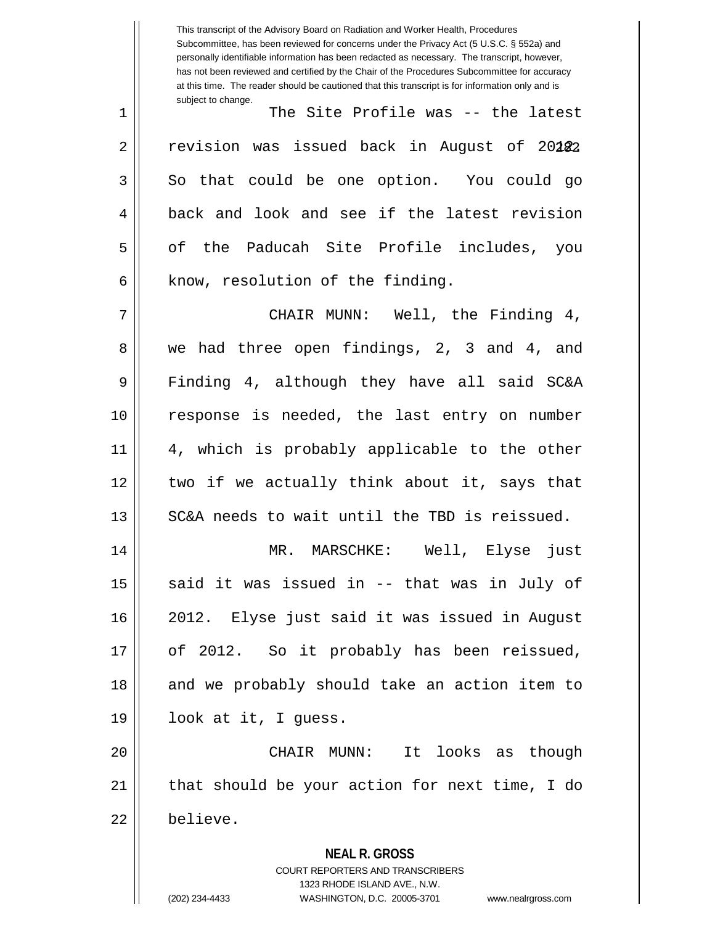**NEAL R. GROSS** COURT REPORTERS AND TRANSCRIBERS 1323 RHODE ISLAND AVE., N.W. (202) 234-4433 WASHINGTON, D.C. 20005-3701 www.nealrgross.com This transcript of the Advisory Board on Radiation and Worker Health, Procedures Subcommittee, has been reviewed for concerns under the Privacy Act (5 U.S.C. § 552a) and personally identifiable information has been redacted as necessary. The transcript, however, has not been reviewed and certified by the Chair of the Procedures Subcommittee for accuracy at this time. The reader should be cautioned that this transcript is for information only and is subject to change. 2 || revision was issued back in August of 20**12**2 1 The Site Profile was -- the latest  $3 \parallel$  So that could be one option. You could go 4 || back and look and see if the latest revision 5 || of the Paducah Site Profile includes, you  $6$  | know, resolution of the finding. 7 CHAIR MUNN: Well, the Finding 4, 8 we had three open findings, 2, 3 and 4, and 9 Finding 4, although they have all said SC&A 10 response is needed, the last entry on number 11 || 4, which is probably applicable to the other 12 || two if we actually think about it, says that  $13$   $\parallel$  SC&A needs to wait until the TBD is reissued. 14 MR. MARSCHKE: Well, Elyse just 15  $\parallel$  said it was issued in -- that was in July of 16 2012. Elyse just said it was issued in August 17 || of 2012. So it probably has been reissued, 18 || and we probably should take an action item to 19 look at it, I guess. 20 CHAIR MUNN: It looks as though  $21$  || that should be your action for next time, I do 22 believe.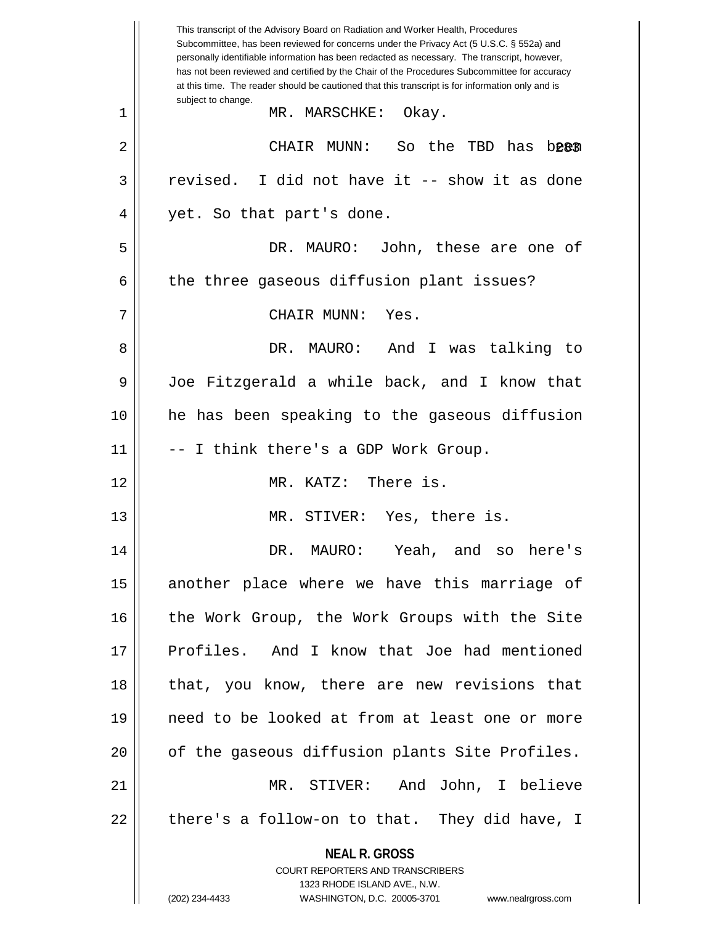**NEAL R. GROSS** COURT REPORTERS AND TRANSCRIBERS 1323 RHODE ISLAND AVE., N.W. (202) 234-4433 WASHINGTON, D.C. 20005-3701 www.nealrgross.com This transcript of the Advisory Board on Radiation and Worker Health, Procedures Subcommittee, has been reviewed for concerns under the Privacy Act (5 U.S.C. § 552a) and personally identifiable information has been redacted as necessary. The transcript, however, has not been reviewed and certified by the Chair of the Procedures Subcommittee for accuracy at this time. The reader should be cautioned that this transcript is for information only and is subject to change. 283 2 CHAIR MUNN: So the TBD has been 1 MR. MARSCHKE: Okay.  $3 \parallel$  revised. I did not have it -- show it as done 4 || yet. So that part's done. 5 DR. MAURO: John, these are one of 6 | the three gaseous diffusion plant issues? 7 CHAIR MUNN: Yes. 8 DR. MAURO: And I was talking to 9 Joe Fitzgerald a while back, and I know that 10 he has been speaking to the gaseous diffusion  $11$   $\parallel$  -- I think there's a GDP Work Group. 12 MR. KATZ: There is. 13 || MR. STIVER: Yes, there is. 14 DR. MAURO: Yeah, and so here's 15 || another place where we have this marriage of 16 || the Work Group, the Work Groups with the Site 17 Profiles. And I know that Joe had mentioned 18 || that, you know, there are new revisions that 19 need to be looked at from at least one or more 20 || of the gaseous diffusion plants Site Profiles. 21 MR. STIVER: And John, I believe  $22 \parallel$  there's a follow-on to that. They did have, I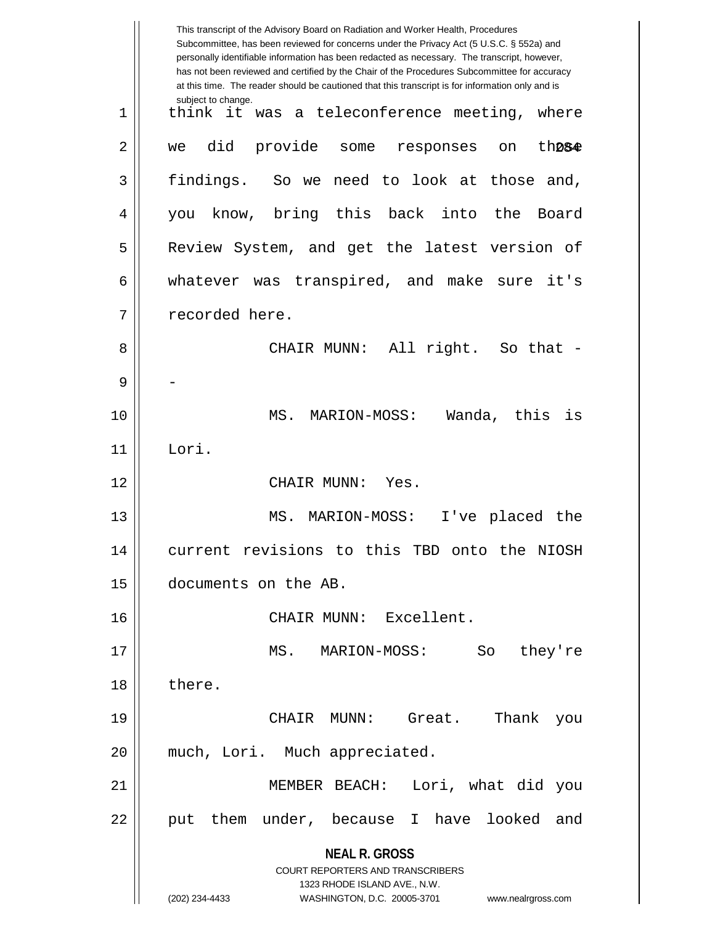|    | This transcript of the Advisory Board on Radiation and Worker Health, Procedures<br>Subcommittee, has been reviewed for concerns under the Privacy Act (5 U.S.C. § 552a) and<br>personally identifiable information has been redacted as necessary. The transcript, however,<br>has not been reviewed and certified by the Chair of the Procedures Subcommittee for accuracy<br>at this time. The reader should be cautioned that this transcript is for information only and is |
|----|----------------------------------------------------------------------------------------------------------------------------------------------------------------------------------------------------------------------------------------------------------------------------------------------------------------------------------------------------------------------------------------------------------------------------------------------------------------------------------|
| 1  | subject to change.<br>think it was a teleconference meeting, where                                                                                                                                                                                                                                                                                                                                                                                                               |
| 2  | did<br>provide some<br>th <sub>284</sub><br>responses<br>we<br>on                                                                                                                                                                                                                                                                                                                                                                                                                |
| 3  | findings. So we need to look at those and,                                                                                                                                                                                                                                                                                                                                                                                                                                       |
| 4  | know, bring this back into<br>the<br>Board<br>you                                                                                                                                                                                                                                                                                                                                                                                                                                |
| 5  | Review System, and get the latest version of                                                                                                                                                                                                                                                                                                                                                                                                                                     |
| 6  | whatever was transpired, and make sure it's                                                                                                                                                                                                                                                                                                                                                                                                                                      |
| 7  | recorded here.                                                                                                                                                                                                                                                                                                                                                                                                                                                                   |
| 8  | All right. So that -<br>CHAIR MUNN:                                                                                                                                                                                                                                                                                                                                                                                                                                              |
| 9  |                                                                                                                                                                                                                                                                                                                                                                                                                                                                                  |
| 10 | MS.<br>Wanda, this<br>MARION-MOSS:<br>is                                                                                                                                                                                                                                                                                                                                                                                                                                         |
| 11 | Lori.                                                                                                                                                                                                                                                                                                                                                                                                                                                                            |
| 12 | CHAIR MUNN:<br>Yes.                                                                                                                                                                                                                                                                                                                                                                                                                                                              |
| 13 | MS. MARION-MOSS:<br>I've placed the                                                                                                                                                                                                                                                                                                                                                                                                                                              |
| 14 | current revisions to this TBD onto the NIOSH                                                                                                                                                                                                                                                                                                                                                                                                                                     |
| 15 | documents on the AB.                                                                                                                                                                                                                                                                                                                                                                                                                                                             |
| 16 | CHAIR MUNN: Excellent.                                                                                                                                                                                                                                                                                                                                                                                                                                                           |
| 17 | MS. MARION-MOSS:<br>So<br>they're                                                                                                                                                                                                                                                                                                                                                                                                                                                |
| 18 | there.                                                                                                                                                                                                                                                                                                                                                                                                                                                                           |
| 19 | CHAIR MUNN: Great.<br>Thank<br>you                                                                                                                                                                                                                                                                                                                                                                                                                                               |
| 20 | much, Lori. Much appreciated.                                                                                                                                                                                                                                                                                                                                                                                                                                                    |
| 21 | MEMBER BEACH: Lori, what did you                                                                                                                                                                                                                                                                                                                                                                                                                                                 |
| 22 | them under, because I have looked and<br>put                                                                                                                                                                                                                                                                                                                                                                                                                                     |
|    | <b>NEAL R. GROSS</b><br><b>COURT REPORTERS AND TRANSCRIBERS</b><br>1323 RHODE ISLAND AVE., N.W.                                                                                                                                                                                                                                                                                                                                                                                  |
|    | (202) 234-4433<br>WASHINGTON, D.C. 20005-3701<br>www.nealrgross.com                                                                                                                                                                                                                                                                                                                                                                                                              |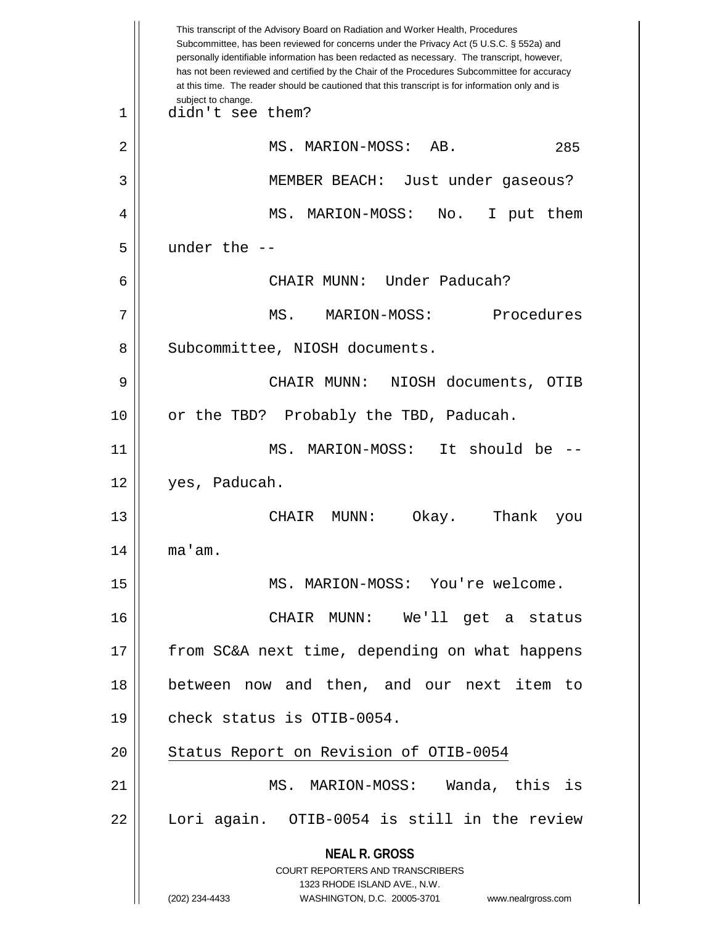|    | This transcript of the Advisory Board on Radiation and Worker Health, Procedures<br>Subcommittee, has been reviewed for concerns under the Privacy Act (5 U.S.C. § 552a) and<br>personally identifiable information has been redacted as necessary. The transcript, however,<br>has not been reviewed and certified by the Chair of the Procedures Subcommittee for accuracy<br>at this time. The reader should be cautioned that this transcript is for information only and is |
|----|----------------------------------------------------------------------------------------------------------------------------------------------------------------------------------------------------------------------------------------------------------------------------------------------------------------------------------------------------------------------------------------------------------------------------------------------------------------------------------|
| 1  | subject to change.<br>didn't see them?                                                                                                                                                                                                                                                                                                                                                                                                                                           |
| 2  | MS. MARION-MOSS: AB.<br>285                                                                                                                                                                                                                                                                                                                                                                                                                                                      |
| 3  | MEMBER BEACH: Just under gaseous?                                                                                                                                                                                                                                                                                                                                                                                                                                                |
| 4  | MS. MARION-MOSS:<br>No. I put them                                                                                                                                                                                                                                                                                                                                                                                                                                               |
| 5  | under the $-$                                                                                                                                                                                                                                                                                                                                                                                                                                                                    |
| 6  | CHAIR MUNN: Under Paducah?                                                                                                                                                                                                                                                                                                                                                                                                                                                       |
| 7  | MS. MARION-MOSS:<br>Procedures                                                                                                                                                                                                                                                                                                                                                                                                                                                   |
| 8  | Subcommittee, NIOSH documents.                                                                                                                                                                                                                                                                                                                                                                                                                                                   |
| 9  | CHAIR MUNN: NIOSH documents, OTIB                                                                                                                                                                                                                                                                                                                                                                                                                                                |
| 10 | or the TBD? Probably the TBD, Paducah.                                                                                                                                                                                                                                                                                                                                                                                                                                           |
| 11 | MS. MARION-MOSS: It should be                                                                                                                                                                                                                                                                                                                                                                                                                                                    |
| 12 | yes, Paducah.                                                                                                                                                                                                                                                                                                                                                                                                                                                                    |
| 13 | Thank<br>CHAIR<br>Okay.<br>MUNN :<br>you                                                                                                                                                                                                                                                                                                                                                                                                                                         |
| 14 | ma'am.                                                                                                                                                                                                                                                                                                                                                                                                                                                                           |
| 15 | MS. MARION-MOSS: You're welcome.                                                                                                                                                                                                                                                                                                                                                                                                                                                 |
| 16 | CHAIR MUNN: We'll get a status                                                                                                                                                                                                                                                                                                                                                                                                                                                   |
| 17 | from SC&A next time, depending on what happens                                                                                                                                                                                                                                                                                                                                                                                                                                   |
| 18 | between now and then, and our next item to                                                                                                                                                                                                                                                                                                                                                                                                                                       |
| 19 | check status is OTIB-0054.                                                                                                                                                                                                                                                                                                                                                                                                                                                       |
| 20 | Status Report on Revision of OTIB-0054                                                                                                                                                                                                                                                                                                                                                                                                                                           |
| 21 | MS. MARION-MOSS: Wanda, this is                                                                                                                                                                                                                                                                                                                                                                                                                                                  |
| 22 | Lori again. OTIB-0054 is still in the review                                                                                                                                                                                                                                                                                                                                                                                                                                     |
|    | <b>NEAL R. GROSS</b><br><b>COURT REPORTERS AND TRANSCRIBERS</b><br>1323 RHODE ISLAND AVE., N.W.                                                                                                                                                                                                                                                                                                                                                                                  |
|    | (202) 234-4433<br>WASHINGTON, D.C. 20005-3701 www.nealrgross.com                                                                                                                                                                                                                                                                                                                                                                                                                 |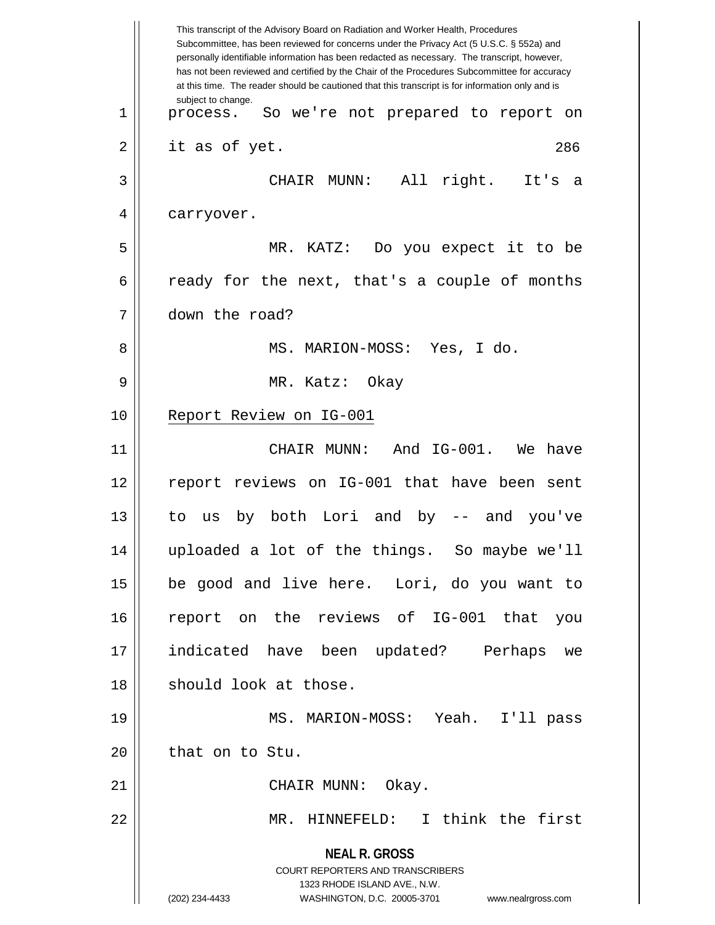|    | This transcript of the Advisory Board on Radiation and Worker Health, Procedures<br>Subcommittee, has been reviewed for concerns under the Privacy Act (5 U.S.C. § 552a) and<br>personally identifiable information has been redacted as necessary. The transcript, however,<br>has not been reviewed and certified by the Chair of the Procedures Subcommittee for accuracy<br>at this time. The reader should be cautioned that this transcript is for information only and is |
|----|----------------------------------------------------------------------------------------------------------------------------------------------------------------------------------------------------------------------------------------------------------------------------------------------------------------------------------------------------------------------------------------------------------------------------------------------------------------------------------|
| 1  | subject to change.<br>process. So we're not prepared to report on                                                                                                                                                                                                                                                                                                                                                                                                                |
| 2  | it as of yet.<br>286                                                                                                                                                                                                                                                                                                                                                                                                                                                             |
| 3  | All right.<br>CHAIR MUNN:<br>It's<br>- a                                                                                                                                                                                                                                                                                                                                                                                                                                         |
| 4  | carryover.                                                                                                                                                                                                                                                                                                                                                                                                                                                                       |
| 5  | MR. KATZ: Do you expect it to be                                                                                                                                                                                                                                                                                                                                                                                                                                                 |
| 6  | ready for the next, that's a couple of months                                                                                                                                                                                                                                                                                                                                                                                                                                    |
| 7  | down the road?                                                                                                                                                                                                                                                                                                                                                                                                                                                                   |
| 8  | MS. MARION-MOSS: Yes, I do.                                                                                                                                                                                                                                                                                                                                                                                                                                                      |
| 9  | MR. Katz: Okay                                                                                                                                                                                                                                                                                                                                                                                                                                                                   |
| 10 | Report Review on IG-001                                                                                                                                                                                                                                                                                                                                                                                                                                                          |
| 11 | CHAIR MUNN: And IG-001. We<br>have                                                                                                                                                                                                                                                                                                                                                                                                                                               |
| 12 | report reviews on IG-001 that have been sent                                                                                                                                                                                                                                                                                                                                                                                                                                     |
| 13 | by both Lori and by -- and you've<br>to<br>us                                                                                                                                                                                                                                                                                                                                                                                                                                    |
| 14 | uploaded a lot of the things. So maybe we'll                                                                                                                                                                                                                                                                                                                                                                                                                                     |
| 15 | be good and live here. Lori, do you want to                                                                                                                                                                                                                                                                                                                                                                                                                                      |
| 16 | report on the reviews of IG-001 that<br>you                                                                                                                                                                                                                                                                                                                                                                                                                                      |
| 17 | indicated have been updated? Perhaps<br>we                                                                                                                                                                                                                                                                                                                                                                                                                                       |
| 18 | should look at those.                                                                                                                                                                                                                                                                                                                                                                                                                                                            |
| 19 | MS. MARION-MOSS: Yeah. I'll pass                                                                                                                                                                                                                                                                                                                                                                                                                                                 |
| 20 | that on to Stu.                                                                                                                                                                                                                                                                                                                                                                                                                                                                  |
| 21 | CHAIR MUNN: Okay.                                                                                                                                                                                                                                                                                                                                                                                                                                                                |
| 22 | MR. HINNEFELD: I think the first                                                                                                                                                                                                                                                                                                                                                                                                                                                 |
|    | <b>NEAL R. GROSS</b>                                                                                                                                                                                                                                                                                                                                                                                                                                                             |
|    | <b>COURT REPORTERS AND TRANSCRIBERS</b><br>1323 RHODE ISLAND AVE., N.W.                                                                                                                                                                                                                                                                                                                                                                                                          |
|    | (202) 234-4433<br>WASHINGTON, D.C. 20005-3701<br>www.nealrgross.com                                                                                                                                                                                                                                                                                                                                                                                                              |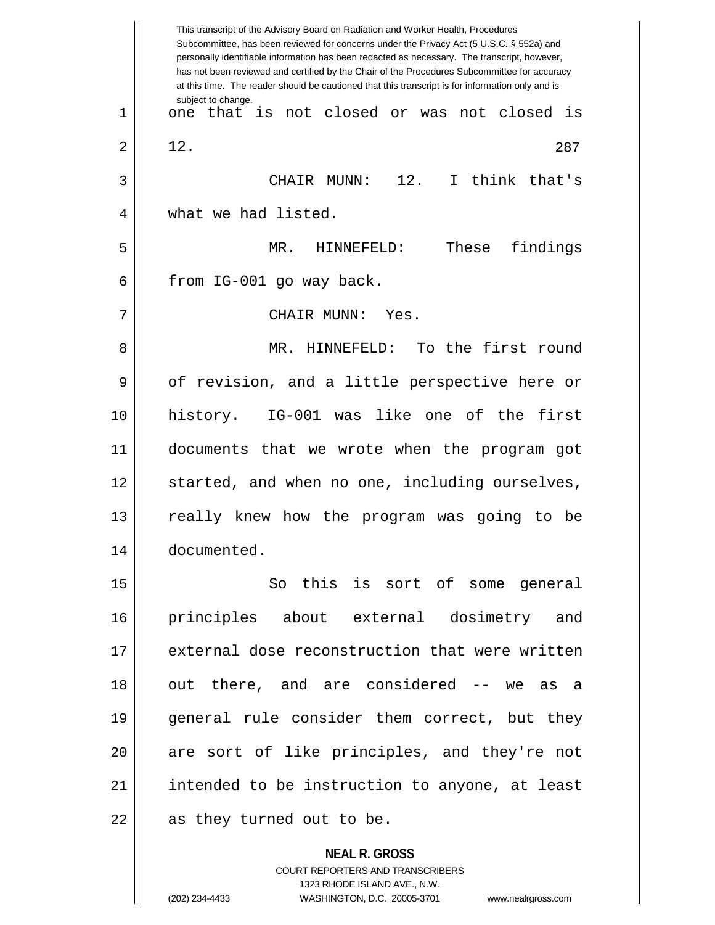**NEAL R. GROSS** This transcript of the Advisory Board on Radiation and Worker Health, Procedures Subcommittee, has been reviewed for concerns under the Privacy Act (5 U.S.C. § 552a) and personally identifiable information has been redacted as necessary. The transcript, however, has not been reviewed and certified by the Chair of the Procedures Subcommittee for accuracy at this time. The reader should be cautioned that this transcript is for information only and is subject to change. 287 1 one that is not closed or was not closed is  $2 \parallel 12.$ 3 CHAIR MUNN: 12. I think that's 4 What we had listed. 5 MR. HINNEFELD: These findings  $6 \parallel$  from IG-001 go way back. 7 CHAIR MUNN: Yes. 8 || MR. HINNEFELD: To the first round 9 || of revision, and a little perspective here or 10 history. IG-001 was like one of the first 11 documents that we wrote when the program got 12 || started, and when no one, including ourselves, 13 really knew how the program was going to be 14 documented. 15 So this is sort of some general 16 principles about external dosimetry and 17 external dose reconstruction that were written 18 || out there, and are considered -- we as a 19 general rule consider them correct, but they 20 || are sort of like principles, and they're not 21 || intended to be instruction to anyone, at least  $22$  || as they turned out to be.

> COURT REPORTERS AND TRANSCRIBERS 1323 RHODE ISLAND AVE., N.W. (202) 234-4433 WASHINGTON, D.C. 20005-3701 www.nealrgross.com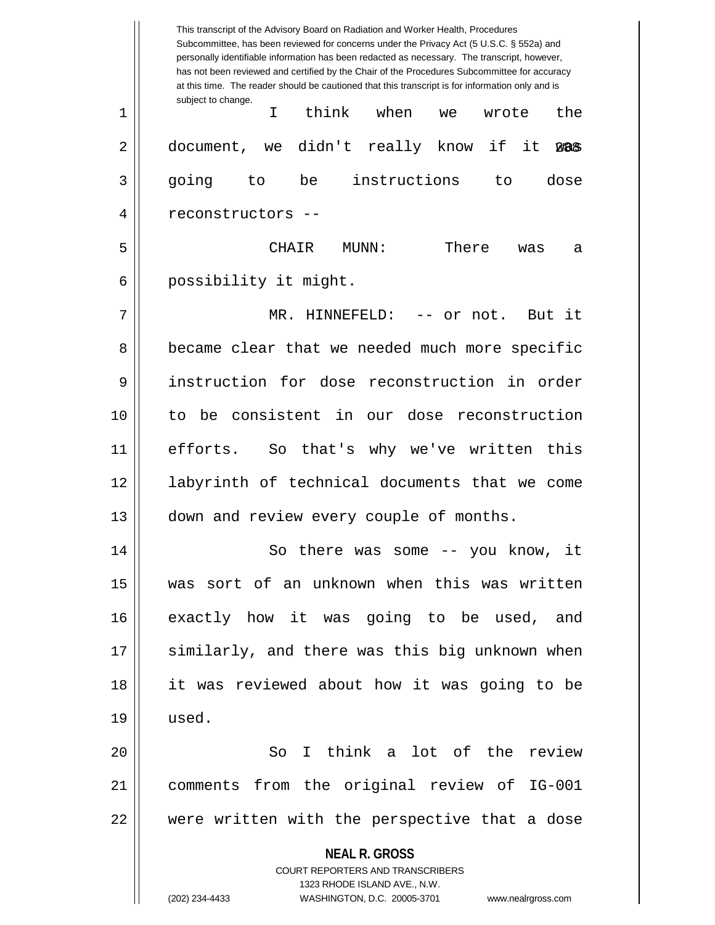|    | This transcript of the Advisory Board on Radiation and Worker Health, Procedures<br>Subcommittee, has been reviewed for concerns under the Privacy Act (5 U.S.C. § 552a) and<br>personally identifiable information has been redacted as necessary. The transcript, however,<br>has not been reviewed and certified by the Chair of the Procedures Subcommittee for accuracy<br>at this time. The reader should be cautioned that this transcript is for information only and is |
|----|----------------------------------------------------------------------------------------------------------------------------------------------------------------------------------------------------------------------------------------------------------------------------------------------------------------------------------------------------------------------------------------------------------------------------------------------------------------------------------|
| 1  | subject to change.<br>think<br>when<br>I.<br>the<br>wrote<br>we                                                                                                                                                                                                                                                                                                                                                                                                                  |
| 2  | we didn't really know if<br>it<br>document,<br><b>WAS</b>                                                                                                                                                                                                                                                                                                                                                                                                                        |
| 3  | instructions<br>dose<br>going<br>be<br>to<br>to                                                                                                                                                                                                                                                                                                                                                                                                                                  |
| 4  | reconstructors --                                                                                                                                                                                                                                                                                                                                                                                                                                                                |
| 5  | There<br><b>CHATR</b><br>MUNN:<br>was<br>а                                                                                                                                                                                                                                                                                                                                                                                                                                       |
| 6  | possibility it might.                                                                                                                                                                                                                                                                                                                                                                                                                                                            |
| 7  | $MR$ .<br>HINNEFELD:<br>-- or not.  But it                                                                                                                                                                                                                                                                                                                                                                                                                                       |
| 8  | became clear that we needed much more specific                                                                                                                                                                                                                                                                                                                                                                                                                                   |
| 9  | instruction for dose reconstruction in order                                                                                                                                                                                                                                                                                                                                                                                                                                     |
| 10 | to be consistent in our dose reconstruction                                                                                                                                                                                                                                                                                                                                                                                                                                      |
| 11 | efforts.<br>So that's why we've written this                                                                                                                                                                                                                                                                                                                                                                                                                                     |
| 12 | labyrinth of technical documents that we come                                                                                                                                                                                                                                                                                                                                                                                                                                    |
| 13 | down and review every couple of months.                                                                                                                                                                                                                                                                                                                                                                                                                                          |
| 14 | So there was some -- you know, it                                                                                                                                                                                                                                                                                                                                                                                                                                                |
| 15 | was sort of an unknown when this was written                                                                                                                                                                                                                                                                                                                                                                                                                                     |
| 16 | exactly how it was going to be used, and                                                                                                                                                                                                                                                                                                                                                                                                                                         |
| 17 | similarly, and there was this big unknown when                                                                                                                                                                                                                                                                                                                                                                                                                                   |
| 18 | it was reviewed about how it was going to be                                                                                                                                                                                                                                                                                                                                                                                                                                     |
| 19 | used.                                                                                                                                                                                                                                                                                                                                                                                                                                                                            |
| 20 | So I think a lot of the review                                                                                                                                                                                                                                                                                                                                                                                                                                                   |
| 21 | comments from the original review of IG-001                                                                                                                                                                                                                                                                                                                                                                                                                                      |
| 22 | were written with the perspective that a dose                                                                                                                                                                                                                                                                                                                                                                                                                                    |
|    | <b>NEAL R. GROSS</b><br><b>COURT REPORTERS AND TRANSCRIBERS</b>                                                                                                                                                                                                                                                                                                                                                                                                                  |
|    | 1323 RHODE ISLAND AVE., N.W.<br>(202) 234-4433<br>WASHINGTON, D.C. 20005-3701<br>www.nealrgross.com                                                                                                                                                                                                                                                                                                                                                                              |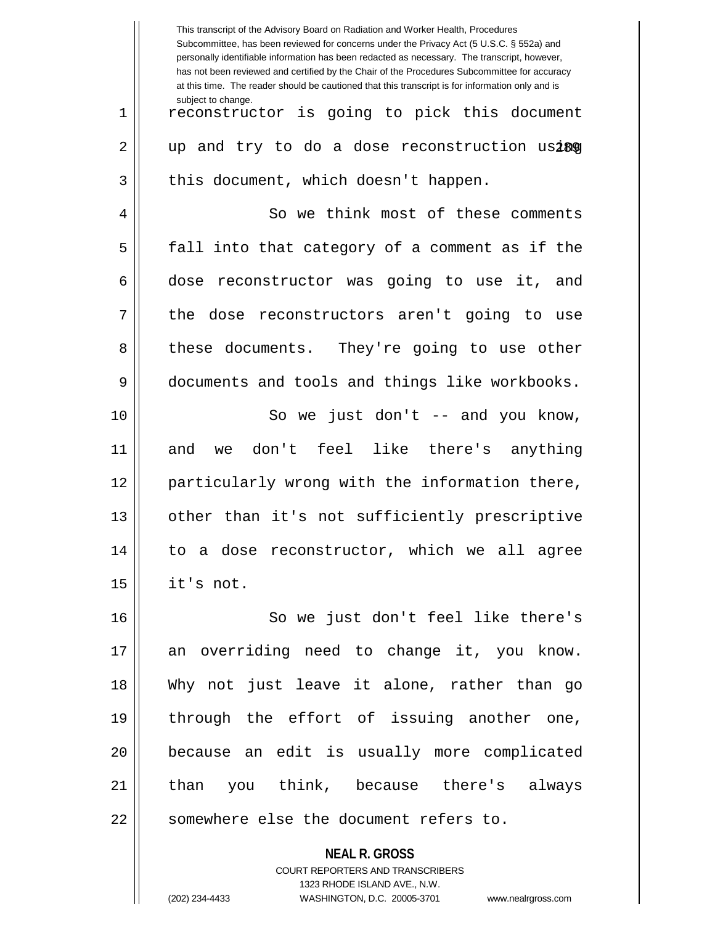|    | This transcript of the Advisory Board on Radiation and Worker Health, Procedures<br>Subcommittee, has been reviewed for concerns under the Privacy Act (5 U.S.C. § 552a) and<br>personally identifiable information has been redacted as necessary. The transcript, however,<br>has not been reviewed and certified by the Chair of the Procedures Subcommittee for accuracy<br>at this time. The reader should be cautioned that this transcript is for information only and is |
|----|----------------------------------------------------------------------------------------------------------------------------------------------------------------------------------------------------------------------------------------------------------------------------------------------------------------------------------------------------------------------------------------------------------------------------------------------------------------------------------|
| 1  | subject to change.<br>reconstructor is going to pick this document                                                                                                                                                                                                                                                                                                                                                                                                               |
| 2  | up and try to do a dose reconstruction using                                                                                                                                                                                                                                                                                                                                                                                                                                     |
| 3  | this document, which doesn't happen.                                                                                                                                                                                                                                                                                                                                                                                                                                             |
| 4  | So we think most of these comments                                                                                                                                                                                                                                                                                                                                                                                                                                               |
| 5  | fall into that category of a comment as if the                                                                                                                                                                                                                                                                                                                                                                                                                                   |
| 6  | reconstructor was going to use it, and<br>dose                                                                                                                                                                                                                                                                                                                                                                                                                                   |
| 7  | the dose reconstructors aren't going to use                                                                                                                                                                                                                                                                                                                                                                                                                                      |
| 8  | these documents. They're going to use other                                                                                                                                                                                                                                                                                                                                                                                                                                      |
| 9  | documents and tools and things like workbooks.                                                                                                                                                                                                                                                                                                                                                                                                                                   |
| 10 | So we just don't $-$ and you know,                                                                                                                                                                                                                                                                                                                                                                                                                                               |
| 11 | don't feel like there's anything<br>and<br>we                                                                                                                                                                                                                                                                                                                                                                                                                                    |
| 12 | particularly wrong with the information there,                                                                                                                                                                                                                                                                                                                                                                                                                                   |
| 13 | other than it's not sufficiently prescriptive                                                                                                                                                                                                                                                                                                                                                                                                                                    |
| 14 | to a dose reconstructor, which we all agree                                                                                                                                                                                                                                                                                                                                                                                                                                      |
| 15 | it's not.                                                                                                                                                                                                                                                                                                                                                                                                                                                                        |
| 16 | So we just don't feel like there's                                                                                                                                                                                                                                                                                                                                                                                                                                               |
| 17 | an overriding need to change it, you know.                                                                                                                                                                                                                                                                                                                                                                                                                                       |
| 18 | Why not just leave it alone, rather than go                                                                                                                                                                                                                                                                                                                                                                                                                                      |
| 19 | through the effort of issuing another one,                                                                                                                                                                                                                                                                                                                                                                                                                                       |
| 20 | because an edit is usually more complicated                                                                                                                                                                                                                                                                                                                                                                                                                                      |
| 21 | than you think, because there's always                                                                                                                                                                                                                                                                                                                                                                                                                                           |
| 22 | somewhere else the document refers to.                                                                                                                                                                                                                                                                                                                                                                                                                                           |
|    | <b>NEAL R. GROSS</b>                                                                                                                                                                                                                                                                                                                                                                                                                                                             |

COURT REPORTERS AND TRANSCRIBERS 1323 RHODE ISLAND AVE., N.W.

 $\mathsf{II}$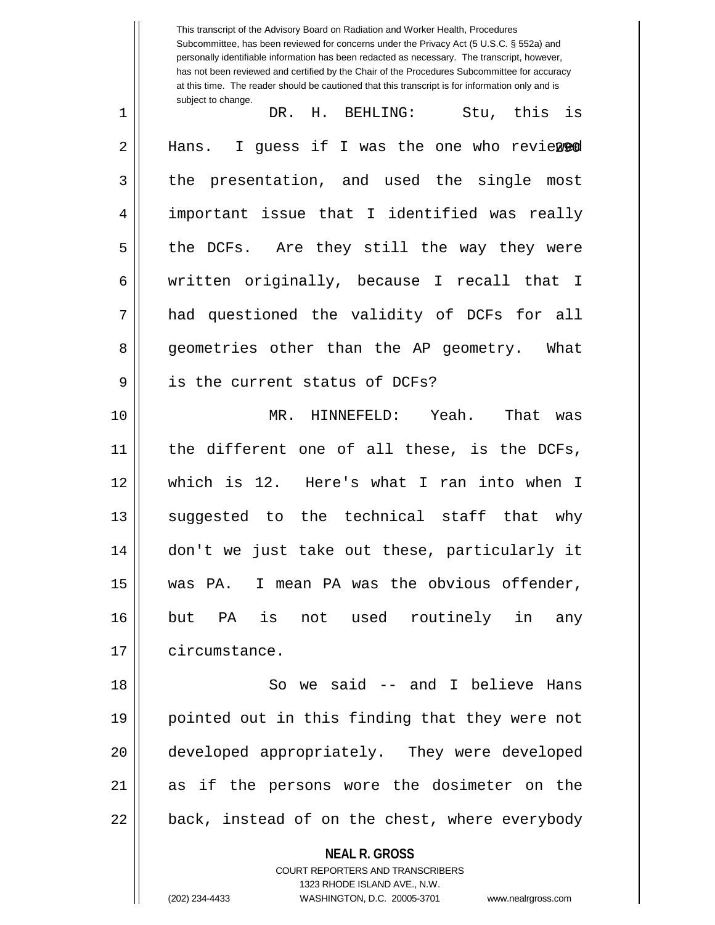**NEAL R. GROSS** COURT REPORTERS AND TRANSCRIBERS 1323 RHODE ISLAND AVE., N.W. This transcript of the Advisory Board on Radiation and Worker Health, Procedures Subcommittee, has been reviewed for concerns under the Privacy Act (5 U.S.C. § 552a) and personally identifiable information has been redacted as necessary. The transcript, however, has not been reviewed and certified by the Chair of the Procedures Subcommittee for accuracy at this time. The reader should be cautioned that this transcript is for information only and is subject to change. 2 || Hans. I guess if I was the one who reviewed 1 DR. H. BEHLING: Stu, this is 3 the presentation, and used the single most 4 important issue that I identified was really  $5 \parallel$  the DCFs. Are they still the way they were 6 | written originally, because I recall that I 7 had questioned the validity of DCFs for all 8 geometries other than the AP geometry. What 9 || is the current status of DCFs? 10 MR. HINNEFELD: Yeah. That was 11 the different one of all these, is the DCFs, 12 which is 12. Here's what I ran into when I 13 || suggested to the technical staff that why 14 don't we just take out these, particularly it 15 was PA. I mean PA was the obvious offender, 16 but PA is not used routinely in any 17 | circumstance. 18 So we said -- and I believe Hans 19 pointed out in this finding that they were not 20 developed appropriately. They were developed 21 as if the persons wore the dosimeter on the  $22$  || back, instead of on the chest, where everybody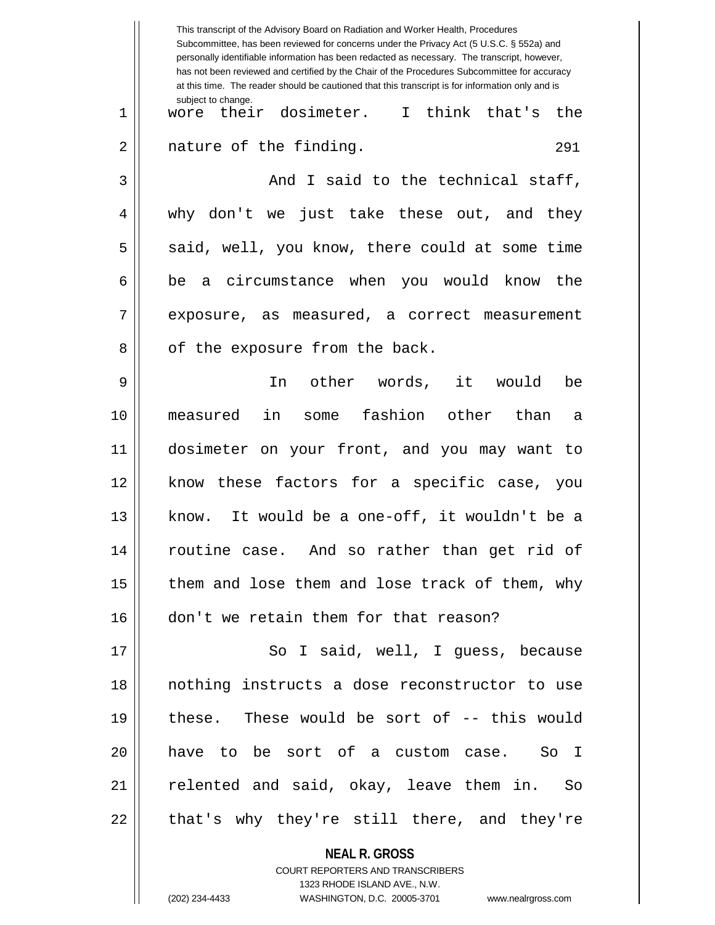|    | This transcript of the Advisory Board on Radiation and Worker Health, Procedures<br>Subcommittee, has been reviewed for concerns under the Privacy Act (5 U.S.C. § 552a) and<br>personally identifiable information has been redacted as necessary. The transcript, however,<br>has not been reviewed and certified by the Chair of the Procedures Subcommittee for accuracy<br>at this time. The reader should be cautioned that this transcript is for information only and is |
|----|----------------------------------------------------------------------------------------------------------------------------------------------------------------------------------------------------------------------------------------------------------------------------------------------------------------------------------------------------------------------------------------------------------------------------------------------------------------------------------|
| 1  | subject to change.<br>wore their dosimeter. I think that's<br>the                                                                                                                                                                                                                                                                                                                                                                                                                |
| 2  | nature of the finding.<br>291                                                                                                                                                                                                                                                                                                                                                                                                                                                    |
| 3  | And I said to the technical staff,                                                                                                                                                                                                                                                                                                                                                                                                                                               |
| 4  | why don't we just take these out, and they                                                                                                                                                                                                                                                                                                                                                                                                                                       |
| 5  | said, well, you know, there could at some time                                                                                                                                                                                                                                                                                                                                                                                                                                   |
| 6  | be a circumstance when you would know<br>the                                                                                                                                                                                                                                                                                                                                                                                                                                     |
| 7  | exposure, as measured, a correct measurement                                                                                                                                                                                                                                                                                                                                                                                                                                     |
| 8  | of the exposure from the back.                                                                                                                                                                                                                                                                                                                                                                                                                                                   |
| 9  | other words, it<br>would<br>In<br>be                                                                                                                                                                                                                                                                                                                                                                                                                                             |
| 10 | fashion other<br>in<br>than<br>measured<br>some<br>а                                                                                                                                                                                                                                                                                                                                                                                                                             |
| 11 | dosimeter on your front, and you may want to                                                                                                                                                                                                                                                                                                                                                                                                                                     |
| 12 | know these factors for a specific case, you                                                                                                                                                                                                                                                                                                                                                                                                                                      |
| 13 | know. It would be a one-off, it wouldn't be a                                                                                                                                                                                                                                                                                                                                                                                                                                    |
| 14 | routine case. And so rather than get rid of                                                                                                                                                                                                                                                                                                                                                                                                                                      |
| 15 | them and lose them and lose track of them, why                                                                                                                                                                                                                                                                                                                                                                                                                                   |
| 16 | don't we retain them for that reason?                                                                                                                                                                                                                                                                                                                                                                                                                                            |
| 17 | So I said, well, I guess, because                                                                                                                                                                                                                                                                                                                                                                                                                                                |
| 18 | nothing instructs a dose reconstructor to use                                                                                                                                                                                                                                                                                                                                                                                                                                    |
| 19 | these. These would be sort of -- this would                                                                                                                                                                                                                                                                                                                                                                                                                                      |
| 20 | have to be sort of a custom case. So I                                                                                                                                                                                                                                                                                                                                                                                                                                           |
| 21 | relented and said, okay, leave them in. So                                                                                                                                                                                                                                                                                                                                                                                                                                       |
| 22 | that's why they're still there, and they're                                                                                                                                                                                                                                                                                                                                                                                                                                      |
|    | <b>NEAL R. GROSS</b>                                                                                                                                                                                                                                                                                                                                                                                                                                                             |

COURT REPORTERS AND TRANSCRIBERS 1323 RHODE ISLAND AVE., N.W. (202) 234-4433 WASHINGTON, D.C. 20005-3701 www.nealrgross.com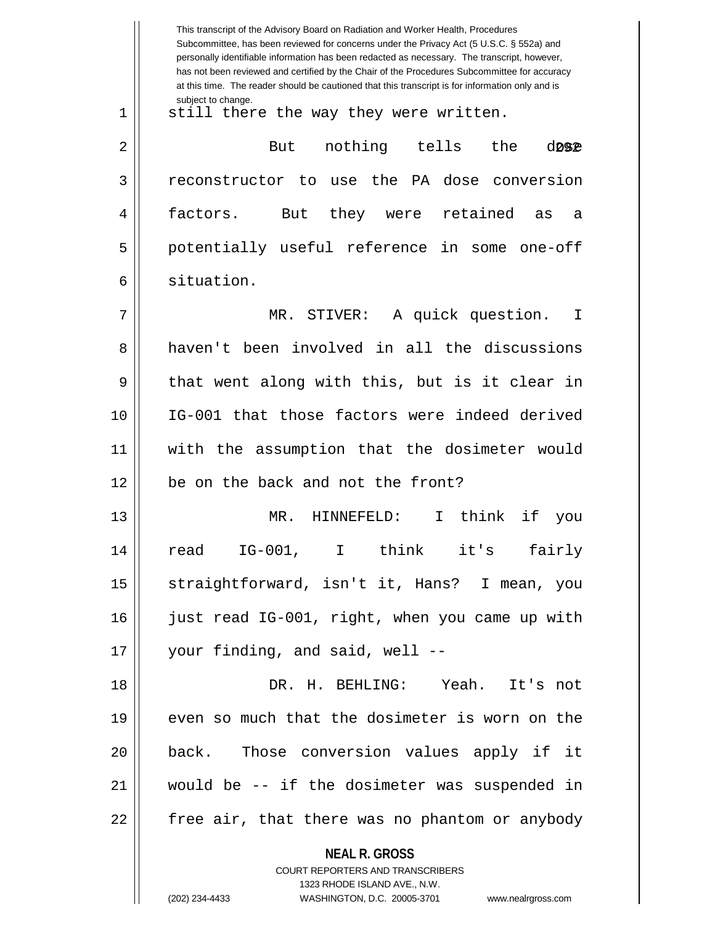|    | This transcript of the Advisory Board on Radiation and Worker Health, Procedures<br>Subcommittee, has been reviewed for concerns under the Privacy Act (5 U.S.C. § 552a) and<br>personally identifiable information has been redacted as necessary. The transcript, however,<br>has not been reviewed and certified by the Chair of the Procedures Subcommittee for accuracy<br>at this time. The reader should be cautioned that this transcript is for information only and is |
|----|----------------------------------------------------------------------------------------------------------------------------------------------------------------------------------------------------------------------------------------------------------------------------------------------------------------------------------------------------------------------------------------------------------------------------------------------------------------------------------|
| 1  | subject to change.<br>still there the way they were written.                                                                                                                                                                                                                                                                                                                                                                                                                     |
| 2  | nothing<br>tells<br>the<br>But<br>d092                                                                                                                                                                                                                                                                                                                                                                                                                                           |
| 3  | reconstructor to use the PA dose conversion                                                                                                                                                                                                                                                                                                                                                                                                                                      |
| 4  | they were retained<br>factors.<br>But<br>as<br>а                                                                                                                                                                                                                                                                                                                                                                                                                                 |
| 5  | potentially useful reference in some one-off                                                                                                                                                                                                                                                                                                                                                                                                                                     |
| 6  | situation.                                                                                                                                                                                                                                                                                                                                                                                                                                                                       |
| 7  | MR. STIVER:<br>A quick question.<br>$\mathbf I$                                                                                                                                                                                                                                                                                                                                                                                                                                  |
| 8  | haven't been involved in all the discussions                                                                                                                                                                                                                                                                                                                                                                                                                                     |
| 9  | that went along with this, but is it clear in                                                                                                                                                                                                                                                                                                                                                                                                                                    |
| 10 | IG-001 that those factors were indeed derived                                                                                                                                                                                                                                                                                                                                                                                                                                    |
| 11 | with the assumption that the dosimeter would                                                                                                                                                                                                                                                                                                                                                                                                                                     |
| 12 | be on the back and not the front?                                                                                                                                                                                                                                                                                                                                                                                                                                                |
| 13 | think<br>HINNEFELD:<br>if<br>MR.<br>I.<br>you                                                                                                                                                                                                                                                                                                                                                                                                                                    |
| 14 | read IG-001, I think it's fairly                                                                                                                                                                                                                                                                                                                                                                                                                                                 |
| 15 | straightforward, isn't it, Hans? I mean, you                                                                                                                                                                                                                                                                                                                                                                                                                                     |
| 16 | just read IG-001, right, when you came up with                                                                                                                                                                                                                                                                                                                                                                                                                                   |
| 17 | your finding, and said, well --                                                                                                                                                                                                                                                                                                                                                                                                                                                  |
| 18 | DR. H. BEHLING: Yeah. It's not                                                                                                                                                                                                                                                                                                                                                                                                                                                   |
| 19 | even so much that the dosimeter is worn on the                                                                                                                                                                                                                                                                                                                                                                                                                                   |
| 20 | back. Those conversion values apply if it                                                                                                                                                                                                                                                                                                                                                                                                                                        |
| 21 | would be -- if the dosimeter was suspended in                                                                                                                                                                                                                                                                                                                                                                                                                                    |
| 22 | free air, that there was no phantom or anybody                                                                                                                                                                                                                                                                                                                                                                                                                                   |
|    | <b>NEAL R. GROSS</b><br>COURT REPORTERS AND TRANSCRIBERS<br>1323 RHODE ISLAND AVE., N.W.<br>(202) 234-4433<br>WASHINGTON, D.C. 20005-3701<br>www.nealrgross.com                                                                                                                                                                                                                                                                                                                  |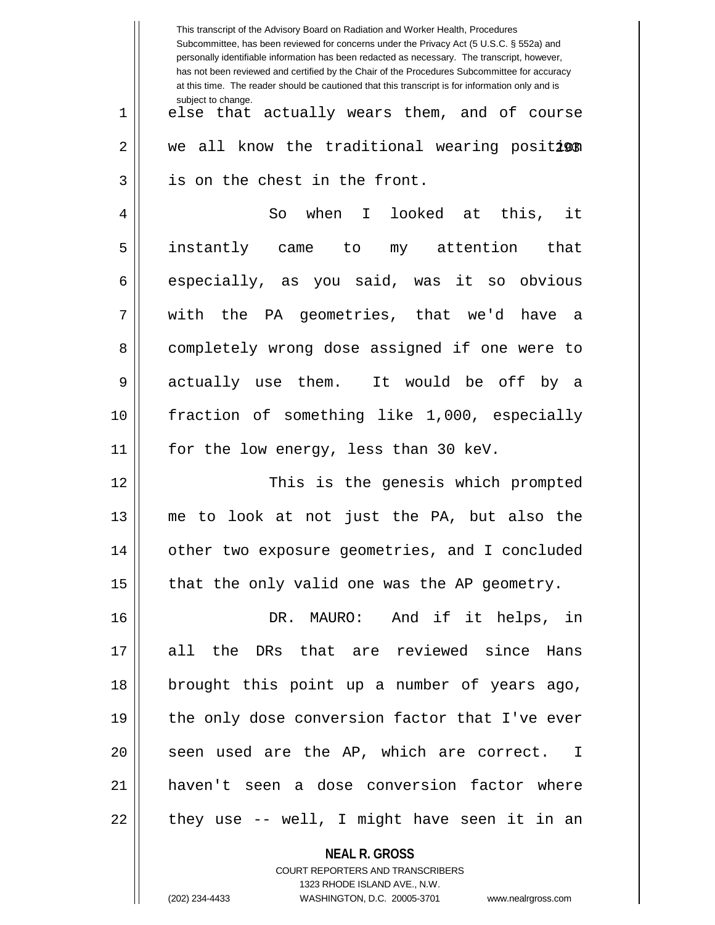|    | This transcript of the Advisory Board on Radiation and Worker Health, Procedures<br>Subcommittee, has been reviewed for concerns under the Privacy Act (5 U.S.C. § 552a) and<br>personally identifiable information has been redacted as necessary. The transcript, however,<br>has not been reviewed and certified by the Chair of the Procedures Subcommittee for accuracy<br>at this time. The reader should be cautioned that this transcript is for information only and is |
|----|----------------------------------------------------------------------------------------------------------------------------------------------------------------------------------------------------------------------------------------------------------------------------------------------------------------------------------------------------------------------------------------------------------------------------------------------------------------------------------|
| 1  | subject to change.<br>else that actually wears them, and of course                                                                                                                                                                                                                                                                                                                                                                                                               |
| 2  | we all know the traditional wearing position                                                                                                                                                                                                                                                                                                                                                                                                                                     |
| 3  | is on the chest in the front.                                                                                                                                                                                                                                                                                                                                                                                                                                                    |
| 4  | So when I looked at this, it                                                                                                                                                                                                                                                                                                                                                                                                                                                     |
| 5  | instantly came to my attention that                                                                                                                                                                                                                                                                                                                                                                                                                                              |
| 6  | especially, as you said, was it so obvious                                                                                                                                                                                                                                                                                                                                                                                                                                       |
| 7  | with the PA geometries, that we'd have a                                                                                                                                                                                                                                                                                                                                                                                                                                         |
| 8  | completely wrong dose assigned if one were to                                                                                                                                                                                                                                                                                                                                                                                                                                    |
| 9  | actually use them. It would be off by a                                                                                                                                                                                                                                                                                                                                                                                                                                          |
| 10 | fraction of something like 1,000, especially                                                                                                                                                                                                                                                                                                                                                                                                                                     |
| 11 | for the low energy, less than 30 keV.                                                                                                                                                                                                                                                                                                                                                                                                                                            |
| 12 | This is the genesis which prompted                                                                                                                                                                                                                                                                                                                                                                                                                                               |
| 13 | to look at not just the PA, but also the<br>me                                                                                                                                                                                                                                                                                                                                                                                                                                   |
| 14 | other two exposure geometries, and I concluded                                                                                                                                                                                                                                                                                                                                                                                                                                   |
| 15 | that the only valid one was the AP geometry.                                                                                                                                                                                                                                                                                                                                                                                                                                     |
| 16 | DR. MAURO: And if it helps, in                                                                                                                                                                                                                                                                                                                                                                                                                                                   |
| 17 | all the DRs that are reviewed since Hans                                                                                                                                                                                                                                                                                                                                                                                                                                         |
| 18 | brought this point up a number of years ago,                                                                                                                                                                                                                                                                                                                                                                                                                                     |
| 19 | the only dose conversion factor that I've ever                                                                                                                                                                                                                                                                                                                                                                                                                                   |
| 20 | seen used are the AP, which are correct. I                                                                                                                                                                                                                                                                                                                                                                                                                                       |
| 21 | haven't seen a dose conversion factor where                                                                                                                                                                                                                                                                                                                                                                                                                                      |
| 22 | they use -- well, I might have seen it in an                                                                                                                                                                                                                                                                                                                                                                                                                                     |
|    |                                                                                                                                                                                                                                                                                                                                                                                                                                                                                  |

**NEAL R. GROSS** COURT REPORTERS AND TRANSCRIBERS 1323 RHODE ISLAND AVE., N.W.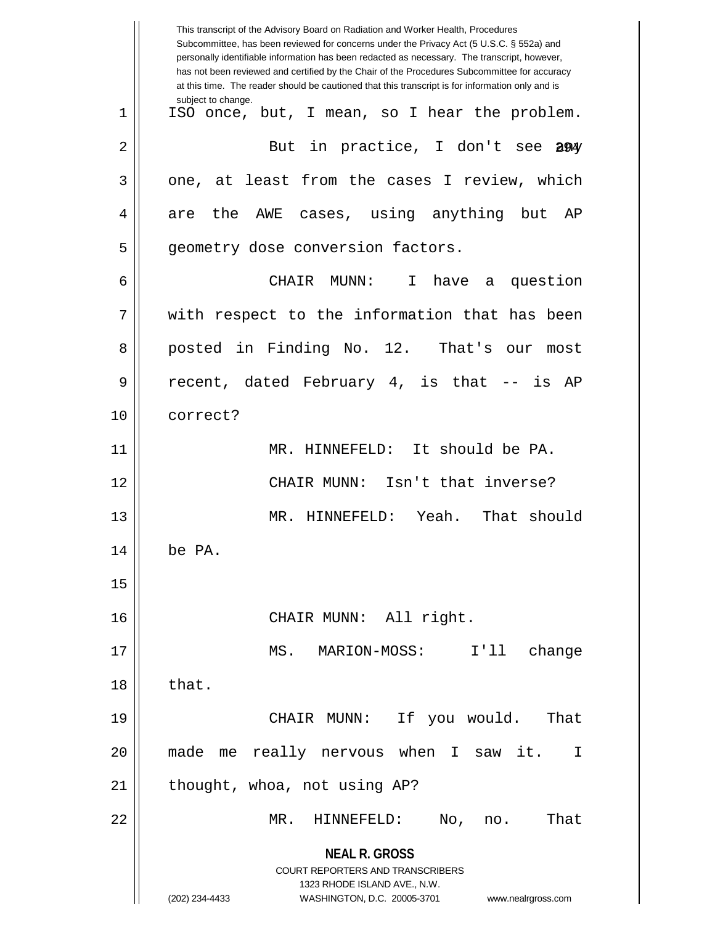|    | This transcript of the Advisory Board on Radiation and Worker Health, Procedures<br>Subcommittee, has been reviewed for concerns under the Privacy Act (5 U.S.C. § 552a) and<br>personally identifiable information has been redacted as necessary. The transcript, however,<br>has not been reviewed and certified by the Chair of the Procedures Subcommittee for accuracy<br>at this time. The reader should be cautioned that this transcript is for information only and is |
|----|----------------------------------------------------------------------------------------------------------------------------------------------------------------------------------------------------------------------------------------------------------------------------------------------------------------------------------------------------------------------------------------------------------------------------------------------------------------------------------|
| 1  | subject to change.<br>ISO once, but, I mean, so I hear the problem.                                                                                                                                                                                                                                                                                                                                                                                                              |
| 2  | But in practice, I don't see<br>294                                                                                                                                                                                                                                                                                                                                                                                                                                              |
| 3  | one, at least from the cases I review, which                                                                                                                                                                                                                                                                                                                                                                                                                                     |
| 4  | are the AWE cases, using anything but AP                                                                                                                                                                                                                                                                                                                                                                                                                                         |
| 5  | geometry dose conversion factors.                                                                                                                                                                                                                                                                                                                                                                                                                                                |
| 6  | CHAIR MUNN:<br>$\mathbf{I}$<br>have a question                                                                                                                                                                                                                                                                                                                                                                                                                                   |
| 7  | with respect to the information that has been                                                                                                                                                                                                                                                                                                                                                                                                                                    |
| 8  | posted in Finding No. 12. That's our<br>most                                                                                                                                                                                                                                                                                                                                                                                                                                     |
| 9  | recent, dated February 4, is that -- is AP                                                                                                                                                                                                                                                                                                                                                                                                                                       |
| 10 | correct?                                                                                                                                                                                                                                                                                                                                                                                                                                                                         |
| 11 | MR. HINNEFELD: It should be PA.                                                                                                                                                                                                                                                                                                                                                                                                                                                  |
| 12 | CHAIR MUNN: Isn't that inverse?                                                                                                                                                                                                                                                                                                                                                                                                                                                  |
| 13 | Yeah.<br>That should<br>MR. HINNEFELD:                                                                                                                                                                                                                                                                                                                                                                                                                                           |
| 14 | be PA.                                                                                                                                                                                                                                                                                                                                                                                                                                                                           |
| 15 |                                                                                                                                                                                                                                                                                                                                                                                                                                                                                  |
| 16 | CHAIR MUNN: All right.                                                                                                                                                                                                                                                                                                                                                                                                                                                           |
| 17 | MS.<br>I'11<br>change<br>MARION-MOSS:                                                                                                                                                                                                                                                                                                                                                                                                                                            |
| 18 | that.                                                                                                                                                                                                                                                                                                                                                                                                                                                                            |
| 19 | CHAIR MUNN: If you would.<br>That                                                                                                                                                                                                                                                                                                                                                                                                                                                |
| 20 | me really nervous when I saw it.<br>made<br>I                                                                                                                                                                                                                                                                                                                                                                                                                                    |
| 21 | thought, whoa, not using AP?                                                                                                                                                                                                                                                                                                                                                                                                                                                     |
| 22 | That<br>MR.<br>HINNEFELD:<br>No,<br>no.                                                                                                                                                                                                                                                                                                                                                                                                                                          |
|    | <b>NEAL R. GROSS</b><br><b>COURT REPORTERS AND TRANSCRIBERS</b><br>1323 RHODE ISLAND AVE., N.W.<br>(202) 234-4433<br>WASHINGTON, D.C. 20005-3701<br>www.nealrgross.com                                                                                                                                                                                                                                                                                                           |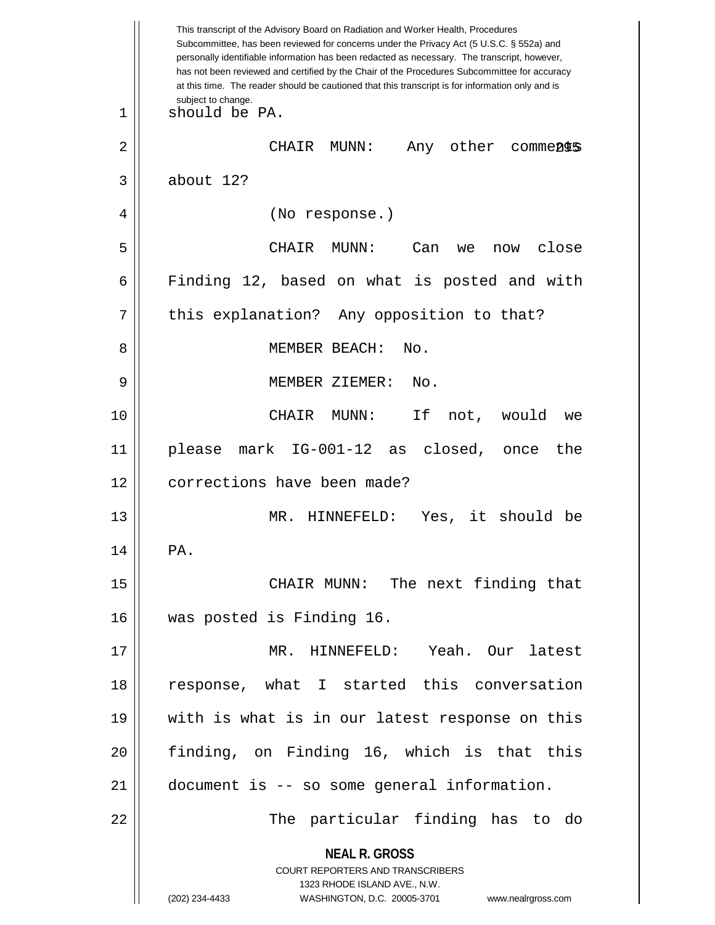**NEAL R. GROSS** COURT REPORTERS AND TRANSCRIBERS 1323 RHODE ISLAND AVE., N.W. (202) 234-4433 WASHINGTON, D.C. 20005-3701 www.nealrgross.com This transcript of the Advisory Board on Radiation and Worker Health, Procedures Subcommittee, has been reviewed for concerns under the Privacy Act (5 U.S.C. § 552a) and personally identifiable information has been redacted as necessary. The transcript, however, has not been reviewed and certified by the Chair of the Procedures Subcommittee for accuracy at this time. The reader should be cautioned that this transcript is for information only and is subject to change. 295 2 CHAIR MUNN: Any other comments 1 should be PA.  $3 \parallel$  about 12? 4 || (No response.) 5 CHAIR MUNN: Can we now close 6 Finding 12, based on what is posted and with  $7 \parallel$  this explanation? Any opposition to that? 8 MEMBER BEACH: No. 9 MEMBER ZIEMER: No. 10 CHAIR MUNN: If not, would we 11 please mark IG-001-12 as closed, once the 12 | corrections have been made? 13 MR. HINNEFELD: Yes, it should be  $14$  | PA. 15 || CHAIR MUNN: The next finding that 16 was posted is Finding 16. 17 MR. HINNEFELD: Yeah. Our latest 18 || response, what I started this conversation 19 with is what is in our latest response on this 20 || finding, on Finding 16, which is that this 21 document is -- so some general information. 22 The particular finding has to do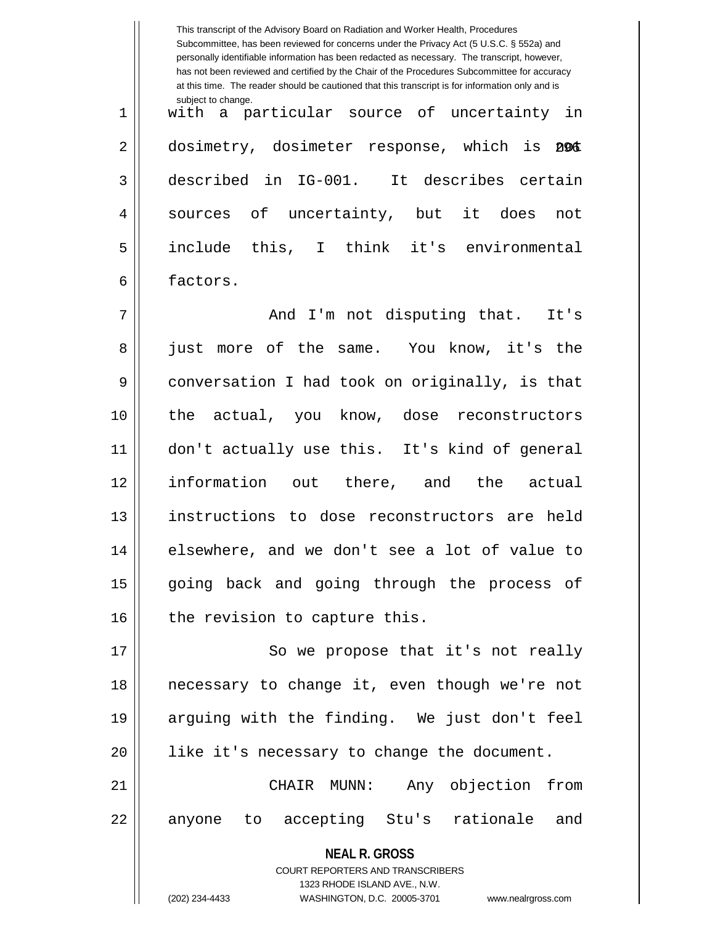**NEAL R. GROSS** COURT REPORTERS AND TRANSCRIBERS 1323 RHODE ISLAND AVE., N.W. This transcript of the Advisory Board on Radiation and Worker Health, Procedures Subcommittee, has been reviewed for concerns under the Privacy Act (5 U.S.C. § 552a) and personally identifiable information has been redacted as necessary. The transcript, however, has not been reviewed and certified by the Chair of the Procedures Subcommittee for accuracy at this time. The reader should be cautioned that this transcript is for information only and is subject to change. 2 || dosimetry, dosimeter response, which is 2016 1 with a particular source of uncertainty in 3 described in IG-001. It describes certain 4 || sources of uncertainty, but it does not 5 include this, I think it's environmental 6 factors. 7 And I'm not disputing that. It's 8 || just more of the same. You know, it's the 9 conversation I had took on originally, is that 10 || the actual, you know, dose reconstructors 11 don't actually use this. It's kind of general 12 information out there, and the actual 13 || instructions to dose reconstructors are held 14 || elsewhere, and we don't see a lot of value to 15 || going back and going through the process of  $16$  | the revision to capture this. 17 || So we propose that it's not really 18 necessary to change it, even though we're not 19 arguing with the finding. We just don't feel 20 || like it's necessary to change the document. 21 CHAIR MUNN: Any objection from 22 || anyone to accepting Stu's rationale and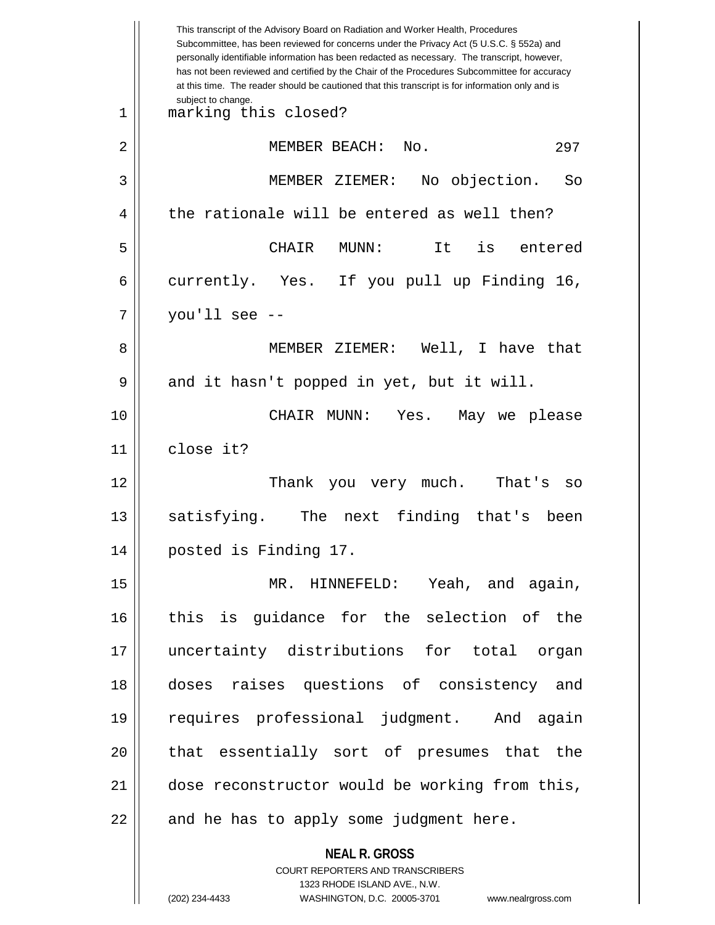|    | This transcript of the Advisory Board on Radiation and Worker Health, Procedures<br>Subcommittee, has been reviewed for concerns under the Privacy Act (5 U.S.C. § 552a) and<br>personally identifiable information has been redacted as necessary. The transcript, however,<br>has not been reviewed and certified by the Chair of the Procedures Subcommittee for accuracy<br>at this time. The reader should be cautioned that this transcript is for information only and is |
|----|----------------------------------------------------------------------------------------------------------------------------------------------------------------------------------------------------------------------------------------------------------------------------------------------------------------------------------------------------------------------------------------------------------------------------------------------------------------------------------|
| 1  | subject to change.<br>marking this closed?                                                                                                                                                                                                                                                                                                                                                                                                                                       |
| 2  | MEMBER BEACH:<br>No.<br>297                                                                                                                                                                                                                                                                                                                                                                                                                                                      |
| 3  | No objection.<br>MEMBER ZIEMER:<br>So                                                                                                                                                                                                                                                                                                                                                                                                                                            |
| 4  | the rationale will be entered as well then?                                                                                                                                                                                                                                                                                                                                                                                                                                      |
| 5  | It<br>is<br>CHAIR<br>MUNN:<br>entered                                                                                                                                                                                                                                                                                                                                                                                                                                            |
| 6  | currently. Yes. If you pull up Finding 16,                                                                                                                                                                                                                                                                                                                                                                                                                                       |
| 7  | you'll see $-$                                                                                                                                                                                                                                                                                                                                                                                                                                                                   |
| 8  | MEMBER ZIEMER: Well, I have that                                                                                                                                                                                                                                                                                                                                                                                                                                                 |
| 9  | and it hasn't popped in yet, but it will.                                                                                                                                                                                                                                                                                                                                                                                                                                        |
| 10 | CHAIR MUNN:<br>Yes.<br>May we please                                                                                                                                                                                                                                                                                                                                                                                                                                             |
| 11 | close it?                                                                                                                                                                                                                                                                                                                                                                                                                                                                        |
| 12 | Thank<br>you very much.<br>That's<br>SO                                                                                                                                                                                                                                                                                                                                                                                                                                          |
| 13 | The next finding that's<br>satisfying.<br>been                                                                                                                                                                                                                                                                                                                                                                                                                                   |
| 14 | posted is Finding 17.                                                                                                                                                                                                                                                                                                                                                                                                                                                            |
| 15 | MR. HINNEFELD: Yeah, and again,                                                                                                                                                                                                                                                                                                                                                                                                                                                  |
| 16 | this is guidance for the selection of the                                                                                                                                                                                                                                                                                                                                                                                                                                        |
| 17 | uncertainty distributions for total organ                                                                                                                                                                                                                                                                                                                                                                                                                                        |
| 18 | doses raises questions of consistency and                                                                                                                                                                                                                                                                                                                                                                                                                                        |
| 19 | requires professional judgment. And again                                                                                                                                                                                                                                                                                                                                                                                                                                        |
| 20 | that essentially sort of presumes that the                                                                                                                                                                                                                                                                                                                                                                                                                                       |
| 21 | dose reconstructor would be working from this,                                                                                                                                                                                                                                                                                                                                                                                                                                   |
| 22 | and he has to apply some judgment here.                                                                                                                                                                                                                                                                                                                                                                                                                                          |
|    | <b>NEAL R. GROSS</b><br>COURT REPORTERS AND TRANSCRIBERS                                                                                                                                                                                                                                                                                                                                                                                                                         |
|    | 1323 RHODE ISLAND AVE., N.W.<br>(202) 234-4433<br>WASHINGTON, D.C. 20005-3701<br>www.nealrgross.com                                                                                                                                                                                                                                                                                                                                                                              |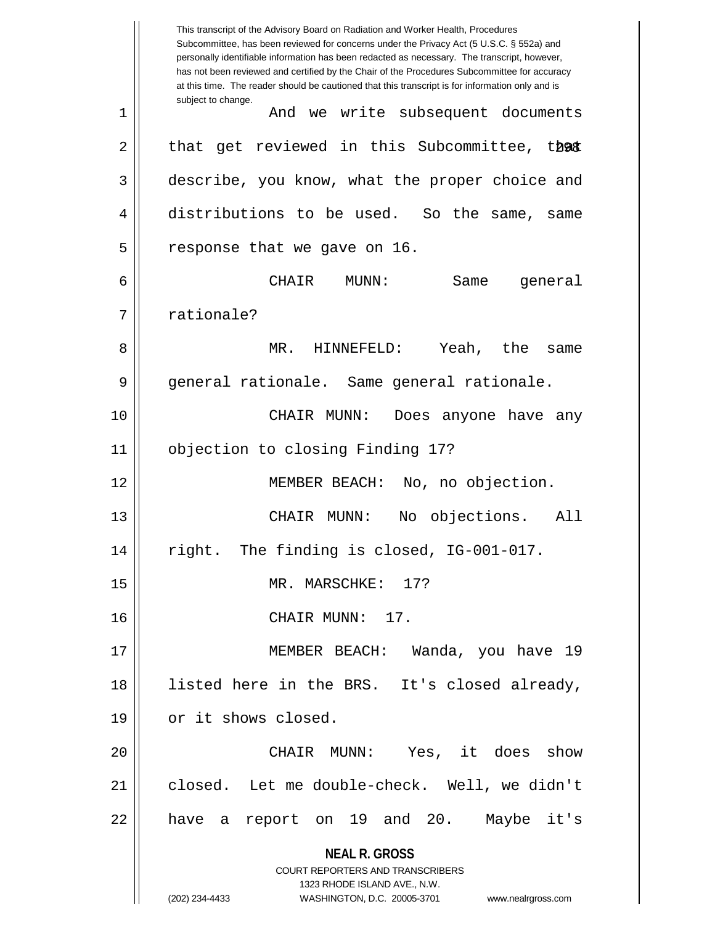**NEAL R. GROSS** COURT REPORTERS AND TRANSCRIBERS 1323 RHODE ISLAND AVE., N.W. (202) 234-4433 WASHINGTON, D.C. 20005-3701 www.nealrgross.com This transcript of the Advisory Board on Radiation and Worker Health, Procedures Subcommittee, has been reviewed for concerns under the Privacy Act (5 U.S.C. § 552a) and personally identifiable information has been redacted as necessary. The transcript, however, has not been reviewed and certified by the Chair of the Procedures Subcommittee for accuracy at this time. The reader should be cautioned that this transcript is for information only and is subject to change. 2 || that get reviewed in this Subcommittee, that 1 And we write subsequent documents 3 describe, you know, what the proper choice and 4 distributions to be used. So the same, same  $5$  || response that we gave on 16. 6 CHAIR MUNN: Same general 7 || rationale? 8 MR. HINNEFELD: Yeah, the same 9 || general rationale. Same general rationale. 10 CHAIR MUNN: Does anyone have any 11 objection to closing Finding 17? 12 || MEMBER BEACH: No, no objection. 13 CHAIR MUNN: No objections. All 14 right. The finding is closed, IG-001-017. 15 || MR. MARSCHKE: 17? 16 CHAIR MUNN: 17. 17 MEMBER BEACH: Wanda, you have 19 18 listed here in the BRS. It's closed already, 19 | or it shows closed. 20 CHAIR MUNN: Yes, it does show 21 closed. Let me double-check. Well, we didn't 22 || have a report on 19 and 20. Maybe it's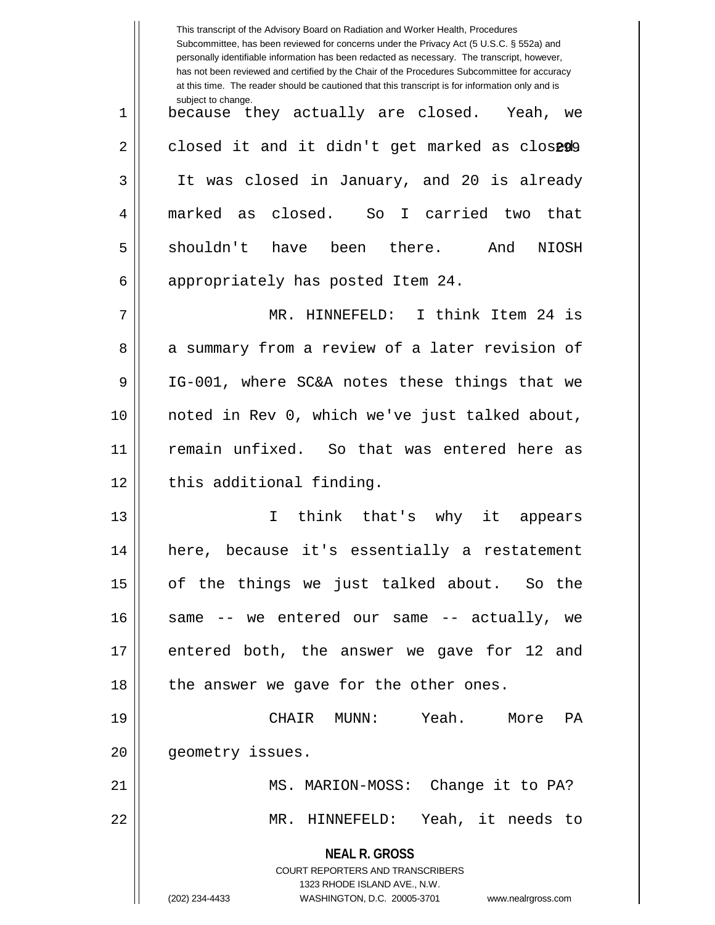|    | This transcript of the Advisory Board on Radiation and Worker Health, Procedures<br>Subcommittee, has been reviewed for concerns under the Privacy Act (5 U.S.C. § 552a) and<br>personally identifiable information has been redacted as necessary. The transcript, however,<br>has not been reviewed and certified by the Chair of the Procedures Subcommittee for accuracy<br>at this time. The reader should be cautioned that this transcript is for information only and is |
|----|----------------------------------------------------------------------------------------------------------------------------------------------------------------------------------------------------------------------------------------------------------------------------------------------------------------------------------------------------------------------------------------------------------------------------------------------------------------------------------|
| 1  | subject to change.<br>because they actually are closed. Yeah, we                                                                                                                                                                                                                                                                                                                                                                                                                 |
| 2  | closed it and it didn't get marked as closeda                                                                                                                                                                                                                                                                                                                                                                                                                                    |
| 3  | It was closed in January, and 20 is already                                                                                                                                                                                                                                                                                                                                                                                                                                      |
| 4  | as closed. So I carried two<br>marked<br>that                                                                                                                                                                                                                                                                                                                                                                                                                                    |
| 5  | shouldn't have<br>been there.<br>And<br>NIOSH                                                                                                                                                                                                                                                                                                                                                                                                                                    |
| 6  | appropriately has posted Item 24.                                                                                                                                                                                                                                                                                                                                                                                                                                                |
| 7  | MR. HINNEFELD: I think Item 24 is                                                                                                                                                                                                                                                                                                                                                                                                                                                |
| 8  | a summary from a review of a later revision of                                                                                                                                                                                                                                                                                                                                                                                                                                   |
| 9  | IG-001, where SC&A notes these things that we                                                                                                                                                                                                                                                                                                                                                                                                                                    |
| 10 | noted in Rev 0, which we've just talked about,                                                                                                                                                                                                                                                                                                                                                                                                                                   |
| 11 | remain unfixed. So that was entered here as                                                                                                                                                                                                                                                                                                                                                                                                                                      |
| 12 | this additional finding.                                                                                                                                                                                                                                                                                                                                                                                                                                                         |
| 13 | think that's why<br>it<br>T.<br>appears                                                                                                                                                                                                                                                                                                                                                                                                                                          |
| 14 | here, because it's essentially a restatement                                                                                                                                                                                                                                                                                                                                                                                                                                     |
| 15 | of the things we just talked about. So the                                                                                                                                                                                                                                                                                                                                                                                                                                       |
| 16 | same -- we entered our same -- actually, we                                                                                                                                                                                                                                                                                                                                                                                                                                      |
| 17 | entered both, the answer we gave for 12 and                                                                                                                                                                                                                                                                                                                                                                                                                                      |
| 18 | the answer we gave for the other ones.                                                                                                                                                                                                                                                                                                                                                                                                                                           |
| 19 | CHAIR MUNN: Yeah. More PA                                                                                                                                                                                                                                                                                                                                                                                                                                                        |
| 20 | geometry issues.                                                                                                                                                                                                                                                                                                                                                                                                                                                                 |
| 21 | MS. MARION-MOSS: Change it to PA?                                                                                                                                                                                                                                                                                                                                                                                                                                                |
| 22 | MR. HINNEFELD: Yeah, it needs to                                                                                                                                                                                                                                                                                                                                                                                                                                                 |
|    | <b>NEAL R. GROSS</b><br>COURT REPORTERS AND TRANSCRIBERS<br>1323 RHODE ISLAND AVE., N.W.<br>(202) 234-4433<br>WASHINGTON, D.C. 20005-3701 www.nealrgross.com                                                                                                                                                                                                                                                                                                                     |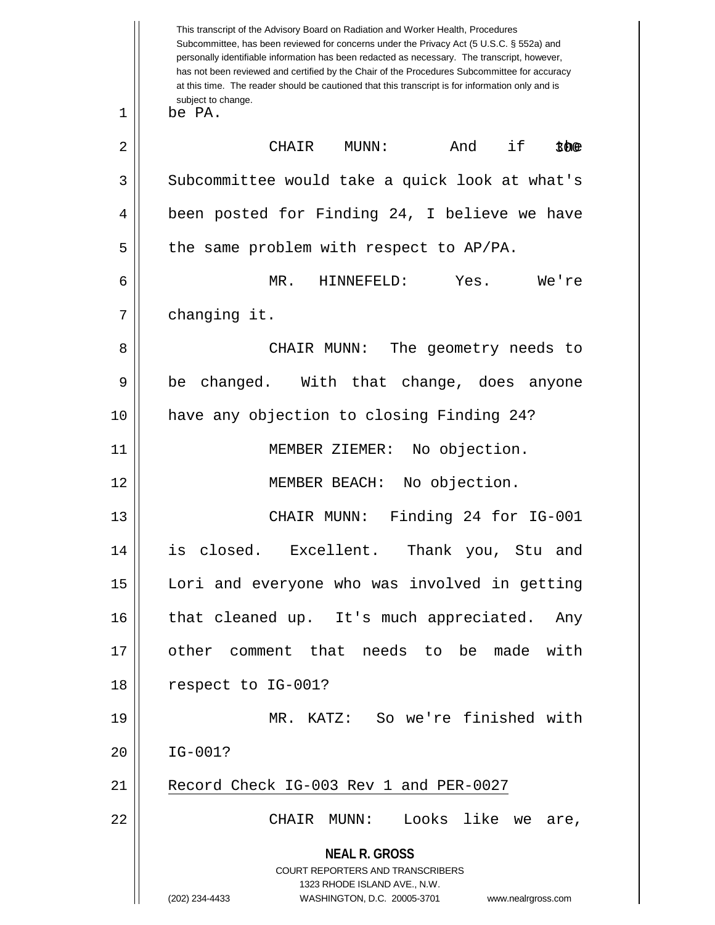|              | This transcript of the Advisory Board on Radiation and Worker Health, Procedures<br>Subcommittee, has been reviewed for concerns under the Privacy Act (5 U.S.C. § 552a) and<br>personally identifiable information has been redacted as necessary. The transcript, however,<br>has not been reviewed and certified by the Chair of the Procedures Subcommittee for accuracy<br>at this time. The reader should be cautioned that this transcript is for information only and is<br>subject to change. |
|--------------|--------------------------------------------------------------------------------------------------------------------------------------------------------------------------------------------------------------------------------------------------------------------------------------------------------------------------------------------------------------------------------------------------------------------------------------------------------------------------------------------------------|
| $\mathbf{1}$ | be PA.                                                                                                                                                                                                                                                                                                                                                                                                                                                                                                 |
| 2            | And<br>if<br>CHAIR<br>MUNN:<br>$$$ $\Phi$                                                                                                                                                                                                                                                                                                                                                                                                                                                              |
| 3            | Subcommittee would take a quick look at what's                                                                                                                                                                                                                                                                                                                                                                                                                                                         |
| 4            | been posted for Finding 24, I believe we have                                                                                                                                                                                                                                                                                                                                                                                                                                                          |
| 5            | the same problem with respect to AP/PA.                                                                                                                                                                                                                                                                                                                                                                                                                                                                |
| 6            | MR.<br>HINNEFELD:<br>Yes.<br>We're                                                                                                                                                                                                                                                                                                                                                                                                                                                                     |
| 7            | changing it.                                                                                                                                                                                                                                                                                                                                                                                                                                                                                           |
| 8            | The geometry needs to<br>CHAIR MUNN:                                                                                                                                                                                                                                                                                                                                                                                                                                                                   |
| 9            | changed. With that change, does anyone<br>be                                                                                                                                                                                                                                                                                                                                                                                                                                                           |
| 10           | have any objection to closing Finding 24?                                                                                                                                                                                                                                                                                                                                                                                                                                                              |
| 11           | MEMBER ZIEMER:<br>No objection.                                                                                                                                                                                                                                                                                                                                                                                                                                                                        |
| 12           | MEMBER BEACH:<br>No objection.                                                                                                                                                                                                                                                                                                                                                                                                                                                                         |
| 13           | Finding 24 for IG-001<br>CHAIR MUNN:                                                                                                                                                                                                                                                                                                                                                                                                                                                                   |
| 14           | is closed.<br>Excellent.<br>Thank you, Stu and                                                                                                                                                                                                                                                                                                                                                                                                                                                         |
| 15           | Lori and everyone who was involved in getting                                                                                                                                                                                                                                                                                                                                                                                                                                                          |
| 16           | that cleaned up. It's much appreciated. Any                                                                                                                                                                                                                                                                                                                                                                                                                                                            |
| 17           | other comment that needs to be made with                                                                                                                                                                                                                                                                                                                                                                                                                                                               |
| 18           | respect to IG-001?                                                                                                                                                                                                                                                                                                                                                                                                                                                                                     |
| 19           | MR. KATZ: So we're finished with                                                                                                                                                                                                                                                                                                                                                                                                                                                                       |
| 20           | IG-001?                                                                                                                                                                                                                                                                                                                                                                                                                                                                                                |
| 21           | Record Check IG-003 Rev 1 and PER-0027                                                                                                                                                                                                                                                                                                                                                                                                                                                                 |
| 22           | Looks like we are,<br>CHAIR MUNN:                                                                                                                                                                                                                                                                                                                                                                                                                                                                      |
|              | <b>NEAL R. GROSS</b><br>COURT REPORTERS AND TRANSCRIBERS<br>1323 RHODE ISLAND AVE., N.W.<br>(202) 234-4433<br>WASHINGTON, D.C. 20005-3701<br>www.nealrgross.com                                                                                                                                                                                                                                                                                                                                        |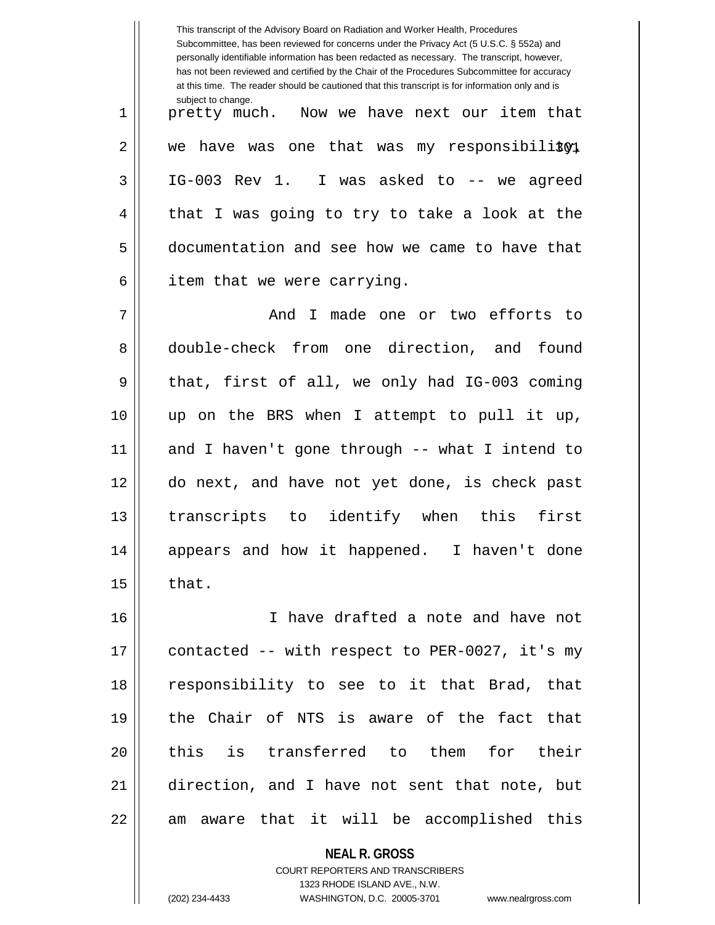|    | This transcript of the Advisory Board on Radiation and Worker Health, Procedures<br>Subcommittee, has been reviewed for concerns under the Privacy Act (5 U.S.C. § 552a) and<br>personally identifiable information has been redacted as necessary. The transcript, however,<br>has not been reviewed and certified by the Chair of the Procedures Subcommittee for accuracy<br>at this time. The reader should be cautioned that this transcript is for information only and is |
|----|----------------------------------------------------------------------------------------------------------------------------------------------------------------------------------------------------------------------------------------------------------------------------------------------------------------------------------------------------------------------------------------------------------------------------------------------------------------------------------|
| 1  | subject to change.<br>pretty much. Now we have next our item that                                                                                                                                                                                                                                                                                                                                                                                                                |
| 2  | have was one that was my responsibility,<br>we                                                                                                                                                                                                                                                                                                                                                                                                                                   |
| 3  | IG-003 Rev 1. I was asked to -- we agreed                                                                                                                                                                                                                                                                                                                                                                                                                                        |
| 4  | that I was going to try to take a look at the                                                                                                                                                                                                                                                                                                                                                                                                                                    |
| 5  | documentation and see how we came to have that                                                                                                                                                                                                                                                                                                                                                                                                                                   |
| 6  | item that we were carrying.                                                                                                                                                                                                                                                                                                                                                                                                                                                      |
| 7  | I made one or two efforts to<br>And                                                                                                                                                                                                                                                                                                                                                                                                                                              |
| 8  | double-check from one direction, and found                                                                                                                                                                                                                                                                                                                                                                                                                                       |
| 9  | that, first of all, we only had IG-003 coming                                                                                                                                                                                                                                                                                                                                                                                                                                    |
| 10 | up on the BRS when I attempt to pull it up,                                                                                                                                                                                                                                                                                                                                                                                                                                      |
| 11 | and I haven't gone through -- what I intend to                                                                                                                                                                                                                                                                                                                                                                                                                                   |
| 12 | do next, and have not yet done, is check past                                                                                                                                                                                                                                                                                                                                                                                                                                    |
| 13 | identify when<br>this<br>first<br>transcripts to                                                                                                                                                                                                                                                                                                                                                                                                                                 |
| 14 | appears and how it happened. I haven't done                                                                                                                                                                                                                                                                                                                                                                                                                                      |
| 15 | that.                                                                                                                                                                                                                                                                                                                                                                                                                                                                            |
| 16 | I have drafted a note and have not                                                                                                                                                                                                                                                                                                                                                                                                                                               |
| 17 | contacted -- with respect to PER-0027, it's my                                                                                                                                                                                                                                                                                                                                                                                                                                   |
| 18 | responsibility to see to it that Brad, that                                                                                                                                                                                                                                                                                                                                                                                                                                      |
| 19 | the Chair of NTS is aware of the fact that                                                                                                                                                                                                                                                                                                                                                                                                                                       |
| 20 | this is transferred to them for their                                                                                                                                                                                                                                                                                                                                                                                                                                            |
| 21 | direction, and I have not sent that note, but                                                                                                                                                                                                                                                                                                                                                                                                                                    |
| 22 | am aware that it will be accomplished this                                                                                                                                                                                                                                                                                                                                                                                                                                       |
|    | <b>NEAL R. GROSS</b>                                                                                                                                                                                                                                                                                                                                                                                                                                                             |

COURT REPORTERS AND TRANSCRIBERS 1323 RHODE ISLAND AVE., N.W.

 $\mathsf{I}$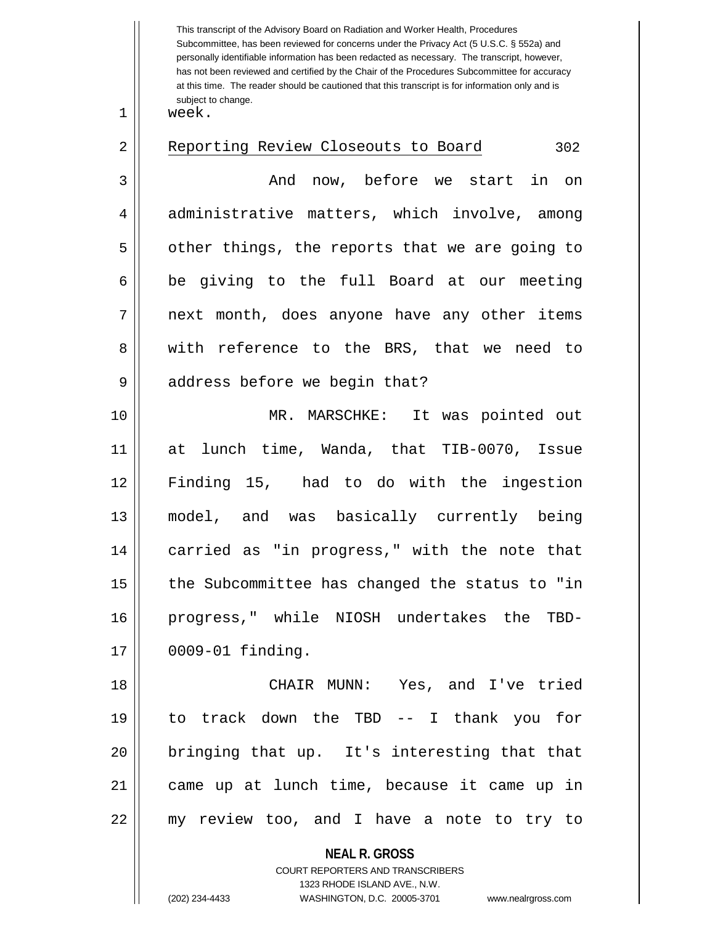This transcript of the Advisory Board on Radiation and Worker Health, Procedures Subcommittee, has been reviewed for concerns under the Privacy Act (5 U.S.C. § 552a) and personally identifiable information has been redacted as necessary. The transcript, however, has not been reviewed and certified by the Chair of the Procedures Subcommittee for accuracy at this time. The reader should be cautioned that this transcript is for information only and is subject to change.

 $1 \parallel$  week.

| 2  | Reporting Review Closeouts to Board<br>302     |
|----|------------------------------------------------|
| 3  | And now, before we start in on                 |
| 4  | administrative matters, which involve, among   |
| 5  | other things, the reports that we are going to |
| 6  | be giving to the full Board at our meeting     |
| 7  | next month, does anyone have any other items   |
| 8  | with reference to the BRS, that we need to     |
| 9  | address before we begin that?                  |
| 10 | MR. MARSCHKE: It was pointed out               |
| 11 | at lunch time, Wanda, that TIB-0070, Issue     |
| 12 | Finding 15, had to do with the ingestion       |
| 13 | model, and was basically currently being       |
| 14 | carried as "in progress," with the note that   |
| 15 | the Subcommittee has changed the status to "in |
| 16 | progress," while NIOSH undertakes the TBD-     |
| 17 | $0009-01$ finding.                             |
| 18 | CHAIR MUNN: Yes, and I've tried                |
| 19 | to track down the TBD -- I thank you for       |
| 20 | bringing that up. It's interesting that that   |
| 21 | came up at lunch time, because it came up in   |
| 22 | my review too, and I have a note to try to     |
|    | <b>NEAL R. GROSS</b>                           |

COURT REPORTERS AND TRANSCRIBERS 1323 RHODE ISLAND AVE., N.W.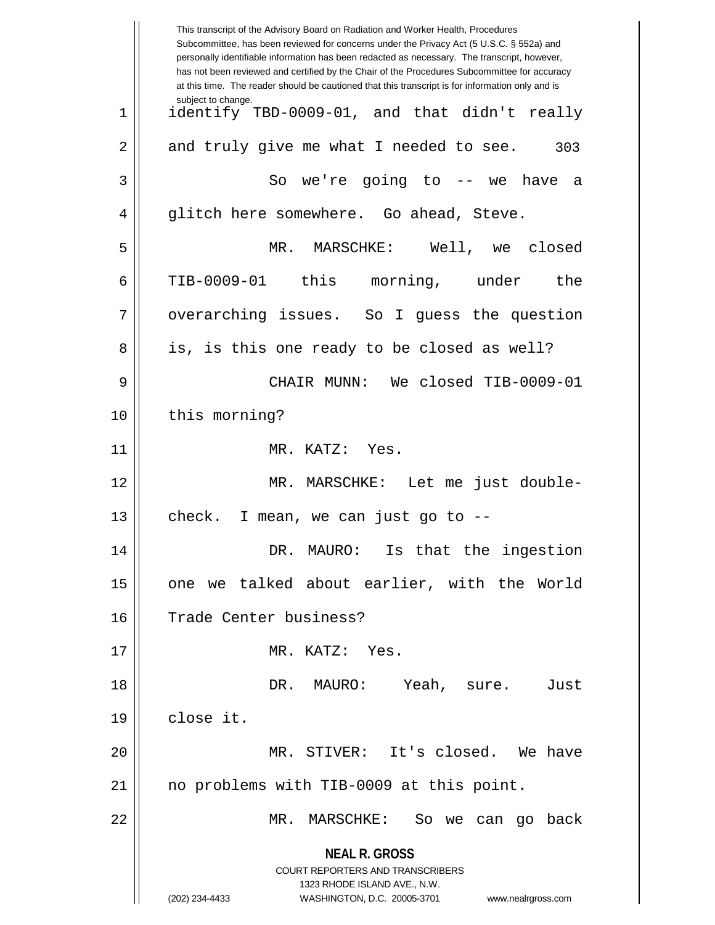|    | This transcript of the Advisory Board on Radiation and Worker Health, Procedures<br>Subcommittee, has been reviewed for concerns under the Privacy Act (5 U.S.C. § 552a) and<br>personally identifiable information has been redacted as necessary. The transcript, however,<br>has not been reviewed and certified by the Chair of the Procedures Subcommittee for accuracy<br>at this time. The reader should be cautioned that this transcript is for information only and is |
|----|----------------------------------------------------------------------------------------------------------------------------------------------------------------------------------------------------------------------------------------------------------------------------------------------------------------------------------------------------------------------------------------------------------------------------------------------------------------------------------|
| 1  | subject to change.<br>identify TBD-0009-01, and that didn't really                                                                                                                                                                                                                                                                                                                                                                                                               |
| 2  | and truly give me what I needed to see.<br>303                                                                                                                                                                                                                                                                                                                                                                                                                                   |
| 3  | So we're going to $-$ we have a                                                                                                                                                                                                                                                                                                                                                                                                                                                  |
| 4  | glitch here somewhere. Go ahead, Steve.                                                                                                                                                                                                                                                                                                                                                                                                                                          |
| 5  | MR. MARSCHKE: Well, we closed                                                                                                                                                                                                                                                                                                                                                                                                                                                    |
| 6  | TIB-0009-01 this morning, under<br>the                                                                                                                                                                                                                                                                                                                                                                                                                                           |
| 7  | overarching issues. So I guess the question                                                                                                                                                                                                                                                                                                                                                                                                                                      |
| 8  | is, is this one ready to be closed as well?                                                                                                                                                                                                                                                                                                                                                                                                                                      |
| 9  | CHAIR MUNN: We closed TIB-0009-01                                                                                                                                                                                                                                                                                                                                                                                                                                                |
| 10 | this morning?                                                                                                                                                                                                                                                                                                                                                                                                                                                                    |
| 11 | MR. KATZ: Yes.                                                                                                                                                                                                                                                                                                                                                                                                                                                                   |
| 12 | MR. MARSCHKE: Let me just double-                                                                                                                                                                                                                                                                                                                                                                                                                                                |
| 13 | check.<br>I mean, we can just go to --                                                                                                                                                                                                                                                                                                                                                                                                                                           |
| 14 | DR. MAURO: Is that the ingestion                                                                                                                                                                                                                                                                                                                                                                                                                                                 |
| 15 | one we talked about earlier, with the World                                                                                                                                                                                                                                                                                                                                                                                                                                      |
| 16 | Trade Center business?                                                                                                                                                                                                                                                                                                                                                                                                                                                           |
| 17 | MR. KATZ: Yes.                                                                                                                                                                                                                                                                                                                                                                                                                                                                   |
| 18 | DR. MAURO: Yeah, sure.<br>Just                                                                                                                                                                                                                                                                                                                                                                                                                                                   |
| 19 | close it.                                                                                                                                                                                                                                                                                                                                                                                                                                                                        |
| 20 | MR. STIVER: It's closed. We have                                                                                                                                                                                                                                                                                                                                                                                                                                                 |
| 21 | no problems with TIB-0009 at this point.                                                                                                                                                                                                                                                                                                                                                                                                                                         |
| 22 | MR. MARSCHKE: So we can go back                                                                                                                                                                                                                                                                                                                                                                                                                                                  |
|    | <b>NEAL R. GROSS</b><br>COURT REPORTERS AND TRANSCRIBERS<br>1323 RHODE ISLAND AVE., N.W.<br>(202) 234-4433<br>WASHINGTON, D.C. 20005-3701<br>www.nealrgross.com                                                                                                                                                                                                                                                                                                                  |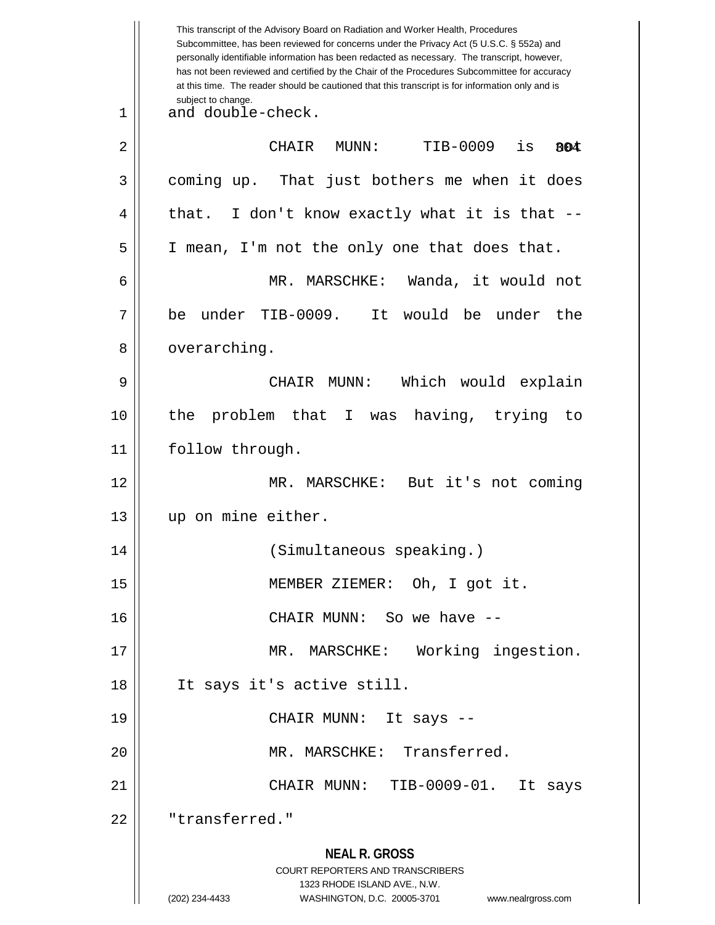**NEAL R. GROSS** COURT REPORTERS AND TRANSCRIBERS 1323 RHODE ISLAND AVE., N.W. (202) 234-4433 WASHINGTON, D.C. 20005-3701 www.nealrgross.com This transcript of the Advisory Board on Radiation and Worker Health, Procedures Subcommittee, has been reviewed for concerns under the Privacy Act (5 U.S.C. § 552a) and personally identifiable information has been redacted as necessary. The transcript, however, has not been reviewed and certified by the Chair of the Procedures Subcommittee for accuracy at this time. The reader should be cautioned that this transcript is for information only and is subject to change. 304 1 and double-check. 2 CHAIR MUNN: TIB-0009 is not 3 || coming up. That just bothers me when it does  $4 \parallel$  that. I don't know exactly what it is that --5 I mean, I'm not the only one that does that. 6 MR. MARSCHKE: Wanda, it would not 7 be under TIB-0009. It would be under the 8 | overarching. 9 CHAIR MUNN: Which would explain 10 the problem that I was having, trying to 11 || follow through. 12 MR. MARSCHKE: But it's not coming 13 up on mine either. 14 (Simultaneous speaking.) 15 MEMBER ZIEMER: Oh, I got it. 16 || CHAIR MUNN: So we have --17 MR. MARSCHKE: Working ingestion. 18 It says it's active still. 19 CHAIR MUNN: It says -- 20 || MR. MARSCHKE: Transferred. 21 CHAIR MUNN: TIB-0009-01. It says 22 || "transferred."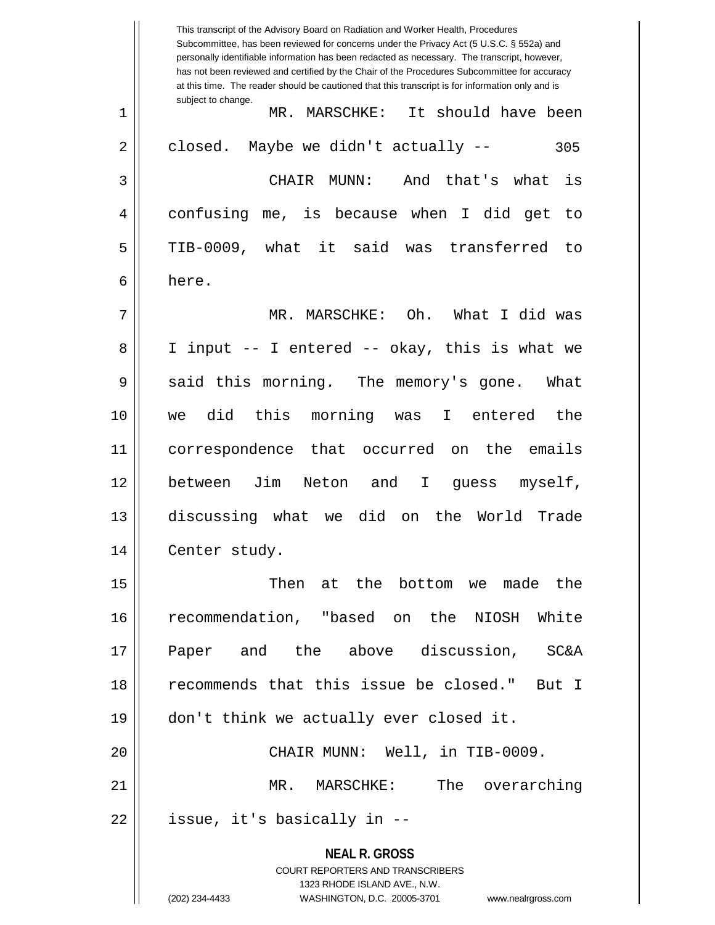**NEAL R. GROSS** COURT REPORTERS AND TRANSCRIBERS 1323 RHODE ISLAND AVE., N.W. (202) 234-4433 WASHINGTON, D.C. 20005-3701 www.nealrgross.com This transcript of the Advisory Board on Radiation and Worker Health, Procedures Subcommittee, has been reviewed for concerns under the Privacy Act (5 U.S.C. § 552a) and personally identifiable information has been redacted as necessary. The transcript, however, has not been reviewed and certified by the Chair of the Procedures Subcommittee for accuracy at this time. The reader should be cautioned that this transcript is for information only and is subject to change. 305 1 MR. MARSCHKE: It should have been  $2 \parallel$  closed. Maybe we didn't actually --3 CHAIR MUNN: And that's what is 4 confusing me, is because when I did get to 5 TIB-0009, what it said was transferred to 6 here. 7 MR. MARSCHKE: Oh. What I did was 8 I input -- I entered -- okay, this is what we  $9 \parallel$  said this morning. The memory's gone. What 10 we did this morning was I entered the 11 correspondence that occurred on the emails 12 between Jim Neton and I guess myself, 13 discussing what we did on the World Trade 14 | Center study. 15 Then at the bottom we made the 16 recommendation, "based on the NIOSH White 17 Paper and the above discussion, SC&A 18 recommends that this issue be closed." But I 19 don't think we actually ever closed it. 20 CHAIR MUNN: Well, in TIB-0009. 21 MR. MARSCHKE: The overarching  $22 \parallel$  issue, it's basically in  $-$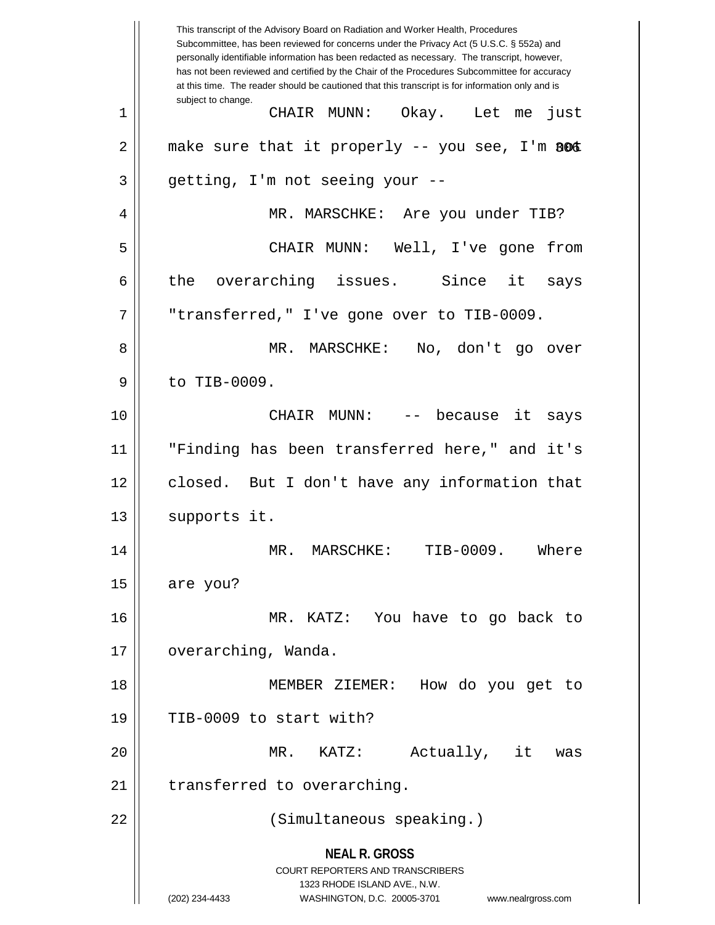**NEAL R. GROSS** COURT REPORTERS AND TRANSCRIBERS 1323 RHODE ISLAND AVE., N.W. (202) 234-4433 WASHINGTON, D.C. 20005-3701 www.nealrgross.com This transcript of the Advisory Board on Radiation and Worker Health, Procedures Subcommittee, has been reviewed for concerns under the Privacy Act (5 U.S.C. § 552a) and personally identifiable information has been redacted as necessary. The transcript, however, has not been reviewed and certified by the Chair of the Procedures Subcommittee for accuracy at this time. The reader should be cautioned that this transcript is for information only and is subject to change. 2 || make sure that it properly -- you see, I'm BOC 1 CHAIR MUNN: Okay. Let me just  $3 \parallel$  getting, I'm not seeing your --4 MR. MARSCHKE: Are you under TIB? 5 CHAIR MUNN: Well, I've gone from  $6 \parallel$  the overarching issues. Since it says 7 "transferred," I've gone over to TIB-0009. 8 MR. MARSCHKE: No, don't go over 9 || to TIB-0009. 10 CHAIR MUNN: -- because it says 11 "Finding has been transferred here," and it's 12 closed. But I don't have any information that 13 | supports it. 14 MR. MARSCHKE: TIB-0009. Where  $15$  are you? 16 MR. KATZ: You have to go back to 17 | overarching, Wanda. 18 MEMBER ZIEMER: How do you get to  $19$  || TIB-0009 to start with? 20 MR. KATZ: Actually, it was 21 | transferred to overarching. 22 (Simultaneous speaking.)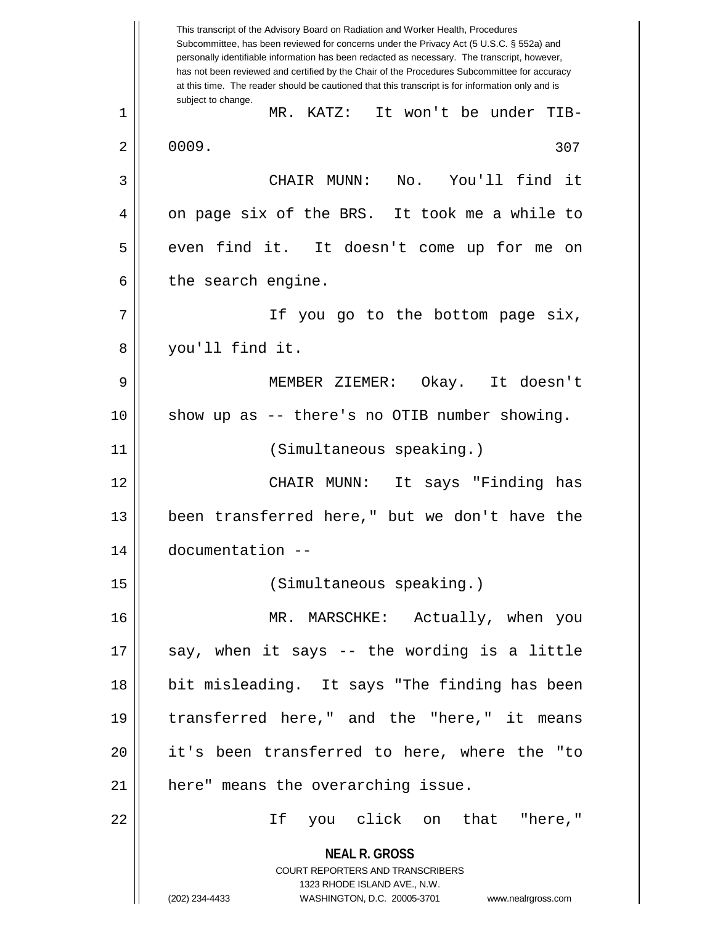**NEAL R. GROSS** COURT REPORTERS AND TRANSCRIBERS 1323 RHODE ISLAND AVE., N.W. (202) 234-4433 WASHINGTON, D.C. 20005-3701 www.nealrgross.com This transcript of the Advisory Board on Radiation and Worker Health, Procedures Subcommittee, has been reviewed for concerns under the Privacy Act (5 U.S.C. § 552a) and personally identifiable information has been redacted as necessary. The transcript, however, has not been reviewed and certified by the Chair of the Procedures Subcommittee for accuracy at this time. The reader should be cautioned that this transcript is for information only and is subject to change. 307 1 MR. KATZ: It won't be under TIB- $2 \parallel 0009$ . 3 CHAIR MUNN: No. You'll find it 4 || on page six of the BRS. It took me a while to 5 || even find it. It doesn't come up for me on  $6 \parallel$  the search engine. 7 || If you go to the bottom page six, 8 you'll find it. 9 MEMBER ZIEMER: Okay. It doesn't 10 show up as -- there's no OTIB number showing. 11 (Simultaneous speaking.) 12 CHAIR MUNN: It says "Finding has 13 been transferred here," but we don't have the 14 documentation -- 15 (Simultaneous speaking.) 16 MR. MARSCHKE: Actually, when you  $17$  || say, when it says -- the wording is a little 18 bit misleading. It says "The finding has been 19 transferred here," and the "here," it means 20 it's been transferred to here, where the "to 21 | here" means the overarching issue. 22 If you click on that "here,"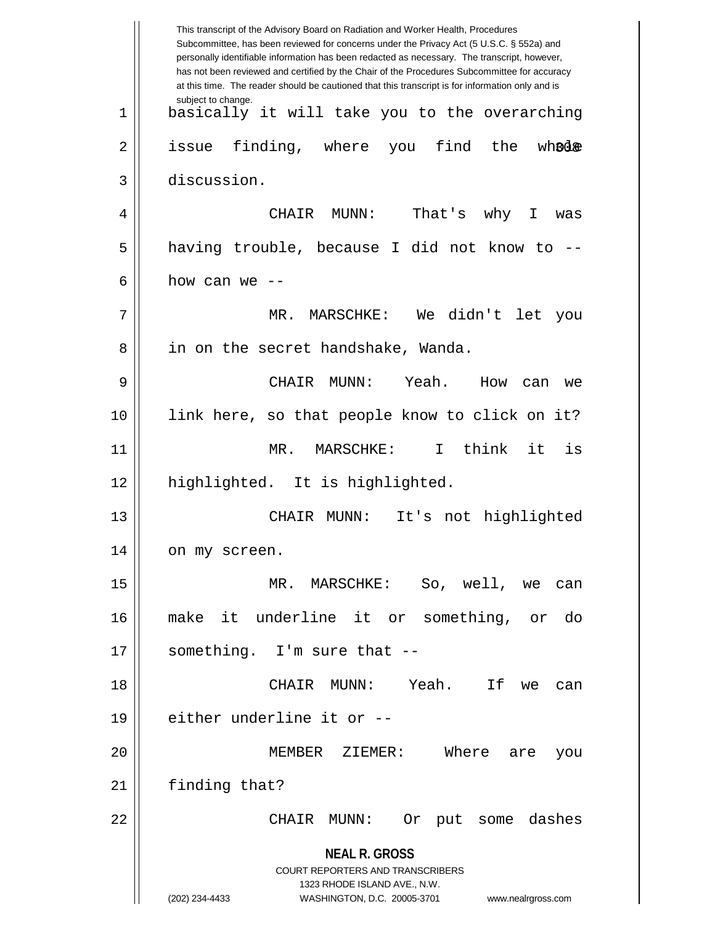**NEAL R. GROSS** COURT REPORTERS AND TRANSCRIBERS 1323 RHODE ISLAND AVE., N.W. (202) 234-4433 WASHINGTON, D.C. 20005-3701 www.nealrgross.com This transcript of the Advisory Board on Radiation and Worker Health, Procedures Subcommittee, has been reviewed for concerns under the Privacy Act (5 U.S.C. § 552a) and personally identifiable information has been redacted as necessary. The transcript, however, has not been reviewed and certified by the Chair of the Procedures Subcommittee for accuracy at this time. The reader should be cautioned that this transcript is for information only and is subject to change. wh©d& 1 basically it will take you to the overarching  $2 \parallel$  issue finding, where you find the 3 discussion. 4 CHAIR MUNN: That's why I was 5 || having trouble, because I did not know to -- $6 \parallel$  how can we --7 MR. MARSCHKE: We didn't let you 8 | in on the secret handshake, Wanda. 9 CHAIR MUNN: Yeah. How can we 10 link here, so that people know to click on it? 11 MR. MARSCHKE: I think it is 12 highlighted. It is highlighted. 13 CHAIR MUNN: It's not highlighted 14 | on my screen. 15 MR. MARSCHKE: So, well, we can 16 make it underline it or something, or do  $17$  || something. I'm sure that  $-$ 18 CHAIR MUNN: Yeah. If we can  $19$  || either underline it or  $-$ 20 MEMBER ZIEMER: Where are you 21 | finding that? 22 CHAIR MUNN: Or put some dashes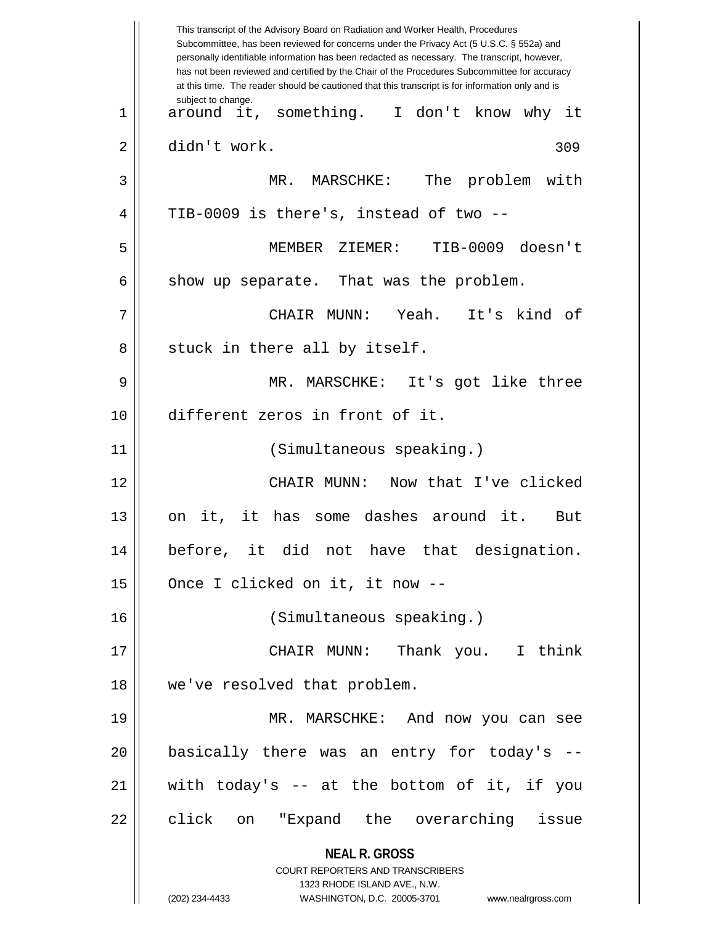**NEAL R. GROSS** COURT REPORTERS AND TRANSCRIBERS 1323 RHODE ISLAND AVE., N.W. (202) 234-4433 WASHINGTON, D.C. 20005-3701 www.nealrgross.com This transcript of the Advisory Board on Radiation and Worker Health, Procedures Subcommittee, has been reviewed for concerns under the Privacy Act (5 U.S.C. § 552a) and personally identifiable information has been redacted as necessary. The transcript, however, has not been reviewed and certified by the Chair of the Procedures Subcommittee for accuracy at this time. The reader should be cautioned that this transcript is for information only and is subject to change. 309 1 around it, something. I don't know why it 2 didn't work. 3 MR. MARSCHKE: The problem with  $4 \parallel$  TIB-0009 is there's, instead of two --5 MEMBER ZIEMER: TIB-0009 doesn't  $6 \parallel$  show up separate. That was the problem. 7 CHAIR MUNN: Yeah. It's kind of  $8 \parallel$  stuck in there all by itself. 9 MR. MARSCHKE: It's got like three 10 different zeros in front of it. 11 (Simultaneous speaking.) 12 CHAIR MUNN: Now that I've clicked 13 on it, it has some dashes around it. But 14 before, it did not have that designation. 15 | Once I clicked on it, it now --16 (Simultaneous speaking.) 17 CHAIR MUNN: Thank you. I think 18 we've resolved that problem. 19 MR. MARSCHKE: And now you can see 20 basically there was an entry for today's -- 21 with today's -- at the bottom of it, if you 22 || click on "Expand the overarching issue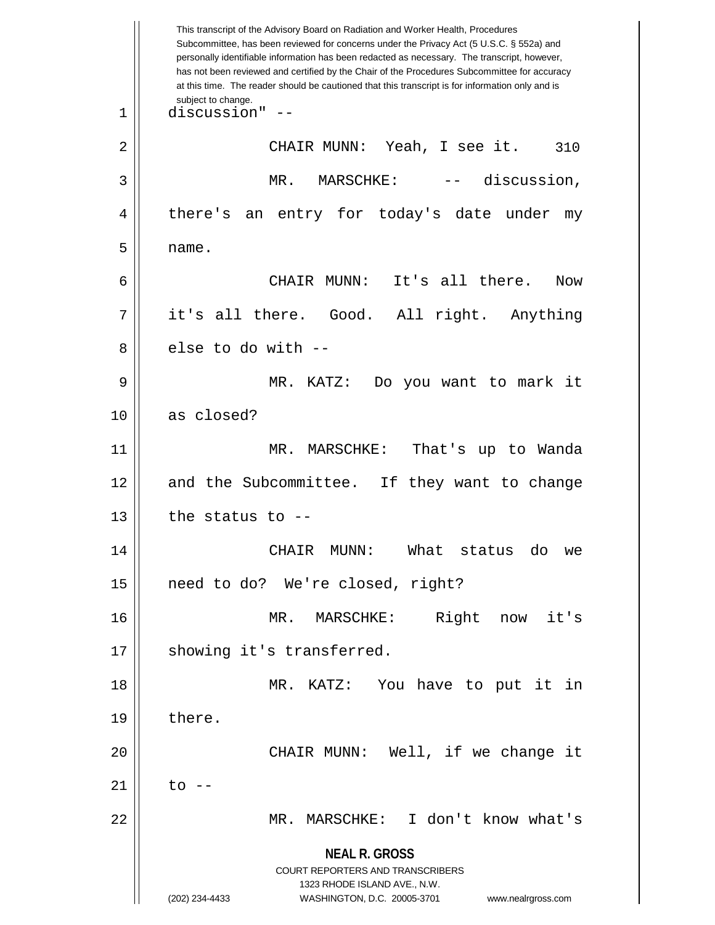**NEAL R. GROSS** COURT REPORTERS AND TRANSCRIBERS 1323 RHODE ISLAND AVE., N.W. (202) 234-4433 WASHINGTON, D.C. 20005-3701 www.nealrgross.com This transcript of the Advisory Board on Radiation and Worker Health, Procedures Subcommittee, has been reviewed for concerns under the Privacy Act (5 U.S.C. § 552a) and personally identifiable information has been redacted as necessary. The transcript, however, has not been reviewed and certified by the Chair of the Procedures Subcommittee for accuracy at this time. The reader should be cautioned that this transcript is for information only and is subject to change. 310 1 discussion" -- 2 CHAIR MUNN: Yeah, I see it. 3 MR. MARSCHKE: -- discussion, 4 || there's an entry for today's date under my  $5 \parallel$  name. 6 CHAIR MUNN: It's all there. Now 7 it's all there. Good. All right. Anything 8 else to do with --9 MR. KATZ: Do you want to mark it 10 as closed? 11 MR. MARSCHKE: That's up to Wanda 12 and the Subcommittee. If they want to change  $13$  || the status to  $-$ 14 CHAIR MUNN: What status do we 15 || need to do? We're closed, right? 16 MR. MARSCHKE: Right now it's 17 || showing it's transferred. 18 MR. KATZ: You have to put it in  $19 \parallel$  there. 20 || CHAIR MUNN: Well, if we change it  $21 \parallel$  to  $-$ 22 MR. MARSCHKE: I don't know what's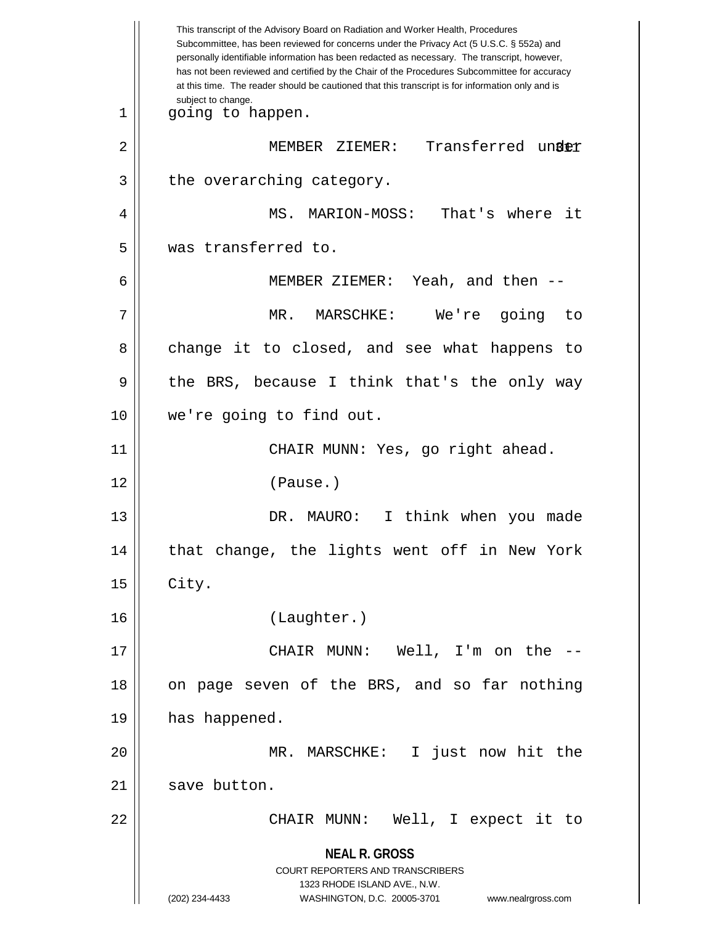**NEAL R. GROSS** COURT REPORTERS AND TRANSCRIBERS 1323 RHODE ISLAND AVE., N.W. (202) 234-4433 WASHINGTON, D.C. 20005-3701 www.nealrgross.com This transcript of the Advisory Board on Radiation and Worker Health, Procedures Subcommittee, has been reviewed for concerns under the Privacy Act (5 U.S.C. § 552a) and personally identifiable information has been redacted as necessary. The transcript, however, has not been reviewed and certified by the Chair of the Procedures Subcommittee for accuracy at this time. The reader should be cautioned that this transcript is for information only and is subject to change. 2 || MEMBER ZIEMER: Transferred un**der** 1 || going to happen.  $3 \parallel$  the overarching category. 4 MS. MARION-MOSS: That's where it 5 was transferred to. 6 MEMBER ZIEMER: Yeah, and then -- 7 MR. MARSCHKE: We're going to 8 change it to closed, and see what happens to 9 || the BRS, because I think that's the only way 10 we're going to find out. 11 | CHAIR MUNN: Yes, go right ahead. 12 (Pause.) 13 DR. MAURO: I think when you made 14 || that change, the lights went off in New York  $15$  | City. 16 (Laughter.) 17 CHAIR MUNN: Well, I'm on the -- 18 || on page seven of the BRS, and so far nothing 19 || has happened. 20 MR. MARSCHKE: I just now hit the  $21$  save button. 22 CHAIR MUNN: Well, I expect it to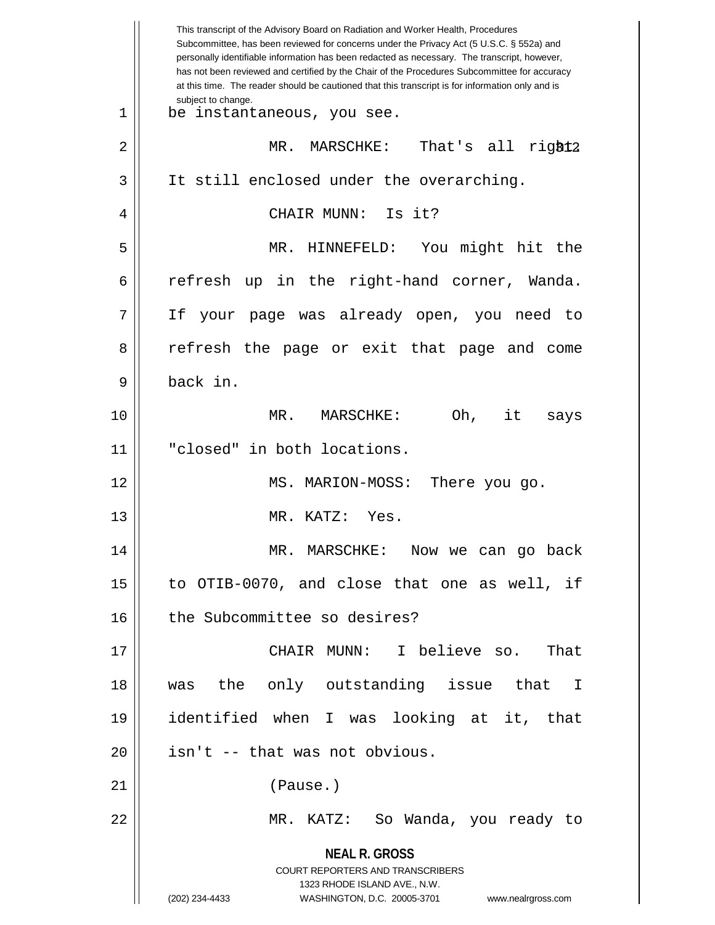|    | This transcript of the Advisory Board on Radiation and Worker Health, Procedures<br>Subcommittee, has been reviewed for concerns under the Privacy Act (5 U.S.C. § 552a) and<br>personally identifiable information has been redacted as necessary. The transcript, however,<br>has not been reviewed and certified by the Chair of the Procedures Subcommittee for accuracy<br>at this time. The reader should be cautioned that this transcript is for information only and is |
|----|----------------------------------------------------------------------------------------------------------------------------------------------------------------------------------------------------------------------------------------------------------------------------------------------------------------------------------------------------------------------------------------------------------------------------------------------------------------------------------|
| 1  | subject to change.<br>be instantaneous, you see.                                                                                                                                                                                                                                                                                                                                                                                                                                 |
| 2  | That's all right2<br>MR. MARSCHKE:                                                                                                                                                                                                                                                                                                                                                                                                                                               |
| 3  | It still enclosed under the overarching.                                                                                                                                                                                                                                                                                                                                                                                                                                         |
| 4  | CHAIR MUNN: Is it?                                                                                                                                                                                                                                                                                                                                                                                                                                                               |
| 5  | MR. HINNEFELD: You might hit the                                                                                                                                                                                                                                                                                                                                                                                                                                                 |
| 6  | refresh<br>up in the right-hand corner, Wanda.                                                                                                                                                                                                                                                                                                                                                                                                                                   |
| 7  | your page was already open, you need to<br>Ιf                                                                                                                                                                                                                                                                                                                                                                                                                                    |
| 8  | refresh the page or exit that page and come                                                                                                                                                                                                                                                                                                                                                                                                                                      |
| 9  | back in.                                                                                                                                                                                                                                                                                                                                                                                                                                                                         |
| 10 | Oh, it<br>MR.<br>MARSCHKE:<br>says                                                                                                                                                                                                                                                                                                                                                                                                                                               |
| 11 | "closed" in both locations.                                                                                                                                                                                                                                                                                                                                                                                                                                                      |
| 12 | MS. MARION-MOSS:<br>There you go.                                                                                                                                                                                                                                                                                                                                                                                                                                                |
| 13 | MR. KATZ:<br>Yes.                                                                                                                                                                                                                                                                                                                                                                                                                                                                |
| 14 | MR. MARSCHKE: Now we can go back                                                                                                                                                                                                                                                                                                                                                                                                                                                 |
| 15 | to OTIB-0070, and close that one as well, if                                                                                                                                                                                                                                                                                                                                                                                                                                     |
| 16 | the Subcommittee so desires?                                                                                                                                                                                                                                                                                                                                                                                                                                                     |
| 17 | CHAIR MUNN: I believe so.<br>That                                                                                                                                                                                                                                                                                                                                                                                                                                                |
| 18 | was the only outstanding issue that I                                                                                                                                                                                                                                                                                                                                                                                                                                            |
| 19 | identified when I was looking at it, that                                                                                                                                                                                                                                                                                                                                                                                                                                        |
| 20 | isn't -- that was not obvious.                                                                                                                                                                                                                                                                                                                                                                                                                                                   |
| 21 | (Pause.)                                                                                                                                                                                                                                                                                                                                                                                                                                                                         |
| 22 | MR. KATZ: So Wanda, you ready to                                                                                                                                                                                                                                                                                                                                                                                                                                                 |
|    | <b>NEAL R. GROSS</b><br><b>COURT REPORTERS AND TRANSCRIBERS</b><br>1323 RHODE ISLAND AVE., N.W.<br>(202) 234-4433<br>WASHINGTON, D.C. 20005-3701<br>www.nealrgross.com                                                                                                                                                                                                                                                                                                           |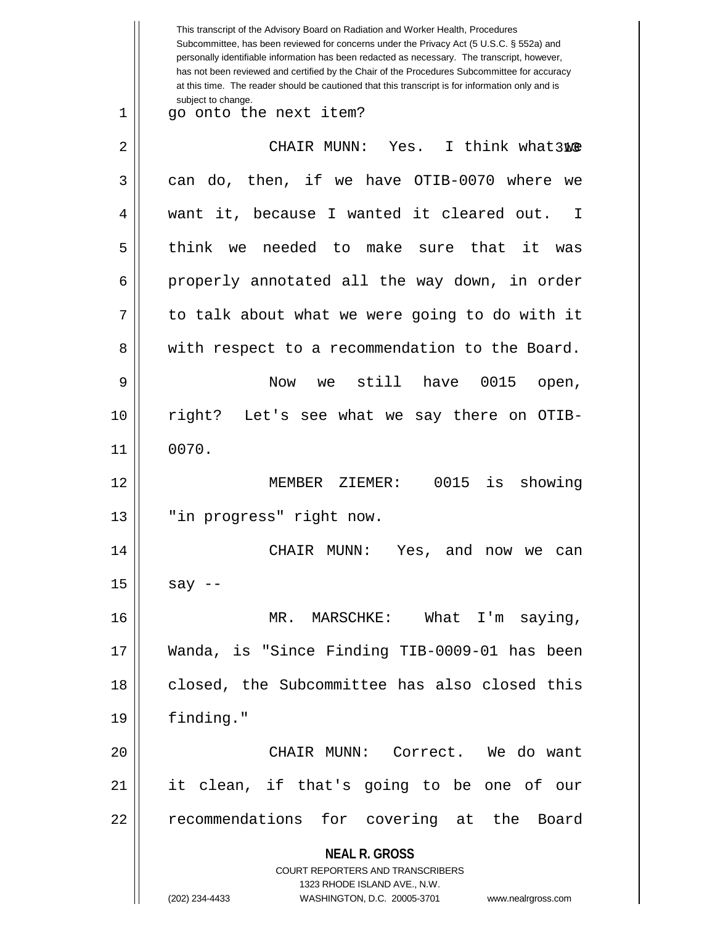|    | This transcript of the Advisory Board on Radiation and Worker Health, Procedures<br>Subcommittee, has been reviewed for concerns under the Privacy Act (5 U.S.C. § 552a) and<br>personally identifiable information has been redacted as necessary. The transcript, however,<br>has not been reviewed and certified by the Chair of the Procedures Subcommittee for accuracy<br>at this time. The reader should be cautioned that this transcript is for information only and is |
|----|----------------------------------------------------------------------------------------------------------------------------------------------------------------------------------------------------------------------------------------------------------------------------------------------------------------------------------------------------------------------------------------------------------------------------------------------------------------------------------|
| 1  | subject to change.<br>go onto the next item?                                                                                                                                                                                                                                                                                                                                                                                                                                     |
| 2  | I think what3We<br>CHAIR MUNN:<br>Yes.                                                                                                                                                                                                                                                                                                                                                                                                                                           |
| 3  | can do, then, if we have OTIB-0070 where<br>we                                                                                                                                                                                                                                                                                                                                                                                                                                   |
| 4  | want it, because I wanted it cleared out.<br>I                                                                                                                                                                                                                                                                                                                                                                                                                                   |
| 5  | think we needed to make sure that it<br>was                                                                                                                                                                                                                                                                                                                                                                                                                                      |
| 6  | properly annotated all the way down, in order                                                                                                                                                                                                                                                                                                                                                                                                                                    |
| 7  | to talk about what we were going to do with it                                                                                                                                                                                                                                                                                                                                                                                                                                   |
| 8  | with respect to a recommendation to the Board.                                                                                                                                                                                                                                                                                                                                                                                                                                   |
| 9  | still<br>0015<br><b>Now</b><br>have<br>we<br>open,                                                                                                                                                                                                                                                                                                                                                                                                                               |
| 10 | right? Let's see what we say there on OTIB-                                                                                                                                                                                                                                                                                                                                                                                                                                      |
| 11 | 0070.                                                                                                                                                                                                                                                                                                                                                                                                                                                                            |
| 12 | 0015<br>showing<br>MEMBER ZIEMER:<br>is                                                                                                                                                                                                                                                                                                                                                                                                                                          |
| 13 | "in progress" right now.                                                                                                                                                                                                                                                                                                                                                                                                                                                         |
| 14 | CHAIR MUNN: Yes, and now we can                                                                                                                                                                                                                                                                                                                                                                                                                                                  |
| 15 | say $--$                                                                                                                                                                                                                                                                                                                                                                                                                                                                         |
| 16 | MR. MARSCHKE: What I'm saying,                                                                                                                                                                                                                                                                                                                                                                                                                                                   |
| 17 | Wanda, is "Since Finding TIB-0009-01 has been                                                                                                                                                                                                                                                                                                                                                                                                                                    |
| 18 | closed, the Subcommittee has also closed this                                                                                                                                                                                                                                                                                                                                                                                                                                    |
| 19 | finding."                                                                                                                                                                                                                                                                                                                                                                                                                                                                        |
| 20 | CHAIR MUNN: Correct. We do want                                                                                                                                                                                                                                                                                                                                                                                                                                                  |
| 21 | it clean, if that's going to be one of our                                                                                                                                                                                                                                                                                                                                                                                                                                       |
| 22 | recommendations for covering at the Board                                                                                                                                                                                                                                                                                                                                                                                                                                        |
|    | <b>NEAL R. GROSS</b>                                                                                                                                                                                                                                                                                                                                                                                                                                                             |
|    | <b>COURT REPORTERS AND TRANSCRIBERS</b><br>1323 RHODE ISLAND AVE., N.W.                                                                                                                                                                                                                                                                                                                                                                                                          |
|    | (202) 234-4433<br>WASHINGTON, D.C. 20005-3701<br>www.nealrgross.com                                                                                                                                                                                                                                                                                                                                                                                                              |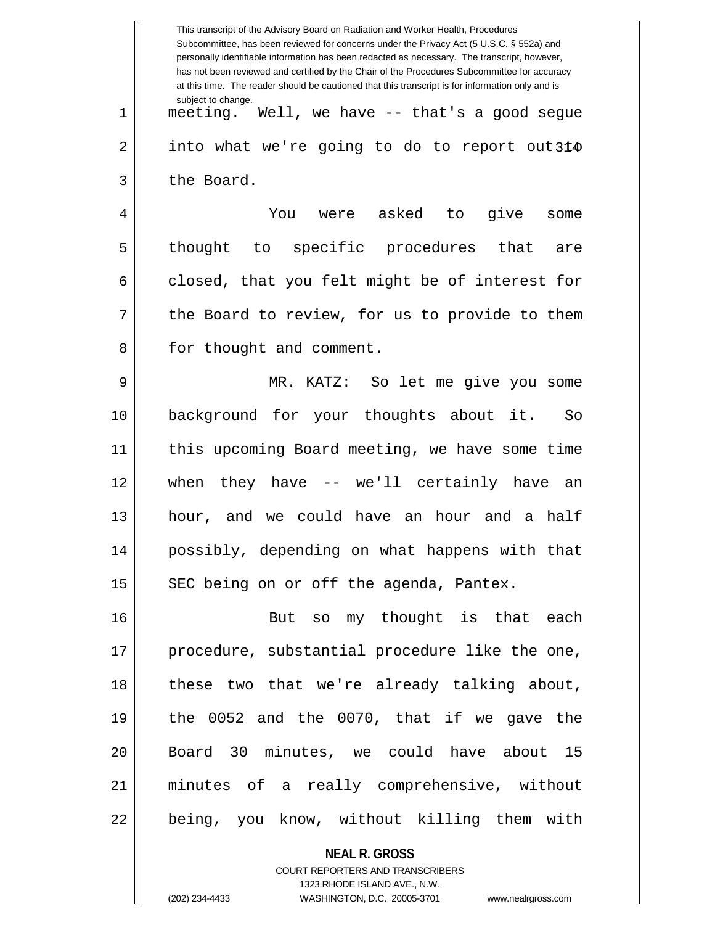|    | This transcript of the Advisory Board on Radiation and Worker Health, Procedures<br>Subcommittee, has been reviewed for concerns under the Privacy Act (5 U.S.C. § 552a) and<br>personally identifiable information has been redacted as necessary. The transcript, however,<br>has not been reviewed and certified by the Chair of the Procedures Subcommittee for accuracy<br>at this time. The reader should be cautioned that this transcript is for information only and is |
|----|----------------------------------------------------------------------------------------------------------------------------------------------------------------------------------------------------------------------------------------------------------------------------------------------------------------------------------------------------------------------------------------------------------------------------------------------------------------------------------|
| 1  | subject to change.<br>meeting. Well, we have -- that's a good segue                                                                                                                                                                                                                                                                                                                                                                                                              |
| 2  | into what we're going to do to report out314                                                                                                                                                                                                                                                                                                                                                                                                                                     |
| 3  | the Board.                                                                                                                                                                                                                                                                                                                                                                                                                                                                       |
| 4  | were asked to<br>give<br>You<br>some                                                                                                                                                                                                                                                                                                                                                                                                                                             |
| 5  | to specific procedures that<br>thought<br>are                                                                                                                                                                                                                                                                                                                                                                                                                                    |
| 6  | closed, that you felt might be of interest for                                                                                                                                                                                                                                                                                                                                                                                                                                   |
| 7  | the Board to review, for us to provide to them                                                                                                                                                                                                                                                                                                                                                                                                                                   |
| 8  | for thought and comment.                                                                                                                                                                                                                                                                                                                                                                                                                                                         |
| 9  | MR. KATZ: So let me give you some                                                                                                                                                                                                                                                                                                                                                                                                                                                |
| 10 | background for your thoughts about it.<br>So                                                                                                                                                                                                                                                                                                                                                                                                                                     |
| 11 | this upcoming Board meeting, we have some time                                                                                                                                                                                                                                                                                                                                                                                                                                   |
| 12 | when<br>they have -- we'll certainly have an                                                                                                                                                                                                                                                                                                                                                                                                                                     |
| 13 | hour, and we could have an hour and a half                                                                                                                                                                                                                                                                                                                                                                                                                                       |
| 14 | possibly, depending on what happens with that                                                                                                                                                                                                                                                                                                                                                                                                                                    |
| 15 | SEC being on or off the agenda, Pantex.                                                                                                                                                                                                                                                                                                                                                                                                                                          |
| 16 | But so my thought is that each                                                                                                                                                                                                                                                                                                                                                                                                                                                   |
| 17 | procedure, substantial procedure like the one,                                                                                                                                                                                                                                                                                                                                                                                                                                   |
| 18 | these two that we're already talking about,                                                                                                                                                                                                                                                                                                                                                                                                                                      |
| 19 | the 0052 and the 0070, that if we gave the                                                                                                                                                                                                                                                                                                                                                                                                                                       |
| 20 | Board 30 minutes, we could have about 15                                                                                                                                                                                                                                                                                                                                                                                                                                         |
| 21 | minutes of a really comprehensive, without                                                                                                                                                                                                                                                                                                                                                                                                                                       |
| 22 | being, you know, without killing them with                                                                                                                                                                                                                                                                                                                                                                                                                                       |
|    | <b>NEAL R. GROSS</b>                                                                                                                                                                                                                                                                                                                                                                                                                                                             |

COURT REPORTERS AND TRANSCRIBERS 1323 RHODE ISLAND AVE., N.W.

 $\mathsf{I}$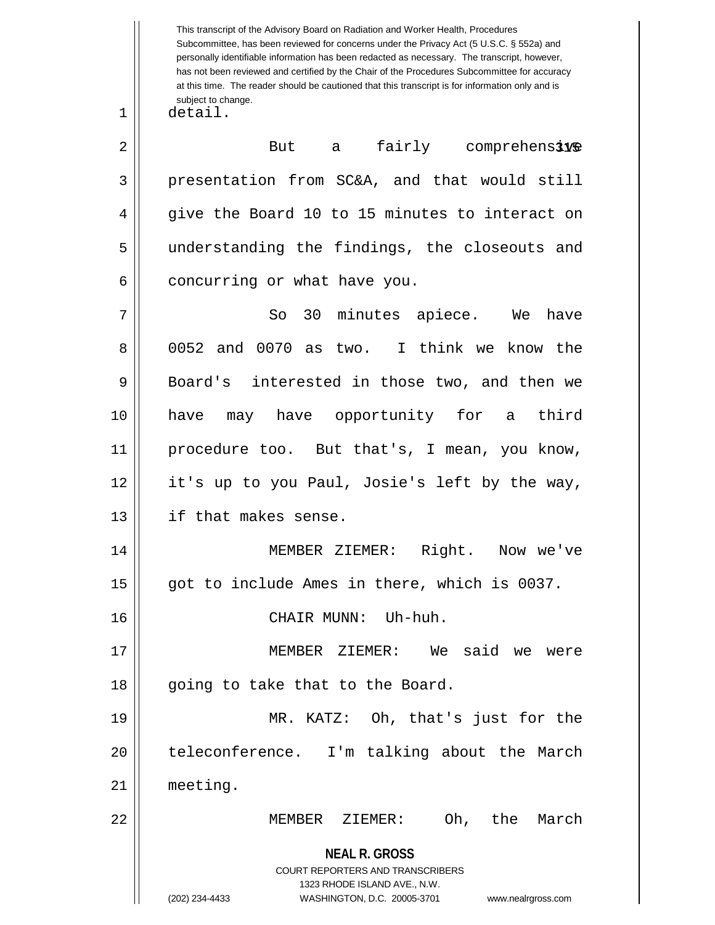**NEAL R. GROSS** COURT REPORTERS AND TRANSCRIBERS 1323 RHODE ISLAND AVE., N.W. (202) 234-4433 WASHINGTON, D.C. 20005-3701 www.nealrgross.com This transcript of the Advisory Board on Radiation and Worker Health, Procedures Subcommittee, has been reviewed for concerns under the Privacy Act (5 U.S.C. § 552a) and personally identifiable information has been redacted as necessary. The transcript, however, has not been reviewed and certified by the Chair of the Procedures Subcommittee for accuracy at this time. The reader should be cautioned that this transcript is for information only and is subject to change.  $2 \parallel$  But a fairly comprehensive 1 detail. 3 presentation from SC&A, and that would still 4 || give the Board 10 to 15 minutes to interact on 5 || understanding the findings, the closeouts and  $6$  | concurring or what have you. 7 || So 30 minutes apiece. We have 8 0052 and 0070 as two. I think we know the 9 Board's interested in those two, and then we 10 have may have opportunity for a third 11 procedure too. But that's, I mean, you know, 12 || it's up to you Paul, Josie's left by the way, 13 if that makes sense. 14 MEMBER ZIEMER: Right. Now we've 15 || got to include Ames in there, which is 0037. 16 CHAIR MUNN: Uh-huh. 17 MEMBER ZIEMER: We said we were 18 || going to take that to the Board. 19 MR. KATZ: Oh, that's just for the 20 || teleconference. I'm talking about the March 21 meeting. 22 MEMBER ZIEMER: Oh, the March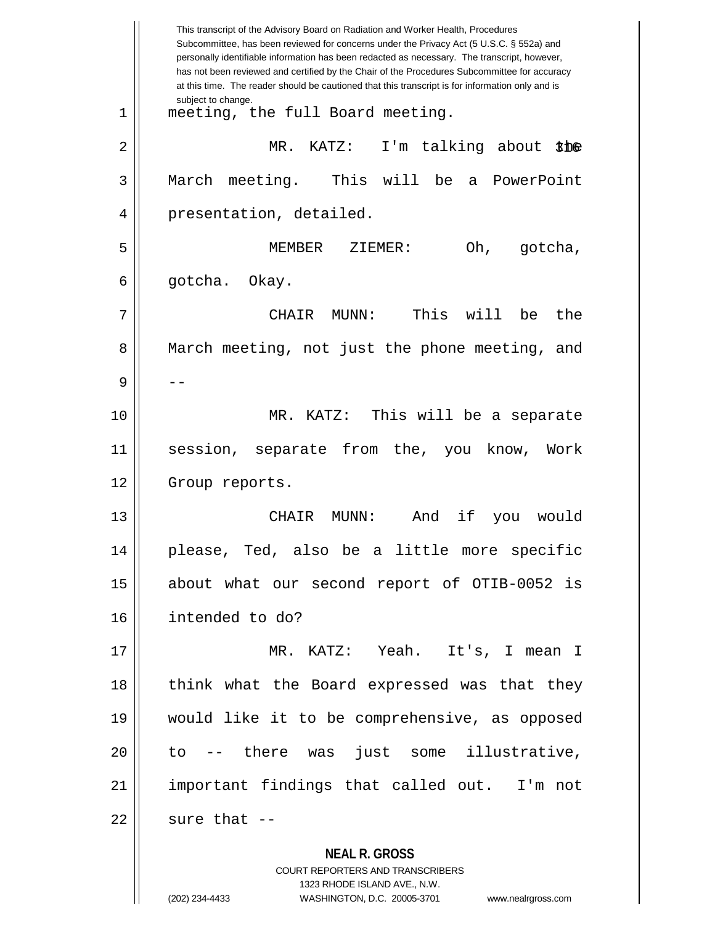**NEAL R. GROSS** COURT REPORTERS AND TRANSCRIBERS This transcript of the Advisory Board on Radiation and Worker Health, Procedures Subcommittee, has been reviewed for concerns under the Privacy Act (5 U.S.C. § 552a) and personally identifiable information has been redacted as necessary. The transcript, however, has not been reviewed and certified by the Chair of the Procedures Subcommittee for accuracy at this time. The reader should be cautioned that this transcript is for information only and is subject to change. 316 2 MR. KATZ: I'm talking about the 1 meeting, the full Board meeting. 3 March meeting. This will be a PowerPoint 4 | presentation, detailed. 5 MEMBER ZIEMER: Oh, gotcha,  $6 \parallel$  gotcha. Okay. 7 CHAIR MUNN: This will be the 8 || March meeting, not just the phone meeting, and 9 | --10 MR. KATZ: This will be a separate 11 session, separate from the, you know, Work 12 | Group reports. 13 CHAIR MUNN: And if you would 14 please, Ted, also be a little more specific 15 about what our second report of OTIB-0052 is 16 intended to do? 17 MR. KATZ: Yeah. It's, I mean I 18 || think what the Board expressed was that they 19 would like it to be comprehensive, as opposed 20 to -- there was just some illustrative, 21 important findings that called out. I'm not  $22$  | sure that  $-$ 

1323 RHODE ISLAND AVE., N.W.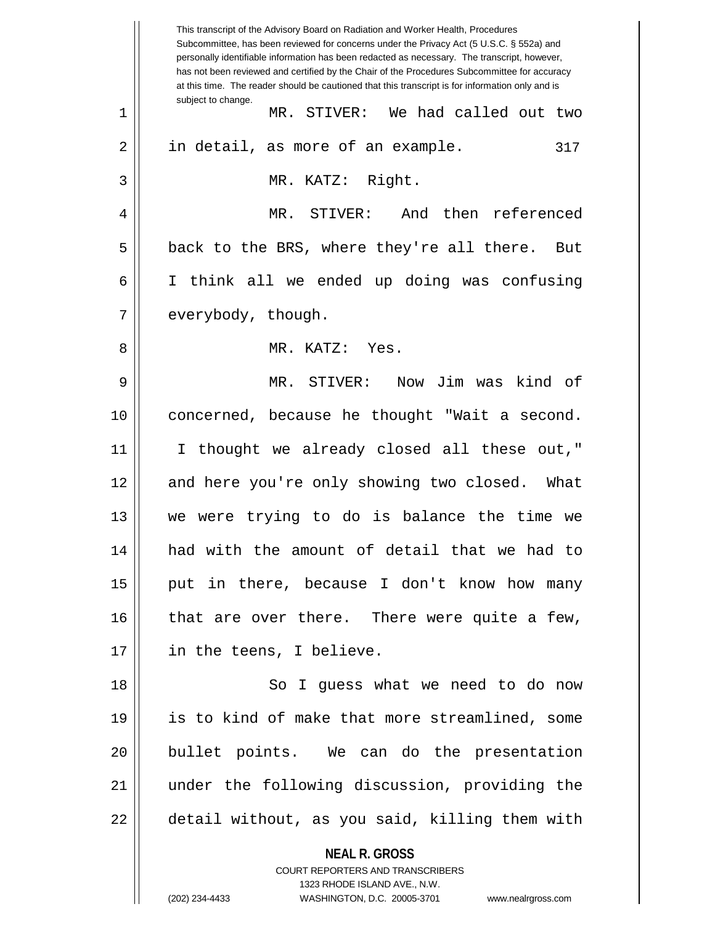**NEAL R. GROSS** COURT REPORTERS AND TRANSCRIBERS This transcript of the Advisory Board on Radiation and Worker Health, Procedures Subcommittee, has been reviewed for concerns under the Privacy Act (5 U.S.C. § 552a) and personally identifiable information has been redacted as necessary. The transcript, however, has not been reviewed and certified by the Chair of the Procedures Subcommittee for accuracy at this time. The reader should be cautioned that this transcript is for information only and is subject to change. 317 1 MR. STIVER: We had called out two 2 || in detail, as more of an example. 3 || MR. KATZ: Right. 4 MR. STIVER: And then referenced  $5 \parallel$  back to the BRS, where they're all there. But 6 I think all we ended up doing was confusing 7 | everybody, though. 8 MR. KATZ: Yes. 9 MR. STIVER: Now Jim was kind of 10 concerned, because he thought "Wait a second. 11 || I thought we already closed all these out," 12 || and here you're only showing two closed. What 13 we were trying to do is balance the time we 14 had with the amount of detail that we had to  $15$  || put in there, because I don't know how many  $16$  | that are over there. There were quite a few, 17 || in the teens, I believe. 18 || So I guess what we need to do now 19 is to kind of make that more streamlined, some 20 || bullet points. We can do the presentation 21 under the following discussion, providing the 22 | detail without, as you said, killing them with

1323 RHODE ISLAND AVE., N.W.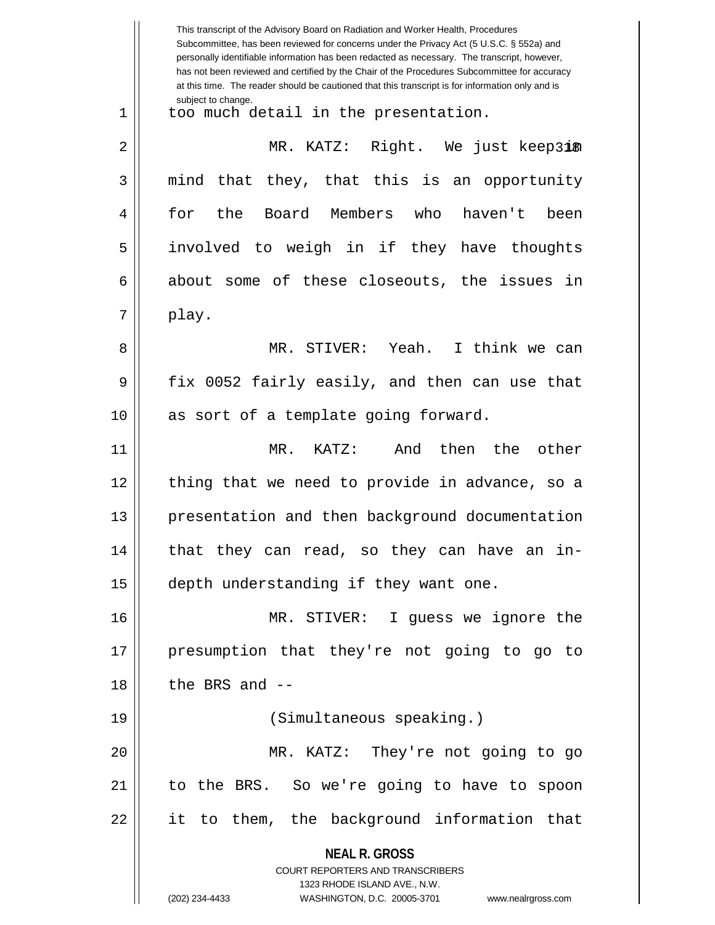**NEAL R. GROSS** COURT REPORTERS AND TRANSCRIBERS 1323 RHODE ISLAND AVE., N.W. (202) 234-4433 WASHINGTON, D.C. 20005-3701 www.nealrgross.com This transcript of the Advisory Board on Radiation and Worker Health, Procedures Subcommittee, has been reviewed for concerns under the Privacy Act (5 U.S.C. § 552a) and personally identifiable information has been redacted as necessary. The transcript, however, has not been reviewed and certified by the Chair of the Procedures Subcommittee for accuracy at this time. The reader should be cautioned that this transcript is for information only and is subject to change. 2 || MR. KATZ: Right. We just keep3i® 1 || too much detail in the presentation.  $3 \parallel$  mind that they, that this is an opportunity 4 for the Board Members who haven't been 5 involved to weigh in if they have thoughts  $6 \parallel$  about some of these closeouts, the issues in  $7 \parallel$  play. 8 MR. STIVER: Yeah. I think we can 9 fix 0052 fairly easily, and then can use that 10 || as sort of a template going forward. 11 MR. KATZ: And then the other 12 || thing that we need to provide in advance, so a 13 || presentation and then background documentation  $14$  || that they can read, so they can have an in-15 | depth understanding if they want one. 16 MR. STIVER: I guess we ignore the 17 presumption that they're not going to go to  $18$  || the BRS and  $-$ 19 (Simultaneous speaking.) 20 MR. KATZ: They're not going to go 21 to the BRS. So we're going to have to spoon 22 || it to them, the background information that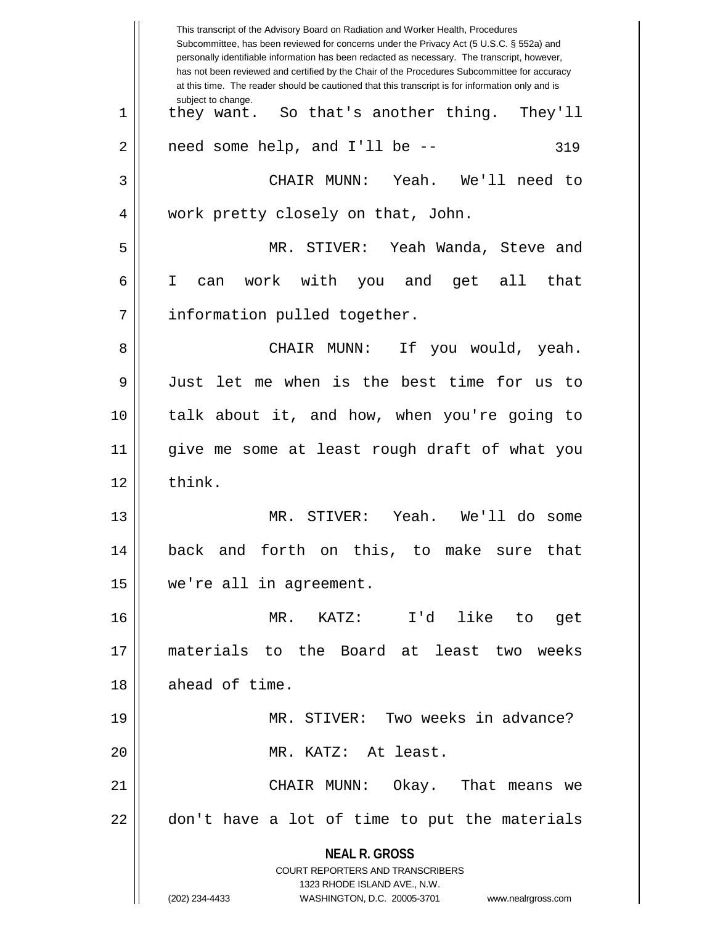**NEAL R. GROSS** COURT REPORTERS AND TRANSCRIBERS 1323 RHODE ISLAND AVE., N.W. (202) 234-4433 WASHINGTON, D.C. 20005-3701 www.nealrgross.com This transcript of the Advisory Board on Radiation and Worker Health, Procedures Subcommittee, has been reviewed for concerns under the Privacy Act (5 U.S.C. § 552a) and personally identifiable information has been redacted as necessary. The transcript, however, has not been reviewed and certified by the Chair of the Procedures Subcommittee for accuracy at this time. The reader should be cautioned that this transcript is for information only and is subject to change. 319 1 || they want. So that's another thing. They'll  $2 \parallel$  need some help, and I'll be  $-$ 3 CHAIR MUNN: Yeah. We'll need to 4 || work pretty closely on that, John. 5 MR. STIVER: Yeah Wanda, Steve and 6 I can work with you and get all that 7 | information pulled together. 8 CHAIR MUNN: If you would, yeah. 9 Just let me when is the best time for us to 10 talk about it, and how, when you're going to 11 give me some at least rough draft of what you  $12 \parallel$  think. 13 MR. STIVER: Yeah. We'll do some 14 back and forth on this, to make sure that 15 we're all in agreement. 16 MR. KATZ: I'd like to get 17 materials to the Board at least two weeks 18 | ahead of time. 19 MR. STIVER: Two weeks in advance? 20 MR. KATZ: At least. 21 CHAIR MUNN: Okay. That means we 22 || don't have a lot of time to put the materials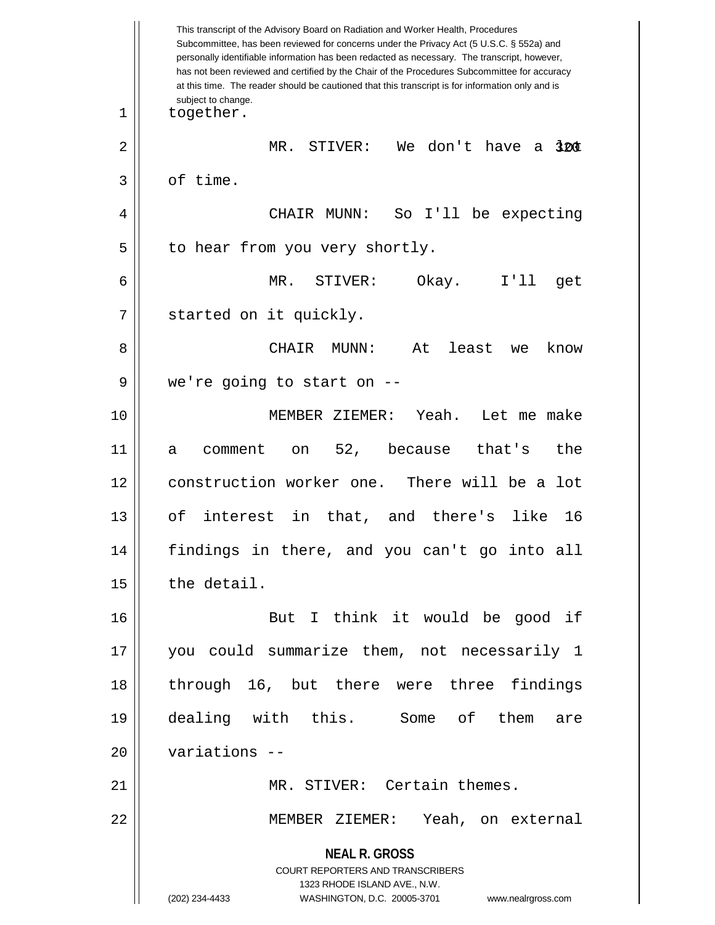**NEAL R. GROSS** COURT REPORTERS AND TRANSCRIBERS 1323 RHODE ISLAND AVE., N.W. (202) 234-4433 WASHINGTON, D.C. 20005-3701 www.nealrgross.com This transcript of the Advisory Board on Radiation and Worker Health, Procedures Subcommittee, has been reviewed for concerns under the Privacy Act (5 U.S.C. § 552a) and personally identifiable information has been redacted as necessary. The transcript, however, has not been reviewed and certified by the Chair of the Procedures Subcommittee for accuracy at this time. The reader should be cautioned that this transcript is for information only and is subject to change. 320 2 MR. STIVER: We don't have a lot 1 | together.  $3 \parallel$  of time. 4 CHAIR MUNN: So I'll be expecting  $5 \parallel$  to hear from you very shortly. 6 MR. STIVER: Okay. I'll get 7 | started on it quickly. 8 CHAIR MUNN: At least we know  $9 \parallel$  we're going to start on  $-$ 10 MEMBER ZIEMER: Yeah. Let me make 11 a comment on 52, because that's the 12 construction worker one. There will be a lot 13 of interest in that, and there's like 16 14 findings in there, and you can't go into all  $15$   $\parallel$  the detail. 16 But I think it would be good if 17 you could summarize them, not necessarily 1 18 through 16, but there were three findings 19 dealing with this. Some of them are 20 variations -- 21 || MR. STIVER: Certain themes. 22 MEMBER ZIEMER: Yeah, on external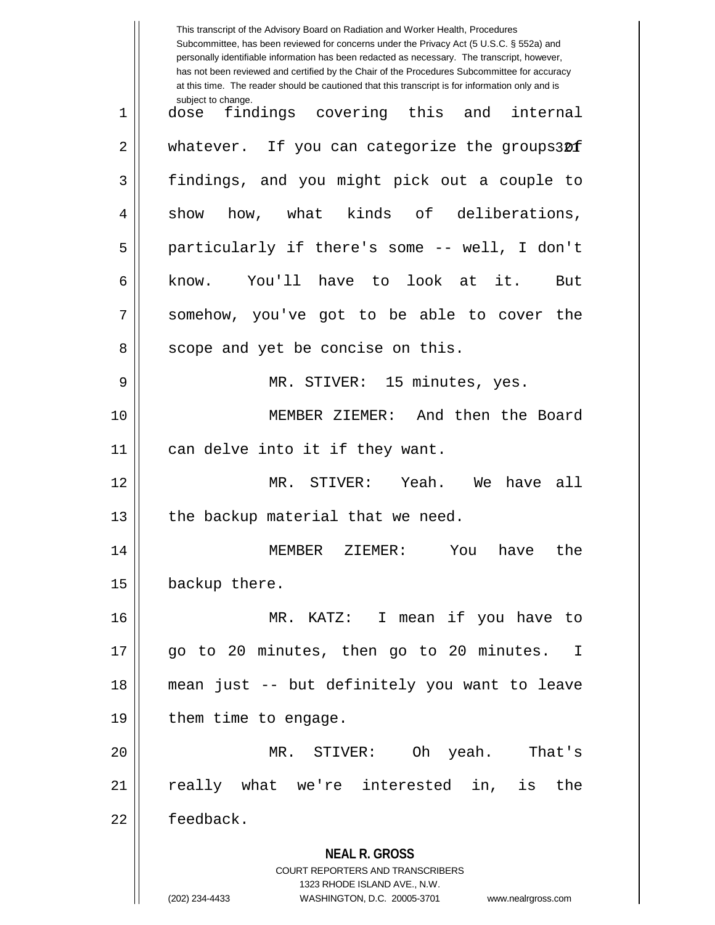|    | This transcript of the Advisory Board on Radiation and Worker Health, Procedures<br>Subcommittee, has been reviewed for concerns under the Privacy Act (5 U.S.C. § 552a) and<br>personally identifiable information has been redacted as necessary. The transcript, however,<br>has not been reviewed and certified by the Chair of the Procedures Subcommittee for accuracy<br>at this time. The reader should be cautioned that this transcript is for information only and is |
|----|----------------------------------------------------------------------------------------------------------------------------------------------------------------------------------------------------------------------------------------------------------------------------------------------------------------------------------------------------------------------------------------------------------------------------------------------------------------------------------|
| 1  | subject to change.<br>findings covering this<br>and<br>internal<br>dose                                                                                                                                                                                                                                                                                                                                                                                                          |
| 2  | whatever. If you can categorize the groups30f                                                                                                                                                                                                                                                                                                                                                                                                                                    |
| 3  | findings, and you might pick out a couple to                                                                                                                                                                                                                                                                                                                                                                                                                                     |
| 4  | how, what kinds of<br>deliberations,<br>show                                                                                                                                                                                                                                                                                                                                                                                                                                     |
| 5  | particularly if there's some -- well, I don't                                                                                                                                                                                                                                                                                                                                                                                                                                    |
| 6  | You'll have to<br>look at it.<br>know.<br>But                                                                                                                                                                                                                                                                                                                                                                                                                                    |
| 7  | somehow, you've got to be able to cover the                                                                                                                                                                                                                                                                                                                                                                                                                                      |
| 8  | scope and yet be concise on this.                                                                                                                                                                                                                                                                                                                                                                                                                                                |
| 9  | MR. STIVER: 15 minutes, yes.                                                                                                                                                                                                                                                                                                                                                                                                                                                     |
| 10 | MEMBER ZIEMER: And then the Board                                                                                                                                                                                                                                                                                                                                                                                                                                                |
| 11 | can delve into it if they want.                                                                                                                                                                                                                                                                                                                                                                                                                                                  |
| 12 | MR. STIVER:<br>Yeah.<br>We<br>have all                                                                                                                                                                                                                                                                                                                                                                                                                                           |
| 13 | the backup material that we need.                                                                                                                                                                                                                                                                                                                                                                                                                                                |
| 14 | MEMBER ZIEMER: You have the                                                                                                                                                                                                                                                                                                                                                                                                                                                      |
| 15 | backup there.                                                                                                                                                                                                                                                                                                                                                                                                                                                                    |
| 16 | MR. KATZ: I mean if you have to                                                                                                                                                                                                                                                                                                                                                                                                                                                  |
| 17 | go to 20 minutes, then go to 20 minutes. I                                                                                                                                                                                                                                                                                                                                                                                                                                       |
| 18 | mean just -- but definitely you want to leave                                                                                                                                                                                                                                                                                                                                                                                                                                    |
| 19 | them time to engage.                                                                                                                                                                                                                                                                                                                                                                                                                                                             |
| 20 | MR. STIVER: Oh yeah. That's                                                                                                                                                                                                                                                                                                                                                                                                                                                      |
| 21 | really what we're interested in, is the                                                                                                                                                                                                                                                                                                                                                                                                                                          |
| 22 | feedback.                                                                                                                                                                                                                                                                                                                                                                                                                                                                        |
|    | <b>NEAL R. GROSS</b><br>COURT REPORTERS AND TRANSCRIBERS<br>1323 RHODE ISLAND AVE., N.W.<br>(202) 234-4433<br>WASHINGTON, D.C. 20005-3701<br>www.nealrgross.com                                                                                                                                                                                                                                                                                                                  |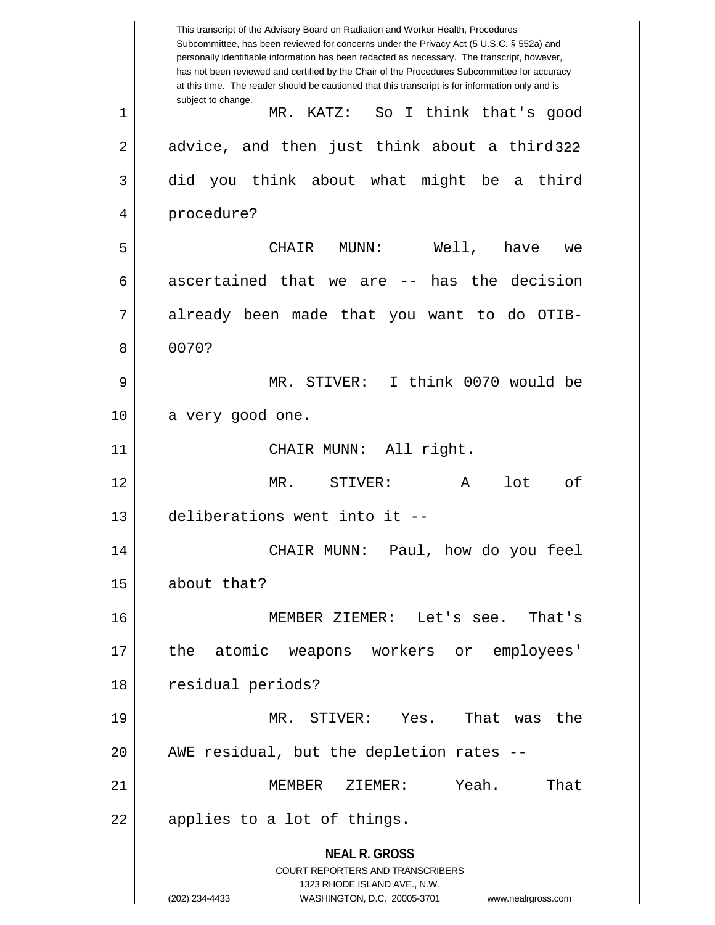**NEAL R. GROSS** COURT REPORTERS AND TRANSCRIBERS 1323 RHODE ISLAND AVE., N.W. (202) 234-4433 WASHINGTON, D.C. 20005-3701 www.nealrgross.com This transcript of the Advisory Board on Radiation and Worker Health, Procedures Subcommittee, has been reviewed for concerns under the Privacy Act (5 U.S.C. § 552a) and personally identifiable information has been redacted as necessary. The transcript, however, has not been reviewed and certified by the Chair of the Procedures Subcommittee for accuracy at this time. The reader should be cautioned that this transcript is for information only and is subject to change. 2  $\parallel$  advice, and then just think about a third3 $22$ 1 MR. KATZ: So I think that's good 3 did you think about what might be a third 4 procedure? 5 CHAIR MUNN: Well, have we 6 ascertained that we are  $-$  has the decision 7 already been made that you want to do OTIB-8 0070? 9 MR. STIVER: I think 0070 would be  $10 \parallel$  a very good one. 11 || CHAIR MUNN: All right. 12 MR. STIVER: A lot of 13 deliberations went into it -- 14 CHAIR MUNN: Paul, how do you feel 15 about that? 16 MEMBER ZIEMER: Let's see. That's 17 the atomic weapons workers or employees' 18 residual periods? 19 MR. STIVER: Yes. That was the  $20$  || AWE residual, but the depletion rates  $-$ 21 MEMBER ZIEMER: Yeah. That  $22 \parallel$  applies to a lot of things.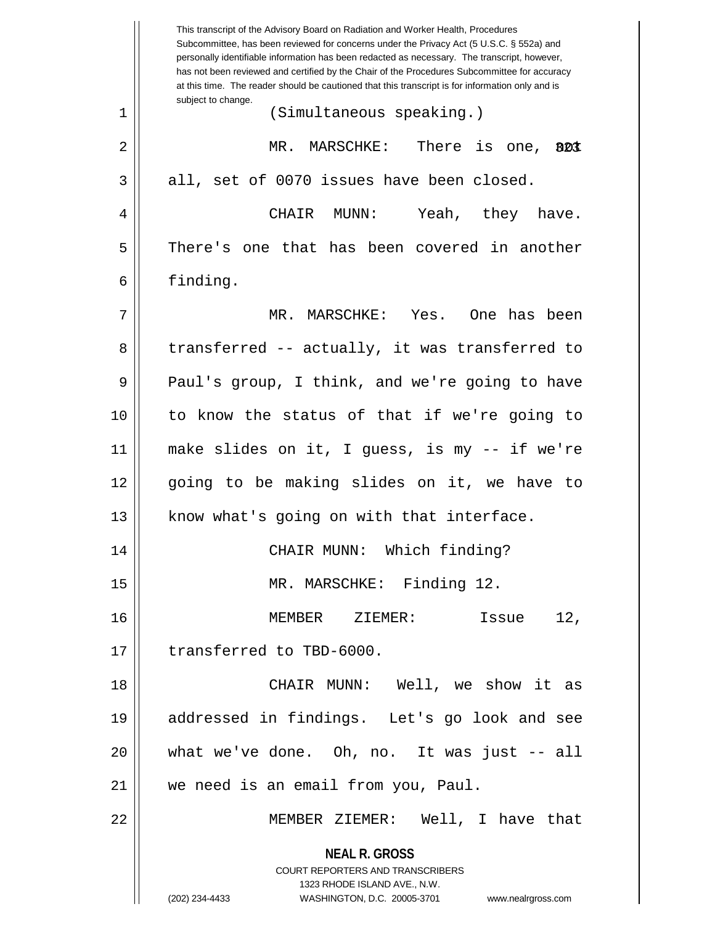|    | This transcript of the Advisory Board on Radiation and Worker Health, Procedures<br>Subcommittee, has been reviewed for concerns under the Privacy Act (5 U.S.C. § 552a) and<br>personally identifiable information has been redacted as necessary. The transcript, however,<br>has not been reviewed and certified by the Chair of the Procedures Subcommittee for accuracy<br>at this time. The reader should be cautioned that this transcript is for information only and is |
|----|----------------------------------------------------------------------------------------------------------------------------------------------------------------------------------------------------------------------------------------------------------------------------------------------------------------------------------------------------------------------------------------------------------------------------------------------------------------------------------|
| 1  | subject to change.<br>(Simultaneous speaking.)                                                                                                                                                                                                                                                                                                                                                                                                                                   |
| 2  | MR. MARSCHKE: There is one,<br>BDI                                                                                                                                                                                                                                                                                                                                                                                                                                               |
| 3  | all, set of 0070 issues have been closed.                                                                                                                                                                                                                                                                                                                                                                                                                                        |
| 4  | Yeah, they have.<br>CHAIR MUNN:                                                                                                                                                                                                                                                                                                                                                                                                                                                  |
| 5  | There's one that has been covered in another                                                                                                                                                                                                                                                                                                                                                                                                                                     |
| 6  | finding.                                                                                                                                                                                                                                                                                                                                                                                                                                                                         |
| 7  | MR. MARSCHKE: Yes.<br>One has been                                                                                                                                                                                                                                                                                                                                                                                                                                               |
| 8  | transferred -- actually, it was transferred to                                                                                                                                                                                                                                                                                                                                                                                                                                   |
| 9  | Paul's group, I think, and we're going to have                                                                                                                                                                                                                                                                                                                                                                                                                                   |
| 10 | to know the status of that if we're going to                                                                                                                                                                                                                                                                                                                                                                                                                                     |
| 11 | make slides on it, I guess, is my -- if we're                                                                                                                                                                                                                                                                                                                                                                                                                                    |
| 12 | going to be making slides on it, we have to                                                                                                                                                                                                                                                                                                                                                                                                                                      |
| 13 | know what's going on with that interface.                                                                                                                                                                                                                                                                                                                                                                                                                                        |
| 14 | CHAIR MUNN: Which finding?                                                                                                                                                                                                                                                                                                                                                                                                                                                       |
| 15 | MR. MARSCHKE: Finding 12.                                                                                                                                                                                                                                                                                                                                                                                                                                                        |
| 16 | 12,<br>MEMBER ZIEMER:<br>Issue                                                                                                                                                                                                                                                                                                                                                                                                                                                   |
| 17 | transferred to TBD-6000.                                                                                                                                                                                                                                                                                                                                                                                                                                                         |
| 18 | CHAIR MUNN: Well, we show it as                                                                                                                                                                                                                                                                                                                                                                                                                                                  |
| 19 | addressed in findings. Let's go look and see                                                                                                                                                                                                                                                                                                                                                                                                                                     |
| 20 | what we've done. Oh, no. It was just -- all                                                                                                                                                                                                                                                                                                                                                                                                                                      |
| 21 | we need is an email from you, Paul.                                                                                                                                                                                                                                                                                                                                                                                                                                              |
| 22 | MEMBER ZIEMER: Well, I have that                                                                                                                                                                                                                                                                                                                                                                                                                                                 |
|    | <b>NEAL R. GROSS</b><br>COURT REPORTERS AND TRANSCRIBERS<br>1323 RHODE ISLAND AVE., N.W.<br>(202) 234-4433<br>WASHINGTON, D.C. 20005-3701<br>www.nealrgross.com                                                                                                                                                                                                                                                                                                                  |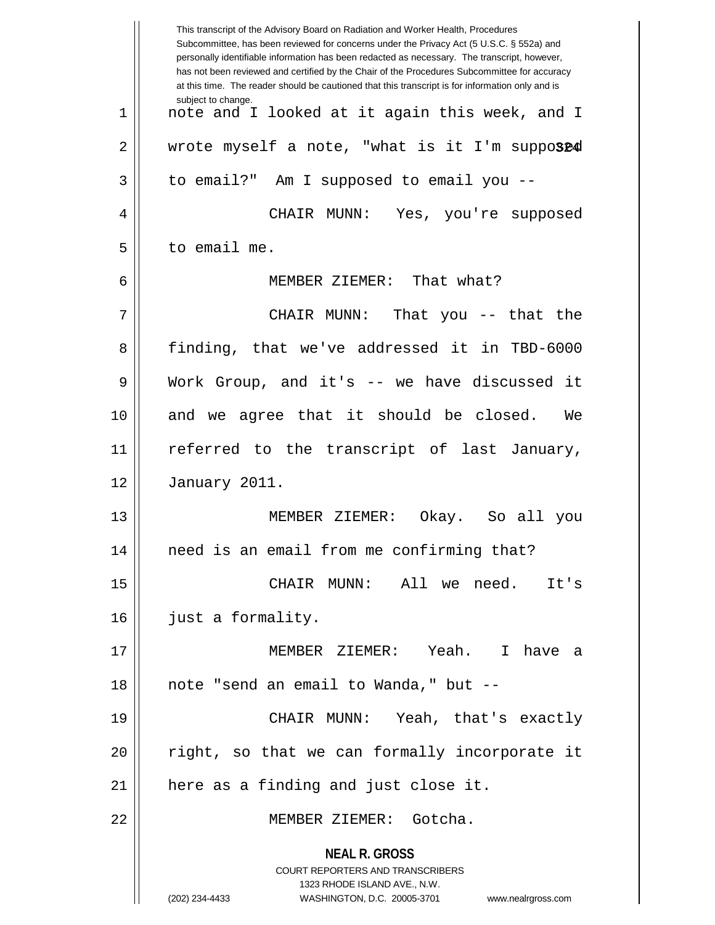|    | This transcript of the Advisory Board on Radiation and Worker Health, Procedures<br>Subcommittee, has been reviewed for concerns under the Privacy Act (5 U.S.C. § 552a) and<br>personally identifiable information has been redacted as necessary. The transcript, however,<br>has not been reviewed and certified by the Chair of the Procedures Subcommittee for accuracy<br>at this time. The reader should be cautioned that this transcript is for information only and is |
|----|----------------------------------------------------------------------------------------------------------------------------------------------------------------------------------------------------------------------------------------------------------------------------------------------------------------------------------------------------------------------------------------------------------------------------------------------------------------------------------|
| 1  | subject to change.<br>note and I looked at it again this week, and I                                                                                                                                                                                                                                                                                                                                                                                                             |
| 2  | wrote myself a note, "what is it I'm supposed                                                                                                                                                                                                                                                                                                                                                                                                                                    |
| 3  | to email?" Am I supposed to email you --                                                                                                                                                                                                                                                                                                                                                                                                                                         |
| 4  | CHAIR MUNN: Yes, you're supposed                                                                                                                                                                                                                                                                                                                                                                                                                                                 |
| 5  | to email me.                                                                                                                                                                                                                                                                                                                                                                                                                                                                     |
| 6  | MEMBER ZIEMER: That what?                                                                                                                                                                                                                                                                                                                                                                                                                                                        |
| 7  | CHAIR MUNN:<br>That you $-$ that the                                                                                                                                                                                                                                                                                                                                                                                                                                             |
| 8  | finding, that we've addressed it in TBD-6000                                                                                                                                                                                                                                                                                                                                                                                                                                     |
| 9  | Work Group, and it's -- we have discussed it                                                                                                                                                                                                                                                                                                                                                                                                                                     |
| 10 | and we agree that it should be closed.<br>We                                                                                                                                                                                                                                                                                                                                                                                                                                     |
| 11 | referred to the transcript of last January,                                                                                                                                                                                                                                                                                                                                                                                                                                      |
| 12 | January 2011.                                                                                                                                                                                                                                                                                                                                                                                                                                                                    |
| 13 | MEMBER ZIEMER:<br>Okay. So all you                                                                                                                                                                                                                                                                                                                                                                                                                                               |
| 14 | need is an email from me confirming that?                                                                                                                                                                                                                                                                                                                                                                                                                                        |
| 15 | It's<br>CHAIR MUNN: All we need.                                                                                                                                                                                                                                                                                                                                                                                                                                                 |
| 16 | just a formality.                                                                                                                                                                                                                                                                                                                                                                                                                                                                |
| 17 | MEMBER ZIEMER: Yeah. I have a                                                                                                                                                                                                                                                                                                                                                                                                                                                    |
| 18 | note "send an email to Wanda," but --                                                                                                                                                                                                                                                                                                                                                                                                                                            |
| 19 | CHAIR MUNN: Yeah, that's exactly                                                                                                                                                                                                                                                                                                                                                                                                                                                 |
| 20 | right, so that we can formally incorporate it                                                                                                                                                                                                                                                                                                                                                                                                                                    |
| 21 | here as a finding and just close it.                                                                                                                                                                                                                                                                                                                                                                                                                                             |
| 22 | MEMBER ZIEMER: Gotcha.                                                                                                                                                                                                                                                                                                                                                                                                                                                           |
|    | <b>NEAL R. GROSS</b><br><b>COURT REPORTERS AND TRANSCRIBERS</b><br>1323 RHODE ISLAND AVE., N.W.<br>(202) 234-4433<br>WASHINGTON, D.C. 20005-3701<br>www.nealrgross.com                                                                                                                                                                                                                                                                                                           |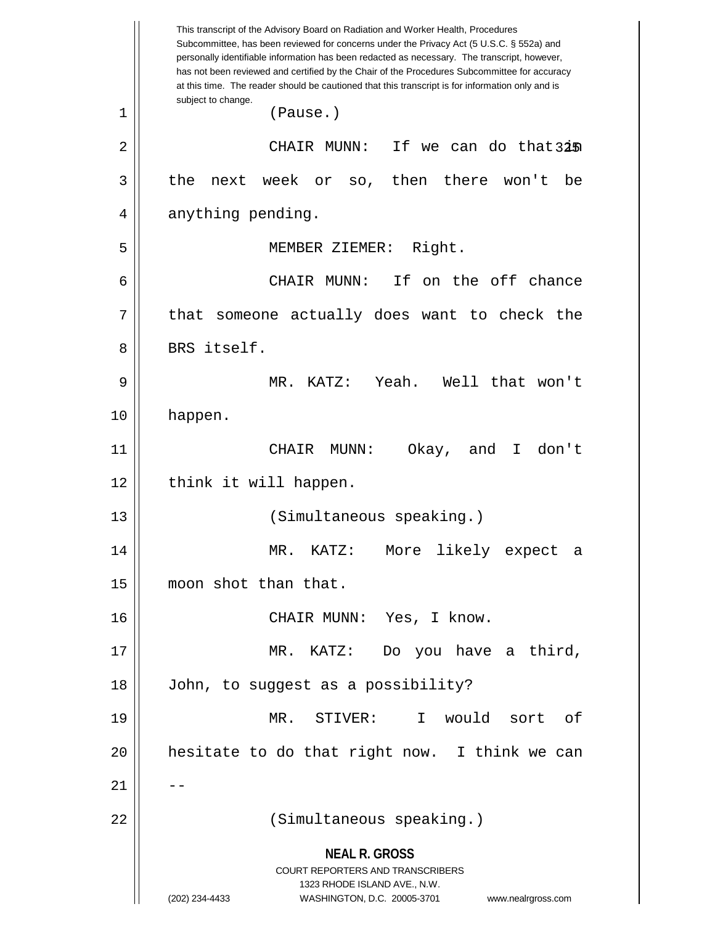**NEAL R. GROSS** COURT REPORTERS AND TRANSCRIBERS 1323 RHODE ISLAND AVE., N.W. (202) 234-4433 WASHINGTON, D.C. 20005-3701 www.nealrgross.com This transcript of the Advisory Board on Radiation and Worker Health, Procedures Subcommittee, has been reviewed for concerns under the Privacy Act (5 U.S.C. § 552a) and personally identifiable information has been redacted as necessary. The transcript, however, has not been reviewed and certified by the Chair of the Procedures Subcommittee for accuracy at this time. The reader should be cautioned that this transcript is for information only and is subject to change. 325 2 CHAIR MUNN: If we can do that in 1 (Pause.)  $3 \parallel$  the next week or so, then there won't be 4 anything pending. 5 MEMBER ZIEMER: Right. 6 CHAIR MUNN: If on the off chance  $7$  || that someone actually does want to check the 8 BRS itself. 9 MR. KATZ: Yeah. Well that won't 10 happen. 11 CHAIR MUNN: Okay, and I don't 12 || think it will happen. 13 || (Simultaneous speaking.) 14 MR. KATZ: More likely expect a 15 | moon shot than that. 16 CHAIR MUNN: Yes, I know. 17 MR. KATZ: Do you have a third, 18 John, to suggest as a possibility? 19 MR. STIVER: I would sort of  $20$  || hesitate to do that right now. I think we can  $21$   $\parallel$   $-$ 22 (Simultaneous speaking.)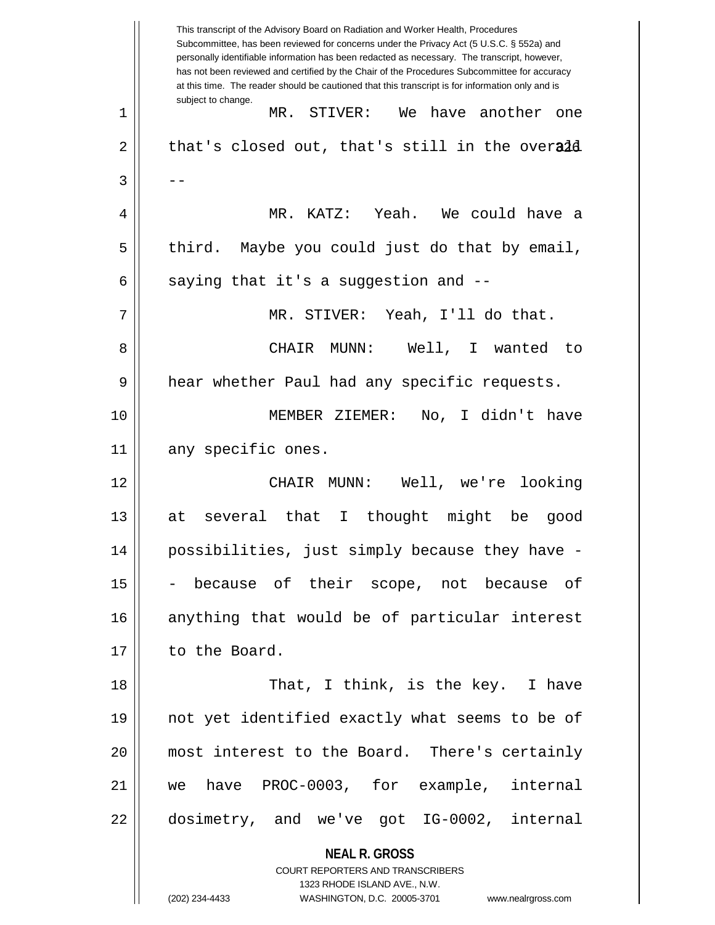**NEAL R. GROSS** COURT REPORTERS AND TRANSCRIBERS 1323 RHODE ISLAND AVE., N.W. This transcript of the Advisory Board on Radiation and Worker Health, Procedures Subcommittee, has been reviewed for concerns under the Privacy Act (5 U.S.C. § 552a) and personally identifiable information has been redacted as necessary. The transcript, however, has not been reviewed and certified by the Chair of the Procedures Subcommittee for accuracy at this time. The reader should be cautioned that this transcript is for information only and is subject to change.  $2 \parallel$  that's closed out, that's still in the over $\mathsf{add}$ 1 MR. STIVER: We have another one  $3 \parallel - -$ 4 MR. KATZ: Yeah. We could have a  $5 \parallel$  third. Maybe you could just do that by email, 6  $\parallel$  saying that it's a suggestion and --7 MR. STIVER: Yeah, I'll do that. 8 CHAIR MUNN: Well, I wanted to 9 hear whether Paul had any specific requests. 10 MEMBER ZIEMER: No, I didn't have 11 || any specific ones. 12 CHAIR MUNN: Well, we're looking 13 at several that I thought might be good 14 possibilities, just simply because they have -  $15$  - because of their scope, not because of 16 anything that would be of particular interest 17 | to the Board. 18 || That, I think, is the key. I have 19 not yet identified exactly what seems to be of 20 most interest to the Board. There's certainly 21 we have PROC-0003, for example, internal 22 dosimetry, and we've got IG-0002, internal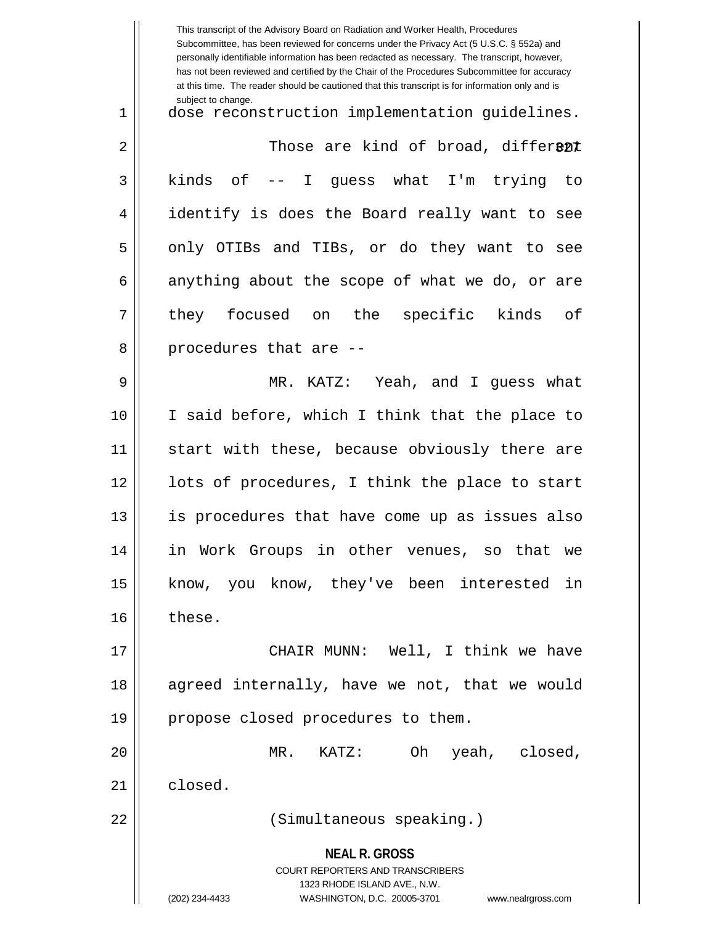**NEAL R. GROSS** COURT REPORTERS AND TRANSCRIBERS 1323 RHODE ISLAND AVE., N.W. (202) 234-4433 WASHINGTON, D.C. 20005-3701 www.nealrgross.com This transcript of the Advisory Board on Radiation and Worker Health, Procedures Subcommittee, has been reviewed for concerns under the Privacy Act (5 U.S.C. § 552a) and personally identifiable information has been redacted as necessary. The transcript, however, has not been reviewed and certified by the Chair of the Procedures Subcommittee for accuracy at this time. The reader should be cautioned that this transcript is for information only and is subject to change. 2 || Those are kind of broad, differ**ent** 1 dose reconstruction implementation guidelines.  $3 \parallel$  kinds of -- I quess what I'm trying to 4 identify is does the Board really want to see 5 || only OTIBs and TIBs, or do they want to see  $6 \parallel$  anything about the scope of what we do, or are 7 || they focused on the specific kinds of 8 || procedures that are --9 MR. KATZ: Yeah, and I guess what 10 I said before, which I think that the place to 11 || start with these, because obviously there are 12 || lots of procedures, I think the place to start 13 is procedures that have come up as issues also 14 in Work Groups in other venues, so that we 15 || know, you know, they've been interested in 16 || these. 17 CHAIR MUNN: Well, I think we have 18 || agreed internally, have we not, that we would 19 || propose closed procedures to them. 20 MR. KATZ: Oh yeah, closed, 21 | closed. 22 (Simultaneous speaking.)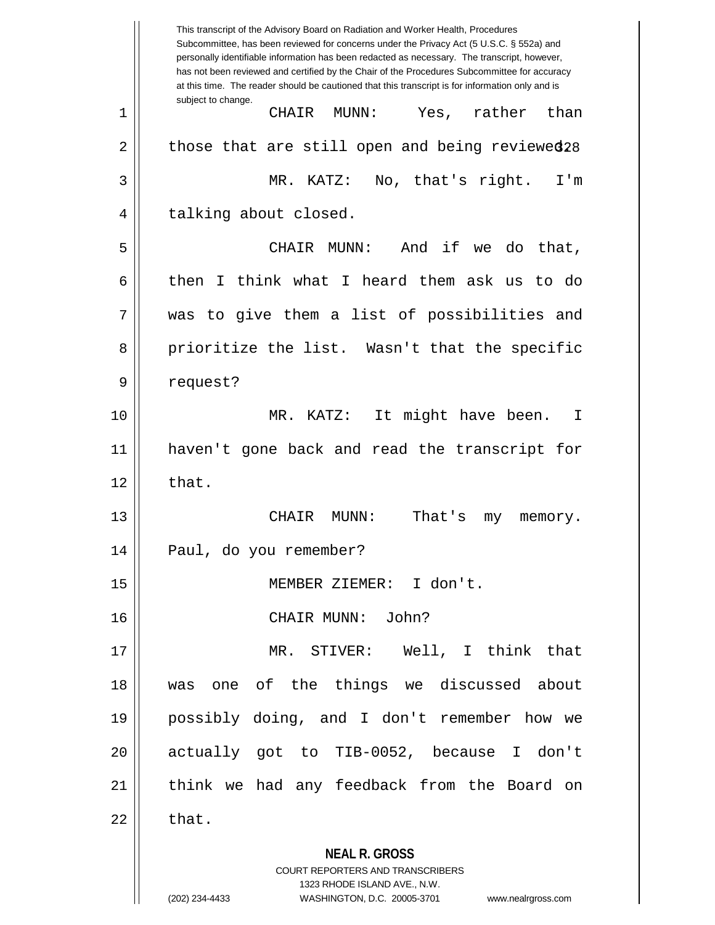**NEAL R. GROSS** COURT REPORTERS AND TRANSCRIBERS 1323 RHODE ISLAND AVE., N.W. This transcript of the Advisory Board on Radiation and Worker Health, Procedures Subcommittee, has been reviewed for concerns under the Privacy Act (5 U.S.C. § 552a) and personally identifiable information has been redacted as necessary. The transcript, however, has not been reviewed and certified by the Chair of the Procedures Subcommittee for accuracy at this time. The reader should be cautioned that this transcript is for information only and is subject to change. 2 || those that are still open and being reviewed28 1 CHAIR MUNN: Yes, rather than 3 MR. KATZ: No, that's right. I'm 4 || talking about closed. 5 CHAIR MUNN: And if we do that, 6 then I think what I heard them ask us to do 7 was to give them a list of possibilities and 8 prioritize the list. Wasn't that the specific 9 | request? 10 MR. KATZ: It might have been. I 11 haven't gone back and read the transcript for  $12 \parallel$  that. 13 || CHAIR MUNN: That's my memory. 14 Paul, do you remember? 15 MEMBER ZIEMER: I don't. 16 CHAIR MUNN: John? 17 MR. STIVER: Well, I think that 18 was one of the things we discussed about 19 possibly doing, and I don't remember how we 20 actually got to TIB-0052, because I don't 21 || think we had any feedback from the Board on  $22 \parallel$  that.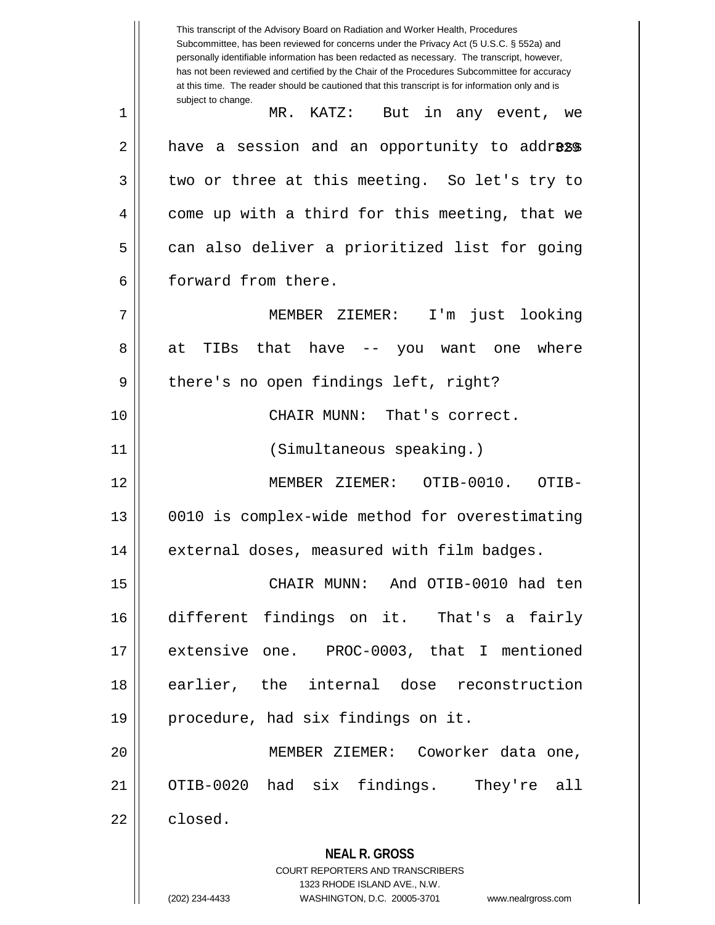**NEAL R. GROSS** COURT REPORTERS AND TRANSCRIBERS 1323 RHODE ISLAND AVE., N.W. This transcript of the Advisory Board on Radiation and Worker Health, Procedures Subcommittee, has been reviewed for concerns under the Privacy Act (5 U.S.C. § 552a) and personally identifiable information has been redacted as necessary. The transcript, however, has not been reviewed and certified by the Chair of the Procedures Subcommittee for accuracy at this time. The reader should be cautioned that this transcript is for information only and is subject to change. 2 || have a session and an opportunity to addr**ess** 1 MR. KATZ: But in any event, we  $3 \parallel$  two or three at this meeting. So let's try to 4 || come up with a third for this meeting, that we 5 can also deliver a prioritized list for going 6 forward from there. 7 MEMBER ZIEMER: I'm just looking  $8 \parallel$  at TIBs that have  $-$  you want one where 9 || there's no open findings left, right? 10 CHAIR MUNN: That's correct. 11 (Simultaneous speaking.) 12 MEMBER ZIEMER: OTIB-0010. OTIB-13 0010 is complex-wide method for overestimating 14 | external doses, measured with film badges. 15 CHAIR MUNN: And OTIB-0010 had ten 16 different findings on it. That's a fairly 17 extensive one. PROC-0003, that I mentioned 18 earlier, the internal dose reconstruction 19 || procedure, had six findings on it. 20 MEMBER ZIEMER: Coworker data one, 21 OTIB-0020 had six findings. They're all  $22 \parallel$  closed.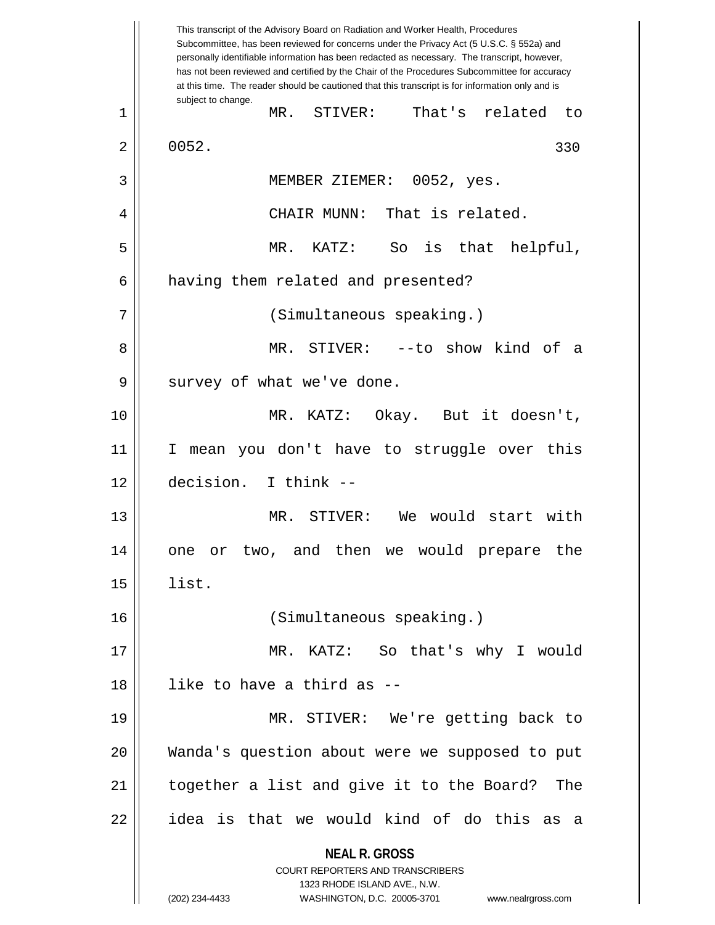**NEAL R. GROSS** COURT REPORTERS AND TRANSCRIBERS 1323 RHODE ISLAND AVE., N.W. (202) 234-4433 WASHINGTON, D.C. 20005-3701 www.nealrgross.com This transcript of the Advisory Board on Radiation and Worker Health, Procedures Subcommittee, has been reviewed for concerns under the Privacy Act (5 U.S.C. § 552a) and personally identifiable information has been redacted as necessary. The transcript, however, has not been reviewed and certified by the Chair of the Procedures Subcommittee for accuracy at this time. The reader should be cautioned that this transcript is for information only and is subject to change. 330 1 MR. STIVER: That's related to  $2 \parallel 0052.$ 3 MEMBER ZIEMER: 0052, yes. 4 CHAIR MUNN: That is related. 5 MR. KATZ: So is that helpful, 6 | having them related and presented? 7 || (Simultaneous speaking.) 8 MR. STIVER: --to show kind of a 9 || survey of what we've done. 10 MR. KATZ: Okay. But it doesn't, 11 I mean you don't have to struggle over this 12 decision. I think -- 13 MR. STIVER: We would start with 14 one or two, and then we would prepare the  $15$  || list. 16 (Simultaneous speaking.) 17 MR. KATZ: So that's why I would 18 like to have a third as -- 19 MR. STIVER: We're getting back to 20 Wanda's question about were we supposed to put 21 together a list and give it to the Board? The  $22$  || idea is that we would kind of do this as a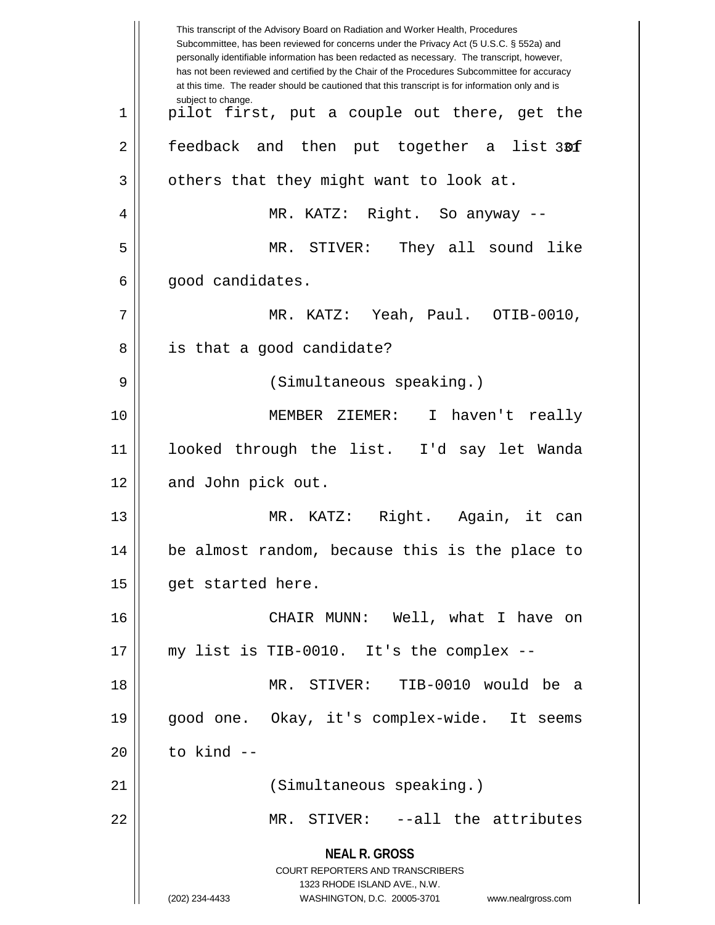**NEAL R. GROSS** COURT REPORTERS AND TRANSCRIBERS 1323 RHODE ISLAND AVE., N.W. (202) 234-4433 WASHINGTON, D.C. 20005-3701 www.nealrgross.com This transcript of the Advisory Board on Radiation and Worker Health, Procedures Subcommittee, has been reviewed for concerns under the Privacy Act (5 U.S.C. § 552a) and personally identifiable information has been redacted as necessary. The transcript, however, has not been reviewed and certified by the Chair of the Procedures Subcommittee for accuracy at this time. The reader should be cautioned that this transcript is for information only and is subject to change. list 30f  $1 \parallel$  pilot first, put a couple out there, get the  $2 \parallel$  feedback and then put together a  $3 \parallel$  others that they might want to look at. 4 MR. KATZ: Right. So anyway -- 5 MR. STIVER: They all sound like 6 || good candidates. 7 MR. KATZ: Yeah, Paul. OTIB-0010, 8 || is that a good candidate? 9 (Simultaneous speaking.) 10 MEMBER ZIEMER: I haven't really 11 looked through the list. I'd say let Wanda 12 || and John pick out. 13 MR. KATZ: Right. Again, it can 14 be almost random, because this is the place to 15 | get started here. 16 CHAIR MUNN: Well, what I have on 17 my list is TIB-0010. It's the complex -- 18 MR. STIVER: TIB-0010 would be a 19 good one. Okay, it's complex-wide. It seems  $20$   $\parallel$  to kind  $-$ 21 (Simultaneous speaking.) 22 MR. STIVER: --all the attributes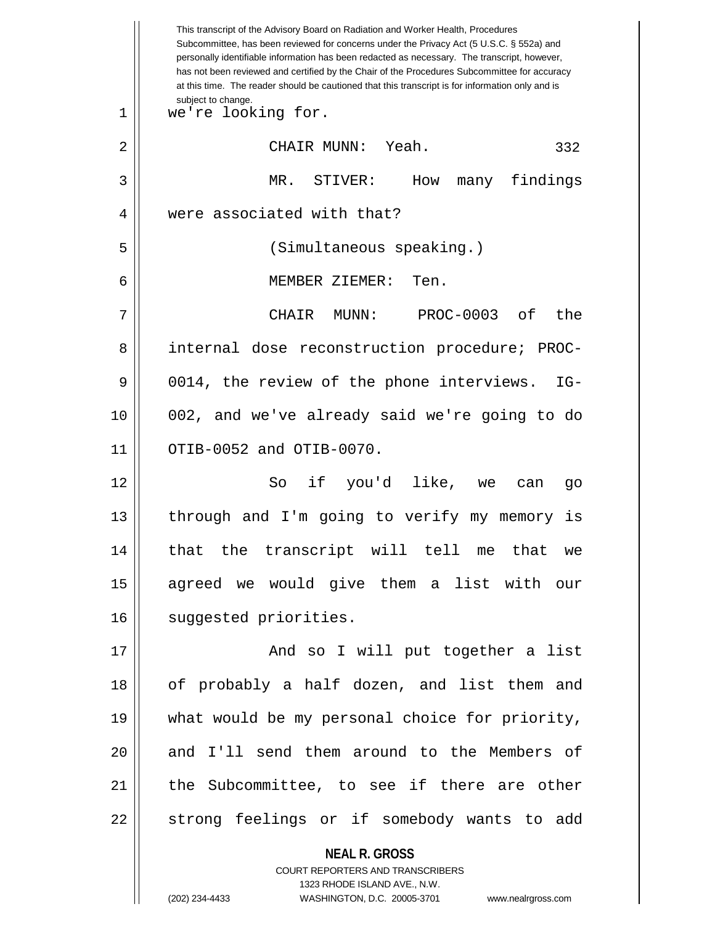|    | This transcript of the Advisory Board on Radiation and Worker Health, Procedures<br>Subcommittee, has been reviewed for concerns under the Privacy Act (5 U.S.C. § 552a) and<br>personally identifiable information has been redacted as necessary. The transcript, however,<br>has not been reviewed and certified by the Chair of the Procedures Subcommittee for accuracy<br>at this time. The reader should be cautioned that this transcript is for information only and is |
|----|----------------------------------------------------------------------------------------------------------------------------------------------------------------------------------------------------------------------------------------------------------------------------------------------------------------------------------------------------------------------------------------------------------------------------------------------------------------------------------|
| 1  | subject to change.<br>we're looking for.                                                                                                                                                                                                                                                                                                                                                                                                                                         |
| 2  | CHAIR MUNN: Yeah.<br>332                                                                                                                                                                                                                                                                                                                                                                                                                                                         |
| 3  | MR. STIVER:<br>many findings<br>How                                                                                                                                                                                                                                                                                                                                                                                                                                              |
| 4  | were associated with that?                                                                                                                                                                                                                                                                                                                                                                                                                                                       |
| 5  | (Simultaneous speaking.)                                                                                                                                                                                                                                                                                                                                                                                                                                                         |
| 6  | MEMBER ZIEMER:<br>Ten.                                                                                                                                                                                                                                                                                                                                                                                                                                                           |
| 7  | PROC-0003 of<br>MUNN:<br>the<br>CHAIR                                                                                                                                                                                                                                                                                                                                                                                                                                            |
| 8  | internal dose reconstruction procedure; PROC-                                                                                                                                                                                                                                                                                                                                                                                                                                    |
| 9  | 0014, the review of the phone interviews.<br>$IG-$                                                                                                                                                                                                                                                                                                                                                                                                                               |
| 10 | 002, and we've already said we're going to do                                                                                                                                                                                                                                                                                                                                                                                                                                    |
| 11 | OTIB-0052 and OTIB-0070.                                                                                                                                                                                                                                                                                                                                                                                                                                                         |
| 12 | So if you'd like, we<br>can<br>go                                                                                                                                                                                                                                                                                                                                                                                                                                                |
| 13 | through and I'm going to verify my memory is                                                                                                                                                                                                                                                                                                                                                                                                                                     |
| 14 | that the transcript will tell me that we                                                                                                                                                                                                                                                                                                                                                                                                                                         |
| 15 | agreed we would give them a list with our                                                                                                                                                                                                                                                                                                                                                                                                                                        |
| 16 | suggested priorities.                                                                                                                                                                                                                                                                                                                                                                                                                                                            |
| 17 | And so I will put together a list                                                                                                                                                                                                                                                                                                                                                                                                                                                |
| 18 | of probably a half dozen, and list them and                                                                                                                                                                                                                                                                                                                                                                                                                                      |
| 19 | what would be my personal choice for priority,                                                                                                                                                                                                                                                                                                                                                                                                                                   |
| 20 | and I'll send them around to the Members of                                                                                                                                                                                                                                                                                                                                                                                                                                      |
| 21 | the Subcommittee, to see if there are other                                                                                                                                                                                                                                                                                                                                                                                                                                      |
| 22 | strong feelings or if somebody wants to add                                                                                                                                                                                                                                                                                                                                                                                                                                      |
|    | <b>NEAL R. GROSS</b><br>COURT REPORTERS AND TRANSCRIBERS                                                                                                                                                                                                                                                                                                                                                                                                                         |

1323 RHODE ISLAND AVE., N.W.

 $\begin{array}{c} \hline \end{array}$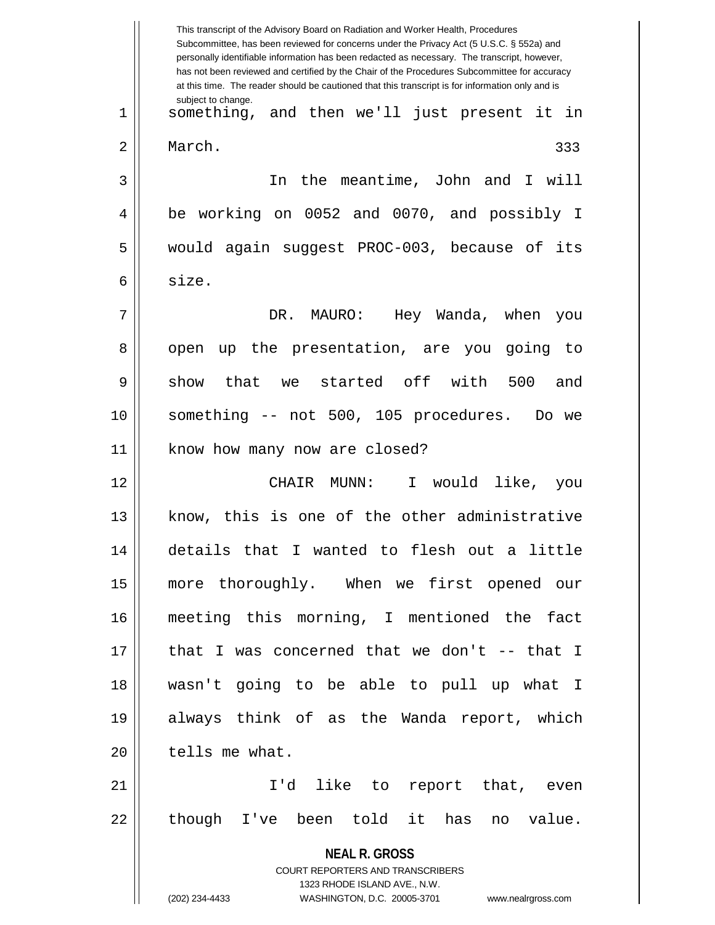**NEAL R. GROSS** COURT REPORTERS AND TRANSCRIBERS 1323 RHODE ISLAND AVE., N.W. (202) 234-4433 WASHINGTON, D.C. 20005-3701 www.nealrgross.com This transcript of the Advisory Board on Radiation and Worker Health, Procedures Subcommittee, has been reviewed for concerns under the Privacy Act (5 U.S.C. § 552a) and personally identifiable information has been redacted as necessary. The transcript, however, has not been reviewed and certified by the Chair of the Procedures Subcommittee for accuracy at this time. The reader should be cautioned that this transcript is for information only and is subject to change. 333 1 something, and then we'll just present it in 2 | March. 3 In the meantime, John and I will 4 || be working on 0052 and 0070, and possibly I 5 | would again suggest PROC-003, because of its 6 size. 7 DR. MAURO: Hey Wanda, when you 8 || open up the presentation, are you going to  $9 \parallel$  show that we started off with 500 and 10 something -- not 500, 105 procedures. Do we 11 | know how many now are closed? 12 CHAIR MUNN: I would like, you 13 || know, this is one of the other administrative 14 details that I wanted to flesh out a little 15 more thoroughly. When we first opened our 16 meeting this morning, I mentioned the fact  $17$  || that I was concerned that we don't -- that I 18 wasn't going to be able to pull up what I 19 always think of as the Wanda report, which 20 | tells me what. 21 || I'd like to report that, even  $22$  || though I've been told it has no value.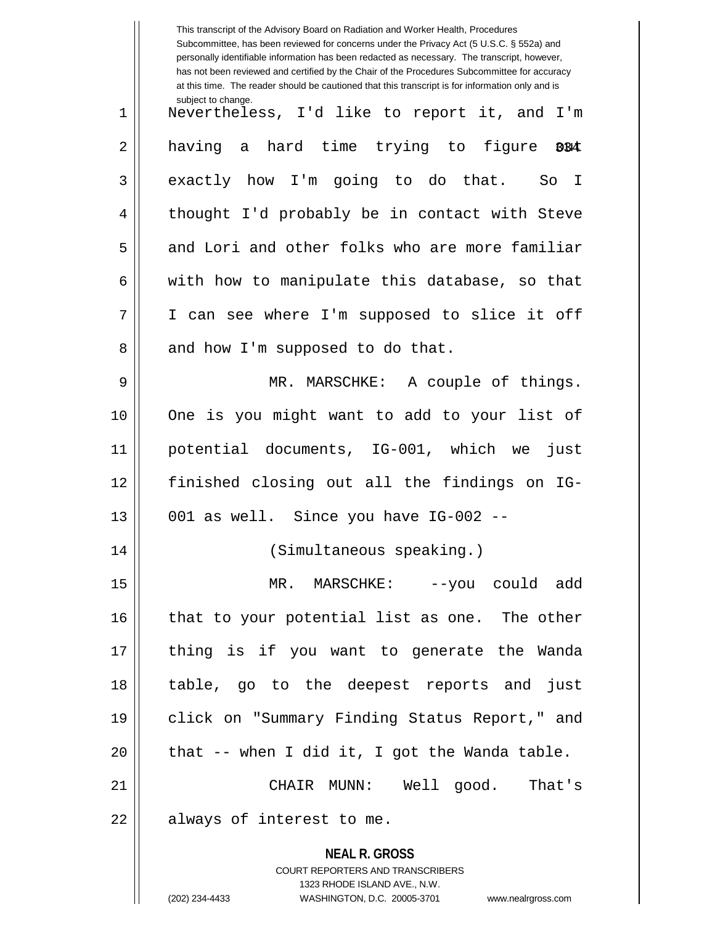|    | This transcript of the Advisory Board on Radiation and Worker Health, Procedures<br>Subcommittee, has been reviewed for concerns under the Privacy Act (5 U.S.C. § 552a) and<br>personally identifiable information has been redacted as necessary. The transcript, however,<br>has not been reviewed and certified by the Chair of the Procedures Subcommittee for accuracy<br>at this time. The reader should be cautioned that this transcript is for information only and is |
|----|----------------------------------------------------------------------------------------------------------------------------------------------------------------------------------------------------------------------------------------------------------------------------------------------------------------------------------------------------------------------------------------------------------------------------------------------------------------------------------|
| 1  | subject to change.<br>Nevertheless, I'd like to report it, and I'm                                                                                                                                                                                                                                                                                                                                                                                                               |
| 2  | having a hard time trying to figure 004                                                                                                                                                                                                                                                                                                                                                                                                                                          |
| 3  | exactly how I'm going to do that. So I                                                                                                                                                                                                                                                                                                                                                                                                                                           |
| 4  | thought I'd probably be in contact with Steve                                                                                                                                                                                                                                                                                                                                                                                                                                    |
| 5  | and Lori and other folks who are more familiar                                                                                                                                                                                                                                                                                                                                                                                                                                   |
| 6  | with how to manipulate this database, so that                                                                                                                                                                                                                                                                                                                                                                                                                                    |
| 7  | I can see where I'm supposed to slice it off                                                                                                                                                                                                                                                                                                                                                                                                                                     |
| 8  | and how I'm supposed to do that.                                                                                                                                                                                                                                                                                                                                                                                                                                                 |
| 9  | MR. MARSCHKE: A couple of things.                                                                                                                                                                                                                                                                                                                                                                                                                                                |
| 10 | One is you might want to add to your list of                                                                                                                                                                                                                                                                                                                                                                                                                                     |
| 11 | potential documents, IG-001, which we<br>just                                                                                                                                                                                                                                                                                                                                                                                                                                    |
| 12 | finished closing out all the findings on IG-                                                                                                                                                                                                                                                                                                                                                                                                                                     |
| 13 | 001 as well. Since you have IG-002 --                                                                                                                                                                                                                                                                                                                                                                                                                                            |
| 14 | (Simultaneous speaking.)                                                                                                                                                                                                                                                                                                                                                                                                                                                         |
| 15 | MR. MARSCHKE: --you could add                                                                                                                                                                                                                                                                                                                                                                                                                                                    |
| 16 | that to your potential list as one. The other                                                                                                                                                                                                                                                                                                                                                                                                                                    |
| 17 | thing is if you want to generate the Wanda                                                                                                                                                                                                                                                                                                                                                                                                                                       |
| 18 | table, go to the deepest reports and just                                                                                                                                                                                                                                                                                                                                                                                                                                        |
| 19 | click on "Summary Finding Status Report," and                                                                                                                                                                                                                                                                                                                                                                                                                                    |
| 20 | that -- when I did it, I got the Wanda table.                                                                                                                                                                                                                                                                                                                                                                                                                                    |
| 21 | CHAIR MUNN: Well good. That's                                                                                                                                                                                                                                                                                                                                                                                                                                                    |
| 22 | always of interest to me.                                                                                                                                                                                                                                                                                                                                                                                                                                                        |
|    | <b>NEAL R. GROSS</b><br><b>COURT REPORTERS AND TRANSCRIBERS</b><br>1323 RHODE ISLAND AVE., N.W.                                                                                                                                                                                                                                                                                                                                                                                  |
|    | (202) 234-4433<br>WASHINGTON, D.C. 20005-3701<br>www.nealrgross.com                                                                                                                                                                                                                                                                                                                                                                                                              |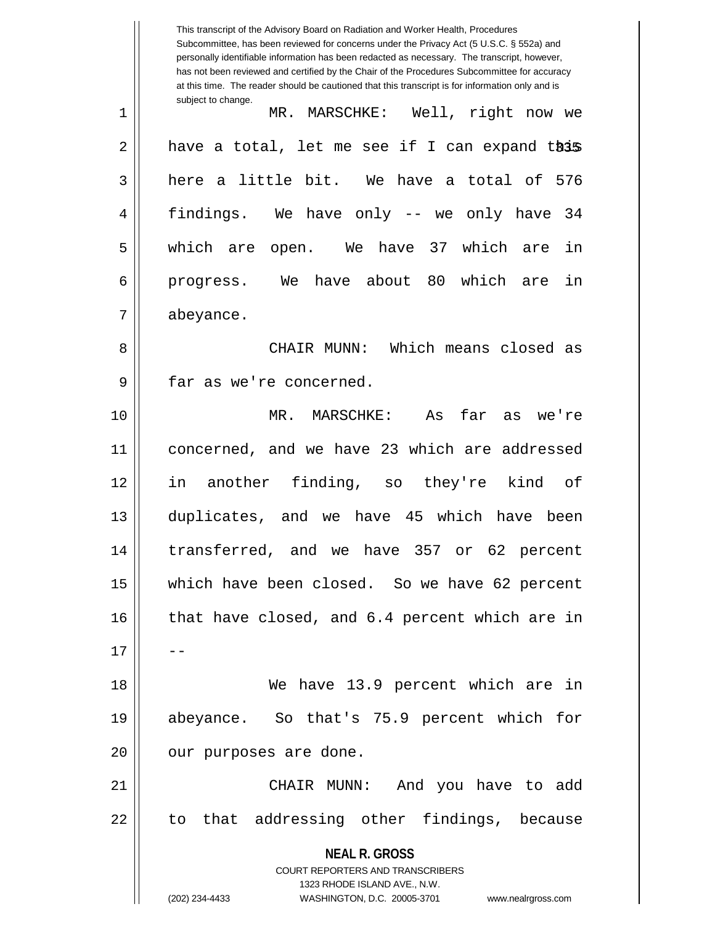**NEAL R. GROSS** COURT REPORTERS AND TRANSCRIBERS 1323 RHODE ISLAND AVE., N.W. (202) 234-4433 WASHINGTON, D.C. 20005-3701 www.nealrgross.com This transcript of the Advisory Board on Radiation and Worker Health, Procedures Subcommittee, has been reviewed for concerns under the Privacy Act (5 U.S.C. § 552a) and personally identifiable information has been redacted as necessary. The transcript, however, has not been reviewed and certified by the Chair of the Procedures Subcommittee for accuracy at this time. The reader should be cautioned that this transcript is for information only and is subject to change. 2 || have a total, let me see if I can expand this 1 MR. MARSCHKE: Well, right now we  $3 \parallel$  here a little bit. We have a total of 576 4 findings. We have only -- we only have 34 5 which are open. We have 37 which are in 6 || progress. We have about 80 which are in 7 abeyance. 8 CHAIR MUNN: Which means closed as 9 || far as we're concerned. 10 MR. MARSCHKE: As far as we're 11 || concerned, and we have 23 which are addressed 12 in another finding, so they're kind of 13 duplicates, and we have 45 which have been 14 transferred, and we have 357 or 62 percent 15 which have been closed. So we have 62 percent  $16$  | that have closed, and 6.4 percent which are in  $17$ 18 We have 13.9 percent which are in 19 abeyance. So that's 75.9 percent which for 20 || our purposes are done. 21 CHAIR MUNN: And you have to add 22 || to that addressing other findings, because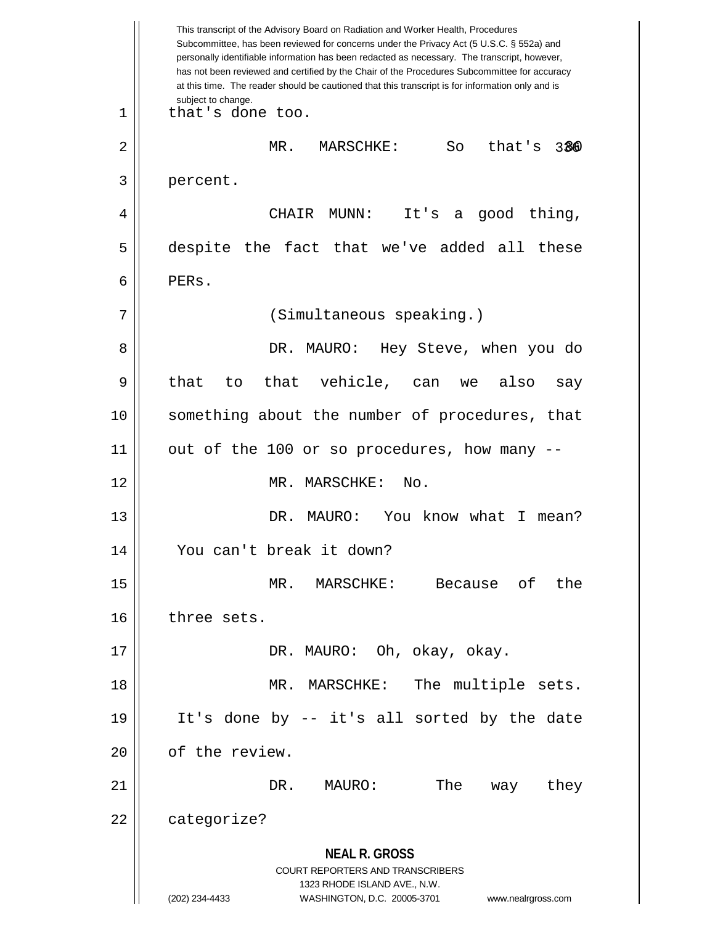**NEAL R. GROSS** COURT REPORTERS AND TRANSCRIBERS 1323 RHODE ISLAND AVE., N.W. (202) 234-4433 WASHINGTON, D.C. 20005-3701 www.nealrgross.com This transcript of the Advisory Board on Radiation and Worker Health, Procedures Subcommittee, has been reviewed for concerns under the Privacy Act (5 U.S.C. § 552a) and personally identifiable information has been redacted as necessary. The transcript, however, has not been reviewed and certified by the Chair of the Procedures Subcommittee for accuracy at this time. The reader should be cautioned that this transcript is for information only and is subject to change. 336 2 MR. MARSCHKE: So that's 80 1 || that's done too. 3 percent. 4 CHAIR MUNN: It's a good thing, 5 despite the fact that we've added all these 6 PERs. 7 (Simultaneous speaking.) 8 DR. MAURO: Hey Steve, when you do  $9 \parallel$  that to that vehicle, can we also say 10 || something about the number of procedures, that 11 out of the 100 or so procedures, how many -- 12 MR. MARSCHKE: No. 13 DR. MAURO: You know what I mean? 14 You can't break it down? 15 MR. MARSCHKE: Because of the 16 | three sets. 17 DR. MAURO: Oh, okay, okay. 18 || MR. MARSCHKE: The multiple sets. 19 It's done by -- it's all sorted by the date 20 | of the review. 21 DR. MAURO: The way they 22 | categorize?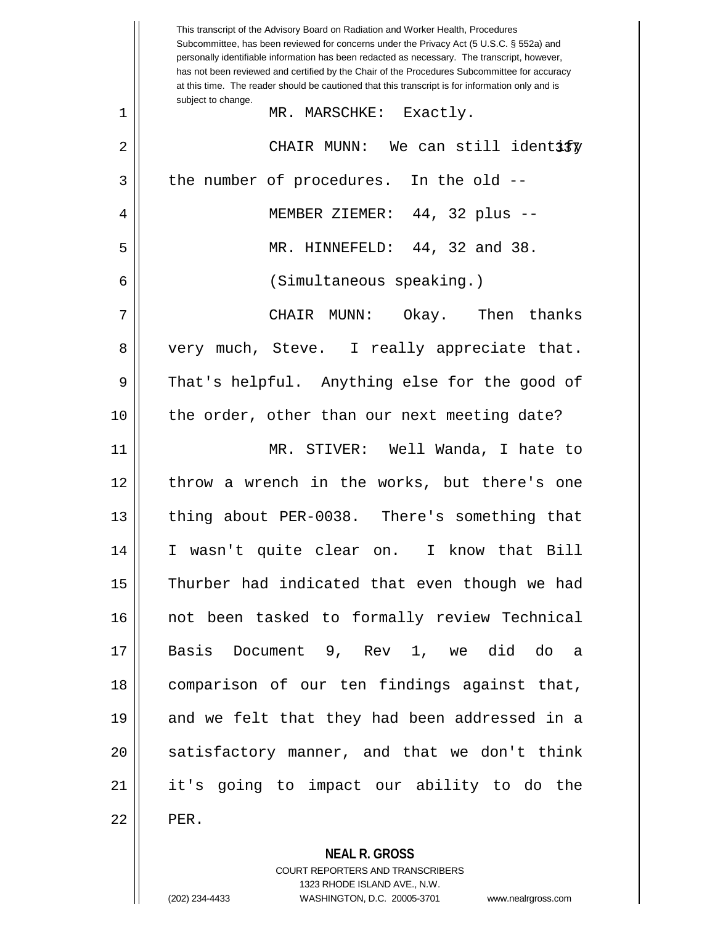|    | This transcript of the Advisory Board on Radiation and Worker Health, Procedures<br>Subcommittee, has been reviewed for concerns under the Privacy Act (5 U.S.C. § 552a) and<br>personally identifiable information has been redacted as necessary. The transcript, however,<br>has not been reviewed and certified by the Chair of the Procedures Subcommittee for accuracy<br>at this time. The reader should be cautioned that this transcript is for information only and is |
|----|----------------------------------------------------------------------------------------------------------------------------------------------------------------------------------------------------------------------------------------------------------------------------------------------------------------------------------------------------------------------------------------------------------------------------------------------------------------------------------|
| 1  | subject to change.<br>MR. MARSCHKE: Exactly.                                                                                                                                                                                                                                                                                                                                                                                                                                     |
| 2  | CHAIR MUNN: We can still identify                                                                                                                                                                                                                                                                                                                                                                                                                                                |
| 3  | the number of procedures. In the old --                                                                                                                                                                                                                                                                                                                                                                                                                                          |
| 4  | MEMBER ZIEMER: 44, 32 plus --                                                                                                                                                                                                                                                                                                                                                                                                                                                    |
| 5  | MR. HINNEFELD: 44, 32 and 38.                                                                                                                                                                                                                                                                                                                                                                                                                                                    |
| 6  | (Simultaneous speaking.)                                                                                                                                                                                                                                                                                                                                                                                                                                                         |
| 7  | CHAIR MUNN: Okay. Then thanks                                                                                                                                                                                                                                                                                                                                                                                                                                                    |
| 8  | very much, Steve. I really appreciate that.                                                                                                                                                                                                                                                                                                                                                                                                                                      |
| 9  | That's helpful. Anything else for the good of                                                                                                                                                                                                                                                                                                                                                                                                                                    |
| 10 | the order, other than our next meeting date?                                                                                                                                                                                                                                                                                                                                                                                                                                     |
| 11 | MR. STIVER: Well Wanda, I hate to                                                                                                                                                                                                                                                                                                                                                                                                                                                |
| 12 | throw a wrench in the works, but there's one                                                                                                                                                                                                                                                                                                                                                                                                                                     |
| 13 | thing about PER-0038. There's something that                                                                                                                                                                                                                                                                                                                                                                                                                                     |
| 14 | I wasn't quite clear on. I know that Bill                                                                                                                                                                                                                                                                                                                                                                                                                                        |
| 15 | Thurber had indicated that even though we had                                                                                                                                                                                                                                                                                                                                                                                                                                    |
| 16 | not been tasked to formally review Technical                                                                                                                                                                                                                                                                                                                                                                                                                                     |
| 17 | Basis Document 9, Rev 1, we did do a                                                                                                                                                                                                                                                                                                                                                                                                                                             |
| 18 | comparison of our ten findings against that,                                                                                                                                                                                                                                                                                                                                                                                                                                     |
| 19 | and we felt that they had been addressed in a                                                                                                                                                                                                                                                                                                                                                                                                                                    |
| 20 | satisfactory manner, and that we don't think                                                                                                                                                                                                                                                                                                                                                                                                                                     |
| 21 | it's going to impact our ability to do the                                                                                                                                                                                                                                                                                                                                                                                                                                       |
| 22 | PER.                                                                                                                                                                                                                                                                                                                                                                                                                                                                             |

**NEAL R. GROSS**

COURT REPORTERS AND TRANSCRIBERS 1323 RHODE ISLAND AVE., N.W. (202) 234-4433 WASHINGTON, D.C. 20005-3701 www.nealrgross.com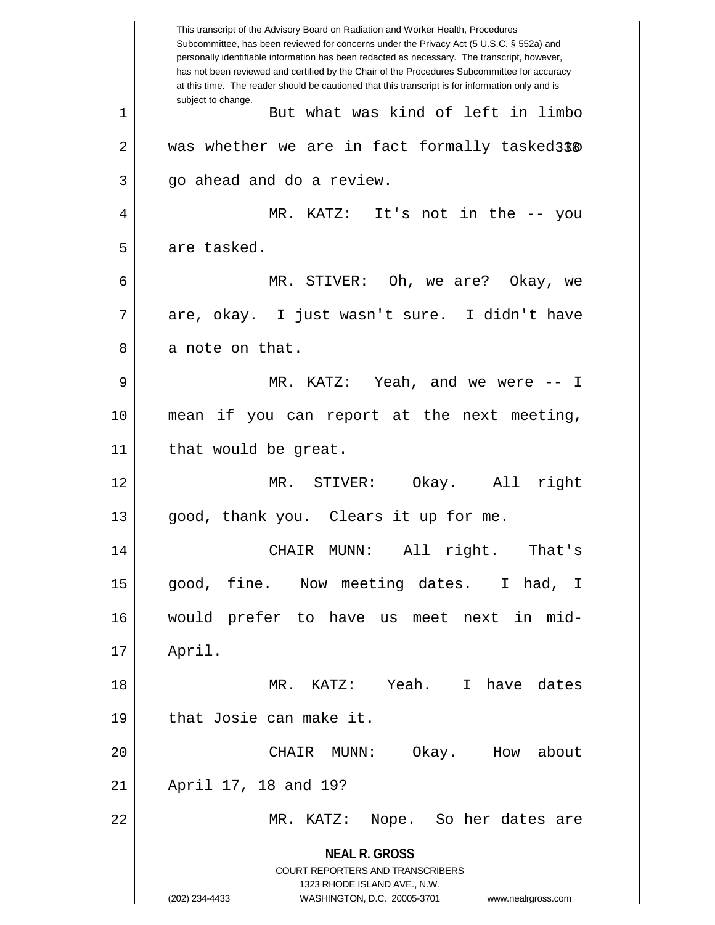**NEAL R. GROSS** COURT REPORTERS AND TRANSCRIBERS 1323 RHODE ISLAND AVE., N.W. (202) 234-4433 WASHINGTON, D.C. 20005-3701 www.nealrgross.com This transcript of the Advisory Board on Radiation and Worker Health, Procedures Subcommittee, has been reviewed for concerns under the Privacy Act (5 U.S.C. § 552a) and personally identifiable information has been redacted as necessary. The transcript, however, has not been reviewed and certified by the Chair of the Procedures Subcommittee for accuracy at this time. The reader should be cautioned that this transcript is for information only and is subject to change. 338 2 was whether we are in fact formally tasked to 1 || But what was kind of left in limbo  $3 \parallel$  go ahead and do a review. 4 MR. KATZ: It's not in the -- you 5 | are tasked. 6 MR. STIVER: Oh, we are? Okay, we 7 || are, okay. I just wasn't sure. I didn't have  $8 \parallel$  a note on that. 9 MR. KATZ: Yeah, and we were -- I 10 mean if you can report at the next meeting,  $11$  | that would be great. 12 MR. STIVER: Okay. All right 13 || good, thank you. Clears it up for me. 14 CHAIR MUNN: All right. That's 15 good, fine. Now meeting dates. I had, I 16 would prefer to have us meet next in mid-17 April. 18 MR. KATZ: Yeah. I have dates 19 || that Josie can make it. 20 CHAIR MUNN: Okay. How about 21 April 17, 18 and 19? 22 MR. KATZ: Nope. So her dates are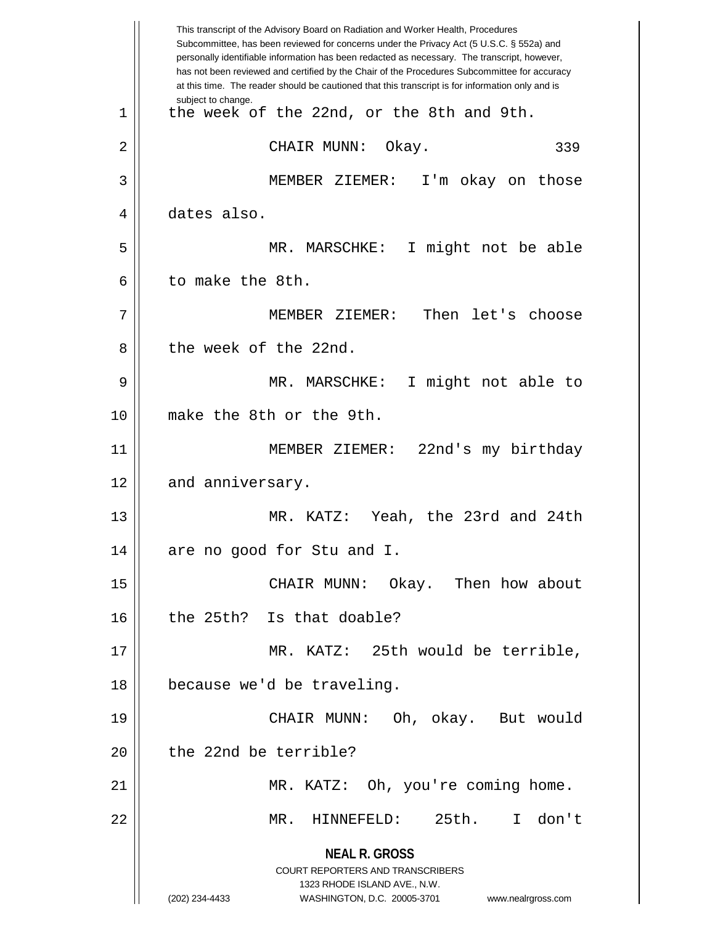**NEAL R. GROSS** COURT REPORTERS AND TRANSCRIBERS 1323 RHODE ISLAND AVE., N.W. (202) 234-4433 WASHINGTON, D.C. 20005-3701 www.nealrgross.com This transcript of the Advisory Board on Radiation and Worker Health, Procedures Subcommittee, has been reviewed for concerns under the Privacy Act (5 U.S.C. § 552a) and personally identifiable information has been redacted as necessary. The transcript, however, has not been reviewed and certified by the Chair of the Procedures Subcommittee for accuracy at this time. The reader should be cautioned that this transcript is for information only and is subject to change. 339 1 || the week of the 22nd, or the 8th and 9th. 2 CHAIR MUNN: Okay. 3 MEMBER ZIEMER: I'm okay on those 4 dates also. 5 MR. MARSCHKE: I might not be able 6 l to make the 8th. 7 MEMBER ZIEMER: Then let's choose 8 l the week of the 22nd. 9 MR. MARSCHKE: I might not able to 10 make the 8th or the 9th. 11 MEMBER ZIEMER: 22nd's my birthday 12 | and anniversary. 13 MR. KATZ: Yeah, the 23rd and 24th 14 || are no good for Stu and I. 15 CHAIR MUNN: Okay. Then how about 16 the 25th? Is that doable? 17 MR. KATZ: 25th would be terrible, 18 because we'd be traveling. 19 CHAIR MUNN: Oh, okay. But would 20 l the 22nd be terrible? 21 MR. KATZ: Oh, you're coming home. 22 MR. HINNEFELD: 25th. I don't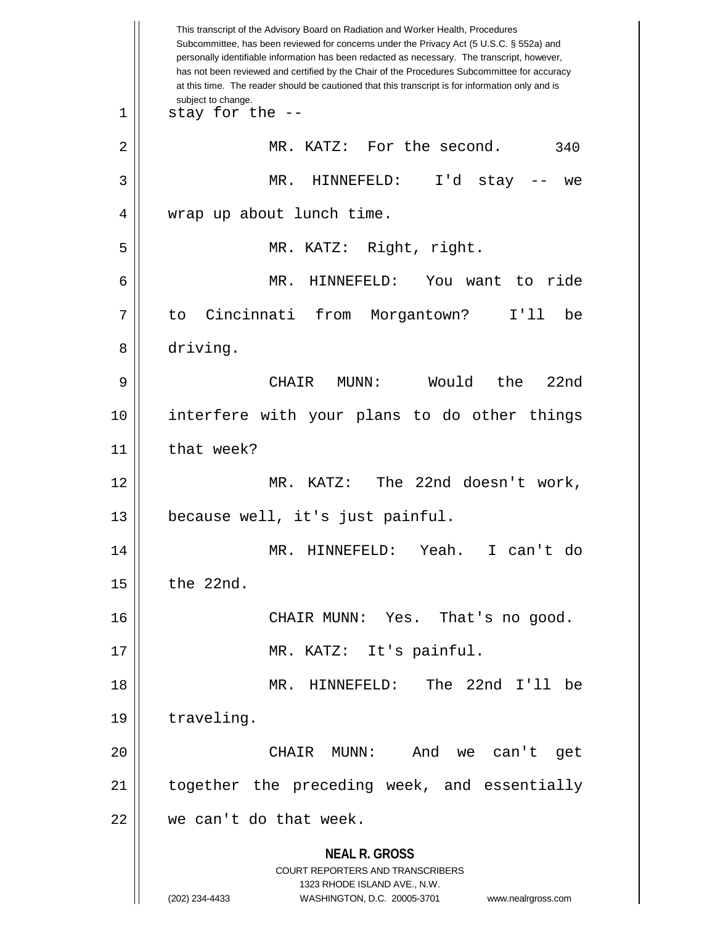**NEAL R. GROSS** COURT REPORTERS AND TRANSCRIBERS 1323 RHODE ISLAND AVE., N.W. (202) 234-4433 WASHINGTON, D.C. 20005-3701 www.nealrgross.com This transcript of the Advisory Board on Radiation and Worker Health, Procedures Subcommittee, has been reviewed for concerns under the Privacy Act (5 U.S.C. § 552a) and personally identifiable information has been redacted as necessary. The transcript, however, has not been reviewed and certified by the Chair of the Procedures Subcommittee for accuracy at this time. The reader should be cautioned that this transcript is for information only and is subject to change. 340  $1 \parallel$  stay for the --2 | MR. KATZ: For the second. 3 MR. HINNEFELD: I'd stay -- we 4 || wrap up about lunch time. 5 MR. KATZ: Right, right. 6 MR. HINNEFELD: You want to ride 7 to Cincinnati from Morgantown? I'll be 8 driving. 9 CHAIR MUNN: Would the 22nd 10 interfere with your plans to do other things 11 | that week? 12 MR. KATZ: The 22nd doesn't work, 13 because well, it's just painful. 14 MR. HINNEFELD: Yeah. I can't do  $15$  | the 22nd. 16 CHAIR MUNN: Yes. That's no good. 17 || MR. KATZ: It's painful. 18 MR. HINNEFELD: The 22nd I'll be 19 | traveling. 20 CHAIR MUNN: And we can't get 21 || together the preceding week, and essentially  $22$  | we can't do that week.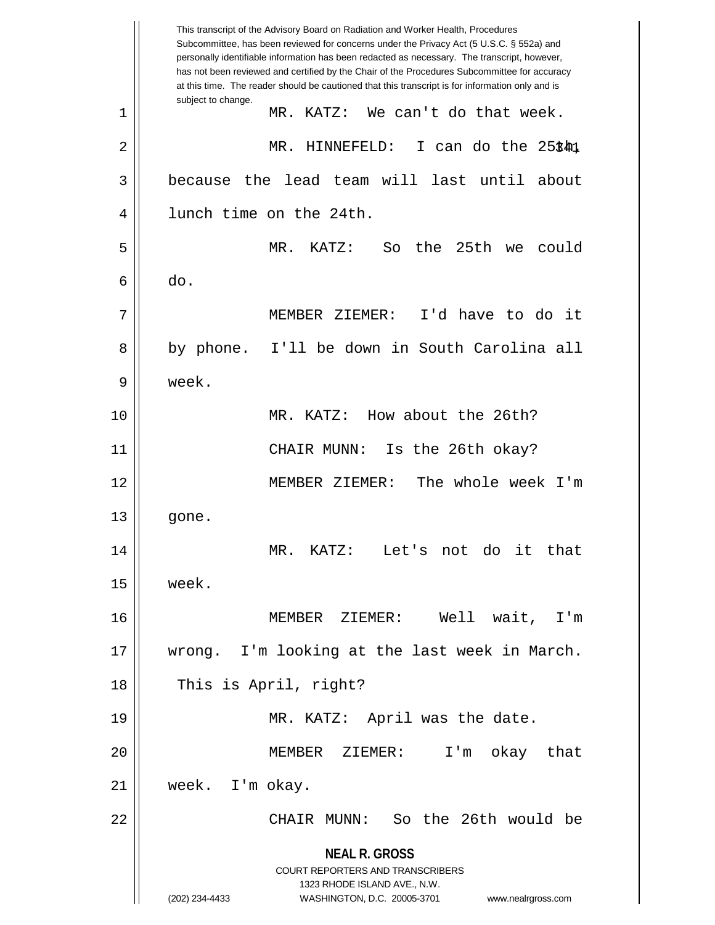**NEAL R. GROSS** COURT REPORTERS AND TRANSCRIBERS 1323 RHODE ISLAND AVE., N.W. (202) 234-4433 WASHINGTON, D.C. 20005-3701 www.nealrgross.com This transcript of the Advisory Board on Radiation and Worker Health, Procedures Subcommittee, has been reviewed for concerns under the Privacy Act (5 U.S.C. § 552a) and personally identifiable information has been redacted as necessary. The transcript, however, has not been reviewed and certified by the Chair of the Procedures Subcommittee for accuracy at this time. The reader should be cautioned that this transcript is for information only and is subject to change. 341 2 MR. HINNEFELD: I can do the 25th, 1 MR. KATZ: We can't do that week. 3 because the lead team will last until about 4 | lunch time on the 24th. 5 MR. KATZ: So the 25th we could  $6 \parallel$  do. 7 MEMBER ZIEMER: I'd have to do it 8 || by phone. I'll be down in South Carolina all 9 week. 10 MR. KATZ: How about the 26th? 11 CHAIR MUNN: Is the 26th okay? 12 MEMBER ZIEMER: The whole week I'm  $13 \parallel$  gone. 14 MR. KATZ: Let's not do it that  $15$  week. 16 MEMBER ZIEMER: Well wait, I'm 17 wrong. I'm looking at the last week in March. 18 || This is April, right? 19 || MR. KATZ: April was the date. 20 MEMBER ZIEMER: I'm okay that 21 week. I'm okay. 22 CHAIR MUNN: So the 26th would be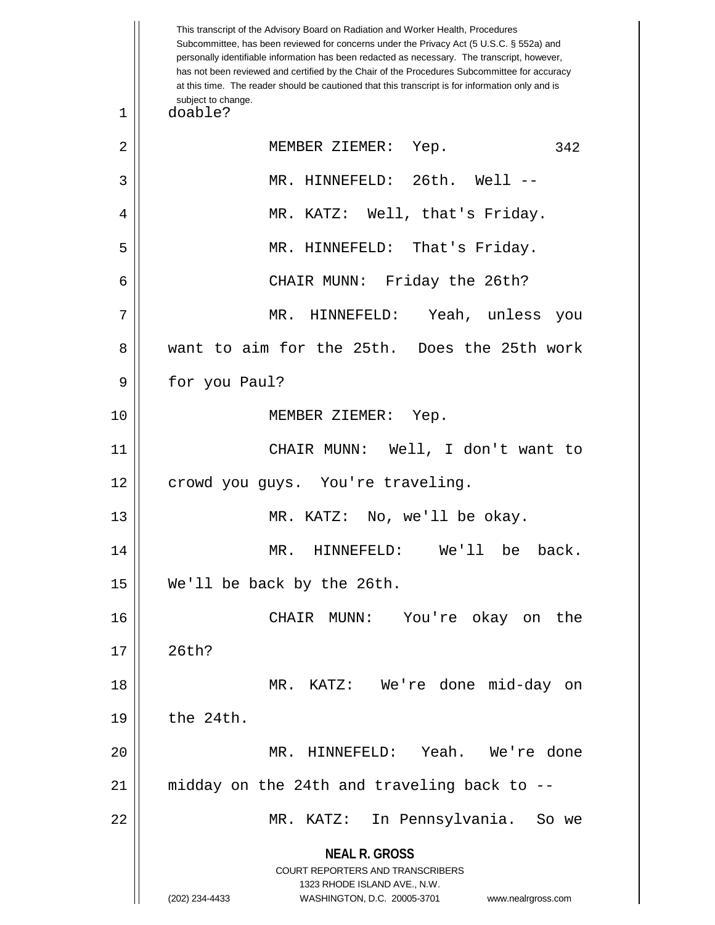**NEAL R. GROSS** COURT REPORTERS AND TRANSCRIBERS 1323 RHODE ISLAND AVE., N.W. (202) 234-4433 WASHINGTON, D.C. 20005-3701 www.nealrgross.com This transcript of the Advisory Board on Radiation and Worker Health, Procedures Subcommittee, has been reviewed for concerns under the Privacy Act (5 U.S.C. § 552a) and personally identifiable information has been redacted as necessary. The transcript, however, has not been reviewed and certified by the Chair of the Procedures Subcommittee for accuracy at this time. The reader should be cautioned that this transcript is for information only and is subject to change. 342 1 doable? 2 || MEMBER ZIEMER: Yep. 3 MR. HINNEFELD: 26th. Well -- 4 MR. KATZ: Well, that's Friday. 5 MR. HINNEFELD: That's Friday. 6 CHAIR MUNN: Friday the 26th? 7 MR. HINNEFELD: Yeah, unless you 8 want to aim for the 25th. Does the 25th work 9 || for you Paul? 10 || MEMBER ZIEMER: Yep. 11 CHAIR MUNN: Well, I don't want to 12 || crowd you guys. You're traveling. 13 || MR. KATZ: No, we'll be okay. 14 MR. HINNEFELD: We'll be back. 15 We'll be back by the 26th. 16 CHAIR MUNN: You're okay on the  $17 \parallel 26th?$ 18 MR. KATZ: We're done mid-day on  $19 \parallel$  the 24th. 20 MR. HINNEFELD: Yeah. We're done 21 midday on the 24th and traveling back to -- 22 MR. KATZ: In Pennsylvania. So we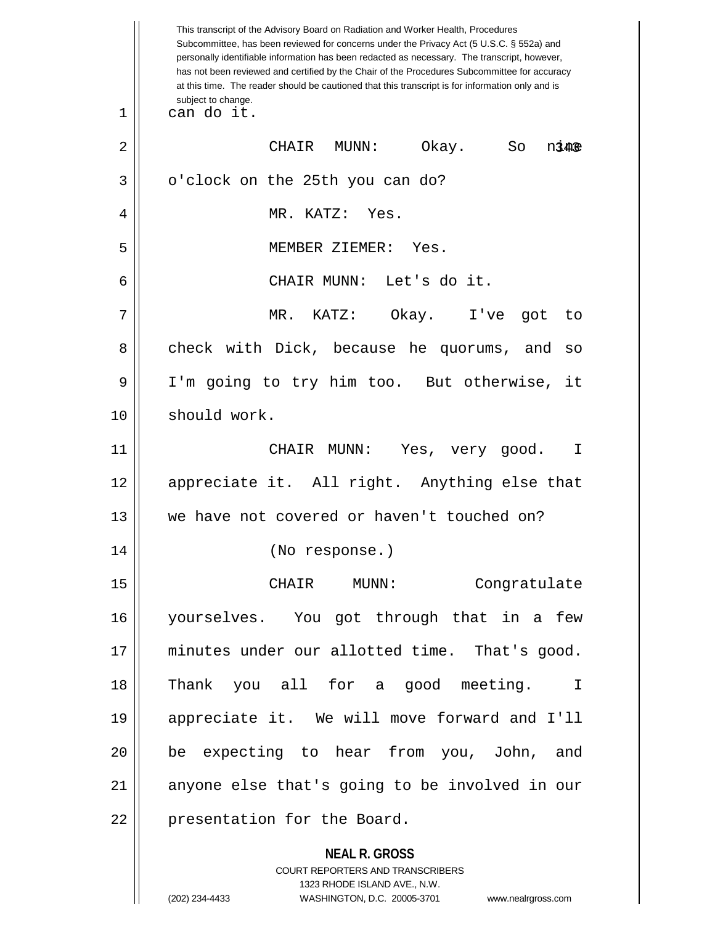|    | This transcript of the Advisory Board on Radiation and Worker Health, Procedures<br>Subcommittee, has been reviewed for concerns under the Privacy Act (5 U.S.C. § 552a) and<br>personally identifiable information has been redacted as necessary. The transcript, however,<br>has not been reviewed and certified by the Chair of the Procedures Subcommittee for accuracy<br>at this time. The reader should be cautioned that this transcript is for information only and is |
|----|----------------------------------------------------------------------------------------------------------------------------------------------------------------------------------------------------------------------------------------------------------------------------------------------------------------------------------------------------------------------------------------------------------------------------------------------------------------------------------|
| 1  | subject to change.<br>can do it.                                                                                                                                                                                                                                                                                                                                                                                                                                                 |
| 2  | Okay.<br>CHAIR<br>MUNN:<br>So<br>nine                                                                                                                                                                                                                                                                                                                                                                                                                                            |
| 3  | o'clock on the 25th you can do?                                                                                                                                                                                                                                                                                                                                                                                                                                                  |
| 4  | MR. KATZ: Yes.                                                                                                                                                                                                                                                                                                                                                                                                                                                                   |
| 5  | MEMBER ZIEMER: Yes.                                                                                                                                                                                                                                                                                                                                                                                                                                                              |
| 6  | CHAIR MUNN: Let's do it.                                                                                                                                                                                                                                                                                                                                                                                                                                                         |
| 7  | MR. KATZ: Okay. I've got<br>to                                                                                                                                                                                                                                                                                                                                                                                                                                                   |
| 8  | check with Dick, because he quorums, and<br>SO                                                                                                                                                                                                                                                                                                                                                                                                                                   |
| 9  | I'm going to try him too. But otherwise,<br>it                                                                                                                                                                                                                                                                                                                                                                                                                                   |
| 10 | should work.                                                                                                                                                                                                                                                                                                                                                                                                                                                                     |
| 11 | CHAIR MUNN: Yes, very good.<br>$\mathbb{I}$                                                                                                                                                                                                                                                                                                                                                                                                                                      |
| 12 | appreciate it. All right. Anything else that                                                                                                                                                                                                                                                                                                                                                                                                                                     |
| 13 | we have not covered or haven't touched on?                                                                                                                                                                                                                                                                                                                                                                                                                                       |
| 14 | (No response.)                                                                                                                                                                                                                                                                                                                                                                                                                                                                   |
| 15 | CHAIR MUNN:<br>Congratulate                                                                                                                                                                                                                                                                                                                                                                                                                                                      |
| 16 | yourselves. You got through that in a few                                                                                                                                                                                                                                                                                                                                                                                                                                        |
| 17 | minutes under our allotted time. That's good.                                                                                                                                                                                                                                                                                                                                                                                                                                    |
| 18 | Thank you all for a good meeting.<br>$\mathbf I$                                                                                                                                                                                                                                                                                                                                                                                                                                 |
| 19 | appreciate it. We will move forward and I'll                                                                                                                                                                                                                                                                                                                                                                                                                                     |
| 20 | be expecting to hear from you, John, and                                                                                                                                                                                                                                                                                                                                                                                                                                         |
| 21 | anyone else that's going to be involved in our                                                                                                                                                                                                                                                                                                                                                                                                                                   |
| 22 | presentation for the Board.                                                                                                                                                                                                                                                                                                                                                                                                                                                      |
|    | <b>NEAL R. GROSS</b><br>COURT REPORTERS AND TRANSCRIBERS<br>1323 RHODE ISLAND AVE., N.W.<br>(202) 234-4433<br>WASHINGTON, D.C. 20005-3701<br>www.nealrgross.com                                                                                                                                                                                                                                                                                                                  |